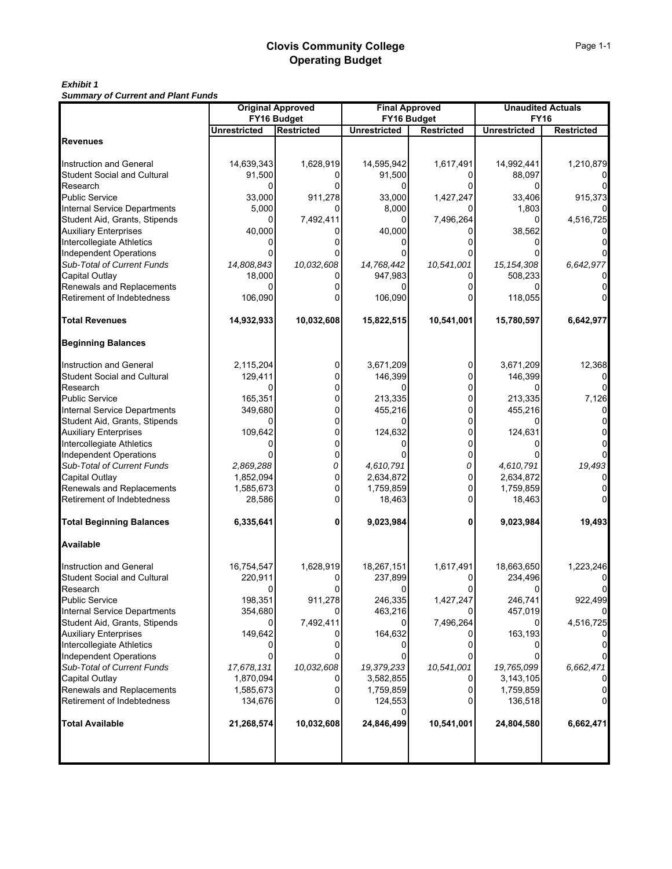## *Exhibit 1*

*Summary of Current and Plant Funds*

| Summary or Gurrent and Flant Funds | <b>Original Approved</b> |                   | <b>Final Approved</b> |                   | <b>Unaudited Actuals</b> |                   |  |
|------------------------------------|--------------------------|-------------------|-----------------------|-------------------|--------------------------|-------------------|--|
|                                    |                          | FY16 Budget       | FY16 Budget           |                   | <b>FY16</b>              |                   |  |
|                                    | <b>Unrestricted</b>      | <b>Restricted</b> | <b>Unrestricted</b>   | <b>Restricted</b> | <b>Unrestricted</b>      | <b>Restricted</b> |  |
| Revenues                           |                          |                   |                       |                   |                          |                   |  |
|                                    |                          |                   |                       |                   |                          |                   |  |
| <b>Instruction and General</b>     | 14,639,343               | 1,628,919         | 14,595,942            | 1,617,491         | 14,992,441               | 1,210,879         |  |
| <b>Student Social and Cultural</b> | 91,500                   | 0                 | 91,500                | 0                 | 88,097                   |                   |  |
| Research                           |                          |                   |                       |                   |                          |                   |  |
| <b>Public Service</b>              | 33,000                   | 911,278           | 33,000                | 1,427,247         | 33,406                   | 915,373           |  |
| Internal Service Departments       | 5,000                    |                   | 8,000                 |                   | 1,803                    |                   |  |
| Student Aid, Grants, Stipends      | 0                        | 7,492,411         | 0                     | 7,496,264         | 0                        | 4,516,725         |  |
| <b>Auxiliary Enterprises</b>       | 40,000                   |                   | 40,000                |                   | 38,562                   |                   |  |
| Intercollegiate Athletics          |                          |                   |                       |                   |                          |                   |  |
| <b>Independent Operations</b>      |                          |                   |                       |                   |                          |                   |  |
| Sub-Total of Current Funds         | 14,808,843               | 10,032,608        | 14,768,442            | 10,541,001        | 15, 154, 308             | 6,642,977         |  |
| Capital Outlay                     | 18,000                   |                   | 947,983               | 0                 | 508,233                  |                   |  |
| Renewals and Replacements          |                          | 0                 |                       | 0                 |                          |                   |  |
| Retirement of Indebtedness         | 106,090                  |                   | 106,090               |                   | 118,055                  |                   |  |
| <b>Total Revenues</b>              | 14,932,933               | 10,032,608        | 15,822,515            | 10,541,001        | 15,780,597               | 6,642,977         |  |
| <b>Beginning Balances</b>          |                          |                   |                       |                   |                          |                   |  |
| <b>Instruction and General</b>     | 2,115,204                | 0                 | 3,671,209             | 0                 | 3,671,209                | 12,368            |  |
| <b>Student Social and Cultural</b> | 129,411                  | $\Omega$          | 146,399               | 0                 | 146,399                  |                   |  |
| Research                           |                          | $\Omega$          |                       | 0                 |                          |                   |  |
| Public Service                     | 165,351                  | $\mathbf 0$       | 213,335               | 0                 | 213,335                  | 7,126             |  |
| Internal Service Departments       | 349,680                  | 0                 | 455,216               |                   | 455,216                  |                   |  |
| Student Aid, Grants, Stipends      |                          | 0                 |                       |                   |                          |                   |  |
| <b>Auxiliary Enterprises</b>       | 109,642                  | 0                 | 124,632               | 0                 | 124,631                  |                   |  |
| Intercollegiate Athletics          |                          | 0                 |                       |                   |                          |                   |  |
| <b>Independent Operations</b>      |                          | $\mathbf 0$       |                       | 0                 |                          |                   |  |
| Sub-Total of Current Funds         | 2,869,288                | 0                 | 4,610,791             | 0                 | 4,610,791                | 19,493            |  |
| Capital Outlay                     | 1,852,094                | 0                 | 2,634,872             | 0                 | 2,634,872                |                   |  |
| Renewals and Replacements          | 1,585,673                | $\Omega$          | 1,759,859             | 0                 | 1,759,859                |                   |  |
| Retirement of Indebtedness         | 28,586                   | 0                 | 18,463                | 0                 | 18,463                   |                   |  |
| <b>Total Beginning Balances</b>    | 6,335,641                | 0                 | 9,023,984             | 0                 | 9,023,984                | 19,493            |  |
| Available                          |                          |                   |                       |                   |                          |                   |  |
| Instruction and General            |                          |                   | 18,267,151            |                   | 18,663,650               | 1,223,246         |  |
| Student Social and Cultural        | 16,754,547<br>220,911    | 1,628,919<br>0    |                       | 1,617,491<br>0    |                          |                   |  |
| Research                           |                          |                   | 237,899               |                   | 234,496                  |                   |  |
| <b>Public Service</b>              | 198,351                  | 911,278           | 246,335               | 1,427,247         | 246,741                  | 922,499           |  |
| Internal Service Departments       | 354,680                  |                   | 463,216               |                   | 457,019                  |                   |  |
| Student Aid, Grants, Stipends      |                          | 7,492,411         | 0                     | 7,496,264         |                          | 4,516,725         |  |
| <b>Auxiliary Enterprises</b>       | 149,642                  |                   | 164,632               |                   | 163,193                  |                   |  |
| Intercollegiate Athletics          |                          |                   |                       |                   |                          |                   |  |
| <b>Independent Operations</b>      |                          |                   |                       |                   |                          |                   |  |
| Sub-Total of Current Funds         | 17,678,131               | 10,032,608        | 19,379,233            | 10,541,001        | 19,765,099               | 6,662,471         |  |
| Capital Outlay                     | 1,870,094                |                   | 3,582,855             |                   | 3,143,105                |                   |  |
| Renewals and Replacements          | 1,585,673                | 0                 | 1,759,859             | 0                 | 1,759,859                |                   |  |
| Retirement of Indebtedness         | 134,676                  |                   | 124,553               |                   | 136,518                  |                   |  |
| <b>Total Available</b>             | 21,268,574               | 10,032,608        | 24,846,499            | 10,541,001        | 24,804,580               | 6,662,471         |  |
|                                    |                          |                   |                       |                   |                          |                   |  |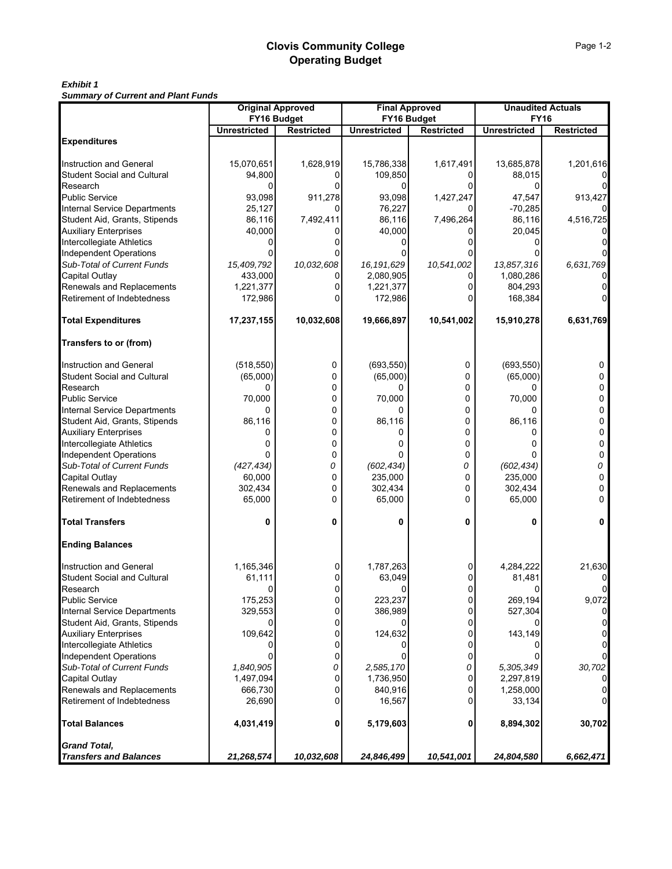## *Exhibit 1*

*Summary of Current and Plant Funds*

|                                                    | <b>Original Approved</b> |                   | <b>Final Approved</b> |                   | <b>Unaudited Actuals</b> |                   |
|----------------------------------------------------|--------------------------|-------------------|-----------------------|-------------------|--------------------------|-------------------|
|                                                    | FY16 Budget              |                   | FY16 Budget           |                   | <b>FY16</b>              |                   |
| <b>Expenditures</b>                                | <b>Unrestricted</b>      | <b>Restricted</b> | <b>Unrestricted</b>   | <b>Restricted</b> | <b>Unrestricted</b>      | <b>Restricted</b> |
|                                                    |                          |                   |                       |                   |                          |                   |
| Instruction and General                            | 15,070,651               | 1,628,919         | 15,786,338            | 1,617,491         | 13,685,878               | 1,201,616         |
| Student Social and Cultural                        | 94,800                   | 0                 | 109,850               |                   | 88,015                   |                   |
| Research                                           |                          |                   | 0                     |                   | $\Omega$                 |                   |
| <b>Public Service</b>                              | 93,098                   | 911,278           | 93,098                | 1,427,247         | 47,547                   | 913,427           |
| Internal Service Departments                       | 25,127                   | <sup>0</sup>      | 76,227                |                   | $-70,285$                |                   |
| Student Aid, Grants, Stipends                      | 86,116                   | 7,492,411         | 86,116                | 7,496,264         | 86,116                   | 4,516,725         |
| <b>Auxiliary Enterprises</b>                       | 40,000                   |                   | 40.000                |                   | 20,045                   |                   |
| Intercollegiate Athletics                          |                          |                   |                       |                   |                          |                   |
| <b>Independent Operations</b>                      |                          |                   |                       |                   |                          |                   |
| Sub-Total of Current Funds                         | 15,409,792               | 10,032,608        | 16, 191, 629          | 10,541,002        | 13,857,316               | 6,631,769         |
| Capital Outlay<br>Renewals and Replacements        | 433,000                  | 0                 | 2,080,905             |                   | 1,080,286                |                   |
| Retirement of Indebtedness                         | 1,221,377<br>172,986     | U                 | 1,221,377<br>172,986  | 0                 | 804,293<br>168,384       | $\Omega$          |
|                                                    |                          |                   |                       |                   |                          |                   |
| <b>Total Expenditures</b>                          | 17,237,155               | 10,032,608        | 19,666,897            | 10,541,002        | 15,910,278               | 6,631,769         |
| Transfers to or (from)                             |                          |                   |                       |                   |                          |                   |
| <b>Instruction and General</b>                     | (518, 550)               | 0                 | (693, 550)            | 0                 | (693, 550)               | 0                 |
| <b>Student Social and Cultural</b>                 | (65,000)                 | 0                 | (65,000)              | 0                 | (65,000)                 | 0                 |
| Research                                           | U                        | 0                 | 0                     | 0                 |                          | 0                 |
| <b>Public Service</b>                              | 70,000                   | 0                 | 70,000                | 0                 | 70,000                   | 0                 |
| Internal Service Departments                       | 0                        | 0                 | 0                     | 0                 | <sup>0</sup>             | 0                 |
| Student Aid, Grants, Stipends                      | 86,116                   | 0                 | 86,116                | $\Omega$          | 86,116                   | 0                 |
| <b>Auxiliary Enterprises</b>                       | 0                        | 0                 | 0                     | 0                 | 0                        | 0                 |
| Intercollegiate Athletics                          | 0                        | 0                 | 0                     | 0                 | 0                        | 0                 |
| <b>Independent Operations</b>                      | U                        | 0                 | 0                     | 0                 |                          | 0                 |
| Sub-Total of Current Funds                         | (427, 434)               | 0                 | (602, 434)            | 0                 | (602, 434)               | 0                 |
| Capital Outlay                                     | 60,000                   | 0                 | 235,000               | 0                 | 235,000                  | 0                 |
| Renewals and Replacements                          | 302,434                  | 0                 | 302,434               | 0                 | 302,434                  | 0                 |
| Retirement of Indebtedness                         | 65,000                   | 0                 | 65,000                | $\Omega$          | 65,000                   | 0                 |
| <b>Total Transfers</b>                             | 0                        | 0                 | 0                     | $\mathbf{0}$      | 0                        | 0                 |
| <b>Ending Balances</b>                             |                          |                   |                       |                   |                          |                   |
| <b>Instruction and General</b>                     | 1,165,346                | 0                 | 1,787,263             | 0                 | 4,284,222                | 21,630            |
| <b>Student Social and Cultural</b>                 | 61,111                   | 0                 | 63,049                | 0                 | 81,481                   | 0                 |
| Research                                           |                          | 0                 | 0                     | 0                 | 0                        | $\overline{0}$    |
| <b>Public Service</b>                              | 175,253                  | 0                 | 223,237               | 0                 | 269,194                  | 9,072             |
| Internal Service Departments                       | 329,553                  | 0                 | 386,989               | 0                 | 527,304                  | 0                 |
| Student Aid, Grants, Stipends                      | $\Omega$                 | 0                 | 0                     | 0                 |                          | 0                 |
| <b>Auxiliary Enterprises</b>                       | 109,642                  | 0                 | 124,632               | 0                 | 143,149                  | 0                 |
| Intercollegiate Athletics                          |                          | 0                 |                       |                   |                          | 0                 |
| Independent Operations                             | 0                        | 0                 | 0                     | 0                 | 0                        | $\overline{0}$    |
| Sub-Total of Current Funds                         | 1,840,905                | 0                 | 2,585,170             | 0                 | 5,305,349                | 30,702            |
| <b>Capital Outlay</b><br>Renewals and Replacements | 1,497,094<br>666,730     | 0<br>0            | 1,736,950<br>840,916  | 0<br>0            | 2,297,819<br>1,258,000   | 0<br>0            |
| Retirement of Indebtedness                         | 26,690                   | 0                 | 16,567                | 0                 | 33,134                   | $\Omega$          |
| <b>Total Balances</b>                              | 4,031,419                | 0                 | 5,179,603             | 0                 | 8,894,302                | 30,702            |
| <b>Grand Total,</b>                                |                          |                   |                       |                   |                          |                   |
| <b>Transfers and Balances</b>                      | 21,268,574               | 10,032,608        | 24,846,499            | 10,541,001        | 24,804,580               | 6,662,471         |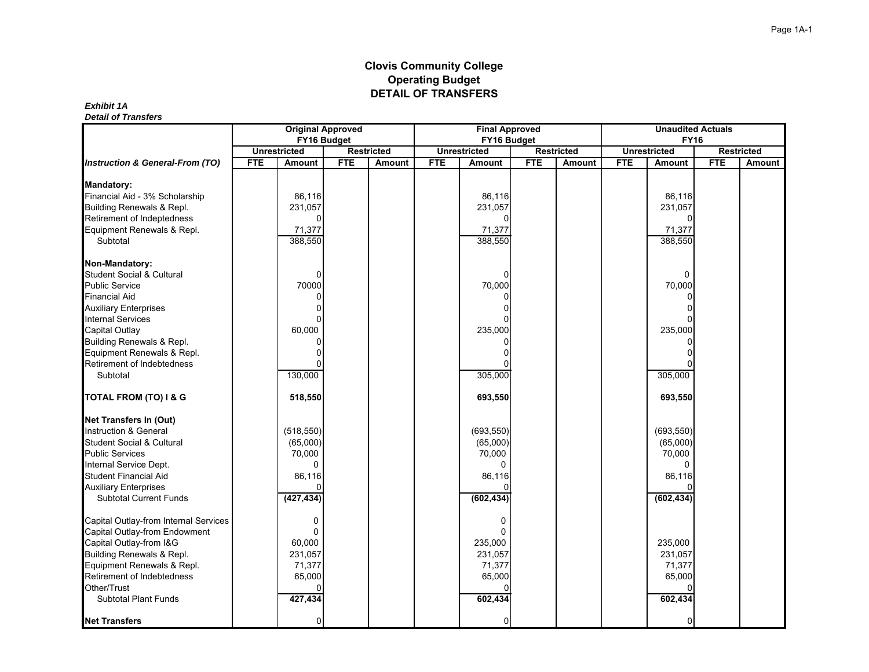## **Clovis Community College Operating Budget DETAIL OF TRANSFERS**

#### *Exhibit 1ADetail of Transfers*

|                                            |            | <b>Original Approved</b><br>FY16 Budget |            |                   |            | <b>Final Approved</b><br>FY16 Budget |            |                   |      | <b>Unaudited Actuals</b><br><b>FY16</b> |            |                   |
|--------------------------------------------|------------|-----------------------------------------|------------|-------------------|------------|--------------------------------------|------------|-------------------|------|-----------------------------------------|------------|-------------------|
|                                            |            | <b>Unrestricted</b>                     |            | <b>Restricted</b> |            | <b>Unrestricted</b>                  |            | <b>Restricted</b> |      | <b>Unrestricted</b>                     |            | <b>Restricted</b> |
| <b>Instruction &amp; General-From (TO)</b> | <b>FTE</b> | Amount                                  | <b>FTE</b> | <b>Amount</b>     | <b>FTE</b> | <b>Amount</b>                        | <b>FTE</b> | Amount            | FTE. | <b>Amount</b>                           | <b>FTE</b> | Amount            |
| <b>Mandatory:</b>                          |            |                                         |            |                   |            |                                      |            |                   |      |                                         |            |                   |
| Financial Aid - 3% Scholarship             |            | 86,116                                  |            |                   |            | 86,116                               |            |                   |      | 86,116                                  |            |                   |
| Building Renewals & Repl.                  |            | 231,057                                 |            |                   |            | 231,057                              |            |                   |      | 231,057                                 |            |                   |
| Retirement of Indeptedness                 |            |                                         |            |                   |            |                                      |            |                   |      |                                         |            |                   |
| Equipment Renewals & Repl.                 |            | 71,377                                  |            |                   |            | 71,377                               |            |                   |      | 71,377                                  |            |                   |
| Subtotal                                   |            | 388,550                                 |            |                   |            | 388,550                              |            |                   |      | 388,550                                 |            |                   |
| Non-Mandatory:                             |            |                                         |            |                   |            |                                      |            |                   |      |                                         |            |                   |
| <b>Student Social &amp; Cultural</b>       |            |                                         |            |                   |            |                                      |            |                   |      | $\Omega$                                |            |                   |
| <b>Public Service</b>                      |            | 70000                                   |            |                   |            | 70,000                               |            |                   |      | 70,000                                  |            |                   |
| <b>Financial Aid</b>                       |            |                                         |            |                   |            |                                      |            |                   |      |                                         |            |                   |
| <b>Auxiliary Enterprises</b>               |            |                                         |            |                   |            |                                      |            |                   |      |                                         |            |                   |
| <b>Internal Services</b>                   |            |                                         |            |                   |            |                                      |            |                   |      |                                         |            |                   |
| Capital Outlay                             |            | 60,000                                  |            |                   |            | 235,000                              |            |                   |      | 235,000                                 |            |                   |
| Building Renewals & Repl.                  |            |                                         |            |                   |            |                                      |            |                   |      |                                         |            |                   |
| Equipment Renewals & Repl.                 |            |                                         |            |                   |            |                                      |            |                   |      |                                         |            |                   |
| Retirement of Indebtedness                 |            |                                         |            |                   |            |                                      |            |                   |      |                                         |            |                   |
| Subtotal                                   |            | 130,000                                 |            |                   |            | 305,000                              |            |                   |      | 305,000                                 |            |                   |
| TOTAL FROM (TO) I & G                      |            | 518,550                                 |            |                   |            | 693,550                              |            |                   |      | 693,550                                 |            |                   |
| <b>Net Transfers In (Out)</b>              |            |                                         |            |                   |            |                                      |            |                   |      |                                         |            |                   |
| <b>Instruction &amp; General</b>           |            | (518, 550)                              |            |                   |            | (693, 550)                           |            |                   |      | (693, 550)                              |            |                   |
| <b>Student Social &amp; Cultural</b>       |            | (65,000)                                |            |                   |            | (65,000)                             |            |                   |      | (65,000)                                |            |                   |
| <b>Public Services</b>                     |            | 70,000                                  |            |                   |            | 70,000                               |            |                   |      | 70,000                                  |            |                   |
| Internal Service Dept.                     |            | $\Omega$                                |            |                   |            | $\Omega$                             |            |                   |      |                                         |            |                   |
| <b>Student Financial Aid</b>               |            | 86,116                                  |            |                   |            | 86,116                               |            |                   |      | 86,116                                  |            |                   |
| <b>Auxiliary Enterprises</b>               |            |                                         |            |                   |            |                                      |            |                   |      |                                         |            |                   |
| <b>Subtotal Current Funds</b>              |            | (427, 434)                              |            |                   |            | (602, 434)                           |            |                   |      | (602, 434)                              |            |                   |
| Capital Outlay-from Internal Services      |            | $\Omega$                                |            |                   |            | $\Omega$                             |            |                   |      |                                         |            |                   |
| Capital Outlay-from Endowment              |            | $\Omega$                                |            |                   |            | n                                    |            |                   |      |                                         |            |                   |
| Capital Outlay-from I&G                    |            | 60,000                                  |            |                   |            | 235,000                              |            |                   |      | 235,000                                 |            |                   |
| Building Renewals & Repl.                  |            | 231,057                                 |            |                   |            | 231,057                              |            |                   |      | 231,057                                 |            |                   |
| Equipment Renewals & Repl.                 |            | 71,377                                  |            |                   |            | 71,377                               |            |                   |      | 71,377                                  |            |                   |
| Retirement of Indebtedness                 |            | 65,000                                  |            |                   |            | 65,000                               |            |                   |      | 65,000                                  |            |                   |
| Other/Trust                                |            |                                         |            |                   |            |                                      |            |                   |      |                                         |            |                   |
| <b>Subtotal Plant Funds</b>                |            | 427,434                                 |            |                   |            | 602,434                              |            |                   |      | 602,434                                 |            |                   |
| <b>Net Transfers</b>                       |            | 0                                       |            |                   |            | $\Omega$                             |            |                   |      |                                         |            |                   |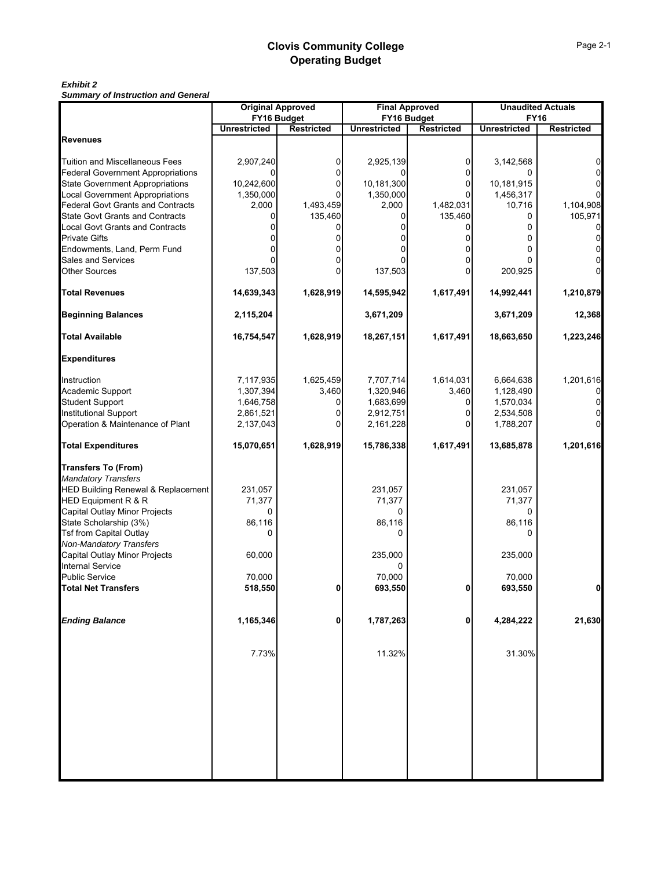## *Exhibit 2*

*Summary of Instruction and General*

|                                               | <b>Original Approved</b> |                   | <b>Final Approved</b><br>FY16 Budget |                   | <b>Unaudited Actuals</b><br><b>FY16</b> |                   |  |
|-----------------------------------------------|--------------------------|-------------------|--------------------------------------|-------------------|-----------------------------------------|-------------------|--|
|                                               |                          | FY16 Budget       |                                      |                   |                                         |                   |  |
| <b>Revenues</b>                               | <b>Unrestricted</b>      | <b>Restricted</b> | <b>Unrestricted</b>                  | <b>Restricted</b> | <b>Unrestricted</b>                     | <b>Restricted</b> |  |
|                                               |                          |                   |                                      |                   |                                         |                   |  |
| <b>Tuition and Miscellaneous Fees</b>         | 2,907,240                | 0                 | 2,925,139                            | 0                 | 3,142,568                               | 0                 |  |
| <b>Federal Government Appropriations</b>      |                          | 0                 | 0                                    | 0                 | 0                                       | 0                 |  |
| <b>State Government Appropriations</b>        | 10,242,600               | 0                 | 10,181,300                           | 0                 | 10,181,915                              | 0                 |  |
| <b>Local Government Appropriations</b>        | 1,350,000                |                   | 1,350,000                            |                   | 1,456,317                               |                   |  |
| <b>Federal Govt Grants and Contracts</b>      |                          |                   |                                      |                   |                                         |                   |  |
|                                               | 2,000                    | 1,493,459         | 2,000                                | 1,482,031         | 10,716                                  | 1,104,908         |  |
| <b>State Govt Grants and Contracts</b>        | 0                        | 135,460           | 0                                    | 135,460           | 0                                       | 105,971           |  |
| <b>Local Govt Grants and Contracts</b>        |                          | O                 |                                      |                   | 0                                       |                   |  |
| <b>Private Gifts</b>                          |                          |                   |                                      |                   | 0                                       | 0                 |  |
| Endowments, Land, Perm Fund                   |                          |                   |                                      |                   | 0                                       | 0                 |  |
| Sales and Services                            |                          |                   |                                      |                   | 0                                       | 0                 |  |
| Other Sources                                 | 137,503                  |                   | 137,503                              |                   | 200,925                                 |                   |  |
| <b>Total Revenues</b>                         | 14,639,343               | 1,628,919         | 14,595,942                           | 1,617,491         | 14,992,441                              | 1,210,879         |  |
| <b>Beginning Balances</b>                     | 2,115,204                |                   | 3,671,209                            |                   | 3,671,209                               | 12,368            |  |
| <b>Total Available</b>                        | 16,754,547               | 1,628,919         | 18,267,151                           | 1,617,491         | 18,663,650                              | 1,223,246         |  |
| <b>Expenditures</b>                           |                          |                   |                                      |                   |                                         |                   |  |
| Instruction                                   | 7,117,935                | 1,625,459         | 7,707,714                            | 1,614,031         | 6,664,638                               | 1,201,616         |  |
| Academic Support                              | 1,307,394                | 3,460             | 1,320,946                            | 3,460             | 1,128,490                               |                   |  |
| <b>Student Support</b>                        | 1,646,758                | 0                 | 1,683,699                            | 0                 | 1,570,034                               | 0                 |  |
|                                               |                          |                   |                                      |                   |                                         |                   |  |
| <b>Institutional Support</b>                  | 2,861,521                | 0                 | 2,912,751                            | 0                 | 2,534,508                               | 0                 |  |
| Operation & Maintenance of Plant              | 2,137,043                | 0                 | 2,161,228                            |                   | 1,788,207                               | $\Omega$          |  |
| <b>Total Expenditures</b>                     | 15,070,651               | 1,628,919         | 15,786,338                           | 1,617,491         | 13,685,878                              | 1,201,616         |  |
| <b>Transfers To (From)</b>                    |                          |                   |                                      |                   |                                         |                   |  |
| <b>Mandatory Transfers</b>                    |                          |                   |                                      |                   |                                         |                   |  |
| <b>HED Building Renewal &amp; Replacement</b> | 231,057                  |                   | 231,057                              |                   | 231,057                                 |                   |  |
| <b>HED Equipment R &amp; R</b>                | 71,377                   |                   | 71,377                               |                   | 71,377                                  |                   |  |
| Capital Outlay Minor Projects                 | 0                        |                   | 0                                    |                   | $\Omega$                                |                   |  |
| State Scholarship (3%)                        | 86,116                   |                   | 86,116                               |                   | 86,116                                  |                   |  |
| <b>Tsf from Capital Outlay</b>                | 0                        |                   | 0                                    |                   | 0                                       |                   |  |
| Non-Mandatory Transfers                       |                          |                   |                                      |                   |                                         |                   |  |
| Capital Outlay Minor Projects                 | 60,000                   |                   | 235,000                              |                   | 235,000                                 |                   |  |
|                                               |                          |                   |                                      |                   |                                         |                   |  |
| <b>Internal Service</b>                       |                          |                   | $\Omega$                             |                   |                                         |                   |  |
| <b>Public Service</b>                         | 70,000                   |                   | 70,000                               |                   | 70,000                                  |                   |  |
| <b>Total Net Transfers</b>                    | 518,550                  | 0                 | 693,550                              | 0                 | 693,550                                 | 0                 |  |
| <b>Ending Balance</b>                         | 1,165,346                | 0                 | 1,787,263                            | 0                 | 4,284,222                               | 21,630            |  |
|                                               |                          |                   |                                      |                   |                                         |                   |  |
|                                               | 7.73%                    |                   | 11.32%                               |                   | 31.30%                                  |                   |  |
|                                               |                          |                   |                                      |                   |                                         |                   |  |
|                                               |                          |                   |                                      |                   |                                         |                   |  |
|                                               |                          |                   |                                      |                   |                                         |                   |  |
|                                               |                          |                   |                                      |                   |                                         |                   |  |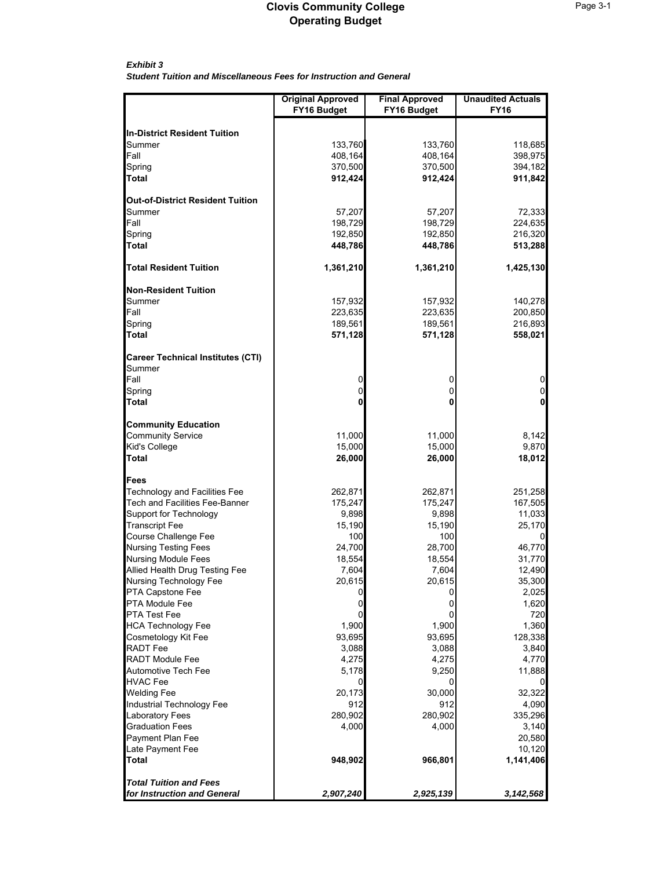### *Exhibit 3*

*Student Tuition and Miscellaneous Fees for Instruction and General*

|                                          | <b>Original Approved</b><br>FY16 Budget | <b>Final Approved</b><br>FY16 Budget | <b>Unaudited Actuals</b><br><b>FY16</b> |
|------------------------------------------|-----------------------------------------|--------------------------------------|-----------------------------------------|
|                                          |                                         |                                      |                                         |
| <b>In-District Resident Tuition</b>      |                                         |                                      |                                         |
| Summer<br>Fall                           | 133,760                                 | 133,760                              | 118,685                                 |
|                                          | 408,164                                 | 408,164                              | 398,975                                 |
| Spring<br>Total                          | 370,500<br>912,424                      | 370,500<br>912,424                   | 394,182                                 |
|                                          |                                         |                                      | 911,842                                 |
| <b>Out-of-District Resident Tuition</b>  |                                         |                                      |                                         |
| Summer                                   | 57,207                                  | 57,207                               | 72,333                                  |
| Fall                                     | 198,729                                 | 198,729                              | 224,635                                 |
| Spring                                   | 192,850                                 | 192,850                              | 216,320                                 |
| <b>Total</b>                             | 448,786                                 | 448,786                              | 513,288                                 |
| <b>Total Resident Tuition</b>            | 1,361,210                               | 1,361,210                            | 1,425,130                               |
| <b>Non-Resident Tuition</b>              |                                         |                                      |                                         |
| Summer                                   | 157,932                                 | 157,932                              | 140,278                                 |
| Fall                                     | 223,635                                 | 223,635                              | 200,850                                 |
| Spring                                   | 189,561                                 | 189,561                              | 216,893                                 |
| Total                                    | 571,128                                 | 571,128                              | 558,021                                 |
| <b>Career Technical Institutes (CTI)</b> |                                         |                                      |                                         |
| Summer                                   |                                         |                                      |                                         |
| Fall                                     | 0                                       | 0                                    | 0                                       |
| Spring                                   | $\overline{0}$                          | 0                                    | $\overline{0}$                          |
| <b>Total</b>                             | 0                                       |                                      | $\mathbf{0}$                            |
| <b>Community Education</b>               |                                         |                                      |                                         |
| <b>Community Service</b>                 | 11,000                                  | 11,000                               | 8,142                                   |
| Kid's College                            | 15,000                                  | 15,000                               | 9,870                                   |
| Total                                    | 26,000                                  | 26,000                               | 18,012                                  |
| <b>Fees</b>                              |                                         |                                      |                                         |
| Technology and Facilities Fee            | 262,871                                 | 262,871                              | 251,258                                 |
| <b>Tech and Facilities Fee-Banner</b>    | 175,247                                 | 175,247                              | 167,505                                 |
| Support for Technology                   | 9,898                                   | 9,898                                | 11,033                                  |
| <b>Transcript Fee</b>                    | 15,190                                  | 15,190                               | 25,170                                  |
| Course Challenge Fee                     | 100                                     | 100                                  |                                         |
| <b>Nursing Testing Fees</b>              | 24,700                                  | 28,700                               | 46,770                                  |
| <b>Nursing Module Fees</b>               | 18,554                                  | 18,554                               | 31,770                                  |
| Allied Health Drug Testing Fee           | 7,604                                   | 7,604                                | 12,490                                  |
| Nursing Technology Fee                   | 20,615                                  | 20,615                               | 35,300                                  |
| PTA Capstone Fee                         | 0                                       | 0                                    | 2,025                                   |
| <b>PTA Module Fee</b>                    | 0                                       | 0                                    | 1,620                                   |
| <b>PTA Test Fee</b>                      | 0                                       | 0                                    | 720                                     |
| <b>HCA Technology Fee</b>                | 1,900                                   | 1,900                                | 1,360                                   |
| Cosmetology Kit Fee<br><b>RADT Fee</b>   | 93,695<br>3,088                         | 93,695<br>3,088                      | 128,338<br>3,840                        |
| <b>RADT Module Fee</b>                   | 4,275                                   | 4,275                                | 4,770                                   |
| <b>Automotive Tech Fee</b>               | 5,178                                   | 9,250                                | 11,888                                  |
| <b>HVAC Fee</b>                          |                                         |                                      |                                         |
| <b>Welding Fee</b>                       | 20,173                                  | 30,000                               | 32,322                                  |
| Industrial Technology Fee                | 912                                     | 912                                  | 4,090                                   |
| <b>Laboratory Fees</b>                   | 280,902                                 | 280,902                              | 335,296                                 |
| <b>Graduation Fees</b>                   | 4,000                                   | 4,000                                | 3,140                                   |
| Payment Plan Fee                         |                                         |                                      | 20,580                                  |
| Late Payment Fee                         |                                         |                                      | 10,120                                  |
| Total                                    | 948,902                                 | 966,801                              | 1,141,406                               |
| <b>Total Tuition and Fees</b>            |                                         |                                      |                                         |
| for Instruction and General              | 2,907,240                               | 2,925,139                            | 3,142,568                               |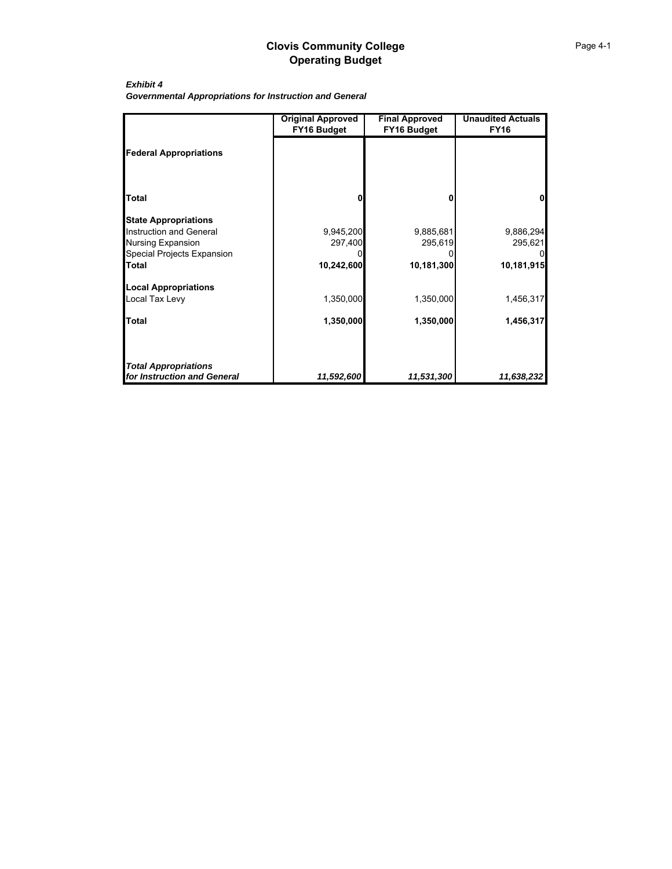### *Exhibit 4 Governmental Appropriations for Instruction and General*

|                                | <b>Original Approved</b><br>FY16 Budget | <b>Final Approved</b><br>FY16 Budget | <b>Unaudited Actuals</b><br><b>FY16</b> |
|--------------------------------|-----------------------------------------|--------------------------------------|-----------------------------------------|
| <b>Federal Appropriations</b>  |                                         |                                      |                                         |
| <b>Total</b>                   | O                                       | ŋ                                    |                                         |
| <b>State Appropriations</b>    |                                         |                                      |                                         |
| <b>Instruction and General</b> | 9,945,200                               | 9,885,681                            | 9,886,294                               |
| <b>Nursing Expansion</b>       | 297,400                                 | 295,619                              | 295,621                                 |
| Special Projects Expansion     |                                         |                                      |                                         |
| <b>Total</b>                   | 10,242,600                              | 10,181,300                           | 10,181,915                              |
| <b>Local Appropriations</b>    |                                         |                                      |                                         |
| Local Tax Levy                 | 1,350,000                               | 1,350,000                            | 1,456,317                               |
| <b>Total</b>                   | 1,350,000                               | 1,350,000                            | 1,456,317                               |
| <b>Total Appropriations</b>    |                                         |                                      |                                         |
| for Instruction and General    | 11,592,600                              | 11,531,300                           | 11,638,232                              |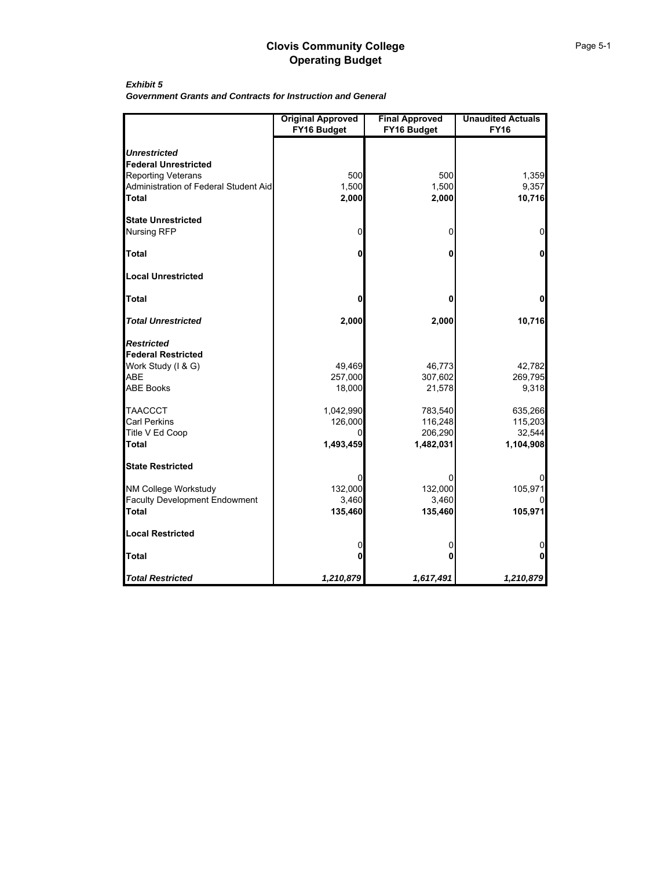| Exhibit 5                                                   |  |  |
|-------------------------------------------------------------|--|--|
| Government Grants and Contracts for Instruction and General |  |  |

|                                                                                    | <b>Original Approved</b><br>FY16 Budget | <b>Final Approved</b><br>FY16 Budget | <b>Unaudited Actuals</b><br><b>FY16</b> |
|------------------------------------------------------------------------------------|-----------------------------------------|--------------------------------------|-----------------------------------------|
|                                                                                    |                                         |                                      |                                         |
| <b>Unrestricted</b><br><b>Federal Unrestricted</b>                                 | 500                                     | 500                                  |                                         |
| <b>Reporting Veterans</b><br>Administration of Federal Student Aid<br><b>Total</b> | 1,500<br>2,000                          | 1,500<br>2,000                       | 1,359<br>9,357<br>10,716                |
|                                                                                    |                                         |                                      |                                         |
| <b>State Unrestricted</b><br><b>Nursing RFP</b>                                    | 0                                       | 0                                    | $\mathbf 0$                             |
| <b>Total</b>                                                                       | 0                                       | 0                                    | $\mathbf{0}$                            |
| <b>Local Unrestricted</b>                                                          |                                         |                                      |                                         |
| <b>Total</b>                                                                       | 0                                       | o                                    | $\mathbf{0}$                            |
| <b>Total Unrestricted</b>                                                          | 2,000                                   | 2,000                                | 10,716                                  |
| <b>Restricted</b><br><b>Federal Restricted</b>                                     |                                         |                                      |                                         |
| Work Study (I & G)                                                                 | 49,469                                  | 46,773                               | 42,782                                  |
| <b>ABE</b>                                                                         | 257,000                                 | 307,602                              | 269,795                                 |
| <b>ABE Books</b>                                                                   | 18,000                                  | 21,578                               | 9,318                                   |
| <b>TAACCCT</b>                                                                     | 1,042,990                               | 783,540                              | 635,266                                 |
| <b>Carl Perkins</b>                                                                | 126,000                                 | 116,248                              | 115,203                                 |
| Title V Ed Coop                                                                    |                                         | 206,290                              | 32,544                                  |
| Total                                                                              | 1,493,459                               | 1,482,031                            | 1,104,908                               |
| <b>State Restricted</b>                                                            |                                         |                                      |                                         |
|                                                                                    |                                         |                                      | 0                                       |
| NM College Workstudy<br><b>Faculty Development Endowment</b>                       | 132,000<br>3,460                        | 132,000<br>3,460                     | 105,971                                 |
| Total                                                                              | 135,460                                 | 135,460                              | 105,971                                 |
| <b>Local Restricted</b>                                                            |                                         |                                      |                                         |
| <b>Total</b>                                                                       | 0<br>O                                  | 0<br>ŋ                               | 0<br>0                                  |
| <b>Total Restricted</b>                                                            | 1,210,879                               | 1,617,491                            | 1,210,879                               |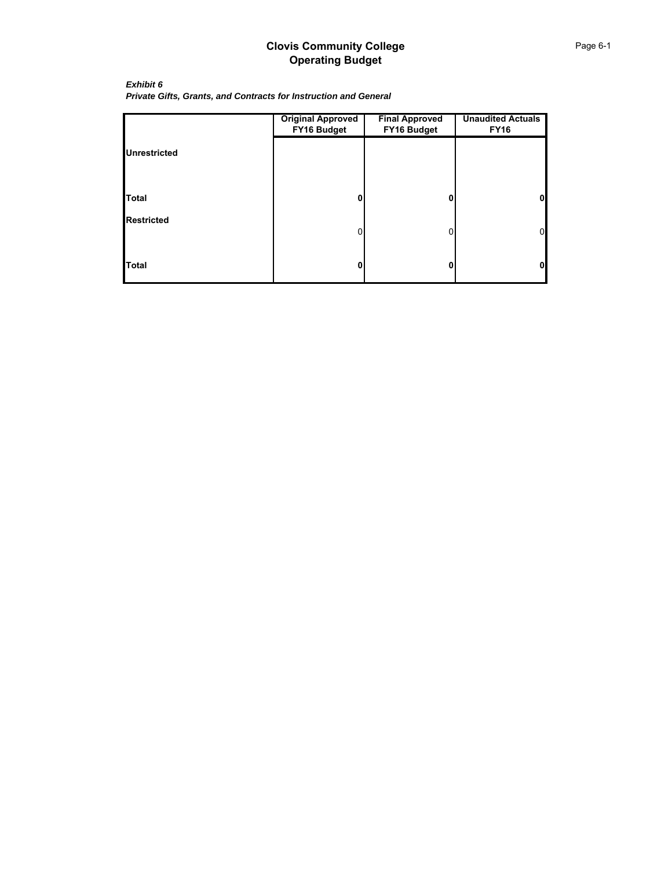*Exhibit 6 Private Gifts, Grants, and Contracts for Instruction and General*

|                     | <b>Original Approved</b><br>FY16 Budget | <b>Final Approved</b><br>FY16 Budget | <b>Unaudited Actuals</b><br><b>FY16</b> |
|---------------------|-----------------------------------------|--------------------------------------|-----------------------------------------|
| <b>Unrestricted</b> |                                         |                                      |                                         |
| <b>Total</b>        | $\bf{0}$                                | n                                    | 0                                       |
| <b>Restricted</b>   | 0                                       | 0                                    | 0                                       |
| <b>Total</b>        | 0                                       | n                                    | 0                                       |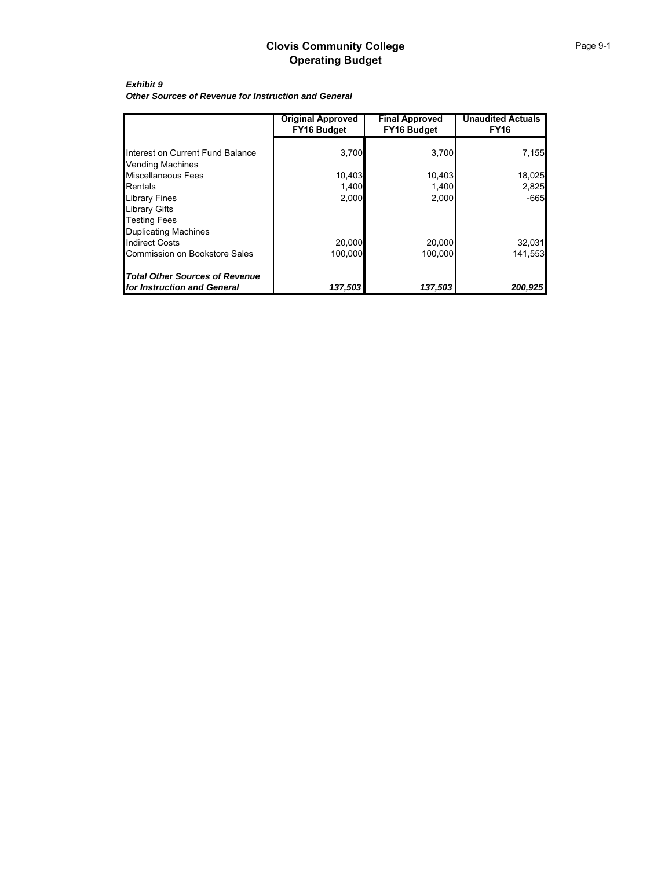#### *Exhibit 9 Other Sources of Revenue for Instruction and General*

|                                       | <b>Original Approved</b><br><b>FY16 Budget</b> | <b>Final Approved</b><br>FY16 Budget | <b>Unaudited Actuals</b><br><b>FY16</b> |
|---------------------------------------|------------------------------------------------|--------------------------------------|-----------------------------------------|
|                                       |                                                |                                      |                                         |
| Interest on Current Fund Balance      | 3,700                                          | 3,700                                | 7,155                                   |
| <b>Vending Machines</b>               |                                                |                                      |                                         |
| <b>Miscellaneous Fees</b>             | 10,403                                         | 10,403                               | 18,025                                  |
| Rentals                               | 1,400                                          | 1,400                                | 2,825                                   |
| <b>Library Fines</b>                  | 2,000                                          | 2,000                                | $-665$                                  |
| <b>Library Gifts</b>                  |                                                |                                      |                                         |
| <b>Testing Fees</b>                   |                                                |                                      |                                         |
| <b>Duplicating Machines</b>           |                                                |                                      |                                         |
| <b>Indirect Costs</b>                 | 20,000                                         | 20,000                               | 32,031                                  |
| Commission on Bookstore Sales         | 100.000                                        | 100.000                              | 141,553                                 |
| <b>Total Other Sources of Revenue</b> |                                                |                                      |                                         |
| for Instruction and General           | 137,503                                        | 137,503                              | 200,925                                 |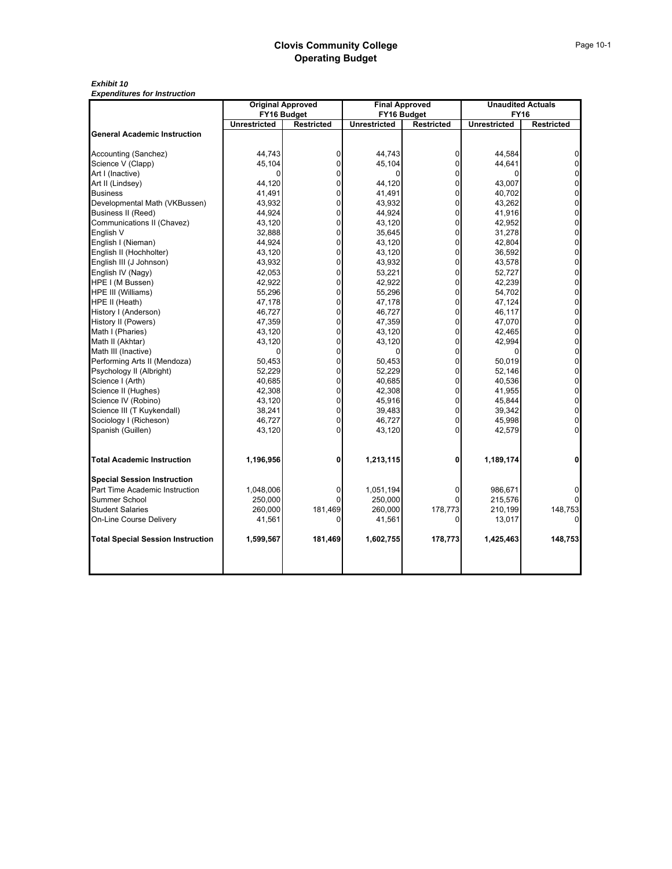|                                          | <b>Original Approved</b> |                   | <b>Final Approved</b> |                   | <b>Unaudited Actuals</b> |                   |
|------------------------------------------|--------------------------|-------------------|-----------------------|-------------------|--------------------------|-------------------|
|                                          |                          | FY16 Budget       | FY16 Budget           |                   | <b>FY16</b>              |                   |
|                                          | <b>Unrestricted</b>      | <b>Restricted</b> | <b>Unrestricted</b>   | <b>Restricted</b> | <b>Unrestricted</b>      | <b>Restricted</b> |
| <b>General Academic Instruction</b>      |                          |                   |                       |                   |                          |                   |
| Accounting (Sanchez)                     | 44,743                   | 0                 | 44,743                | 0                 | 44,584                   | $\overline{0}$    |
| Science V (Clapp)                        | 45,104                   | 0                 | 45,104                | 0                 | 44,641                   | $\mathsf{o}$      |
| Art I (Inactive)                         | O                        | 0                 | 0                     | 0                 |                          | $\overline{0}$    |
| Art II (Lindsey)                         | 44,120                   | $\Omega$          | 44,120                | 0                 | 43,007                   | $\mathbf 0$       |
| <b>Business</b>                          | 41,491                   | 0                 | 41,491                | 0                 | 40,702                   | $\overline{0}$    |
| Developmental Math (VKBussen)            | 43,932                   | $\overline{0}$    | 43,932                | 0                 | 43,262                   | $\mathbf 0$       |
| Business II (Reed)                       | 44,924                   | $\mathbf 0$       | 44,924                | $\overline{0}$    | 41,916                   | $\overline{0}$    |
| Communications II (Chavez)               | 43,120                   | $\overline{0}$    | 43,120                | 0                 | 42,952                   | $\overline{0}$    |
| English V                                | 32,888                   | $\overline{0}$    | 35,645                | $\overline{0}$    | 31,278                   | $\mathbf 0$       |
| English I (Nieman)                       | 44,924                   | 0                 | 43,120                | 0                 | 42,804                   | $\overline{0}$    |
| English II (Hochholter)                  | 43,120                   | 0                 | 43,120                | 0                 | 36,592                   | $\mathbf 0$       |
| English III (J Johnson)                  | 43,932                   | 0                 | 43,932                | 0                 | 43,578                   | $\overline{0}$    |
| English IV (Nagy)                        | 42,053                   | $\Omega$          | 53,221                | 0                 | 52,727                   | $\mathbf 0$       |
| HPE I (M Bussen)                         | 42,922                   | 0                 | 42,922                | 0                 | 42,239                   | $\overline{0}$    |
| HPE III (Williams)                       | 55,296                   | 0                 | 55,296                | 0                 | 54,702                   | $\mathbf 0$       |
| HPE II (Heath)                           | 47,178                   | 0                 | 47,178                | 0                 | 47,124                   | $\overline{0}$    |
| History I (Anderson)                     | 46,727                   | 0                 | 46,727                | 0                 | 46,117                   | $\overline{0}$    |
| History II (Powers)                      | 47,359                   | $\overline{0}$    | 47,359                | $\overline{0}$    | 47,070                   | $\overline{0}$    |
| Math I (Pharies)                         | 43,120                   | 0                 | 43,120                | 0                 | 42,465                   | $\overline{0}$    |
| Math II (Akhtar)                         | 43,120                   | 0                 | 43,120                | 0                 | 42,994                   | $\overline{0}$    |
| Math III (Inactive)                      | U                        | 0                 | 0                     | 0                 |                          | $\overline{0}$    |
| Performing Arts II (Mendoza)             | 50,453                   | $\Omega$          | 50,453                | 0                 | 50,019                   | $\mathbf 0$       |
| Psychology II (Albright)                 | 52,229                   | 0                 | 52,229                | 0                 | 52,146                   | $\overline{0}$    |
| Science I (Arth)                         | 40,685                   | 0                 | 40,685                | $\mathbf{0}$      | 40,536                   | $\mathsf{o}$      |
| Science II (Hughes)                      | 42,308                   | 0                 | 42,308                | 0                 | 41,955                   | $\overline{0}$    |
| Science IV (Robino)                      | 43,120                   | 0                 | 45,916                | 0                 | 45,844                   | $\overline{0}$    |
| Science III (T Kuykendall)               | 38,241                   | 0                 | 39,483                | $\overline{0}$    | 39,342                   | $\overline{0}$    |
| Sociology I (Richeson)                   | 46,727                   | 0                 | 46,727                | 0                 | 45,998                   | $\overline{0}$    |
| Spanish (Guillen)                        | 43,120                   | $\overline{0}$    | 43,120                | 0                 | 42,579                   | $\overline{0}$    |
| <b>Total Academic Instruction</b>        | 1,196,956                | 0                 | 1,213,115             | 0                 | 1,189,174                | $\mathbf{0}$      |
| <b>Special Session Instruction</b>       |                          |                   |                       |                   |                          |                   |
| Part Time Academic Instruction           | 1,048,006                | 0                 | 1,051,194             | 0                 | 986,671                  | $\mathbf 0$       |
| Summer School                            | 250,000                  | 0                 | 250,000               | 0                 | 215,576                  | $\mathbf{0}$      |
| <b>Student Salaries</b>                  | 260,000                  | 181,469           | 260,000               | 178,773           | 210,199                  | 148,753           |
| On-Line Course Delivery                  | 41,561                   | 0                 | 41,561                | 0                 | 13,017                   | $\overline{0}$    |
| <b>Total Special Session Instruction</b> | 1,599,567                | 181,469           | 1,602,755             | 178,773           | 1,425,463                | 148,753           |
|                                          |                          |                   |                       |                   |                          |                   |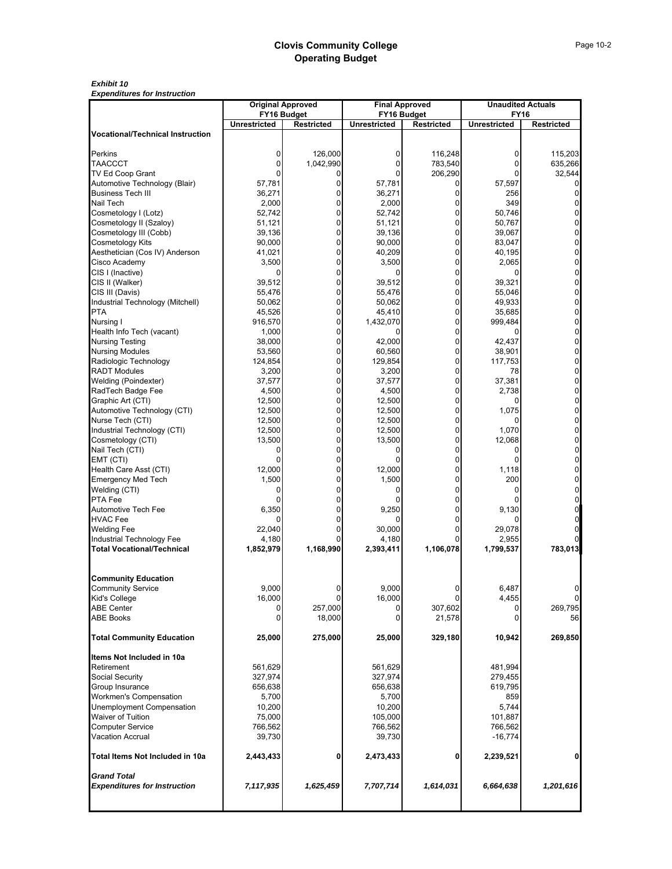|                                                           | <b>Original Approved</b> |                   | <b>Final Approved</b> |                   | <b>Unaudited Actuals</b> |                        |
|-----------------------------------------------------------|--------------------------|-------------------|-----------------------|-------------------|--------------------------|------------------------|
|                                                           |                          | FY16 Budget       |                       | FY16 Budget       | <b>FY16</b>              |                        |
|                                                           | <b>Unrestricted</b>      | <b>Restricted</b> | <b>Unrestricted</b>   | <b>Restricted</b> | <b>Unrestricted</b>      | <b>Restricted</b>      |
| <b>Vocational/Technical Instruction</b>                   |                          |                   |                       |                   |                          |                        |
| Perkins                                                   | $\mathbf 0$              | 126,000           | 0                     | 116,248           | 0                        | 115,203                |
| <b>TAACCCT</b>                                            | 0                        | 1,042,990         | 0                     | 783,540           | 0                        | 635,266                |
| <b>TV Ed Coop Grant</b>                                   | 0                        |                   | 0                     | 206,290           | 0                        | 32,544                 |
| Automotive Technology (Blair)                             | 57,781                   | 0                 | 57,781                | 0                 | 57,597                   |                        |
| <b>Business Tech III</b>                                  | 36,271                   | $\Omega$          | 36,271                | 0                 | 256                      | 0                      |
| Nail Tech                                                 | 2,000                    | 0                 | 2,000                 | 0                 | 349                      | $\pmb{0}$              |
| Cosmetology I (Lotz)                                      | 52,742                   | 0                 | 52,742                | 0                 | 50,746                   | $\mathbf 0$            |
| Cosmetology II (Szaloy)                                   | 51,121                   | 0                 | 51,121                | 0                 | 50,767                   | $\pmb{0}$              |
| Cosmetology III (Cobb)                                    | 39,136                   | 0                 | 39,136                | $\mathbf{0}$      | 39,067                   | $\mathbf 0$            |
| Cosmetology Kits                                          | 90,000                   | 0                 | 90,000                | 0                 | 83,047                   | $\pmb{0}$              |
| Aesthetician (Cos IV) Anderson                            | 41,021                   | 0                 | 40,209                | $\mathbf{0}$      | 40,195                   | $\mathbf 0$            |
| Cisco Academy                                             | 3,500                    | 0                 | 3,500                 | 0                 | 2,065                    | $\pmb{0}$              |
| CIS I (Inactive)                                          | 0                        | 0                 | 0                     | 0                 | 0                        | $\pmb{0}$              |
| CIS II (Walker)                                           | 39,512                   | 0                 | 39,512                | 0                 | 39,321                   | $\pmb{0}$              |
| CIS III (Davis)                                           | 55,476                   | 0                 | 55,476                | $\mathbf{0}$      | 55,046                   | $\mathbf 0$            |
| Industrial Technology (Mitchell)                          | 50,062                   | 0                 | 50,062                | 0                 | 49,933                   | $\pmb{0}$              |
| <b>PTA</b>                                                | 45,526                   | 0                 | 45,410                | $\mathbf{0}$      | 35,685                   | $\mathbf 0$            |
| Nursing I                                                 | 916,570                  | 0                 | 1,432,070             | 0                 | 999,484                  | $\pmb{0}$              |
| Health Info Tech (vacant)                                 | 1,000                    | 0                 |                       | 0                 |                          | $\mathbf 0$            |
| Nursing Testing                                           | 38,000                   | 0                 | 42,000                | 0                 | 42,437                   | $\pmb{0}$              |
| <b>Nursing Modules</b>                                    | 53,560                   | 0                 | 60,560                | $\Omega$          | 38,901                   | $\pmb{0}$              |
| Radiologic Technology                                     | 124,854                  | 0                 | 129,854               | 0                 | 117,753                  | $\pmb{0}$              |
| <b>RADT Modules</b>                                       | 3,200                    | 0                 | 3,200                 | $\Omega$          | 78                       | $\mathbf 0$            |
| Welding (Poindexter)                                      | 37,577                   | 0                 | 37,577                | 0                 | 37,381                   | $\pmb{0}$              |
| RadTech Badge Fee                                         | 4,500                    | 0                 | 4,500                 | 0                 | 2,738                    | $\pmb{0}$              |
| Graphic Art (CTI)                                         | 12,500                   | 0<br>0            | 12,500                | 0<br>0            |                          | $\pmb{0}$<br>$\pmb{0}$ |
| Automotive Technology (CTI)<br>Nurse Tech (CTI)           | 12,500<br>12,500         | 0                 | 12,500<br>12,500      | 0                 | 1,075                    | $\pmb{0}$              |
| Industrial Technology (CTI)                               | 12,500                   | 0                 | 12,500                | 0                 | 1,070                    | $\mathbf 0$            |
| Cosmetology (CTI)                                         | 13,500                   | 0                 | 13,500                | 0                 | 12,068                   | $\pmb{0}$              |
| Nail Tech (CTI)                                           | 0                        | 0                 | 0                     | 0                 | 0                        | $\mathbf 0$            |
| EMT (CTI)                                                 | 0                        | 0                 | 0                     | 0                 | 0                        | $\pmb{0}$              |
| Health Care Asst (CTI)                                    | 12,000                   | 0                 | 12,000                | 0                 | 1,118                    | $\pmb{0}$              |
| <b>Emergency Med Tech</b>                                 | 1,500                    | 0                 | 1,500                 | 0                 | 200                      | $\pmb{0}$              |
| Welding (CTI)                                             | 0                        | $\Omega$          | 0                     | 0                 |                          | $\mathbf 0$            |
| PTA Fee                                                   | 0                        | 0                 |                       | 0                 |                          | 0                      |
| Automotive Tech Fee                                       | 6,350                    | $\Omega$          | 9,250                 | 0                 | 9,130                    | $\mathbf 0$            |
| <b>HVAC Fee</b>                                           | 0                        | 0                 | 0                     | 0                 | 0                        | 0                      |
| <b>Welding Fee</b>                                        | 22,040                   | 0                 | 30,000                | 0                 | 29,078                   | 0                      |
| Industrial Technology Fee                                 | 4,180                    |                   | 4,180                 |                   | 2,955                    |                        |
| <b>Total Vocational/Technical</b>                         | 1,852,979                | 1,168,990         | 2,393,411             | 1,106,078         | 1,799,537                | 783,013                |
|                                                           |                          |                   |                       |                   |                          |                        |
| <b>Community Education</b>                                |                          |                   |                       |                   |                          |                        |
| <b>Community Service</b>                                  | 9,000                    | $\Omega$          | 9,000                 | $\overline{0}$    | 6,487                    | $\Omega$               |
| Kid's College                                             | 16,000                   | 0                 | 16,000                | 0                 | 4,455                    | $\mathbf 0$            |
| <b>ABE Center</b>                                         | 0                        | 257,000           |                       | 307,602           |                          | 269,795                |
| <b>ABE Books</b>                                          | $\Omega$                 | 18,000            | 0                     | 21,578            |                          | 56                     |
| <b>Total Community Education</b>                          | 25,000                   | 275,000           | 25,000                | 329,180           | 10,942                   | 269,850                |
| Items Not Included in 10a                                 |                          |                   |                       |                   |                          |                        |
| Retirement                                                | 561,629                  |                   | 561,629               |                   | 481,994                  |                        |
| Social Security                                           | 327,974                  |                   | 327,974               |                   | 279,455                  |                        |
| Group Insurance                                           | 656,638                  |                   | 656,638               |                   | 619,795                  |                        |
| Workmen's Compensation                                    | 5,700                    |                   | 5,700                 |                   | 859                      |                        |
| Unemployment Compensation                                 | 10,200                   |                   | 10,200                |                   | 5,744                    |                        |
| Waiver of Tuition                                         | 75,000                   |                   | 105,000               |                   | 101,887                  |                        |
| <b>Computer Service</b>                                   | 766,562                  |                   | 766,562               |                   | 766,562                  |                        |
| <b>Vacation Accrual</b>                                   | 39,730                   |                   | 39,730                |                   | $-16,774$                |                        |
| Total Items Not Included in 10a                           | 2,443,433                | 0                 | 2,473,433             | 0                 | 2,239,521                | $\mathbf 0$            |
| <b>Grand Total</b><br><b>Expenditures for Instruction</b> | 7,117,935                | 1,625,459         | 7,707,714             | 1,614,031         | 6,664,638                | 1,201,616              |
|                                                           |                          |                   |                       |                   |                          |                        |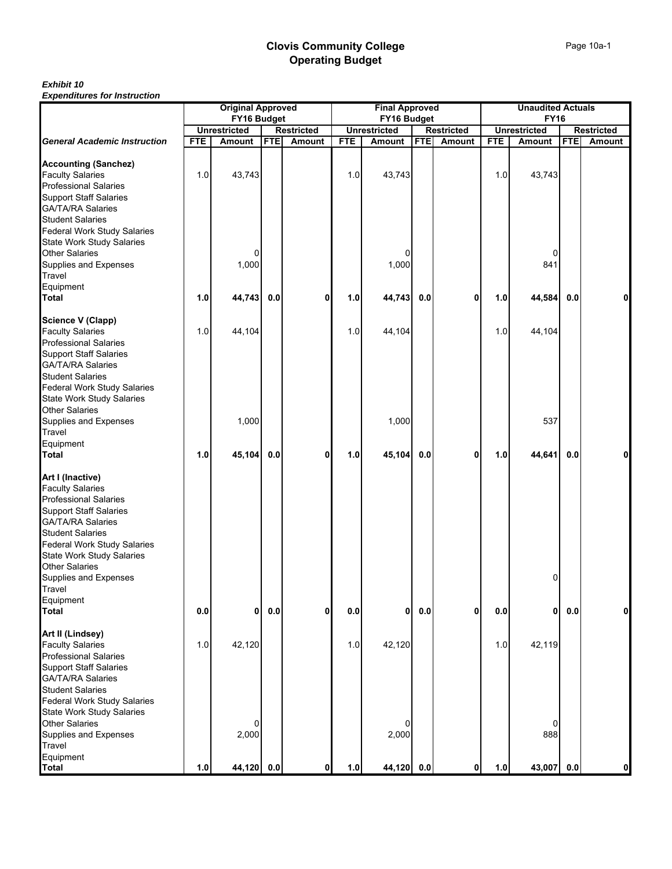|                                                                                                                                                                                                                                                                        | <b>Original Approved</b><br>FY16 Budget |                     |            |                   |            | <b>Final Approved</b>              |            |                   |            | <b>Unaudited Actuals</b>           |            |                   |
|------------------------------------------------------------------------------------------------------------------------------------------------------------------------------------------------------------------------------------------------------------------------|-----------------------------------------|---------------------|------------|-------------------|------------|------------------------------------|------------|-------------------|------------|------------------------------------|------------|-------------------|
|                                                                                                                                                                                                                                                                        |                                         | <b>Unrestricted</b> |            | <b>Restricted</b> |            | FY16 Budget<br><b>Unrestricted</b> |            | <b>Restricted</b> |            | <b>FY16</b><br><b>Unrestricted</b> |            | <b>Restricted</b> |
| <b>General Academic Instruction</b>                                                                                                                                                                                                                                    | <b>FTE</b>                              | <b>Amount</b>       | <b>FTE</b> | Amount            | <b>FTE</b> | Amount                             | <b>FTE</b> | Amount            | <b>FTE</b> | <b>Amount</b>                      | <b>FTE</b> | Amount            |
|                                                                                                                                                                                                                                                                        |                                         |                     |            |                   |            |                                    |            |                   |            |                                    |            |                   |
| <b>Accounting (Sanchez)</b><br><b>Faculty Salaries</b><br><b>Professional Salaries</b><br><b>Support Staff Salaries</b><br><b>GA/TA/RA Salaries</b>                                                                                                                    | 1.0                                     | 43,743              |            |                   | 1.0        | 43,743                             |            |                   | 1.0        | 43,743                             |            |                   |
| <b>Student Salaries</b><br><b>Federal Work Study Salaries</b><br><b>State Work Study Salaries</b><br><b>Other Salaries</b>                                                                                                                                             |                                         | 0                   |            |                   |            | 0                                  |            |                   |            | 0                                  |            |                   |
| <b>Supplies and Expenses</b><br>Travel<br>Equipment                                                                                                                                                                                                                    |                                         | 1,000               |            |                   |            | 1,000                              |            |                   |            | 841                                |            |                   |
| <b>Total</b>                                                                                                                                                                                                                                                           | 1.0                                     | 44,743              | 0.0        | $\mathbf{0}$      | 1.0        | 44,743                             | 0.0        | 0                 | 1.0        | 44,584                             | 0.0        |                   |
| <b>Science V (Clapp)</b><br><b>Faculty Salaries</b><br><b>Professional Salaries</b><br><b>Support Staff Salaries</b><br><b>GA/TA/RA Salaries</b><br><b>Student Salaries</b>                                                                                            | 1.0                                     | 44,104              |            |                   | 1.0        | 44,104                             |            |                   | 1.0        | 44,104                             |            |                   |
| <b>Federal Work Study Salaries</b><br><b>State Work Study Salaries</b><br><b>Other Salaries</b><br>Supplies and Expenses<br>Travel<br>Equipment                                                                                                                        |                                         | 1,000               |            |                   |            | 1,000                              |            |                   |            | 537                                |            |                   |
| <b>Total</b>                                                                                                                                                                                                                                                           | 1.0                                     | 45,104              | 0.0        | 0                 | 1.0        | 45,104                             | $0.0\,$    | 0                 | 1.0        | 44,641                             | 0.0        |                   |
| Art I (Inactive)<br><b>Faculty Salaries</b><br><b>Professional Salaries</b><br><b>Support Staff Salaries</b><br><b>GA/TA/RA Salaries</b><br><b>Student Salaries</b><br><b>Federal Work Study Salaries</b><br><b>State Work Study Salaries</b><br><b>Other Salaries</b> |                                         |                     |            |                   |            |                                    |            |                   |            |                                    |            |                   |
| Supplies and Expenses                                                                                                                                                                                                                                                  |                                         |                     |            |                   |            |                                    |            |                   |            | 0                                  |            |                   |
| <b>Travel</b><br>Equipment                                                                                                                                                                                                                                             |                                         |                     |            |                   |            |                                    |            |                   |            |                                    |            |                   |
| <b>Total</b>                                                                                                                                                                                                                                                           | 0.0                                     | 0                   | 0.0        | $\mathbf{0}$      | $0.0\,$    | $\mathbf{0}$                       | 0.0        | $\mathbf 0$       | 0.0        | 0                                  | 0.0        | O                 |
| Art II (Lindsey)<br><b>Faculty Salaries</b><br><b>Professional Salaries</b>                                                                                                                                                                                            | 1.0                                     | 42,120              |            |                   | 1.0        | 42,120                             |            |                   | 1.0        | 42,119                             |            |                   |
| <b>Support Staff Salaries</b><br><b>GA/TA/RA Salaries</b><br><b>Student Salaries</b><br><b>Federal Work Study Salaries</b><br><b>State Work Study Salaries</b><br><b>Other Salaries</b>                                                                                |                                         | 0                   |            |                   |            | $\overline{0}$                     |            |                   |            | 0                                  |            |                   |
| <b>Supplies and Expenses</b><br>Travel<br>Equipment                                                                                                                                                                                                                    |                                         | 2,000               |            |                   |            | 2,000                              |            |                   |            | 888                                |            |                   |
| <b>Total</b>                                                                                                                                                                                                                                                           | $1.0\,$                                 | 44,120 0.0          |            | $\mathbf{0}$      | $1.0$      | 44,120 0.0                         |            | $\mathbf{0}$      | 1.0        | 43,007 0.0                         |            | O                 |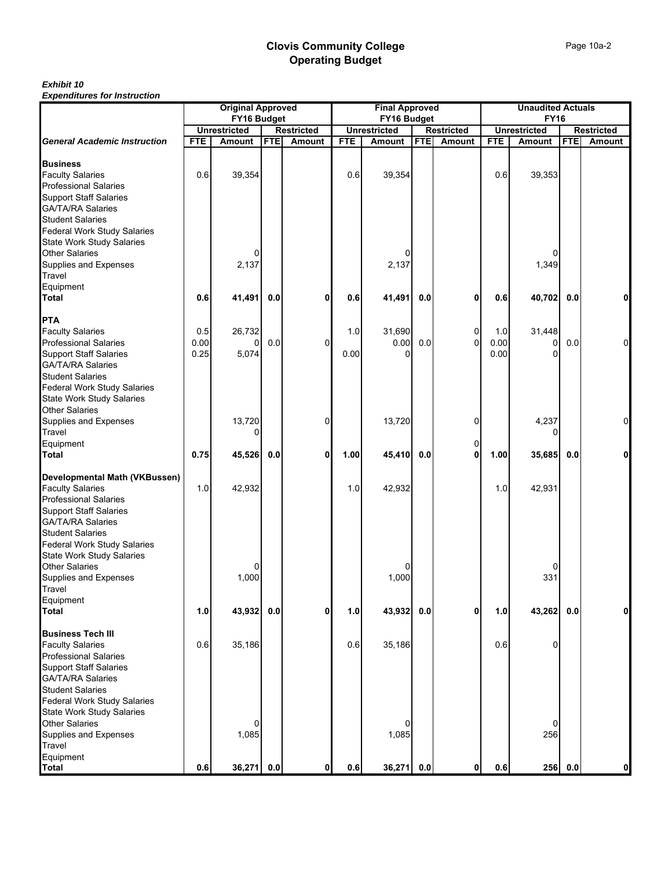|                                                         |            | <b>Original Approved</b>           |            |                   | <b>Final Approved</b> |                                    |            |                   | <b>Unaudited Actuals</b> |                                    |            |                   |
|---------------------------------------------------------|------------|------------------------------------|------------|-------------------|-----------------------|------------------------------------|------------|-------------------|--------------------------|------------------------------------|------------|-------------------|
|                                                         |            | FY16 Budget<br><b>Unrestricted</b> |            | <b>Restricted</b> |                       | FY16 Budget<br><b>Unrestricted</b> |            | <b>Restricted</b> |                          | <b>FY16</b><br><b>Unrestricted</b> |            | <b>Restricted</b> |
| <b>General Academic Instruction</b>                     | <b>FTE</b> | <b>Amount</b>                      | <b>FTE</b> | Amount            | <b>FTE</b>            | Amount                             | <b>FTE</b> | <b>Amount</b>     | <b>FTE</b>               | <b>Amount</b>                      | <b>FTE</b> | Amount            |
|                                                         |            |                                    |            |                   |                       |                                    |            |                   |                          |                                    |            |                   |
| <b>Business</b>                                         |            |                                    |            |                   |                       |                                    |            |                   |                          |                                    |            |                   |
| <b>Faculty Salaries</b>                                 | 0.6        | 39,354                             |            |                   | 0.6                   | 39,354                             |            |                   | 0.6                      | 39,353                             |            |                   |
| <b>Professional Salaries<br/>Support Staff Salaries</b> |            |                                    |            |                   |                       |                                    |            |                   |                          |                                    |            |                   |
|                                                         |            |                                    |            |                   |                       |                                    |            |                   |                          |                                    |            |                   |
| <b>GA/TA/RA Salaries</b>                                |            |                                    |            |                   |                       |                                    |            |                   |                          |                                    |            |                   |
| Student Salaries<br>Federal Work Study Salaries         |            |                                    |            |                   |                       |                                    |            |                   |                          |                                    |            |                   |
|                                                         |            |                                    |            |                   |                       |                                    |            |                   |                          |                                    |            |                   |
| <b>State Work Study Salaries</b>                        |            |                                    |            |                   |                       |                                    |            |                   |                          |                                    |            |                   |
| <b>Other Salaries</b>                                   |            | 0                                  |            |                   |                       | 0                                  |            |                   |                          |                                    |            |                   |
| Supplies and Expenses<br>Travel                         |            | 2,137                              |            |                   |                       | 2,137                              |            |                   |                          | 1,349                              |            |                   |
| Equipment                                               |            |                                    |            |                   |                       |                                    |            |                   |                          |                                    |            |                   |
| <b>Total</b>                                            | 0.6        | 41,491                             | 0.0        | 0                 | 0.6                   | 41,491                             | 0.0        | 0                 | 0.6                      | 40,702                             | 0.0        | 0                 |
|                                                         |            |                                    |            |                   |                       |                                    |            |                   |                          |                                    |            |                   |
| PTA                                                     |            |                                    |            |                   |                       |                                    |            |                   |                          |                                    |            |                   |
| <b>Faculty Salaries</b>                                 | 0.5        | 26,732                             |            |                   | 1.0                   | 31,690                             |            | 0                 | 1.0                      | 31,448                             |            |                   |
| Professional Salaries                                   | 0.00       | 0                                  | 0.0        | $\overline{0}$    |                       | 0.00                               | 0.0        | $\mathbf{0}$      | 0.00                     | 0                                  | 0.0        | 0                 |
| <b>Support Staff Salaries</b>                           | 0.25       | 5,074                              |            |                   | 0.00                  | 0                                  |            |                   | 0.00                     |                                    |            |                   |
| GA/TA/RA Salaries                                       |            |                                    |            |                   |                       |                                    |            |                   |                          |                                    |            |                   |
|                                                         |            |                                    |            |                   |                       |                                    |            |                   |                          |                                    |            |                   |
| Student Salaries<br>Federal Work Study Salaries         |            |                                    |            |                   |                       |                                    |            |                   |                          |                                    |            |                   |
| <b>State Work Study Salaries</b>                        |            |                                    |            |                   |                       |                                    |            |                   |                          |                                    |            |                   |
|                                                         |            |                                    |            |                   |                       |                                    |            |                   |                          |                                    |            |                   |
| Other Salaries<br>Supplies and Expenses                 |            | 13,720                             |            | $\Omega$          |                       | 13,720                             |            | 0                 |                          | 4,237                              |            | 0                 |
| Travel                                                  |            | 0                                  |            |                   |                       |                                    |            |                   |                          | O                                  |            |                   |
| Equipment<br>Total                                      |            |                                    |            |                   |                       |                                    |            | 0                 |                          |                                    |            |                   |
|                                                         | 0.75       | 45,526                             | 0.0        | $\mathbf{0}$      | 1.00                  | 45,410                             | 0.0        | $\mathbf{0}$      | 1.00                     | 35,685                             | 0.0        | 0                 |
|                                                         |            |                                    |            |                   |                       |                                    |            |                   |                          |                                    |            |                   |
| Developmental Math (VKBussen)                           |            |                                    |            |                   |                       |                                    |            |                   |                          |                                    |            |                   |
| <b>Faculty Salaries</b>                                 | $1.0$      | 42,932                             |            |                   | 1.0                   | 42,932                             |            |                   | 1.0                      | 42,931                             |            |                   |
| Professional Salaries                                   |            |                                    |            |                   |                       |                                    |            |                   |                          |                                    |            |                   |
| <b>Support Staff Salaries</b>                           |            |                                    |            |                   |                       |                                    |            |                   |                          |                                    |            |                   |
| GA/TA/RA Salaries<br>Student Salaries                   |            |                                    |            |                   |                       |                                    |            |                   |                          |                                    |            |                   |
|                                                         |            |                                    |            |                   |                       |                                    |            |                   |                          |                                    |            |                   |
| <b>Federal Work Study Salaries</b>                      |            |                                    |            |                   |                       |                                    |            |                   |                          |                                    |            |                   |
| State Work Study Salaries<br>Other Salaries             |            | 0                                  |            |                   |                       | 0                                  |            |                   |                          | 0                                  |            |                   |
| Supplies and Expenses                                   |            | 1,000                              |            |                   |                       | 1,000                              |            |                   |                          | 331                                |            |                   |
| Travel                                                  |            |                                    |            |                   |                       |                                    |            |                   |                          |                                    |            |                   |
|                                                         |            |                                    |            |                   |                       |                                    |            |                   |                          |                                    |            |                   |
| Equipment<br>Total                                      | 1.0        | 43,932                             | 0.0        | $\mathbf{0}$      | 1.0                   | 43,932                             | 0.0        | $\mathbf{0}$      | 1.0                      | 43,262                             | 0.0        | O                 |
|                                                         |            |                                    |            |                   |                       |                                    |            |                   |                          |                                    |            |                   |
| <b>Business Tech III</b>                                |            |                                    |            |                   |                       |                                    |            |                   |                          |                                    |            |                   |
| <b>Faculty Salaries</b>                                 | 0.6        | 35,186                             |            |                   | 0.6                   | 35,186                             |            |                   | 0.6                      | 0                                  |            |                   |
| <b>Professional Salaries</b>                            |            |                                    |            |                   |                       |                                    |            |                   |                          |                                    |            |                   |
| <b>Support Staff Salaries</b>                           |            |                                    |            |                   |                       |                                    |            |                   |                          |                                    |            |                   |
| GA/TA/RA Salaries                                       |            |                                    |            |                   |                       |                                    |            |                   |                          |                                    |            |                   |
| <b>Student Salaries</b>                                 |            |                                    |            |                   |                       |                                    |            |                   |                          |                                    |            |                   |
| <b>Federal Work Study Salaries</b>                      |            |                                    |            |                   |                       |                                    |            |                   |                          |                                    |            |                   |
|                                                         |            |                                    |            |                   |                       |                                    |            |                   |                          |                                    |            |                   |
| State Work Study Salaries<br>Other Salaries             |            | 0                                  |            |                   |                       | 0                                  |            |                   |                          | 0                                  |            |                   |
| Supplies and Expenses                                   |            | 1,085                              |            |                   |                       | 1,085                              |            |                   |                          | 256                                |            |                   |
| Travel                                                  |            |                                    |            |                   |                       |                                    |            |                   |                          |                                    |            |                   |
| Equipment                                               |            |                                    |            |                   |                       |                                    |            |                   |                          |                                    |            |                   |
| <b>Total</b>                                            | 0.6        | 36,271 0.0                         |            | 0                 | 0.6                   | 36,271                             | 0.0        | 0                 | 0.6                      | 256                                | 0.0        | $\mathbf{0}$      |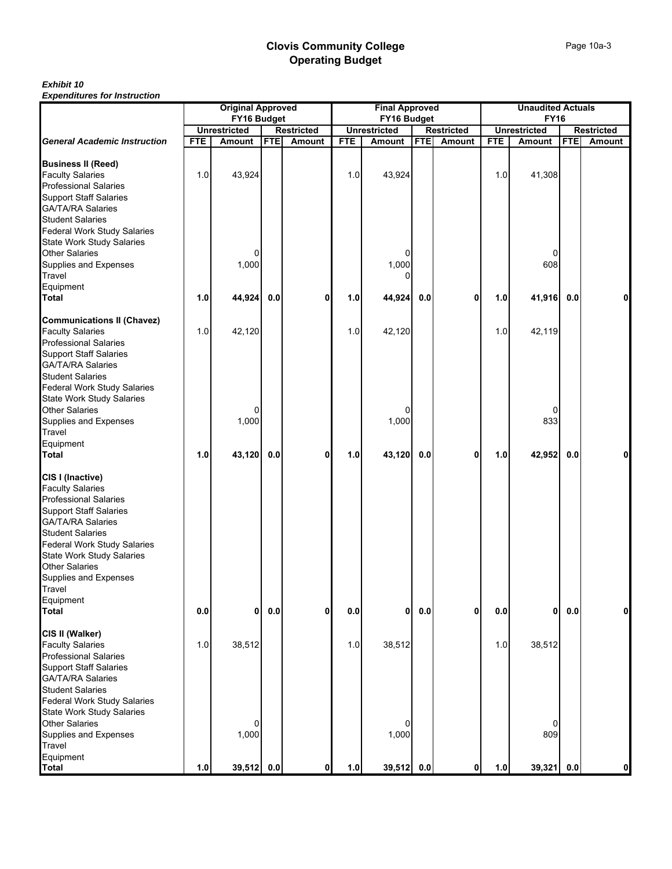|                                                                                                                                                                                                                                                                                                                  | <b>Original Approved</b><br>FY16 Budget |                      |            |                   |            | <b>Final Approved</b>              |            |                   |            | <b>Unaudited Actuals</b>           |            |                   |
|------------------------------------------------------------------------------------------------------------------------------------------------------------------------------------------------------------------------------------------------------------------------------------------------------------------|-----------------------------------------|----------------------|------------|-------------------|------------|------------------------------------|------------|-------------------|------------|------------------------------------|------------|-------------------|
|                                                                                                                                                                                                                                                                                                                  |                                         | <b>Unrestricted</b>  |            | <b>Restricted</b> |            | FY16 Budget<br><b>Unrestricted</b> |            | <b>Restricted</b> |            | <b>FY16</b><br><b>Unrestricted</b> |            | <b>Restricted</b> |
| <b>General Academic Instruction</b>                                                                                                                                                                                                                                                                              | <b>FTE</b>                              | <b>Amount</b>        | <b>FTE</b> | Amount            | <b>FTE</b> | <b>Amount</b>                      | <b>FTE</b> | Amount            | <b>FTE</b> | <b>Amount</b>                      | <b>FTE</b> | Amount            |
| <b>Business II (Reed)</b><br><b>Faculty Salaries</b><br><b>Professional Salaries</b><br><b>Support Staff Salaries</b>                                                                                                                                                                                            | 1.0                                     | 43,924               |            |                   | 1.0        | 43,924                             |            |                   | 1.0        | 41,308                             |            |                   |
| <b>GA/TA/RA Salaries</b><br><b>Student Salaries</b><br><b>Federal Work Study Salaries</b><br><b>State Work Study Salaries</b><br><b>Other Salaries</b><br><b>Supplies and Expenses</b><br>Travel                                                                                                                 |                                         | 0<br>1,000           |            |                   |            | 0<br>1,000                         |            |                   |            | 0<br>608                           |            |                   |
| Equipment<br><b>Total</b>                                                                                                                                                                                                                                                                                        | 1.0                                     | 44,924               | 0.0        | $\mathbf{0}$      | 1.0        | 44,924                             | 0.0        | 0                 | 1.0        | 41,916                             | 0.0        | 0                 |
| <b>Communications II (Chavez)</b>                                                                                                                                                                                                                                                                                |                                         |                      |            |                   |            |                                    |            |                   |            |                                    |            |                   |
| <b>Faculty Salaries</b><br><b>Professional Salaries</b><br><b>Support Staff Salaries</b><br><b>GA/TA/RA Salaries</b><br><b>Student Salaries</b><br><b>Federal Work Study Salaries</b>                                                                                                                            | 1.0                                     | 42,120               |            |                   | 1.0        | 42,120                             |            |                   | 1.0        | 42,119                             |            |                   |
| <b>State Work Study Salaries</b><br><b>Other Salaries</b><br>Supplies and Expenses<br>Travel<br>Equipment                                                                                                                                                                                                        |                                         | 0<br>1,000           |            |                   |            | 0<br>1,000                         |            |                   |            | 0<br>833                           |            |                   |
| <b>Total</b>                                                                                                                                                                                                                                                                                                     | 1.0                                     | 43,120               | 0.0        | $\mathbf 0$       | 1.0        | 43,120                             | $0.0\,$    | 0                 | 1.0        | 42,952                             | 0.0        |                   |
| CIS I (Inactive)<br><b>Faculty Salaries</b><br><b>Professional Salaries</b><br><b>Support Staff Salaries</b><br><b>GA/TA/RA Salaries</b><br><b>Student Salaries</b><br><b>Federal Work Study Salaries</b><br><b>State Work Study Salaries</b><br><b>Other Salaries</b><br>Supplies and Expenses<br><b>Travel</b> |                                         |                      |            |                   |            |                                    |            |                   |            |                                    |            |                   |
| Equipment                                                                                                                                                                                                                                                                                                        |                                         |                      |            |                   |            |                                    |            |                   |            |                                    |            |                   |
| <b>Total</b><br>CIS II (Walker)                                                                                                                                                                                                                                                                                  | 0.0                                     | 0                    | 0.0        | $\mathbf 0$       | 0.0        | 0                                  | 0.0        | $\mathbf{0}$      | 0.0        | 0                                  | 0.0        | O                 |
| <b>Faculty Salaries</b><br><b>Professional Salaries</b><br><b>Support Staff Salaries</b><br><b>GA/TA/RA Salaries</b><br><b>Student Salaries</b><br><b>Federal Work Study Salaries</b><br><b>State Work Study Salaries</b><br><b>Other Salaries</b><br>Supplies and Expenses                                      | 1.0                                     | 38,512<br>0<br>1,000 |            |                   | 1.0        | 38,512<br>0<br>1,000               |            |                   | 1.0        | 38,512<br>0<br>809                 |            |                   |
| Travel<br>Equipment                                                                                                                                                                                                                                                                                              |                                         |                      |            |                   |            |                                    |            |                   |            |                                    |            |                   |
| <b>Total</b>                                                                                                                                                                                                                                                                                                     | $1.0$                                   | 39,512 0.0           |            | $\mathbf{0}$      | $1.0$      | 39,512                             | 0.0        | $\mathbf 0$       | 1.0        | 39,321 0.0                         |            | O                 |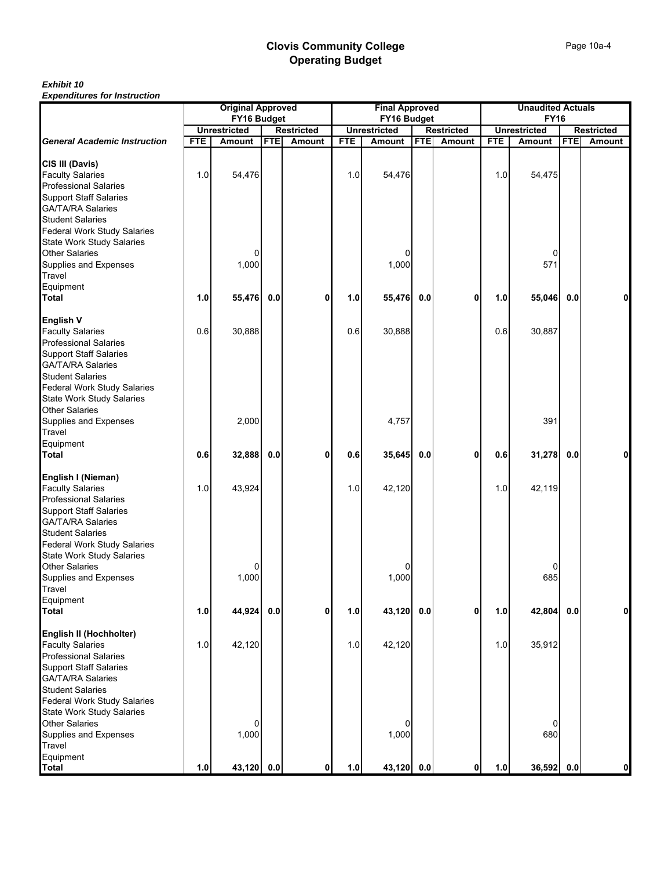|                                                                                                                                                                                                                                                                                                 | <b>Original Approved</b><br>FY16 Budget |                          |            |                   |            | <b>Final Approved</b><br>FY16 Budget |            |                   |            | <b>Unaudited Actuals</b><br><b>FY16</b> |            |                   |
|-------------------------------------------------------------------------------------------------------------------------------------------------------------------------------------------------------------------------------------------------------------------------------------------------|-----------------------------------------|--------------------------|------------|-------------------|------------|--------------------------------------|------------|-------------------|------------|-----------------------------------------|------------|-------------------|
|                                                                                                                                                                                                                                                                                                 |                                         | <b>Unrestricted</b>      |            | <b>Restricted</b> |            | <b>Unrestricted</b>                  |            | <b>Restricted</b> |            | <b>Unrestricted</b>                     |            | <b>Restricted</b> |
| <b>General Academic Instruction</b>                                                                                                                                                                                                                                                             | <b>FTE</b>                              | Amount                   | <b>FTE</b> | Amount            | <b>FTE</b> | <b>Amount</b>                        | <b>FTE</b> | Amount            | <b>FTE</b> | Amount                                  | <b>FTE</b> | Amount            |
| CIS III (Davis)<br><b>Faculty Salaries</b><br><b>Professional Salaries</b><br><b>Support Staff Salaries</b><br><b>GA/TA/RA Salaries</b><br><b>Student Salaries</b><br><b>Federal Work Study Salaries</b>                                                                                        | 1.0                                     | 54,476                   |            |                   | 1.0        | 54,476                               |            |                   | 1.0        | 54,475                                  |            |                   |
| <b>State Work Study Salaries</b><br><b>Other Salaries</b><br><b>Supplies and Expenses</b><br>Travel<br>Equipment                                                                                                                                                                                |                                         | 0<br>1,000               |            |                   |            | 0<br>1,000                           |            |                   |            | 0<br>571                                |            |                   |
| <b>Total</b>                                                                                                                                                                                                                                                                                    | 1.0                                     | 55,476                   | 0.0        | 0                 | 1.0        | 55,476                               | 0.0        | 0                 | 1.0        | 55,046                                  | 0.0        |                   |
| <b>English V</b><br><b>Faculty Salaries</b><br><b>Professional Salaries</b><br><b>Support Staff Salaries</b><br><b>GA/TA/RA Salaries</b><br><b>Student Salaries</b><br><b>Federal Work Study Salaries</b><br><b>State Work Study Salaries</b><br><b>Other Salaries</b><br>Supplies and Expenses | 0.6                                     | 30,888<br>2,000          |            |                   | 0.6        | 30,888<br>4,757                      |            |                   | 0.6        | 30,887<br>391                           |            |                   |
| Travel<br>Equipment                                                                                                                                                                                                                                                                             |                                         |                          |            |                   |            |                                      |            |                   |            |                                         |            |                   |
| <b>Total</b>                                                                                                                                                                                                                                                                                    | 0.6                                     | 32,888                   | 0.0        | 0                 | 0.6        | 35,645                               | 0.0        | 0                 | 0.6        | 31,278                                  | 0.0        |                   |
| English I (Nieman)<br><b>Faculty Salaries</b><br><b>Professional Salaries</b><br><b>Support Staff Salaries</b><br><b>GA/TA/RA Salaries</b><br><b>Student Salaries</b><br><b>Federal Work Study Salaries</b>                                                                                     | 1.0                                     | 43,924                   |            |                   | 1.0        | 42,120                               |            |                   | 1.0        | 42,119                                  |            |                   |
| <b>State Work Study Salaries</b><br><b>Other Salaries</b><br>Supplies and Expenses<br>Travel                                                                                                                                                                                                    |                                         | 0<br>1,000               |            |                   |            | 0<br>1,000                           |            |                   |            | 0<br>685                                |            |                   |
| Equipment<br><b>Total</b>                                                                                                                                                                                                                                                                       | 1.0                                     |                          | 0.0        | 0                 |            |                                      | 0.0        | 0                 |            |                                         | 0.0        | ٥l                |
| English II (Hochholter)<br><b>Faculty Salaries</b><br><b>Professional Salaries</b><br><b>Support Staff Salaries</b><br><b>GA/TA/RA Salaries</b><br><b>Student Salaries</b><br><b>Federal Work Study Salaries</b>                                                                                | 1.0                                     | 44,924<br>42,120         |            |                   | 1.0<br>1.0 | 43,120<br>42,120                     |            |                   | 1.0<br>1.0 | 42,804<br>35,912                        |            |                   |
| <b>State Work Study Salaries</b><br><b>Other Salaries</b><br>Supplies and Expenses<br>Travel<br>Equipment<br><b>Total</b>                                                                                                                                                                       | 1.0                                     | 0<br>1,000<br>43,120 0.0 |            | 0                 | $1.0$      | 0<br>1,000<br>43,120 0.0             |            | $\mathbf{0}$      | 1.0        | $\Omega$<br>680<br>36,592 0.0           |            | ٥l                |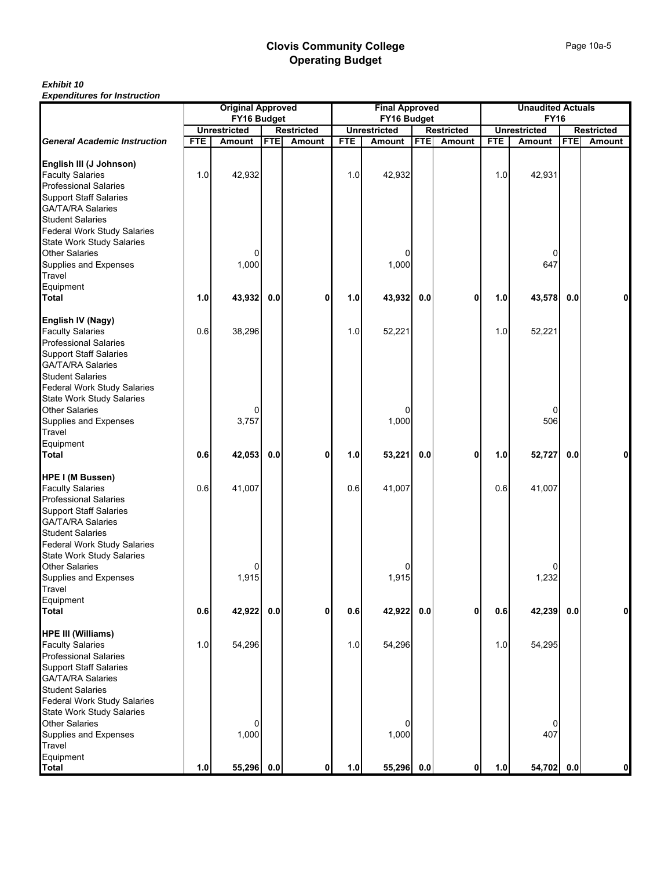|                                                                                                                                                                            | <b>Original Approved</b><br>FY16 Budget |                     |            |                   |            | <b>Final Approved</b>              |            |                   |            | <b>Unaudited Actuals</b>           |            |                   |
|----------------------------------------------------------------------------------------------------------------------------------------------------------------------------|-----------------------------------------|---------------------|------------|-------------------|------------|------------------------------------|------------|-------------------|------------|------------------------------------|------------|-------------------|
|                                                                                                                                                                            |                                         | <b>Unrestricted</b> |            | <b>Restricted</b> |            | FY16 Budget<br><b>Unrestricted</b> |            | <b>Restricted</b> |            | <b>FY16</b><br><b>Unrestricted</b> |            | <b>Restricted</b> |
| <b>General Academic Instruction</b>                                                                                                                                        | <b>FTE</b>                              | <b>Amount</b>       | <b>FTE</b> | Amount            | <b>FTE</b> | <b>Amount</b>                      | <b>FTE</b> | Amount            | <b>FTE</b> | <b>Amount</b>                      | <b>FTE</b> | Amount            |
|                                                                                                                                                                            |                                         |                     |            |                   |            |                                    |            |                   |            |                                    |            |                   |
| English III (J Johnson)<br><b>Faculty Salaries</b><br><b>Professional Salaries</b><br><b>Support Staff Salaries</b><br><b>GA/TA/RA Salaries</b><br><b>Student Salaries</b> | 1.0                                     | 42,932              |            |                   | 1.0        | 42,932                             |            |                   | 1.0        | 42,931                             |            |                   |
| <b>Federal Work Study Salaries</b><br><b>State Work Study Salaries</b><br><b>Other Salaries</b>                                                                            |                                         | 0                   |            |                   |            | 0                                  |            |                   |            | 0                                  |            |                   |
| <b>Supplies and Expenses</b><br>Travel<br>Equipment                                                                                                                        |                                         | 1,000               |            |                   |            | 1,000                              |            |                   |            | 647                                |            |                   |
| <b>Total</b>                                                                                                                                                               | 1.0                                     | 43,932              | 0.0        | $\mathbf 0$       | 1.0        | 43,932                             | 0.0        | $\mathbf 0$       | 1.0        | 43,578                             | 0.0        |                   |
| English IV (Nagy)                                                                                                                                                          |                                         |                     |            |                   |            |                                    |            |                   |            |                                    |            |                   |
| <b>Faculty Salaries</b><br><b>Professional Salaries</b><br><b>Support Staff Salaries</b><br><b>GA/TA/RA Salaries</b><br><b>Student Salaries</b>                            | 0.6                                     | 38,296              |            |                   | 1.0        | 52,221                             |            |                   | 1.0        | 52,221                             |            |                   |
| <b>Federal Work Study Salaries</b><br><b>State Work Study Salaries</b><br><b>Other Salaries</b>                                                                            |                                         | 0                   |            |                   |            | 0                                  |            |                   |            | $\Omega$                           |            |                   |
| Supplies and Expenses<br>Travel<br>Equipment                                                                                                                               |                                         | 3,757               |            |                   |            | 1,000                              |            |                   |            | 506                                |            |                   |
| <b>Total</b>                                                                                                                                                               | 0.6                                     | 42,053              | 0.0        | $\mathbf 0$       | 1.0        | 53,221                             | $0.0\,$    | 0                 | 1.0        | 52,727                             | 0.0        |                   |
| HPE I (M Bussen)<br><b>Faculty Salaries</b><br><b>Professional Salaries</b>                                                                                                | 0.6                                     | 41,007              |            |                   | 0.6        | 41,007                             |            |                   | 0.6        | 41,007                             |            |                   |
| <b>Support Staff Salaries</b><br><b>GA/TA/RA Salaries</b><br><b>Student Salaries</b>                                                                                       |                                         |                     |            |                   |            |                                    |            |                   |            |                                    |            |                   |
| <b>Federal Work Study Salaries</b><br><b>State Work Study Salaries</b><br><b>Other Salaries</b>                                                                            |                                         | 0                   |            |                   |            | ი                                  |            |                   |            |                                    |            |                   |
| Supplies and Expenses<br><b>Travel</b>                                                                                                                                     |                                         | 1,915               |            |                   |            | 1,915                              |            |                   |            | 1,232                              |            |                   |
| Equipment<br><b>Total</b>                                                                                                                                                  | 0.6                                     | 42,922              | 0.0        | $\mathbf 0$       | 0.6        | 42,922                             | 0.0        | $\mathbf{0}$      | 0.6        | 42,239                             | 0.0        | $\mathbf{0}$      |
| <b>HPE III (Williams)</b><br><b>Faculty Salaries</b>                                                                                                                       | 1.0                                     | 54,296              |            |                   | 1.0        | 54,296                             |            |                   | 1.0        | 54,295                             |            |                   |
| <b>Professional Salaries</b><br><b>Support Staff Salaries</b><br><b>GA/TA/RA Salaries</b><br><b>Student Salaries</b><br><b>Federal Work Study Salaries</b>                 |                                         |                     |            |                   |            |                                    |            |                   |            |                                    |            |                   |
| <b>State Work Study Salaries</b>                                                                                                                                           |                                         |                     |            |                   |            |                                    |            |                   |            |                                    |            |                   |
| <b>Other Salaries</b><br>Supplies and Expenses<br>Travel                                                                                                                   |                                         | 0<br>1,000          |            |                   |            | 1,000                              |            |                   |            | 0<br>407                           |            |                   |
| Equipment<br><b>Total</b>                                                                                                                                                  | $1.0$                                   | 55,296 0.0          |            | $\mathbf{0}$      | 1.0        | 55,296                             | 0.0        | 0                 | 1.0        | 54,702 0.0                         |            | $\mathbf{0}$      |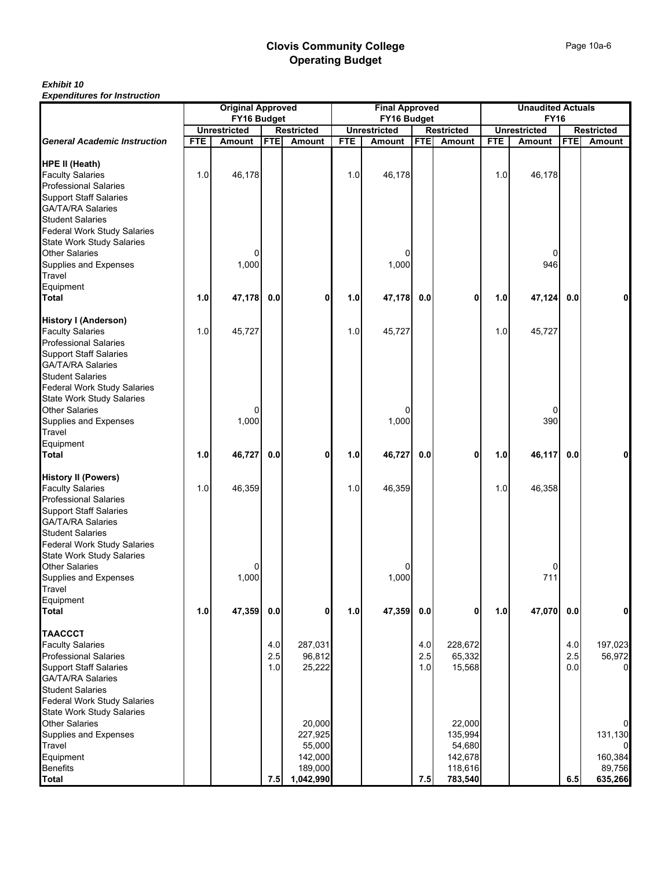| <b>Original Approved</b><br>FY16 Budget                                                                                                                    |            |                     |            |                   |            | <b>Final Approved</b>              |            |                   |            | <b>Unaudited Actuals</b><br><b>FY16</b> |            |                   |
|------------------------------------------------------------------------------------------------------------------------------------------------------------|------------|---------------------|------------|-------------------|------------|------------------------------------|------------|-------------------|------------|-----------------------------------------|------------|-------------------|
|                                                                                                                                                            |            | <b>Unrestricted</b> |            | <b>Restricted</b> |            | FY16 Budget<br><b>Unrestricted</b> |            | <b>Restricted</b> |            | <b>Unrestricted</b>                     |            | <b>Restricted</b> |
| <b>General Academic Instruction</b>                                                                                                                        | <b>FTE</b> | <b>Amount</b>       | <b>FTE</b> | Amount            | <b>FTE</b> | Amount                             | <b>FTE</b> | <b>Amount</b>     | <b>FTE</b> | <b>Amount</b>                           | <b>FTE</b> | Amount            |
|                                                                                                                                                            |            |                     |            |                   |            |                                    |            |                   |            |                                         |            |                   |
| <b>HPE II (Heath)</b><br><b>Faculty Salaries</b><br><b>Professional Salaries</b><br><b>Support Staff Salaries</b>                                          | 1.0        | 46,178              |            |                   | 1.0        | 46,178                             |            |                   | 1.0        | 46,178                                  |            |                   |
| <b>GA/TA/RA Salaries</b><br><b>Student Salaries</b><br><b>Federal Work Study Salaries</b>                                                                  |            |                     |            |                   |            |                                    |            |                   |            |                                         |            |                   |
| <b>State Work Study Salaries</b>                                                                                                                           |            |                     |            |                   |            |                                    |            |                   |            |                                         |            |                   |
| <b>Other Salaries</b><br>Supplies and Expenses<br>Travel                                                                                                   |            | 0<br>1,000          |            |                   |            | 0<br>1,000                         |            |                   |            | 0<br>946                                |            |                   |
| Equipment<br><b>Total</b>                                                                                                                                  | 1.0        | 47,178              | 0.0        | 0                 | 1.0        | 47,178                             | 0.0        | 0                 | 1.0        | 47,124                                  | 0.0        | 0                 |
| <b>History I (Anderson)</b>                                                                                                                                |            |                     |            |                   |            |                                    |            |                   |            |                                         |            |                   |
| <b>Faculty Salaries</b><br><b>Professional Salaries</b><br><b>Support Staff Salaries</b><br><b>GA/TA/RA Salaries</b><br><b>Student Salaries</b>            | 1.0        | 45,727              |            |                   | 1.0        | 45,727                             |            |                   | 1.0        | 45,727                                  |            |                   |
| <b>Federal Work Study Salaries</b><br><b>State Work Study Salaries</b>                                                                                     |            |                     |            |                   |            |                                    |            |                   |            |                                         |            |                   |
| <b>Other Salaries</b><br>Supplies and Expenses<br>Travel                                                                                                   |            | 0<br>1,000          |            |                   |            | 0<br>1,000                         |            |                   |            | 0<br>390                                |            |                   |
| Equipment<br><b>Total</b>                                                                                                                                  | 1.0        | 46,727              | 0.0        | 0                 | 1.0        | 46,727                             | 0.0        | 0                 | 1.0        | 46,117                                  | 0.0        |                   |
| <b>History II (Powers)</b><br><b>Faculty Salaries</b>                                                                                                      | 1.0        | 46,359              |            |                   | 1.0        | 46,359                             |            |                   | 1.0        | 46,358                                  |            |                   |
| <b>Professional Salaries</b><br><b>Support Staff Salaries</b><br><b>GA/TA/RA Salaries</b><br><b>Student Salaries</b><br><b>Federal Work Study Salaries</b> |            |                     |            |                   |            |                                    |            |                   |            |                                         |            |                   |
| <b>State Work Study Salaries</b>                                                                                                                           |            |                     |            |                   |            |                                    |            |                   |            |                                         |            |                   |
| <b>Other Salaries</b><br>Supplies and Expenses<br>Travel                                                                                                   |            | 0<br>1,000          |            |                   |            | 0<br>1,000                         |            |                   |            | 0<br>711                                |            |                   |
| Equipment<br><b>Total</b>                                                                                                                                  | 1.0        | 47,359              | 0.0        | $\mathbf{0}$      | 1.0        | 47,359                             | 0.0        | $\mathbf{0}$      | 1.0        | 47,070                                  | 0.0        | ΟI                |
| <b>TAACCCT</b>                                                                                                                                             |            |                     |            |                   |            |                                    |            |                   |            |                                         |            |                   |
| <b>Faculty Salaries</b>                                                                                                                                    |            |                     | 4.0        | 287,031           |            |                                    | 4.0        | 228,672           |            |                                         | 4.0        | 197,023           |
| <b>Professional Salaries</b>                                                                                                                               |            |                     | 2.5        | 96,812            |            |                                    | 2.5        | 65,332            |            |                                         | 2.5        | 56,972            |
| <b>Support Staff Salaries</b>                                                                                                                              |            |                     | 1.0        | 25,222            |            |                                    | 1.0        | 15,568            |            |                                         | 0.0        | $\overline{0}$    |
| <b>GA/TA/RA Salaries</b>                                                                                                                                   |            |                     |            |                   |            |                                    |            |                   |            |                                         |            |                   |
| <b>Student Salaries</b>                                                                                                                                    |            |                     |            |                   |            |                                    |            |                   |            |                                         |            |                   |
| <b>Federal Work Study Salaries</b>                                                                                                                         |            |                     |            |                   |            |                                    |            |                   |            |                                         |            |                   |
| <b>State Work Study Salaries</b>                                                                                                                           |            |                     |            |                   |            |                                    |            |                   |            |                                         |            |                   |
| <b>Other Salaries</b><br><b>Supplies and Expenses</b>                                                                                                      |            |                     |            | 20,000<br>227,925 |            |                                    |            | 22,000<br>135,994 |            |                                         |            | 0<br>131,130      |
| Travel                                                                                                                                                     |            |                     |            | 55,000            |            |                                    |            | 54,680            |            |                                         |            | 01                |
| Equipment                                                                                                                                                  |            |                     |            | 142,000           |            |                                    |            | 142,678           |            |                                         |            | 160,384           |
| <b>Benefits</b>                                                                                                                                            |            |                     |            | 189,000           |            |                                    |            | 118,616           |            |                                         |            | 89,756            |
| <b>Total</b>                                                                                                                                               |            |                     | 7.5        | 1,042,990         |            |                                    | 7.5        | 783,540           |            |                                         | 6.5        | 635,266           |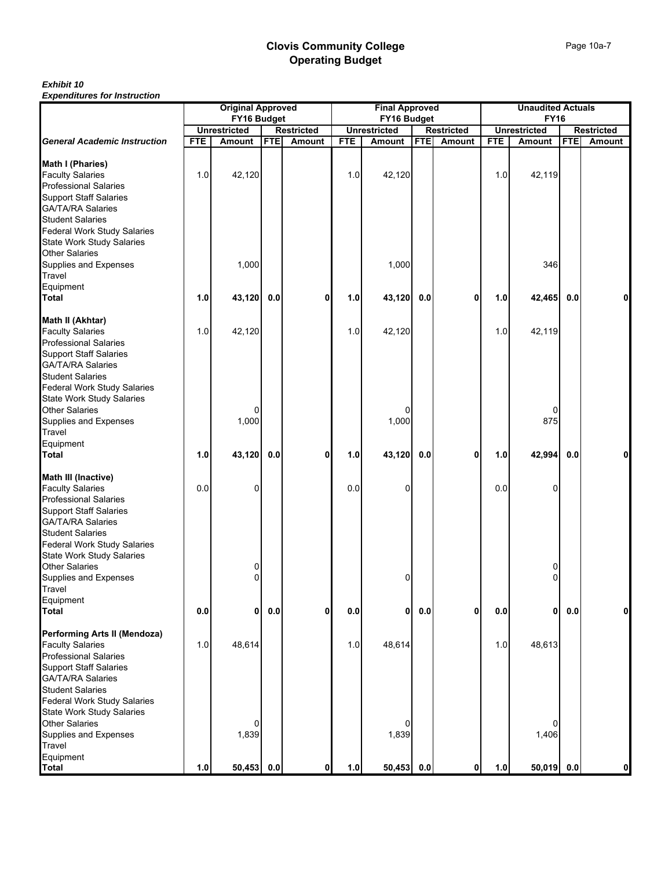|                                                                                                                                                                                                                                                                                                 |            | <b>Original Approved</b><br>FY16 Budget |            |                   |            | <b>Final Approved</b><br>FY16 Budget |            |                   |            | <b>Unaudited Actuals</b><br><b>FY16</b> |            |                   |
|-------------------------------------------------------------------------------------------------------------------------------------------------------------------------------------------------------------------------------------------------------------------------------------------------|------------|-----------------------------------------|------------|-------------------|------------|--------------------------------------|------------|-------------------|------------|-----------------------------------------|------------|-------------------|
|                                                                                                                                                                                                                                                                                                 |            | <b>Unrestricted</b>                     |            | <b>Restricted</b> |            | <b>Unrestricted</b>                  |            | <b>Restricted</b> |            | <b>Unrestricted</b>                     |            | <b>Restricted</b> |
| <b>General Academic Instruction</b>                                                                                                                                                                                                                                                             | <b>FTE</b> | <b>Amount</b>                           | <b>FTE</b> | <b>Amount</b>     | <b>FTE</b> | Amount                               | <b>FTE</b> | Amount            | <b>FTE</b> | Amount                                  | <b>FTE</b> | Amount            |
| <b>Math I (Pharies)</b><br><b>Faculty Salaries</b><br><b>Professional Salaries</b><br><b>Support Staff Salaries</b><br><b>GA/TA/RA Salaries</b><br><b>Student Salaries</b><br><b>Federal Work Study Salaries</b><br><b>State Work Study Salaries</b><br>Other Salaries<br>Supplies and Expenses | 1.0        | 42,120<br>1,000                         |            |                   | 1.0        | 42,120<br>1,000                      |            |                   | 1.0        | 42,119<br>346                           |            |                   |
| Travel<br>Equipment<br><b>Total</b>                                                                                                                                                                                                                                                             | 1.0        | 43,120                                  | 0.0        | 0                 | 1.0        | 43,120                               | 0.0        | 0                 | 1.0        | 42,465                                  | 0.0        | 0                 |
| Math II (Akhtar)<br><b>Faculty Salaries</b><br><b>Professional Salaries</b><br><b>Support Staff Salaries</b><br><b>GA/TA/RA Salaries</b><br><b>Student Salaries</b><br><b>Federal Work Study Salaries</b>                                                                                       | 1.0        | 42,120                                  |            |                   | 1.0        | 42,120                               |            |                   | 1.0        | 42,119                                  |            |                   |
| <b>State Work Study Salaries</b><br><b>Other Salaries</b><br>Supplies and Expenses<br>Travel<br>Equipment<br><b>Total</b>                                                                                                                                                                       | 1.0        | 0<br>1,000<br>43,120                    | 0.0        | 0                 | 1.0        | 0<br>1,000<br>43,120                 | 0.0        | 0                 | 1.0        | 0<br>875<br>42,994                      | 0.0        |                   |
| Math III (Inactive)<br><b>Faculty Salaries</b><br><b>Professional Salaries</b><br><b>Support Staff Salaries</b><br><b>GA/TA/RA Salaries</b><br><b>Student Salaries</b><br><b>Federal Work Study Salaries</b>                                                                                    | 0.0        | 0                                       |            |                   | $0.0\,$    | 0                                    |            |                   | 0.0        | 0                                       |            |                   |
| <b>State Work Study Salaries</b><br>Other Salaries<br>Supplies and Expenses<br><b>Travel</b>                                                                                                                                                                                                    |            | 0<br>0                                  |            |                   |            | 0                                    |            |                   |            | 0<br>$\overline{0}$                     |            |                   |
| Equipment<br><b>Total</b>                                                                                                                                                                                                                                                                       | 0.0        | $\pmb{0}$                               | 0.0        | $\mathbf{0}$      | 0.0        | $\mathbf{0}$                         | 0.0        | 0                 | 0.0        | $\mathbf 0$                             | 0.0        | ΟI                |
| Performing Arts II (Mendoza)<br><b>Faculty Salaries</b><br><b>Professional Salaries</b><br><b>Support Staff Salaries</b><br><b>GA/TA/RA Salaries</b><br><b>Student Salaries</b><br><b>Federal Work Study Salaries</b><br><b>State Work Study Salaries</b>                                       | 1.0        | 48,614                                  |            |                   | 1.0        | 48,614                               |            |                   | 1.0        | 48,613                                  |            |                   |
| <b>Other Salaries</b><br>Supplies and Expenses<br>Travel<br>Equipment                                                                                                                                                                                                                           |            | 0<br>1,839                              |            |                   |            | 0<br>1,839                           |            |                   |            | 0<br>1,406                              |            | ٥l                |
| Total                                                                                                                                                                                                                                                                                           | $1.0$      | 50,453 0.0                              |            | 0                 | 1.0        | 50,453 0.0                           |            | $\mathbf 0$       | 1.0        | 50,019                                  | 0.0        |                   |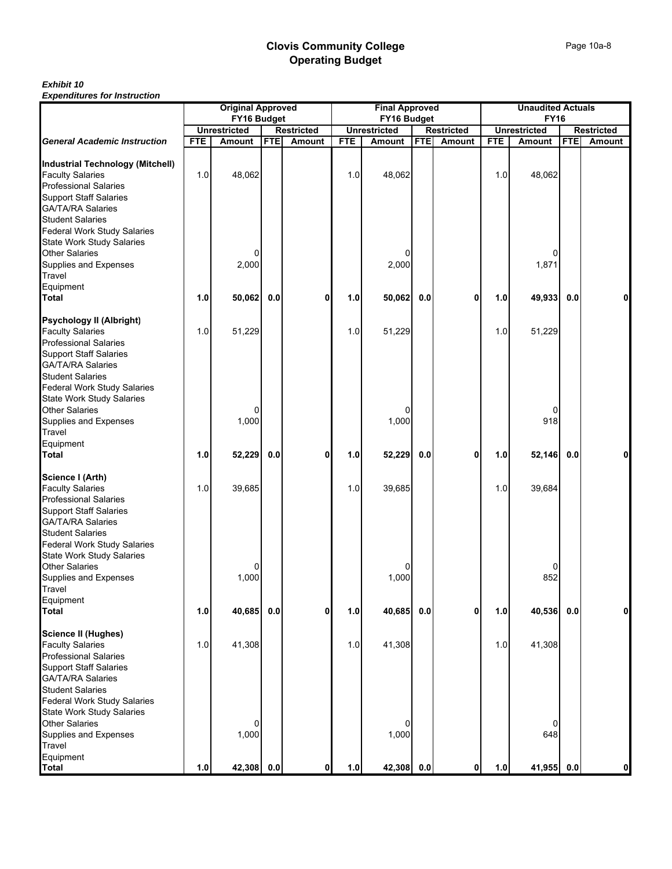|                                                                                                                                                                                    |            | <b>Original Approved</b><br>FY16 Budget |            |                   | <b>Final Approved</b><br>FY16 Budget |                         |            |                   | <b>Unaudited Actuals</b><br><b>FY16</b> |                     |            |                   |
|------------------------------------------------------------------------------------------------------------------------------------------------------------------------------------|------------|-----------------------------------------|------------|-------------------|--------------------------------------|-------------------------|------------|-------------------|-----------------------------------------|---------------------|------------|-------------------|
|                                                                                                                                                                                    |            | <b>Unrestricted</b>                     |            | <b>Restricted</b> |                                      | <b>Unrestricted</b>     |            | <b>Restricted</b> |                                         | <b>Unrestricted</b> |            | <b>Restricted</b> |
| <b>General Academic Instruction</b>                                                                                                                                                | <b>FTE</b> | <b>Amount</b>                           | <b>FTE</b> | Amount            | <b>FTE</b>                           | <b>Amount</b>           | <b>FTE</b> | Amount            | <b>FTE</b>                              | <b>Amount</b>       | <b>FTE</b> | Amount            |
| <b>Industrial Technology (Mitchell)</b><br><b>Faculty Salaries</b><br><b>Professional Salaries</b><br><b>Support Staff Salaries</b>                                                | 1.0        | 48,062                                  |            |                   | 1.0                                  | 48,062                  |            |                   | 1.0                                     | 48,062              |            |                   |
| <b>GA/TA/RA Salaries</b><br><b>Student Salaries</b><br><b>Federal Work Study Salaries</b><br><b>State Work Study Salaries</b><br><b>Other Salaries</b>                             |            | 0                                       |            |                   |                                      | 0                       |            |                   |                                         |                     |            |                   |
| <b>Supplies and Expenses</b><br>Travel<br>Equipment<br><b>Total</b>                                                                                                                | 1.0        | 2,000                                   |            | 0                 | 1.0                                  | 2,000                   |            | $\mathbf 0$       |                                         | 1,871               |            |                   |
|                                                                                                                                                                                    |            | 50,062                                  | 0.0        |                   |                                      | 50,062                  | 0.0        |                   | 1.0                                     | 49,933              | 0.0        | 0                 |
| <b>Psychology II (Albright)</b><br><b>Faculty Salaries</b><br><b>Professional Salaries</b><br><b>Support Staff Salaries</b><br><b>GA/TA/RA Salaries</b><br><b>Student Salaries</b> | 1.0        | 51,229                                  |            |                   | 1.0                                  | 51,229                  |            |                   | 1.0                                     | 51,229              |            |                   |
| <b>Federal Work Study Salaries</b><br><b>State Work Study Salaries</b><br><b>Other Salaries</b><br>Supplies and Expenses                                                           |            | 0<br>1,000                              |            |                   |                                      | 0<br>1,000              |            |                   |                                         | 0<br>918            |            |                   |
| Travel                                                                                                                                                                             |            |                                         |            |                   |                                      |                         |            |                   |                                         |                     |            |                   |
| Equipment<br><b>Total</b>                                                                                                                                                          | 1.0        | 52,229                                  | 0.0        | 0                 | 1.0                                  | 52,229                  | 0.0        | 0                 | 1.0                                     | 52,146              | 0.0        |                   |
| Science I (Arth)<br><b>Faculty Salaries</b><br><b>Professional Salaries</b><br><b>Support Staff Salaries</b><br><b>GA/TA/RA Salaries</b>                                           | 1.0        | 39,685                                  |            |                   | 1.0                                  | 39,685                  |            |                   | 1.0                                     | 39,684              |            |                   |
| <b>Student Salaries</b><br><b>Federal Work Study Salaries</b><br><b>State Work Study Salaries</b><br><b>Other Salaries</b>                                                         |            | 0                                       |            |                   |                                      | 0                       |            |                   |                                         | 0                   |            |                   |
| Supplies and Expenses<br>Travel                                                                                                                                                    |            | 1,000                                   |            |                   |                                      | 1,000                   |            |                   |                                         | 852                 |            |                   |
| Equipment<br><b>Total</b>                                                                                                                                                          | 1.0        | 40,685                                  | 0.0        | 0                 | 1.0                                  | 40,685                  | 0.0        | $\mathbf{0}$      | 1.0                                     | 40,536              | 0.0        | ٥l                |
| <b>Science II (Hughes)</b><br><b>Faculty Salaries</b>                                                                                                                              | 1.0        | 41,308                                  |            |                   | 1.0                                  | 41,308                  |            |                   | 1.0                                     | 41,308              |            |                   |
| <b>Professional Salaries</b><br><b>Support Staff Salaries</b><br><b>GA/TA/RA Salaries</b><br><b>Student Salaries</b><br><b>Federal Work Study Salaries</b>                         |            |                                         |            |                   |                                      |                         |            |                   |                                         |                     |            |                   |
| <b>State Work Study Salaries</b><br><b>Other Salaries</b><br><b>Supplies and Expenses</b><br>Travel<br>Equipment                                                                   |            | 0<br>1,000                              |            |                   |                                      | $\overline{0}$<br>1,000 |            |                   |                                         | $\Omega$<br>648     |            |                   |
| <b>Total</b>                                                                                                                                                                       | $1.0$      | 42,308 0.0                              |            | 0                 | $1.0$                                | 42,308 0.0              |            | $\mathbf 0$       | 1.0                                     | 41,955 0.0          |            | O                 |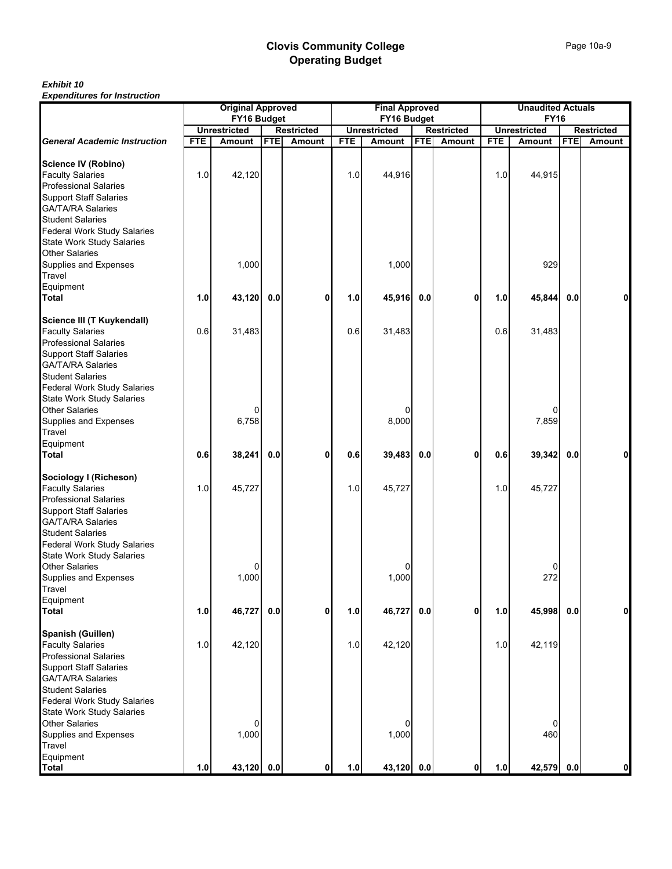|                                                                                                                                                                                        | <b>Original Approved</b><br>FY16 Budget |                     |            |                   |            | <b>Final Approved</b><br>FY16 Budget |            |                   |            | <b>Unaudited Actuals</b><br><b>FY16</b> |            |                   |
|----------------------------------------------------------------------------------------------------------------------------------------------------------------------------------------|-----------------------------------------|---------------------|------------|-------------------|------------|--------------------------------------|------------|-------------------|------------|-----------------------------------------|------------|-------------------|
|                                                                                                                                                                                        |                                         | <b>Unrestricted</b> |            | <b>Restricted</b> |            | <b>Unrestricted</b>                  |            | <b>Restricted</b> |            | <b>Unrestricted</b>                     |            | <b>Restricted</b> |
| <b>General Academic Instruction</b>                                                                                                                                                    | <b>FTE</b>                              | <b>Amount</b>       | <b>FTE</b> | Amount            | <b>FTE</b> | <b>Amount</b>                        | <b>FTE</b> | Amount            | <b>FTE</b> | <b>Amount</b>                           | <b>FTE</b> | Amount            |
| <b>Science IV (Robino)</b><br><b>Faculty Salaries</b><br><b>Professional Salaries</b><br><b>Support Staff Salaries</b>                                                                 | 1.0                                     | 42,120              |            |                   | 1.0        | 44,916                               |            |                   | 1.0        | 44,915                                  |            |                   |
| <b>GA/TA/RA Salaries</b><br><b>Student Salaries</b><br><b>Federal Work Study Salaries</b><br><b>State Work Study Salaries</b><br><b>Other Salaries</b><br><b>Supplies and Expenses</b> |                                         | 1,000               |            |                   |            | 1,000                                |            |                   |            | 929                                     |            |                   |
| Travel<br>Equipment<br><b>Total</b>                                                                                                                                                    | 1.0                                     | 43,120              | 0.0        | 0                 | 1.0        | 45,916                               | 0.0        | $\mathbf 0$       | 1.0        | 45,844                                  | 0.0        | 0                 |
|                                                                                                                                                                                        |                                         |                     |            |                   |            |                                      |            |                   |            |                                         |            |                   |
| Science III (T Kuykendall)<br><b>Faculty Salaries</b><br><b>Professional Salaries</b><br><b>Support Staff Salaries</b><br><b>GA/TA/RA Salaries</b><br><b>Student Salaries</b>          | 0.6                                     | 31,483              |            |                   | 0.6        | 31,483                               |            |                   | 0.6        | 31,483                                  |            |                   |
| <b>Federal Work Study Salaries</b><br><b>State Work Study Salaries</b><br><b>Other Salaries</b>                                                                                        |                                         | 0                   |            |                   |            | 0                                    |            |                   |            |                                         |            |                   |
| Supplies and Expenses<br>Travel                                                                                                                                                        |                                         | 6,758               |            |                   |            | 8,000                                |            |                   |            | 7,859                                   |            |                   |
| Equipment<br><b>Total</b>                                                                                                                                                              | 0.6                                     | 38,241              | 0.0        | 0                 | 0.6        | 39,483                               | 0.0        | 0                 | 0.6        | 39,342                                  | 0.0        |                   |
| Sociology I (Richeson)<br><b>Faculty Salaries</b><br><b>Professional Salaries</b><br><b>Support Staff Salaries</b>                                                                     | 1.0                                     | 45,727              |            |                   | 1.0        | 45,727                               |            |                   | 1.0        | 45,727                                  |            |                   |
| <b>GA/TA/RA Salaries</b><br><b>Student Salaries</b><br><b>Federal Work Study Salaries</b>                                                                                              |                                         |                     |            |                   |            |                                      |            |                   |            |                                         |            |                   |
| <b>State Work Study Salaries</b><br><b>Other Salaries</b><br>Supplies and Expenses                                                                                                     |                                         | 0<br>1,000          |            |                   |            | 0<br>1,000                           |            |                   |            | 0<br>272                                |            |                   |
| Travel                                                                                                                                                                                 |                                         |                     |            |                   |            |                                      |            |                   |            |                                         |            |                   |
| Equipment<br><b>Total</b>                                                                                                                                                              | 1.0                                     | 46,727              | 0.0        | $\mathbf{0}$      | 1.0        | 46,727                               | 0.0        | $\mathbf 0$       | 1.0        | 45,998                                  | 0.0        | ٥l                |
| Spanish (Guillen)<br><b>Faculty Salaries</b>                                                                                                                                           | 1.0                                     | 42,120              |            |                   | 1.0        | 42,120                               |            |                   | 1.0        | 42,119                                  |            |                   |
| <b>Professional Salaries</b><br><b>Support Staff Salaries</b><br><b>GA/TA/RA Salaries</b><br><b>Student Salaries</b><br><b>Federal Work Study Salaries</b>                             |                                         |                     |            |                   |            |                                      |            |                   |            |                                         |            |                   |
| <b>State Work Study Salaries</b><br><b>Other Salaries</b><br><b>Supplies and Expenses</b>                                                                                              |                                         | 0<br>1,000          |            |                   |            | $\overline{0}$<br>1,000              |            |                   |            | 0<br>460                                |            |                   |
| Travel<br>Equipment<br><b>Total</b>                                                                                                                                                    | $1.0$                                   | 43,120 0.0          |            | 0                 | $1.0$      | 43,120 0.0                           |            | $\mathbf{0}$      | 1.0        | 42,579 0.0                              |            | ٥l                |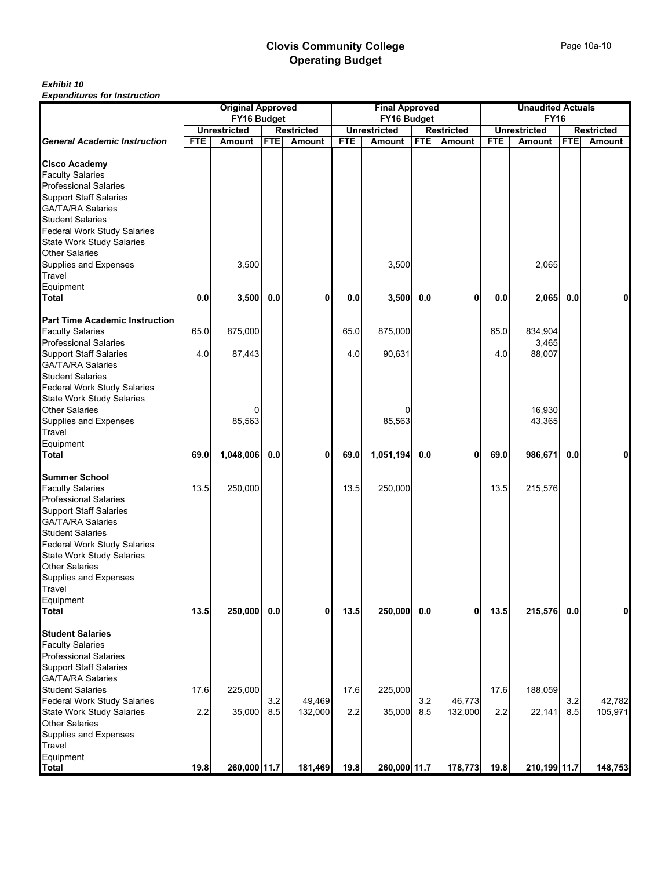| LAPCHURUIGS IVI IIISUUGUUH            |            |                          |            |                   |            |                       |            |                   |            |                          |            |                   |
|---------------------------------------|------------|--------------------------|------------|-------------------|------------|-----------------------|------------|-------------------|------------|--------------------------|------------|-------------------|
|                                       |            | <b>Original Approved</b> |            |                   |            | <b>Final Approved</b> |            |                   |            | <b>Unaudited Actuals</b> |            |                   |
|                                       |            | FY16 Budget              |            |                   |            | FY16 Budget           |            |                   |            | <b>FY16</b>              |            |                   |
|                                       |            | <b>Unrestricted</b>      |            | <b>Restricted</b> |            | <b>Unrestricted</b>   |            | <b>Restricted</b> |            | <b>Unrestricted</b>      |            | <b>Restricted</b> |
| <b>General Academic Instruction</b>   | <b>FTE</b> | Amount                   | <b>FTE</b> | <b>Amount</b>     | <b>FTE</b> | <b>Amount</b>         | <b>FTE</b> | <b>Amount</b>     | <b>FTE</b> | <b>Amount</b>            | <b>FTE</b> | <b>Amount</b>     |
|                                       |            |                          |            |                   |            |                       |            |                   |            |                          |            |                   |
| <b>Cisco Academy</b>                  |            |                          |            |                   |            |                       |            |                   |            |                          |            |                   |
| <b>Faculty Salaries</b>               |            |                          |            |                   |            |                       |            |                   |            |                          |            |                   |
| <b>Professional Salaries</b>          |            |                          |            |                   |            |                       |            |                   |            |                          |            |                   |
|                                       |            |                          |            |                   |            |                       |            |                   |            |                          |            |                   |
| <b>Support Staff Salaries</b>         |            |                          |            |                   |            |                       |            |                   |            |                          |            |                   |
| <b>GA/TA/RA Salaries</b>              |            |                          |            |                   |            |                       |            |                   |            |                          |            |                   |
| <b>Student Salaries</b>               |            |                          |            |                   |            |                       |            |                   |            |                          |            |                   |
| <b>Federal Work Study Salaries</b>    |            |                          |            |                   |            |                       |            |                   |            |                          |            |                   |
| <b>State Work Study Salaries</b>      |            |                          |            |                   |            |                       |            |                   |            |                          |            |                   |
| <b>Other Salaries</b>                 |            |                          |            |                   |            |                       |            |                   |            |                          |            |                   |
| Supplies and Expenses                 |            | 3,500                    |            |                   |            | 3,500                 |            |                   |            | 2,065                    |            |                   |
| Travel                                |            |                          |            |                   |            |                       |            |                   |            |                          |            |                   |
| Equipment                             |            |                          |            |                   |            |                       |            |                   |            |                          |            |                   |
| <b>Total</b>                          | 0.0        | 3,500                    | 0.0        | 0                 | 0.0        | 3,500                 | 0.0        | 0                 | 0.0        | 2,065                    | 0.0        | 0                 |
|                                       |            |                          |            |                   |            |                       |            |                   |            |                          |            |                   |
| <b>Part Time Academic Instruction</b> |            |                          |            |                   |            |                       |            |                   |            |                          |            |                   |
| <b>Faculty Salaries</b>               | 65.0       | 875,000                  |            |                   | 65.0       | 875,000               |            |                   | 65.0       | 834,904                  |            |                   |
| <b>Professional Salaries</b>          |            |                          |            |                   |            |                       |            |                   |            | 3,465                    |            |                   |
| <b>Support Staff Salaries</b>         | 4.0        | 87,443                   |            |                   | 4.0        | 90,631                |            |                   | 4.0        | 88,007                   |            |                   |
| <b>GA/TA/RA Salaries</b>              |            |                          |            |                   |            |                       |            |                   |            |                          |            |                   |
| <b>Student Salaries</b>               |            |                          |            |                   |            |                       |            |                   |            |                          |            |                   |
|                                       |            |                          |            |                   |            |                       |            |                   |            |                          |            |                   |
| <b>Federal Work Study Salaries</b>    |            |                          |            |                   |            |                       |            |                   |            |                          |            |                   |
| <b>State Work Study Salaries</b>      |            |                          |            |                   |            |                       |            |                   |            |                          |            |                   |
| <b>Other Salaries</b>                 |            | 0                        |            |                   |            |                       |            |                   |            | 16,930                   |            |                   |
| Supplies and Expenses                 |            | 85,563                   |            |                   |            | 85,563                |            |                   |            | 43,365                   |            |                   |
| Travel                                |            |                          |            |                   |            |                       |            |                   |            |                          |            |                   |
| Equipment                             |            |                          |            |                   |            |                       |            |                   |            |                          |            |                   |
| <b>Total</b>                          | 69.0       | 1,048,006                | 0.0        | 0                 | 69.0       | 1,051,194             | 0.0        | 0                 | 69.0       | 986,671                  | 0.0        | 0                 |
|                                       |            |                          |            |                   |            |                       |            |                   |            |                          |            |                   |
| <b>Summer School</b>                  |            |                          |            |                   |            |                       |            |                   |            |                          |            |                   |
| <b>Faculty Salaries</b>               | 13.5       | 250,000                  |            |                   | 13.5       | 250,000               |            |                   | 13.5       | 215,576                  |            |                   |
| <b>Professional Salaries</b>          |            |                          |            |                   |            |                       |            |                   |            |                          |            |                   |
| <b>Support Staff Salaries</b>         |            |                          |            |                   |            |                       |            |                   |            |                          |            |                   |
| <b>GA/TA/RA Salaries</b>              |            |                          |            |                   |            |                       |            |                   |            |                          |            |                   |
| <b>Student Salaries</b>               |            |                          |            |                   |            |                       |            |                   |            |                          |            |                   |
| <b>Federal Work Study Salaries</b>    |            |                          |            |                   |            |                       |            |                   |            |                          |            |                   |
| <b>State Work Study Salaries</b>      |            |                          |            |                   |            |                       |            |                   |            |                          |            |                   |
| <b>Other Salaries</b>                 |            |                          |            |                   |            |                       |            |                   |            |                          |            |                   |
| Supplies and Expenses                 |            |                          |            |                   |            |                       |            |                   |            |                          |            |                   |
| Travel                                |            |                          |            |                   |            |                       |            |                   |            |                          |            |                   |
| Equipment                             |            |                          |            |                   |            |                       |            |                   |            |                          |            |                   |
| <b>Total</b>                          | 13.5       | 250,000                  | 0.0        | $\mathbf{0}$      | 13.5       | 250,000               | 0.0        | $\mathbf{0}$      | 13.5       | 215,576 0.0              |            | $\Omega$          |
|                                       |            |                          |            |                   |            |                       |            |                   |            |                          |            |                   |
| <b>Student Salaries</b>               |            |                          |            |                   |            |                       |            |                   |            |                          |            |                   |
| <b>Faculty Salaries</b>               |            |                          |            |                   |            |                       |            |                   |            |                          |            |                   |
| <b>Professional Salaries</b>          |            |                          |            |                   |            |                       |            |                   |            |                          |            |                   |
|                                       |            |                          |            |                   |            |                       |            |                   |            |                          |            |                   |
| <b>Support Staff Salaries</b>         |            |                          |            |                   |            |                       |            |                   |            |                          |            |                   |
| <b>GA/TA/RA Salaries</b>              |            |                          |            |                   |            |                       |            |                   |            |                          |            |                   |
| <b>Student Salaries</b>               | 17.6       | 225,000                  |            |                   | 17.6       | 225,000               |            |                   | 17.6       | 188,059                  |            |                   |
| <b>Federal Work Study Salaries</b>    |            |                          | 3.2        | 49,469            |            |                       | 3.2        | 46,773            |            |                          | 3.2        | 42,782            |
| <b>State Work Study Salaries</b>      | 2.2        | 35,000                   | 8.5        | 132,000           | 2.2        | 35,000                | 8.5        | 132,000           | 2.2        | 22,141                   | 8.5        | 105,971           |
| <b>Other Salaries</b>                 |            |                          |            |                   |            |                       |            |                   |            |                          |            |                   |
| <b>Supplies and Expenses</b>          |            |                          |            |                   |            |                       |            |                   |            |                          |            |                   |
| Travel                                |            |                          |            |                   |            |                       |            |                   |            |                          |            |                   |
| Equipment                             |            |                          |            |                   |            |                       |            |                   |            |                          |            |                   |
| Total                                 | 19.8       | 260,000 11.7             |            | 181,469           | 19.8       | 260,000 11.7          |            | 178,773           | 19.8       | 210,199 11.7             |            | 148,753           |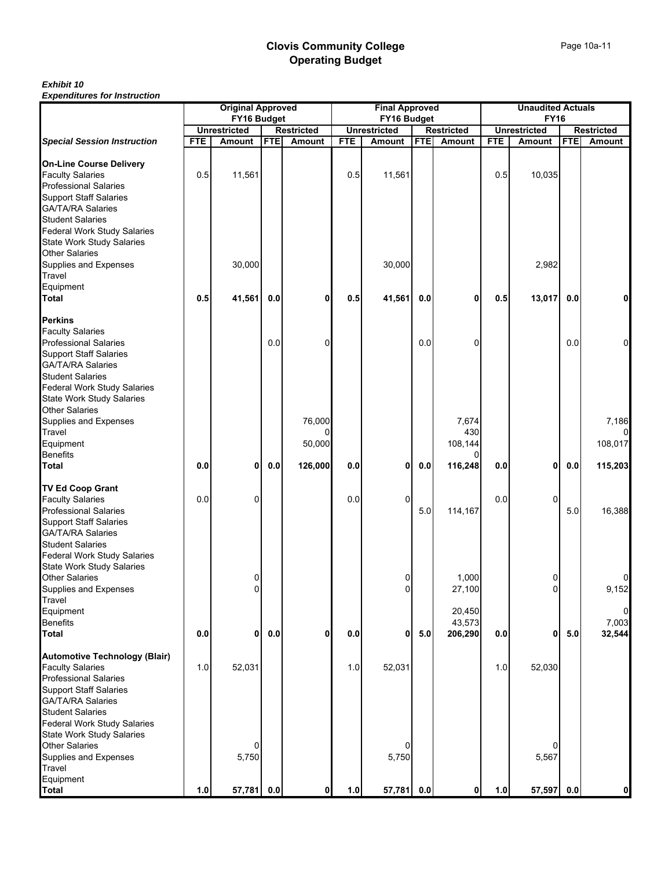|                                                                                                                                                        | <b>Original Approved</b> |                               |            |                             |            | <b>Final Approved</b>         |            |                                    |            | <b>Unaudited Actuals</b>             |            |                             |
|--------------------------------------------------------------------------------------------------------------------------------------------------------|--------------------------|-------------------------------|------------|-----------------------------|------------|-------------------------------|------------|------------------------------------|------------|--------------------------------------|------------|-----------------------------|
|                                                                                                                                                        |                          | FY16 Budget                   |            |                             |            | FY16 Budget                   |            |                                    |            | <b>FY16</b>                          |            |                             |
| <b>Special Session Instruction</b>                                                                                                                     | <b>FTE</b>               | <b>Unrestricted</b><br>Amount | <b>FTE</b> | <b>Restricted</b><br>Amount | <b>FTE</b> | <b>Unrestricted</b><br>Amount | <b>FTE</b> | <b>Restricted</b><br><b>Amount</b> | <b>FTE</b> | <b>Unrestricted</b><br><b>Amount</b> | <b>FTE</b> | <b>Restricted</b><br>Amount |
|                                                                                                                                                        |                          |                               |            |                             |            |                               |            |                                    |            |                                      |            |                             |
| <b>On-Line Course Delivery</b><br><b>Faculty Salaries</b><br><b>Professional Salaries</b><br><b>Support Staff Salaries</b><br><b>GA/TA/RA Salaries</b> | 0.5                      | 11,561                        |            |                             | 0.5        | 11,561                        |            |                                    | 0.5        | 10,035                               |            |                             |
| <b>Student Salaries</b><br><b>Federal Work Study Salaries</b><br><b>State Work Study Salaries</b><br>Other Salaries                                    |                          |                               |            |                             |            |                               |            |                                    |            |                                      |            |                             |
| Supplies and Expenses<br>Travel<br>Equipment                                                                                                           |                          | 30,000                        |            |                             |            | 30,000                        |            |                                    |            | 2,982                                |            |                             |
| <b>Total</b>                                                                                                                                           | 0.5                      | 41,561                        | 0.0        | 0                           | 0.5        | 41,561                        | 0.0        | $\mathbf 0$                        | 0.5        | 13,017                               | 0.0        | 0                           |
| <b>Perkins</b>                                                                                                                                         |                          |                               |            |                             |            |                               |            |                                    |            |                                      |            |                             |
| <b>Faculty Salaries</b><br><b>Professional Salaries</b><br><b>Support Staff Salaries</b><br><b>GA/TA/RA Salaries</b>                                   |                          |                               | 0.0        | 0                           |            |                               | 0.0        | $\mathbf 0$                        |            |                                      | 0.0        | $\overline{0}$              |
| <b>Student Salaries</b><br><b>Federal Work Study Salaries</b><br><b>State Work Study Salaries</b><br><b>Other Salaries</b>                             |                          |                               |            |                             |            |                               |            |                                    |            |                                      |            |                             |
| Supplies and Expenses<br>Travel                                                                                                                        |                          |                               |            | 76,000                      |            |                               |            | 7,674<br>430                       |            |                                      |            | 7,186<br>$\Omega$           |
| Equipment                                                                                                                                              |                          |                               |            | 50,000                      |            |                               |            | 108,144                            |            |                                      |            | 108,017                     |
| <b>Benefits</b><br><b>Total</b>                                                                                                                        | 0.0                      | 0                             | 0.0        | 126,000                     | 0.0        | 0                             | 0.0        | 0<br>116,248                       | 0.0        | 0                                    | $0.0\,$    | 115,203                     |
| <b>TV Ed Coop Grant</b><br><b>Faculty Salaries</b><br><b>Professional Salaries</b><br><b>Support Staff Salaries</b><br><b>GA/TA/RA Salaries</b>        | 0.0                      | 0                             |            |                             | 0.0        | 0                             | 5.0        | 114,167                            | 0.0        | $\Omega$                             | 5.0        | 16,388                      |
| <b>Student Salaries</b><br><b>Federal Work Study Salaries</b><br><b>State Work Study Salaries</b><br><b>Other Salaries</b>                             |                          | 0                             |            |                             |            | 0                             |            | 1,000                              |            | 0                                    |            | 0                           |
| Supplies and Expenses<br>Travel                                                                                                                        |                          | 0                             |            |                             |            | 0                             |            | 27,100                             |            | $\overline{0}$                       |            | 9,152                       |
| Equipment<br><b>Benefits</b>                                                                                                                           |                          |                               |            |                             |            |                               |            | 20,450<br>43,573                   |            |                                      |            | $\overline{0}$<br>7,003     |
| <b>Total</b>                                                                                                                                           | 0.0                      | $\mathbf 0$                   | 0.0        | 0                           | 0.0        | $\mathbf{0}$                  | 5.0        | 206,290                            | 0.0        | 0                                    | $5.0\,$    | 32,544                      |
| <b>Automotive Technology (Blair)</b><br><b>Faculty Salaries</b><br><b>Professional Salaries</b><br><b>Support Staff Salaries</b>                       | 1.0                      | 52,031                        |            |                             | 1.0        | 52,031                        |            |                                    | 1.0        | 52,030                               |            |                             |
| <b>GA/TA/RA Salaries</b><br><b>Student Salaries</b><br><b>Federal Work Study Salaries</b>                                                              |                          |                               |            |                             |            |                               |            |                                    |            |                                      |            |                             |
| <b>State Work Study Salaries</b>                                                                                                                       |                          |                               |            |                             |            |                               |            |                                    |            |                                      |            |                             |
| <b>Other Salaries</b><br>Supplies and Expenses<br>Travel                                                                                               |                          | 0<br>5,750                    |            |                             |            | 0<br>5,750                    |            |                                    |            | 5,567                                |            |                             |
| Equipment<br><b>Total</b>                                                                                                                              | 1.0                      | 57,781 0.0                    |            | $\mathbf{0}$                | 1.0        | 57,781                        | 0.0        | $\mathbf{0}$                       | 1.0        | 57,597                               | 0.0        | 0                           |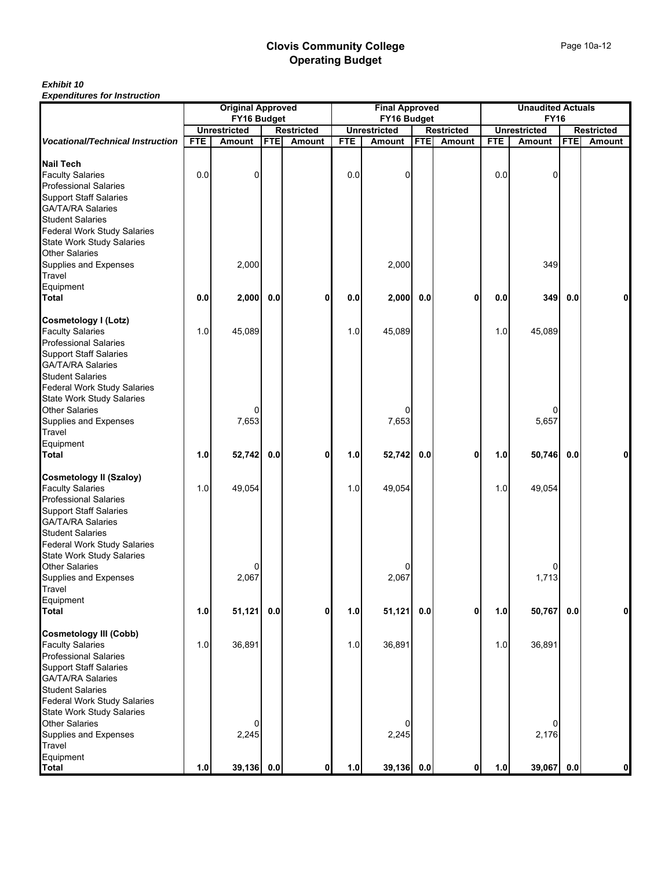|                                                                                                                      | <b>Original Approved</b><br>FY16 Budget |                     |            |                   |            | <b>Final Approved</b>              |            |                   |            | <b>Unaudited Actuals</b>           |            |                   |
|----------------------------------------------------------------------------------------------------------------------|-----------------------------------------|---------------------|------------|-------------------|------------|------------------------------------|------------|-------------------|------------|------------------------------------|------------|-------------------|
|                                                                                                                      |                                         | <b>Unrestricted</b> |            | <b>Restricted</b> |            | FY16 Budget<br><b>Unrestricted</b> |            | <b>Restricted</b> |            | <b>FY16</b><br><b>Unrestricted</b> |            | <b>Restricted</b> |
| <b>Vocational/Technical Instruction</b>                                                                              | <b>FTE</b>                              | <b>Amount</b>       | <b>FTE</b> | Amount            | <b>FTE</b> | <b>Amount</b>                      | <b>FTE</b> | Amount            | <b>FTE</b> | <b>Amount</b>                      | <b>FTE</b> | Amount            |
| <b>Nail Tech</b>                                                                                                     |                                         |                     |            |                   |            |                                    |            |                   |            |                                    |            |                   |
| <b>Faculty Salaries</b><br><b>Professional Salaries</b><br><b>Support Staff Salaries</b>                             | 0.0                                     | 0                   |            |                   | 0.0        | 0                                  |            |                   | 0.0        | $\Omega$                           |            |                   |
| <b>GA/TA/RA Salaries</b><br><b>Student Salaries</b>                                                                  |                                         |                     |            |                   |            |                                    |            |                   |            |                                    |            |                   |
| <b>Federal Work Study Salaries</b><br><b>State Work Study Salaries</b><br>Other Salaries                             |                                         |                     |            |                   |            |                                    |            |                   |            |                                    |            |                   |
| Supplies and Expenses<br>Travel                                                                                      |                                         | 2,000               |            |                   |            | 2,000                              |            |                   |            | 349                                |            |                   |
| Equipment<br><b>Total</b>                                                                                            | 0.0                                     | 2,000               | 0.0        | $\mathbf{0}$      | 0.0        | 2,000                              | 0.0        | 0                 | 0.0        | 349                                | 0.0        | 0                 |
| <b>Cosmetology I (Lotz)</b><br><b>Faculty Salaries</b>                                                               | 1.0                                     | 45,089              |            |                   | 1.0        | 45,089                             |            |                   | 1.0        | 45,089                             |            |                   |
| <b>Professional Salaries</b><br><b>Support Staff Salaries</b><br><b>GA/TA/RA Salaries</b>                            |                                         |                     |            |                   |            |                                    |            |                   |            |                                    |            |                   |
| <b>Student Salaries</b><br><b>Federal Work Study Salaries</b><br><b>State Work Study Salaries</b>                    |                                         |                     |            |                   |            |                                    |            |                   |            |                                    |            |                   |
| <b>Other Salaries</b><br>Supplies and Expenses                                                                       |                                         | 0<br>7,653          |            |                   |            | ი<br>7,653                         |            |                   |            | ŋ<br>5,657                         |            |                   |
| Travel<br>Equipment<br><b>Total</b>                                                                                  | 1.0                                     | 52,742              | 0.0        | $\mathbf 0$       | 1.0        | 52,742                             | 0.0        | 0                 | 1.0        | 50,746                             | 0.0        |                   |
| <b>Cosmetology II (Szaloy)</b>                                                                                       |                                         |                     |            |                   |            |                                    |            |                   |            |                                    |            |                   |
| <b>Faculty Salaries</b><br><b>Professional Salaries</b><br><b>Support Staff Salaries</b><br><b>GA/TA/RA Salaries</b> | 1.0                                     | 49,054              |            |                   | $1.0$      | 49,054                             |            |                   | 1.0        | 49,054                             |            |                   |
| <b>Student Salaries</b><br><b>Federal Work Study Salaries</b><br><b>State Work Study Salaries</b>                    |                                         |                     |            |                   |            |                                    |            |                   |            |                                    |            |                   |
| <b>Other Salaries</b><br>Supplies and Expenses<br><b>Travel</b>                                                      |                                         | 0<br>2,067          |            |                   |            | ი<br>2,067                         |            |                   |            | 1,713                              |            |                   |
| Equipment<br><b>Total</b>                                                                                            | 1.0                                     | 51,121              | 0.0        | $\mathbf 0$       | $1.0$      | 51,121                             | 0.0        | $\mathbf{0}$      | 1.0        | 50,767                             | 0.0        | ٥l                |
| <b>Cosmetology III (Cobb)</b><br><b>Faculty Salaries</b>                                                             | 1.0                                     | 36,891              |            |                   | 1.0        | 36,891                             |            |                   | 1.0        | 36,891                             |            |                   |
| <b>Professional Salaries</b><br><b>Support Staff Salaries</b><br><b>GA/TA/RA Salaries</b>                            |                                         |                     |            |                   |            |                                    |            |                   |            |                                    |            |                   |
| <b>Student Salaries</b><br>Federal Work Study Salaries<br><b>State Work Study Salaries</b>                           |                                         |                     |            |                   |            |                                    |            |                   |            |                                    |            |                   |
| <b>Other Salaries</b><br>Supplies and Expenses<br>Travel                                                             |                                         | 2,245               |            |                   |            | 2,245                              |            |                   |            | 2,176                              |            |                   |
| Equipment<br><b>Total</b>                                                                                            | 1.0                                     | 39,136 0.0          |            | $\mathbf 0$       | $1.0$      | 39,136 0.0                         |            | $\mathbf 0$       | 1.0        | 39,067 0.0                         |            | 0                 |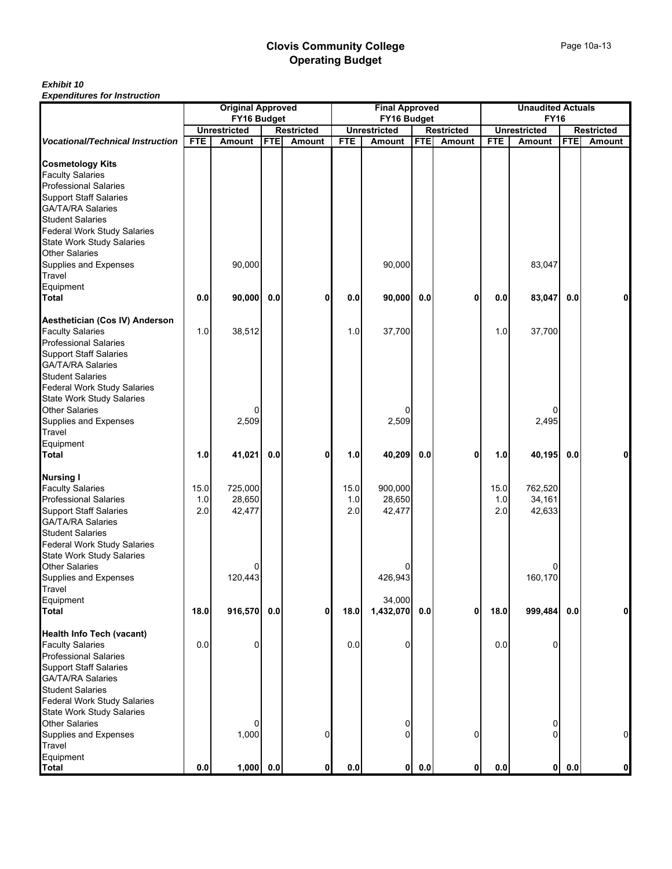| Lybenumures for msu ucuon                    |            |                          |            |                   |            |                       |            |                   |            |                          |            |                   |
|----------------------------------------------|------------|--------------------------|------------|-------------------|------------|-----------------------|------------|-------------------|------------|--------------------------|------------|-------------------|
|                                              |            | <b>Original Approved</b> |            |                   |            | <b>Final Approved</b> |            |                   |            | <b>Unaudited Actuals</b> |            |                   |
|                                              |            | FY16 Budget              |            |                   |            | FY16 Budget           |            |                   |            | <b>FY16</b>              |            |                   |
|                                              |            | <b>Unrestricted</b>      |            | <b>Restricted</b> |            | <b>Unrestricted</b>   |            | <b>Restricted</b> |            | <b>Unrestricted</b>      |            | <b>Restricted</b> |
| <b>Vocational/Technical Instruction</b>      | <b>FTE</b> | Amount                   | <b>FTE</b> | <b>Amount</b>     | <b>FTE</b> | <b>Amount</b>         | <b>FTE</b> | Amount            | <b>FTE</b> | <b>Amount</b>            | <b>FTE</b> | <b>Amount</b>     |
|                                              |            |                          |            |                   |            |                       |            |                   |            |                          |            |                   |
|                                              |            |                          |            |                   |            |                       |            |                   |            |                          |            |                   |
| <b>Cosmetology Kits</b><br>Faculty Salaries  |            |                          |            |                   |            |                       |            |                   |            |                          |            |                   |
| <b>Professional Salaries</b>                 |            |                          |            |                   |            |                       |            |                   |            |                          |            |                   |
| <b>Support Staff Salaries</b>                |            |                          |            |                   |            |                       |            |                   |            |                          |            |                   |
|                                              |            |                          |            |                   |            |                       |            |                   |            |                          |            |                   |
| <b>GA/TA/RA Salaries</b>                     |            |                          |            |                   |            |                       |            |                   |            |                          |            |                   |
| <b>Student Salaries</b>                      |            |                          |            |                   |            |                       |            |                   |            |                          |            |                   |
| <b>Federal Work Study Salaries</b>           |            |                          |            |                   |            |                       |            |                   |            |                          |            |                   |
| State Work Study Salaries<br>Other Salaries  |            |                          |            |                   |            |                       |            |                   |            |                          |            |                   |
|                                              |            |                          |            |                   |            |                       |            |                   |            |                          |            |                   |
| Supplies and Expenses                        |            | 90,000                   |            |                   |            | 90,000                |            |                   |            | 83,047                   |            |                   |
| Travel                                       |            |                          |            |                   |            |                       |            |                   |            |                          |            |                   |
|                                              |            |                          |            |                   |            |                       |            |                   |            |                          |            |                   |
| Equipment<br>Total                           | 0.0        | 90,000                   | $0.0\,$    | 0                 | 0.0        | 90,000                | 0.0        | 0                 | 0.0        | 83,047                   | 0.0        | 0                 |
|                                              |            |                          |            |                   |            |                       |            |                   |            |                          |            |                   |
| Aesthetician (Cos IV) Anderson               |            |                          |            |                   |            |                       |            |                   |            |                          |            |                   |
| <b>Faculty Salaries</b>                      | 1.0        | 38,512                   |            |                   | 1.0        | 37,700                |            |                   | 1.0        | 37,700                   |            |                   |
|                                              |            |                          |            |                   |            |                       |            |                   |            |                          |            |                   |
| <b>Professional Salaries</b>                 |            |                          |            |                   |            |                       |            |                   |            |                          |            |                   |
| <b>Support Staff Salaries</b>                |            |                          |            |                   |            |                       |            |                   |            |                          |            |                   |
| GA/TA/RA Salaries                            |            |                          |            |                   |            |                       |            |                   |            |                          |            |                   |
| <b>Student Salaries</b>                      |            |                          |            |                   |            |                       |            |                   |            |                          |            |                   |
| <b>Federal Work Study Salaries</b>           |            |                          |            |                   |            |                       |            |                   |            |                          |            |                   |
| <b>State Work Study Salaries</b>             |            |                          |            |                   |            |                       |            |                   |            |                          |            |                   |
| Other Salaries                               |            | 0                        |            |                   |            | 0                     |            |                   |            |                          |            |                   |
| Supplies and Expenses                        |            | 2,509                    |            |                   |            | 2,509                 |            |                   |            | 2,495                    |            |                   |
| Travel                                       |            |                          |            |                   |            |                       |            |                   |            |                          |            |                   |
| Equipment                                    |            |                          |            |                   |            |                       |            |                   |            |                          |            |                   |
| <b>Total</b>                                 | 1.0        | 41,021                   | 0.0        | 0                 | 1.0        | 40,209                | 0.0        | 0                 | 1.0        | 40,195                   | 0.0        | 0                 |
|                                              |            |                          |            |                   |            |                       |            |                   |            |                          |            |                   |
| <b>Nursing I</b>                             |            |                          |            |                   |            |                       |            |                   |            |                          |            |                   |
|                                              |            |                          |            |                   |            |                       |            |                   |            |                          |            |                   |
| <b>Faculty Salaries</b>                      | 15.0       | 725,000                  |            |                   | 15.0       | 900,000               |            |                   | 15.0       | 762,520                  |            |                   |
| <b>Professional Salaries</b>                 | 1.0        | 28,650                   |            |                   | 1.0        | 28,650                |            |                   | 1.0        | 34,161                   |            |                   |
| <b>Support Staff Salaries</b>                | 2.0        | 42,477                   |            |                   | 2.0        | 42,477                |            |                   | 2.0        | 42,633                   |            |                   |
| GA/TA/RA Salaries                            |            |                          |            |                   |            |                       |            |                   |            |                          |            |                   |
| <b>Student Salaries</b>                      |            |                          |            |                   |            |                       |            |                   |            |                          |            |                   |
| <b>Federal Work Study Salaries</b>           |            |                          |            |                   |            |                       |            |                   |            |                          |            |                   |
| <b>State Work Study Salaries</b>             |            |                          |            |                   |            |                       |            |                   |            |                          |            |                   |
| <b>Other Salaries</b>                        |            |                          |            |                   |            | 0                     |            |                   |            |                          |            |                   |
|                                              |            | 120,443                  |            |                   |            | 426,943               |            |                   |            | 160,170                  |            |                   |
|                                              |            |                          |            |                   |            |                       |            |                   |            |                          |            |                   |
| Supplies and Expenses<br>Travel<br>Equipment |            |                          |            |                   |            | 34,000                |            |                   |            |                          |            |                   |
| <b>Total</b>                                 | 18.0       | 916,570                  | 0.0        | $\mathbf{0}$      | 18.0       | 1,432,070             | 0.0        | οI                | 18.0       | 999,484                  | 0.0        | $\mathbf{0}$      |
|                                              |            |                          |            |                   |            |                       |            |                   |            |                          |            |                   |
| <b>Health Info Tech (vacant)</b>             |            |                          |            |                   |            |                       |            |                   |            |                          |            |                   |
|                                              |            | 0                        |            |                   |            | 0                     |            |                   |            | $\Omega$                 |            |                   |
| <b>Faculty Salaries</b>                      | 0.0        |                          |            |                   | 0.0        |                       |            |                   | 0.0        |                          |            |                   |
| <b>Professional Salaries</b>                 |            |                          |            |                   |            |                       |            |                   |            |                          |            |                   |
| <b>Support Staff Salaries</b>                |            |                          |            |                   |            |                       |            |                   |            |                          |            |                   |
| <b>GA/TA/RA Salaries</b>                     |            |                          |            |                   |            |                       |            |                   |            |                          |            |                   |
| <b>Student Salaries</b>                      |            |                          |            |                   |            |                       |            |                   |            |                          |            |                   |
| Federal Work Study Salaries                  |            |                          |            |                   |            |                       |            |                   |            |                          |            |                   |
| <b>State Work Study Salaries</b>             |            |                          |            |                   |            |                       |            |                   |            |                          |            |                   |
| <b>Other Salaries</b>                        |            | 0                        |            |                   |            | 0                     |            |                   |            | $\overline{0}$           |            |                   |
|                                              |            | 1,000                    |            | 0                 |            | $\Omega$              |            | 0                 |            | $\Omega$                 |            | $\Omega$          |
| Supplies and Expenses<br>Travel              |            |                          |            |                   |            |                       |            |                   |            |                          |            |                   |
| Equipment                                    |            |                          |            |                   |            |                       |            |                   |            |                          |            |                   |
| <b>Total</b>                                 | 0.0        | $1,000$ 0.0              |            | 0                 | 0.0        | $\mathbf{0}$          | 0.0        | 0                 | 0.0        | 0                        | 0.0        | 0                 |
|                                              |            |                          |            |                   |            |                       |            |                   |            |                          |            |                   |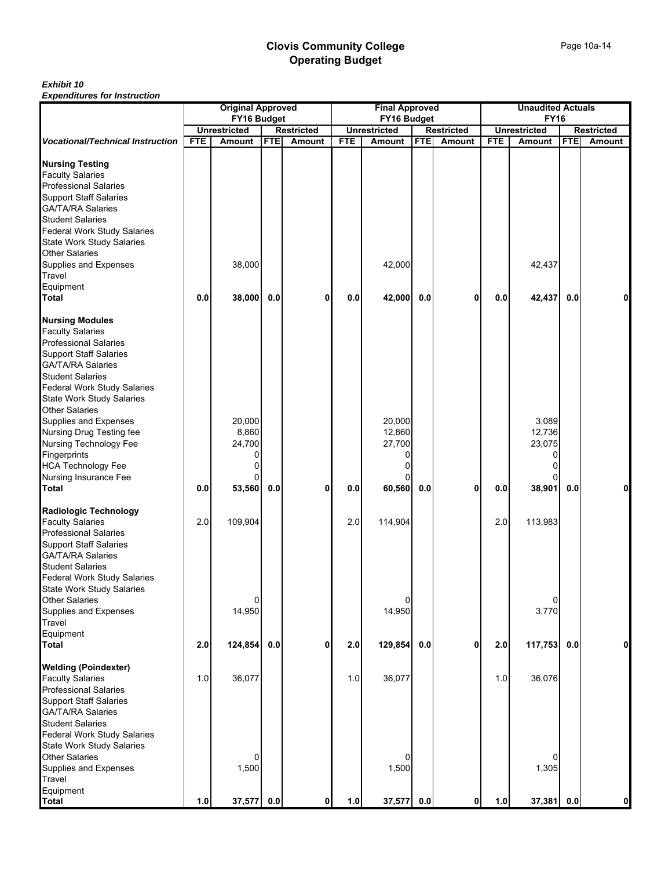|                                                                                                 | <b>Original Approved</b><br>FY16 Budget |                     |            |                   |            | <b>Final Approved</b>              |            |                   |            | <b>Unaudited Actuals</b><br><b>FY16</b> |            |                   |
|-------------------------------------------------------------------------------------------------|-----------------------------------------|---------------------|------------|-------------------|------------|------------------------------------|------------|-------------------|------------|-----------------------------------------|------------|-------------------|
|                                                                                                 |                                         | <b>Unrestricted</b> |            | <b>Restricted</b> |            | FY16 Budget<br><b>Unrestricted</b> |            | <b>Restricted</b> |            | <b>Unrestricted</b>                     |            | <b>Restricted</b> |
| <b>Vocational/Technical Instruction</b>                                                         | <b>FTE</b>                              | <b>Amount</b>       | <b>FTE</b> | <b>Amount</b>     | <b>FTE</b> | <b>Amount</b>                      | <b>FTE</b> | Amount            | <b>FTE</b> | <b>Amount</b>                           | <b>FTE</b> | <b>Amount</b>     |
|                                                                                                 |                                         |                     |            |                   |            |                                    |            |                   |            |                                         |            |                   |
| <b>Nursing Testing</b><br><b>Faculty Salaries</b><br><b>Professional Salaries</b>               |                                         |                     |            |                   |            |                                    |            |                   |            |                                         |            |                   |
| <b>Support Staff Salaries</b><br><b>GA/TA/RA Salaries</b>                                       |                                         |                     |            |                   |            |                                    |            |                   |            |                                         |            |                   |
| <b>Student Salaries</b>                                                                         |                                         |                     |            |                   |            |                                    |            |                   |            |                                         |            |                   |
| <b>Federal Work Study Salaries</b><br><b>State Work Study Salaries</b>                          |                                         |                     |            |                   |            |                                    |            |                   |            |                                         |            |                   |
| <b>Other Salaries</b><br><b>Supplies and Expenses</b>                                           |                                         | 38,000              |            |                   |            | 42,000                             |            |                   |            | 42,437                                  |            |                   |
| Travel<br>Equipment                                                                             |                                         |                     |            |                   |            |                                    |            |                   |            |                                         |            |                   |
| <b>Total</b>                                                                                    | 0.0                                     | 38,000              | 0.0        | 0                 | 0.0        | 42,000                             | 0.0        | $\mathbf 0$       | 0.0        | 42,437                                  | 0.0        |                   |
| <b>Nursing Modules</b><br><b>Faculty Salaries</b><br><b>Professional Salaries</b>               |                                         |                     |            |                   |            |                                    |            |                   |            |                                         |            |                   |
| <b>Support Staff Salaries</b><br><b>GA/TA/RA Salaries</b><br><b>Student Salaries</b>            |                                         |                     |            |                   |            |                                    |            |                   |            |                                         |            |                   |
| <b>Federal Work Study Salaries</b><br><b>State Work Study Salaries</b><br><b>Other Salaries</b> |                                         |                     |            |                   |            |                                    |            |                   |            |                                         |            |                   |
| Supplies and Expenses                                                                           |                                         | 20,000              |            |                   |            | 20,000                             |            |                   |            | 3,089                                   |            |                   |
| Nursing Drug Testing fee<br>Nursing Technology Fee                                              |                                         | 8,860<br>24,700     |            |                   |            | 12,860<br>27,700                   |            |                   |            | 12,736<br>23,075                        |            |                   |
| Fingerprints<br><b>HCA Technology Fee</b>                                                       |                                         | 0<br>0              |            |                   |            | 0<br>0                             |            |                   |            | 0                                       |            |                   |
| Nursing Insurance Fee                                                                           |                                         | 0                   |            |                   |            | 0                                  |            |                   |            |                                         |            |                   |
| <b>Total</b>                                                                                    | 0.0                                     | 53,560              | 0.0        | 0                 | 0.0        | 60,560                             | 0.0        | 0                 | 0.0        | 38,901                                  | 0.0        | 0                 |
| <b>Radiologic Technology</b><br><b>Faculty Salaries</b>                                         | 2.0                                     | 109,904             |            |                   | 2.0        | 114,904                            |            |                   | 2.0        | 113,983                                 |            |                   |
| <b>Professional Salaries</b><br><b>Support Staff Salaries</b>                                   |                                         |                     |            |                   |            |                                    |            |                   |            |                                         |            |                   |
| <b>GA/TA/RA Salaries</b>                                                                        |                                         |                     |            |                   |            |                                    |            |                   |            |                                         |            |                   |
| <b>Student Salaries</b><br><b>Federal Work Study Salaries</b>                                   |                                         |                     |            |                   |            |                                    |            |                   |            |                                         |            |                   |
| <b>State Work Study Salaries</b><br><b>Other Salaries</b>                                       |                                         | 0                   |            |                   |            | $\mathbf 0$                        |            |                   |            | 0                                       |            |                   |
| <b>Supplies and Expenses</b><br>Travel                                                          |                                         | 14,950              |            |                   |            | 14,950                             |            |                   |            | 3,770                                   |            |                   |
| Equipment<br>Total                                                                              | 2.0                                     | 124,854 0.0         |            | 0                 | 2.0        | 129,854                            | 0.0        | $\mathbf 0$       | 2.0        | 117,753                                 | 0.0        | $\mathbf{0}$      |
| <b>Welding (Poindexter)</b>                                                                     |                                         |                     |            |                   |            |                                    |            |                   |            |                                         |            |                   |
| <b>Faculty Salaries</b><br><b>Professional Salaries</b>                                         | $1.0$                                   | 36,077              |            |                   | 1.0        | 36,077                             |            |                   | 1.0        | 36,076                                  |            |                   |
| <b>Support Staff Salaries</b><br><b>GA/TA/RA Salaries</b>                                       |                                         |                     |            |                   |            |                                    |            |                   |            |                                         |            |                   |
| <b>Student Salaries</b>                                                                         |                                         |                     |            |                   |            |                                    |            |                   |            |                                         |            |                   |
| <b>Federal Work Study Salaries</b><br><b>State Work Study Salaries</b>                          |                                         |                     |            |                   |            |                                    |            |                   |            |                                         |            |                   |
| <b>Other Salaries</b><br>Supplies and Expenses                                                  |                                         | 0<br>1,500          |            |                   |            | $\overline{0}$<br>1,500            |            |                   |            | 1,305                                   |            |                   |
| Travel                                                                                          |                                         |                     |            |                   |            |                                    |            |                   |            |                                         |            |                   |
| Equipment<br><b>Total</b>                                                                       | 1.0                                     | 37,577              | 0.0        | $\mathbf{0}$      | $1.0\,$    | 37,577                             | 0.0        | $\mathbf 0$       | 1.0        | 37,381                                  | 0.0        | $\mathbf{0}$      |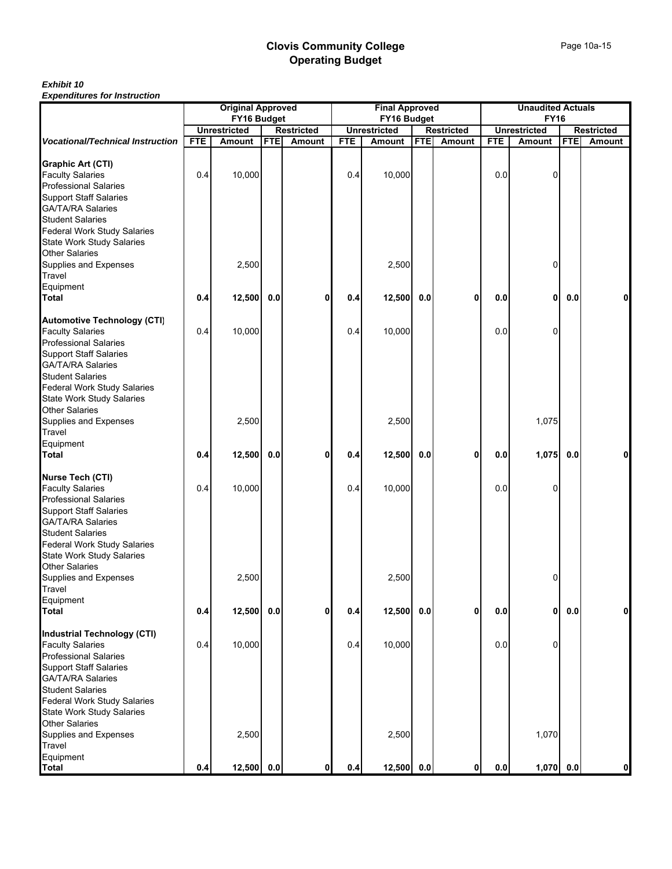|                                                                                                                                                                             | <b>Original Approved</b> |                     |            |                   |            | <b>Final Approved</b> |            |                   |            | <b>Unaudited Actuals</b> |            |                   |
|-----------------------------------------------------------------------------------------------------------------------------------------------------------------------------|--------------------------|---------------------|------------|-------------------|------------|-----------------------|------------|-------------------|------------|--------------------------|------------|-------------------|
|                                                                                                                                                                             |                          | FY16 Budget         |            |                   |            | FY16 Budget           |            |                   |            | <b>FY16</b>              |            |                   |
|                                                                                                                                                                             |                          | <b>Unrestricted</b> |            | <b>Restricted</b> |            | <b>Unrestricted</b>   |            | <b>Restricted</b> |            | <b>Unrestricted</b>      |            | <b>Restricted</b> |
| <b>Vocational/Technical Instruction</b>                                                                                                                                     | <b>FTE</b>               | <b>Amount</b>       | <b>FTE</b> | Amount            | <b>FTE</b> | <b>Amount</b>         | <b>FTE</b> | Amount            | <b>FTE</b> | <b>Amount</b>            | <b>FTE</b> | <b>Amount</b>     |
| <b>Graphic Art (CTI)</b><br><b>Faculty Salaries</b><br><b>Professional Salaries</b><br><b>Support Staff Salaries</b><br><b>GA/TA/RA Salaries</b><br><b>Student Salaries</b> | 0.4                      | 10,000              |            |                   | 0.4        | 10,000                |            |                   | 0.0        | 0                        |            |                   |
| <b>Federal Work Study Salaries</b><br><b>State Work Study Salaries</b><br><b>Other Salaries</b>                                                                             |                          |                     |            |                   |            |                       |            |                   |            |                          |            |                   |
| <b>Supplies and Expenses</b><br>Travel<br>Equipment                                                                                                                         |                          | 2,500               |            |                   |            | 2,500                 |            |                   |            | 0                        |            |                   |
| <b>Total</b>                                                                                                                                                                | 0.4                      | 12,500              | 0.0        | $\mathbf{0}$      | 0.4        | 12,500                | $0.0\,$    | 0                 | 0.0        | 0                        | 0.0        |                   |
| <b>Automotive Technology (CTI)</b><br><b>Faculty Salaries</b><br><b>Professional Salaries</b><br><b>Support Staff Salaries</b><br><b>GA/TA/RA Salaries</b>                  | 0.4                      | 10,000              |            |                   | 0.4        | 10,000                |            |                   | 0.0        | $\Omega$                 |            |                   |
| <b>Student Salaries</b><br>Federal Work Study Salaries<br><b>State Work Study Salaries</b><br><b>Other Salaries</b><br>Supplies and Expenses                                |                          | 2,500               |            |                   |            | 2,500                 |            |                   |            | 1,075                    |            |                   |
| Travel<br>Equipment                                                                                                                                                         |                          |                     |            |                   |            |                       |            |                   |            |                          |            |                   |
| <b>Total</b>                                                                                                                                                                | 0.4                      | 12,500              | 0.0        | $\mathbf 0$       | 0.4        | 12,500                | $0.0\,$    | 0                 | 0.0        | 1,075                    | 0.0        |                   |
| <b>Nurse Tech (CTI)</b><br><b>Faculty Salaries</b><br><b>Professional Salaries</b><br><b>Support Staff Salaries</b><br><b>GA/TA/RA Salaries</b><br><b>Student Salaries</b>  | 0.4                      | 10,000              |            |                   | 0.4        | 10,000                |            |                   | 0.0        | $\Omega$                 |            |                   |
| <b>Federal Work Study Salaries</b><br><b>State Work Study Salaries</b><br><b>Other Salaries</b><br>Supplies and Expenses                                                    |                          | 2,500               |            |                   |            | 2,500                 |            |                   |            | 0                        |            |                   |
| <b>Travel</b>                                                                                                                                                               |                          |                     |            |                   |            |                       |            |                   |            |                          |            |                   |
| Equipment<br><b>Total</b>                                                                                                                                                   | 0.4                      | 12,500              | 0.0        | $\mathbf 0$       | 0.4        | 12,500                | 0.0        | 0                 | 0.0        | $\mathbf 0$              | 0.0        | 0                 |
| <b>Industrial Technology (CTI)</b><br><b>Faculty Salaries</b><br><b>Professional Salaries</b><br><b>Support Staff Salaries</b>                                              | 0.4                      | 10,000              |            |                   | 0.4        | 10,000                |            |                   | 0.0        | 0                        |            |                   |
| <b>GA/TA/RA Salaries</b><br><b>Student Salaries</b><br><b>Federal Work Study Salaries</b><br><b>State Work Study Salaries</b>                                               |                          |                     |            |                   |            |                       |            |                   |            |                          |            |                   |
| <b>Other Salaries</b><br>Supplies and Expenses<br>Travel<br>Equipment                                                                                                       |                          | 2,500               |            |                   |            | 2,500                 |            |                   |            | 1,070                    |            |                   |
| <b>Total</b>                                                                                                                                                                | 0.4                      | 12,500 0.0          |            | $\mathbf{0}$      | 0.4        | $12,500$ 0.0          |            | $\mathbf 0$       | $0.0\,$    | $1,070$ 0.0              |            | 0                 |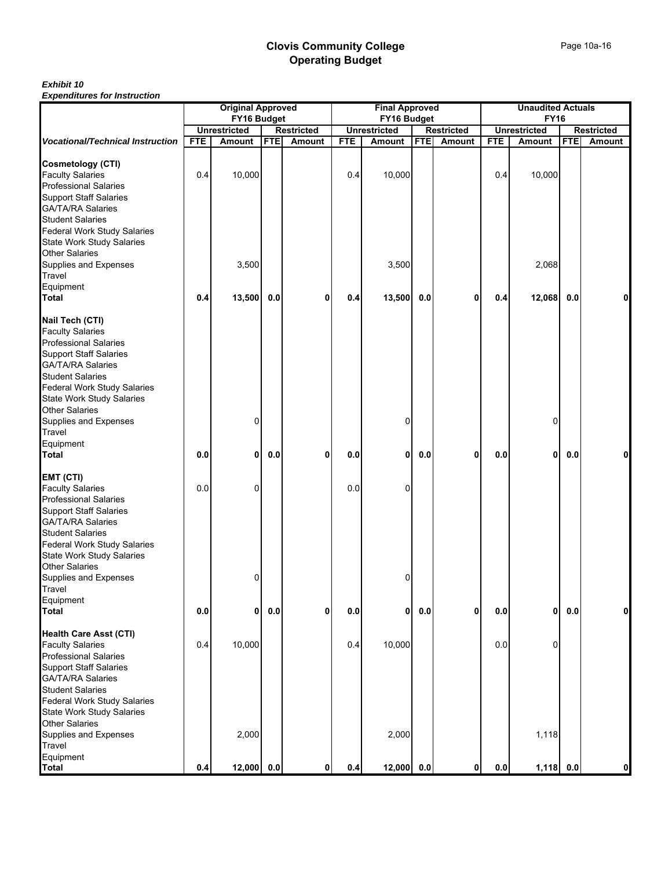|                                                                                           | <b>Original Approved</b> |                     |            |                   |            | <b>Final Approved</b> |            |                   |            | <b>Unaudited Actuals</b> |            |                   |
|-------------------------------------------------------------------------------------------|--------------------------|---------------------|------------|-------------------|------------|-----------------------|------------|-------------------|------------|--------------------------|------------|-------------------|
| FY16 Budget                                                                               |                          |                     |            |                   |            | FY16 Budget           |            |                   |            | <b>FY16</b>              |            |                   |
|                                                                                           |                          | <b>Unrestricted</b> |            | <b>Restricted</b> |            | <b>Unrestricted</b>   |            | <b>Restricted</b> |            | <b>Unrestricted</b>      |            | <b>Restricted</b> |
| <b>Vocational/Technical Instruction</b>                                                   | <b>FTE</b>               | <b>Amount</b>       | <b>FTE</b> | <b>Amount</b>     | <b>FTE</b> | <b>Amount</b>         | <b>FTE</b> | Amount            | <b>FTE</b> | Amount                   | <b>FTE</b> | Amount            |
| <b>Cosmetology (CTI)</b>                                                                  |                          |                     |            |                   |            |                       |            |                   |            |                          |            |                   |
| <b>Faculty Salaries</b>                                                                   | 0.4                      | 10,000              |            |                   | 0.4        | 10,000                |            |                   | 0.4        | 10,000                   |            |                   |
| <b>Professional Salaries</b>                                                              |                          |                     |            |                   |            |                       |            |                   |            |                          |            |                   |
| <b>Support Staff Salaries</b>                                                             |                          |                     |            |                   |            |                       |            |                   |            |                          |            |                   |
| <b>GA/TA/RA Salaries</b>                                                                  |                          |                     |            |                   |            |                       |            |                   |            |                          |            |                   |
| <b>Student Salaries</b>                                                                   |                          |                     |            |                   |            |                       |            |                   |            |                          |            |                   |
| <b>Federal Work Study Salaries</b>                                                        |                          |                     |            |                   |            |                       |            |                   |            |                          |            |                   |
| <b>State Work Study Salaries</b>                                                          |                          |                     |            |                   |            |                       |            |                   |            |                          |            |                   |
| <b>Other Salaries</b>                                                                     |                          |                     |            |                   |            |                       |            |                   |            |                          |            |                   |
| <b>Supplies and Expenses</b>                                                              |                          | 3,500               |            |                   |            | 3,500                 |            |                   |            | 2,068                    |            |                   |
| Travel                                                                                    |                          |                     |            |                   |            |                       |            |                   |            |                          |            |                   |
| Equipment                                                                                 |                          |                     |            |                   |            |                       |            |                   |            |                          |            |                   |
| <b>Total</b>                                                                              | 0.4                      | 13,500              | 0.0        | 0                 | 0.4        | 13,500                | 0.0        | $\mathbf 0$       | 0.4        | 12,068                   | 0.0        | 0                 |
| Nail Tech (CTI)<br><b>Faculty Salaries</b>                                                |                          |                     |            |                   |            |                       |            |                   |            |                          |            |                   |
| <b>Professional Salaries</b><br><b>Support Staff Salaries</b><br><b>GA/TA/RA Salaries</b> |                          |                     |            |                   |            |                       |            |                   |            |                          |            |                   |
| <b>Student Salaries</b>                                                                   |                          |                     |            |                   |            |                       |            |                   |            |                          |            |                   |
| <b>Federal Work Study Salaries</b><br><b>State Work Study Salaries</b>                    |                          |                     |            |                   |            |                       |            |                   |            |                          |            |                   |
| <b>Other Salaries</b><br>Supplies and Expenses                                            |                          | 0                   |            |                   |            | 0                     |            |                   |            | 0                        |            |                   |
| Travel                                                                                    |                          |                     |            |                   |            |                       |            |                   |            |                          |            |                   |
| Equipment                                                                                 |                          |                     |            |                   |            |                       |            |                   |            |                          |            |                   |
| <b>Total</b>                                                                              | 0.0                      | 0                   | 0.0        | 0                 | 0.0        | 0                     | 0.0        | $\mathbf 0$       | 0.0        | 0                        | 0.0        |                   |
| EMT (CTI)                                                                                 |                          |                     |            |                   |            |                       |            |                   |            |                          |            |                   |
| <b>Faculty Salaries</b>                                                                   | 0.0                      | 0                   |            |                   | 0.0        | $\overline{0}$        |            |                   |            |                          |            |                   |
| <b>Professional Salaries</b>                                                              |                          |                     |            |                   |            |                       |            |                   |            |                          |            |                   |
| <b>Support Staff Salaries</b>                                                             |                          |                     |            |                   |            |                       |            |                   |            |                          |            |                   |
| <b>GA/TA/RA Salaries</b>                                                                  |                          |                     |            |                   |            |                       |            |                   |            |                          |            |                   |
| <b>Student Salaries</b>                                                                   |                          |                     |            |                   |            |                       |            |                   |            |                          |            |                   |
| <b>Federal Work Study Salaries</b>                                                        |                          |                     |            |                   |            |                       |            |                   |            |                          |            |                   |
| <b>State Work Study Salaries</b>                                                          |                          |                     |            |                   |            |                       |            |                   |            |                          |            |                   |
| <b>Other Salaries</b>                                                                     |                          |                     |            |                   |            |                       |            |                   |            |                          |            |                   |
| Supplies and Expenses                                                                     |                          | 0                   |            |                   |            | 0                     |            |                   |            |                          |            |                   |
| <b>Travel</b>                                                                             |                          |                     |            |                   |            |                       |            |                   |            |                          |            |                   |
| Equipment                                                                                 |                          |                     |            |                   |            |                       |            |                   |            |                          |            |                   |
| <b>Total</b>                                                                              | 0.0                      | 0                   | 0.0        | $\mathbf{0}$      | $0.0\,$    | 0                     | 0.0        | $\mathbf 0$       | 0.0        | $\mathbf{0}$             | 0.0        | 0                 |
| <b>Health Care Asst (CTI)</b>                                                             |                          |                     |            |                   |            |                       |            |                   |            |                          |            |                   |
| <b>Faculty Salaries</b>                                                                   | 0.4                      | 10,000              |            |                   | 0.4        | 10,000                |            |                   | 0.0        | 0                        |            |                   |
| <b>Professional Salaries</b>                                                              |                          |                     |            |                   |            |                       |            |                   |            |                          |            |                   |
| <b>Support Staff Salaries</b>                                                             |                          |                     |            |                   |            |                       |            |                   |            |                          |            |                   |
| <b>GA/TA/RA Salaries</b>                                                                  |                          |                     |            |                   |            |                       |            |                   |            |                          |            |                   |
| <b>Student Salaries</b>                                                                   |                          |                     |            |                   |            |                       |            |                   |            |                          |            |                   |
| <b>Federal Work Study Salaries</b>                                                        |                          |                     |            |                   |            |                       |            |                   |            |                          |            |                   |
| <b>State Work Study Salaries</b>                                                          |                          |                     |            |                   |            |                       |            |                   |            |                          |            |                   |
| <b>Other Salaries</b>                                                                     |                          |                     |            |                   |            |                       |            |                   |            |                          |            |                   |
| Supplies and Expenses                                                                     |                          | 2,000               |            |                   |            | 2,000                 |            |                   |            | 1,118                    |            |                   |
| Travel                                                                                    |                          |                     |            |                   |            |                       |            |                   |            |                          |            |                   |
| Equipment                                                                                 |                          |                     |            |                   |            |                       |            |                   |            |                          |            |                   |
| <b>Total</b>                                                                              | $0.4\,$                  | $12,000$ 0.0        |            | $\mathbf 0$       | $0.4\,$    | $12,000$ 0.0          |            | $\mathbf{0}$      | $0.0\,$    | $1,118$ 0.0              |            | $\mathbf{0}$      |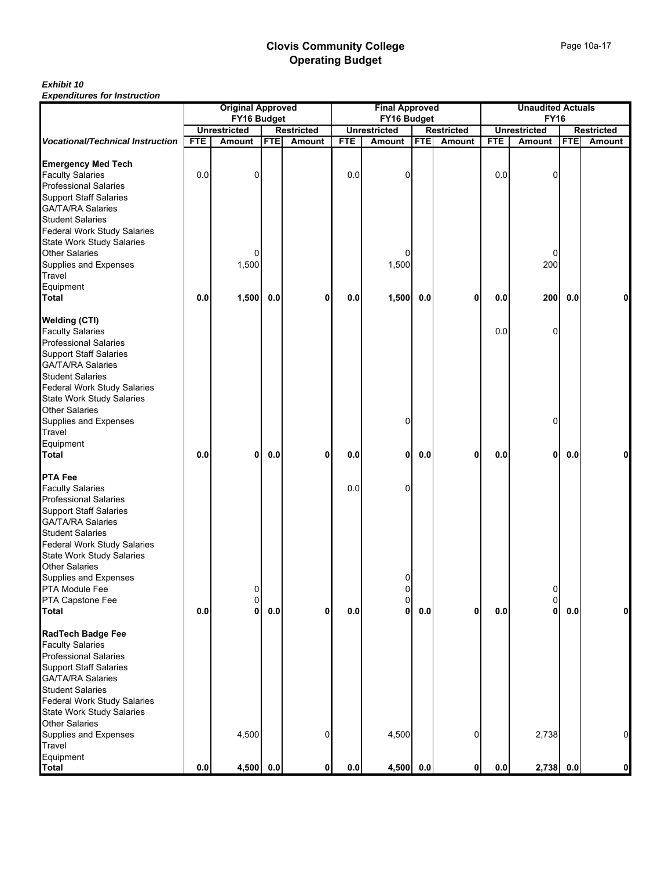|     |                    |                                      |            |                                                                                                         |                                          |                                      |                |                                                                                                            |                                                                      |                               | <b>Restricted</b>                                                     |
|-----|--------------------|--------------------------------------|------------|---------------------------------------------------------------------------------------------------------|------------------------------------------|--------------------------------------|----------------|------------------------------------------------------------------------------------------------------------|----------------------------------------------------------------------|-------------------------------|-----------------------------------------------------------------------|
|     |                    |                                      |            |                                                                                                         |                                          |                                      |                |                                                                                                            |                                                                      |                               | Amount                                                                |
| 0.0 | 0                  |                                      |            | 0.0                                                                                                     | $\mathbf 0$                              |                                      |                | 0.0                                                                                                        | 0                                                                    |                               |                                                                       |
|     | 0<br>1,500         |                                      |            |                                                                                                         | 0<br>1,500                               |                                      |                |                                                                                                            | 0<br>200                                                             |                               |                                                                       |
| 0.0 | 1,500              | 0.0                                  |            | 0.0                                                                                                     | 1,500                                    | 0.0                                  | 0              | 0.0                                                                                                        | 200                                                                  | 0.0                           | Λ                                                                     |
|     |                    |                                      |            |                                                                                                         |                                          |                                      |                | 0.0                                                                                                        | ſ                                                                    |                               |                                                                       |
| 0.0 | 0                  | 0.0                                  |            | 0.0                                                                                                     | 0<br>0                                   | 0.0                                  | $\mathbf 0$    | 0.0                                                                                                        | $\Omega$<br>0                                                        | 0.0                           | 0                                                                     |
|     |                    |                                      |            | 0.0                                                                                                     | 0                                        |                                      |                |                                                                                                            |                                                                      |                               |                                                                       |
| 0.0 | $\Omega$<br>0<br>0 | 0.0                                  |            | $0.0\,$                                                                                                 | 0<br>0<br>$\overline{0}$<br>$\mathbf{0}$ |                                      | $\mathbf{0}$   | 0.0                                                                                                        | $\Omega$<br>0<br>$\mathbf 0$                                         | 0.0                           | $\mathbf{0}$                                                          |
|     |                    |                                      |            |                                                                                                         |                                          |                                      |                |                                                                                                            |                                                                      |                               |                                                                       |
|     | 4,500              |                                      |            |                                                                                                         | 4,500                                    |                                      | $\overline{0}$ |                                                                                                            | 2,738                                                                |                               | $\overline{0}$<br>$\mathbf{0}$                                        |
|     | <b>FTE</b>         | <b>Unrestricted</b><br><b>Amount</b> | <b>FTE</b> | <b>Original Approved</b><br>FY16 Budget<br><b>Restricted</b><br>Amount<br>0<br>0<br>0<br>$\overline{0}$ | <b>FTE</b>                               | <b>Unrestricted</b><br><b>Amount</b> | <b>FTE</b>     | <b>Final Approved</b><br>FY16 Budget<br><b>Restricted</b><br>Amount<br>0.0<br>$\mathbf{0}$<br>$\mathbf{0}$ | <b>FTE</b><br>4,500<br>0.0<br>$0.0\,$<br>4,500 0.0<br>0.0<br>$0.0\,$ | <b>Unrestricted</b><br>Amount | <b>Unaudited Actuals</b><br><b>FY16</b><br><b>FTE</b><br>2,738<br>0.0 |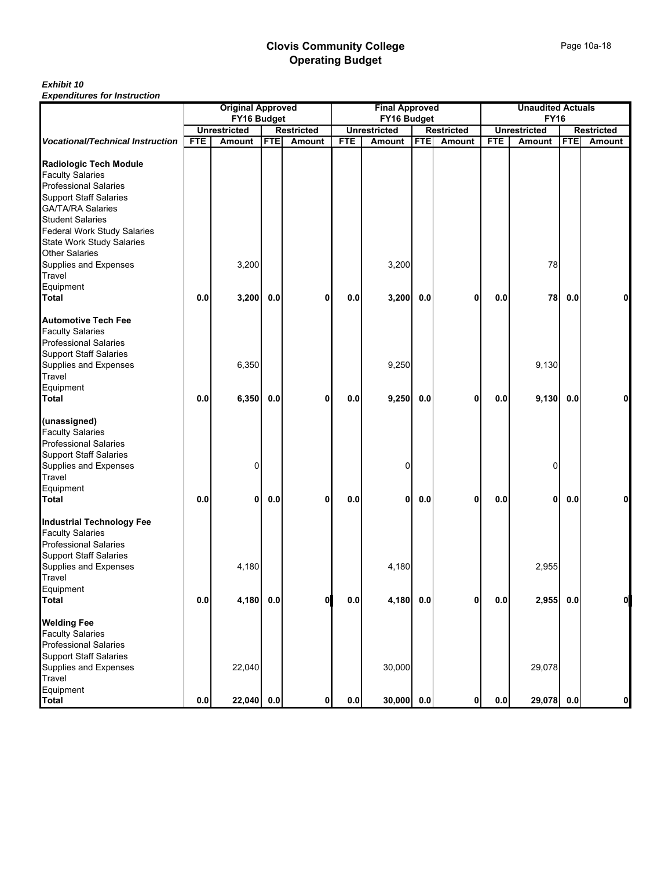|                                         |                                    | <b>Original Approved</b> |            |                   | <b>Final Approved</b> |                     |            |                   | <b>Unaudited Actuals</b> |                     |            |                   |
|-----------------------------------------|------------------------------------|--------------------------|------------|-------------------|-----------------------|---------------------|------------|-------------------|--------------------------|---------------------|------------|-------------------|
|                                         | FY16 Budget<br><b>Unrestricted</b> |                          |            |                   |                       | FY16 Budget         |            |                   |                          | <b>FY16</b>         |            |                   |
|                                         |                                    |                          |            | <b>Restricted</b> |                       | <b>Unrestricted</b> |            | <b>Restricted</b> |                          | <b>Unrestricted</b> |            | <b>Restricted</b> |
| <b>Vocational/Technical Instruction</b> | <b>FTE</b>                         | <b>Amount</b>            | <b>FTE</b> | <b>Amount</b>     | <b>FTE</b>            | Amount              | <b>FTE</b> | Amount            | <b>FTE</b>               | Amount              | <b>FTE</b> | Amount            |
| <b>Radiologic Tech Module</b>           |                                    |                          |            |                   |                       |                     |            |                   |                          |                     |            |                   |
| <b>Faculty Salaries</b>                 |                                    |                          |            |                   |                       |                     |            |                   |                          |                     |            |                   |
| <b>Professional Salaries</b>            |                                    |                          |            |                   |                       |                     |            |                   |                          |                     |            |                   |
| <b>Support Staff Salaries</b>           |                                    |                          |            |                   |                       |                     |            |                   |                          |                     |            |                   |
| <b>GA/TA/RA Salaries</b>                |                                    |                          |            |                   |                       |                     |            |                   |                          |                     |            |                   |
| <b>Student Salaries</b>                 |                                    |                          |            |                   |                       |                     |            |                   |                          |                     |            |                   |
| <b>Federal Work Study Salaries</b>      |                                    |                          |            |                   |                       |                     |            |                   |                          |                     |            |                   |
| <b>State Work Study Salaries</b>        |                                    |                          |            |                   |                       |                     |            |                   |                          |                     |            |                   |
| <b>Other Salaries</b>                   |                                    |                          |            |                   |                       |                     |            |                   |                          |                     |            |                   |
| <b>Supplies and Expenses</b>            |                                    | 3,200                    |            |                   |                       | 3,200               |            |                   |                          | 78                  |            |                   |
| Travel                                  |                                    |                          |            |                   |                       |                     |            |                   |                          |                     |            |                   |
| Equipment                               |                                    |                          |            |                   |                       |                     |            |                   |                          |                     |            |                   |
| <b>Total</b>                            | 0.0                                | 3,200                    | 0.0        | $\mathbf{0}$      | 0.0                   | 3,200               | 0.0        | 0                 | 0.0                      | 78                  | 0.0        |                   |
|                                         |                                    |                          |            |                   |                       |                     |            |                   |                          |                     |            |                   |
| <b>Automotive Tech Fee</b>              |                                    |                          |            |                   |                       |                     |            |                   |                          |                     |            |                   |
| <b>Faculty Salaries</b>                 |                                    |                          |            |                   |                       |                     |            |                   |                          |                     |            |                   |
| <b>Professional Salaries</b>            |                                    |                          |            |                   |                       |                     |            |                   |                          |                     |            |                   |
| <b>Support Staff Salaries</b>           |                                    |                          |            |                   |                       |                     |            |                   |                          |                     |            |                   |
| Supplies and Expenses                   |                                    | 6,350                    |            |                   |                       | 9,250               |            |                   |                          | 9,130               |            |                   |
| Travel                                  |                                    |                          |            |                   |                       |                     |            |                   |                          |                     |            |                   |
| Equipment                               |                                    |                          |            |                   |                       |                     |            |                   |                          |                     |            |                   |
| <b>Total</b>                            | 0.0                                | 6,350                    | 0.0        | $\mathbf{0}$      | 0.0                   | 9,250               | 0.0        | 0                 | $0.0\,$                  | 9,130               | 0.0        | 0                 |
|                                         |                                    |                          |            |                   |                       |                     |            |                   |                          |                     |            |                   |
| (unassigned)                            |                                    |                          |            |                   |                       |                     |            |                   |                          |                     |            |                   |
| <b>Faculty Salaries</b>                 |                                    |                          |            |                   |                       |                     |            |                   |                          |                     |            |                   |
| <b>Professional Salaries</b>            |                                    |                          |            |                   |                       |                     |            |                   |                          |                     |            |                   |
| <b>Support Staff Salaries</b>           |                                    |                          |            |                   |                       |                     |            |                   |                          |                     |            |                   |
| <b>Supplies and Expenses</b>            |                                    | 0                        |            |                   |                       | 0                   |            |                   |                          | 0                   |            |                   |
| <b>Travel</b>                           |                                    |                          |            |                   |                       |                     |            |                   |                          |                     |            |                   |
| Equipment                               |                                    |                          |            |                   |                       |                     |            |                   |                          |                     |            |                   |
| <b>Total</b>                            | 0.0                                | 0                        | 0.0        | <sub>0</sub>      | 0.0                   | 0                   | $0.0\,$    | 0                 | 0.0                      | 0                   | 0.0        |                   |
| <b>Industrial Technology Fee</b>        |                                    |                          |            |                   |                       |                     |            |                   |                          |                     |            |                   |
| <b>Faculty Salaries</b>                 |                                    |                          |            |                   |                       |                     |            |                   |                          |                     |            |                   |
| <b>Professional Salaries</b>            |                                    |                          |            |                   |                       |                     |            |                   |                          |                     |            |                   |
| <b>Support Staff Salaries</b>           |                                    |                          |            |                   |                       |                     |            |                   |                          |                     |            |                   |
| Supplies and Expenses                   |                                    | 4,180                    |            |                   |                       | 4,180               |            |                   |                          | 2,955               |            |                   |
| Travel                                  |                                    |                          |            |                   |                       |                     |            |                   |                          |                     |            |                   |
| Equipment                               |                                    |                          |            |                   |                       |                     |            |                   |                          |                     |            |                   |
| <b>Total</b>                            | 0.0                                | 4,180 0.0                |            | Ol                | 0.0                   | 4,180               | 0.0        | 0                 | 0.0                      | $2,955$ 0.0         |            | 0                 |
|                                         |                                    |                          |            |                   |                       |                     |            |                   |                          |                     |            |                   |
| <b>Welding Fee</b>                      |                                    |                          |            |                   |                       |                     |            |                   |                          |                     |            |                   |
| <b>Faculty Salaries</b>                 |                                    |                          |            |                   |                       |                     |            |                   |                          |                     |            |                   |
| <b>Professional Salaries</b>            |                                    |                          |            |                   |                       |                     |            |                   |                          |                     |            |                   |
| <b>Support Staff Salaries</b>           |                                    |                          |            |                   |                       |                     |            |                   |                          |                     |            |                   |
| Supplies and Expenses                   |                                    | 22,040                   |            |                   |                       | 30,000              |            |                   |                          | 29,078              |            |                   |
| Travel                                  |                                    |                          |            |                   |                       |                     |            |                   |                          |                     |            |                   |
| Equipment                               |                                    |                          |            |                   |                       |                     |            |                   |                          |                     |            |                   |
| <b>Total</b>                            | $0.0\,$                            | 22,040 0.0               |            | 0                 | $\mathbf{0.0}$        | $30,000$ 0.0        |            | 0                 | $0.0\,$                  | 29,078 0.0          |            | 0                 |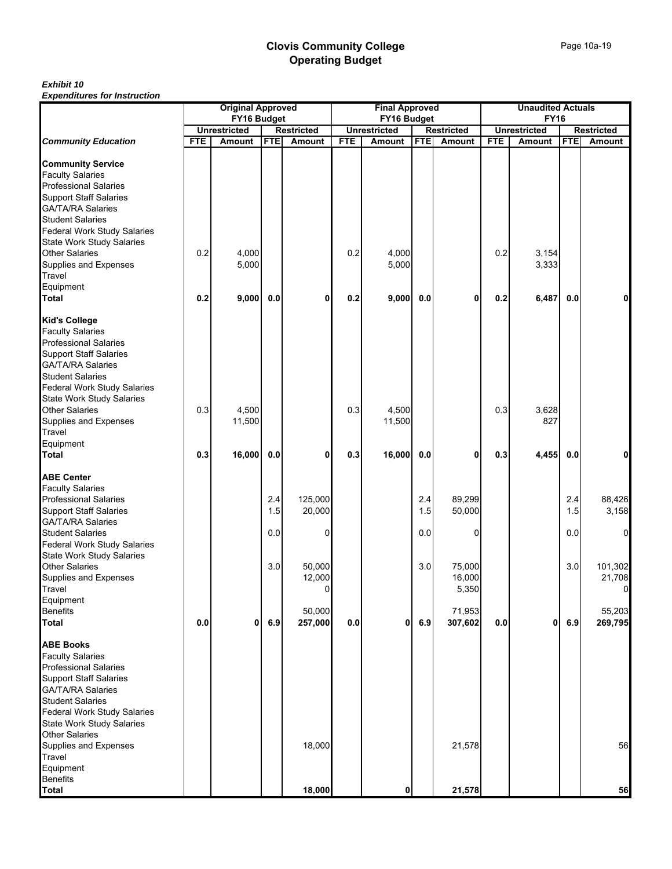|                                                                                                                                                                                                                                                                                                                                                                          | <b>Original Approved</b><br>FY16 Budget |                     |                                 |                                                                                   | <b>Final Approved</b><br>FY16 Budget |                     |                                 |                                                                         | <b>Unaudited Actuals</b><br><b>FY16</b> |                     |                                 |                                                                                               |
|--------------------------------------------------------------------------------------------------------------------------------------------------------------------------------------------------------------------------------------------------------------------------------------------------------------------------------------------------------------------------|-----------------------------------------|---------------------|---------------------------------|-----------------------------------------------------------------------------------|--------------------------------------|---------------------|---------------------------------|-------------------------------------------------------------------------|-----------------------------------------|---------------------|---------------------------------|-----------------------------------------------------------------------------------------------|
|                                                                                                                                                                                                                                                                                                                                                                          |                                         | <b>Unrestricted</b> |                                 | <b>Restricted</b>                                                                 |                                      | <b>Unrestricted</b> |                                 | <b>Restricted</b>                                                       |                                         | <b>Unrestricted</b> |                                 | <b>Restricted</b>                                                                             |
| <b>Community Education</b>                                                                                                                                                                                                                                                                                                                                               | <b>FTE</b>                              | Amount              | <b>FTE</b>                      | <b>Amount</b>                                                                     | <b>FTE</b>                           | <b>Amount</b>       | <b>FTE</b>                      | Amount                                                                  | <b>FTE</b>                              | <b>Amount</b>       | <b>FTE</b>                      | Amount                                                                                        |
| <b>Community Service</b><br><b>Faculty Salaries</b><br><b>Professional Salaries</b><br><b>Support Staff Salaries</b><br><b>GA/TA/RA Salaries</b><br><b>Student Salaries</b><br><b>Federal Work Study Salaries</b><br><b>State Work Study Salaries</b><br><b>Other Salaries</b><br><b>Supplies and Expenses</b><br>Travel                                                 | 0.2                                     | 4,000<br>5,000      |                                 |                                                                                   | 0.2                                  | 4,000<br>5,000      |                                 |                                                                         | 0.2                                     | 3,154<br>3,333      |                                 |                                                                                               |
| Equipment<br><b>Total</b>                                                                                                                                                                                                                                                                                                                                                | 0.2                                     | 9,000               | 0.0                             | 0                                                                                 | 0.2                                  | 9,000               | 0.0                             | $\mathbf 0$                                                             | 0.2                                     | 6,487               | 0.0                             | 0                                                                                             |
| <b>Kid's College</b><br><b>Faculty Salaries</b><br><b>Professional Salaries</b><br><b>Support Staff Salaries</b><br><b>GA/TA/RA Salaries</b><br><b>Student Salaries</b><br><b>Federal Work Study Salaries</b><br><b>State Work Study Salaries</b><br><b>Other Salaries</b><br>Supplies and Expenses<br><b>Travel</b>                                                     | 0.3                                     | 4,500<br>11,500     |                                 |                                                                                   | 0.3                                  | 4,500<br>11,500     |                                 |                                                                         | 0.3                                     | 3,628<br>827        |                                 |                                                                                               |
| Equipment<br><b>Total</b>                                                                                                                                                                                                                                                                                                                                                | 0.3                                     | 16,000              | 0.0                             | 0                                                                                 | 0.3                                  | 16,000              | 0.0                             | 0                                                                       | 0.3                                     | 4,455               | 0.0                             | 0                                                                                             |
| <b>ABE Center</b><br><b>Faculty Salaries</b><br><b>Professional Salaries</b><br><b>Support Staff Salaries</b><br><b>GA/TA/RA Salaries</b><br><b>Student Salaries</b><br><b>Federal Work Study Salaries</b><br><b>State Work Study Salaries</b><br><b>Other Salaries</b><br><b>Supplies and Expenses</b><br><b>Travel</b><br>Equipment<br><b>Benefits</b><br><b>Total</b> | 0.0                                     | 0                   | 2.4<br>1.5<br>0.0<br>3.0<br>6.9 | 125,000<br>20,000<br>0<br>50,000<br>12,000<br>$\overline{0}$<br>50,000<br>257,000 | 0.0                                  | $\mathbf 0$         | 2.4<br>1.5<br>0.0<br>3.0<br>6.9 | 89,299<br>50,000<br>0<br>75,000<br>16,000<br>5,350<br>71,953<br>307,602 | $0.0\,$                                 | 0                   | 2.4<br>1.5<br>0.0<br>3.0<br>6.9 | 88,426<br>3,158<br>$\overline{0}$<br>101,302<br>21,708<br>$\overline{0}$<br>55,203<br>269,795 |
| <b>ABE Books</b><br><b>Faculty Salaries</b><br><b>Professional Salaries</b><br><b>Support Staff Salaries</b><br><b>GA/TA/RA Salaries</b><br><b>Student Salaries</b><br><b>Federal Work Study Salaries</b><br><b>State Work Study Salaries</b><br><b>Other Salaries</b><br><b>Supplies and Expenses</b><br>Travel<br>Equipment                                            |                                         |                     |                                 | 18,000                                                                            |                                      |                     |                                 | 21,578                                                                  |                                         |                     |                                 | 56                                                                                            |
| <b>Benefits</b><br><b>Total</b>                                                                                                                                                                                                                                                                                                                                          |                                         |                     |                                 | 18,000                                                                            |                                      | $\mathbf 0$         |                                 | 21,578                                                                  |                                         |                     |                                 | 56                                                                                            |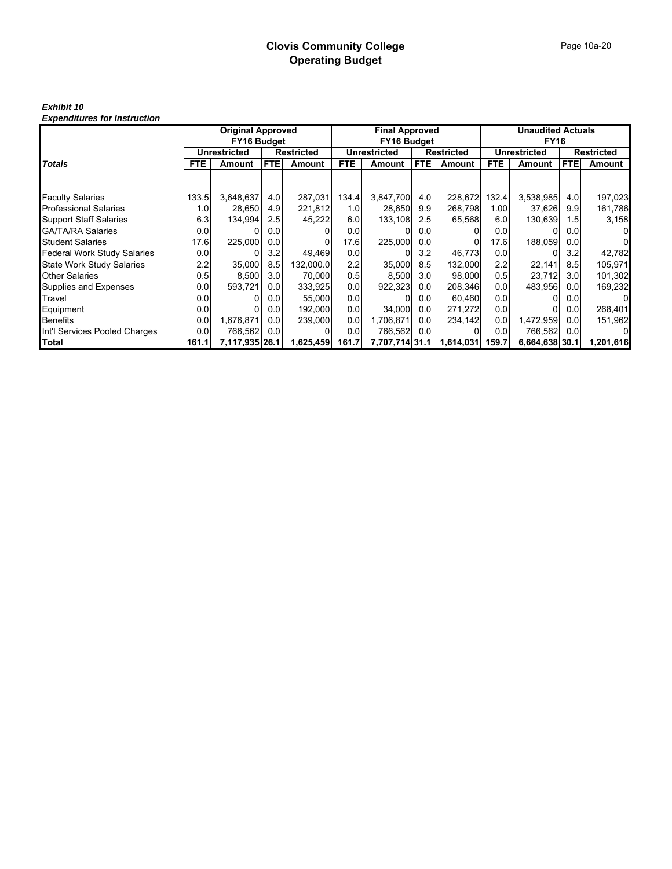## *Exhibit 10*

*Expenditures for Instruction*

|                                    |       | <b>Original Approved</b> |                  |                   |            | <b>Final Approved</b> |                  |                   |       | <b>Unaudited Actuals</b> |                  |                   |
|------------------------------------|-------|--------------------------|------------------|-------------------|------------|-----------------------|------------------|-------------------|-------|--------------------------|------------------|-------------------|
|                                    |       | FY16 Budget              |                  |                   |            | FY16 Budget           |                  |                   |       | <b>FY16</b>              |                  |                   |
|                                    |       | <b>Unrestricted</b>      |                  | <b>Restricted</b> |            | <b>Unrestricted</b>   |                  | <b>Restricted</b> |       | Unrestricted             |                  | <b>Restricted</b> |
| <b>Totals</b>                      | FTE.  | Amount                   | <b>FTEI</b>      | Amount            | <b>FTE</b> | Amount                | <b>FTEI</b>      | Amount            | FTE.  | Amount                   | <b>FTE</b>       | <b>Amount</b>     |
|                                    |       |                          |                  |                   |            |                       |                  |                   |       |                          |                  |                   |
| <b>Faculty Salaries</b>            | 133.5 | 3,648,637                | 4.0              | 287,031           | 134.4      | 3,847,700             | 4.0              | 228,672           | 132.4 | 3,538,985                | 4.0              | 197,023           |
| <b>Professional Salaries</b>       | 1.0   | 28,650                   | 4.9              | 221,812           | 1.0        | 28,650                | 9.9              | 268,798           | 1.00  | 37,626                   | 9.9              | 161,786           |
| <b>Support Staff Salaries</b>      | 6.3   | 134,994                  | 2.5              | 45,222            | 6.0        | 133,108               | 2.5              | 65,568            | 6.0   | 130,639                  | 1.5              | 3,158             |
| <b>GA/TA/RA Salaries</b>           | 0.0   | 01                       | 0.0              |                   | 0.0        |                       | 0.0              |                   | 0.0   |                          | 0.0 <sub>l</sub> |                   |
| <b>Student Salaries</b>            | 17.6  | 225,000                  | 0.0              |                   | 17.6       | 225,000               | 0.0              |                   | 17.6  | 188,059                  | 0.0              |                   |
| <b>Federal Work Study Salaries</b> | 0.0   |                          | 3.2              | 49.469            | 0.0        |                       | 3.2              | 46,773            | 0.0   |                          | 3.2              | 42,782            |
| <b>State Work Study Salaries</b>   | 2.2   | 35,000                   | 8.5              | 132,000.0         | 2.2        | 35,000                | 8.5              | 132.000           | 2.2   | 22,141                   | 8.5              | 105,971           |
| <b>Other Salaries</b>              | 0.5   | 8,500                    | 3.0 <sub>l</sub> | 70,000            | 0.5        | 8,500                 | 3.0 <sub>l</sub> | 98.000            | 0.5   | 23,712                   | 3.0 <sub>l</sub> | 101,302           |
| Supplies and Expenses              | 0.0   | 593,721                  | 0.0              | 333,925           | 0.0        | 922,323               | 0.0              | 208,346           | 0.0   | 483,956                  | 0.0              | 169,232           |
| Travel                             | 0.0   |                          | 0.0              | 55,000            | 0.0        |                       | 0.0              | 60.460            | 0.0   | 0                        | 0.0              |                   |
| Equipment                          | 0.0   |                          | 0.0              | 192,000           | 0.0        | 34,000                | 0.0              | 271,272           | 0.0   |                          | 0.0              | 268,401           |
| <b>Benefits</b>                    | 0.0   | 676,871                  | 0.0              | 239,000           | 0.0        | 1,706,871             | 0.0              | 234,142           | 0.0   | 1,472,959                | 0.0              | 151,962           |
| Int'l Services Pooled Charges      | 0.0   | 766,562                  | 0.0              |                   | 0.0        | 766,562               | 0.0              |                   | 0.0   | 766,562                  | 0.0              |                   |
| Total                              | 161.1 | 7,117,935 26.1           |                  | 1,625,459         | 161.7      | 7,707,714 31.1        |                  | 1,614,031         | 159.7 | 6,664,638 30.1           |                  | 1,201,616         |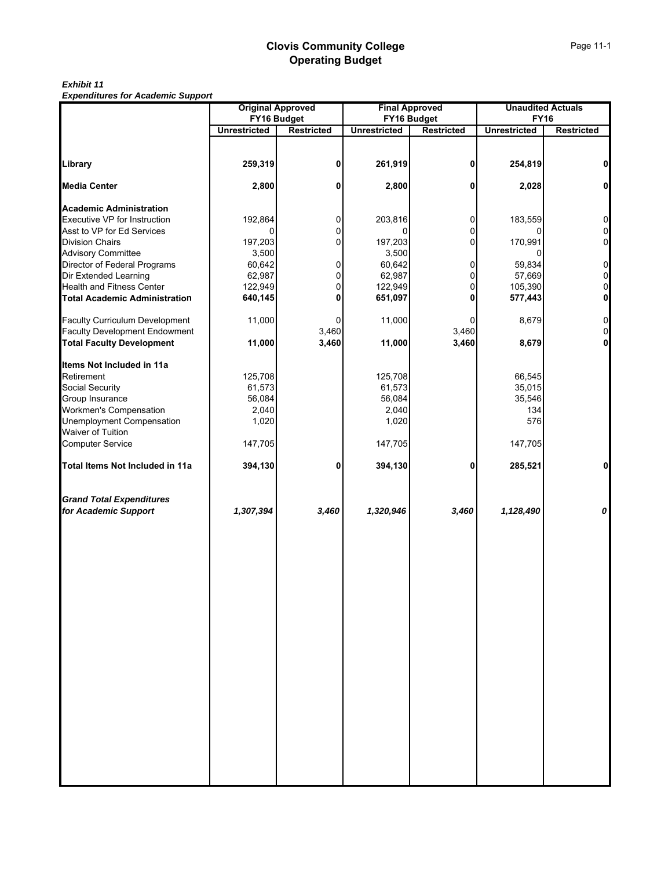|                                       |                     | <b>Original Approved</b> |                     | <b>Final Approved</b> |                     | <b>Unaudited Actuals</b> |
|---------------------------------------|---------------------|--------------------------|---------------------|-----------------------|---------------------|--------------------------|
|                                       | FY16 Budget         |                          | FY16 Budget         |                       | <b>FY16</b>         |                          |
|                                       | <b>Unrestricted</b> | <b>Restricted</b>        | <b>Unrestricted</b> | <b>Restricted</b>     | <b>Unrestricted</b> | <b>Restricted</b>        |
|                                       |                     |                          |                     |                       |                     |                          |
| Library                               | 259,319             | 0                        | 261,919             | 0                     | 254,819             | $\mathbf{0}$             |
| <b>Media Center</b>                   | 2,800               | $\mathbf{0}$             | 2,800               | $\mathbf{0}$          | 2,028               | $\mathbf{0}$             |
| <b>Academic Administration</b>        |                     |                          |                     |                       |                     |                          |
| Executive VP for Instruction          | 192,864             | 0                        | 203,816             | $\mathbf 0$           | 183,559             | $\overline{0}$           |
| Asst to VP for Ed Services            |                     | 0                        | 0                   | 0                     |                     | $\overline{0}$           |
| Division Chairs                       | 197,203             | 0                        | 197,203             | 0                     | 170,991             | $\overline{0}$           |
| <b>Advisory Committee</b>             | 3,500               |                          | 3,500               |                       |                     |                          |
| Director of Federal Programs          | 60,642              | 0                        | 60,642              | 0                     | 59,834              | $\overline{0}$           |
| Dir Extended Learning                 | 62,987              | 0                        | 62,987              | 0                     | 57,669              | $\overline{0}$           |
| <b>Health and Fitness Center</b>      | 122,949             | 0                        | 122,949             | 0                     | 105,390             | $\mathbf 0$              |
| <b>Total Academic Administration</b>  | 640,145             | 0                        | 651,097             | 0                     | 577,443             | $\mathbf{0}$             |
| <b>Faculty Curriculum Development</b> | 11,000              |                          | 11,000              | 0                     | 8,679               | $\overline{0}$           |
| <b>Faculty Development Endowment</b>  |                     | 3,460                    |                     | 3,460                 |                     | $\mathbf 0$              |
| <b>Total Faculty Development</b>      | 11,000              | 3,460                    | 11,000              | 3,460                 | 8,679               | $\mathbf{0}$             |
| Items Not Included in 11a             |                     |                          |                     |                       |                     |                          |
| Retirement                            | 125,708             |                          | 125,708             |                       | 66,545              |                          |
| Social Security                       | 61,573              |                          | 61,573              |                       | 35,015              |                          |
| Group Insurance                       | 56,084              |                          | 56,084              |                       | 35,546              |                          |
| Workmen's Compensation                | 2,040               |                          | 2,040               |                       | 134                 |                          |
| Unemployment Compensation             | 1,020               |                          | 1,020               |                       | 576                 |                          |
| Waiver of Tuition                     |                     |                          |                     |                       |                     |                          |
| <b>Computer Service</b>               | 147,705             |                          | 147,705             |                       | 147,705             |                          |
| Total Items Not Included in 11a       | 394,130             | 0                        | 394,130             | 0                     | 285,521             | $\mathbf{0}$             |
| <b>Grand Total Expenditures</b>       |                     |                          |                     |                       |                     |                          |
| for Academic Support                  | 1,307,394           | 3,460                    | 1,320,946           | 3,460                 | 1,128,490           | $\boldsymbol{o}$         |
|                                       |                     |                          |                     |                       |                     |                          |
|                                       |                     |                          |                     |                       |                     |                          |
|                                       |                     |                          |                     |                       |                     |                          |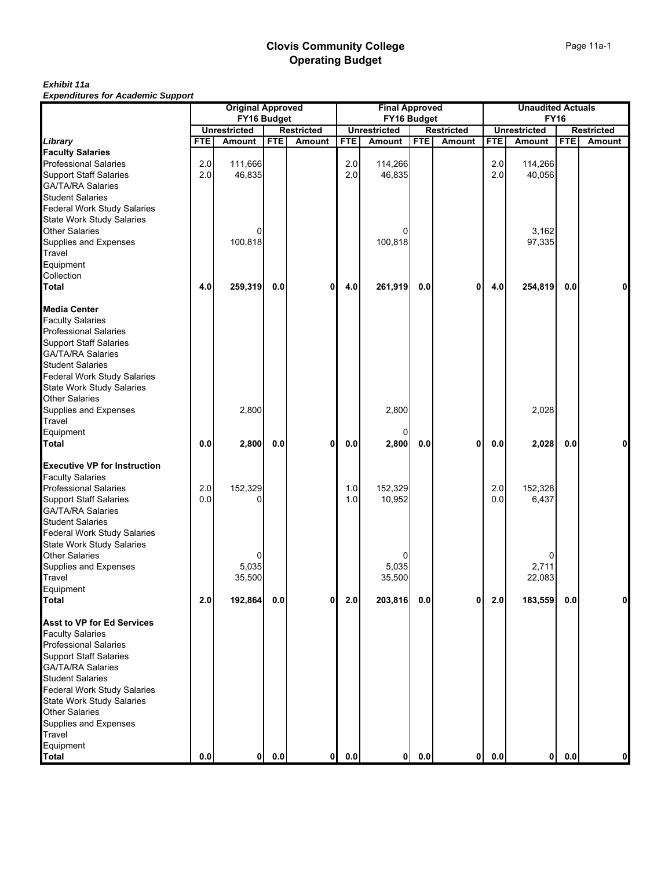|                                                  |            | <b>Original Approved</b> |            |                   |            | <b>Final Approved</b> |            |                   |            | <b>Unaudited Actuals</b> |            |                   |
|--------------------------------------------------|------------|--------------------------|------------|-------------------|------------|-----------------------|------------|-------------------|------------|--------------------------|------------|-------------------|
|                                                  |            | FY16 Budget              |            |                   |            | FY16 Budget           |            |                   |            | <b>FY16</b>              |            |                   |
|                                                  |            | <b>Unrestricted</b>      |            | <b>Restricted</b> |            | <b>Unrestricted</b>   |            | <b>Restricted</b> |            | <b>Unrestricted</b>      |            | <b>Restricted</b> |
| Library                                          | <b>FTE</b> | <b>Amount</b>            | <b>FTE</b> | <b>Amount</b>     | <b>FTE</b> | <b>Amount</b>         | <b>FTE</b> | <b>Amount</b>     | <b>FTE</b> | <b>Amount</b>            | <b>FTE</b> | <b>Amount</b>     |
| <b>Faculty Salaries</b><br>Professional Salaries | 2.0        | 111,666                  |            |                   | 2.0        | 114,266               |            |                   | 2.0        | 114,266                  |            |                   |
| <b>Support Staff Salaries</b>                    | 2.0        | 46,835                   |            |                   | 2.0        | 46,835                |            |                   | 2.0        | 40,056                   |            |                   |
|                                                  |            |                          |            |                   |            |                       |            |                   |            |                          |            |                   |
| GA/TA/RA Salaries<br>Student Salaries            |            |                          |            |                   |            |                       |            |                   |            |                          |            |                   |
| <b>Federal Work Study Salaries</b>               |            |                          |            |                   |            |                       |            |                   |            |                          |            |                   |
|                                                  |            |                          |            |                   |            |                       |            |                   |            |                          |            |                   |
| State Work Study Salaries<br>Other Salaries      |            |                          |            |                   |            |                       |            |                   |            | 3,162                    |            |                   |
| Supplies and Expenses                            |            | 100,818                  |            |                   |            | 100,818               |            |                   |            | 97,335                   |            |                   |
| Travel                                           |            |                          |            |                   |            |                       |            |                   |            |                          |            |                   |
|                                                  |            |                          |            |                   |            |                       |            |                   |            |                          |            |                   |
| Equipment<br>Collection                          |            |                          |            |                   |            |                       |            |                   |            |                          |            |                   |
| <b>Total</b>                                     | 4.0        | 259,319                  | 0.0        | $\mathbf 0$       | 4.0        | 261,919               | 0.0        | 0                 | 4.0        | 254,819                  | 0.0        |                   |
|                                                  |            |                          |            |                   |            |                       |            |                   |            |                          |            |                   |
| <b>Media Center</b>                              |            |                          |            |                   |            |                       |            |                   |            |                          |            |                   |
| <b>Faculty Salaries</b>                          |            |                          |            |                   |            |                       |            |                   |            |                          |            |                   |
| <b>Professional Salaries</b>                     |            |                          |            |                   |            |                       |            |                   |            |                          |            |                   |
|                                                  |            |                          |            |                   |            |                       |            |                   |            |                          |            |                   |
| Support Staff Salaries<br>GA/TA/RA Salaries      |            |                          |            |                   |            |                       |            |                   |            |                          |            |                   |
| <b>Student Salaries</b>                          |            |                          |            |                   |            |                       |            |                   |            |                          |            |                   |
| <b>Federal Work Study Salaries</b>               |            |                          |            |                   |            |                       |            |                   |            |                          |            |                   |
| State Work Study Salaries                        |            |                          |            |                   |            |                       |            |                   |            |                          |            |                   |
| <b>Other Salaries</b>                            |            |                          |            |                   |            |                       |            |                   |            |                          |            |                   |
|                                                  |            | 2,800                    |            |                   |            | 2,800                 |            |                   |            | 2,028                    |            |                   |
| Supplies and Expenses<br>Travel                  |            |                          |            |                   |            |                       |            |                   |            |                          |            |                   |
| Equipment                                        |            |                          |            |                   |            | 0                     |            |                   |            |                          |            |                   |
| <b>Total</b>                                     | 0.0        | 2,800                    | 0.0        | 0                 | 0.0        | 2,800                 | 0.0        | 0                 | 0.0        | 2,028                    | 0.0        | 0                 |
|                                                  |            |                          |            |                   |            |                       |            |                   |            |                          |            |                   |
| <b>Executive VP for Instruction</b>              |            |                          |            |                   |            |                       |            |                   |            |                          |            |                   |
| <b>Faculty Salaries</b>                          |            |                          |            |                   |            |                       |            |                   |            |                          |            |                   |
| <b>Professional Salaries</b>                     | 2.0        | 152,329                  |            |                   | 1.0        | 152,329               |            |                   | 2.0        | 152,328                  |            |                   |
| <b>Support Staff Salaries</b>                    | 0.0        |                          |            |                   | 1.0        | 10,952                |            |                   | 0.0        | 6,437                    |            |                   |
| GA/TA/RA Salaries                                |            |                          |            |                   |            |                       |            |                   |            |                          |            |                   |
| Student Salaries<br>Federal Work Study Salaries  |            |                          |            |                   |            |                       |            |                   |            |                          |            |                   |
|                                                  |            |                          |            |                   |            |                       |            |                   |            |                          |            |                   |
| <b>State Work Study Salaries</b>                 |            |                          |            |                   |            |                       |            |                   |            |                          |            |                   |
| <b>Other Salaries</b>                            |            |                          |            |                   |            | O                     |            |                   |            | 0                        |            |                   |
| Supplies and Expenses<br>Travel                  |            | 5,035                    |            |                   |            | 5,035                 |            |                   |            | 2,711                    |            |                   |
|                                                  |            | 35,500                   |            |                   |            | 35,500                |            |                   |            | 22,083                   |            |                   |
| Equipment                                        |            |                          |            |                   |            |                       |            |                   |            |                          |            |                   |
| Total                                            | 2.0        | 192,864                  | 0.0        | οl                | 2.0        | 203,816               | 0.0        | 0                 | 2.0        | 183,559                  | $0.0\,$    | 0                 |
|                                                  |            |                          |            |                   |            |                       |            |                   |            |                          |            |                   |
| Asst to VP for Ed Services                       |            |                          |            |                   |            |                       |            |                   |            |                          |            |                   |
| <b>Faculty Salaries</b>                          |            |                          |            |                   |            |                       |            |                   |            |                          |            |                   |
| <b>Professional Salaries</b>                     |            |                          |            |                   |            |                       |            |                   |            |                          |            |                   |
| <b>Support Staff Salaries</b>                    |            |                          |            |                   |            |                       |            |                   |            |                          |            |                   |
| <b>GA/TA/RA Salaries</b>                         |            |                          |            |                   |            |                       |            |                   |            |                          |            |                   |
| <b>Student Salaries</b>                          |            |                          |            |                   |            |                       |            |                   |            |                          |            |                   |
| <b>Federal Work Study Salaries</b>               |            |                          |            |                   |            |                       |            |                   |            |                          |            |                   |
| <b>State Work Study Salaries</b>                 |            |                          |            |                   |            |                       |            |                   |            |                          |            |                   |
| <b>Other Salaries</b>                            |            |                          |            |                   |            |                       |            |                   |            |                          |            |                   |
| Supplies and Expenses                            |            |                          |            |                   |            |                       |            |                   |            |                          |            |                   |
| Travel                                           |            |                          |            |                   |            |                       |            |                   |            |                          |            |                   |
| Equipment<br>Total                               |            |                          |            |                   |            |                       |            |                   |            |                          |            |                   |
|                                                  | $0.0\,$    | $\mathbf{0}$             | $0.0\,$    | $\mathbf{0}$      | $0.0\,$    | $\mathbf{0}$          | $0.0\,$    | $\mathbf 0$       | 0.0        | 0                        | $0.0\,$    | 0                 |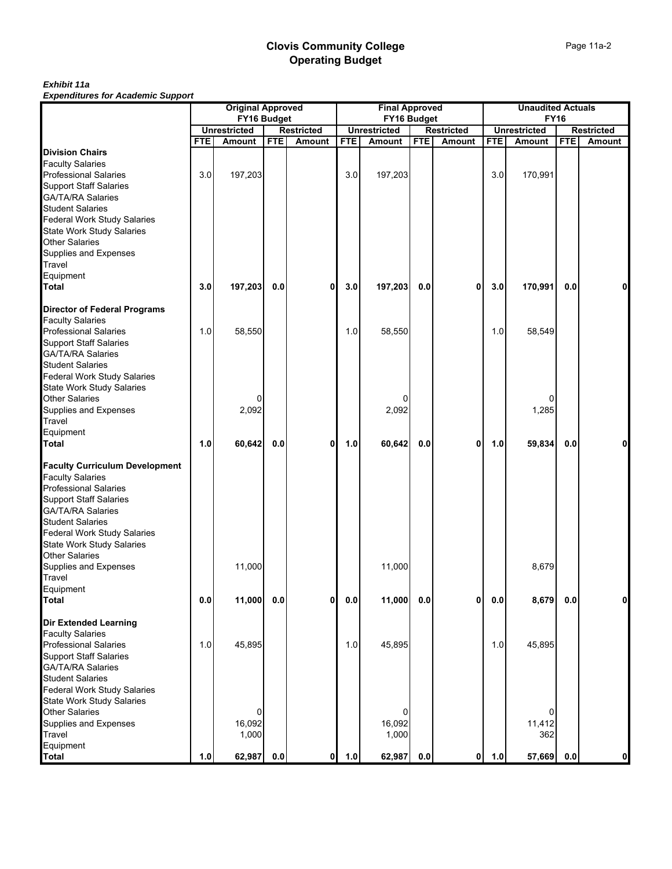|                                       |            | <b>Original Approved</b> |            |                   |            | <b>Final Approved</b> |            |                   |                | <b>Unaudited Actuals</b> |            |                   |
|---------------------------------------|------------|--------------------------|------------|-------------------|------------|-----------------------|------------|-------------------|----------------|--------------------------|------------|-------------------|
|                                       |            | FY16 Budget              |            |                   |            | FY16 Budget           |            |                   |                | <b>FY16</b>              |            |                   |
|                                       |            | <b>Unrestricted</b>      |            | <b>Restricted</b> |            | <b>Unrestricted</b>   |            | <b>Restricted</b> |                | <b>Unrestricted</b>      |            | <b>Restricted</b> |
|                                       | <b>FTE</b> | <b>Amount</b>            | <b>FTE</b> | Amount            | <b>FTE</b> | Amount                | <b>FTE</b> | Amount            | <b>FTE</b>     | Amount                   | <b>FTE</b> | <b>Amount</b>     |
| <b>Division Chairs</b>                |            |                          |            |                   |            |                       |            |                   |                |                          |            |                   |
| <b>Faculty Salaries</b>               |            |                          |            |                   |            |                       |            |                   |                |                          |            |                   |
| <b>Professional Salaries</b>          | 3.0        | 197,203                  |            |                   | 3.0        | 197,203               |            |                   | 3.0            | 170,991                  |            |                   |
| <b>Support Staff Salaries</b>         |            |                          |            |                   |            |                       |            |                   |                |                          |            |                   |
| <b>GA/TA/RA Salaries</b>              |            |                          |            |                   |            |                       |            |                   |                |                          |            |                   |
| <b>Student Salaries</b>               |            |                          |            |                   |            |                       |            |                   |                |                          |            |                   |
| <b>Federal Work Study Salaries</b>    |            |                          |            |                   |            |                       |            |                   |                |                          |            |                   |
| <b>State Work Study Salaries</b>      |            |                          |            |                   |            |                       |            |                   |                |                          |            |                   |
| <b>Other Salaries</b>                 |            |                          |            |                   |            |                       |            |                   |                |                          |            |                   |
| Supplies and Expenses                 |            |                          |            |                   |            |                       |            |                   |                |                          |            |                   |
| Travel                                |            |                          |            |                   |            |                       |            |                   |                |                          |            |                   |
| Equipment                             |            |                          |            |                   |            |                       |            |                   |                |                          |            |                   |
| <b>Total</b>                          | 3.0        | 197,203                  | 0.0        | 0                 | 3.0        | 197,203               | 0.0        | 0                 | 3.0            | 170,991                  | 0.0        |                   |
| <b>Director of Federal Programs</b>   |            |                          |            |                   |            |                       |            |                   |                |                          |            |                   |
| <b>Faculty Salaries</b>               |            |                          |            |                   |            |                       |            |                   |                |                          |            |                   |
| <b>Professional Salaries</b>          | 1.0        | 58,550                   |            |                   | 1.0        | 58,550                |            |                   | 1.0            | 58,549                   |            |                   |
| <b>Support Staff Salaries</b>         |            |                          |            |                   |            |                       |            |                   |                |                          |            |                   |
| <b>GA/TA/RA Salaries</b>              |            |                          |            |                   |            |                       |            |                   |                |                          |            |                   |
| <b>Student Salaries</b>               |            |                          |            |                   |            |                       |            |                   |                |                          |            |                   |
| <b>Federal Work Study Salaries</b>    |            |                          |            |                   |            |                       |            |                   |                |                          |            |                   |
| <b>State Work Study Salaries</b>      |            |                          |            |                   |            |                       |            |                   |                |                          |            |                   |
| <b>Other Salaries</b>                 |            |                          |            |                   |            | 0                     |            |                   |                | 0                        |            |                   |
| Supplies and Expenses                 |            | 2,092                    |            |                   |            | 2,092                 |            |                   |                | 1,285                    |            |                   |
| Travel                                |            |                          |            |                   |            |                       |            |                   |                |                          |            |                   |
| Equipment                             |            |                          |            |                   |            |                       |            |                   |                |                          |            |                   |
| <b>Total</b>                          | 1.0        | 60,642                   | 0.0        | 0                 | 1.0        | 60,642                | 0.0        | 0                 | 1.0            | 59,834                   | 0.0        |                   |
|                                       |            |                          |            |                   |            |                       |            |                   |                |                          |            |                   |
| <b>Faculty Curriculum Development</b> |            |                          |            |                   |            |                       |            |                   |                |                          |            |                   |
| <b>Faculty Salaries</b>               |            |                          |            |                   |            |                       |            |                   |                |                          |            |                   |
| <b>Professional Salaries</b>          |            |                          |            |                   |            |                       |            |                   |                |                          |            |                   |
| <b>Support Staff Salaries</b>         |            |                          |            |                   |            |                       |            |                   |                |                          |            |                   |
| <b>GA/TA/RA Salaries</b>              |            |                          |            |                   |            |                       |            |                   |                |                          |            |                   |
| <b>Student Salaries</b>               |            |                          |            |                   |            |                       |            |                   |                |                          |            |                   |
| Federal Work Study Salaries           |            |                          |            |                   |            |                       |            |                   |                |                          |            |                   |
| <b>State Work Study Salaries</b>      |            |                          |            |                   |            |                       |            |                   |                |                          |            |                   |
| Other Salaries                        |            |                          |            |                   |            |                       |            |                   |                |                          |            |                   |
| Supplies and Expenses                 |            | 11,000                   |            |                   |            | 11,000                |            |                   |                | 8,679                    |            |                   |
| Travel                                |            |                          |            |                   |            |                       |            |                   |                |                          |            |                   |
| Equipment                             |            |                          |            |                   |            |                       |            |                   |                |                          |            |                   |
| <b>Total</b>                          | 0.0        | 11,000                   | 0.0        | ٥I                | 0.0        | 11,000                | 0.0        | 0                 | $\mathbf{0.0}$ | 8,679                    | 0.0        | 0                 |
| <b>Dir Extended Learning</b>          |            |                          |            |                   |            |                       |            |                   |                |                          |            |                   |
| <b>Faculty Salaries</b>               |            |                          |            |                   |            |                       |            |                   |                |                          |            |                   |
| <b>Professional Salaries</b>          | 1.0        | 45,895                   |            |                   | 1.0        | 45,895                |            |                   | 1.0            | 45,895                   |            |                   |
| <b>Support Staff Salaries</b>         |            |                          |            |                   |            |                       |            |                   |                |                          |            |                   |
| <b>GA/TA/RA Salaries</b>              |            |                          |            |                   |            |                       |            |                   |                |                          |            |                   |
| <b>Student Salaries</b>               |            |                          |            |                   |            |                       |            |                   |                |                          |            |                   |
| <b>Federal Work Study Salaries</b>    |            |                          |            |                   |            |                       |            |                   |                |                          |            |                   |
|                                       |            |                          |            |                   |            |                       |            |                   |                |                          |            |                   |
| <b>State Work Study Salaries</b>      |            |                          |            |                   |            |                       |            |                   |                |                          |            |                   |
| <b>Other Salaries</b>                 |            |                          |            |                   |            | 0                     |            |                   |                | $\Omega$                 |            |                   |
| <b>Supplies and Expenses</b>          |            | 16,092                   |            |                   |            | 16,092                |            |                   |                | 11,412                   |            |                   |
| <b>Travel</b>                         |            | 1,000                    |            |                   |            | 1,000                 |            |                   |                | 362                      |            |                   |
| Equipment                             |            |                          |            |                   |            |                       |            |                   |                |                          |            |                   |
| <b>Total</b>                          | 1.0        | 62,987                   | 0.0        | 0                 | 1.0        | 62,987                | $0.0\,$    | 0                 | 1.0            | 57,669                   | 0.0        | 0                 |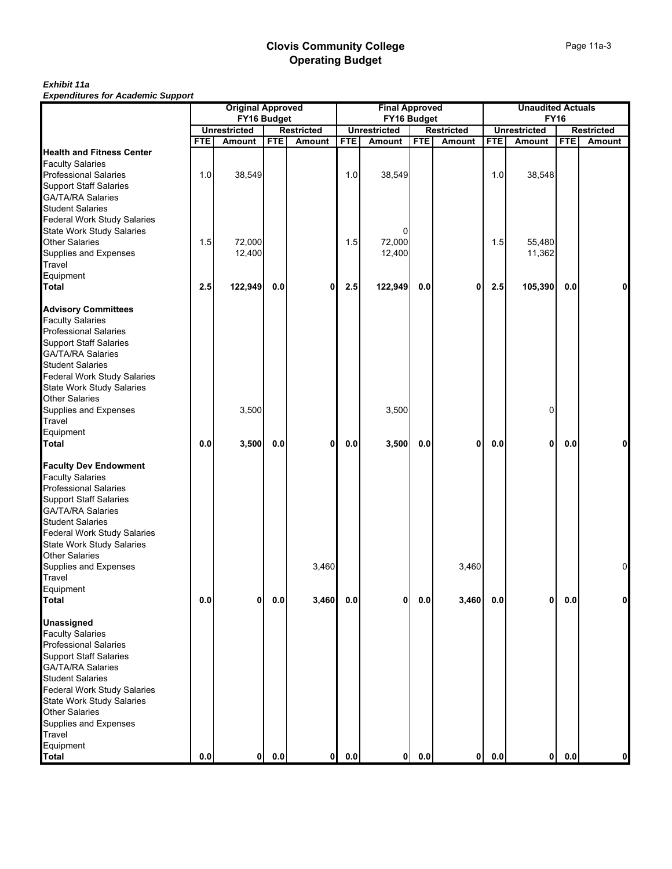|                                                                            |            | <b>Original Approved</b>           |            |                   |            | <b>Final Approved</b>              |            |                   |            | <b>Unaudited Actuals</b>           |            |                   |
|----------------------------------------------------------------------------|------------|------------------------------------|------------|-------------------|------------|------------------------------------|------------|-------------------|------------|------------------------------------|------------|-------------------|
|                                                                            |            | FY16 Budget<br><b>Unrestricted</b> |            | <b>Restricted</b> |            | FY16 Budget<br><b>Unrestricted</b> |            | <b>Restricted</b> |            | <b>FY16</b><br><b>Unrestricted</b> |            | <b>Restricted</b> |
|                                                                            | <b>FTE</b> | <b>Amount</b>                      | <b>FTE</b> | <b>Amount</b>     | <b>FTE</b> | <b>Amount</b>                      | <b>FTE</b> | Amount            | <b>FTE</b> | Amount                             | <b>FTE</b> | Amount            |
| <b>Health and Fitness Center</b>                                           |            |                                    |            |                   |            |                                    |            |                   |            |                                    |            |                   |
| <b>Faculty Salaries</b>                                                    |            |                                    |            |                   |            |                                    |            |                   |            |                                    |            |                   |
| <b>Professional Salaries</b>                                               | 1.0        | 38,549                             |            |                   | 1.0        | 38,549                             |            |                   | 1.0        | 38,548                             |            |                   |
| <b>Support Staff Salaries</b>                                              |            |                                    |            |                   |            |                                    |            |                   |            |                                    |            |                   |
| GA/TA/RA Salaries                                                          |            |                                    |            |                   |            |                                    |            |                   |            |                                    |            |                   |
| <b>Student Salaries</b>                                                    |            |                                    |            |                   |            |                                    |            |                   |            |                                    |            |                   |
| Federal Work Study Salaries                                                |            |                                    |            |                   |            |                                    |            |                   |            |                                    |            |                   |
|                                                                            |            |                                    |            |                   |            | 0                                  |            |                   |            |                                    |            |                   |
| State Work Study Salaries<br>Other Salaries                                | 1.5        | 72,000                             |            |                   | 1.5        | 72,000                             |            |                   | 1.5        | 55,480                             |            |                   |
| Supplies and Expenses                                                      |            | 12,400                             |            |                   |            | 12,400                             |            |                   |            | 11,362                             |            |                   |
|                                                                            |            |                                    |            |                   |            |                                    |            |                   |            |                                    |            |                   |
| Travel                                                                     |            |                                    |            |                   |            |                                    |            |                   |            |                                    |            |                   |
| Equipment<br>Total                                                         |            |                                    |            |                   |            |                                    |            |                   |            |                                    |            |                   |
|                                                                            | 2.5        | 122,949                            | 0.0        | 0                 | 2.5        | 122,949                            | 0.0        | 0                 | 2.5        | 105,390                            | 0.0        | 0                 |
| <b>Advisory Committees</b>                                                 |            |                                    |            |                   |            |                                    |            |                   |            |                                    |            |                   |
| Faculty Salaries                                                           |            |                                    |            |                   |            |                                    |            |                   |            |                                    |            |                   |
| <b>Professional Salaries</b>                                               |            |                                    |            |                   |            |                                    |            |                   |            |                                    |            |                   |
|                                                                            |            |                                    |            |                   |            |                                    |            |                   |            |                                    |            |                   |
| Support Staff Salaries<br>GA/TA/RA Salaries                                |            |                                    |            |                   |            |                                    |            |                   |            |                                    |            |                   |
| <b>Student Salaries</b>                                                    |            |                                    |            |                   |            |                                    |            |                   |            |                                    |            |                   |
|                                                                            |            |                                    |            |                   |            |                                    |            |                   |            |                                    |            |                   |
|                                                                            |            |                                    |            |                   |            |                                    |            |                   |            |                                    |            |                   |
| Federal Work Study Salaries<br>State Work Study Salaries<br>Other Salaries |            |                                    |            |                   |            |                                    |            |                   |            |                                    |            |                   |
|                                                                            |            |                                    |            |                   |            |                                    |            |                   |            |                                    |            |                   |
| Supplies and Expenses                                                      |            | 3,500                              |            |                   |            | 3,500                              |            |                   |            | 0                                  |            |                   |
| Travel                                                                     |            |                                    |            |                   |            |                                    |            |                   |            |                                    |            |                   |
| Equipment                                                                  |            |                                    |            |                   |            |                                    |            |                   |            |                                    |            |                   |
| <b>Total</b>                                                               | 0.0        | 3,500                              | 0.0        | $\mathbf 0$       | 0.0        | 3,500                              | 0.0        | 0                 | 0.0        | 0                                  | 0.0        |                   |
| <b>Faculty Dev Endowment</b>                                               |            |                                    |            |                   |            |                                    |            |                   |            |                                    |            |                   |
| <b>Faculty Salaries</b>                                                    |            |                                    |            |                   |            |                                    |            |                   |            |                                    |            |                   |
| <b>Professional Salaries</b>                                               |            |                                    |            |                   |            |                                    |            |                   |            |                                    |            |                   |
|                                                                            |            |                                    |            |                   |            |                                    |            |                   |            |                                    |            |                   |
| Support Staff Salaries<br>GA/TA/RA Salaries                                |            |                                    |            |                   |            |                                    |            |                   |            |                                    |            |                   |
| <b>Student Salaries</b>                                                    |            |                                    |            |                   |            |                                    |            |                   |            |                                    |            |                   |
|                                                                            |            |                                    |            |                   |            |                                    |            |                   |            |                                    |            |                   |
| <b>Federal Work Study Salaries</b>                                         |            |                                    |            |                   |            |                                    |            |                   |            |                                    |            |                   |
| State Work Study Salaries                                                  |            |                                    |            |                   |            |                                    |            |                   |            |                                    |            |                   |
| <b>Other Salaries</b>                                                      |            |                                    |            |                   |            |                                    |            |                   |            |                                    |            |                   |
| Supplies and Expenses<br>Travel                                            |            |                                    |            | 3,460             |            |                                    |            | 3,460             |            |                                    |            | $\overline{0}$    |
|                                                                            |            |                                    |            |                   |            |                                    |            |                   |            |                                    |            |                   |
| Equipment                                                                  |            |                                    |            |                   |            |                                    |            |                   |            |                                    |            |                   |
| Total                                                                      | 0.0        | 0                                  | $0.0\,$    | 3,460             | 0.0        | 0                                  | 0.0        | 3,460             | 0.0        | Οl                                 | $0.0\,$    | 0                 |
| <b>Unassigned</b>                                                          |            |                                    |            |                   |            |                                    |            |                   |            |                                    |            |                   |
| <b>Faculty Salaries</b>                                                    |            |                                    |            |                   |            |                                    |            |                   |            |                                    |            |                   |
| <b>Professional Salaries</b>                                               |            |                                    |            |                   |            |                                    |            |                   |            |                                    |            |                   |
| <b>Support Staff Salaries</b>                                              |            |                                    |            |                   |            |                                    |            |                   |            |                                    |            |                   |
|                                                                            |            |                                    |            |                   |            |                                    |            |                   |            |                                    |            |                   |
| <b>GA/TA/RA Salaries</b>                                                   |            |                                    |            |                   |            |                                    |            |                   |            |                                    |            |                   |
| <b>Student Salaries</b>                                                    |            |                                    |            |                   |            |                                    |            |                   |            |                                    |            |                   |
| Federal Work Study Salaries                                                |            |                                    |            |                   |            |                                    |            |                   |            |                                    |            |                   |
| <b>State Work Study Salaries</b>                                           |            |                                    |            |                   |            |                                    |            |                   |            |                                    |            |                   |
| <b>Other Salaries</b>                                                      |            |                                    |            |                   |            |                                    |            |                   |            |                                    |            |                   |
| Supplies and Expenses<br>Travel                                            |            |                                    |            |                   |            |                                    |            |                   |            |                                    |            |                   |
|                                                                            |            |                                    |            |                   |            |                                    |            |                   |            |                                    |            |                   |
| Equipment                                                                  |            |                                    |            |                   |            |                                    |            |                   |            |                                    |            |                   |
| <b>Total</b>                                                               | 0.0        | $\mathbf{0}$                       | 0.0        | $\mathbf{0}$      | 0.0        | $\mathbf{0}$                       | 0.0        | 0                 | 0.0        | 0                                  | 0.0        | 0                 |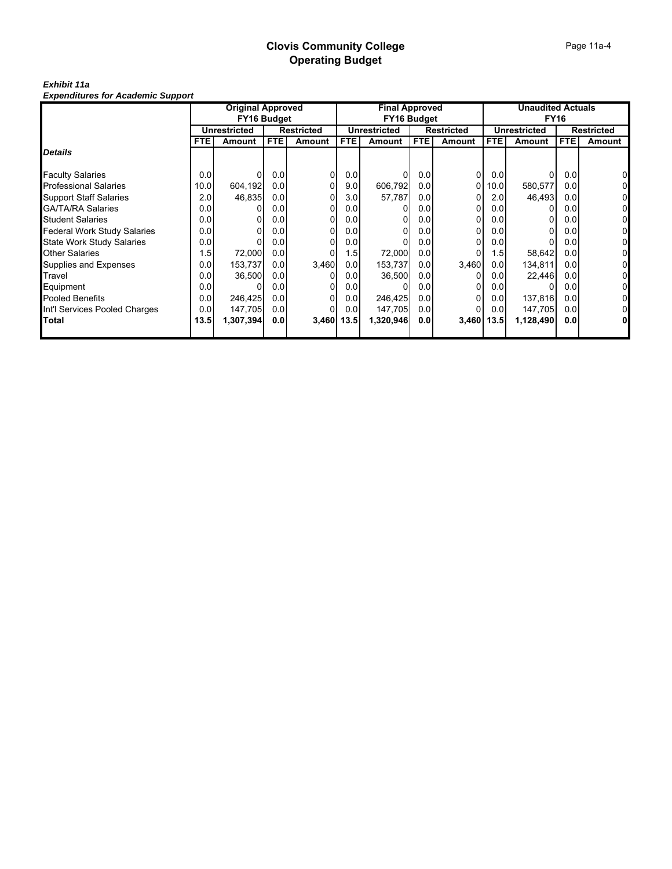|                                  | <b>Original Approved</b><br>FY16 Budget |              |                   |               | <b>Final Approved</b><br><b>FY16 Budget</b> |               |                   |            | <b>Unaudited Actuals</b><br><b>FY16</b> |              |                   |               |
|----------------------------------|-----------------------------------------|--------------|-------------------|---------------|---------------------------------------------|---------------|-------------------|------------|-----------------------------------------|--------------|-------------------|---------------|
|                                  |                                         |              |                   |               |                                             |               |                   |            |                                         |              |                   |               |
|                                  | <b>Unrestricted</b>                     |              | <b>Restricted</b> |               | <b>Unrestricted</b>                         |               | <b>Restricted</b> |            | Unrestricted                            |              | <b>Restricted</b> |               |
|                                  | <b>FTEI</b>                             | Amount       | FTE.              | <b>Amount</b> | <b>FTE</b>                                  | <b>Amount</b> | <b>FTE</b>        | Amount     | <b>FTE</b>                              | Amount       | <b>FTE</b>        | <b>Amount</b> |
| <b>Details</b>                   |                                         |              |                   |               |                                             |               |                   |            |                                         |              |                   |               |
| <b>Faculty Salaries</b>          | 0.01                                    | <sup>0</sup> | 0.0               |               | 0.0                                         |               | 0.0               | 0          | 0.0                                     | ŋ            | 0.0               |               |
| <b>Professional Salaries</b>     | 10.0                                    | 604,192      | 0.0               |               | 9.0                                         | 606,792       | 0.0               | 0          | 10.0                                    | 580,577      | 0.0               |               |
| <b>Support Staff Salaries</b>    | 2.0                                     | 46,835       | 0.0               |               | 3.0                                         | 57,787        | 0.0               |            | 2.0                                     | 46,493       | 0.0               |               |
| <b>GA/TA/RA Salaries</b>         | 0.0                                     |              | 0.0               |               | 0.0                                         |               | 0.0               |            | 0.0                                     |              | 0.0               |               |
| <b>Student Salaries</b>          | 0.0                                     |              | 0.0               |               | 0.0                                         |               | 0.0               |            | 0.0                                     |              | 0.0               |               |
| Federal Work Study Salaries      | 0.0                                     |              | 0.0               |               | 0.0 <sub>l</sub>                            |               | 0.0               |            | 0.0 <sub>l</sub>                        | <sup>0</sup> | 0.0               |               |
| <b>State Work Study Salaries</b> | 0.01                                    |              | 0.0               |               | 0.0                                         |               | 0.0               |            | 0.0                                     |              | 0.0               |               |
| <b>Other Salaries</b>            | 1.5                                     | 72,000       | 0.0               |               | 1.5                                         | 72,000        | 0.0               |            | 1.5                                     | 58,642       | 0.0 <sub>l</sub>  |               |
| Supplies and Expenses            | 0.0                                     | 153,737      | 0.0               | 3,460         | 0.01                                        | 153,737       | 0.0 <sub>l</sub>  | 3,460      | 0.0 <sub>l</sub>                        | 134,811      | 0.0 <sub>l</sub>  |               |
| Travel                           | 0.01                                    | 36,500       | 0.0               |               | 0.0                                         | 36,500        | 0.0               |            | 0.01                                    | 22,446       | 0.0 <sub>l</sub>  |               |
| Equipment                        | 0.0                                     |              | 0.0               |               | 0.0                                         |               | 0.0               |            | 0.0                                     |              | 0.0               |               |
| <b>Pooled Benefits</b>           | 0.01                                    | 246,425      | 0.0               |               | 0.0                                         | 246,425       | 0.0               |            | 0.0                                     | 137,816      | 0.0 <sub>l</sub>  |               |
| Int'l Services Pooled Charges    | 0.0                                     | 147,705      | 0.0               |               | 0.0                                         | 147,705       | 0.0               |            | 0.0                                     | 147,705      | 0.0               |               |
| Total                            | 13.5                                    | 1,307,394    | 0.0               | 3,460 13.5    |                                             | 1,320,946     | 0.0               | 3,460 13.5 |                                         | 1,128,490    | 0.0               |               |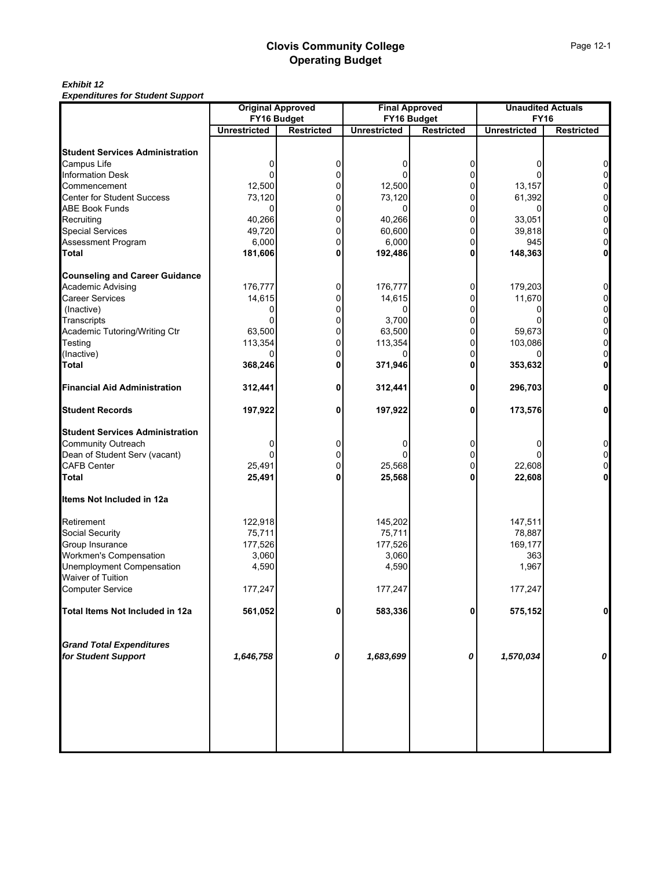#### *Exhibit 12 Expenditures for Student Support*

|                                                        | <b>Original Approved</b> |                   | <b>Final Approved</b> |                   | <b>Unaudited Actuals</b> |                          |  |  |
|--------------------------------------------------------|--------------------------|-------------------|-----------------------|-------------------|--------------------------|--------------------------|--|--|
|                                                        |                          | FY16 Budget       |                       | FY16 Budget       | <b>FY16</b>              |                          |  |  |
|                                                        | <b>Unrestricted</b>      | <b>Restricted</b> | <b>Unrestricted</b>   | <b>Restricted</b> | <b>Unrestricted</b>      | <b>Restricted</b>        |  |  |
| <b>Student Services Administration</b>                 |                          |                   |                       |                   |                          |                          |  |  |
| Campus Life                                            | 0                        | 0                 | 0                     | 0                 |                          | $\mathbf 0$              |  |  |
| <b>Information Desk</b>                                | 0                        | 0                 |                       | 0                 |                          | $\overline{0}$           |  |  |
| Commencement                                           | 12,500                   | 0                 | 12,500                | 0                 | 13,157                   | $\mathbf 0$              |  |  |
| <b>Center for Student Success</b>                      | 73,120                   | 0                 | 73,120                | 0                 | 61,392                   | $\mathbf 0$              |  |  |
| <b>ABE Book Funds</b>                                  | $\Omega$                 | 0                 | 0                     | $\mathbf 0$       | U                        | $\overline{0}$           |  |  |
| Recruiting                                             | 40,266                   | 0                 | 40,266                | 0                 | 33,051                   | $\pmb{0}$                |  |  |
|                                                        |                          | 0                 |                       | 0                 |                          |                          |  |  |
| <b>Special Services</b>                                | 49,720                   |                   | 60,600                | 0                 | 39,818                   | $\mathbf 0$              |  |  |
| Assessment Program<br><b>Total</b>                     | 6,000<br>181,606         | 0<br>0            | 6,000<br>192,486      | 0                 | 945<br>148,363           | $\pmb{0}$<br>$\mathbf 0$ |  |  |
| <b>Counseling and Career Guidance</b>                  |                          |                   |                       |                   |                          |                          |  |  |
| Academic Advising                                      | 176,777                  | 0                 | 176,777               | 0                 | 179,203                  | $\bf{0}$                 |  |  |
| <b>Career Services</b>                                 | 14,615                   | 0                 | 14,615                | 0                 | 11,670                   | $\mathbf 0$              |  |  |
|                                                        | 0                        | 0                 |                       | 0                 |                          | $\mathbf 0$              |  |  |
| (Inactive)                                             |                          |                   |                       |                   |                          |                          |  |  |
| Transcripts                                            | O                        | 0                 | 3,700                 | 0                 |                          | $\overline{0}$           |  |  |
| Academic Tutoring/Writing Ctr                          | 63,500                   | 0                 | 63,500                | 0                 | 59,673                   | $\pmb{0}$                |  |  |
| Testing                                                | 113,354                  | 0                 | 113,354               | 0                 | 103,086                  | $\mathbf 0$              |  |  |
| (Inactive)                                             |                          | 0                 |                       | 0                 |                          | $\mathbf 0$              |  |  |
| <b>Total</b>                                           | 368,246                  | 0                 | 371,946               | 0                 | 353,632                  | 0                        |  |  |
| <b>Financial Aid Administration</b>                    | 312,441                  | 0                 | 312,441               | 0                 | 296,703                  | 0                        |  |  |
| <b>Student Records</b>                                 | 197,922                  | 0                 | 197,922               | 0                 | 173,576                  | $\mathbf 0$              |  |  |
| <b>Student Services Administration</b>                 |                          |                   |                       |                   |                          |                          |  |  |
| <b>Community Outreach</b>                              |                          | 0                 | 0                     | 0                 |                          | $\mathbf 0$              |  |  |
| Dean of Student Serv (vacant)                          | 0                        | 0                 |                       | 0                 |                          | $\overline{0}$           |  |  |
| <b>CAFB Center</b>                                     | 25,491                   | 0                 | 25,568                | 0                 | 22,608                   | $\overline{0}$           |  |  |
| <b>Total</b>                                           | 25,491                   | 0                 | 25,568                | 0                 | 22,608                   | $\mathbf 0$              |  |  |
| Items Not Included in 12a                              |                          |                   |                       |                   |                          |                          |  |  |
| Retirement                                             | 122,918                  |                   | 145,202               |                   | 147,511                  |                          |  |  |
| Social Security                                        | 75,711                   |                   | 75,711                |                   | 78,887                   |                          |  |  |
| Group Insurance                                        | 177,526                  |                   | 177,526               |                   | 169,177                  |                          |  |  |
| <b>Workmen's Compensation</b>                          | 3,060                    |                   | 3,060                 |                   | 363                      |                          |  |  |
| Unemployment Compensation                              | 4,590                    |                   | 4,590                 |                   | 1,967                    |                          |  |  |
| Waiver of Tuition                                      |                          |                   |                       |                   |                          |                          |  |  |
| <b>Computer Service</b>                                | 177,247                  |                   | 177,247               |                   | 177,247                  |                          |  |  |
| Total Items Not Included in 12a                        | 561,052                  | $\mathbf{0}$      | 583,336               | 0                 | 575,152                  | 0                        |  |  |
|                                                        |                          |                   |                       |                   |                          |                          |  |  |
| <b>Grand Total Expenditures</b><br>for Student Support | 1,646,758                | 0                 | 1,683,699             | 0                 | 1,570,034                | $\pmb{\mathit{o}}$       |  |  |
|                                                        |                          |                   |                       |                   |                          |                          |  |  |
|                                                        |                          |                   |                       |                   |                          |                          |  |  |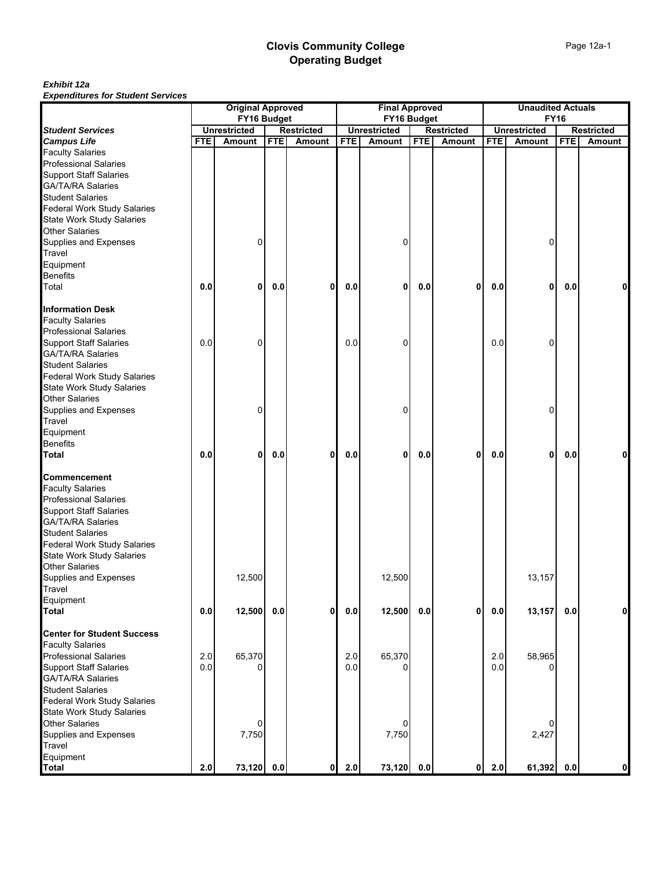|                                                           |            | <b>Original Approved</b> |            |                   |            | <b>Final Approved</b> |            |                   |            | <b>Unaudited Actuals</b> |            |                   |  |  |
|-----------------------------------------------------------|------------|--------------------------|------------|-------------------|------------|-----------------------|------------|-------------------|------------|--------------------------|------------|-------------------|--|--|
|                                                           |            | FY16 Budget              |            |                   |            | FY16 Budget           |            |                   |            | <b>FY16</b>              |            |                   |  |  |
| <b>Student Services</b>                                   |            | <b>Unrestricted</b>      |            | <b>Restricted</b> |            | <b>Unrestricted</b>   |            | <b>Restricted</b> |            | <b>Unrestricted</b>      |            | <b>Restricted</b> |  |  |
| <b>Campus Life</b>                                        | <b>FTE</b> | <b>Amount</b>            | <b>FTE</b> | Amount            | <b>FTE</b> | <b>Amount</b>         | <b>FTE</b> | <b>Amount</b>     | <b>FTE</b> | Amount                   | <b>FTE</b> | Amount            |  |  |
| <b>Faculty Salaries</b>                                   |            |                          |            |                   |            |                       |            |                   |            |                          |            |                   |  |  |
| Professional Salaries                                     |            |                          |            |                   |            |                       |            |                   |            |                          |            |                   |  |  |
| <b>Support Staff Salaries</b>                             |            |                          |            |                   |            |                       |            |                   |            |                          |            |                   |  |  |
| GA/TA/RA Salaries<br>Student Salaries                     |            |                          |            |                   |            |                       |            |                   |            |                          |            |                   |  |  |
|                                                           |            |                          |            |                   |            |                       |            |                   |            |                          |            |                   |  |  |
| <b>Federal Work Study Salaries</b>                        |            |                          |            |                   |            |                       |            |                   |            |                          |            |                   |  |  |
| <b>State Work Study Salaries</b><br><b>Other Salaries</b> |            |                          |            |                   |            |                       |            |                   |            |                          |            |                   |  |  |
| Supplies and Expenses                                     |            | 0                        |            |                   |            | $\Omega$              |            |                   |            | $\Omega$                 |            |                   |  |  |
| Travel                                                    |            |                          |            |                   |            |                       |            |                   |            |                          |            |                   |  |  |
| Equipment                                                 |            |                          |            |                   |            |                       |            |                   |            |                          |            |                   |  |  |
| <b>Benefits</b>                                           |            |                          |            |                   |            |                       |            |                   |            |                          |            |                   |  |  |
| Total                                                     | 0.0        | 0                        | 0.0        | 0                 | 0.0        | 0                     | 0.0        | 0                 | 0.0        | 0                        | 0.0        | 0                 |  |  |
|                                                           |            |                          |            |                   |            |                       |            |                   |            |                          |            |                   |  |  |
| <b>Information Desk</b>                                   |            |                          |            |                   |            |                       |            |                   |            |                          |            |                   |  |  |
| <b>Faculty Salaries</b>                                   |            |                          |            |                   |            |                       |            |                   |            |                          |            |                   |  |  |
| <b>Professional Salaries</b>                              |            |                          |            |                   |            |                       |            |                   |            |                          |            |                   |  |  |
| <b>Support Staff Salaries</b>                             | 0.0        | 0                        |            |                   | 0.0        | 0                     |            |                   | 0.0        | 0                        |            |                   |  |  |
| GA/TA/RA Salaries                                         |            |                          |            |                   |            |                       |            |                   |            |                          |            |                   |  |  |
| <b>Student Salaries</b>                                   |            |                          |            |                   |            |                       |            |                   |            |                          |            |                   |  |  |
| <b>Federal Work Study Salaries</b>                        |            |                          |            |                   |            |                       |            |                   |            |                          |            |                   |  |  |
| State Work Study Salaries                                 |            |                          |            |                   |            |                       |            |                   |            |                          |            |                   |  |  |
| <b>Other Salaries</b>                                     |            |                          |            |                   |            |                       |            |                   |            |                          |            |                   |  |  |
|                                                           |            | 0                        |            |                   |            | $\Omega$              |            |                   |            | 0                        |            |                   |  |  |
| Supplies and Expenses<br>Travel                           |            |                          |            |                   |            |                       |            |                   |            |                          |            |                   |  |  |
| Equipment                                                 |            |                          |            |                   |            |                       |            |                   |            |                          |            |                   |  |  |
| <b>Benefits</b>                                           |            |                          |            |                   |            |                       |            |                   |            |                          |            |                   |  |  |
| <b>Total</b>                                              | 0.0        | 0                        | 0.0        | 0                 | 0.0        | 0                     | 0.0        | 0                 | 0.0        | 0                        | 0.0        |                   |  |  |
| Commencement                                              |            |                          |            |                   |            |                       |            |                   |            |                          |            |                   |  |  |
|                                                           |            |                          |            |                   |            |                       |            |                   |            |                          |            |                   |  |  |
| <b>Faculty Salaries</b><br>Professional Salaries          |            |                          |            |                   |            |                       |            |                   |            |                          |            |                   |  |  |
| <b>Support Staff Salaries</b>                             |            |                          |            |                   |            |                       |            |                   |            |                          |            |                   |  |  |
|                                                           |            |                          |            |                   |            |                       |            |                   |            |                          |            |                   |  |  |
| GA/TA/RA Salaries<br>Student Salaries                     |            |                          |            |                   |            |                       |            |                   |            |                          |            |                   |  |  |
| <b>Federal Work Study Salaries</b>                        |            |                          |            |                   |            |                       |            |                   |            |                          |            |                   |  |  |
| <b>State Work Study Salaries</b>                          |            |                          |            |                   |            |                       |            |                   |            |                          |            |                   |  |  |
| <b>Other Salaries</b>                                     |            |                          |            |                   |            |                       |            |                   |            |                          |            |                   |  |  |
| Supplies and Expenses                                     |            | 12,500                   |            |                   |            | 12,500                |            |                   |            | 13,157                   |            |                   |  |  |
| Travel                                                    |            |                          |            |                   |            |                       |            |                   |            |                          |            |                   |  |  |
|                                                           |            |                          |            |                   |            |                       |            |                   |            |                          |            |                   |  |  |
| Equipment<br>Total                                        | 0.0        | 12,500                   | 0.0        | $\mathbf{0}$      | 0.0        | 12,500                | 0.0        | 0                 | 0.0        | 13,157                   | 0.0        | 0                 |  |  |
|                                                           |            |                          |            |                   |            |                       |            |                   |            |                          |            |                   |  |  |
| <b>Center for Student Success</b>                         |            |                          |            |                   |            |                       |            |                   |            |                          |            |                   |  |  |
| <b>Faculty Salaries</b>                                   |            |                          |            |                   |            |                       |            |                   |            |                          |            |                   |  |  |
| <b>Professional Salaries</b>                              | 2.0        | 65,370                   |            |                   | 2.0        | 65,370                |            |                   | 2.0        | 58,965                   |            |                   |  |  |
| <b>Support Staff Salaries</b>                             | 0.0        |                          |            |                   | 0.0        |                       |            |                   | 0.0        |                          |            |                   |  |  |
| <b>GA/TA/RA Salaries</b>                                  |            |                          |            |                   |            |                       |            |                   |            |                          |            |                   |  |  |
| <b>Student Salaries</b>                                   |            |                          |            |                   |            |                       |            |                   |            |                          |            |                   |  |  |
| <b>Federal Work Study Salaries</b>                        |            |                          |            |                   |            |                       |            |                   |            |                          |            |                   |  |  |
| State Work Study Salaries<br>Other Salaries               |            |                          |            |                   |            |                       |            |                   |            |                          |            |                   |  |  |
|                                                           |            |                          |            |                   |            |                       |            |                   |            |                          |            |                   |  |  |
| Supplies and Expenses                                     |            | 7,750                    |            |                   |            | 7,750                 |            |                   |            | 2,427                    |            |                   |  |  |
| Travel                                                    |            |                          |            |                   |            |                       |            |                   |            |                          |            |                   |  |  |
| Equipment<br>Total                                        | 2.0        | 73,120                   | $0.0\,$    | 0                 | $2.0\,$    | 73,120                | $0.0\,$    | 0                 | $2.0\,$    | 61,392                   |            | 0                 |  |  |
|                                                           |            |                          |            |                   |            |                       |            |                   |            |                          | 0.0        |                   |  |  |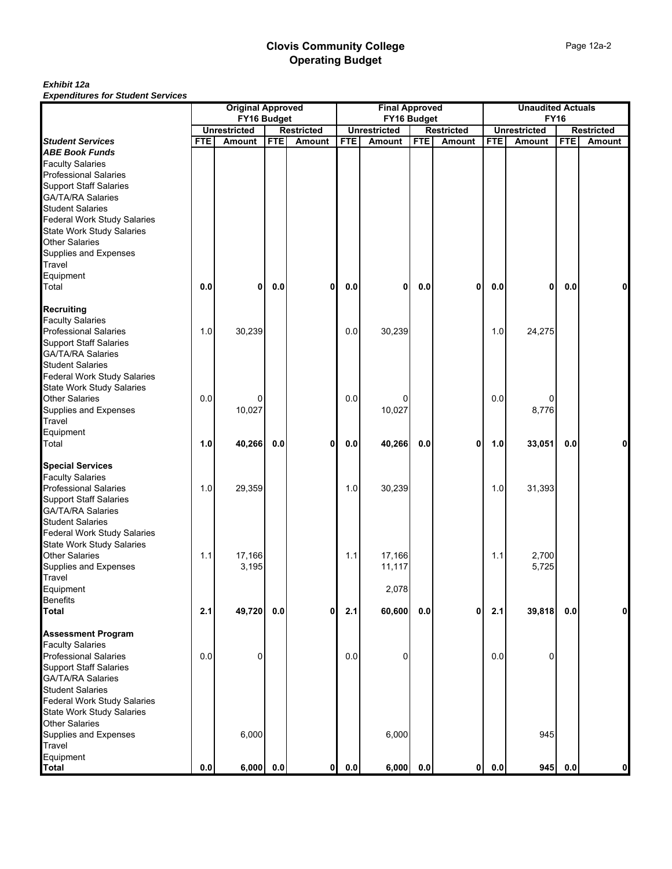|                                                           |            | <b>Original Approved</b><br>FY16 Budget |            |                   |            | <b>Final Approved</b><br>FY16 Budget |            |                   |            | <b>Unaudited Actuals</b><br><b>FY16</b> |            |                   |  |
|-----------------------------------------------------------|------------|-----------------------------------------|------------|-------------------|------------|--------------------------------------|------------|-------------------|------------|-----------------------------------------|------------|-------------------|--|
|                                                           |            | <b>Unrestricted</b>                     |            | <b>Restricted</b> |            | <b>Unrestricted</b>                  |            | <b>Restricted</b> |            | <b>Unrestricted</b>                     |            | <b>Restricted</b> |  |
| <b>Student Services</b>                                   | <b>FTE</b> | Amount                                  | <b>FTE</b> | <b>Amount</b>     | <b>FTE</b> | <b>Amount</b>                        | <b>FTE</b> | Amount            | <b>FTE</b> | Amount                                  | <b>FTE</b> | Amount            |  |
| <b>ABE Book Funds</b>                                     |            |                                         |            |                   |            |                                      |            |                   |            |                                         |            |                   |  |
| <b>Faculty Salaries</b>                                   |            |                                         |            |                   |            |                                      |            |                   |            |                                         |            |                   |  |
| <b>Professional Salaries</b>                              |            |                                         |            |                   |            |                                      |            |                   |            |                                         |            |                   |  |
| <b>Support Staff Salaries</b>                             |            |                                         |            |                   |            |                                      |            |                   |            |                                         |            |                   |  |
| <b>GA/TA/RA Salaries</b>                                  |            |                                         |            |                   |            |                                      |            |                   |            |                                         |            |                   |  |
| <b>Student Salaries</b>                                   |            |                                         |            |                   |            |                                      |            |                   |            |                                         |            |                   |  |
| <b>Federal Work Study Salaries</b>                        |            |                                         |            |                   |            |                                      |            |                   |            |                                         |            |                   |  |
| <b>State Work Study Salaries</b><br><b>Other Salaries</b> |            |                                         |            |                   |            |                                      |            |                   |            |                                         |            |                   |  |
| Supplies and Expenses                                     |            |                                         |            |                   |            |                                      |            |                   |            |                                         |            |                   |  |
| Travel                                                    |            |                                         |            |                   |            |                                      |            |                   |            |                                         |            |                   |  |
| Equipment                                                 |            |                                         |            |                   |            |                                      |            |                   |            |                                         |            |                   |  |
| Total                                                     | 0.0        | 0                                       | 0.0        | 0                 | 0.0        | 0                                    | 0.0        | 0                 | 0.0        | 0                                       | 0.0        | 0                 |  |
| Recruiting                                                |            |                                         |            |                   |            |                                      |            |                   |            |                                         |            |                   |  |
| <b>Faculty Salaries</b>                                   |            |                                         |            |                   |            |                                      |            |                   |            |                                         |            |                   |  |
| <b>Professional Salaries</b>                              | 1.0        | 30,239                                  |            |                   | 0.0        | 30,239                               |            |                   | 1.0        | 24,275                                  |            |                   |  |
| <b>Support Staff Salaries</b>                             |            |                                         |            |                   |            |                                      |            |                   |            |                                         |            |                   |  |
| <b>GA/TA/RA Salaries</b>                                  |            |                                         |            |                   |            |                                      |            |                   |            |                                         |            |                   |  |
| <b>Student Salaries</b>                                   |            |                                         |            |                   |            |                                      |            |                   |            |                                         |            |                   |  |
| <b>Federal Work Study Salaries</b>                        |            |                                         |            |                   |            |                                      |            |                   |            |                                         |            |                   |  |
| <b>State Work Study Salaries</b><br><b>Other Salaries</b> | 0.0        |                                         |            |                   | 0.0        |                                      |            |                   |            |                                         |            |                   |  |
| <b>Supplies and Expenses</b>                              |            | 10,027                                  |            |                   |            | 10,027                               |            |                   | 0.0        | 8,776                                   |            |                   |  |
| Travel                                                    |            |                                         |            |                   |            |                                      |            |                   |            |                                         |            |                   |  |
| Equipment                                                 |            |                                         |            |                   |            |                                      |            |                   |            |                                         |            |                   |  |
| Total                                                     | 1.0        | 40,266                                  | 0.0        | 0                 | 0.0        | 40,266                               | 0.0        | 0                 | 1.0        | 33,051                                  | 0.0        | 0                 |  |
| <b>Special Services</b>                                   |            |                                         |            |                   |            |                                      |            |                   |            |                                         |            |                   |  |
| <b>Faculty Salaries</b>                                   |            |                                         |            |                   |            |                                      |            |                   |            |                                         |            |                   |  |
| <b>Professional Salaries</b>                              | 1.0        | 29,359                                  |            |                   | 1.0        | 30,239                               |            |                   | 1.0        | 31,393                                  |            |                   |  |
| <b>Support Staff Salaries</b>                             |            |                                         |            |                   |            |                                      |            |                   |            |                                         |            |                   |  |
| <b>GA/TA/RA Salaries</b>                                  |            |                                         |            |                   |            |                                      |            |                   |            |                                         |            |                   |  |
| <b>Student Salaries</b>                                   |            |                                         |            |                   |            |                                      |            |                   |            |                                         |            |                   |  |
| <b>Federal Work Study Salaries</b>                        |            |                                         |            |                   |            |                                      |            |                   |            |                                         |            |                   |  |
| <b>State Work Study Salaries</b>                          |            |                                         |            |                   |            |                                      |            |                   |            |                                         |            |                   |  |
| <b>Other Salaries</b>                                     | 1.1        | 17,166                                  |            |                   | 1.1        | 17,166                               |            |                   | 1.1        | 2,700                                   |            |                   |  |
| Supplies and Expenses                                     |            | 3,195                                   |            |                   |            | 11,117                               |            |                   |            | 5,725                                   |            |                   |  |
| Travel<br>Equipment                                       |            |                                         |            |                   |            | 2,078                                |            |                   |            |                                         |            |                   |  |
| <b>Benefits</b>                                           |            |                                         |            |                   |            |                                      |            |                   |            |                                         |            |                   |  |
| <b>Total</b>                                              | 2.1        | 49,720                                  | 0.0        | $\mathbf 0$       | 2.1        | 60,600                               | 0.0        | $\mathbf 0$       | 2.1        | 39,818                                  | 0.0        | $\mathbf{0}$      |  |
| <b>Assessment Program</b>                                 |            |                                         |            |                   |            |                                      |            |                   |            |                                         |            |                   |  |
| <b>Faculty Salaries</b>                                   |            |                                         |            |                   |            |                                      |            |                   |            |                                         |            |                   |  |
| <b>Professional Salaries</b>                              | 0.0        | $\Omega$                                |            |                   | 0.0        | 0                                    |            |                   | 0.0        | 0                                       |            |                   |  |
| <b>Support Staff Salaries</b>                             |            |                                         |            |                   |            |                                      |            |                   |            |                                         |            |                   |  |
| <b>GA/TA/RA Salaries</b>                                  |            |                                         |            |                   |            |                                      |            |                   |            |                                         |            |                   |  |
| <b>Student Salaries</b>                                   |            |                                         |            |                   |            |                                      |            |                   |            |                                         |            |                   |  |
| <b>Federal Work Study Salaries</b>                        |            |                                         |            |                   |            |                                      |            |                   |            |                                         |            |                   |  |
| <b>State Work Study Salaries</b>                          |            |                                         |            |                   |            |                                      |            |                   |            |                                         |            |                   |  |
| <b>Other Salaries</b><br>Supplies and Expenses            |            | 6,000                                   |            |                   |            | 6,000                                |            |                   |            | 945                                     |            |                   |  |
| Travel                                                    |            |                                         |            |                   |            |                                      |            |                   |            |                                         |            |                   |  |
| Equipment                                                 |            |                                         |            |                   |            |                                      |            |                   |            |                                         |            |                   |  |
| <b>Total</b>                                              | 0.0        | 6,000                                   | 0.0        | 0                 | $0.0\,$    | 6,000                                | $0.0\,$    | $\mathbf{0}$      | 0.0        | 945                                     | 0.0        | $\mathbf{0}$      |  |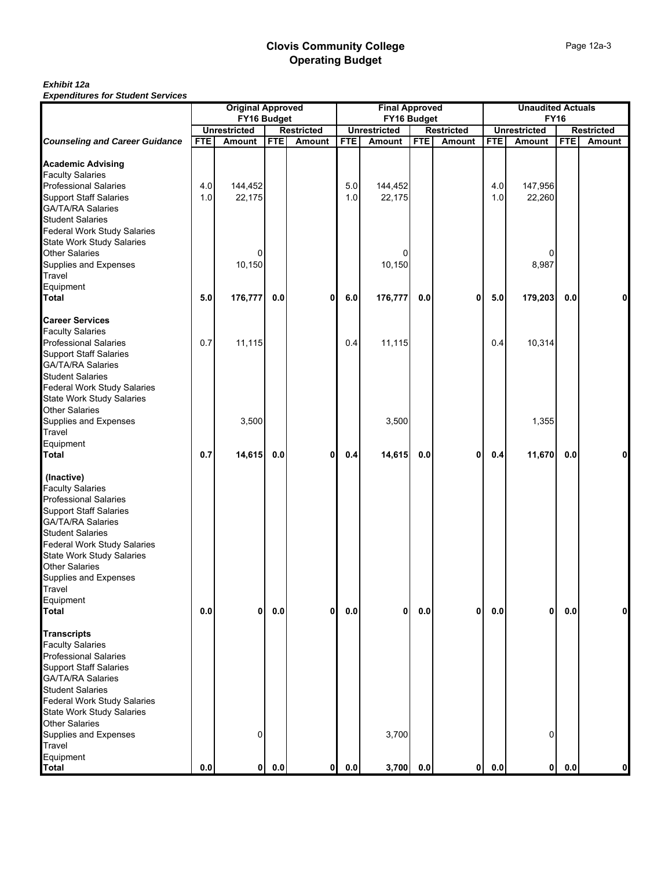|                                                                                                                                                                                                                                                                                                                           | <b>Original Approved</b><br>FY16 Budget |                     |            |                                    |            | <b>Final Approved</b><br>FY16 Budget |            |                                    |            | <b>Unaudited Actuals</b> |            |                   |  |
|---------------------------------------------------------------------------------------------------------------------------------------------------------------------------------------------------------------------------------------------------------------------------------------------------------------------------|-----------------------------------------|---------------------|------------|------------------------------------|------------|--------------------------------------|------------|------------------------------------|------------|--------------------------|------------|-------------------|--|
|                                                                                                                                                                                                                                                                                                                           |                                         |                     |            |                                    |            |                                      |            |                                    |            | <b>FY16</b>              |            |                   |  |
| <b>Counseling and Career Guidance</b>                                                                                                                                                                                                                                                                                     | <b>FTE</b>                              | <b>Unrestricted</b> | <b>FTE</b> | <b>Restricted</b><br><b>Amount</b> | <b>FTE</b> | <b>Unrestricted</b>                  | <b>FTE</b> | <b>Restricted</b><br><b>Amount</b> |            | <b>Unrestricted</b>      | <b>FTE</b> | <b>Restricted</b> |  |
|                                                                                                                                                                                                                                                                                                                           |                                         | Amount              |            |                                    |            | <b>Amount</b>                        |            |                                    | <b>FTE</b> | Amount                   |            | Amount            |  |
| <b>Academic Advising</b><br><b>Faculty Salaries</b><br><b>Professional Salaries</b><br><b>Support Staff Salaries</b><br><b>GA/TA/RA Salaries</b><br><b>Student Salaries</b><br><b>Federal Work Study Salaries</b>                                                                                                         | 4.0<br>1.0                              | 144,452<br>22,175   |            |                                    | 5.0<br>1.0 | 144,452<br>22,175                    |            |                                    | 4.0<br>1.0 | 147,956<br>22,260        |            |                   |  |
| <b>State Work Study Salaries</b><br><b>Other Salaries</b><br><b>Supplies and Expenses</b><br>Travel                                                                                                                                                                                                                       |                                         | 10,150              |            |                                    |            | 0<br>10,150                          |            |                                    |            | 8,987                    |            |                   |  |
| Equipment<br><b>Total</b>                                                                                                                                                                                                                                                                                                 | 5.0                                     | 176,777             | $0.0\,$    | 0                                  | 6.0        | 176,777                              | 0.0        | 0                                  | 5.0        | 179,203                  | 0.0        | 0                 |  |
| <b>Career Services</b>                                                                                                                                                                                                                                                                                                    |                                         |                     |            |                                    |            |                                      |            |                                    |            |                          |            |                   |  |
| <b>Faculty Salaries</b><br><b>Professional Salaries</b><br><b>Support Staff Salaries</b><br><b>GA/TA/RA Salaries</b><br><b>Student Salaries</b>                                                                                                                                                                           | 0.7                                     | 11,115              |            |                                    | 0.4        | 11,115                               |            |                                    | 0.4        | 10,314                   |            |                   |  |
| <b>Federal Work Study Salaries</b><br><b>State Work Study Salaries</b><br><b>Other Salaries</b><br>Supplies and Expenses                                                                                                                                                                                                  |                                         | 3,500               |            |                                    |            | 3,500                                |            |                                    |            | 1,355                    |            |                   |  |
| Travel                                                                                                                                                                                                                                                                                                                    |                                         |                     |            |                                    |            |                                      |            |                                    |            |                          |            |                   |  |
| Equipment<br><b>Total</b>                                                                                                                                                                                                                                                                                                 | 0.7                                     | 14,615              | $0.0\,$    | $\mathbf 0$                        | 0.4        | 14,615                               | $0.0\,$    | 0                                  | 0.4        | 11,670                   | 0.0        |                   |  |
| (Inactive)<br><b>Faculty Salaries</b><br><b>Professional Salaries</b><br><b>Support Staff Salaries</b><br><b>GA/TA/RA Salaries</b><br><b>Student Salaries</b><br><b>Federal Work Study Salaries</b><br>State Work Study Salaries<br><b>Other Salaries</b><br>Supplies and Expenses<br>Travel<br>Equipment<br><b>Total</b> | 0.0                                     | 0                   | $0.0\,$    | $\mathbf{0}$                       | 0.0        | 0                                    | 0.0        | 0                                  | 0.0        | $\mathbf{0}$             | 0.0        | 0                 |  |
| <b>Transcripts</b><br><b>Faculty Salaries</b><br><b>Professional Salaries</b><br><b>Support Staff Salaries</b><br><b>GA/TA/RA Salaries</b><br><b>Student Salaries</b><br><b>Federal Work Study Salaries</b><br><b>State Work Study Salaries</b><br><b>Other Salaries</b>                                                  |                                         |                     |            |                                    |            |                                      |            |                                    |            |                          |            |                   |  |
| Supplies and Expenses<br>Travel                                                                                                                                                                                                                                                                                           |                                         | 0                   |            |                                    |            | 3,700                                |            |                                    |            | $\mathbf 0$              |            |                   |  |
| Equipment<br><b>Total</b>                                                                                                                                                                                                                                                                                                 | 0.0                                     | $\mathbf{0}$        | 0.0        | $\mathbf{0}$                       | 0.0        | 3,700                                | $0.0\,$    | 0                                  | 0.0        | 0                        | $0.0\,$    | 0                 |  |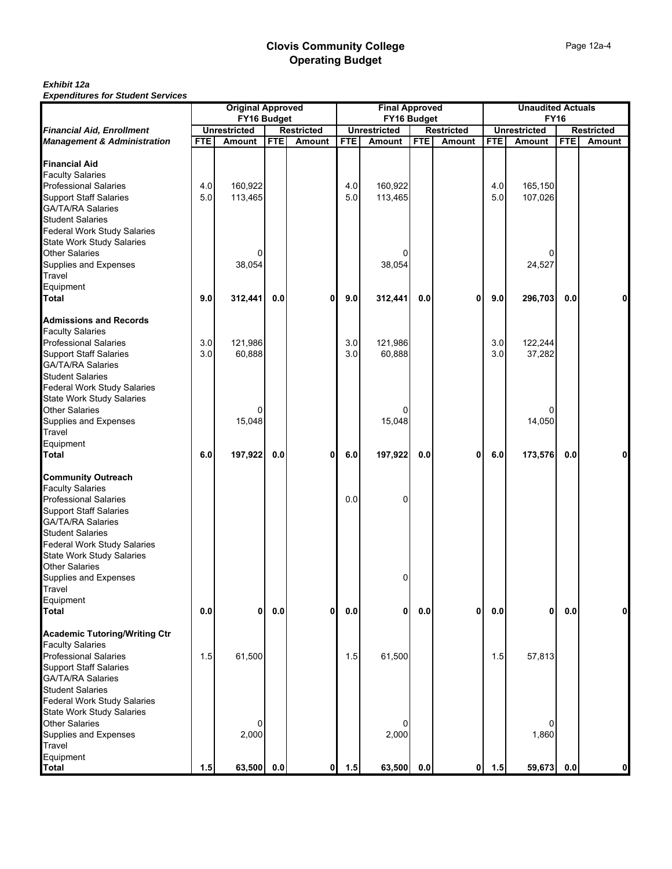|                                                                                                                                                                                                                                                   | <b>Original Approved</b><br>FY16 Budget |                     |            |                   | <b>Final Approved</b><br>FY16 Budget |                     |            |                   | <b>Unaudited Actuals</b><br><b>FY16</b> |                     |            |                   |
|---------------------------------------------------------------------------------------------------------------------------------------------------------------------------------------------------------------------------------------------------|-----------------------------------------|---------------------|------------|-------------------|--------------------------------------|---------------------|------------|-------------------|-----------------------------------------|---------------------|------------|-------------------|
| <b>Financial Aid, Enrollment</b>                                                                                                                                                                                                                  |                                         | <b>Unrestricted</b> |            | <b>Restricted</b> |                                      | <b>Unrestricted</b> |            | <b>Restricted</b> |                                         | <b>Unrestricted</b> |            | <b>Restricted</b> |
| <b>Management &amp; Administration</b>                                                                                                                                                                                                            | <b>FTE</b>                              | <b>Amount</b>       | <b>FTE</b> | <b>Amount</b>     | <b>FTE</b>                           | <b>Amount</b>       | <b>FTE</b> | <b>Amount</b>     | <b>FTE</b>                              | Amount              | <b>FTE</b> | <b>Amount</b>     |
| <b>Financial Aid</b><br><b>Faculty Salaries</b><br><b>Professional Salaries</b><br><b>Support Staff Salaries</b><br><b>GA/TA/RA Salaries</b><br><b>Student Salaries</b><br><b>Federal Work Study Salaries</b><br><b>State Work Study Salaries</b> | 4.0<br>5.0                              | 160,922<br>113,465  |            |                   | 4.0<br>5.0                           | 160,922<br>113,465  |            |                   | 4.0<br>5.0                              | 165,150<br>107,026  |            |                   |
| <b>Other Salaries</b><br>Supplies and Expenses<br>Travel<br>Equipment                                                                                                                                                                             |                                         | 38,054              |            |                   |                                      | 0<br>38,054         |            |                   |                                         | 24,527              |            |                   |
| <b>Total</b>                                                                                                                                                                                                                                      | 9.0                                     | 312,441             | 0.0        | $\mathbf 0$       | 9.0                                  | 312,441             | 0.0        | 0                 | 9.0                                     | 296,703             | 0.0        | 0                 |
| <b>Admissions and Records</b><br><b>Faculty Salaries</b><br><b>Professional Salaries</b><br><b>Support Staff Salaries</b><br><b>GA/TA/RA Salaries</b><br><b>Student Salaries</b><br><b>Federal Work Study Salaries</b>                            | 3.0<br>3.0                              | 121,986<br>60,888   |            |                   | 3.0<br>3.0                           | 121,986<br>60,888   |            |                   | 3.0<br>3.0                              | 122,244<br>37,282   |            |                   |
| <b>State Work Study Salaries</b><br><b>Other Salaries</b><br>Supplies and Expenses<br>Travel<br>Equipment                                                                                                                                         |                                         | 15,048              |            |                   |                                      | 0<br>15,048         |            |                   |                                         | 14,050              |            |                   |
| <b>Total</b>                                                                                                                                                                                                                                      | 6.0                                     | 197,922             | 0.0        | 0                 | 6.0                                  | 197,922             | 0.0        | 0                 | 6.0                                     | 173,576             | 0.0        | 0                 |
| <b>Community Outreach</b><br><b>Faculty Salaries</b><br><b>Professional Salaries</b><br><b>Support Staff Salaries</b><br><b>GA/TA/RA Salaries</b><br><b>Student Salaries</b><br>Federal Work Study Salaries<br><b>State Work Study Salaries</b>   |                                         |                     |            |                   | 0.0                                  | 0                   |            |                   |                                         |                     |            |                   |
| <b>Other Salaries</b><br>Supplies and Expenses<br>Travel                                                                                                                                                                                          |                                         |                     |            |                   |                                      | 0                   |            |                   |                                         |                     |            |                   |
| Equipment                                                                                                                                                                                                                                         |                                         |                     |            |                   |                                      |                     |            |                   |                                         |                     |            |                   |
| <b>Total</b><br><b>Academic Tutoring/Writing Ctr</b><br><b>Faculty Salaries</b>                                                                                                                                                                   | 0.0                                     | $\mathbf{0}$        | $0.0\,$    | $\mathbf 0$       | 0.0                                  | 0                   | 0.0        | $\mathbf{0}$      | 0.0                                     | 0                   | 0.0        | $\mathbf 0$       |
| <b>Professional Salaries</b><br><b>Support Staff Salaries</b><br><b>GA/TA/RA Salaries</b><br><b>Student Salaries</b><br><b>Federal Work Study Salaries</b><br><b>State Work Study Salaries</b><br><b>Other Salaries</b>                           | 1.5                                     | 61,500              |            |                   | 1.5                                  | 61,500<br>0         |            |                   | 1.5                                     | 57,813              |            |                   |
| Supplies and Expenses<br>Travel<br>Equipment                                                                                                                                                                                                      |                                         | 2,000               |            |                   |                                      | 2,000               |            |                   |                                         | 1,860               |            |                   |
| <b>Total</b>                                                                                                                                                                                                                                      | 1.5                                     | 63,500              | 0.0        | 0                 | $1.5$                                | 63,500              | 0.0        | $\mathbf{0}$      | 1.5                                     | 59,673              | 0.0        | $\mathbf 0$       |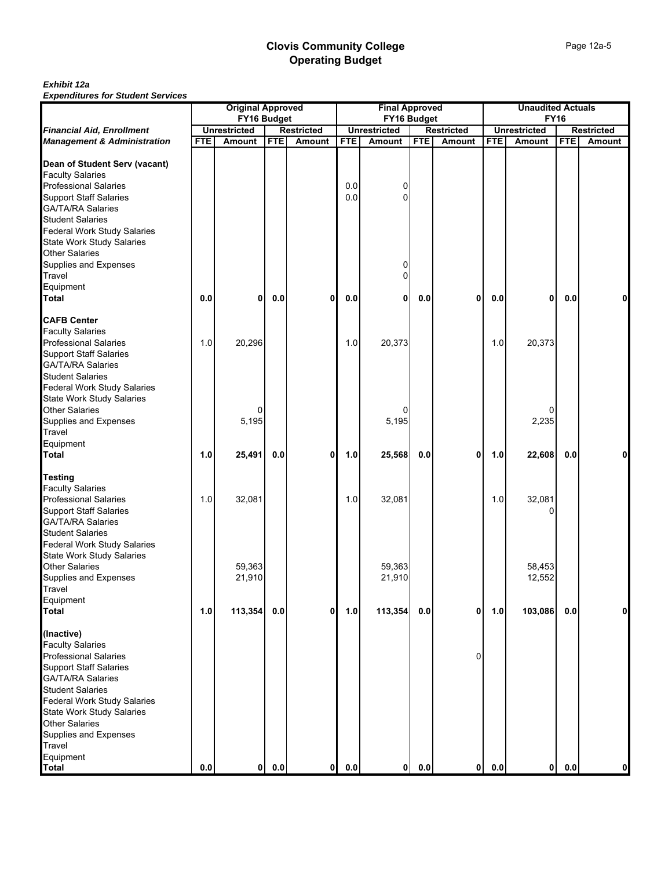|                                                                                                                                                                                                                        | <b>Original Approved</b><br>FY16 Budget |                     |            |                   |            | <b>Final Approved</b> |            |                   |            | <b>Unaudited Actuals</b> |            |                   |  |  |
|------------------------------------------------------------------------------------------------------------------------------------------------------------------------------------------------------------------------|-----------------------------------------|---------------------|------------|-------------------|------------|-----------------------|------------|-------------------|------------|--------------------------|------------|-------------------|--|--|
|                                                                                                                                                                                                                        |                                         |                     |            |                   |            | FY16 Budget           |            |                   |            | <b>FY16</b>              |            |                   |  |  |
| <b>Financial Aid, Enrollment</b>                                                                                                                                                                                       |                                         | <b>Unrestricted</b> |            | <b>Restricted</b> |            | <b>Unrestricted</b>   |            | <b>Restricted</b> |            | <b>Unrestricted</b>      |            | <b>Restricted</b> |  |  |
| <b>Management &amp; Administration</b>                                                                                                                                                                                 | <b>FTE</b>                              | <b>Amount</b>       | <b>FTE</b> | <b>Amount</b>     | <b>FTE</b> | Amount                | <b>FTE</b> | Amount            | <b>FTE</b> | Amount                   | <b>FTE</b> | <b>Amount</b>     |  |  |
| Dean of Student Serv (vacant)<br><b>Faculty Salaries</b><br><b>Professional Salaries</b><br><b>Support Staff Salaries</b><br><b>GA/TA/RA Salaries</b><br><b>Student Salaries</b><br><b>Federal Work Study Salaries</b> |                                         |                     |            |                   | 0.0<br>0.0 | 0<br>$\Omega$         |            |                   |            |                          |            |                   |  |  |
| <b>State Work Study Salaries</b><br><b>Other Salaries</b><br><b>Supplies and Expenses</b>                                                                                                                              |                                         |                     |            |                   |            | 0                     |            |                   |            |                          |            |                   |  |  |
| Travel                                                                                                                                                                                                                 |                                         |                     |            |                   |            | 0                     |            |                   |            |                          |            |                   |  |  |
| Equipment                                                                                                                                                                                                              |                                         |                     |            |                   |            |                       |            |                   |            |                          |            |                   |  |  |
| <b>Total</b>                                                                                                                                                                                                           | 0.0                                     | $\mathbf{0}$        | 0.0        | 0                 | 0.0        | 0                     | 0.0        | $\mathbf 0$       | 0.0        | 0                        | 0.0        | 0                 |  |  |
| <b>CAFB Center</b>                                                                                                                                                                                                     |                                         |                     |            |                   |            |                       |            |                   |            |                          |            |                   |  |  |
| <b>Faculty Salaries</b>                                                                                                                                                                                                |                                         |                     |            |                   |            |                       |            |                   |            |                          |            |                   |  |  |
| <b>Professional Salaries</b><br><b>Support Staff Salaries</b><br><b>GA/TA/RA Salaries</b>                                                                                                                              | 1.0                                     | 20,296              |            |                   | 1.0        | 20,373                |            |                   | 1.0        | 20,373                   |            |                   |  |  |
| <b>Student Salaries</b><br><b>Federal Work Study Salaries</b><br><b>State Work Study Salaries</b><br><b>Other Salaries</b>                                                                                             |                                         |                     |            |                   |            | 0                     |            |                   |            |                          |            |                   |  |  |
| Supplies and Expenses<br>Travel                                                                                                                                                                                        |                                         | 5,195               |            |                   |            | 5,195                 |            |                   |            | 2,235                    |            |                   |  |  |
| Equipment<br><b>Total</b>                                                                                                                                                                                              | 1.0                                     | 25,491              | 0.0        | 0                 | 1.0        | 25,568                | 0.0        | 0                 | 1.0        | 22,608                   | 0.0        | 0                 |  |  |
|                                                                                                                                                                                                                        |                                         |                     |            |                   |            |                       |            |                   |            |                          |            |                   |  |  |
| <b>Testing</b><br><b>Faculty Salaries</b><br><b>Professional Salaries</b><br><b>Support Staff Salaries</b><br><b>GA/TA/RA Salaries</b><br><b>Student Salaries</b>                                                      | 1.0                                     | 32,081              |            |                   | 1.0        | 32,081                |            |                   | 1.0        | 32,081                   |            |                   |  |  |
| <b>Federal Work Study Salaries</b><br><b>State Work Study Salaries</b>                                                                                                                                                 |                                         |                     |            |                   |            |                       |            |                   |            |                          |            |                   |  |  |
| <b>Other Salaries</b><br>Supplies and Expenses<br>Travel                                                                                                                                                               |                                         | 59,363<br>21,910    |            |                   |            | 59,363<br>21,910      |            |                   |            | 58,453<br>12,552         |            |                   |  |  |
| Equipment                                                                                                                                                                                                              |                                         |                     |            |                   |            |                       |            |                   |            |                          |            |                   |  |  |
| <b>Total</b>                                                                                                                                                                                                           | 1.0                                     | 113,354             | 0.0        | $\mathbf 0$       | 1.0        | 113,354               | 0.0        | 0                 | 1.0        | 103,086                  | 0.0        | $\mathbf 0$       |  |  |
| (Inactive)<br><b>Faculty Salaries</b>                                                                                                                                                                                  |                                         |                     |            |                   |            |                       |            |                   |            |                          |            |                   |  |  |
| <b>Professional Salaries</b><br><b>Support Staff Salaries</b><br><b>GA/TA/RA Salaries</b><br><b>Student Salaries</b>                                                                                                   |                                         |                     |            |                   |            |                       |            | 0                 |            |                          |            |                   |  |  |
| <b>Federal Work Study Salaries</b><br><b>State Work Study Salaries</b><br><b>Other Salaries</b>                                                                                                                        |                                         |                     |            |                   |            |                       |            |                   |            |                          |            |                   |  |  |
| <b>Supplies and Expenses</b><br>Travel<br>Equipment                                                                                                                                                                    |                                         |                     |            |                   |            |                       |            |                   |            |                          |            |                   |  |  |
| <b>Total</b>                                                                                                                                                                                                           | 0.0                                     | $\mathbf{0}$        | $0.0\,$    | $\mathbf{0}$      | 0.0        | 0                     | 0.0        | $\mathbf{0}$      | 0.0        | $\mathbf 0$              | $0.0\,$    | $\mathbf 0$       |  |  |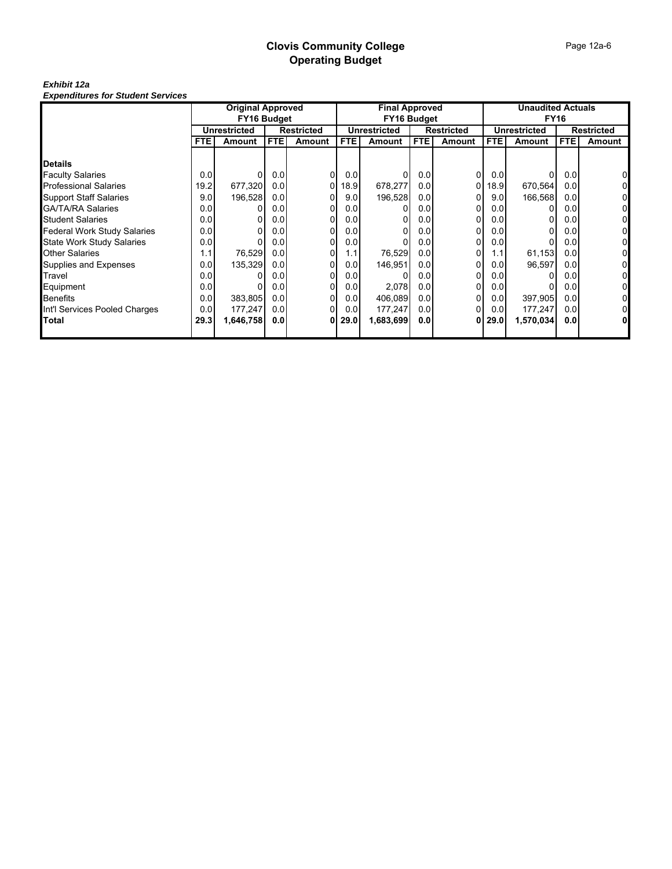|                                    | <b>Original Approved</b> |                     |                  |                   | <b>Final Approved</b> |                     |                  |                   | <b>Unaudited Actuals</b> |                     |                  |                   |  |
|------------------------------------|--------------------------|---------------------|------------------|-------------------|-----------------------|---------------------|------------------|-------------------|--------------------------|---------------------|------------------|-------------------|--|
|                                    |                          | FY16 Budget         |                  |                   |                       | <b>FY16 Budget</b>  |                  |                   |                          | <b>FY16</b>         |                  |                   |  |
|                                    |                          | <b>Unrestricted</b> |                  | <b>Restricted</b> |                       | <b>Unrestricted</b> |                  | <b>Restricted</b> |                          | <b>Unrestricted</b> |                  | <b>Restricted</b> |  |
|                                    | FTE.                     | <b>Amount</b>       | FTE.             | <b>Amount</b>     | <b>FTE</b>            | <b>Amount</b>       | FTE.             | Amount            | <b>FTE</b>               | <b>Amount</b>       | <b>FTE</b>       | <b>Amount</b>     |  |
| Details                            |                          |                     |                  |                   |                       |                     |                  |                   |                          |                     |                  |                   |  |
| <b>Faculty Salaries</b>            | 0.0                      |                     | 0.0              |                   | 0.0                   |                     | 0.0              | 0                 | 0.0                      | O                   | 0.0              |                   |  |
| <b>Professional Salaries</b>       | 19.2                     | 677,320             | 0.0              |                   | 18.9                  | 678,277             | 0.0              | 0                 | 18.9                     | 670,564             | 0.0              |                   |  |
| <b>Support Staff Salaries</b>      | 9.0                      | 196,528             | 0.0              |                   | 9.0                   | 196,528             | 0.0              |                   | 9.0                      | 166,568             | 0.0              |                   |  |
| <b>GA/TA/RA Salaries</b>           | 0.0                      |                     | 0.0              |                   | 0.0                   |                     | 0.0              |                   | 0.0                      |                     | 0.0              |                   |  |
| <b>Student Salaries</b>            | 0.0                      |                     | 0.0              |                   | 0.0                   |                     | 0.0              |                   | 0.0                      |                     | 0.0              |                   |  |
| <b>Federal Work Study Salaries</b> | 0.0                      |                     | 0.0              |                   | 0.0                   |                     | 0.0              |                   | 0.01                     | 0                   | 0.0              |                   |  |
| <b>State Work Study Salaries</b>   | 0.0                      |                     | 0.0              |                   | 0.0                   |                     | 0.0              |                   | 0.0                      |                     | 0.0              |                   |  |
| <b>Other Salaries</b>              | 1.1                      | 76,529              | 0.0              |                   | 1.1                   | 76,529              | 0.0              |                   | 1.1                      | 61,153              | 0.0              |                   |  |
| Supplies and Expenses              | 0.0                      | 135,329             | 0.0              |                   | 0.0                   | 146,951             | 0.0              |                   | 0.0                      | 96,597              | 0.0              |                   |  |
| Travel                             | 0.0                      |                     | 0.0              |                   | 0.0                   |                     | 0.0              |                   | 0.01                     |                     | 0.0              |                   |  |
| Equipment                          | 0.0 <sub>l</sub>         |                     | 0.0              |                   | 0.0                   | 2,078               | 0.0              |                   | 0.0                      |                     | 0.0              |                   |  |
| <b>Benefits</b>                    | 0.0                      | 383.805             | 0.0 <sub>l</sub> |                   | 0.0                   | 406,089             | 0.0 <sub>l</sub> |                   | 0.0                      | 397,905             | 0.0              |                   |  |
| Int'l Services Pooled Charges      | 0.01                     | 177,247             | 0.0              |                   | 0.0                   | 177,247             | 0.0              |                   | 0.0                      | 177,247             | 0.0              |                   |  |
| <b>Total</b>                       | 29.3                     | 1,646,758           | 0.0              |                   | 29.0                  | 1,683,699           | 0.01             | 0                 | 29.0                     | 1,570,034           | 0.0 <sub>l</sub> |                   |  |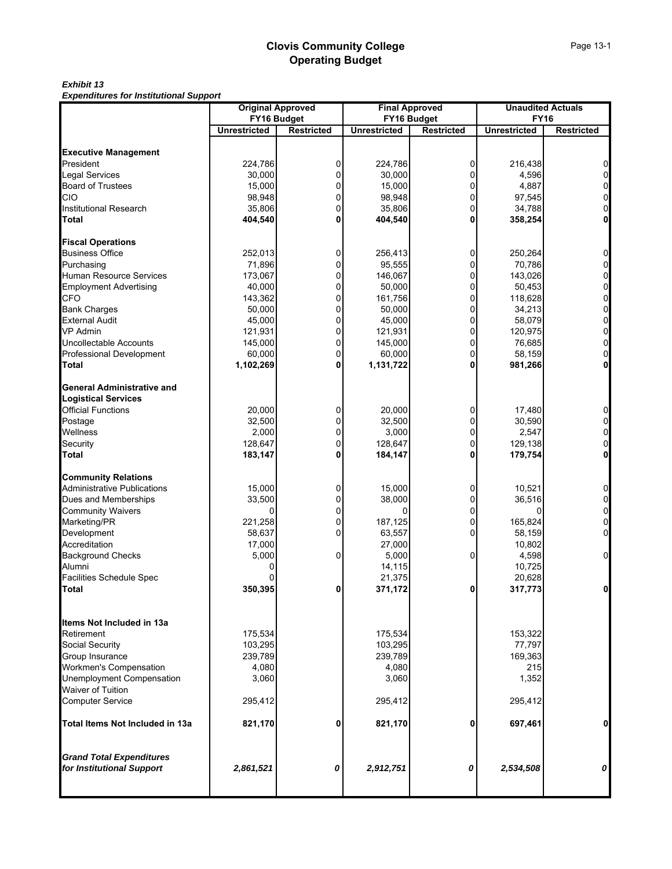#### *Exhibit 13*

|                                    |                     | <b>Original Approved</b> |                     | <b>Final Approved</b> | <b>Unaudited Actuals</b> |                     |  |  |
|------------------------------------|---------------------|--------------------------|---------------------|-----------------------|--------------------------|---------------------|--|--|
|                                    |                     | FY16 Budget              |                     | FY16 Budget           |                          | <b>FY16</b>         |  |  |
|                                    | <b>Unrestricted</b> | <b>Restricted</b>        | <b>Unrestricted</b> | <b>Restricted</b>     | <b>Unrestricted</b>      | <b>Restricted</b>   |  |  |
|                                    |                     |                          |                     |                       |                          |                     |  |  |
| <b>Executive Management</b>        |                     |                          |                     |                       |                          |                     |  |  |
| President                          | 224,786             | 0                        | 224,786             | 0                     | 216,438                  | 0                   |  |  |
| <b>Legal Services</b>              | 30,000              | 0                        | 30,000              | 0                     | 4,596                    | $\pmb{0}$           |  |  |
| <b>Board of Trustees</b>           | 15,000              | $\Omega$                 | 15,000              | 0                     | 4,887                    | $\overline{0}$      |  |  |
| CIO                                | 98,948              | $\mathbf 0$              | 98,948              | 0                     | 97,545                   | $\mathbf 0$         |  |  |
| Institutional Research             | 35,806              | 0                        | 35,806              | $\pmb{0}$             | 34,788                   | $\overline{0}$      |  |  |
| Total                              | 404,540             | 0                        | 404,540             | 0                     | 358,254                  | $\mathbf{0}$        |  |  |
| <b>Fiscal Operations</b>           |                     |                          |                     |                       |                          |                     |  |  |
| <b>Business Office</b>             | 252,013             | 0                        | 256,413             | 0                     | 250,264                  | 0                   |  |  |
| Purchasing                         | 71,896              | $\Omega$                 | 95,555              | 0                     | 70,786                   | $\overline{0}$      |  |  |
| Human Resource Services            | 173,067             | 0                        | 146,067             | $\mathbf 0$           | 143,026                  | $\mathbf 0$         |  |  |
| <b>Employment Advertising</b>      | 40,000              | 0                        | 50,000              | 0                     | 50,453                   | $\mathbf 0$         |  |  |
| CFO                                | 143,362             | $\Omega$                 | 161,756             | 0                     | 118,628                  | $\mathbf 0$         |  |  |
| <b>Bank Charges</b>                | 50,000              | $\Omega$                 | 50,000              | 0                     | 34,213                   | $\mathbf 0$         |  |  |
| <b>External Audit</b>              | 45,000              | 0                        | 45,000              | $\mathbf 0$           | 58,079                   | $\mathbf 0$         |  |  |
| <b>VP Admin</b>                    | 121,931             | 0                        | 121,931             | 0                     | 120,975                  | $\mathbf 0$         |  |  |
| Uncollectable Accounts             | 145,000             | $\Omega$                 | 145,000             | 0                     | 76,685                   | $\mathbf 0$         |  |  |
| Professional Development           | 60,000              | 0                        | 60,000              | $\pmb{0}$             | 58,159                   | $\overline{0}$      |  |  |
| Total                              | 1,102,269           | 0                        | 1,131,722           | 0                     | 981,266                  | $\mathbf{0}$        |  |  |
| <b>General Administrative and</b>  |                     |                          |                     |                       |                          |                     |  |  |
| <b>Logistical Services</b>         |                     |                          |                     |                       |                          |                     |  |  |
| <b>Official Functions</b>          | 20,000              | 0                        | 20,000              | 0                     | 17,480                   | 0                   |  |  |
| Postage                            | 32,500              | $\mathbf{0}$             | 32,500              | 0                     | 30,590                   | $\overline{0}$      |  |  |
| Wellness                           | 2,000               | 0                        | 3,000               | $\mathbf 0$           | 2,547                    | $\mathbf 0$         |  |  |
| Security                           | 128,647             | 0                        | 128,647             | 0                     | 129,138                  | $\mathbf 0$         |  |  |
| <b>Total</b>                       | 183,147             |                          | 184,147             | 0                     | 179,754                  | $\mathbf{0}$        |  |  |
| <b>Community Relations</b>         |                     |                          |                     |                       |                          |                     |  |  |
| <b>Administrative Publications</b> | 15,000              | 0                        | 15,000              | 0                     | 10,521                   | $\mathbf 0$         |  |  |
| Dues and Memberships               | 33,500              | 0                        | 38,000              | $\mathbf 0$           | 36,516                   | $\overline{0}$      |  |  |
| <b>Community Waivers</b>           | 0                   | 0                        | 0                   | 0                     | 0                        | $\overline{0}$      |  |  |
| Marketing/PR                       | 221,258             | 0                        | 187,125             | $\overline{0}$        | 165,824                  | $\overline{0}$      |  |  |
| Development                        | 58,637              | 0                        | 63,557              | 0                     | 58,159                   | $\mathsf{O}\xspace$ |  |  |
| Accreditation                      | 17,000              |                          | 27,000              |                       | 10,802                   |                     |  |  |
| <b>Background Checks</b>           | 5,000               | 0                        | 5,000               | 0                     | 4,598                    | $\overline{0}$      |  |  |
| Alumni                             |                     |                          | 14,115              |                       | 10,725                   |                     |  |  |
| <b>Facilities Schedule Spec</b>    |                     |                          | 21,375              |                       | 20,628                   |                     |  |  |
| <b>Total</b>                       | 350,395             | 0                        | 371,172             | 0                     | 317,773                  | 0                   |  |  |
|                                    |                     |                          |                     |                       |                          |                     |  |  |
| Items Not Included in 13a          |                     |                          |                     |                       |                          |                     |  |  |
| Retirement                         | 175,534             |                          | 175,534             |                       | 153,322                  |                     |  |  |
| Social Security                    | 103,295             |                          | 103,295             |                       | 77,797                   |                     |  |  |
| Group Insurance                    | 239,789             |                          | 239,789             |                       | 169,363                  |                     |  |  |
| <b>Workmen's Compensation</b>      | 4,080               |                          | 4,080               |                       | 215                      |                     |  |  |
| Unemployment Compensation          | 3,060               |                          | 3,060               |                       | 1,352                    |                     |  |  |
| Waiver of Tuition                  |                     |                          |                     |                       |                          |                     |  |  |
| <b>Computer Service</b>            | 295,412             |                          | 295,412             |                       | 295,412                  |                     |  |  |
|                                    |                     |                          |                     |                       |                          |                     |  |  |
| Total Items Not Included in 13a    | 821,170             | ŋ                        | 821,170             | 0                     | 697,461                  | 0                   |  |  |
| <b>Grand Total Expenditures</b>    |                     |                          |                     |                       |                          |                     |  |  |
| for Institutional Support          | 2,861,521           | 0                        | 2,912,751           | 0                     | 2,534,508                | $\boldsymbol{o}$    |  |  |
|                                    |                     |                          |                     |                       |                          |                     |  |  |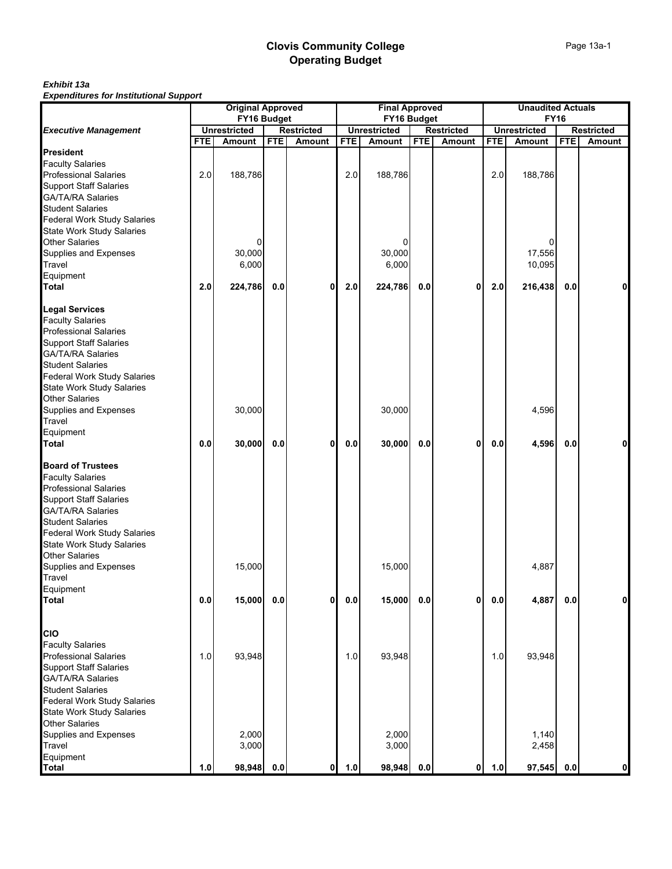#### *Exhibit 13a Expenditures for Institutional Support*

|                                                          | <b>Original Approved</b> |                     |            |                   | <b>Final Approved</b> |                     |            |                   | <b>Unaudited Actuals</b> |                     |            |                   |  |
|----------------------------------------------------------|--------------------------|---------------------|------------|-------------------|-----------------------|---------------------|------------|-------------------|--------------------------|---------------------|------------|-------------------|--|
|                                                          |                          | FY16 Budget         |            |                   |                       | FY16 Budget         |            |                   |                          | <b>FY16</b>         |            |                   |  |
| <b>Executive Management</b>                              |                          | <b>Unrestricted</b> |            | <b>Restricted</b> |                       | <b>Unrestricted</b> |            | <b>Restricted</b> |                          | <b>Unrestricted</b> |            | <b>Restricted</b> |  |
|                                                          | <b>FTE</b>               | <b>Amount</b>       | <b>FTE</b> | <b>Amount</b>     | <b>FTE</b>            | Amount              | <b>FTE</b> | Amount            | <b>FTE</b>               | Amount              | <b>FTE</b> | Amount            |  |
| <b>President</b>                                         |                          |                     |            |                   |                       |                     |            |                   |                          |                     |            |                   |  |
| <b>Faculty Salaries</b>                                  |                          |                     |            |                   |                       |                     |            |                   |                          |                     |            |                   |  |
| <b>Professional Salaries</b>                             | 2.0                      | 188,786             |            |                   | 2.0                   | 188,786             |            |                   | 2.0                      | 188,786             |            |                   |  |
| Support Staff Salaries<br>GA/TA/RA Salaries              |                          |                     |            |                   |                       |                     |            |                   |                          |                     |            |                   |  |
|                                                          |                          |                     |            |                   |                       |                     |            |                   |                          |                     |            |                   |  |
| <b>Student Salaries</b>                                  |                          |                     |            |                   |                       |                     |            |                   |                          |                     |            |                   |  |
| <b>Federal Work Study Salaries</b>                       |                          |                     |            |                   |                       |                     |            |                   |                          |                     |            |                   |  |
| State Work Study Salaries<br>Other Salaries              |                          |                     |            |                   |                       |                     |            |                   |                          |                     |            |                   |  |
|                                                          |                          |                     |            |                   |                       | $\Omega$            |            |                   |                          |                     |            |                   |  |
| Supplies and Expenses                                    |                          | 30,000              |            |                   |                       | 30,000              |            |                   |                          | 17,556              |            |                   |  |
| Travel<br>Equipment                                      |                          | 6,000               |            |                   |                       | 6,000               |            |                   |                          | 10,095              |            |                   |  |
| Total                                                    |                          |                     |            |                   |                       |                     |            |                   |                          |                     |            |                   |  |
|                                                          | 2.0                      | 224,786             | 0.0        | 0                 | 2.0                   | 224,786             | 0.0        | 0                 | 2.0                      | 216,438             | 0.0        | 0                 |  |
| <b>Legal Services</b>                                    |                          |                     |            |                   |                       |                     |            |                   |                          |                     |            |                   |  |
| <b>Faculty Salaries</b>                                  |                          |                     |            |                   |                       |                     |            |                   |                          |                     |            |                   |  |
| <b>Professional Salaries</b>                             |                          |                     |            |                   |                       |                     |            |                   |                          |                     |            |                   |  |
|                                                          |                          |                     |            |                   |                       |                     |            |                   |                          |                     |            |                   |  |
| Support Staff Salaries<br>GA/TA/RA Salaries              |                          |                     |            |                   |                       |                     |            |                   |                          |                     |            |                   |  |
| <b>Student Salaries</b>                                  |                          |                     |            |                   |                       |                     |            |                   |                          |                     |            |                   |  |
|                                                          |                          |                     |            |                   |                       |                     |            |                   |                          |                     |            |                   |  |
| Federal Work Study Salaries<br>State Work Study Salaries |                          |                     |            |                   |                       |                     |            |                   |                          |                     |            |                   |  |
| Other Salaries                                           |                          |                     |            |                   |                       |                     |            |                   |                          |                     |            |                   |  |
|                                                          |                          | 30,000              |            |                   |                       | 30,000              |            |                   |                          | 4,596               |            |                   |  |
| Supplies and Expenses<br>Travel                          |                          |                     |            |                   |                       |                     |            |                   |                          |                     |            |                   |  |
| Equipment                                                |                          |                     |            |                   |                       |                     |            |                   |                          |                     |            |                   |  |
| <b>Total</b>                                             | 0.0                      | 30,000              | 0.0        | 0                 | 0.0                   | 30,000              | 0.0        | 0                 | 0.0                      | 4,596               | 0.0        | 0                 |  |
|                                                          |                          |                     |            |                   |                       |                     |            |                   |                          |                     |            |                   |  |
| <b>Board of Trustees</b>                                 |                          |                     |            |                   |                       |                     |            |                   |                          |                     |            |                   |  |
| <b>Faculty Salaries</b>                                  |                          |                     |            |                   |                       |                     |            |                   |                          |                     |            |                   |  |
| Professional Salaries<br>Support Staff Salaries          |                          |                     |            |                   |                       |                     |            |                   |                          |                     |            |                   |  |
| GA/TA/RA Salaries                                        |                          |                     |            |                   |                       |                     |            |                   |                          |                     |            |                   |  |
|                                                          |                          |                     |            |                   |                       |                     |            |                   |                          |                     |            |                   |  |
| Student Salaries<br>Federal Work Study Salaries          |                          |                     |            |                   |                       |                     |            |                   |                          |                     |            |                   |  |
| State Work Study Salaries                                |                          |                     |            |                   |                       |                     |            |                   |                          |                     |            |                   |  |
| <b>Other Salaries</b>                                    |                          |                     |            |                   |                       |                     |            |                   |                          |                     |            |                   |  |
|                                                          |                          | 15,000              |            |                   |                       | 15,000              |            |                   |                          | 4,887               |            |                   |  |
| Supplies and Expenses<br>Travel                          |                          |                     |            |                   |                       |                     |            |                   |                          |                     |            |                   |  |
| Equipment                                                |                          |                     |            |                   |                       |                     |            |                   |                          |                     |            |                   |  |
| Total                                                    | 0.0                      | 15,000              | $0.0\,$    | ٥I                | 0.0                   | 15,000              | 0.0        | 0                 | $0.0\,$                  | 4,887               | $0.0\,$    | $\mathbf{0}$      |  |
|                                                          |                          |                     |            |                   |                       |                     |            |                   |                          |                     |            |                   |  |
|                                                          |                          |                     |            |                   |                       |                     |            |                   |                          |                     |            |                   |  |
| CIO                                                      |                          |                     |            |                   |                       |                     |            |                   |                          |                     |            |                   |  |
| <b>Faculty Salaries</b>                                  |                          |                     |            |                   |                       |                     |            |                   |                          |                     |            |                   |  |
| <b>Professional Salaries</b>                             | 1.0                      | 93,948              |            |                   | 1.0                   | 93,948              |            |                   | 1.0                      | 93,948              |            |                   |  |
| <b>Support Staff Salaries</b>                            |                          |                     |            |                   |                       |                     |            |                   |                          |                     |            |                   |  |
| GA/TA/RA Salaries<br>Student Salaries                    |                          |                     |            |                   |                       |                     |            |                   |                          |                     |            |                   |  |
| <b>Federal Work Study Salaries</b>                       |                          |                     |            |                   |                       |                     |            |                   |                          |                     |            |                   |  |
|                                                          |                          |                     |            |                   |                       |                     |            |                   |                          |                     |            |                   |  |
| State Work Study Salaries<br>Other Salaries              |                          |                     |            |                   |                       |                     |            |                   |                          |                     |            |                   |  |
| Supplies and Expenses                                    |                          | 2,000               |            |                   |                       | 2,000               |            |                   |                          | 1,140               |            |                   |  |
| Travel                                                   |                          | 3,000               |            |                   |                       | 3,000               |            |                   |                          | 2,458               |            |                   |  |
|                                                          |                          |                     |            |                   |                       |                     |            |                   |                          |                     |            |                   |  |
| Equipment<br>Total                                       | 1.0                      | 98,948              | 0.0        | 0                 | 1.0                   | 98,948              | 0.0        | $\mathbf{0}$      | $1.0$                    | 97,545              | 0.0        | $\mathbf 0$       |  |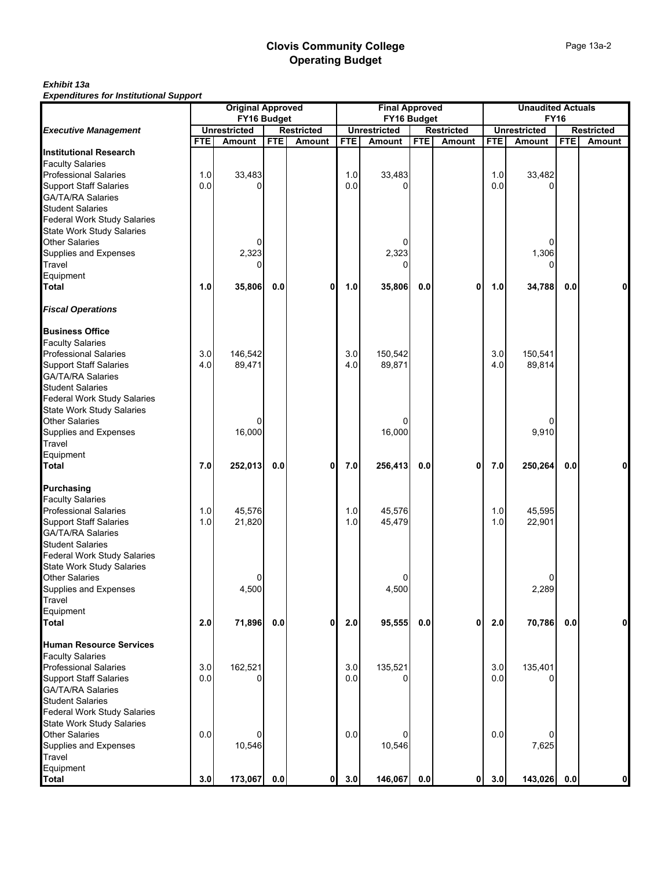#### *Exhibit 13a Expenditures for Institutional Support*

|                                    | <b>Original Approved</b><br>FY16 Budget |                                      |            |                             | <b>Final Approved</b><br>FY16 Budget |                                      |            |                             | <b>Unaudited Actuals</b><br><b>FY16</b> |                               |            |                                    |
|------------------------------------|-----------------------------------------|--------------------------------------|------------|-----------------------------|--------------------------------------|--------------------------------------|------------|-----------------------------|-----------------------------------------|-------------------------------|------------|------------------------------------|
|                                    |                                         |                                      |            |                             |                                      |                                      |            |                             |                                         |                               |            |                                    |
| <b>Executive Management</b>        | <b>FTE</b>                              | <b>Unrestricted</b><br><b>Amount</b> | <b>FTE</b> | <b>Restricted</b><br>Amount | <b>FTE</b>                           | <b>Unrestricted</b><br><b>Amount</b> | <b>FTE</b> | <b>Restricted</b><br>Amount | <b>FTE</b>                              | <b>Unrestricted</b><br>Amount | <b>FTE</b> | <b>Restricted</b><br><b>Amount</b> |
| <b>Institutional Research</b>      |                                         |                                      |            |                             |                                      |                                      |            |                             |                                         |                               |            |                                    |
| <b>Faculty Salaries</b>            |                                         |                                      |            |                             |                                      |                                      |            |                             |                                         |                               |            |                                    |
| <b>Professional Salaries</b>       | 1.0                                     | 33,483                               |            |                             | 1.0                                  | 33,483                               |            |                             | 1.0                                     | 33,482                        |            |                                    |
| <b>Support Staff Salaries</b>      | 0.0                                     | ŋ                                    |            |                             | 0.0                                  | ŋ                                    |            |                             | 0.0                                     |                               |            |                                    |
| <b>GA/TA/RA Salaries</b>           |                                         |                                      |            |                             |                                      |                                      |            |                             |                                         |                               |            |                                    |
| <b>Student Salaries</b>            |                                         |                                      |            |                             |                                      |                                      |            |                             |                                         |                               |            |                                    |
| <b>Federal Work Study Salaries</b> |                                         |                                      |            |                             |                                      |                                      |            |                             |                                         |                               |            |                                    |
| <b>State Work Study Salaries</b>   |                                         |                                      |            |                             |                                      |                                      |            |                             |                                         |                               |            |                                    |
| <b>Other Salaries</b>              |                                         | 0                                    |            |                             |                                      | 0                                    |            |                             |                                         | 0                             |            |                                    |
| Supplies and Expenses              |                                         | 2,323                                |            |                             |                                      | 2,323                                |            |                             |                                         | 1,306                         |            |                                    |
| Travel                             |                                         | $\Omega$                             |            |                             |                                      | 0                                    |            |                             |                                         | 0                             |            |                                    |
| Equipment                          |                                         |                                      |            |                             |                                      |                                      |            |                             |                                         |                               |            |                                    |
| Total                              | 1.0                                     | 35,806                               | 0.0        | $\mathbf 0$                 | 1.0                                  | 35,806                               | 0.0        | 0                           | 1.0                                     | 34,788                        | 0.0        | $\mathbf{0}$                       |
| <b>Fiscal Operations</b>           |                                         |                                      |            |                             |                                      |                                      |            |                             |                                         |                               |            |                                    |
| <b>Business Office</b>             |                                         |                                      |            |                             |                                      |                                      |            |                             |                                         |                               |            |                                    |
| <b>Faculty Salaries</b>            |                                         |                                      |            |                             |                                      |                                      |            |                             |                                         |                               |            |                                    |
| <b>Professional Salaries</b>       | 3.0                                     | 146,542                              |            |                             | 3.0                                  | 150,542                              |            |                             | 3.0                                     | 150,541                       |            |                                    |
| <b>Support Staff Salaries</b>      | 4.0                                     | 89,471                               |            |                             | 4.0                                  | 89,871                               |            |                             | 4.0                                     | 89,814                        |            |                                    |
| <b>GA/TA/RA Salaries</b>           |                                         |                                      |            |                             |                                      |                                      |            |                             |                                         |                               |            |                                    |
| <b>Student Salaries</b>            |                                         |                                      |            |                             |                                      |                                      |            |                             |                                         |                               |            |                                    |
| <b>Federal Work Study Salaries</b> |                                         |                                      |            |                             |                                      |                                      |            |                             |                                         |                               |            |                                    |
| <b>State Work Study Salaries</b>   |                                         |                                      |            |                             |                                      |                                      |            |                             |                                         |                               |            |                                    |
| <b>Other Salaries</b>              |                                         | 0                                    |            |                             |                                      | 0                                    |            |                             |                                         |                               |            |                                    |
| Supplies and Expenses              |                                         | 16,000                               |            |                             |                                      | 16,000                               |            |                             |                                         | 9,910                         |            |                                    |
| Travel                             |                                         |                                      |            |                             |                                      |                                      |            |                             |                                         |                               |            |                                    |
| Equipment                          |                                         |                                      |            |                             |                                      |                                      |            |                             |                                         |                               |            |                                    |
| Total                              | 7.0                                     | 252,013                              | 0.0        | $\mathbf 0$                 | 7.0                                  | 256,413                              | 0.0        | 0                           | 7.0                                     | 250,264                       | 0.0        | $\mathbf{0}$                       |
| <b>Purchasing</b>                  |                                         |                                      |            |                             |                                      |                                      |            |                             |                                         |                               |            |                                    |
| <b>Faculty Salaries</b>            |                                         |                                      |            |                             |                                      |                                      |            |                             |                                         |                               |            |                                    |
| <b>Professional Salaries</b>       | 1.0                                     | 45,576                               |            |                             | 1.0                                  | 45,576                               |            |                             | 1.0                                     | 45,595                        |            |                                    |
| <b>Support Staff Salaries</b>      | 1.0                                     | 21,820                               |            |                             | 1.0                                  | 45,479                               |            |                             | 1.0                                     | 22,901                        |            |                                    |
| <b>GA/TA/RA Salaries</b>           |                                         |                                      |            |                             |                                      |                                      |            |                             |                                         |                               |            |                                    |
| <b>Student Salaries</b>            |                                         |                                      |            |                             |                                      |                                      |            |                             |                                         |                               |            |                                    |
| <b>Federal Work Study Salaries</b> |                                         |                                      |            |                             |                                      |                                      |            |                             |                                         |                               |            |                                    |
| <b>State Work Study Salaries</b>   |                                         |                                      |            |                             |                                      |                                      |            |                             |                                         |                               |            |                                    |
| <b>Other Salaries</b>              |                                         | 0                                    |            |                             |                                      | 0                                    |            |                             |                                         |                               |            |                                    |
| Supplies and Expenses              |                                         | 4,500                                |            |                             |                                      | 4,500                                |            |                             |                                         | 2,289                         |            |                                    |
| Travel                             |                                         |                                      |            |                             |                                      |                                      |            |                             |                                         |                               |            |                                    |
| Equipment<br><b>Total</b>          | 2.0                                     | 71,896                               | 0.0        | 0                           | 2.0                                  | 95,555                               | 0.0        | 0                           | 2.0                                     | 70,786                        | 0.0        | $\mathbf{0}$                       |
| <b>Human Resource Services</b>     |                                         |                                      |            |                             |                                      |                                      |            |                             |                                         |                               |            |                                    |
| <b>Faculty Salaries</b>            |                                         |                                      |            |                             |                                      |                                      |            |                             |                                         |                               |            |                                    |
| <b>Professional Salaries</b>       | 3.0                                     | 162,521                              |            |                             | 3.0                                  | 135,521                              |            |                             | 3.0                                     | 135,401                       |            |                                    |
| <b>Support Staff Salaries</b>      | 0.0                                     | O                                    |            |                             | 0.0                                  |                                      |            |                             | 0.0                                     |                               |            |                                    |
| <b>GA/TA/RA Salaries</b>           |                                         |                                      |            |                             |                                      |                                      |            |                             |                                         |                               |            |                                    |
| <b>Student Salaries</b>            |                                         |                                      |            |                             |                                      |                                      |            |                             |                                         |                               |            |                                    |
| <b>Federal Work Study Salaries</b> |                                         |                                      |            |                             |                                      |                                      |            |                             |                                         |                               |            |                                    |
| <b>State Work Study Salaries</b>   |                                         |                                      |            |                             |                                      |                                      |            |                             |                                         |                               |            |                                    |
| <b>Other Salaries</b>              | 0.0                                     | $\Omega$                             |            |                             | 0.0                                  | 0                                    |            |                             | 0.0                                     |                               |            |                                    |
| Supplies and Expenses              |                                         | 10,546                               |            |                             |                                      | 10,546                               |            |                             |                                         | 7,625                         |            |                                    |
| Travel                             |                                         |                                      |            |                             |                                      |                                      |            |                             |                                         |                               |            |                                    |
| Equipment                          |                                         |                                      |            |                             |                                      |                                      |            |                             |                                         |                               |            |                                    |
| Total                              | 3.0                                     | 173,067                              | 0.0        | 0                           | 3.0                                  | 146,067                              | 0.0        | 0                           | 3.0                                     | 143,026                       | 0.0        | $\mathbf{0}$                       |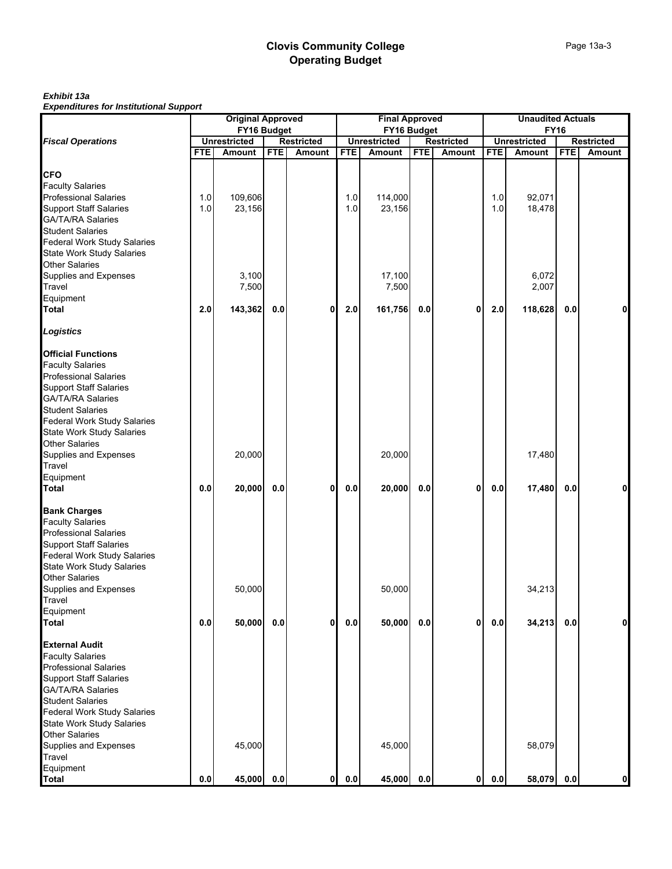|                                                                                                                                                                                                                                                    | <b>Original Approved</b> |                     |            |                   | <b>Final Approved</b> |                     |            |                   | <b>Unaudited Actuals</b> |                     |            |                   |
|----------------------------------------------------------------------------------------------------------------------------------------------------------------------------------------------------------------------------------------------------|--------------------------|---------------------|------------|-------------------|-----------------------|---------------------|------------|-------------------|--------------------------|---------------------|------------|-------------------|
|                                                                                                                                                                                                                                                    |                          | FY16 Budget         |            |                   |                       | FY16 Budget         |            |                   | <b>FY16</b>              |                     |            |                   |
| <b>Fiscal Operations</b>                                                                                                                                                                                                                           |                          | <b>Unrestricted</b> |            | <b>Restricted</b> |                       | <b>Unrestricted</b> |            | <b>Restricted</b> |                          | <b>Unrestricted</b> |            | <b>Restricted</b> |
|                                                                                                                                                                                                                                                    | <b>FTE</b>               | Amount              | <b>FTE</b> | <b>Amount</b>     | <b>FTE</b>            | Amount              | <b>FTE</b> | <b>Amount</b>     | <b>FTE</b>               | <b>Amount</b>       | <b>FTE</b> | Amount            |
| <b>CFO</b><br><b>Faculty Salaries</b><br><b>Professional Salaries</b><br><b>Support Staff Salaries</b><br><b>GA/TA/RA Salaries</b>                                                                                                                 | 1.0<br>1.0               | 109,606<br>23,156   |            |                   | 1.0<br>1.0            | 114,000<br>23,156   |            |                   | 1.0<br>1.0               | 92,071<br>18,478    |            |                   |
| <b>Student Salaries</b><br>Federal Work Study Salaries<br><b>State Work Study Salaries</b><br><b>Other Salaries</b><br>Supplies and Expenses                                                                                                       |                          | 3,100               |            |                   |                       | 17,100              |            |                   |                          | 6,072               |            |                   |
| Travel                                                                                                                                                                                                                                             |                          | 7,500               |            |                   |                       | 7,500               |            |                   |                          | 2,007               |            |                   |
| Equipment                                                                                                                                                                                                                                          |                          |                     |            |                   |                       |                     |            |                   |                          |                     |            |                   |
| <b>Total</b>                                                                                                                                                                                                                                       | 2.0                      | 143,362             | 0.0        | $\mathbf 0$       | 2.0                   | 161,756             | 0.0        | 0                 | 2.0                      | 118,628             | 0.0        | 0                 |
| Logistics                                                                                                                                                                                                                                          |                          |                     |            |                   |                       |                     |            |                   |                          |                     |            |                   |
| <b>Official Functions</b><br><b>Faculty Salaries</b><br><b>Professional Salaries</b><br><b>Support Staff Salaries</b><br><b>GA/TA/RA Salaries</b><br><b>Student Salaries</b><br>Federal Work Study Salaries                                        |                          |                     |            |                   |                       |                     |            |                   |                          |                     |            |                   |
| <b>State Work Study Salaries</b><br><b>Other Salaries</b><br>Supplies and Expenses<br>Travel<br>Equipment                                                                                                                                          |                          | 20,000              |            |                   |                       | 20,000              |            |                   |                          | 17,480              |            |                   |
| <b>Total</b>                                                                                                                                                                                                                                       | 0.0                      | 20,000              | 0.0        | $\mathbf{0}$      | $0.0\,$               | 20,000              | 0.0        | 0                 | 0.0                      | 17,480              | 0.0        | 0                 |
| <b>Bank Charges</b><br><b>Faculty Salaries</b><br><b>Professional Salaries</b><br><b>Support Staff Salaries</b><br>Federal Work Study Salaries<br><b>State Work Study Salaries</b><br><b>Other Salaries</b><br>Supplies and Expenses               |                          | 50,000              |            |                   |                       | 50,000              |            |                   |                          | 34,213              |            |                   |
| Travel                                                                                                                                                                                                                                             |                          |                     |            |                   |                       |                     |            |                   |                          |                     |            |                   |
| Equipment<br><b>Total</b>                                                                                                                                                                                                                          | 0.0                      | 50,000              | 0.0        | $\mathbf 0$       | 0.0                   | 50,000              | 0.0        | 0                 | 0.0                      | 34,213              | 0.0        | 0                 |
| <b>External Audit</b><br><b>Faculty Salaries</b><br><b>Professional Salaries</b><br><b>Support Staff Salaries</b><br><b>GA/TA/RA Salaries</b><br><b>Student Salaries</b><br><b>Federal Work Study Salaries</b><br><b>State Work Study Salaries</b> |                          |                     |            |                   |                       |                     |            |                   |                          |                     |            |                   |
| <b>Other Salaries</b><br>Supplies and Expenses<br><b>Travel</b>                                                                                                                                                                                    |                          | 45,000              |            |                   |                       | 45,000              |            |                   |                          | 58,079              |            |                   |
| Equipment<br><b>Total</b>                                                                                                                                                                                                                          | 0.0                      | 45,000              | 0.0        | $\mathbf{0}$      | 0.0                   | 45,000              | 0.0        | $\mathbf{0}$      | 0.0                      | 58,079              | 0.0        | 0                 |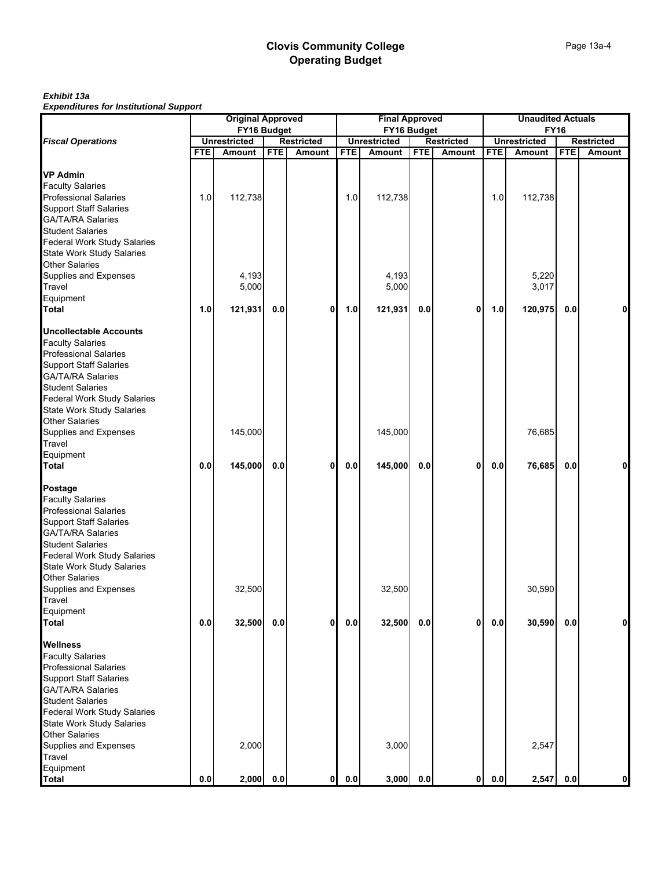#### *Exhibit 13a*

|                                                                                                                                                                                                                                                                                                                         | <b>Original Approved</b><br>FY16 Budget |                           |            |                   | <b>Final Approved</b> |                           |            |                   | <b>Unaudited Actuals</b> |                           |            |                   |  |
|-------------------------------------------------------------------------------------------------------------------------------------------------------------------------------------------------------------------------------------------------------------------------------------------------------------------------|-----------------------------------------|---------------------------|------------|-------------------|-----------------------|---------------------------|------------|-------------------|--------------------------|---------------------------|------------|-------------------|--|
|                                                                                                                                                                                                                                                                                                                         |                                         |                           |            |                   |                       | FY16 Budget               |            |                   |                          | <b>FY16</b>               |            |                   |  |
| <b>Fiscal Operations</b>                                                                                                                                                                                                                                                                                                |                                         | <b>Unrestricted</b>       |            | <b>Restricted</b> |                       | <b>Unrestricted</b>       |            | <b>Restricted</b> |                          | <b>Unrestricted</b>       |            | <b>Restricted</b> |  |
|                                                                                                                                                                                                                                                                                                                         | <b>FTE</b>                              | <b>Amount</b>             | <b>FTE</b> | Amount            | <b>FTE</b>            | <b>Amount</b>             | <b>FTE</b> | <b>Amount</b>     | <b>FTE</b>               | Amount                    | <b>FTE</b> | <b>Amount</b>     |  |
| <b>VP Admin</b><br><b>Faculty Salaries</b><br>Professional Salaries<br><b>Support Staff Salaries</b><br>GA/TA/RA Salaries<br><b>Student Salaries</b>                                                                                                                                                                    | 1.0                                     | 112,738                   |            |                   | 1.0                   | 112,738                   |            |                   | 1.0                      | 112,738                   |            |                   |  |
| <b>Federal Work Study Salaries</b><br><b>State Work Study Salaries</b><br>Other Salaries<br>Supplies and Expenses<br>Travel<br>Equipment<br>Total                                                                                                                                                                       | 1.0                                     | 4,193<br>5,000<br>121,931 | 0.0        | $\mathbf{0}$      | 1.0                   | 4,193<br>5,000<br>121,931 | 0.0        | 0                 | 1.0                      | 5,220<br>3,017<br>120,975 | 0.0        | 0                 |  |
| <b>Uncollectable Accounts</b><br><b>Faculty Salaries</b><br><b>Professional Salaries</b><br><b>Support Staff Salaries</b><br>GA/TA/RA Salaries<br>Student Salaries<br><b>Federal Work Study Salaries</b><br>State Work Study Salaries<br>Other Salaries<br>Supplies and Expenses<br>Travel                              |                                         | 145,000                   |            |                   |                       | 145,000                   |            |                   |                          | 76,685                    |            |                   |  |
| Equipment<br>Total                                                                                                                                                                                                                                                                                                      |                                         |                           |            |                   |                       |                           |            |                   |                          |                           |            |                   |  |
|                                                                                                                                                                                                                                                                                                                         | 0.0                                     | 145,000                   | 0.0        | $\mathbf 0$       | 0.0                   | 145,000                   | 0.0        | 0                 | 0.0                      | 76,685                    | 0.0        | 0                 |  |
| <b>Postage</b><br>Faculty Salaries<br><b>Professional Salaries</b><br>Support Staff Salaries<br>GA/TA/RA Salaries<br><b>Student Salaries</b><br>Federal Work Study Salaries<br>State Work Study Salaries<br><b>Other Salaries</b><br>Supplies and Expenses<br>Travel<br>Equipment<br>Total                              | 0.0                                     | 32,500<br>32,500          | 0.0        | $\mathbf{0}$      | 0.0                   | 32,500<br>32,500          | 0.0        | 0                 | 0.0                      | 30,590<br>30,590          | 0.0        | 0                 |  |
| <b>Wellness</b><br><b>Faculty Salaries</b><br><b>Professional Salaries</b><br><b>Support Staff Salaries</b><br>GA/TA/RA Salaries<br><b>Student Salaries</b><br><b>Federal Work Study Salaries</b><br>State Work Study Salaries<br><b>Other Salaries</b><br>Supplies and Expenses<br>Travel<br>Equipment<br><b>Total</b> | 0.0                                     | 2,000<br>2,000            | 0.0        | 0                 | 0.0                   | 3,000<br>3,000            | 0.0        | $\mathbf 0$       | 0.0                      | 2,547<br>2,547            | 0.0        | 0                 |  |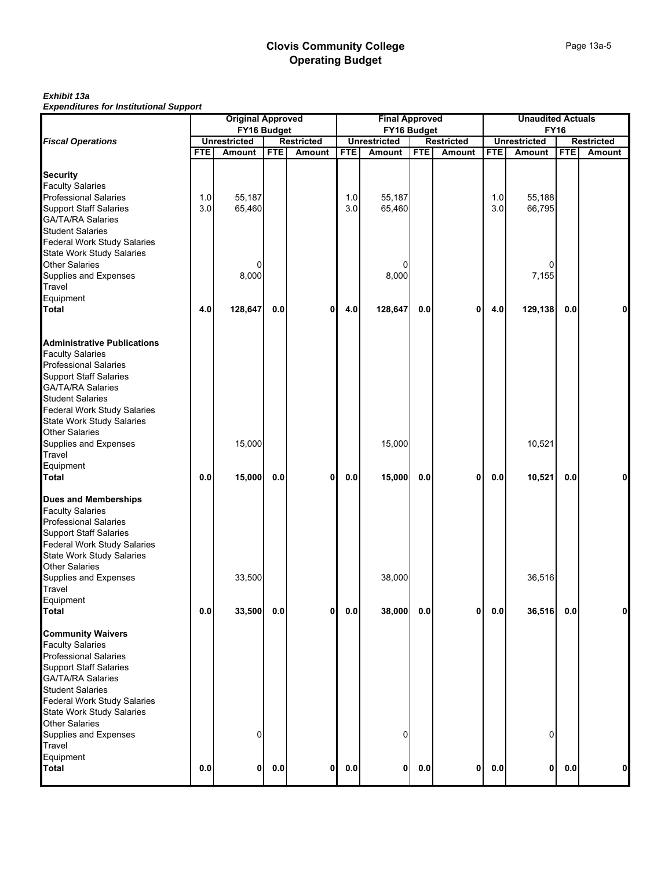#### *Exhibit 13a*

|                                                                                                                                                                                                                                                                                                                                   | <b>Original Approved</b> |                       |            |                   | <b>Final Approved</b> |                                    |            |                   | <b>Unaudited Actuals</b> |                       |            |                   |  |
|-----------------------------------------------------------------------------------------------------------------------------------------------------------------------------------------------------------------------------------------------------------------------------------------------------------------------------------|--------------------------|-----------------------|------------|-------------------|-----------------------|------------------------------------|------------|-------------------|--------------------------|-----------------------|------------|-------------------|--|
|                                                                                                                                                                                                                                                                                                                                   |                          | FY16 Budget           |            |                   |                       | FY16 Budget                        |            |                   |                          | <b>FY16</b>           |            |                   |  |
| <b>Fiscal Operations</b>                                                                                                                                                                                                                                                                                                          |                          | <b>Unrestricted</b>   |            | <b>Restricted</b> |                       | <b>Unrestricted</b>                |            | <b>Restricted</b> |                          | <b>Unrestricted</b>   |            | <b>Restricted</b> |  |
|                                                                                                                                                                                                                                                                                                                                   | FTE                      | <b>Amount</b>         | <b>FTE</b> | <b>Amount</b>     | <b>FTE</b>            | Amount                             | <b>FTE</b> | <b>Amount</b>     | <b>FTE</b>               | Amount                | <b>FTE</b> | Amount            |  |
| <b>Security</b><br><b>Faculty Salaries</b><br>Professional Salaries<br><b>Support Staff Salaries</b><br>GA/TA/RA Salaries<br>Student Salaries                                                                                                                                                                                     | 1.0<br>3.0               | 55,187<br>65,460      |            |                   | 1.0<br>3.0            | 55,187<br>65,460                   |            |                   | 1.0<br>3.0               | 55,188<br>66,795      |            |                   |  |
| <b>Federal Work Study Salaries</b><br>State Work Study Salaries<br>Other Salaries<br>Supplies and Expenses<br>Travel<br>Equipment<br>Total                                                                                                                                                                                        | 4.0                      | 0<br>8,000<br>128,647 | 0.0        | $\mathbf{0}$      | 4.0                   | $\overline{0}$<br>8,000<br>128,647 | 0.0        | 0                 | 4.0                      | 0<br>7,155<br>129,138 | 0.0        | 0                 |  |
|                                                                                                                                                                                                                                                                                                                                   |                          |                       |            |                   |                       |                                    |            |                   |                          |                       |            |                   |  |
| <b>Administrative Publications</b><br><b>Faculty Salaries</b><br><b>Professional Salaries</b><br>Support Staff Salaries<br>GA/TA/RA Salaries<br><b>Student Salaries</b><br>Federal Work Study Salaries<br>State Work Study Salaries<br><b>Other Salaries</b><br>Supplies and Expenses<br>Travel<br>Equipment<br><b>Total</b>      | 0.0                      | 15,000<br>15,000      | 0.0        | $\mathbf 0$       | 0.0                   | 15,000<br>15,000                   | $0.0\,$    | 0                 | $0.0\,$                  | 10,521<br>10,521      | 0.0        | 0                 |  |
| <b>Dues and Memberships</b><br><b>Faculty Salaries</b><br><b>Professional Salaries</b><br><b>Support Staff Salaries</b><br><b>Federal Work Study Salaries</b><br>State Work Study Salaries<br>Other Salaries<br>Supplies and Expenses<br>Travel<br>Equipment                                                                      |                          | 33,500                |            |                   |                       | 38,000                             |            |                   |                          | 36,516                |            |                   |  |
| <b>Total</b><br><b>Community Waivers</b><br><b>Faculty Salaries</b><br><b>Professional Salaries</b><br><b>Support Staff Salaries</b><br><b>GA/TA/RA Salaries</b><br><b>Student Salaries</b><br><b>Federal Work Study Salaries</b><br><b>State Work Study Salaries</b><br>Other Salaries<br><b>Supplies and Expenses</b><br>Travel | 0.0                      | 33,500<br>$\Omega$    | 0.0        | $\mathbf{0}$      | 0.0                   | 38,000<br>$\mathbf 0$              | 0.0        | 0                 | 0.0                      | 36,516<br>0           | 0.0        | $\mathbf{0}$      |  |
| Equipment<br><b>Total</b>                                                                                                                                                                                                                                                                                                         | 0.0                      | $\mathbf{0}$          | $0.0\,$    | $\mathbf{0}$      | $0.0\,$               | $\mathbf{0}$                       | 0.0        | 0                 | $0.0\,$                  | 0                     | $0.0\,$    | 0                 |  |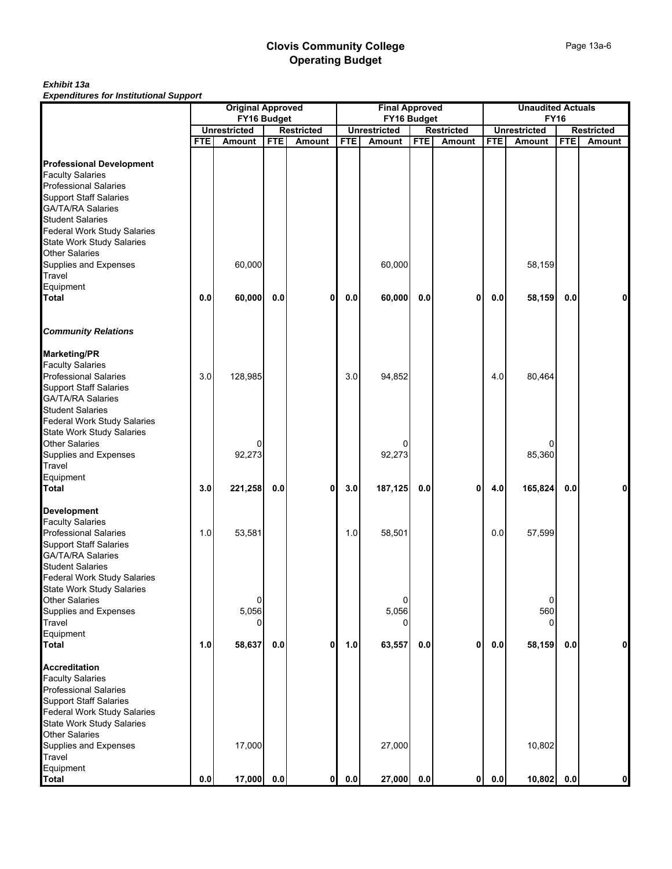### *Exhibit 13a*

|                                                                                                                                                                                            |            | <b>Original Approved</b>      |            | <b>Final Approved</b>       |            |                               |            | <b>Unaudited Actuals</b>    |            |                               |            |                             |
|--------------------------------------------------------------------------------------------------------------------------------------------------------------------------------------------|------------|-------------------------------|------------|-----------------------------|------------|-------------------------------|------------|-----------------------------|------------|-------------------------------|------------|-----------------------------|
|                                                                                                                                                                                            |            | FY16 Budget                   |            |                             |            | FY16 Budget                   |            |                             |            | <b>FY16</b>                   |            |                             |
|                                                                                                                                                                                            | <b>FTE</b> | <b>Unrestricted</b><br>Amount | <b>FTE</b> | <b>Restricted</b><br>Amount | <b>FTE</b> | <b>Unrestricted</b><br>Amount | <b>FTE</b> | <b>Restricted</b><br>Amount | <b>FTE</b> | <b>Unrestricted</b><br>Amount | <b>FTE</b> | <b>Restricted</b><br>Amount |
|                                                                                                                                                                                            |            |                               |            |                             |            |                               |            |                             |            |                               |            |                             |
| <b>Professional Development</b><br><b>Faculty Salaries</b><br><b>Professional Salaries</b><br><b>Support Staff Salaries</b><br><b>GA/TA/RA Salaries</b><br><b>Student Salaries</b>         |            |                               |            |                             |            |                               |            |                             |            |                               |            |                             |
| <b>Federal Work Study Salaries</b><br><b>State Work Study Salaries</b><br><b>Other Salaries</b>                                                                                            |            |                               |            |                             |            |                               |            |                             |            |                               |            |                             |
| Supplies and Expenses<br>Travel<br>Equipment                                                                                                                                               |            | 60,000                        |            |                             |            | 60,000                        |            |                             |            | 58,159                        |            |                             |
| <b>Total</b>                                                                                                                                                                               | 0.0        | 60,000                        | 0.0        | $\mathbf{0}$                | 0.0        | 60,000                        | 0.0        | 0                           | 0.0        | 58,159                        | 0.0        | $\mathbf{0}$                |
| <b>Community Relations</b>                                                                                                                                                                 |            |                               |            |                             |            |                               |            |                             |            |                               |            |                             |
| <b>Marketing/PR</b><br><b>Faculty Salaries</b><br><b>Professional Salaries</b>                                                                                                             | 3.0        | 128,985                       |            |                             | 3.0        | 94,852                        |            |                             | 4.0        | 80,464                        |            |                             |
| <b>Support Staff Salaries</b><br><b>GA/TA/RA Salaries</b><br><b>Student Salaries</b><br><b>Federal Work Study Salaries</b><br><b>State Work Study Salaries</b>                             |            |                               |            |                             |            |                               |            |                             |            |                               |            |                             |
| <b>Other Salaries</b><br>Supplies and Expenses<br>Travel<br>Equipment                                                                                                                      |            | 0<br>92,273                   |            |                             |            | 92,273                        |            |                             |            | 85,360                        |            |                             |
| <b>Total</b>                                                                                                                                                                               | 3.0        | 221,258                       | 0.0        | $\mathbf{0}$                | 3.0        | 187,125                       | $0.0\,$    | 0                           | $4.0$      | 165,824                       | 0.0        | $\mathbf{0}$                |
| <b>Development</b>                                                                                                                                                                         |            |                               |            |                             |            |                               |            |                             |            |                               |            |                             |
| <b>Faculty Salaries</b><br><b>Professional Salaries</b><br><b>Support Staff Salaries</b><br><b>GA/TA/RA Salaries</b><br><b>Student Salaries</b>                                            | 1.0        | 53,581                        |            |                             | 1.0        | 58,501                        |            |                             | 0.0        | 57,599                        |            |                             |
| <b>Federal Work Study Salaries</b><br><b>State Work Study Salaries</b><br><b>Other Salaries</b>                                                                                            |            | 0                             |            |                             |            | 0                             |            |                             |            | 0                             |            |                             |
| Supplies and Expenses<br>Travel<br>Equipment<br><b>Total</b>                                                                                                                               | 1.0        | 5,056<br>n<br>58,637          | $0.0\,$    | $\mathbf{0}$                | 1.0        | 5,056<br>0<br>63,557          | 0.0        | 0                           | 0.0        | 560<br>58,159                 | 0.0        | $\mathbf{0}$                |
|                                                                                                                                                                                            |            |                               |            |                             |            |                               |            |                             |            |                               |            |                             |
| <b>Accreditation</b><br><b>Faculty Salaries</b><br><b>Professional Salaries</b><br><b>Support Staff Salaries</b><br><b>Federal Work Study Salaries</b><br><b>State Work Study Salaries</b> |            |                               |            |                             |            |                               |            |                             |            |                               |            |                             |
| <b>Other Salaries</b><br>Supplies and Expenses<br>Travel                                                                                                                                   |            | 17,000                        |            |                             |            | 27,000                        |            |                             |            | 10,802                        |            |                             |
| Equipment<br><b>Total</b>                                                                                                                                                                  | 0.0        | 17,000                        | 0.0        | 0                           | 0.0        | 27,000                        | $0.0\,$    | 0                           | 0.0        | 10,802                        | 0.0        | $\mathbf{0}$                |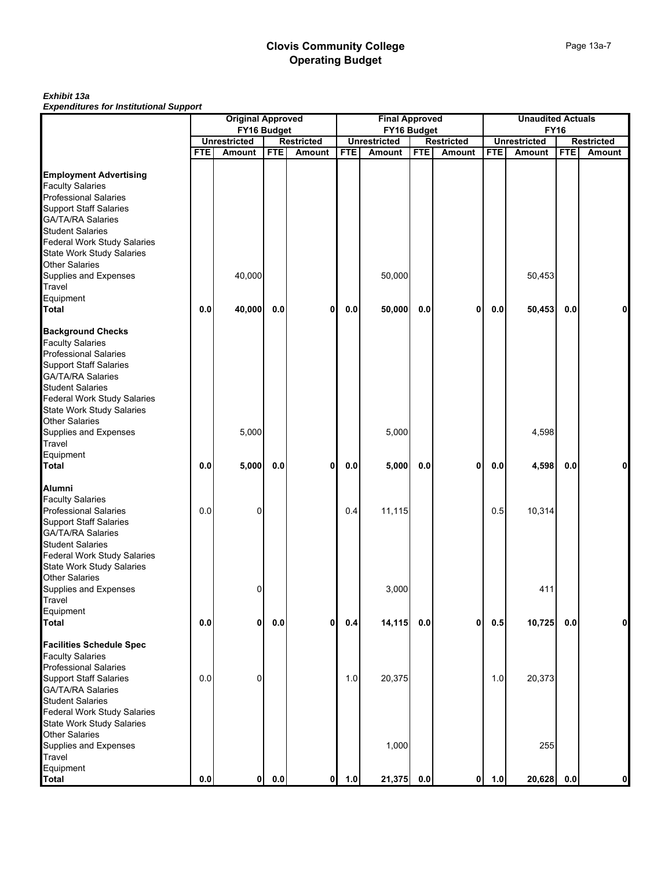#### *Exhibit 13a*

|                                                               | <b>Original Approved</b><br>FY16 Budget |                     |            |                                    | <b>Final Approved</b> |                                      |            |                                    | <b>Unaudited Actuals</b> |                                    |            |                                    |
|---------------------------------------------------------------|-----------------------------------------|---------------------|------------|------------------------------------|-----------------------|--------------------------------------|------------|------------------------------------|--------------------------|------------------------------------|------------|------------------------------------|
|                                                               |                                         | <b>Unrestricted</b> |            |                                    |                       | FY16 Budget                          |            |                                    |                          | <b>FY16</b><br><b>Unrestricted</b> |            |                                    |
|                                                               | <b>FTE</b>                              | <b>Amount</b>       | <b>FTE</b> | <b>Restricted</b><br><b>Amount</b> | <b>FTE</b>            | <b>Unrestricted</b><br><b>Amount</b> | <b>FTE</b> | <b>Restricted</b><br><b>Amount</b> | <b>FTE</b>               | <b>Amount</b>                      | <b>FTE</b> | <b>Restricted</b><br><b>Amount</b> |
|                                                               |                                         |                     |            |                                    |                       |                                      |            |                                    |                          |                                    |            |                                    |
| <b>Employment Advertising</b>                                 |                                         |                     |            |                                    |                       |                                      |            |                                    |                          |                                    |            |                                    |
| <b>Faculty Salaries</b>                                       |                                         |                     |            |                                    |                       |                                      |            |                                    |                          |                                    |            |                                    |
| <b>Professional Salaries</b>                                  |                                         |                     |            |                                    |                       |                                      |            |                                    |                          |                                    |            |                                    |
| <b>Support Staff Salaries</b>                                 |                                         |                     |            |                                    |                       |                                      |            |                                    |                          |                                    |            |                                    |
| <b>GA/TA/RA Salaries</b>                                      |                                         |                     |            |                                    |                       |                                      |            |                                    |                          |                                    |            |                                    |
| <b>Student Salaries</b><br><b>Federal Work Study Salaries</b> |                                         |                     |            |                                    |                       |                                      |            |                                    |                          |                                    |            |                                    |
| <b>State Work Study Salaries</b>                              |                                         |                     |            |                                    |                       |                                      |            |                                    |                          |                                    |            |                                    |
| <b>Other Salaries</b>                                         |                                         |                     |            |                                    |                       |                                      |            |                                    |                          |                                    |            |                                    |
| Supplies and Expenses                                         |                                         | 40,000              |            |                                    |                       | 50,000                               |            |                                    |                          | 50,453                             |            |                                    |
| Travel                                                        |                                         |                     |            |                                    |                       |                                      |            |                                    |                          |                                    |            |                                    |
| Equipment                                                     |                                         |                     |            |                                    |                       |                                      |            |                                    |                          |                                    |            |                                    |
| <b>Total</b>                                                  | 0.0                                     | 40,000              | 0.0        | 0                                  | $0.0\,$               | 50,000                               | 0.0        | 0                                  | 0.0                      | 50,453                             | 0.0        |                                    |
| <b>Background Checks</b>                                      |                                         |                     |            |                                    |                       |                                      |            |                                    |                          |                                    |            |                                    |
| <b>Faculty Salaries</b>                                       |                                         |                     |            |                                    |                       |                                      |            |                                    |                          |                                    |            |                                    |
| <b>Professional Salaries</b>                                  |                                         |                     |            |                                    |                       |                                      |            |                                    |                          |                                    |            |                                    |
| <b>Support Staff Salaries</b>                                 |                                         |                     |            |                                    |                       |                                      |            |                                    |                          |                                    |            |                                    |
| GA/TA/RA Salaries                                             |                                         |                     |            |                                    |                       |                                      |            |                                    |                          |                                    |            |                                    |
| <b>Student Salaries</b>                                       |                                         |                     |            |                                    |                       |                                      |            |                                    |                          |                                    |            |                                    |
| Federal Work Study Salaries                                   |                                         |                     |            |                                    |                       |                                      |            |                                    |                          |                                    |            |                                    |
| <b>State Work Study Salaries</b>                              |                                         |                     |            |                                    |                       |                                      |            |                                    |                          |                                    |            |                                    |
| <b>Other Salaries</b>                                         |                                         |                     |            |                                    |                       |                                      |            |                                    |                          |                                    |            |                                    |
| Supplies and Expenses                                         |                                         | 5,000               |            |                                    |                       | 5,000                                |            |                                    |                          | 4,598                              |            |                                    |
| Travel                                                        |                                         |                     |            |                                    |                       |                                      |            |                                    |                          |                                    |            |                                    |
| Equipment<br><b>Total</b>                                     | 0.0                                     | 5,000               | 0.0        | $\mathbf 0$                        | 0.0                   | 5,000                                | 0.0        | 0                                  | $0.0\,$                  | 4,598                              | 0.0        | 0                                  |
|                                                               |                                         |                     |            |                                    |                       |                                      |            |                                    |                          |                                    |            |                                    |
| Alumni                                                        |                                         |                     |            |                                    |                       |                                      |            |                                    |                          |                                    |            |                                    |
| <b>Faculty Salaries</b>                                       |                                         |                     |            |                                    |                       |                                      |            |                                    |                          |                                    |            |                                    |
| <b>Professional Salaries</b>                                  | 0.0                                     | $\mathbf 0$         |            |                                    | 0.4                   | 11,115                               |            |                                    | 0.5                      | 10,314                             |            |                                    |
| <b>Support Staff Salaries</b><br><b>GA/TA/RA Salaries</b>     |                                         |                     |            |                                    |                       |                                      |            |                                    |                          |                                    |            |                                    |
| <b>Student Salaries</b>                                       |                                         |                     |            |                                    |                       |                                      |            |                                    |                          |                                    |            |                                    |
| <b>Federal Work Study Salaries</b>                            |                                         |                     |            |                                    |                       |                                      |            |                                    |                          |                                    |            |                                    |
| <b>State Work Study Salaries</b>                              |                                         |                     |            |                                    |                       |                                      |            |                                    |                          |                                    |            |                                    |
| <b>Other Salaries</b>                                         |                                         |                     |            |                                    |                       |                                      |            |                                    |                          |                                    |            |                                    |
| Supplies and Expenses                                         |                                         | $\Omega$            |            |                                    |                       | 3,000                                |            |                                    |                          | 411                                |            |                                    |
| Travel                                                        |                                         |                     |            |                                    |                       |                                      |            |                                    |                          |                                    |            |                                    |
| Equipment                                                     |                                         |                     |            |                                    |                       |                                      |            |                                    |                          |                                    |            |                                    |
| <b>Total</b>                                                  | 0.0                                     | $\mathbf{0}$        | 0.0        | $\mathbf{0}$                       | 0.4                   | 14,115                               | 0.0        | 0                                  | 0.5                      | 10,725                             | 0.0        | ٥l                                 |
| <b>Facilities Schedule Spec</b>                               |                                         |                     |            |                                    |                       |                                      |            |                                    |                          |                                    |            |                                    |
| <b>Faculty Salaries</b>                                       |                                         |                     |            |                                    |                       |                                      |            |                                    |                          |                                    |            |                                    |
| <b>Professional Salaries</b>                                  |                                         |                     |            |                                    |                       |                                      |            |                                    |                          |                                    |            |                                    |
| <b>Support Staff Salaries</b>                                 | 0.0                                     | 0                   |            |                                    | 1.0                   | 20,375                               |            |                                    | 1.0                      | 20,373                             |            |                                    |
| <b>GA/TA/RA Salaries</b>                                      |                                         |                     |            |                                    |                       |                                      |            |                                    |                          |                                    |            |                                    |
| <b>Student Salaries</b>                                       |                                         |                     |            |                                    |                       |                                      |            |                                    |                          |                                    |            |                                    |
| <b>Federal Work Study Salaries</b>                            |                                         |                     |            |                                    |                       |                                      |            |                                    |                          |                                    |            |                                    |
| <b>State Work Study Salaries</b>                              |                                         |                     |            |                                    |                       |                                      |            |                                    |                          |                                    |            |                                    |
| <b>Other Salaries</b>                                         |                                         |                     |            |                                    |                       |                                      |            |                                    |                          |                                    |            |                                    |
| Supplies and Expenses<br>Travel                               |                                         |                     |            |                                    |                       | 1,000                                |            |                                    |                          | 255                                |            |                                    |
| Equipment                                                     |                                         |                     |            |                                    |                       |                                      |            |                                    |                          |                                    |            |                                    |
| <b>Total</b>                                                  | 0.0                                     | 0                   | 0.0        | 0                                  | 1.0                   | 21,375                               | 0.0        | 0                                  | 1.0                      | 20,628                             | 0.0        | 0                                  |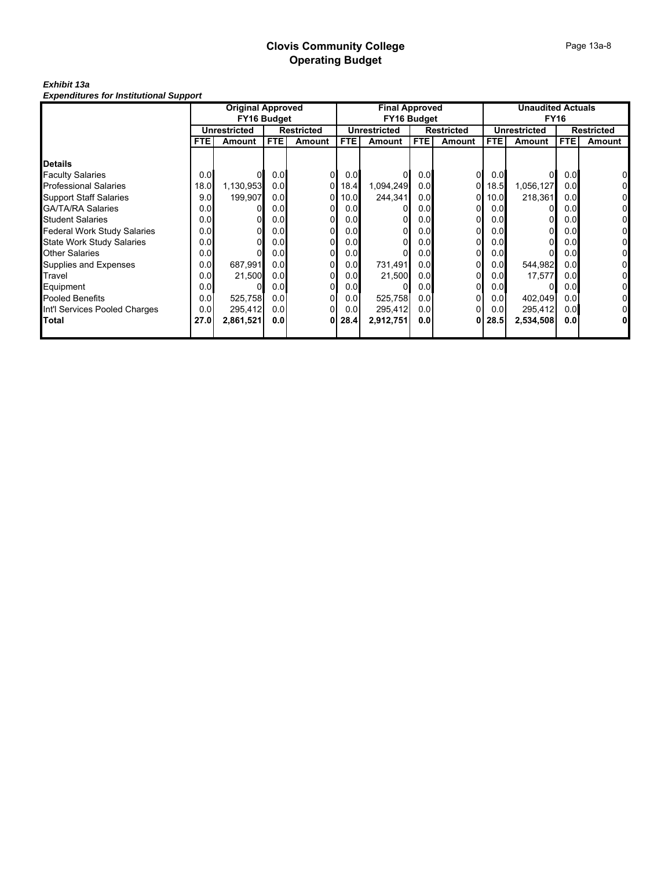#### *Exhibit 13a Expenditures for Institutional Support*

|                                    | <b>Original Approved</b><br>FY16 Budget |                     |            |                   |      | <b>Final Approved</b><br>FY16 Budget |            |                   | <b>Unaudited Actuals</b><br><b>FY16</b> |                     |                  |                   |
|------------------------------------|-----------------------------------------|---------------------|------------|-------------------|------|--------------------------------------|------------|-------------------|-----------------------------------------|---------------------|------------------|-------------------|
|                                    |                                         | <b>Unrestricted</b> |            | <b>Restricted</b> |      | <b>Unrestricted</b>                  |            | <b>Restricted</b> |                                         | <b>Unrestricted</b> |                  | <b>Restricted</b> |
|                                    | <b>FTEI</b>                             | <b>Amount</b>       | <b>FTE</b> | Amount            | FTE. | <b>Amount</b>                        | <b>FTE</b> | Amount            | <b>FTE</b>                              | Amount              | FTE.             | Amount            |
|                                    |                                         |                     |            |                   |      |                                      |            |                   |                                         |                     |                  |                   |
| <b>Details</b>                     |                                         |                     |            |                   |      |                                      |            |                   |                                         |                     |                  |                   |
| <b>Faculty Salaries</b>            | 0.0                                     |                     | 0.0        | 0l                | 0.0  |                                      | 0.0        | 0                 | 0.0                                     | $\Omega$            | 0.0              |                   |
| <b>Professional Salaries</b>       | 18.0                                    | 1,130,953           | 0.0        |                   | 18.4 | 1,094,249                            | 0.0        | 0                 | 18.5                                    | 1,056,127           | 0.0              |                   |
| <b>Support Staff Salaries</b>      | 9.0                                     | 199,907             | 0.0        | 01                | 10.0 | 244,341                              | 0.0        | 0                 | 10.0                                    | 218,361             | 0.0              |                   |
| <b>GA/TA/RA Salaries</b>           | 0.0                                     |                     | 0.0        |                   | 0.0  |                                      | 0.0        |                   | 0.0                                     |                     | 0.0              |                   |
| <b>Student Salaries</b>            | 0.0                                     |                     | 0.0        |                   | 0.0  |                                      | 0.0        |                   | 0.0                                     |                     | 0.0              |                   |
| <b>Federal Work Study Salaries</b> | 0.0                                     |                     | 0.0        |                   | 0.0  |                                      | 0.0        |                   | 0.0                                     |                     | 0.0              |                   |
| <b>State Work Study Salaries</b>   | 0.0                                     | $\Omega$            | 0.0        |                   | 0.0  |                                      | 0.0        |                   | 0.0                                     | $\Omega$            | 0.0              |                   |
| <b>Other Salaries</b>              | 0.0                                     |                     | 0.0        |                   | 0.0  |                                      | 0.0        |                   | 0.0                                     |                     | 0.0 <sub>l</sub> |                   |
| Supplies and Expenses              | 0.0                                     | 687,991             | 0.0        |                   | 0.0  | 731,491                              | 0.0        |                   | 0.0                                     | 544,982             | 0.0 <sub>l</sub> |                   |
| Travel                             | 0.0                                     | 21,500              | 0.0        |                   | 0.0  | 21,500                               | 0.0        |                   | 0.0                                     | 17,577              | 0.0 <sub>l</sub> |                   |
| Equipment                          | 0.0                                     |                     | 0.0        |                   | 0.0  |                                      | 0.0        |                   | 0.0                                     |                     | 0.0              |                   |
| Pooled Benefits                    | 0.01                                    | 525,758             | 0.0        |                   | 0.0  | 525,758                              | 0.01       |                   | 0.0                                     | 402,049             | 0.01             |                   |
| Int'l Services Pooled Charges      | 0.0 <sub>l</sub>                        | 295,412             | 0.0        |                   | 0.0  | 295,412                              | 0.01       |                   | 0.01                                    | 295,412             | 0.0              |                   |
| Total                              | <b>27.0</b>                             | 2,861,521           | 0.0        | 01                | 28.4 | 2,912,751                            | 0.01       | 0                 | 28.5                                    | 2,534,508           | 0.0 <sub>l</sub> |                   |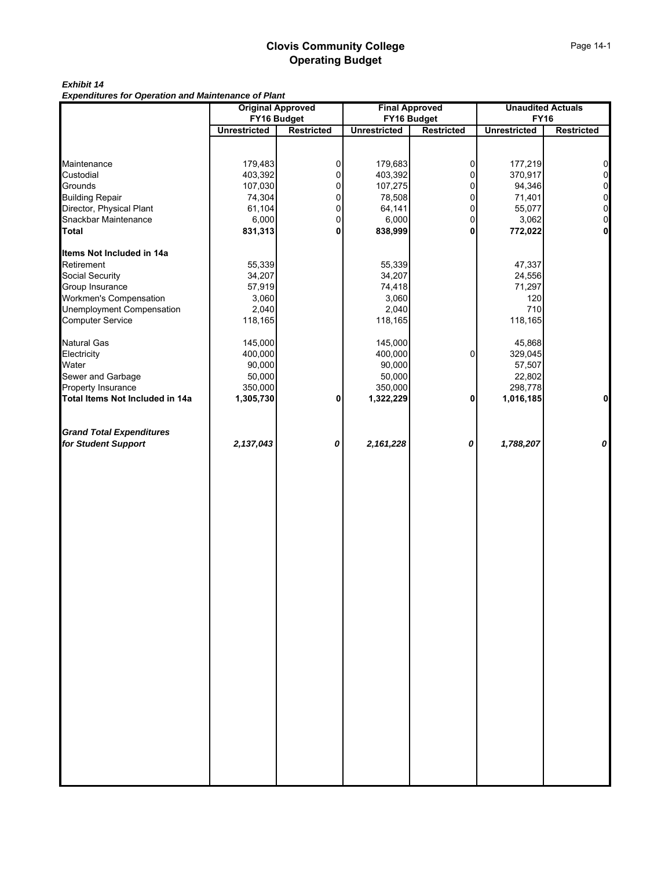#### *Exhibit 14*

*Expenditures for Operation and Maintenance of Plant*

|                                  |                     | <b>Original Approved</b> |                     | <b>Final Approved</b> |                     | <b>Unaudited Actuals</b> |
|----------------------------------|---------------------|--------------------------|---------------------|-----------------------|---------------------|--------------------------|
|                                  |                     | FY16 Budget              |                     | FY16 Budget           | <b>FY16</b>         |                          |
|                                  | <b>Unrestricted</b> | <b>Restricted</b>        | <b>Unrestricted</b> | <b>Restricted</b>     | <b>Unrestricted</b> | <b>Restricted</b>        |
|                                  |                     |                          |                     |                       |                     |                          |
| Maintenance                      | 179,483             | 0                        | 179,683             | 0                     | 177,219             | $\overline{0}$           |
| Custodial                        | 403,392             | $\pmb{0}$                | 403,392             | $\mathsf{O}\xspace$   | 370,917             | $\mathbf 0$              |
| Grounds                          | 107,030             | 0                        | 107,275             | $\pmb{0}$             | 94,346              | $\mathbf 0$              |
| <b>Building Repair</b>           | 74,304              | 0                        | 78,508              | $\mathsf{O}\xspace$   | 71,401              | $\mathsf{O}\xspace$      |
| Director, Physical Plant         | 61,104              | 0                        | 64,141              | $\mathbf 0$           | 55,077              | $\mathbf 0$              |
| Snackbar Maintenance<br>Total    | 6,000               | $\pmb{0}$                | 6,000               | $\mathsf{O}\xspace$   | 3,062               | $\mathbf 0$              |
|                                  | 831,313             | 0                        | 838,999             | $\mathbf{0}$          | 772,022             | $\mathbf{0}$             |
| Items Not Included in 14a        |                     |                          |                     |                       |                     |                          |
| Retirement                       | 55,339              |                          | 55,339              |                       | 47,337              |                          |
| Social Security                  | 34,207              |                          | 34,207              |                       | 24,556              |                          |
| Group Insurance                  | 57,919              |                          | 74,418              |                       | 71,297              |                          |
| Workmen's Compensation           | 3,060               |                          | 3,060               |                       | 120                 |                          |
| <b>Unemployment Compensation</b> | 2,040               |                          | 2,040               |                       | 710                 |                          |
| <b>Computer Service</b>          | 118,165             |                          | 118,165             |                       | 118,165             |                          |
|                                  |                     |                          |                     |                       |                     |                          |
| <b>Natural Gas</b>               | 145,000             |                          | 145,000             |                       | 45,868              |                          |
| Electricity                      | 400,000             |                          | 400,000             | 0                     | 329,045             |                          |
| Water<br>Sewer and Garbage       | 90,000              |                          | 90,000              |                       | 57,507              |                          |
| Property Insurance               | 50,000<br>350,000   |                          | 50,000<br>350,000   |                       | 22,802<br>298,778   |                          |
| Total Items Not Included in 14a  | 1,305,730           | 0                        | 1,322,229           | 0                     | 1,016,185           | $\mathbf 0$              |
|                                  |                     |                          |                     |                       |                     |                          |
| <b>Grand Total Expenditures</b>  |                     |                          |                     |                       |                     |                          |
| for Student Support              | 2,137,043           | 0                        | 2,161,228           | 0                     | 1,788,207           | $\pmb{\mathit{o}}$       |
|                                  |                     |                          |                     |                       |                     |                          |
|                                  |                     |                          |                     |                       |                     |                          |
|                                  |                     |                          |                     |                       |                     |                          |
|                                  |                     |                          |                     |                       |                     |                          |
|                                  |                     |                          |                     |                       |                     |                          |
|                                  |                     |                          |                     |                       |                     |                          |
|                                  |                     |                          |                     |                       |                     |                          |
|                                  |                     |                          |                     |                       |                     |                          |
|                                  |                     |                          |                     |                       |                     |                          |
|                                  |                     |                          |                     |                       |                     |                          |
|                                  |                     |                          |                     |                       |                     |                          |
|                                  |                     |                          |                     |                       |                     |                          |
|                                  |                     |                          |                     |                       |                     |                          |
|                                  |                     |                          |                     |                       |                     |                          |
|                                  |                     |                          |                     |                       |                     |                          |
|                                  |                     |                          |                     |                       |                     |                          |
|                                  |                     |                          |                     |                       |                     |                          |
|                                  |                     |                          |                     |                       |                     |                          |
|                                  |                     |                          |                     |                       |                     |                          |
|                                  |                     |                          |                     |                       |                     |                          |
|                                  |                     |                          |                     |                       |                     |                          |
|                                  |                     |                          |                     |                       |                     |                          |
|                                  |                     |                          |                     |                       |                     |                          |
|                                  |                     |                          |                     |                       |                     |                          |
|                                  |                     |                          |                     |                       |                     |                          |
|                                  |                     |                          |                     |                       |                     |                          |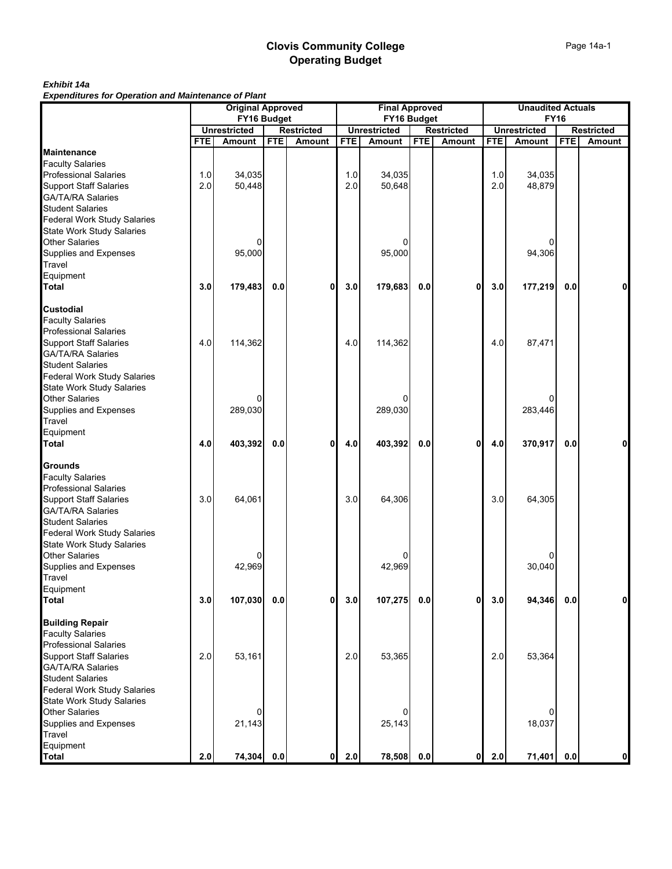*Exhibit 14a*

*Expenditures for Operation and Maintenance of Plant*

|                                    | <b>Original Approved</b><br>FY16 Budget |                     |            |                   | <b>Final Approved</b><br>FY16 Budget |                     |            |                   | <b>Unaudited Actuals</b><br><b>FY16</b> |                     |            |                   |
|------------------------------------|-----------------------------------------|---------------------|------------|-------------------|--------------------------------------|---------------------|------------|-------------------|-----------------------------------------|---------------------|------------|-------------------|
|                                    |                                         | <b>Unrestricted</b> |            | <b>Restricted</b> |                                      | <b>Unrestricted</b> |            | <b>Restricted</b> |                                         | <b>Unrestricted</b> |            | <b>Restricted</b> |
|                                    | <b>FTE</b>                              | <b>Amount</b>       | <b>FTE</b> | Amount            | <b>FTE</b>                           | <b>Amount</b>       | <b>FTE</b> | Amount            | <b>FTE</b>                              | Amount              | <b>FTE</b> | <b>Amount</b>     |
| <b>Maintenance</b>                 |                                         |                     |            |                   |                                      |                     |            |                   |                                         |                     |            |                   |
| <b>Faculty Salaries</b>            |                                         |                     |            |                   |                                      |                     |            |                   |                                         |                     |            |                   |
| <b>Professional Salaries</b>       | 1.0                                     | 34,035              |            |                   | 1.0                                  | 34,035              |            |                   | 1.0                                     | 34,035              |            |                   |
| <b>Support Staff Salaries</b>      | 2.0                                     | 50,448              |            |                   | 2.0                                  | 50,648              |            |                   | 2.0                                     | 48,879              |            |                   |
| <b>GA/TA/RA Salaries</b>           |                                         |                     |            |                   |                                      |                     |            |                   |                                         |                     |            |                   |
| <b>Student Salaries</b>            |                                         |                     |            |                   |                                      |                     |            |                   |                                         |                     |            |                   |
| <b>Federal Work Study Salaries</b> |                                         |                     |            |                   |                                      |                     |            |                   |                                         |                     |            |                   |
| <b>State Work Study Salaries</b>   |                                         |                     |            |                   |                                      |                     |            |                   |                                         |                     |            |                   |
| <b>Other Salaries</b>              |                                         |                     |            |                   |                                      | ŋ                   |            |                   |                                         |                     |            |                   |
| Supplies and Expenses              |                                         | 95,000              |            |                   |                                      | 95,000              |            |                   |                                         | 94,306              |            |                   |
| Travel                             |                                         |                     |            |                   |                                      |                     |            |                   |                                         |                     |            |                   |
| Equipment                          |                                         |                     |            |                   |                                      |                     |            |                   |                                         |                     |            |                   |
| <b>Total</b>                       | 3.0                                     | 179,483             | 0.0        | 0                 | 3.0                                  | 179,683             | 0.0        | 0                 | 3.0                                     | 177,219             | 0.0        | 0                 |
| <b>Custodial</b>                   |                                         |                     |            |                   |                                      |                     |            |                   |                                         |                     |            |                   |
| <b>Faculty Salaries</b>            |                                         |                     |            |                   |                                      |                     |            |                   |                                         |                     |            |                   |
| <b>Professional Salaries</b>       |                                         |                     |            |                   |                                      |                     |            |                   |                                         |                     |            |                   |
| <b>Support Staff Salaries</b>      | 4.0                                     | 114,362             |            |                   | 4.0                                  | 114,362             |            |                   | 4.0                                     | 87,471              |            |                   |
| <b>GA/TA/RA Salaries</b>           |                                         |                     |            |                   |                                      |                     |            |                   |                                         |                     |            |                   |
| <b>Student Salaries</b>            |                                         |                     |            |                   |                                      |                     |            |                   |                                         |                     |            |                   |
| <b>Federal Work Study Salaries</b> |                                         |                     |            |                   |                                      |                     |            |                   |                                         |                     |            |                   |
| <b>State Work Study Salaries</b>   |                                         |                     |            |                   |                                      |                     |            |                   |                                         |                     |            |                   |
| <b>Other Salaries</b>              |                                         |                     |            |                   |                                      | ŋ                   |            |                   |                                         |                     |            |                   |
| Supplies and Expenses              |                                         | 289,030             |            |                   |                                      | 289,030             |            |                   |                                         | 283,446             |            |                   |
| Travel                             |                                         |                     |            |                   |                                      |                     |            |                   |                                         |                     |            |                   |
| Equipment                          |                                         |                     |            |                   |                                      |                     |            |                   |                                         |                     |            |                   |
| <b>Total</b>                       | 4.0                                     | 403,392             | 0.0        | 0                 | 4.0                                  | 403,392             | 0.0        | 0                 | 4.0                                     | 370,917             | 0.0        |                   |
| <b>Grounds</b>                     |                                         |                     |            |                   |                                      |                     |            |                   |                                         |                     |            |                   |
| <b>Faculty Salaries</b>            |                                         |                     |            |                   |                                      |                     |            |                   |                                         |                     |            |                   |
| <b>Professional Salaries</b>       |                                         |                     |            |                   |                                      |                     |            |                   |                                         |                     |            |                   |
| <b>Support Staff Salaries</b>      | 3.0                                     | 64,061              |            |                   | 3.0                                  | 64,306              |            |                   | 3.0                                     | 64,305              |            |                   |
| <b>GA/TA/RA Salaries</b>           |                                         |                     |            |                   |                                      |                     |            |                   |                                         |                     |            |                   |
| <b>Student Salaries</b>            |                                         |                     |            |                   |                                      |                     |            |                   |                                         |                     |            |                   |
| <b>Federal Work Study Salaries</b> |                                         |                     |            |                   |                                      |                     |            |                   |                                         |                     |            |                   |
| <b>State Work Study Salaries</b>   |                                         |                     |            |                   |                                      |                     |            |                   |                                         |                     |            |                   |
| <b>Other Salaries</b>              |                                         |                     |            |                   |                                      | 0                   |            |                   |                                         |                     |            |                   |
| Supplies and Expenses              |                                         | 42,969              |            |                   |                                      | 42,969              |            |                   |                                         | 30,040              |            |                   |
| Travel                             |                                         |                     |            |                   |                                      |                     |            |                   |                                         |                     |            |                   |
| Equipment                          |                                         |                     |            |                   |                                      |                     |            |                   |                                         |                     |            |                   |
| <b>Total</b>                       | 3.0                                     | 107,030             | $0.0\,$    | O                 | 3.0                                  | 107,275             | 0.0        | $\mathbf{0}$      | 3.0                                     | 94,346              | $0.0\,$    | 0                 |
| <b>Building Repair</b>             |                                         |                     |            |                   |                                      |                     |            |                   |                                         |                     |            |                   |
| <b>Faculty Salaries</b>            |                                         |                     |            |                   |                                      |                     |            |                   |                                         |                     |            |                   |
| <b>Professional Salaries</b>       |                                         |                     |            |                   |                                      |                     |            |                   |                                         |                     |            |                   |
| <b>Support Staff Salaries</b>      | 2.0                                     | 53,161              |            |                   | 2.0                                  | 53,365              |            |                   | 2.0                                     | 53,364              |            |                   |
| <b>GA/TA/RA Salaries</b>           |                                         |                     |            |                   |                                      |                     |            |                   |                                         |                     |            |                   |
| <b>Student Salaries</b>            |                                         |                     |            |                   |                                      |                     |            |                   |                                         |                     |            |                   |
| <b>Federal Work Study Salaries</b> |                                         |                     |            |                   |                                      |                     |            |                   |                                         |                     |            |                   |
| <b>State Work Study Salaries</b>   |                                         |                     |            |                   |                                      |                     |            |                   |                                         |                     |            |                   |
| <b>Other Salaries</b>              |                                         |                     |            |                   |                                      | ŋ                   |            |                   |                                         |                     |            |                   |
| <b>Supplies and Expenses</b>       |                                         | 21,143              |            |                   |                                      | 25,143              |            |                   |                                         | 18,037              |            |                   |
| Travel                             |                                         |                     |            |                   |                                      |                     |            |                   |                                         |                     |            |                   |
| Equipment                          |                                         |                     |            |                   |                                      |                     |            |                   |                                         |                     |            |                   |
| <b>Total</b>                       | 2.0                                     | 74,304              | 0.0        | 0                 | 2.0                                  | 78,508              | 0.0        | 0                 | 2.0                                     | 71,401              | 0.0        | 0                 |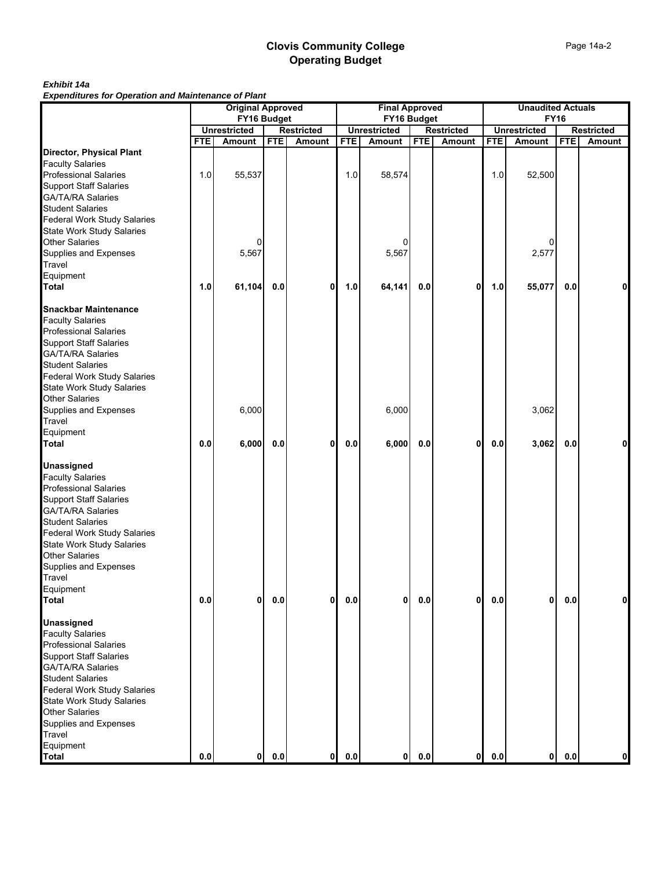*Exhibit 14a*

*Expenditures for Operation and Maintenance of Plant*

|                                             |            | <b>Original Approved</b><br><b>Final Approved</b><br><b>Unaudited Actuals</b><br><b>FY16</b><br>FY16 Budget<br>FY16 Budget |            |                   |            |                     |            |                   |                |                     |            |                   |
|---------------------------------------------|------------|----------------------------------------------------------------------------------------------------------------------------|------------|-------------------|------------|---------------------|------------|-------------------|----------------|---------------------|------------|-------------------|
|                                             |            | <b>Unrestricted</b>                                                                                                        |            | <b>Restricted</b> |            | <b>Unrestricted</b> |            | <b>Restricted</b> |                | <b>Unrestricted</b> |            | <b>Restricted</b> |
|                                             | <b>FTE</b> | Amount                                                                                                                     | <b>FTE</b> | <b>Amount</b>     | <b>FTE</b> | <b>Amount</b>       | <b>FTE</b> | Amount            | <b>FTE</b>     | Amount              | <b>FTE</b> | Amount            |
| <b>Director, Physical Plant</b>             |            |                                                                                                                            |            |                   |            |                     |            |                   |                |                     |            |                   |
| <b>Faculty Salaries</b>                     |            |                                                                                                                            |            |                   |            |                     |            |                   |                |                     |            |                   |
| Professional Salaries                       | 1.0        | 55,537                                                                                                                     |            |                   | 1.0        | 58,574              |            |                   | 1.0            | 52,500              |            |                   |
| <b>Support Staff Salaries</b>               |            |                                                                                                                            |            |                   |            |                     |            |                   |                |                     |            |                   |
| GA/TA/RA Salaries                           |            |                                                                                                                            |            |                   |            |                     |            |                   |                |                     |            |                   |
| <b>Student Salaries</b>                     |            |                                                                                                                            |            |                   |            |                     |            |                   |                |                     |            |                   |
| <b>Federal Work Study Salaries</b>          |            |                                                                                                                            |            |                   |            |                     |            |                   |                |                     |            |                   |
|                                             |            |                                                                                                                            |            |                   |            |                     |            |                   |                |                     |            |                   |
| State Work Study Salaries<br>Other Salaries |            |                                                                                                                            |            |                   |            | 0                   |            |                   |                |                     |            |                   |
| Supplies and Expenses                       |            | 5,567                                                                                                                      |            |                   |            | 5,567               |            |                   |                | 2,577               |            |                   |
| Travel                                      |            |                                                                                                                            |            |                   |            |                     |            |                   |                |                     |            |                   |
|                                             |            |                                                                                                                            |            |                   |            |                     |            |                   |                |                     |            |                   |
| Equipment<br>Total                          | 1.0        | 61,104                                                                                                                     | 0.0        | 0                 | 1.0        | 64,141              | 0.0        | 0                 | 1.0            | 55,077              | 0.0        | $\mathbf{0}$      |
| <b>Snackbar Maintenance</b>                 |            |                                                                                                                            |            |                   |            |                     |            |                   |                |                     |            |                   |
| <b>Faculty Salaries</b>                     |            |                                                                                                                            |            |                   |            |                     |            |                   |                |                     |            |                   |
| <b>Professional Salaries</b>                |            |                                                                                                                            |            |                   |            |                     |            |                   |                |                     |            |                   |
|                                             |            |                                                                                                                            |            |                   |            |                     |            |                   |                |                     |            |                   |
| Support Staff Salaries<br>GA/TA/RA Salaries |            |                                                                                                                            |            |                   |            |                     |            |                   |                |                     |            |                   |
| <b>Student Salaries</b>                     |            |                                                                                                                            |            |                   |            |                     |            |                   |                |                     |            |                   |
|                                             |            |                                                                                                                            |            |                   |            |                     |            |                   |                |                     |            |                   |
| <b>Federal Work Study Salaries</b>          |            |                                                                                                                            |            |                   |            |                     |            |                   |                |                     |            |                   |
| State Work Study Salaries<br>Other Salaries |            |                                                                                                                            |            |                   |            |                     |            |                   |                |                     |            |                   |
|                                             |            |                                                                                                                            |            |                   |            |                     |            |                   |                |                     |            |                   |
| Supplies and Expenses                       |            | 6,000                                                                                                                      |            |                   |            | 6,000               |            |                   |                | 3,062               |            |                   |
| Travel                                      |            |                                                                                                                            |            |                   |            |                     |            |                   |                |                     |            |                   |
| Equipment<br><b>Total</b>                   | 0.0        | 6,000                                                                                                                      | 0.0        | 0                 | 0.0        | 6,000               | 0.0        | 0                 | $0.0\,$        | 3,062               | $0.0\,$    | 0                 |
|                                             |            |                                                                                                                            |            |                   |            |                     |            |                   |                |                     |            |                   |
| <b>Unassigned</b>                           |            |                                                                                                                            |            |                   |            |                     |            |                   |                |                     |            |                   |
| <b>Faculty Salaries</b>                     |            |                                                                                                                            |            |                   |            |                     |            |                   |                |                     |            |                   |
| <b>Professional Salaries</b>                |            |                                                                                                                            |            |                   |            |                     |            |                   |                |                     |            |                   |
|                                             |            |                                                                                                                            |            |                   |            |                     |            |                   |                |                     |            |                   |
| Support Staff Salaries<br>GA/TA/RA Salaries |            |                                                                                                                            |            |                   |            |                     |            |                   |                |                     |            |                   |
| <b>Student Salaries</b>                     |            |                                                                                                                            |            |                   |            |                     |            |                   |                |                     |            |                   |
| <b>Federal Work Study Salaries</b>          |            |                                                                                                                            |            |                   |            |                     |            |                   |                |                     |            |                   |
| State Work Study Salaries                   |            |                                                                                                                            |            |                   |            |                     |            |                   |                |                     |            |                   |
| <b>Other Salaries</b>                       |            |                                                                                                                            |            |                   |            |                     |            |                   |                |                     |            |                   |
|                                             |            |                                                                                                                            |            |                   |            |                     |            |                   |                |                     |            |                   |
| Supplies and Expenses<br>Travel             |            |                                                                                                                            |            |                   |            |                     |            |                   |                |                     |            |                   |
| Equipment                                   |            |                                                                                                                            |            |                   |            |                     |            |                   |                |                     |            |                   |
| Total                                       | 0.0        | $\mathbf{0}$                                                                                                               | $0.0\,$    | 0                 | $0.0\,$    | 0                   | 0.0        | 0                 | $\mathbf{0.0}$ | 0                   | $0.0\,$    | 0                 |
| <b>Unassigned</b>                           |            |                                                                                                                            |            |                   |            |                     |            |                   |                |                     |            |                   |
| <b>Faculty Salaries</b>                     |            |                                                                                                                            |            |                   |            |                     |            |                   |                |                     |            |                   |
| <b>Professional Salaries</b>                |            |                                                                                                                            |            |                   |            |                     |            |                   |                |                     |            |                   |
| <b>Support Staff Salaries</b>               |            |                                                                                                                            |            |                   |            |                     |            |                   |                |                     |            |                   |
| <b>GA/TA/RA Salaries</b>                    |            |                                                                                                                            |            |                   |            |                     |            |                   |                |                     |            |                   |
| <b>Student Salaries</b>                     |            |                                                                                                                            |            |                   |            |                     |            |                   |                |                     |            |                   |
| <b>Federal Work Study Salaries</b>          |            |                                                                                                                            |            |                   |            |                     |            |                   |                |                     |            |                   |
| <b>State Work Study Salaries</b>            |            |                                                                                                                            |            |                   |            |                     |            |                   |                |                     |            |                   |
| <b>Other Salaries</b>                       |            |                                                                                                                            |            |                   |            |                     |            |                   |                |                     |            |                   |
|                                             |            |                                                                                                                            |            |                   |            |                     |            |                   |                |                     |            |                   |
| Supplies and Expenses<br>Travel             |            |                                                                                                                            |            |                   |            |                     |            |                   |                |                     |            |                   |
| Equipment                                   |            |                                                                                                                            |            |                   |            |                     |            |                   |                |                     |            |                   |
| <b>Total</b>                                | 0.0        | $\mathbf{0}$                                                                                                               | 0.0        | $\mathbf 0$       | 0.0        | $\mathbf 0$         | 0.0        | $\mathbf{0}$      | 0.0            | $\mathbf{0}$        | 0.0        | $\mathbf{0}$      |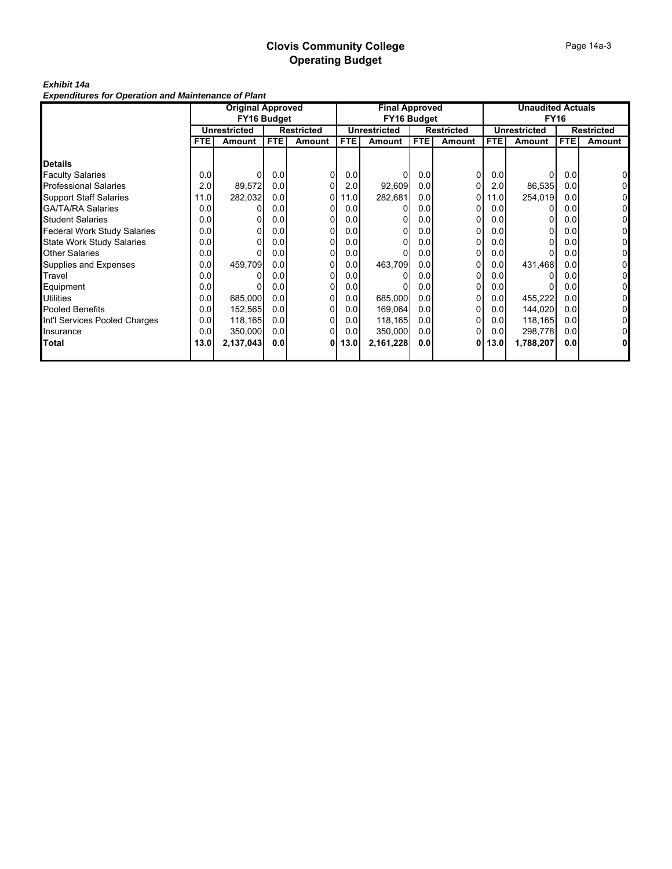#### *Exhibit 14a*

*Expenditures for Operation and Maintenance of Plant*

|                                    | <b>Original Approved</b> |                     |                  |                   | <b>Final Approved</b> |                     |            |                   | <b>Unaudited Actuals</b> |                     |            |                   |
|------------------------------------|--------------------------|---------------------|------------------|-------------------|-----------------------|---------------------|------------|-------------------|--------------------------|---------------------|------------|-------------------|
|                                    |                          | FY16 Budget         |                  |                   |                       | FY16 Budget         |            |                   |                          | <b>FY16</b>         |            |                   |
|                                    |                          | <b>Unrestricted</b> |                  | <b>Restricted</b> |                       | <b>Unrestricted</b> |            | <b>Restricted</b> |                          | <b>Unrestricted</b> |            | <b>Restricted</b> |
|                                    | FTE.                     | Amount              | <b>FTE</b>       | Amount            | FTE.                  | <b>Amount</b>       | <b>FTE</b> | Amount            | <b>FTE</b>               | Amount              | <b>FTE</b> | Amount            |
|                                    |                          |                     |                  |                   |                       |                     |            |                   |                          |                     |            |                   |
| <b>Details</b>                     |                          |                     |                  |                   |                       |                     |            |                   |                          |                     |            |                   |
| <b>Faculty Salaries</b>            | 0.0                      |                     | 0.0              | ΟI                | 0.0                   |                     | 0.0        | 0                 | 0.0                      | O                   | 0.0        |                   |
| <b>Professional Salaries</b>       | 2.0                      | 89,572              | 0.0              | 01                | 2.0                   | 92,609              | 0.0        | 0                 | 2.0                      | 86,535              | 0.0        | 0                 |
| <b>Support Staff Salaries</b>      | 11.0                     | 282,032             | 0.0              | 01                | 11.01                 | 282,681             | 0.0        | 0                 | 11.0                     | 254,019             | 0.0        |                   |
| <b>GA/TA/RA Salaries</b>           | 0.0                      |                     | 0.0              | 01                | 0.01                  |                     | 0.0        |                   | 0.0                      |                     | 0.0        |                   |
| <b>Student Salaries</b>            | 0.0                      |                     | 0.0              | 01                | 0.0                   |                     | 0.0        | U                 | 0.0                      |                     | 0.0        |                   |
| <b>Federal Work Study Salaries</b> | 0.0                      |                     | 0.0              | 01                | 0.0                   |                     | 0.0        |                   | 0.0                      |                     | 0.0        |                   |
| <b>State Work Study Salaries</b>   | 0.0                      |                     | 0.0              | 01                | 0.0                   |                     | 0.0        |                   | 0.0                      |                     | 0.0        | 0                 |
| <b>Other Salaries</b>              | 0.0                      |                     | 0.0              | 01                | 0.0                   |                     | 0.0        |                   | 0.0                      |                     | 0.0        |                   |
| Supplies and Expenses              | 0.0                      | 459,709             | 0.0              | 01                | 0.0                   | 463,709             | 0.0        |                   | 0.0                      | 431,468             | 0.0        |                   |
| Travel                             | 0.0                      |                     | 0.0              | 01                | 0.0                   |                     | 0.0        | U                 | 0.0                      |                     | 0.0        |                   |
| Equipment                          | 0.0                      |                     | 0.0              | ٥I                | 0.0                   |                     | 0.0        |                   | 0.0                      |                     | 0.0        |                   |
| <b>Utilities</b>                   | 0.0                      | 685.000             | 0.0              | 01                | 0.0                   | 685,000             | 0.0        |                   | 0.0                      | 455,222             | 0.0        | 0                 |
| <b>Pooled Benefits</b>             | 0.0                      | 152.565             | 0.0              | 01                | 0.0                   | 169,064             | 0.0        | 0                 | 0.0                      | 144,020             | 0.0        |                   |
| Int'l Services Pooled Charges      | 0.0                      | 118.165             | 0.0              | ΩI                | 0.0                   | 118,165             | 0.0        |                   | 0.0                      | 118,165             | 0.0        |                   |
| Insurance                          | 0.0                      | 350.000             | 0.0 <sub>l</sub> | 01                | 0.0                   | 350,000             | 0.0        | 0                 | 0.0                      | 298,778             | 0.0        |                   |
| <b>Total</b>                       | 13.0                     | 2,137,043           | 0.0              | 01                | 13.0                  | 2,161,228           | 0.0        | 0                 | 13.0                     | 1,788,207           | 0.0        |                   |
|                                    |                          |                     |                  |                   |                       |                     |            |                   |                          |                     |            |                   |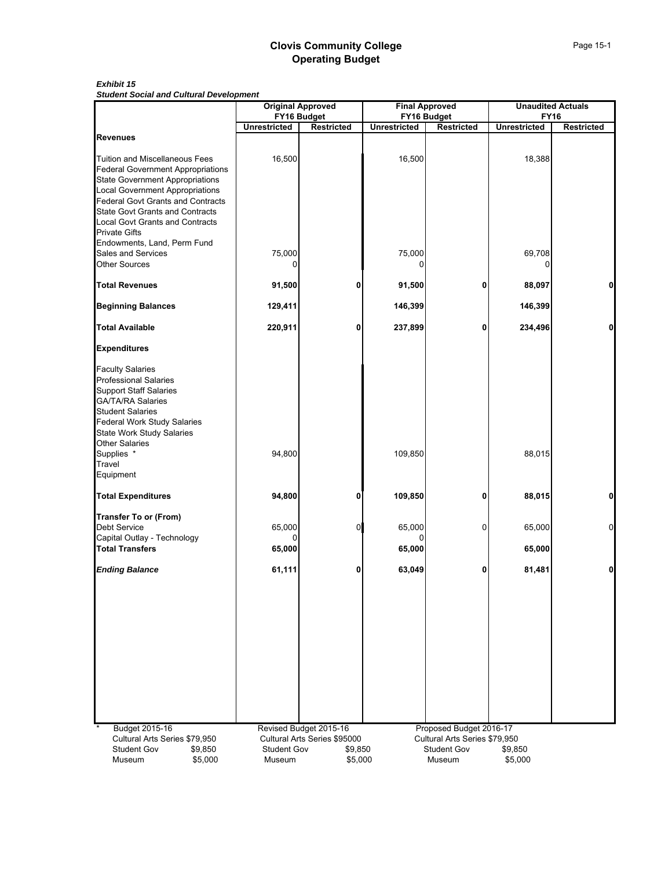*Exhibit 15 Student Social and Cultural Development*

|                                          | <b>Original Approved</b> |                              | <b>Final Approved</b> |                               |                     | <b>Unaudited Actuals</b> |
|------------------------------------------|--------------------------|------------------------------|-----------------------|-------------------------------|---------------------|--------------------------|
|                                          | FY16 Budget              |                              | FY16 Budget           |                               | <b>FY16</b>         |                          |
|                                          | <b>Unrestricted</b>      | <b>Restricted</b>            | <b>Unrestricted</b>   | <b>Restricted</b>             | <b>Unrestricted</b> | <b>Restricted</b>        |
| <b>Revenues</b>                          |                          |                              |                       |                               |                     |                          |
| <b>Tuition and Miscellaneous Fees</b>    | 16,500                   |                              | 16,500                |                               | 18,388              |                          |
| <b>Federal Government Appropriations</b> |                          |                              |                       |                               |                     |                          |
| <b>State Government Appropriations</b>   |                          |                              |                       |                               |                     |                          |
| <b>Local Government Appropriations</b>   |                          |                              |                       |                               |                     |                          |
| <b>Federal Govt Grants and Contracts</b> |                          |                              |                       |                               |                     |                          |
| <b>State Govt Grants and Contracts</b>   |                          |                              |                       |                               |                     |                          |
| <b>Local Govt Grants and Contracts</b>   |                          |                              |                       |                               |                     |                          |
| <b>Private Gifts</b>                     |                          |                              |                       |                               |                     |                          |
| Endowments, Land, Perm Fund              |                          |                              |                       |                               |                     |                          |
| Sales and Services                       | 75,000                   |                              | 75,000                |                               | 69,708              |                          |
| <b>Other Sources</b>                     |                          |                              | 0                     |                               |                     |                          |
| <b>Total Revenues</b>                    | 91,500                   | 0                            | 91,500                | 0                             | 88,097              | 0                        |
| <b>Beginning Balances</b>                | 129,411                  |                              | 146,399               |                               | 146,399             |                          |
| <b>Total Available</b>                   | 220,911                  | 0                            | 237,899               | 0                             | 234,496             | $\pmb{0}$                |
| <b>Expenditures</b>                      |                          |                              |                       |                               |                     |                          |
| <b>Faculty Salaries</b>                  |                          |                              |                       |                               |                     |                          |
| <b>Professional Salaries</b>             |                          |                              |                       |                               |                     |                          |
| <b>Support Staff Salaries</b>            |                          |                              |                       |                               |                     |                          |
| <b>GA/TA/RA Salaries</b>                 |                          |                              |                       |                               |                     |                          |
| <b>Student Salaries</b>                  |                          |                              |                       |                               |                     |                          |
| Federal Work Study Salaries              |                          |                              |                       |                               |                     |                          |
| <b>State Work Study Salaries</b>         |                          |                              |                       |                               |                     |                          |
| <b>Other Salaries</b>                    |                          |                              |                       |                               |                     |                          |
| Supplies *                               | 94,800                   |                              | 109,850               |                               | 88,015              |                          |
| Travel                                   |                          |                              |                       |                               |                     |                          |
| Equipment                                |                          |                              |                       |                               |                     |                          |
| <b>Total Expenditures</b>                | 94,800                   | 0                            | 109,850               | 0                             | 88,015              | $\mathbf 0$              |
| <b>Transfer To or (From)</b>             |                          |                              |                       |                               |                     |                          |
| <b>Debt Service</b>                      | 65,000                   | $\boldsymbol{0}$             | 65,000                | $\mathbf 0$                   | 65,000              | $\pmb{0}$                |
| Capital Outlay - Technology              |                          |                              |                       |                               |                     |                          |
| <b>Total Transfers</b>                   | 65,000                   |                              | 65,000                |                               | 65,000              |                          |
| <b>Ending Balance</b>                    | 61,111                   | 0                            | 63,049                | 0                             | 81,481              | $\pmb{0}$                |
|                                          |                          |                              |                       |                               |                     |                          |
|                                          |                          |                              |                       |                               |                     |                          |
|                                          |                          |                              |                       |                               |                     |                          |
|                                          |                          |                              |                       |                               |                     |                          |
|                                          |                          |                              |                       |                               |                     |                          |
|                                          |                          |                              |                       |                               |                     |                          |
|                                          |                          |                              |                       |                               |                     |                          |
|                                          |                          |                              |                       |                               |                     |                          |
| Budget 2015-16                           |                          | Revised Budget 2015-16       |                       | Proposed Budget 2016-17       |                     |                          |
| Cultural Arts Series \$79,950            |                          | Cultural Arts Series \$95000 |                       | Cultural Arts Series \$79,950 |                     |                          |
| <b>Student Gov</b><br>\$9,850            | <b>Student Gov</b>       | \$9,850                      |                       | <b>Student Gov</b>            | \$9,850             |                          |
| Museum<br>\$5,000                        | Museum                   | \$5,000                      |                       | Museum                        | \$5,000             |                          |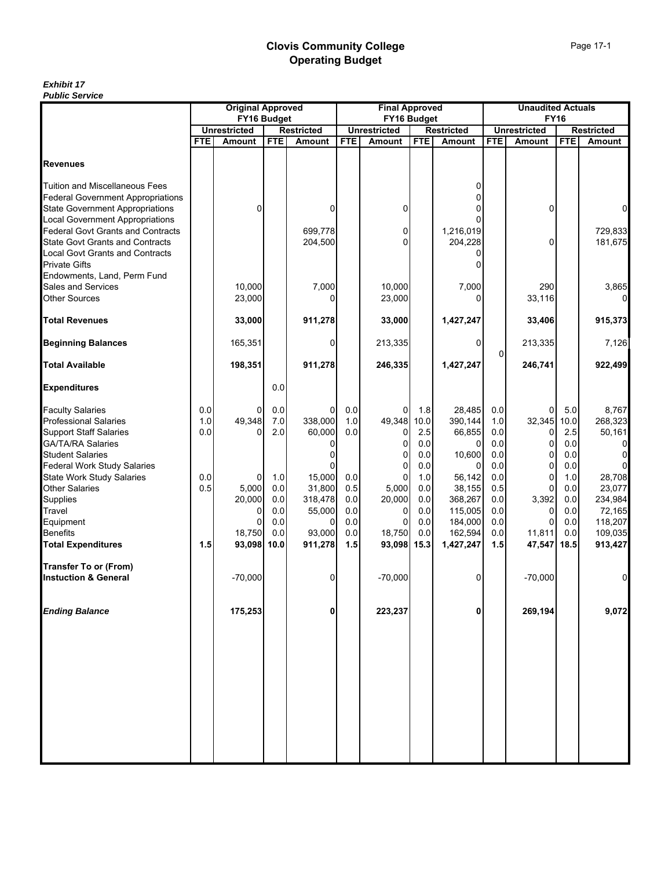|                                                                                  |            | <b>Original Approved</b> |            |                   |            | <b>Final Approved</b> |            |                    |            | <b>Unaudited Actuals</b> |            |                    |
|----------------------------------------------------------------------------------|------------|--------------------------|------------|-------------------|------------|-----------------------|------------|--------------------|------------|--------------------------|------------|--------------------|
|                                                                                  |            | FY16 Budget              |            |                   |            | FY16 Budget           |            |                    |            | <b>FY16</b>              |            |                    |
|                                                                                  |            | <b>Unrestricted</b>      |            | <b>Restricted</b> |            | <b>Unrestricted</b>   |            | <b>Restricted</b>  |            | <b>Unrestricted</b>      |            | <b>Restricted</b>  |
|                                                                                  | <b>FTE</b> | <b>Amount</b>            | <b>FTE</b> | <b>Amount</b>     | <b>FTE</b> | <b>Amount</b>         | <b>FTE</b> | <b>Amount</b>      | <b>FTE</b> | Amount                   | <b>FTE</b> | <b>Amount</b>      |
| <b>Revenues</b>                                                                  |            |                          |            |                   |            |                       |            |                    |            |                          |            |                    |
| <b>Tuition and Miscellaneous Fees</b>                                            |            |                          |            |                   |            |                       |            | 0                  |            |                          |            |                    |
| <b>Federal Government Appropriations</b>                                         |            |                          |            |                   |            |                       |            |                    |            |                          |            |                    |
| <b>State Government Appropriations</b>                                           |            | $\Omega$                 |            | 0                 |            | 0                     |            |                    |            | 0                        |            | 0                  |
| <b>Local Government Appropriations</b>                                           |            |                          |            |                   |            |                       |            |                    |            |                          |            |                    |
| <b>Federal Govt Grants and Contracts</b>                                         |            |                          |            | 699,778           |            | 0<br><sup>0</sup>     |            | 1,216,019          |            |                          |            | 729,833            |
| <b>State Govt Grants and Contracts</b><br><b>Local Govt Grants and Contracts</b> |            |                          |            | 204,500           |            |                       |            | 204,228            |            | $\Omega$                 |            | 181,675            |
| <b>Private Gifts</b>                                                             |            |                          |            |                   |            |                       |            | 0                  |            |                          |            |                    |
| Endowments, Land, Perm Fund                                                      |            |                          |            |                   |            |                       |            |                    |            |                          |            |                    |
| <b>Sales and Services</b>                                                        |            | 10,000                   |            | 7,000             |            | 10,000                |            | 7,000              |            | 290                      |            | 3,865              |
| <b>Other Sources</b>                                                             |            | 23,000                   |            | 0                 |            | 23,000                |            | $\Omega$           |            | 33,116                   |            | 01                 |
|                                                                                  |            |                          |            |                   |            |                       |            |                    |            |                          |            |                    |
| <b>Total Revenues</b>                                                            |            | 33,000                   |            | 911,278           |            | 33,000                |            | 1,427,247          |            | 33,406                   |            | 915,373            |
| <b>Beginning Balances</b>                                                        |            | 165,351                  |            | 0                 |            | 213,335               |            | $\overline{0}$     | 0          | 213,335                  |            | 7,126              |
| <b>Total Available</b>                                                           |            | 198,351                  |            | 911,278           |            | 246,335               |            | 1,427,247          |            | 246,741                  |            | 922,499            |
| <b>Expenditures</b>                                                              |            |                          | 0.0        |                   |            |                       |            |                    |            |                          |            |                    |
| <b>Faculty Salaries</b>                                                          | 0.0        | 0                        | 0.0        | 0                 | 0.0        | 0                     | 1.8        | 28,485             | 0.0        | $\Omega$                 | 5.0        | 8,767              |
| <b>Professional Salaries</b>                                                     | 1.0        | 49,348                   | $7.0\,$    | 338,000           | 1.0        | 49,348                | 10.0       | 390,144            | 1.0        | 32,345                   | 10.0       | 268,323            |
| <b>Support Staff Salaries</b>                                                    | 0.0        |                          | 2.0        | 60,000            | 0.0        |                       | 2.5        | 66,855             | 0.0        | 0                        | 2.5        | 50,161             |
| <b>GA/TA/RA Salaries</b>                                                         |            |                          |            | 0                 |            |                       | 0.0        | 0                  | 0.0        | $\Omega$                 | 0.0        | 0                  |
| <b>Student Salaries</b>                                                          |            |                          |            | 0                 |            |                       | 0.0        | 10,600             | 0.0        | 0                        | 0.0        | $\overline{0}$     |
| <b>Federal Work Study Salaries</b>                                               |            |                          |            |                   |            |                       | 0.0        | 0                  | 0.0        | $\Omega$                 | $0.0\,$    | $\overline{0}$     |
| <b>State Work Study Salaries</b>                                                 | 0.0        | 0                        | 1.0        | 15,000            | 0.0        |                       | 1.0        | 56,142             | 0.0        | $\Omega$                 | 1.0        | 28,708             |
| <b>Other Salaries</b>                                                            | 0.5        | 5,000                    | 0.0        | 31,800            | 0.5        | 5,000                 | 0.0        | 38,155             | 0.5        | $\Omega$                 | 0.0        | 23,077             |
| <b>Supplies</b>                                                                  |            | 20,000                   | 0.0        | 318,478           | 0.0        | 20,000                | 0.0        | 368,267            | 0.0        | 3,392                    | 0.0        | 234,984            |
| Travel                                                                           |            |                          | 0.0        | 55,000            | 0.0        | 0                     | 0.0        | 115,005            | 0.0        | 0                        | 0.0        | 72,165             |
| Equipment<br><b>Benefits</b>                                                     |            | $\Omega$<br>18.750       | 0.0<br>0.0 | 0<br>93,000       | 0.0<br>0.0 | 0<br>18,750           | 0.0<br>0.0 | 184,000<br>162,594 | 0.0<br>0.0 | $\Omega$                 | 0.0<br>0.0 | 118,207<br>109,035 |
| <b>Total Expenditures</b>                                                        | 1.5        | 93,098                   | 10.0       | 911,278           | 1.5        | 93,098                | 15.3       | 1,427,247          | 1.5        | 11,811<br>47,547         | 18.5       | 913,427            |
|                                                                                  |            |                          |            |                   |            |                       |            |                    |            |                          |            |                    |
| <b>Transfer To or (From)</b><br><b>Instuction &amp; General</b>                  |            | $-70,000$                |            | $\overline{0}$    |            | $-70,000$             |            | $\overline{0}$     |            | $-70,000$                |            | $\overline{0}$     |
|                                                                                  |            |                          |            |                   |            |                       |            |                    |            |                          |            |                    |
| <b>Ending Balance</b>                                                            |            | 175,253                  |            | 0                 |            | 223,237               |            | 0                  |            | 269,194                  |            | 9,072              |
|                                                                                  |            |                          |            |                   |            |                       |            |                    |            |                          |            |                    |
|                                                                                  |            |                          |            |                   |            |                       |            |                    |            |                          |            |                    |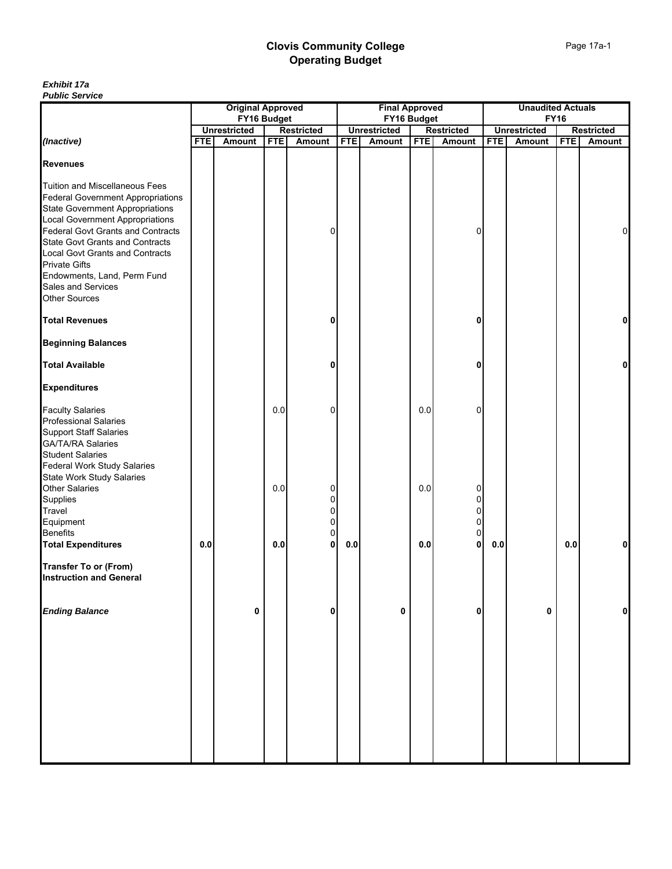| r upilo oci vicc                                                                                                                                                                                                                                                                                                                                                                                           | <b>Original Approved</b> |                     |            |                       |            | <b>Final Approved</b> |            |                              |             | <b>Unaudited Actuals</b> |            |                   |  |  |
|------------------------------------------------------------------------------------------------------------------------------------------------------------------------------------------------------------------------------------------------------------------------------------------------------------------------------------------------------------------------------------------------------------|--------------------------|---------------------|------------|-----------------------|------------|-----------------------|------------|------------------------------|-------------|--------------------------|------------|-------------------|--|--|
|                                                                                                                                                                                                                                                                                                                                                                                                            | FY <sub>16</sub> Budget  |                     |            |                       |            | FY16 Budget           |            |                              | <b>FY16</b> |                          |            |                   |  |  |
|                                                                                                                                                                                                                                                                                                                                                                                                            |                          | <b>Unrestricted</b> |            | <b>Restricted</b>     |            | <b>Unrestricted</b>   |            | <b>Restricted</b>            |             | <b>Unrestricted</b>      |            | <b>Restricted</b> |  |  |
| (Inactive)                                                                                                                                                                                                                                                                                                                                                                                                 | <b>FTE</b>               | Amount              | <b>FTE</b> | Amount                | <b>FTE</b> | Amount                | <b>FTE</b> | <b>Amount</b>                | <b>FTE</b>  | Amount                   | <b>FTE</b> | Amount            |  |  |
| <b>Revenues</b>                                                                                                                                                                                                                                                                                                                                                                                            |                          |                     |            |                       |            |                       |            |                              |             |                          |            |                   |  |  |
| <b>Tuition and Miscellaneous Fees</b><br><b>Federal Government Appropriations</b><br><b>State Government Appropriations</b><br><b>Local Government Appropriations</b><br><b>Federal Govt Grants and Contracts</b><br><b>State Govt Grants and Contracts</b><br><b>Local Govt Grants and Contracts</b><br><b>Private Gifts</b><br>Endowments, Land, Perm Fund<br>Sales and Services<br><b>Other Sources</b> |                          |                     |            | 0                     |            |                       |            | 0                            |             |                          |            | 0                 |  |  |
| <b>Total Revenues</b>                                                                                                                                                                                                                                                                                                                                                                                      |                          |                     |            | 0                     |            |                       |            | 0                            |             |                          |            | 0                 |  |  |
| <b>Beginning Balances</b>                                                                                                                                                                                                                                                                                                                                                                                  |                          |                     |            |                       |            |                       |            |                              |             |                          |            |                   |  |  |
| <b>Total Available</b>                                                                                                                                                                                                                                                                                                                                                                                     |                          |                     |            | 0                     |            |                       |            | U                            |             |                          |            | 0                 |  |  |
| <b>Expenditures</b>                                                                                                                                                                                                                                                                                                                                                                                        |                          |                     |            |                       |            |                       |            |                              |             |                          |            |                   |  |  |
| <b>Faculty Salaries</b><br><b>Professional Salaries</b><br><b>Support Staff Salaries</b><br><b>GA/TA/RA Salaries</b><br><b>Student Salaries</b><br><b>Federal Work Study Salaries</b><br><b>State Work Study Salaries</b>                                                                                                                                                                                  |                          |                     | 0.0        | 0                     |            |                       | 0.0        | 0                            |             |                          |            |                   |  |  |
| <b>Other Salaries</b><br>Supplies<br>Travel<br>Equipment<br><b>Benefits</b>                                                                                                                                                                                                                                                                                                                                |                          |                     | 0.0        | 0<br>0<br>0<br>0<br>0 |            |                       | 0.0        | 0<br>$\Omega$<br>0<br>0<br>0 |             |                          |            |                   |  |  |
| <b>Total Expenditures</b>                                                                                                                                                                                                                                                                                                                                                                                  | $0.0\,$                  |                     | 0.0        | $\mathbf{0}$          | 0.0        |                       | 0.0        | 0                            | $0.0\,$     |                          | 0.0        | 0                 |  |  |
| <b>Transfer To or (From)</b><br><b>Instruction and General</b>                                                                                                                                                                                                                                                                                                                                             |                          |                     |            |                       |            |                       |            |                              |             |                          |            |                   |  |  |
| <b>Ending Balance</b>                                                                                                                                                                                                                                                                                                                                                                                      |                          | 0                   |            | 0                     |            | 0                     |            | 0                            |             | 0                        |            | 0                 |  |  |
|                                                                                                                                                                                                                                                                                                                                                                                                            |                          |                     |            |                       |            |                       |            |                              |             |                          |            |                   |  |  |
|                                                                                                                                                                                                                                                                                                                                                                                                            |                          |                     |            |                       |            |                       |            |                              |             |                          |            |                   |  |  |
|                                                                                                                                                                                                                                                                                                                                                                                                            |                          |                     |            |                       |            |                       |            |                              |             |                          |            |                   |  |  |
|                                                                                                                                                                                                                                                                                                                                                                                                            |                          |                     |            |                       |            |                       |            |                              |             |                          |            |                   |  |  |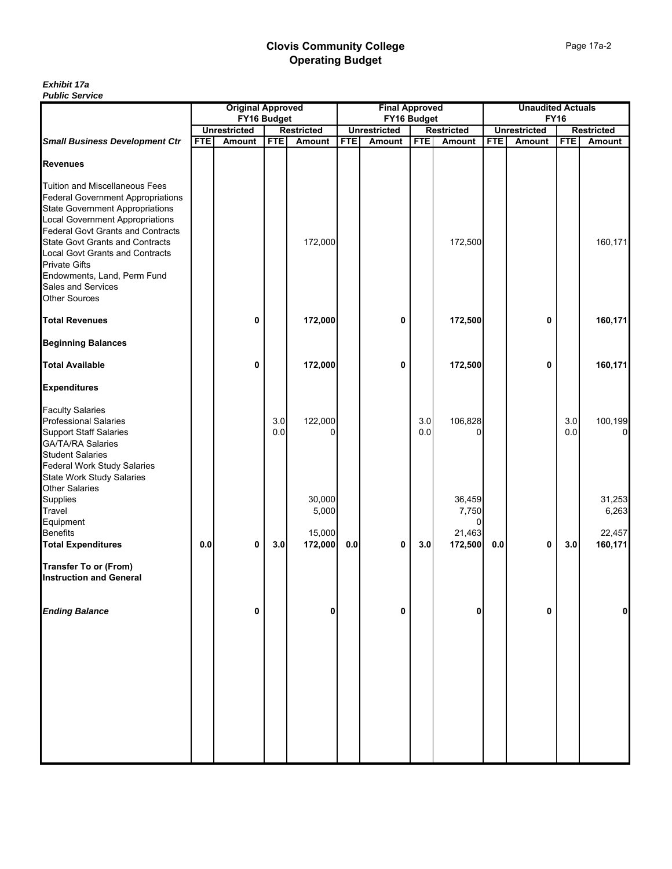| <b>FUDIIC SEIVICE</b>                                                                                                                                                                                                                                                                                                                                                                                      | <b>Original Approved</b> |                               |            |                   |            | <b>Final Approved</b> |            |                      |            | <b>Unaudited Actuals</b> |            |                         |  |  |
|------------------------------------------------------------------------------------------------------------------------------------------------------------------------------------------------------------------------------------------------------------------------------------------------------------------------------------------------------------------------------------------------------------|--------------------------|-------------------------------|------------|-------------------|------------|-----------------------|------------|----------------------|------------|--------------------------|------------|-------------------------|--|--|
|                                                                                                                                                                                                                                                                                                                                                                                                            |                          |                               |            |                   |            |                       |            |                      |            |                          |            |                         |  |  |
|                                                                                                                                                                                                                                                                                                                                                                                                            |                          | FY16 Budget                   |            |                   |            | FY16 Budget           |            |                      |            | <b>FY16</b>              |            |                         |  |  |
|                                                                                                                                                                                                                                                                                                                                                                                                            | <b>FTE</b>               | <b>Unrestricted</b><br>Amount | <b>FTE</b> | <b>Restricted</b> | <b>FTE</b> | <b>Unrestricted</b>   | <b>FTE</b> | <b>Restricted</b>    | <b>FTE</b> | <b>Unrestricted</b>      | <b>FTE</b> | <b>Restricted</b>       |  |  |
| <b>Small Business Development Ctr</b>                                                                                                                                                                                                                                                                                                                                                                      |                          |                               |            | Amount            |            | Amount                |            | Amount               |            | Amount                   |            | Amount                  |  |  |
| <b>Revenues</b>                                                                                                                                                                                                                                                                                                                                                                                            |                          |                               |            |                   |            |                       |            |                      |            |                          |            |                         |  |  |
| <b>Tuition and Miscellaneous Fees</b><br><b>Federal Government Appropriations</b><br><b>State Government Appropriations</b><br><b>Local Government Appropriations</b><br><b>Federal Govt Grants and Contracts</b><br><b>State Govt Grants and Contracts</b><br><b>Local Govt Grants and Contracts</b><br><b>Private Gifts</b><br>Endowments, Land, Perm Fund<br>Sales and Services<br><b>Other Sources</b> |                          |                               |            | 172,000           |            |                       |            | 172,500              |            |                          |            | 160,171                 |  |  |
| <b>Total Revenues</b>                                                                                                                                                                                                                                                                                                                                                                                      |                          | $\mathbf 0$                   |            | 172,000           |            | 0                     |            | 172,500              |            | 0                        |            | 160,171                 |  |  |
| <b>Beginning Balances</b>                                                                                                                                                                                                                                                                                                                                                                                  |                          |                               |            |                   |            |                       |            |                      |            |                          |            |                         |  |  |
| <b>Total Available</b>                                                                                                                                                                                                                                                                                                                                                                                     |                          | 0                             |            | 172,000           |            | 0                     |            | 172,500              |            | 0                        |            | 160,171                 |  |  |
| <b>Expenditures</b>                                                                                                                                                                                                                                                                                                                                                                                        |                          |                               |            |                   |            |                       |            |                      |            |                          |            |                         |  |  |
| <b>Faculty Salaries</b><br><b>Professional Salaries</b><br><b>Support Staff Salaries</b><br><b>GA/TA/RA Salaries</b><br><b>Student Salaries</b><br><b>Federal Work Study Salaries</b><br><b>State Work Study Salaries</b>                                                                                                                                                                                  |                          |                               | 3.0<br>0.0 | 122,000           |            |                       | 3.0<br>0.0 | 106,828<br>U         |            |                          | 3.0<br>0.0 | 100,199<br><sup>0</sup> |  |  |
| <b>Other Salaries</b><br>Supplies<br>Travel<br>Equipment                                                                                                                                                                                                                                                                                                                                                   |                          |                               |            | 30,000<br>5,000   |            |                       |            | 36,459<br>7,750<br>0 |            |                          |            | 31,253<br>6,263         |  |  |
| <b>Benefits</b><br><b>Total Expenditures</b>                                                                                                                                                                                                                                                                                                                                                               | 0.0                      | 0                             | 3.0        | 15,000<br>172,000 | 0.0        | 0                     | 3.0        | 21,463<br>172,500    | $0.0\,$    | 0                        | 3.0        | 22,457<br>160,171       |  |  |
| <b>Transfer To or (From)</b><br><b>Instruction and General</b>                                                                                                                                                                                                                                                                                                                                             |                          |                               |            |                   |            |                       |            |                      |            |                          |            |                         |  |  |
| <b>Ending Balance</b>                                                                                                                                                                                                                                                                                                                                                                                      |                          | 0                             |            | 0                 |            | 0                     |            | 0                    |            | 0                        |            | 0                       |  |  |
|                                                                                                                                                                                                                                                                                                                                                                                                            |                          |                               |            |                   |            |                       |            |                      |            |                          |            |                         |  |  |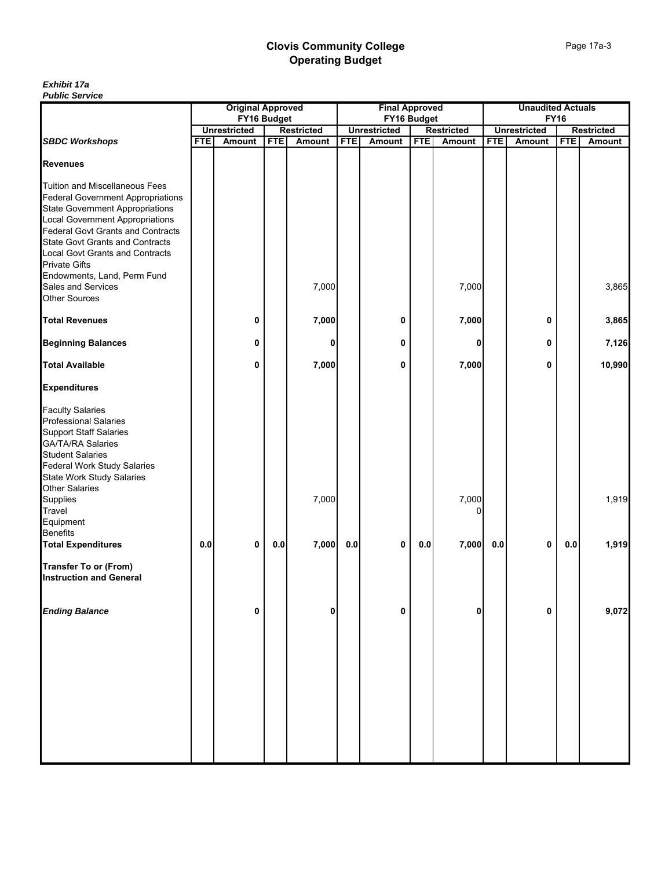|                                                                                                                                                                                                                                                                                                                                                                                    |            | <b>Original Approved</b><br>FY16 Budget |            |                   |            | <b>Final Approved</b><br>FY16 Budget |            |                   |            | <b>Unaudited Actuals</b> | <b>FY16</b> |                   |
|------------------------------------------------------------------------------------------------------------------------------------------------------------------------------------------------------------------------------------------------------------------------------------------------------------------------------------------------------------------------------------|------------|-----------------------------------------|------------|-------------------|------------|--------------------------------------|------------|-------------------|------------|--------------------------|-------------|-------------------|
|                                                                                                                                                                                                                                                                                                                                                                                    |            | <b>Unrestricted</b>                     |            | <b>Restricted</b> |            | <b>Unrestricted</b>                  |            | <b>Restricted</b> |            | <b>Unrestricted</b>      |             | <b>Restricted</b> |
| <b>SBDC Workshops</b>                                                                                                                                                                                                                                                                                                                                                              | <b>FTE</b> | Amount                                  | <b>FTE</b> | <b>Amount</b>     | <b>FTE</b> | Amount                               | <b>FTE</b> | Amount            | <b>FTE</b> | Amount                   | <b>FTE</b>  | <b>Amount</b>     |
| <b>Revenues</b>                                                                                                                                                                                                                                                                                                                                                                    |            |                                         |            |                   |            |                                      |            |                   |            |                          |             |                   |
| <b>Tuition and Miscellaneous Fees</b><br><b>Federal Government Appropriations</b><br><b>State Government Appropriations</b><br><b>Local Government Appropriations</b><br><b>Federal Govt Grants and Contracts</b><br><b>State Govt Grants and Contracts</b><br><b>Local Govt Grants and Contracts</b><br><b>Private Gifts</b><br>Endowments, Land, Perm Fund<br>Sales and Services |            |                                         |            | 7,000             |            |                                      |            | 7,000             |            |                          |             | 3,865             |
| <b>Other Sources</b>                                                                                                                                                                                                                                                                                                                                                               |            |                                         |            |                   |            |                                      |            |                   |            |                          |             |                   |
| <b>Total Revenues</b>                                                                                                                                                                                                                                                                                                                                                              |            | $\mathbf 0$                             |            | 7,000             |            | 0                                    |            | 7,000             |            | 0                        |             | 3,865             |
| <b>Beginning Balances</b>                                                                                                                                                                                                                                                                                                                                                          |            | 0                                       |            | 0                 |            | 0                                    |            | 0                 |            | 0                        |             | 7,126             |
| <b>Total Available</b>                                                                                                                                                                                                                                                                                                                                                             |            | 0                                       |            | 7,000             |            | 0                                    |            | 7,000             |            | 0                        |             | 10,990            |
| <b>Expenditures</b>                                                                                                                                                                                                                                                                                                                                                                |            |                                         |            |                   |            |                                      |            |                   |            |                          |             |                   |
| <b>Faculty Salaries</b><br><b>Professional Salaries</b><br><b>Support Staff Salaries</b><br><b>GA/TA/RA Salaries</b><br><b>Student Salaries</b><br><b>Federal Work Study Salaries</b><br>State Work Study Salaries<br><b>Other Salaries</b>                                                                                                                                        |            |                                         |            |                   |            |                                      |            |                   |            |                          |             |                   |
| Supplies<br>Travel<br>Equipment                                                                                                                                                                                                                                                                                                                                                    |            |                                         |            | 7,000             |            |                                      |            | 7,000             |            |                          |             | 1,919             |
| <b>Benefits</b><br><b>Total Expenditures</b>                                                                                                                                                                                                                                                                                                                                       | 0.0        | $\mathbf 0$                             | 0.0        | 7,000             | 0.0        | 0                                    | 0.0        | 7,000             | $0.0\,$    | 0                        | $0.0\,$     | 1,919             |
| <b>Transfer To or (From)</b><br><b>Instruction and General</b>                                                                                                                                                                                                                                                                                                                     |            |                                         |            |                   |            |                                      |            |                   |            |                          |             |                   |
| <b>Ending Balance</b>                                                                                                                                                                                                                                                                                                                                                              |            | 0                                       |            | 0                 |            | 0                                    |            | 0                 |            | 0                        |             | 9,072             |
|                                                                                                                                                                                                                                                                                                                                                                                    |            |                                         |            |                   |            |                                      |            |                   |            |                          |             |                   |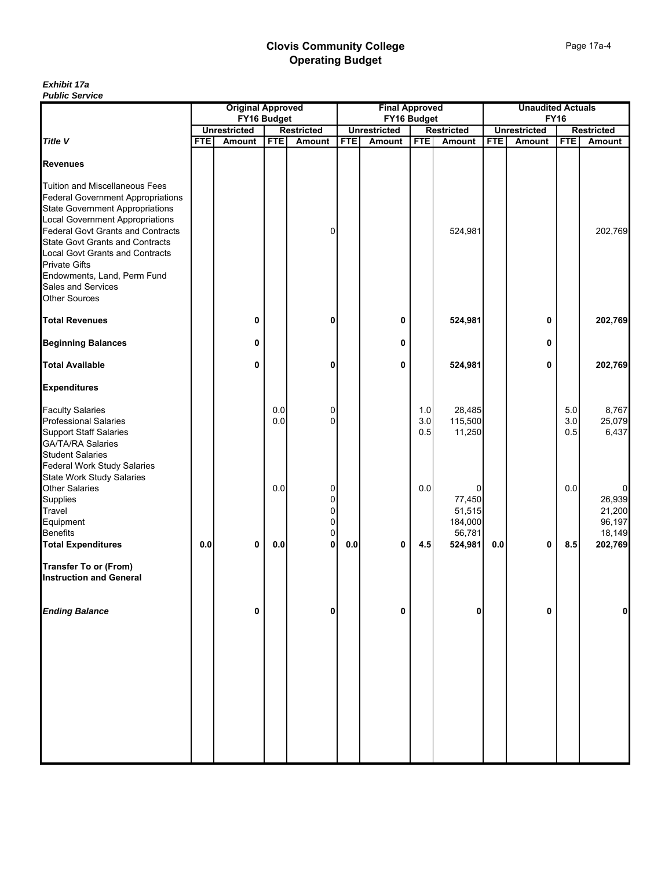|                                                                                                                                                                                                                                                                                                                                                       |            | <b>Original Approved</b>           |            |                       |            | <b>Final Approved</b>              |                   |                                            |            | <b>Unaudited Actuals</b>           |                   |                                                        |
|-------------------------------------------------------------------------------------------------------------------------------------------------------------------------------------------------------------------------------------------------------------------------------------------------------------------------------------------------------|------------|------------------------------------|------------|-----------------------|------------|------------------------------------|-------------------|--------------------------------------------|------------|------------------------------------|-------------------|--------------------------------------------------------|
|                                                                                                                                                                                                                                                                                                                                                       |            | FY16 Budget<br><b>Unrestricted</b> |            | <b>Restricted</b>     |            | FY16 Budget<br><b>Unrestricted</b> |                   | <b>Restricted</b>                          |            | <b>FY16</b><br><b>Unrestricted</b> |                   | <b>Restricted</b>                                      |
| <b>Title V</b>                                                                                                                                                                                                                                                                                                                                        | <b>FTE</b> | Amount                             | <b>FTE</b> | Amount                | <b>FTE</b> | Amount                             | <b>FTE</b>        | Amount                                     | <b>FTE</b> | Amount                             | <b>FTE</b>        | Amount                                                 |
| <b>Revenues</b>                                                                                                                                                                                                                                                                                                                                       |            |                                    |            |                       |            |                                    |                   |                                            |            |                                    |                   |                                                        |
| <b>Tuition and Miscellaneous Fees</b><br><b>Federal Government Appropriations</b><br><b>State Government Appropriations</b><br>Local Government Appropriations<br><b>Federal Govt Grants and Contracts</b><br><b>State Govt Grants and Contracts</b><br><b>Local Govt Grants and Contracts</b><br><b>Private Gifts</b><br>Endowments, Land, Perm Fund |            |                                    |            | 0                     |            |                                    |                   | 524,981                                    |            |                                    |                   | 202,769                                                |
| <b>Sales and Services</b><br><b>Other Sources</b>                                                                                                                                                                                                                                                                                                     |            |                                    |            |                       |            |                                    |                   |                                            |            |                                    |                   |                                                        |
| <b>Total Revenues</b>                                                                                                                                                                                                                                                                                                                                 |            | 0                                  |            | 0                     |            | 0                                  |                   | 524,981                                    |            | 0                                  |                   | 202,769                                                |
| <b>Beginning Balances</b>                                                                                                                                                                                                                                                                                                                             |            | 0                                  |            |                       |            | 0                                  |                   |                                            |            | 0                                  |                   |                                                        |
| <b>Total Available</b>                                                                                                                                                                                                                                                                                                                                |            | 0                                  |            | 0                     |            | 0                                  |                   | 524,981                                    |            | 0                                  |                   | 202,769                                                |
| <b>Expenditures</b>                                                                                                                                                                                                                                                                                                                                   |            |                                    |            |                       |            |                                    |                   |                                            |            |                                    |                   |                                                        |
| <b>Faculty Salaries</b><br><b>Professional Salaries</b><br><b>Support Staff Salaries</b><br><b>GA/TA/RA Salaries</b><br><b>Student Salaries</b><br><b>Federal Work Study Salaries</b>                                                                                                                                                                 |            |                                    | 0.0<br>0.0 | 0<br>0                |            |                                    | 1.0<br>3.0<br>0.5 | 28,485<br>115,500<br>11,250                |            |                                    | 5.0<br>3.0<br>0.5 | 8,767<br>25,079<br>6,437                               |
| <b>State Work Study Salaries</b><br><b>Other Salaries</b><br>Supplies<br>Travel<br>Equipment<br><b>Benefits</b>                                                                                                                                                                                                                                       |            |                                    | 0.0        | 0<br>0<br>0<br>0<br>0 |            |                                    | 0.0               | 0<br>77,450<br>51,515<br>184,000<br>56,781 |            |                                    | 0.0               | $\overline{0}$<br>26,939<br>21,200<br>96,197<br>18,149 |
| <b>Total Expenditures</b>                                                                                                                                                                                                                                                                                                                             | 0.0        | 0                                  | 0.0        | 0                     | 0.0        | 0                                  | 4.5               | 524,981                                    | 0.0        | 0                                  | 8.5               | 202,769                                                |
| <b>Transfer To or (From)</b><br><b>Instruction and General</b>                                                                                                                                                                                                                                                                                        |            |                                    |            |                       |            |                                    |                   |                                            |            |                                    |                   |                                                        |
| <b>Ending Balance</b>                                                                                                                                                                                                                                                                                                                                 |            | 0                                  |            | 0                     |            | 0                                  |                   | 0                                          |            | 0                                  |                   | $\mathbf{0}$                                           |
|                                                                                                                                                                                                                                                                                                                                                       |            |                                    |            |                       |            |                                    |                   |                                            |            |                                    |                   |                                                        |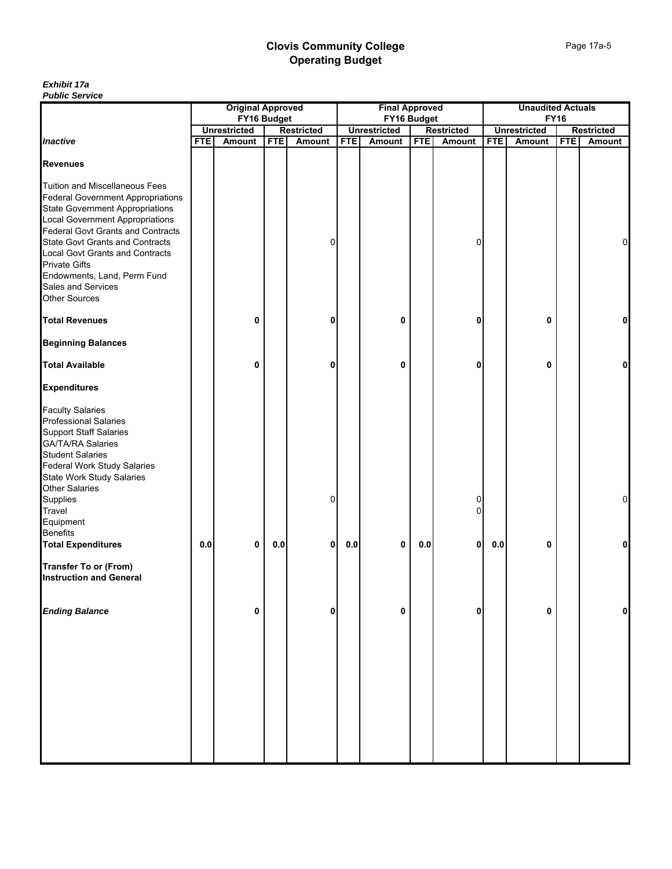| <b><i>L</i></b> ANIIC OCLAIG             |            |                          |            |                   |            |                       |            |                   |            |                          |             |                   |
|------------------------------------------|------------|--------------------------|------------|-------------------|------------|-----------------------|------------|-------------------|------------|--------------------------|-------------|-------------------|
|                                          |            | <b>Original Approved</b> |            |                   |            | <b>Final Approved</b> |            |                   |            | <b>Unaudited Actuals</b> |             |                   |
|                                          |            | FY16 Budget              |            |                   |            | FY16 Budget           |            |                   |            |                          | <b>FY16</b> |                   |
|                                          |            | <b>Unrestricted</b>      |            | <b>Restricted</b> |            | <b>Unrestricted</b>   |            | <b>Restricted</b> |            | <b>Unrestricted</b>      |             | <b>Restricted</b> |
|                                          | <b>FTE</b> |                          | <b>FTE</b> |                   | <b>FTE</b> | Amount                | <b>FTE</b> |                   | <b>FTE</b> |                          | <b>FTE</b>  | Amount            |
| <b>Inactive</b>                          |            | Amount                   |            | Amount            |            |                       |            | Amount            |            | Amount                   |             |                   |
|                                          |            |                          |            |                   |            |                       |            |                   |            |                          |             |                   |
| <b>Revenues</b>                          |            |                          |            |                   |            |                       |            |                   |            |                          |             |                   |
| Tuition and Miscellaneous Fees           |            |                          |            |                   |            |                       |            |                   |            |                          |             |                   |
|                                          |            |                          |            |                   |            |                       |            |                   |            |                          |             |                   |
| <b>Federal Government Appropriations</b> |            |                          |            |                   |            |                       |            |                   |            |                          |             |                   |
| <b>State Government Appropriations</b>   |            |                          |            |                   |            |                       |            |                   |            |                          |             |                   |
| <b>Local Government Appropriations</b>   |            |                          |            |                   |            |                       |            |                   |            |                          |             |                   |
| <b>Federal Govt Grants and Contracts</b> |            |                          |            |                   |            |                       |            |                   |            |                          |             |                   |
| <b>State Govt Grants and Contracts</b>   |            |                          |            |                   |            |                       |            |                   |            |                          |             |                   |
|                                          |            |                          |            | 0                 |            |                       |            | 0                 |            |                          |             | 0                 |
| <b>Local Govt Grants and Contracts</b>   |            |                          |            |                   |            |                       |            |                   |            |                          |             |                   |
| <b>Private Gifts</b>                     |            |                          |            |                   |            |                       |            |                   |            |                          |             |                   |
| Endowments, Land, Perm Fund              |            |                          |            |                   |            |                       |            |                   |            |                          |             |                   |
| Sales and Services                       |            |                          |            |                   |            |                       |            |                   |            |                          |             |                   |
| <b>Other Sources</b>                     |            |                          |            |                   |            |                       |            |                   |            |                          |             |                   |
|                                          |            |                          |            |                   |            |                       |            |                   |            |                          |             |                   |
| <b>Total Revenues</b>                    |            | 0                        |            | 0                 |            | 0                     |            | 0                 |            | 0                        |             | 0                 |
| <b>Beginning Balances</b>                |            |                          |            |                   |            |                       |            |                   |            |                          |             |                   |
| <b>Total Available</b>                   |            | 0                        |            | Λ                 |            | 0                     |            | 0                 |            | 0                        |             | 0                 |
|                                          |            |                          |            |                   |            |                       |            |                   |            |                          |             |                   |
| <b>Expenditures</b>                      |            |                          |            |                   |            |                       |            |                   |            |                          |             |                   |
| <b>Faculty Salaries</b>                  |            |                          |            |                   |            |                       |            |                   |            |                          |             |                   |
| <b>Professional Salaries</b>             |            |                          |            |                   |            |                       |            |                   |            |                          |             |                   |
|                                          |            |                          |            |                   |            |                       |            |                   |            |                          |             |                   |
| <b>Support Staff Salaries</b>            |            |                          |            |                   |            |                       |            |                   |            |                          |             |                   |
| <b>GA/TA/RA Salaries</b>                 |            |                          |            |                   |            |                       |            |                   |            |                          |             |                   |
| <b>Student Salaries</b>                  |            |                          |            |                   |            |                       |            |                   |            |                          |             |                   |
| <b>Federal Work Study Salaries</b>       |            |                          |            |                   |            |                       |            |                   |            |                          |             |                   |
| State Work Study Salaries                |            |                          |            |                   |            |                       |            |                   |            |                          |             |                   |
| <b>Other Salaries</b>                    |            |                          |            |                   |            |                       |            |                   |            |                          |             |                   |
| Supplies                                 |            |                          |            | 0                 |            |                       |            | 0                 |            |                          |             | $\Omega$          |
|                                          |            |                          |            |                   |            |                       |            |                   |            |                          |             |                   |
| Travel                                   |            |                          |            |                   |            |                       |            |                   |            |                          |             |                   |
| Equipment                                |            |                          |            |                   |            |                       |            |                   |            |                          |             |                   |
| <b>Benefits</b>                          |            |                          |            |                   |            |                       |            |                   |            |                          |             |                   |
| <b>Total Expenditures</b>                | 0.0        | 0                        | 0.0        | 0                 | $0.0\,$    | 0                     | $0.0\,$    | 0                 | 0.0        | 0                        |             | 0                 |
|                                          |            |                          |            |                   |            |                       |            |                   |            |                          |             |                   |
| <b>Transfer To or (From)</b>             |            |                          |            |                   |            |                       |            |                   |            |                          |             |                   |
| <b>Instruction and General</b>           |            |                          |            |                   |            |                       |            |                   |            |                          |             |                   |
|                                          |            |                          |            |                   |            |                       |            |                   |            |                          |             |                   |
| <b>Ending Balance</b>                    |            | 0                        |            | 0                 |            | 0                     |            | 0                 |            | 0                        |             | 0                 |
|                                          |            |                          |            |                   |            |                       |            |                   |            |                          |             |                   |
|                                          |            |                          |            |                   |            |                       |            |                   |            |                          |             |                   |
|                                          |            |                          |            |                   |            |                       |            |                   |            |                          |             |                   |
|                                          |            |                          |            |                   |            |                       |            |                   |            |                          |             |                   |
|                                          |            |                          |            |                   |            |                       |            |                   |            |                          |             |                   |
|                                          |            |                          |            |                   |            |                       |            |                   |            |                          |             |                   |
|                                          |            |                          |            |                   |            |                       |            |                   |            |                          |             |                   |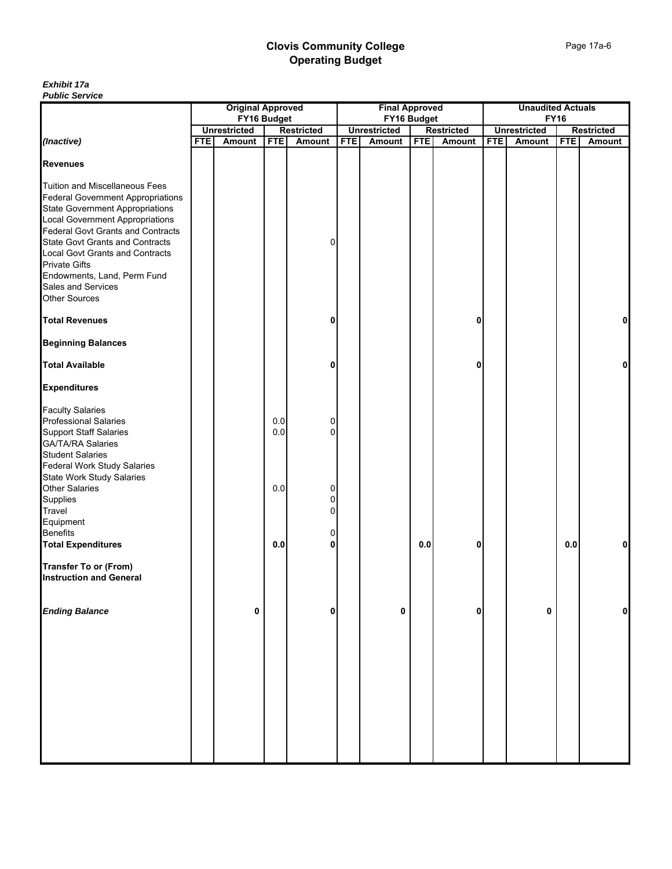| <b><i>L</i></b> ANIIC OCLAIG                                                                                                                                                                                                                                                                                                                                                                        | <b>Original Approved</b> |                     |            |                   |            | <b>Final Approved</b> |            |                   |            | <b>Unaudited Actuals</b> |            |                   |
|-----------------------------------------------------------------------------------------------------------------------------------------------------------------------------------------------------------------------------------------------------------------------------------------------------------------------------------------------------------------------------------------------------|--------------------------|---------------------|------------|-------------------|------------|-----------------------|------------|-------------------|------------|--------------------------|------------|-------------------|
|                                                                                                                                                                                                                                                                                                                                                                                                     |                          | FY16 Budget         |            |                   |            | FY16 Budget           |            |                   |            | <b>FY16</b>              |            |                   |
|                                                                                                                                                                                                                                                                                                                                                                                                     |                          | <b>Unrestricted</b> |            | <b>Restricted</b> |            | <b>Unrestricted</b>   |            | <b>Restricted</b> |            | <b>Unrestricted</b>      |            | <b>Restricted</b> |
| (Inactive)                                                                                                                                                                                                                                                                                                                                                                                          | <b>FTE</b>               | Amount              | <b>FTE</b> | <b>Amount</b>     | <b>FTE</b> | Amount                | <b>FTE</b> | <b>Amount</b>     | <b>FTE</b> | Amount                   | <b>FTE</b> | Amount            |
| <b>Revenues</b>                                                                                                                                                                                                                                                                                                                                                                                     |                          |                     |            |                   |            |                       |            |                   |            |                          |            |                   |
| Tuition and Miscellaneous Fees<br><b>Federal Government Appropriations</b><br><b>State Government Appropriations</b><br><b>Local Government Appropriations</b><br><b>Federal Govt Grants and Contracts</b><br><b>State Govt Grants and Contracts</b><br><b>Local Govt Grants and Contracts</b><br><b>Private Gifts</b><br>Endowments, Land, Perm Fund<br>Sales and Services<br><b>Other Sources</b> |                          |                     |            | 0                 |            |                       |            |                   |            |                          |            |                   |
| <b>Total Revenues</b>                                                                                                                                                                                                                                                                                                                                                                               |                          |                     |            | 0                 |            |                       |            | 0                 |            |                          |            | 0                 |
| <b>Beginning Balances</b>                                                                                                                                                                                                                                                                                                                                                                           |                          |                     |            |                   |            |                       |            |                   |            |                          |            |                   |
| <b>Total Available</b>                                                                                                                                                                                                                                                                                                                                                                              |                          |                     |            | 0                 |            |                       |            | U                 |            |                          |            | 0                 |
| <b>Expenditures</b>                                                                                                                                                                                                                                                                                                                                                                                 |                          |                     |            |                   |            |                       |            |                   |            |                          |            |                   |
| <b>Faculty Salaries</b><br><b>Professional Salaries</b><br><b>Support Staff Salaries</b><br><b>GA/TA/RA Salaries</b><br><b>Student Salaries</b><br><b>Federal Work Study Salaries</b>                                                                                                                                                                                                               |                          |                     | 0.0<br>0.0 | 0<br>0            |            |                       |            |                   |            |                          |            |                   |
| <b>State Work Study Salaries</b><br><b>Other Salaries</b><br>Supplies<br>Travel                                                                                                                                                                                                                                                                                                                     |                          |                     | 0.0        | 0<br>0<br>0       |            |                       |            |                   |            |                          |            |                   |
| Equipment<br><b>Benefits</b><br><b>Total Expenditures</b>                                                                                                                                                                                                                                                                                                                                           |                          |                     | 0.0        | 0<br>0            |            |                       | 0.0        | 0                 |            |                          | 0.0        | 0                 |
| <b>Transfer To or (From)</b><br><b>Instruction and General</b>                                                                                                                                                                                                                                                                                                                                      |                          |                     |            |                   |            |                       |            |                   |            |                          |            |                   |
| <b>Ending Balance</b>                                                                                                                                                                                                                                                                                                                                                                               |                          | 0                   |            | 0                 |            | 0                     |            | 0                 |            | 0                        |            | 0                 |
|                                                                                                                                                                                                                                                                                                                                                                                                     |                          |                     |            |                   |            |                       |            |                   |            |                          |            |                   |
|                                                                                                                                                                                                                                                                                                                                                                                                     |                          |                     |            |                   |            |                       |            |                   |            |                          |            |                   |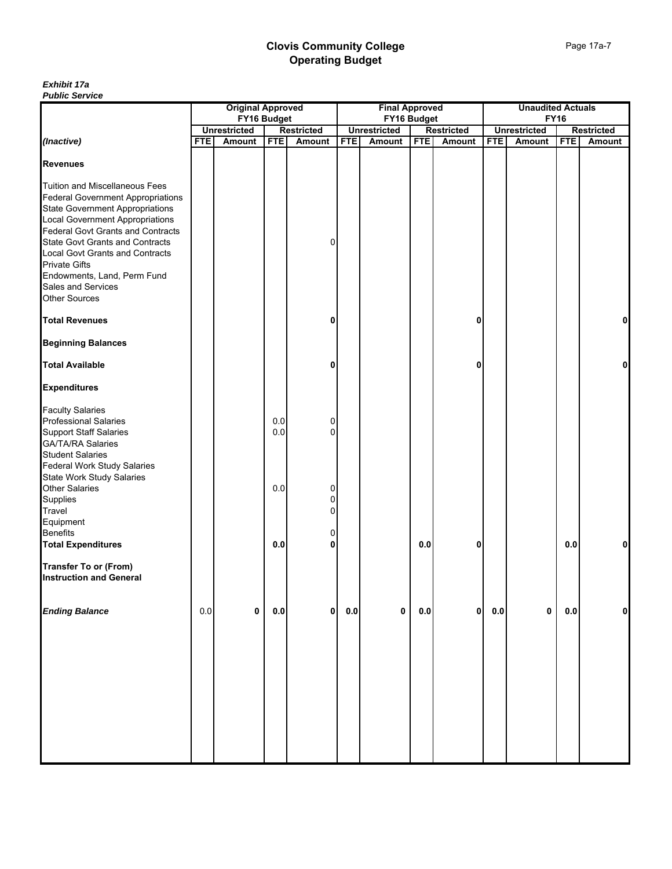|            |           |                               |             |                                                                        |                            |                               |            |                                                                            |                            |                               | <b>Restricted</b>                                     |
|------------|-----------|-------------------------------|-------------|------------------------------------------------------------------------|----------------------------|-------------------------------|------------|----------------------------------------------------------------------------|----------------------------|-------------------------------|-------------------------------------------------------|
| <b>FTE</b> |           |                               |             |                                                                        |                            |                               |            |                                                                            |                            |                               | Amount                                                |
|            |           |                               |             |                                                                        |                            |                               |            |                                                                            |                            |                               |                                                       |
|            |           |                               | 0           |                                                                        |                            |                               |            |                                                                            |                            |                               |                                                       |
|            |           |                               |             |                                                                        |                            |                               |            |                                                                            |                            |                               |                                                       |
|            |           |                               | 0           |                                                                        |                            |                               | 0          |                                                                            |                            |                               | 0                                                     |
|            |           |                               |             |                                                                        |                            |                               |            |                                                                            |                            |                               |                                                       |
|            |           |                               | 0           |                                                                        |                            |                               | U          |                                                                            |                            |                               | 0                                                     |
|            |           |                               |             |                                                                        |                            |                               |            |                                                                            |                            |                               |                                                       |
|            |           | 0.0<br>0.0                    | 0<br>0      |                                                                        |                            |                               |            |                                                                            |                            |                               |                                                       |
|            |           | 0.0                           | 0<br>0<br>0 |                                                                        |                            |                               |            |                                                                            |                            |                               |                                                       |
|            |           |                               | 0           |                                                                        |                            |                               |            |                                                                            |                            |                               |                                                       |
|            |           | 0.0                           | 0           |                                                                        |                            | 0.0                           | 0          |                                                                            |                            | 0.0                           | 0                                                     |
|            |           |                               |             |                                                                        |                            |                               |            |                                                                            |                            |                               |                                                       |
| 0.0        | $\pmb{0}$ | 0.0                           |             | $0.0\,$                                                                | 0                          | $0.0\,$                       |            | $0.0\,$                                                                    | 0                          | 0.0                           | 0                                                     |
|            |           |                               |             |                                                                        |                            |                               |            |                                                                            |                            |                               |                                                       |
|            |           | <b>Unrestricted</b><br>Amount | <b>FTE</b>  | <b>Original Approved</b><br>FY16 Budget<br><b>Restricted</b><br>Amount | <b>FTE</b><br>$\mathbf{0}$ | <b>Unrestricted</b><br>Amount | <b>FTE</b> | <b>Final Approved</b><br>FY16 Budget<br><b>Restricted</b><br><b>Amount</b> | <b>FTE</b><br>$\mathbf{0}$ | <b>Unrestricted</b><br>Amount | <b>Unaudited Actuals</b><br><b>FY16</b><br><b>FTE</b> |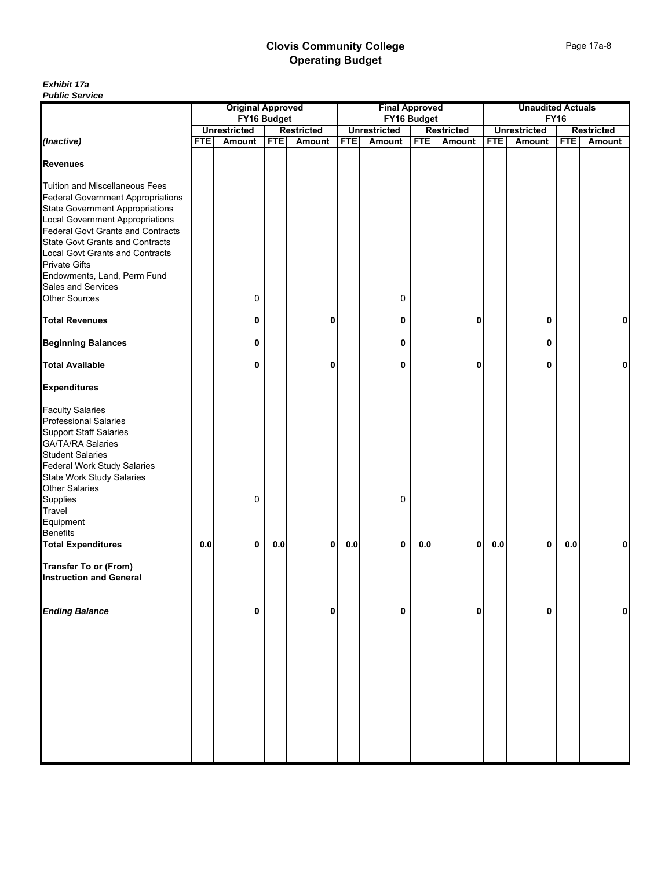| r upilo oci vicc                         |            |                          |            |                   |                       |                     |                |                   |                          |                     |             |                   |
|------------------------------------------|------------|--------------------------|------------|-------------------|-----------------------|---------------------|----------------|-------------------|--------------------------|---------------------|-------------|-------------------|
|                                          |            | <b>Original Approved</b> |            |                   | <b>Final Approved</b> |                     |                |                   | <b>Unaudited Actuals</b> |                     |             |                   |
|                                          |            | FY16 Budget              |            |                   |                       | FY16 Budget         |                |                   |                          |                     | <b>FY16</b> |                   |
|                                          |            | <b>Unrestricted</b>      |            | <b>Restricted</b> |                       | <b>Unrestricted</b> |                | <b>Restricted</b> |                          | <b>Unrestricted</b> |             | <b>Restricted</b> |
| (Inactive)                               | <b>FTE</b> | Amount                   | <b>FTE</b> | Amount            | <b>FTE</b>            | Amount              | <b>FTE</b>     | <b>Amount</b>     | <b>FTE</b>               | Amount              | <b>FTE</b>  | Amount            |
|                                          |            |                          |            |                   |                       |                     |                |                   |                          |                     |             |                   |
| <b>Revenues</b>                          |            |                          |            |                   |                       |                     |                |                   |                          |                     |             |                   |
|                                          |            |                          |            |                   |                       |                     |                |                   |                          |                     |             |                   |
| <b>Tuition and Miscellaneous Fees</b>    |            |                          |            |                   |                       |                     |                |                   |                          |                     |             |                   |
|                                          |            |                          |            |                   |                       |                     |                |                   |                          |                     |             |                   |
| <b>Federal Government Appropriations</b> |            |                          |            |                   |                       |                     |                |                   |                          |                     |             |                   |
| <b>State Government Appropriations</b>   |            |                          |            |                   |                       |                     |                |                   |                          |                     |             |                   |
| <b>Local Government Appropriations</b>   |            |                          |            |                   |                       |                     |                |                   |                          |                     |             |                   |
| <b>Federal Govt Grants and Contracts</b> |            |                          |            |                   |                       |                     |                |                   |                          |                     |             |                   |
| <b>State Govt Grants and Contracts</b>   |            |                          |            |                   |                       |                     |                |                   |                          |                     |             |                   |
| <b>Local Govt Grants and Contracts</b>   |            |                          |            |                   |                       |                     |                |                   |                          |                     |             |                   |
| <b>Private Gifts</b>                     |            |                          |            |                   |                       |                     |                |                   |                          |                     |             |                   |
|                                          |            |                          |            |                   |                       |                     |                |                   |                          |                     |             |                   |
| Endowments, Land, Perm Fund              |            |                          |            |                   |                       |                     |                |                   |                          |                     |             |                   |
| Sales and Services                       |            |                          |            |                   |                       |                     |                |                   |                          |                     |             |                   |
| <b>Other Sources</b>                     |            | 0                        |            |                   |                       | 0                   |                |                   |                          |                     |             |                   |
|                                          |            |                          |            |                   |                       |                     |                |                   |                          |                     |             |                   |
| <b>Total Revenues</b>                    |            | 0                        |            | 0                 |                       | 0                   |                | 0                 |                          | 0                   |             | 0                 |
|                                          |            |                          |            |                   |                       |                     |                |                   |                          |                     |             |                   |
| <b>Beginning Balances</b>                |            | 0                        |            |                   |                       | 0                   |                |                   |                          | 0                   |             |                   |
|                                          |            |                          |            |                   |                       |                     |                |                   |                          |                     |             |                   |
|                                          |            |                          |            |                   |                       |                     |                |                   |                          |                     |             |                   |
| <b>Total Available</b>                   |            | 0                        |            | 0                 |                       | 0                   |                | 0                 |                          | 0                   |             | 0                 |
|                                          |            |                          |            |                   |                       |                     |                |                   |                          |                     |             |                   |
| <b>Expenditures</b>                      |            |                          |            |                   |                       |                     |                |                   |                          |                     |             |                   |
|                                          |            |                          |            |                   |                       |                     |                |                   |                          |                     |             |                   |
| <b>Faculty Salaries</b>                  |            |                          |            |                   |                       |                     |                |                   |                          |                     |             |                   |
|                                          |            |                          |            |                   |                       |                     |                |                   |                          |                     |             |                   |
| <b>Professional Salaries</b>             |            |                          |            |                   |                       |                     |                |                   |                          |                     |             |                   |
| <b>Support Staff Salaries</b>            |            |                          |            |                   |                       |                     |                |                   |                          |                     |             |                   |
| <b>GA/TA/RA Salaries</b>                 |            |                          |            |                   |                       |                     |                |                   |                          |                     |             |                   |
| <b>Student Salaries</b>                  |            |                          |            |                   |                       |                     |                |                   |                          |                     |             |                   |
| <b>Federal Work Study Salaries</b>       |            |                          |            |                   |                       |                     |                |                   |                          |                     |             |                   |
|                                          |            |                          |            |                   |                       |                     |                |                   |                          |                     |             |                   |
| State Work Study Salaries                |            |                          |            |                   |                       |                     |                |                   |                          |                     |             |                   |
| <b>Other Salaries</b>                    |            |                          |            |                   |                       |                     |                |                   |                          |                     |             |                   |
| Supplies                                 |            | 0                        |            |                   |                       | 0                   |                |                   |                          |                     |             |                   |
| Travel                                   |            |                          |            |                   |                       |                     |                |                   |                          |                     |             |                   |
| Equipment                                |            |                          |            |                   |                       |                     |                |                   |                          |                     |             |                   |
| <b>Benefits</b>                          |            |                          |            |                   |                       |                     |                |                   |                          |                     |             |                   |
|                                          |            |                          |            |                   |                       |                     |                |                   |                          |                     |             |                   |
| <b>Total Expenditures</b>                | $0.0\,$    | 0                        | 0.0        | $\mathbf{0}$      | 0.0                   | 0                   | $\mathbf{0.0}$ | 0                 | 0.0                      | 0                   | 0.0         | 0                 |
|                                          |            |                          |            |                   |                       |                     |                |                   |                          |                     |             |                   |
| <b>Transfer To or (From)</b>             |            |                          |            |                   |                       |                     |                |                   |                          |                     |             |                   |
| <b>Instruction and General</b>           |            |                          |            |                   |                       |                     |                |                   |                          |                     |             |                   |
|                                          |            |                          |            |                   |                       |                     |                |                   |                          |                     |             |                   |
|                                          |            |                          |            |                   |                       |                     |                |                   |                          |                     |             |                   |
| <b>Ending Balance</b>                    |            | 0                        |            | 0                 |                       | 0                   |                | 0                 |                          | 0                   |             | 0                 |
|                                          |            |                          |            |                   |                       |                     |                |                   |                          |                     |             |                   |
|                                          |            |                          |            |                   |                       |                     |                |                   |                          |                     |             |                   |
|                                          |            |                          |            |                   |                       |                     |                |                   |                          |                     |             |                   |
|                                          |            |                          |            |                   |                       |                     |                |                   |                          |                     |             |                   |
|                                          |            |                          |            |                   |                       |                     |                |                   |                          |                     |             |                   |
|                                          |            |                          |            |                   |                       |                     |                |                   |                          |                     |             |                   |
|                                          |            |                          |            |                   |                       |                     |                |                   |                          |                     |             |                   |
|                                          |            |                          |            |                   |                       |                     |                |                   |                          |                     |             |                   |
|                                          |            |                          |            |                   |                       |                     |                |                   |                          |                     |             |                   |
|                                          |            |                          |            |                   |                       |                     |                |                   |                          |                     |             |                   |
|                                          |            |                          |            |                   |                       |                     |                |                   |                          |                     |             |                   |
|                                          |            |                          |            |                   |                       |                     |                |                   |                          |                     |             |                   |
|                                          |            |                          |            |                   |                       |                     |                |                   |                          |                     |             |                   |
|                                          |            |                          |            |                   |                       |                     |                |                   |                          |                     |             |                   |
|                                          |            |                          |            |                   |                       |                     |                |                   |                          |                     |             |                   |
|                                          |            |                          |            |                   |                       |                     |                |                   |                          |                     |             |                   |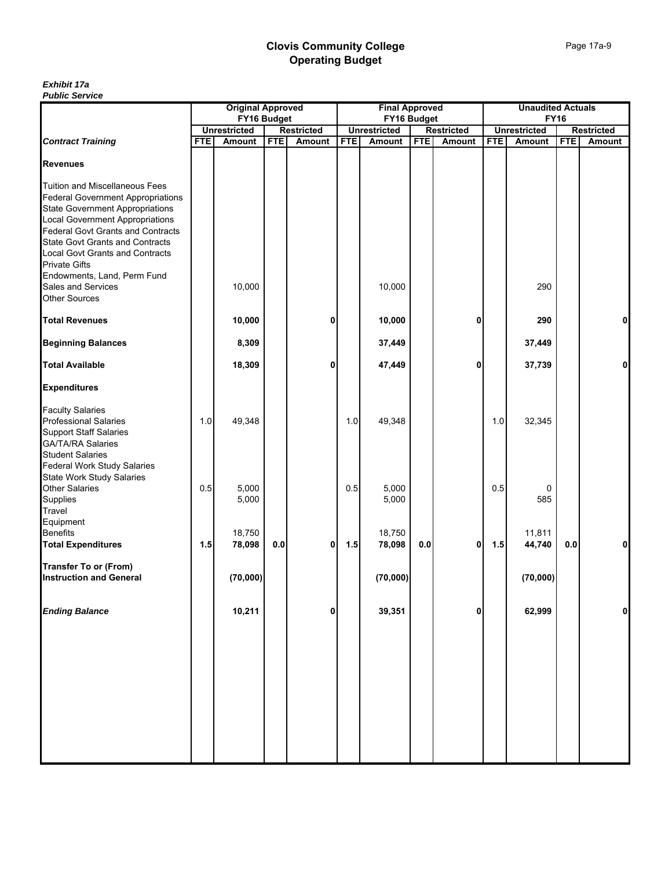| <b><i>L</i></b> ANIIC OCLAIG                                   |            |                          |            |                   |                       |                     |            |                   |                          |                     |            |                   |
|----------------------------------------------------------------|------------|--------------------------|------------|-------------------|-----------------------|---------------------|------------|-------------------|--------------------------|---------------------|------------|-------------------|
|                                                                |            | <b>Original Approved</b> |            |                   | <b>Final Approved</b> |                     |            |                   | <b>Unaudited Actuals</b> |                     |            |                   |
|                                                                |            | FY16 Budget              |            |                   |                       | FY16 Budget         |            |                   |                          | <b>FY16</b>         |            |                   |
|                                                                |            | <b>Unrestricted</b>      |            | <b>Restricted</b> |                       | <b>Unrestricted</b> |            | <b>Restricted</b> |                          | <b>Unrestricted</b> |            | <b>Restricted</b> |
|                                                                |            |                          |            |                   |                       |                     |            |                   |                          |                     |            |                   |
| <b>Contract Training</b>                                       | <b>FTE</b> | Amount                   | <b>FTE</b> | Amount            | <b>FTE</b>            | Amount              | <b>FTE</b> | Amount            | <b>FTE</b>               | Amount              | <b>FTE</b> | Amount            |
| <b>Revenues</b>                                                |            |                          |            |                   |                       |                     |            |                   |                          |                     |            |                   |
| <b>Tuition and Miscellaneous Fees</b>                          |            |                          |            |                   |                       |                     |            |                   |                          |                     |            |                   |
| <b>Federal Government Appropriations</b>                       |            |                          |            |                   |                       |                     |            |                   |                          |                     |            |                   |
| <b>State Government Appropriations</b>                         |            |                          |            |                   |                       |                     |            |                   |                          |                     |            |                   |
|                                                                |            |                          |            |                   |                       |                     |            |                   |                          |                     |            |                   |
| <b>Local Government Appropriations</b>                         |            |                          |            |                   |                       |                     |            |                   |                          |                     |            |                   |
| <b>Federal Govt Grants and Contracts</b>                       |            |                          |            |                   |                       |                     |            |                   |                          |                     |            |                   |
| <b>State Govt Grants and Contracts</b>                         |            |                          |            |                   |                       |                     |            |                   |                          |                     |            |                   |
| <b>Local Govt Grants and Contracts</b>                         |            |                          |            |                   |                       |                     |            |                   |                          |                     |            |                   |
| <b>Private Gifts</b>                                           |            |                          |            |                   |                       |                     |            |                   |                          |                     |            |                   |
| Endowments, Land, Perm Fund                                    |            |                          |            |                   |                       |                     |            |                   |                          |                     |            |                   |
| Sales and Services                                             |            | 10,000                   |            |                   |                       | 10,000              |            |                   |                          | 290                 |            |                   |
| <b>Other Sources</b>                                           |            |                          |            |                   |                       |                     |            |                   |                          |                     |            |                   |
| <b>Total Revenues</b>                                          |            | 10,000                   |            | 0                 |                       | 10,000              |            | 0                 |                          | 290                 |            | 0                 |
|                                                                |            |                          |            |                   |                       |                     |            |                   |                          |                     |            |                   |
| <b>Beginning Balances</b>                                      |            | 8,309                    |            |                   |                       | 37,449              |            |                   |                          | 37,449              |            |                   |
| <b>Total Available</b>                                         |            | 18,309                   |            | 0                 |                       | 47,449              |            | 0                 |                          | 37,739              |            | 0                 |
| <b>Expenditures</b>                                            |            |                          |            |                   |                       |                     |            |                   |                          |                     |            |                   |
| <b>Faculty Salaries</b>                                        |            |                          |            |                   |                       |                     |            |                   |                          |                     |            |                   |
| <b>Professional Salaries</b>                                   | 1.0        | 49,348                   |            |                   | 1.0                   | 49,348              |            |                   | 1.0                      | 32,345              |            |                   |
| <b>Support Staff Salaries</b>                                  |            |                          |            |                   |                       |                     |            |                   |                          |                     |            |                   |
| <b>GA/TA/RA Salaries</b>                                       |            |                          |            |                   |                       |                     |            |                   |                          |                     |            |                   |
| <b>Student Salaries</b>                                        |            |                          |            |                   |                       |                     |            |                   |                          |                     |            |                   |
| <b>Federal Work Study Salaries</b>                             |            |                          |            |                   |                       |                     |            |                   |                          |                     |            |                   |
| <b>State Work Study Salaries</b>                               |            |                          |            |                   |                       |                     |            |                   |                          |                     |            |                   |
| <b>Other Salaries</b>                                          | 0.5        | 5,000                    |            |                   | 0.5                   | 5,000               |            |                   | 0.5                      |                     |            |                   |
| Supplies                                                       |            | 5,000                    |            |                   |                       | 5,000               |            |                   |                          | 585                 |            |                   |
| Travel                                                         |            |                          |            |                   |                       |                     |            |                   |                          |                     |            |                   |
| Equipment                                                      |            |                          |            |                   |                       |                     |            |                   |                          |                     |            |                   |
|                                                                |            |                          |            |                   |                       |                     |            |                   |                          |                     |            |                   |
| <b>Benefits</b>                                                |            | 18,750                   |            |                   |                       | 18,750              |            |                   |                          | 11,811              |            |                   |
| <b>Total Expenditures</b>                                      | 1.5        | 78,098                   | 0.0        | $\mathbf{0}$      | 1.5                   | 78,098              | 0.0        | 0                 | 1.5                      | 44,740              | 0.0        | $\mathbf{0}$      |
| <b>Transfer To or (From)</b><br><b>Instruction and General</b> |            | (70,000)                 |            |                   |                       | (70,000)            |            |                   |                          | (70,000)            |            |                   |
|                                                                |            |                          |            |                   |                       |                     |            |                   |                          |                     |            |                   |
| <b>Ending Balance</b>                                          |            | 10,211                   |            | $\mathbf 0$       |                       | 39,351              |            | 0                 |                          | 62,999              |            | $\mathbf{0}$      |
|                                                                |            |                          |            |                   |                       |                     |            |                   |                          |                     |            |                   |
|                                                                |            |                          |            |                   |                       |                     |            |                   |                          |                     |            |                   |
|                                                                |            |                          |            |                   |                       |                     |            |                   |                          |                     |            |                   |
|                                                                |            |                          |            |                   |                       |                     |            |                   |                          |                     |            |                   |
|                                                                |            |                          |            |                   |                       |                     |            |                   |                          |                     |            |                   |
|                                                                |            |                          |            |                   |                       |                     |            |                   |                          |                     |            |                   |
|                                                                |            |                          |            |                   |                       |                     |            |                   |                          |                     |            |                   |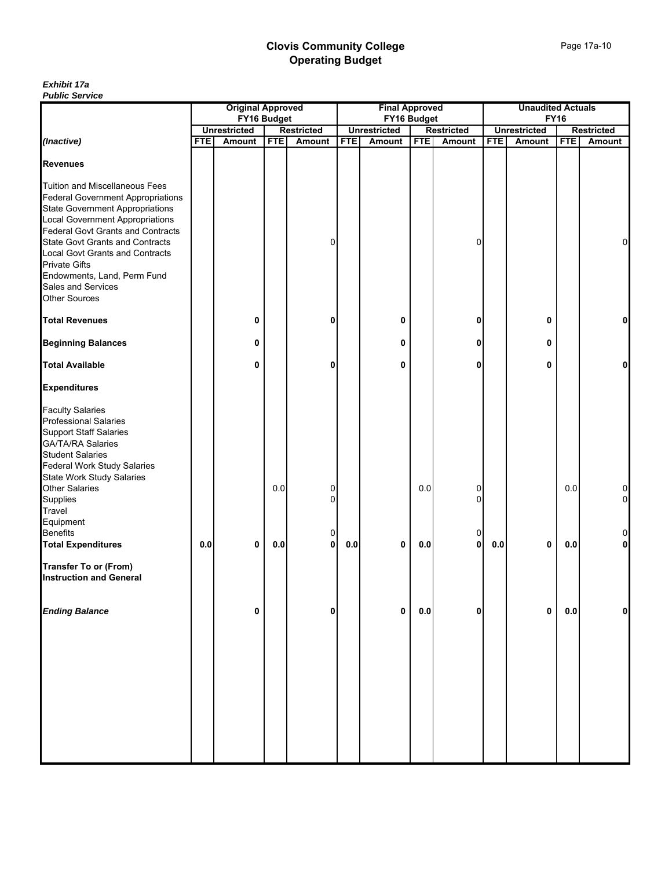| r upilo oci vicc                                                                                                                                                                                                                                                                                                                                                                   |            |                          |            |                   |                       |                     |                |                   |                          |                     |             |                   |
|------------------------------------------------------------------------------------------------------------------------------------------------------------------------------------------------------------------------------------------------------------------------------------------------------------------------------------------------------------------------------------|------------|--------------------------|------------|-------------------|-----------------------|---------------------|----------------|-------------------|--------------------------|---------------------|-------------|-------------------|
|                                                                                                                                                                                                                                                                                                                                                                                    |            | <b>Original Approved</b> |            |                   | <b>Final Approved</b> |                     |                |                   | <b>Unaudited Actuals</b> |                     |             |                   |
|                                                                                                                                                                                                                                                                                                                                                                                    |            | FY16 Budget              |            |                   |                       | FY16 Budget         |                |                   |                          |                     | <b>FY16</b> |                   |
|                                                                                                                                                                                                                                                                                                                                                                                    |            | <b>Unrestricted</b>      |            | <b>Restricted</b> |                       | <b>Unrestricted</b> |                | <b>Restricted</b> |                          | <b>Unrestricted</b> |             | <b>Restricted</b> |
| (Inactive)                                                                                                                                                                                                                                                                                                                                                                         | <b>FTE</b> | Amount                   | <b>FTE</b> | Amount            | <b>FTE</b>            | Amount              | <b>FTE</b>     | <b>Amount</b>     | <b>FTE</b>               | Amount              | <b>FTE</b>  | Amount            |
| <b>Revenues</b>                                                                                                                                                                                                                                                                                                                                                                    |            |                          |            |                   |                       |                     |                |                   |                          |                     |             |                   |
| <b>Tuition and Miscellaneous Fees</b><br><b>Federal Government Appropriations</b><br><b>State Government Appropriations</b><br><b>Local Government Appropriations</b><br><b>Federal Govt Grants and Contracts</b><br><b>State Govt Grants and Contracts</b><br><b>Local Govt Grants and Contracts</b><br><b>Private Gifts</b><br>Endowments, Land, Perm Fund<br>Sales and Services |            |                          |            | 0                 |                       |                     |                | 0                 |                          |                     |             | 0                 |
| <b>Other Sources</b><br><b>Total Revenues</b>                                                                                                                                                                                                                                                                                                                                      |            | 0                        |            | 0                 |                       | 0                   |                | 0                 |                          | 0                   |             | 0                 |
| <b>Beginning Balances</b>                                                                                                                                                                                                                                                                                                                                                          |            | 0                        |            |                   |                       | 0                   |                | Λ                 |                          | 0                   |             |                   |
| <b>Total Available</b>                                                                                                                                                                                                                                                                                                                                                             |            | 0                        |            | 0                 |                       | 0                   |                | U                 |                          | 0                   |             | 0                 |
| <b>Expenditures</b>                                                                                                                                                                                                                                                                                                                                                                |            |                          |            |                   |                       |                     |                |                   |                          |                     |             |                   |
| <b>Faculty Salaries</b><br><b>Professional Salaries</b><br><b>Support Staff Salaries</b><br><b>GA/TA/RA Salaries</b><br><b>Student Salaries</b><br><b>Federal Work Study Salaries</b><br><b>State Work Study Salaries</b>                                                                                                                                                          |            |                          |            |                   |                       |                     |                |                   |                          |                     |             |                   |
| <b>Other Salaries</b><br>Supplies<br>Travel                                                                                                                                                                                                                                                                                                                                        |            |                          | 0.0        | 0<br>0            |                       |                     | 0.0            | 0<br>U            |                          |                     | 0.0         | 0                 |
| Equipment<br><b>Benefits</b><br><b>Total Expenditures</b>                                                                                                                                                                                                                                                                                                                          | $0.0\,$    | 0                        | 0.0        | 0<br>$\mathbf{0}$ | 0.0                   | 0                   | $\mathbf{0.0}$ | 0<br>$\mathbf{0}$ | $0.0\,$                  | 0                   | 0.0         | 0                 |
| <b>Transfer To or (From)</b><br><b>Instruction and General</b>                                                                                                                                                                                                                                                                                                                     |            |                          |            |                   |                       |                     |                |                   |                          |                     |             |                   |
| <b>Ending Balance</b>                                                                                                                                                                                                                                                                                                                                                              |            | 0                        |            | 0                 |                       | 0                   | 0.0            | 0                 |                          | 0                   | 0.0         | 0                 |
|                                                                                                                                                                                                                                                                                                                                                                                    |            |                          |            |                   |                       |                     |                |                   |                          |                     |             |                   |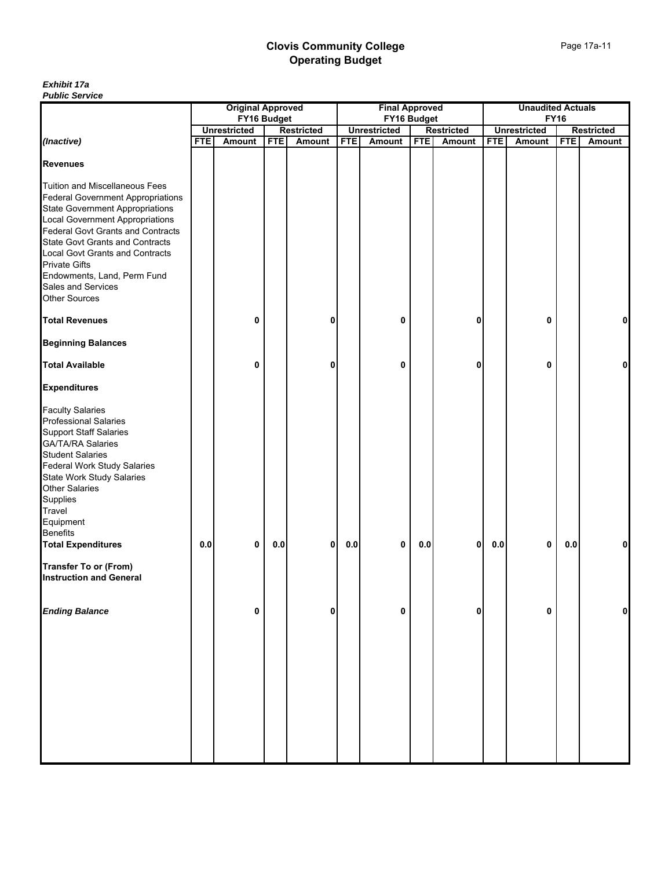| r upilo oci vicc                         |            |                          |            |                   |                       |                     |            |                   |                          |                     |             |               |
|------------------------------------------|------------|--------------------------|------------|-------------------|-----------------------|---------------------|------------|-------------------|--------------------------|---------------------|-------------|---------------|
|                                          |            | <b>Original Approved</b> |            |                   | <b>Final Approved</b> |                     |            |                   | <b>Unaudited Actuals</b> |                     |             |               |
|                                          |            | FY16 Budget              |            |                   |                       | FY16 Budget         |            |                   |                          |                     | <b>FY16</b> |               |
|                                          |            | <b>Unrestricted</b>      |            | <b>Restricted</b> |                       | <b>Unrestricted</b> |            | <b>Restricted</b> |                          | <b>Unrestricted</b> |             | Restricted    |
|                                          |            |                          |            |                   |                       |                     |            |                   |                          |                     |             |               |
| (Inactive)                               | <b>FTE</b> | <b>Amount</b>            | <b>FTE</b> | Amount            | <b>FTE</b>            | Amount              | <b>FTE</b> | Amount            | <b>FTE</b>               | Amount              | <b>FTE</b>  | <b>Amount</b> |
|                                          |            |                          |            |                   |                       |                     |            |                   |                          |                     |             |               |
| <b>Revenues</b>                          |            |                          |            |                   |                       |                     |            |                   |                          |                     |             |               |
|                                          |            |                          |            |                   |                       |                     |            |                   |                          |                     |             |               |
| Tuition and Miscellaneous Fees           |            |                          |            |                   |                       |                     |            |                   |                          |                     |             |               |
| <b>Federal Government Appropriations</b> |            |                          |            |                   |                       |                     |            |                   |                          |                     |             |               |
| <b>State Government Appropriations</b>   |            |                          |            |                   |                       |                     |            |                   |                          |                     |             |               |
| <b>Local Government Appropriations</b>   |            |                          |            |                   |                       |                     |            |                   |                          |                     |             |               |
|                                          |            |                          |            |                   |                       |                     |            |                   |                          |                     |             |               |
| <b>Federal Govt Grants and Contracts</b> |            |                          |            |                   |                       |                     |            |                   |                          |                     |             |               |
| <b>State Govt Grants and Contracts</b>   |            |                          |            |                   |                       |                     |            |                   |                          |                     |             |               |
| <b>Local Govt Grants and Contracts</b>   |            |                          |            |                   |                       |                     |            |                   |                          |                     |             |               |
| <b>Private Gifts</b>                     |            |                          |            |                   |                       |                     |            |                   |                          |                     |             |               |
| Endowments, Land, Perm Fund              |            |                          |            |                   |                       |                     |            |                   |                          |                     |             |               |
|                                          |            |                          |            |                   |                       |                     |            |                   |                          |                     |             |               |
| Sales and Services                       |            |                          |            |                   |                       |                     |            |                   |                          |                     |             |               |
| <b>Other Sources</b>                     |            |                          |            |                   |                       |                     |            |                   |                          |                     |             |               |
|                                          |            |                          |            |                   |                       |                     |            |                   |                          |                     |             |               |
| <b>Total Revenues</b>                    |            | 0                        |            | 0                 |                       | 0                   |            | 0                 |                          | 0                   |             | Οl            |
| <b>Beginning Balances</b>                |            |                          |            |                   |                       |                     |            |                   |                          |                     |             |               |
| <b>Total Available</b>                   |            | 0                        |            | 0                 |                       | 0                   |            | 0                 |                          | 0                   |             | 0             |
| <b>Expenditures</b>                      |            |                          |            |                   |                       |                     |            |                   |                          |                     |             |               |
| <b>Faculty Salaries</b>                  |            |                          |            |                   |                       |                     |            |                   |                          |                     |             |               |
|                                          |            |                          |            |                   |                       |                     |            |                   |                          |                     |             |               |
| <b>Professional Salaries</b>             |            |                          |            |                   |                       |                     |            |                   |                          |                     |             |               |
| <b>Support Staff Salaries</b>            |            |                          |            |                   |                       |                     |            |                   |                          |                     |             |               |
| <b>GA/TA/RA Salaries</b>                 |            |                          |            |                   |                       |                     |            |                   |                          |                     |             |               |
| <b>Student Salaries</b>                  |            |                          |            |                   |                       |                     |            |                   |                          |                     |             |               |
| <b>Federal Work Study Salaries</b>       |            |                          |            |                   |                       |                     |            |                   |                          |                     |             |               |
| <b>State Work Study Salaries</b>         |            |                          |            |                   |                       |                     |            |                   |                          |                     |             |               |
| <b>Other Salaries</b>                    |            |                          |            |                   |                       |                     |            |                   |                          |                     |             |               |
|                                          |            |                          |            |                   |                       |                     |            |                   |                          |                     |             |               |
| Supplies                                 |            |                          |            |                   |                       |                     |            |                   |                          |                     |             |               |
| Travel                                   |            |                          |            |                   |                       |                     |            |                   |                          |                     |             |               |
| Equipment                                |            |                          |            |                   |                       |                     |            |                   |                          |                     |             |               |
| <b>Benefits</b>                          |            |                          |            |                   |                       |                     |            |                   |                          |                     |             |               |
| <b>Total Expenditures</b>                | 0.0        | 0                        | $0.0\,$    | $\mathbf{0}$      | $0.0\,$               | 0                   | 0.0        | 0                 | $0.0\,$                  | 0                   | $0.0\,$     | 0             |
| <b>Transfer To or (From)</b>             |            |                          |            |                   |                       |                     |            |                   |                          |                     |             |               |
|                                          |            |                          |            |                   |                       |                     |            |                   |                          |                     |             |               |
| <b>Instruction and General</b>           |            |                          |            |                   |                       |                     |            |                   |                          |                     |             |               |
|                                          |            |                          |            |                   |                       |                     |            |                   |                          |                     |             |               |
| <b>Ending Balance</b>                    |            | 0                        |            | $\mathbf{0}$      |                       | 0                   |            | 0                 |                          | 0                   |             | $\mathbf{0}$  |
|                                          |            |                          |            |                   |                       |                     |            |                   |                          |                     |             |               |
|                                          |            |                          |            |                   |                       |                     |            |                   |                          |                     |             |               |
|                                          |            |                          |            |                   |                       |                     |            |                   |                          |                     |             |               |
|                                          |            |                          |            |                   |                       |                     |            |                   |                          |                     |             |               |
|                                          |            |                          |            |                   |                       |                     |            |                   |                          |                     |             |               |
|                                          |            |                          |            |                   |                       |                     |            |                   |                          |                     |             |               |
|                                          |            |                          |            |                   |                       |                     |            |                   |                          |                     |             |               |
|                                          |            |                          |            |                   |                       |                     |            |                   |                          |                     |             |               |
|                                          |            |                          |            |                   |                       |                     |            |                   |                          |                     |             |               |
|                                          |            |                          |            |                   |                       |                     |            |                   |                          |                     |             |               |
|                                          |            |                          |            |                   |                       |                     |            |                   |                          |                     |             |               |
|                                          |            |                          |            |                   |                       |                     |            |                   |                          |                     |             |               |
|                                          |            |                          |            |                   |                       |                     |            |                   |                          |                     |             |               |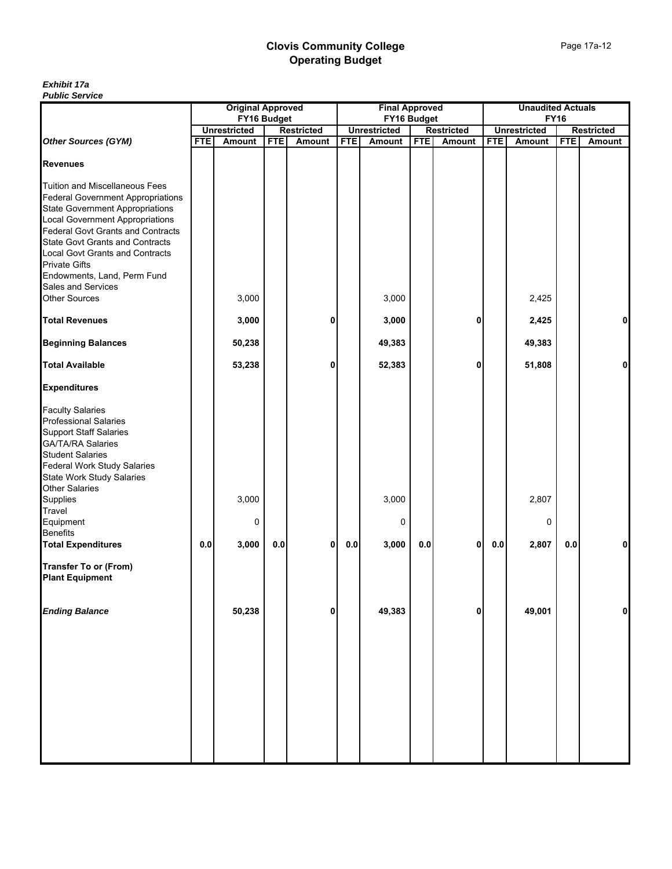| r upilo oci vicc                                                                                                                                                                                                                                                                                                                                             |            |                          |            |                   |                       |                     |            |                   |                          |                     |             |                   |
|--------------------------------------------------------------------------------------------------------------------------------------------------------------------------------------------------------------------------------------------------------------------------------------------------------------------------------------------------------------|------------|--------------------------|------------|-------------------|-----------------------|---------------------|------------|-------------------|--------------------------|---------------------|-------------|-------------------|
|                                                                                                                                                                                                                                                                                                                                                              |            | <b>Original Approved</b> |            |                   | <b>Final Approved</b> |                     |            |                   | <b>Unaudited Actuals</b> |                     |             |                   |
|                                                                                                                                                                                                                                                                                                                                                              |            | FY16 Budget              |            |                   |                       | FY16 Budget         |            |                   |                          |                     | <b>FY16</b> |                   |
|                                                                                                                                                                                                                                                                                                                                                              |            | <b>Unrestricted</b>      |            | <b>Restricted</b> |                       | <b>Unrestricted</b> |            | <b>Restricted</b> |                          | <b>Unrestricted</b> |             | <b>Restricted</b> |
| <b>Other Sources (GYM)</b>                                                                                                                                                                                                                                                                                                                                   | <b>FTE</b> | Amount                   | <b>FTE</b> | Amount            | <b>FTE</b>            | Amount              | <b>FTE</b> | Amount            | <b>FTE</b>               | Amount              | <b>FTE</b>  | Amount            |
| <b>Revenues</b>                                                                                                                                                                                                                                                                                                                                              |            |                          |            |                   |                       |                     |            |                   |                          |                     |             |                   |
| <b>Tuition and Miscellaneous Fees</b><br><b>Federal Government Appropriations</b><br><b>State Government Appropriations</b><br><b>Local Government Appropriations</b><br><b>Federal Govt Grants and Contracts</b><br><b>State Govt Grants and Contracts</b><br><b>Local Govt Grants and Contracts</b><br><b>Private Gifts</b><br>Endowments, Land, Perm Fund |            |                          |            |                   |                       |                     |            |                   |                          |                     |             |                   |
| Sales and Services                                                                                                                                                                                                                                                                                                                                           |            |                          |            |                   |                       |                     |            |                   |                          |                     |             |                   |
| <b>Other Sources</b>                                                                                                                                                                                                                                                                                                                                         |            | 3,000                    |            |                   |                       | 3,000               |            |                   |                          | 2,425               |             |                   |
| <b>Total Revenues</b>                                                                                                                                                                                                                                                                                                                                        |            | 3,000                    |            | 0                 |                       | 3,000               |            | 0                 |                          | 2,425               |             | 0                 |
| <b>Beginning Balances</b>                                                                                                                                                                                                                                                                                                                                    |            | 50,238                   |            |                   |                       | 49,383              |            |                   |                          | 49,383              |             |                   |
| <b>Total Available</b>                                                                                                                                                                                                                                                                                                                                       |            | 53,238                   |            | 0                 |                       | 52,383              |            | 0                 |                          | 51,808              |             | 0                 |
| <b>Expenditures</b>                                                                                                                                                                                                                                                                                                                                          |            |                          |            |                   |                       |                     |            |                   |                          |                     |             |                   |
| <b>Faculty Salaries</b><br><b>Professional Salaries</b><br><b>Support Staff Salaries</b><br><b>GA/TA/RA Salaries</b><br><b>Student Salaries</b><br><b>Federal Work Study Salaries</b><br><b>State Work Study Salaries</b><br><b>Other Salaries</b>                                                                                                           |            |                          |            |                   |                       |                     |            |                   |                          |                     |             |                   |
| Supplies                                                                                                                                                                                                                                                                                                                                                     |            | 3,000                    |            |                   |                       | 3,000               |            |                   |                          | 2,807               |             |                   |
| Travel                                                                                                                                                                                                                                                                                                                                                       |            |                          |            |                   |                       |                     |            |                   |                          |                     |             |                   |
| Equipment                                                                                                                                                                                                                                                                                                                                                    |            | 0                        |            |                   |                       | 0                   |            |                   |                          | 0                   |             |                   |
| <b>Benefits</b>                                                                                                                                                                                                                                                                                                                                              |            |                          |            |                   |                       |                     |            |                   |                          |                     |             |                   |
| <b>Total Expenditures</b>                                                                                                                                                                                                                                                                                                                                    | $0.0\,$    | 3,000                    | 0.0        | $\mathbf{0}$      | 0.0                   | 3,000               | $0.0\,$    | 0                 | $0.0\,$                  | 2,807               | $0.0\,$     | 0                 |
| <b>Transfer To or (From)</b><br><b>Plant Equipment</b>                                                                                                                                                                                                                                                                                                       |            |                          |            |                   |                       |                     |            |                   |                          |                     |             |                   |
| <b>Ending Balance</b>                                                                                                                                                                                                                                                                                                                                        |            | 50,238                   |            | 0                 |                       | 49,383              |            | 0                 |                          | 49,001              |             | $\mathbf{0}$      |
|                                                                                                                                                                                                                                                                                                                                                              |            |                          |            |                   |                       |                     |            |                   |                          |                     |             |                   |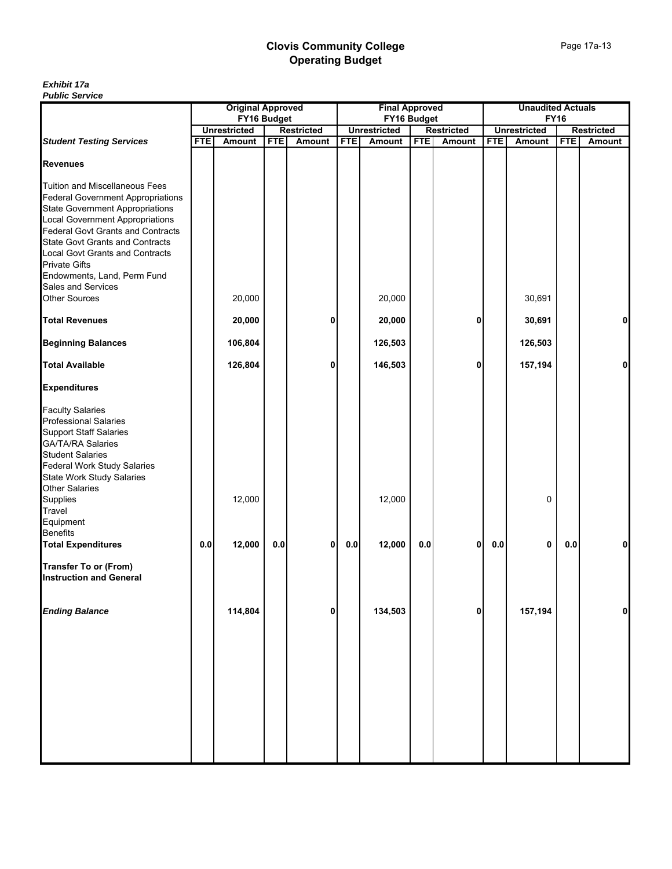| <b><i>L</i></b> ANIIC OCLAIG                                                                                                                                                                                       |            |                          |            |                   |                       |                     |            |                   |                          |                     |             |                   |
|--------------------------------------------------------------------------------------------------------------------------------------------------------------------------------------------------------------------|------------|--------------------------|------------|-------------------|-----------------------|---------------------|------------|-------------------|--------------------------|---------------------|-------------|-------------------|
|                                                                                                                                                                                                                    |            | <b>Original Approved</b> |            |                   | <b>Final Approved</b> |                     |            |                   | <b>Unaudited Actuals</b> |                     |             |                   |
|                                                                                                                                                                                                                    |            | FY16 Budget              |            |                   |                       | FY16 Budget         |            |                   |                          |                     | <b>FY16</b> |                   |
|                                                                                                                                                                                                                    |            | <b>Unrestricted</b>      |            | <b>Restricted</b> |                       | <b>Unrestricted</b> |            | <b>Restricted</b> |                          | <b>Unrestricted</b> |             | <b>Restricted</b> |
|                                                                                                                                                                                                                    |            |                          |            |                   |                       |                     |            |                   |                          |                     |             |                   |
| <b>Student Testing Services</b>                                                                                                                                                                                    | <b>FTE</b> | Amount                   | <b>FTE</b> | Amount            | <b>FTE</b>            | Amount              | <b>FTE</b> | <b>Amount</b>     | <b>FTE</b>               | Amount              | <b>FTE</b>  | Amount            |
| <b>Revenues</b>                                                                                                                                                                                                    |            |                          |            |                   |                       |                     |            |                   |                          |                     |             |                   |
| <b>Tuition and Miscellaneous Fees</b><br><b>Federal Government Appropriations</b><br><b>State Government Appropriations</b><br><b>Local Government Appropriations</b>                                              |            |                          |            |                   |                       |                     |            |                   |                          |                     |             |                   |
| <b>Federal Govt Grants and Contracts</b><br><b>State Govt Grants and Contracts</b><br>Local Govt Grants and Contracts<br><b>Private Gifts</b>                                                                      |            |                          |            |                   |                       |                     |            |                   |                          |                     |             |                   |
| Endowments, Land, Perm Fund                                                                                                                                                                                        |            |                          |            |                   |                       |                     |            |                   |                          |                     |             |                   |
| Sales and Services<br><b>Other Sources</b>                                                                                                                                                                         |            | 20,000                   |            |                   |                       | 20,000              |            |                   |                          | 30,691              |             |                   |
| <b>Total Revenues</b>                                                                                                                                                                                              |            | 20,000                   |            | 0                 |                       | 20,000              |            | 0                 |                          | 30,691              |             | 0                 |
| <b>Beginning Balances</b>                                                                                                                                                                                          |            | 106,804                  |            |                   |                       | 126,503             |            |                   |                          | 126,503             |             |                   |
| <b>Total Available</b>                                                                                                                                                                                             |            | 126,804                  |            | 0                 |                       | 146,503             |            | 0                 |                          | 157,194             |             | 0                 |
| <b>Expenditures</b>                                                                                                                                                                                                |            |                          |            |                   |                       |                     |            |                   |                          |                     |             |                   |
| <b>Faculty Salaries</b><br><b>Professional Salaries</b><br><b>Support Staff Salaries</b><br><b>GA/TA/RA Salaries</b><br><b>Student Salaries</b><br><b>Federal Work Study Salaries</b><br>State Work Study Salaries |            |                          |            |                   |                       |                     |            |                   |                          |                     |             |                   |
| <b>Other Salaries</b><br>Supplies<br>Travel<br>Equipment                                                                                                                                                           |            | 12,000                   |            |                   |                       | 12,000              |            |                   |                          | 0                   |             |                   |
| <b>Benefits</b><br><b>Total Expenditures</b>                                                                                                                                                                       | 0.0        | 12,000                   | $0.0\,$    | 0                 | $0.0\,$               | 12,000              | $0.0\,$    | 0                 | $0.0\,$                  | 0                   | $0.0\,$     | 0                 |
| <b>Transfer To or (From)</b><br><b>Instruction and General</b>                                                                                                                                                     |            |                          |            |                   |                       |                     |            |                   |                          |                     |             |                   |
| <b>Ending Balance</b>                                                                                                                                                                                              |            | 114,804                  |            | 0                 |                       | 134,503             |            | 0                 |                          | 157,194             |             | $\mathbf{0}$      |
|                                                                                                                                                                                                                    |            |                          |            |                   |                       |                     |            |                   |                          |                     |             |                   |
|                                                                                                                                                                                                                    |            |                          |            |                   |                       |                     |            |                   |                          |                     |             |                   |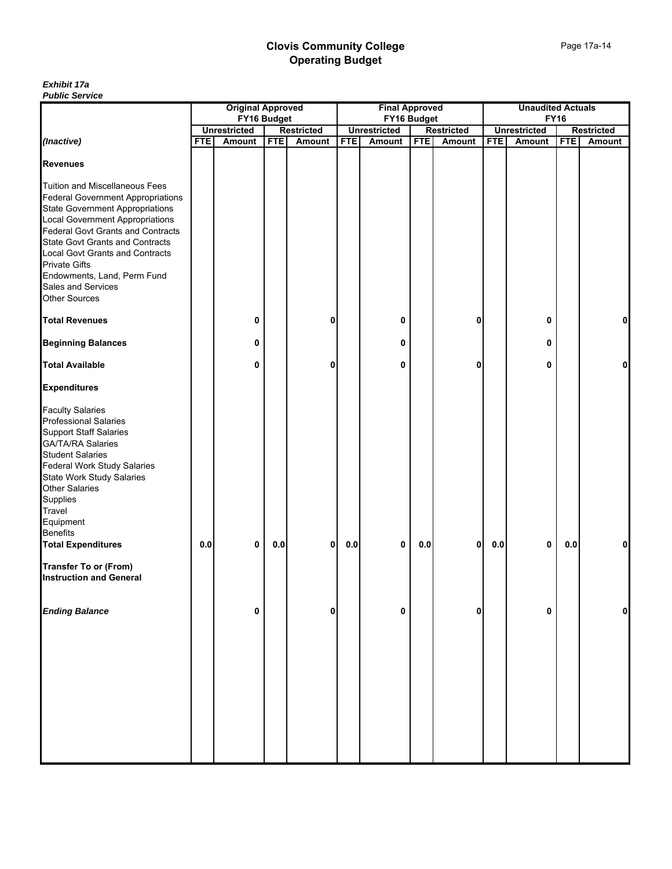| r upilo oci vicc                                                                                                                                                                                                                                                                                                                                                                                           | <b>Original Approved</b> |                     |            |                   |                       |                     |                |                   |                          |                     |             |                   |
|------------------------------------------------------------------------------------------------------------------------------------------------------------------------------------------------------------------------------------------------------------------------------------------------------------------------------------------------------------------------------------------------------------|--------------------------|---------------------|------------|-------------------|-----------------------|---------------------|----------------|-------------------|--------------------------|---------------------|-------------|-------------------|
|                                                                                                                                                                                                                                                                                                                                                                                                            |                          |                     |            |                   | <b>Final Approved</b> |                     |                |                   | <b>Unaudited Actuals</b> |                     |             |                   |
|                                                                                                                                                                                                                                                                                                                                                                                                            |                          | FY16 Budget         |            |                   |                       | FY16 Budget         |                |                   |                          |                     | <b>FY16</b> |                   |
|                                                                                                                                                                                                                                                                                                                                                                                                            |                          | <b>Unrestricted</b> |            | <b>Restricted</b> |                       | <b>Unrestricted</b> |                | <b>Restricted</b> |                          | <b>Unrestricted</b> |             | <b>Restricted</b> |
| (Inactive)                                                                                                                                                                                                                                                                                                                                                                                                 | <b>FTE</b>               | Amount              | <b>FTE</b> | Amount            | <b>FTE</b>            | Amount              | <b>FTE</b>     | <b>Amount</b>     | <b>FTE</b>               | Amount              | <b>FTE</b>  | Amount            |
| <b>Revenues</b>                                                                                                                                                                                                                                                                                                                                                                                            |                          |                     |            |                   |                       |                     |                |                   |                          |                     |             |                   |
| <b>Tuition and Miscellaneous Fees</b><br><b>Federal Government Appropriations</b><br><b>State Government Appropriations</b><br><b>Local Government Appropriations</b><br><b>Federal Govt Grants and Contracts</b><br><b>State Govt Grants and Contracts</b><br><b>Local Govt Grants and Contracts</b><br><b>Private Gifts</b><br>Endowments, Land, Perm Fund<br>Sales and Services<br><b>Other Sources</b> |                          |                     |            |                   |                       |                     |                |                   |                          |                     |             |                   |
| <b>Total Revenues</b>                                                                                                                                                                                                                                                                                                                                                                                      |                          | 0                   |            | 0                 |                       | 0                   |                | 0                 |                          | 0                   |             | 0                 |
| <b>Beginning Balances</b>                                                                                                                                                                                                                                                                                                                                                                                  |                          | 0                   |            |                   |                       | 0                   |                |                   |                          | 0                   |             |                   |
| <b>Total Available</b>                                                                                                                                                                                                                                                                                                                                                                                     |                          | 0                   |            | 0                 |                       | 0                   |                | 0                 |                          | 0                   |             | 0                 |
| <b>Expenditures</b>                                                                                                                                                                                                                                                                                                                                                                                        |                          |                     |            |                   |                       |                     |                |                   |                          |                     |             |                   |
| <b>Faculty Salaries</b><br><b>Professional Salaries</b><br><b>Support Staff Salaries</b><br><b>GA/TA/RA Salaries</b><br><b>Student Salaries</b><br><b>Federal Work Study Salaries</b><br>State Work Study Salaries<br><b>Other Salaries</b><br>Supplies<br>Travel<br>Equipment<br><b>Benefits</b>                                                                                                          |                          |                     |            |                   |                       |                     |                |                   |                          |                     |             |                   |
| <b>Total Expenditures</b>                                                                                                                                                                                                                                                                                                                                                                                  | $0.0\,$                  | 0                   | 0.0        | $\mathbf{0}$      | 0.0                   | 0                   | $\mathbf{0.0}$ | $\mathbf{0}$      | 0.0                      | 0                   | 0.0         | 0                 |
| <b>Transfer To or (From)</b><br><b>Instruction and General</b>                                                                                                                                                                                                                                                                                                                                             |                          |                     |            |                   |                       |                     |                |                   |                          |                     |             |                   |
| <b>Ending Balance</b>                                                                                                                                                                                                                                                                                                                                                                                      |                          | 0                   |            | 0                 |                       | 0                   |                | 0                 |                          | 0                   |             | 0                 |
|                                                                                                                                                                                                                                                                                                                                                                                                            |                          |                     |            |                   |                       |                     |                |                   |                          |                     |             |                   |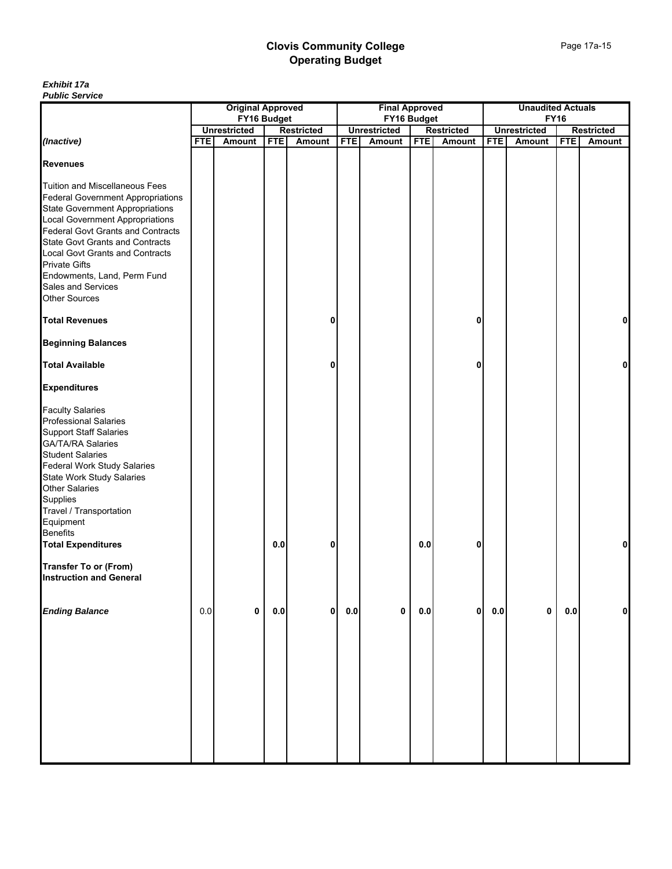| <b><i>L</i></b> ANIIC OCLAIG                                                                                                                                                                                                                                                                                                                                                                        | <b>Original Approved</b> |                     |            |                   |            | <b>Final Approved</b> |            |                   |            | <b>Unaudited Actuals</b> |             |                   |
|-----------------------------------------------------------------------------------------------------------------------------------------------------------------------------------------------------------------------------------------------------------------------------------------------------------------------------------------------------------------------------------------------------|--------------------------|---------------------|------------|-------------------|------------|-----------------------|------------|-------------------|------------|--------------------------|-------------|-------------------|
|                                                                                                                                                                                                                                                                                                                                                                                                     |                          | FY16 Budget         |            |                   |            | FY16 Budget           |            |                   |            |                          | <b>FY16</b> |                   |
|                                                                                                                                                                                                                                                                                                                                                                                                     |                          | <b>Unrestricted</b> |            | <b>Restricted</b> |            | <b>Unrestricted</b>   |            | <b>Restricted</b> |            | <b>Unrestricted</b>      |             | <b>Restricted</b> |
| (Inactive)                                                                                                                                                                                                                                                                                                                                                                                          | <b>FTE</b>               | Amount              | <b>FTE</b> | Amount            | <b>FTE</b> | Amount                | <b>FTE</b> | Amount            | <b>FTE</b> | Amount                   | <b>FTE</b>  | Amount            |
| <b>Revenues</b>                                                                                                                                                                                                                                                                                                                                                                                     |                          |                     |            |                   |            |                       |            |                   |            |                          |             |                   |
| Tuition and Miscellaneous Fees<br><b>Federal Government Appropriations</b><br><b>State Government Appropriations</b><br><b>Local Government Appropriations</b><br><b>Federal Govt Grants and Contracts</b><br><b>State Govt Grants and Contracts</b><br><b>Local Govt Grants and Contracts</b><br><b>Private Gifts</b><br>Endowments, Land, Perm Fund<br>Sales and Services<br><b>Other Sources</b> |                          |                     |            |                   |            |                       |            |                   |            |                          |             |                   |
| <b>Total Revenues</b>                                                                                                                                                                                                                                                                                                                                                                               |                          |                     |            | Λ                 |            |                       |            | Ω                 |            |                          |             | 0                 |
| <b>Beginning Balances</b>                                                                                                                                                                                                                                                                                                                                                                           |                          |                     |            |                   |            |                       |            |                   |            |                          |             |                   |
| <b>Total Available</b>                                                                                                                                                                                                                                                                                                                                                                              |                          |                     |            |                   |            |                       |            | Λ                 |            |                          |             | 0                 |
| <b>Expenditures</b>                                                                                                                                                                                                                                                                                                                                                                                 |                          |                     |            |                   |            |                       |            |                   |            |                          |             |                   |
| <b>Faculty Salaries</b><br><b>Professional Salaries</b><br><b>Support Staff Salaries</b><br><b>GA/TA/RA Salaries</b><br><b>Student Salaries</b><br><b>Federal Work Study Salaries</b><br>State Work Study Salaries<br><b>Other Salaries</b><br>Supplies<br>Travel / Transportation<br>Equipment                                                                                                     |                          |                     |            |                   |            |                       |            |                   |            |                          |             |                   |
| <b>Benefits</b><br><b>Total Expenditures</b>                                                                                                                                                                                                                                                                                                                                                        |                          |                     | 0.0        | 0                 |            |                       | 0.0        | 0                 |            |                          |             | 0                 |
| <b>Transfer To or (From)</b><br><b>Instruction and General</b>                                                                                                                                                                                                                                                                                                                                      |                          |                     |            |                   |            |                       |            |                   |            |                          |             |                   |
| <b>Ending Balance</b>                                                                                                                                                                                                                                                                                                                                                                               | 0.0                      | 0                   | $0.0\,$    | $\mathbf{0}$      | $0.0\,$    | $\mathbf 0$           | 0.0        | $\mathbf{0}$      | $0.0\,$    | 0                        | 0.0         | 0                 |
|                                                                                                                                                                                                                                                                                                                                                                                                     |                          |                     |            |                   |            |                       |            |                   |            |                          |             |                   |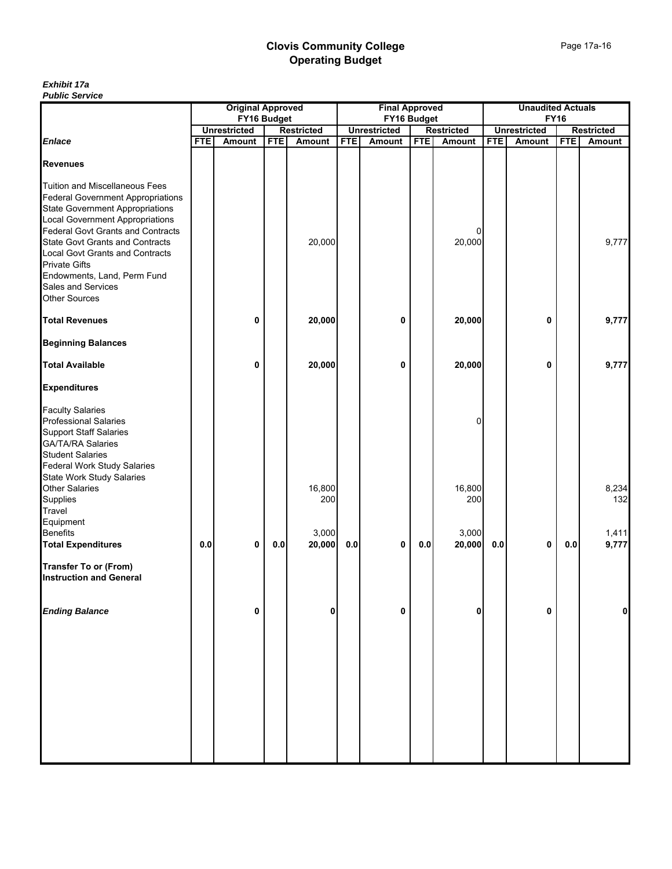| <b><i>L</i></b> ANILE OCLAIGE            | <b>Original Approved</b> |                     |            |                   |            |                       |            |                   |            |                          |            |                   |
|------------------------------------------|--------------------------|---------------------|------------|-------------------|------------|-----------------------|------------|-------------------|------------|--------------------------|------------|-------------------|
|                                          |                          |                     |            |                   |            | <b>Final Approved</b> |            |                   |            | <b>Unaudited Actuals</b> |            |                   |
|                                          |                          | FY16 Budget         |            |                   |            | FY16 Budget           |            |                   |            | <b>FY16</b>              |            |                   |
|                                          |                          | <b>Unrestricted</b> |            | <b>Restricted</b> |            | <b>Unrestricted</b>   |            | <b>Restricted</b> |            | <b>Unrestricted</b>      |            | <b>Restricted</b> |
| <b>Enlace</b>                            | <b>FTE</b>               | Amount              | <b>FTE</b> | Amount            | <b>FTE</b> | Amount                | <b>FTE</b> | <b>Amount</b>     | <b>FTE</b> | Amount                   | <b>FTE</b> | Amount            |
| <b>Revenues</b>                          |                          |                     |            |                   |            |                       |            |                   |            |                          |            |                   |
|                                          |                          |                     |            |                   |            |                       |            |                   |            |                          |            |                   |
| <b>Tuition and Miscellaneous Fees</b>    |                          |                     |            |                   |            |                       |            |                   |            |                          |            |                   |
| <b>Federal Government Appropriations</b> |                          |                     |            |                   |            |                       |            |                   |            |                          |            |                   |
| <b>State Government Appropriations</b>   |                          |                     |            |                   |            |                       |            |                   |            |                          |            |                   |
| <b>Local Government Appropriations</b>   |                          |                     |            |                   |            |                       |            |                   |            |                          |            |                   |
| <b>Federal Govt Grants and Contracts</b> |                          |                     |            |                   |            |                       |            | 0                 |            |                          |            |                   |
| <b>State Govt Grants and Contracts</b>   |                          |                     |            | 20,000            |            |                       |            | 20,000            |            |                          |            | 9,777             |
| <b>Local Govt Grants and Contracts</b>   |                          |                     |            |                   |            |                       |            |                   |            |                          |            |                   |
| <b>Private Gifts</b>                     |                          |                     |            |                   |            |                       |            |                   |            |                          |            |                   |
| Endowments, Land, Perm Fund              |                          |                     |            |                   |            |                       |            |                   |            |                          |            |                   |
| Sales and Services                       |                          |                     |            |                   |            |                       |            |                   |            |                          |            |                   |
| <b>Other Sources</b>                     |                          |                     |            |                   |            |                       |            |                   |            |                          |            |                   |
|                                          |                          |                     |            |                   |            |                       |            |                   |            |                          |            |                   |
| <b>Total Revenues</b>                    |                          | 0                   |            | 20,000            |            | 0                     |            | 20,000            |            | 0                        |            | 9,777             |
| <b>Beginning Balances</b>                |                          |                     |            |                   |            |                       |            |                   |            |                          |            |                   |
| <b>Total Available</b>                   |                          | 0                   |            | 20,000            |            | 0                     |            | 20,000            |            | 0                        |            | 9,777             |
| <b>Expenditures</b>                      |                          |                     |            |                   |            |                       |            |                   |            |                          |            |                   |
| <b>Faculty Salaries</b>                  |                          |                     |            |                   |            |                       |            |                   |            |                          |            |                   |
| <b>Professional Salaries</b>             |                          |                     |            |                   |            |                       |            | n                 |            |                          |            |                   |
| <b>Support Staff Salaries</b>            |                          |                     |            |                   |            |                       |            |                   |            |                          |            |                   |
| <b>GA/TA/RA Salaries</b>                 |                          |                     |            |                   |            |                       |            |                   |            |                          |            |                   |
| <b>Student Salaries</b>                  |                          |                     |            |                   |            |                       |            |                   |            |                          |            |                   |
| <b>Federal Work Study Salaries</b>       |                          |                     |            |                   |            |                       |            |                   |            |                          |            |                   |
| State Work Study Salaries                |                          |                     |            |                   |            |                       |            |                   |            |                          |            |                   |
| <b>Other Salaries</b>                    |                          |                     |            | 16,800            |            |                       |            | 16,800            |            |                          |            | 8,234             |
| Supplies                                 |                          |                     |            | 200               |            |                       |            | 200               |            |                          |            | 132               |
| Travel                                   |                          |                     |            |                   |            |                       |            |                   |            |                          |            |                   |
| Equipment                                |                          |                     |            |                   |            |                       |            |                   |            |                          |            |                   |
| <b>Benefits</b>                          |                          |                     |            | 3,000             |            |                       |            | 3,000             |            |                          |            | 1,411             |
| <b>Total Expenditures</b>                | 0.0                      | 0                   | 0.0        | 20,000            | $0.0\,$    | 0                     | 0.0        | 20,000            | 0.0        | 0                        | 0.0        | 9,777             |
|                                          |                          |                     |            |                   |            |                       |            |                   |            |                          |            |                   |
| <b>Transfer To or (From)</b>             |                          |                     |            |                   |            |                       |            |                   |            |                          |            |                   |
| <b>Instruction and General</b>           |                          |                     |            |                   |            |                       |            |                   |            |                          |            |                   |
| <b>Ending Balance</b>                    |                          | 0                   |            | 0                 |            | 0                     |            | 0                 |            | 0                        |            | 0                 |
|                                          |                          |                     |            |                   |            |                       |            |                   |            |                          |            |                   |
|                                          |                          |                     |            |                   |            |                       |            |                   |            |                          |            |                   |
|                                          |                          |                     |            |                   |            |                       |            |                   |            |                          |            |                   |
|                                          |                          |                     |            |                   |            |                       |            |                   |            |                          |            |                   |
|                                          |                          |                     |            |                   |            |                       |            |                   |            |                          |            |                   |
|                                          |                          |                     |            |                   |            |                       |            |                   |            |                          |            |                   |
|                                          |                          |                     |            |                   |            |                       |            |                   |            |                          |            |                   |
|                                          |                          |                     |            |                   |            |                       |            |                   |            |                          |            |                   |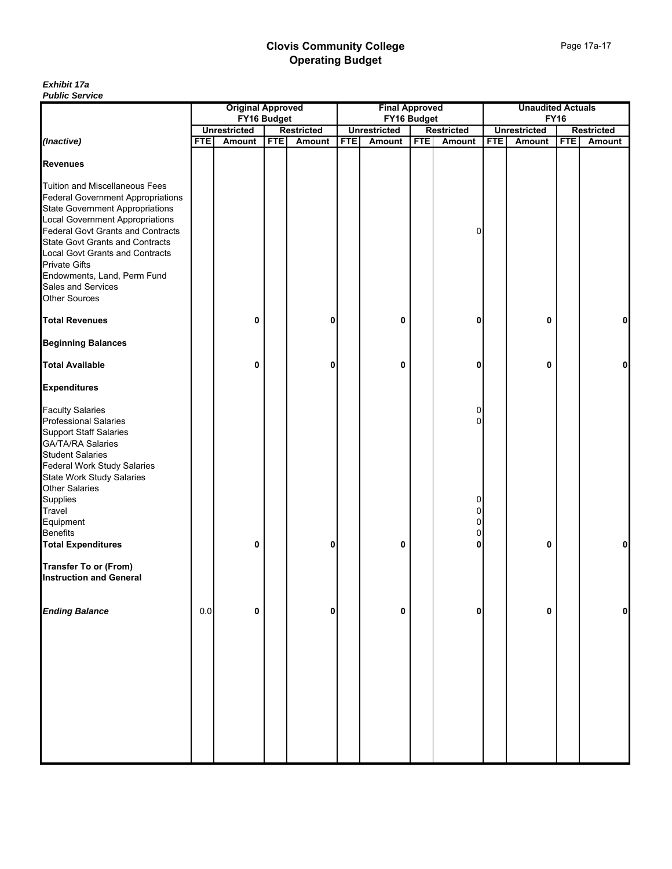| <b><i>L</i></b> ANIIC OCLAIG                                                                                                                                                                                                                                                                                                                          |            |                          |            |                   |            |                       |            |                       |            |                          |            |                   |
|-------------------------------------------------------------------------------------------------------------------------------------------------------------------------------------------------------------------------------------------------------------------------------------------------------------------------------------------------------|------------|--------------------------|------------|-------------------|------------|-----------------------|------------|-----------------------|------------|--------------------------|------------|-------------------|
|                                                                                                                                                                                                                                                                                                                                                       |            | <b>Original Approved</b> |            |                   |            | <b>Final Approved</b> |            |                       |            | <b>Unaudited Actuals</b> |            |                   |
|                                                                                                                                                                                                                                                                                                                                                       |            | FY16 Budget              |            |                   |            | FY16 Budget           |            |                       |            | <b>FY16</b>              |            |                   |
|                                                                                                                                                                                                                                                                                                                                                       |            | <b>Unrestricted</b>      |            | <b>Restricted</b> |            | <b>Unrestricted</b>   |            | <b>Restricted</b>     |            | <b>Unrestricted</b>      |            | <b>Restricted</b> |
| (Inactive)                                                                                                                                                                                                                                                                                                                                            | <b>FTE</b> | <b>Amount</b>            | <b>FTE</b> | <b>Amount</b>     | <b>FTE</b> | Amount                | <b>FTE</b> | Amount                | <b>FTE</b> | Amount                   | <b>FTE</b> | Amount            |
| <b>Revenues</b>                                                                                                                                                                                                                                                                                                                                       |            |                          |            |                   |            |                       |            |                       |            |                          |            |                   |
| Tuition and Miscellaneous Fees<br><b>Federal Government Appropriations</b><br><b>State Government Appropriations</b><br><b>Local Government Appropriations</b><br><b>Federal Govt Grants and Contracts</b><br><b>State Govt Grants and Contracts</b><br><b>Local Govt Grants and Contracts</b><br><b>Private Gifts</b><br>Endowments, Land, Perm Fund |            |                          |            |                   |            |                       |            | 0                     |            |                          |            |                   |
| Sales and Services                                                                                                                                                                                                                                                                                                                                    |            |                          |            |                   |            |                       |            |                       |            |                          |            |                   |
| <b>Other Sources</b>                                                                                                                                                                                                                                                                                                                                  |            |                          |            |                   |            |                       |            |                       |            |                          |            |                   |
| <b>Total Revenues</b>                                                                                                                                                                                                                                                                                                                                 |            | 0                        |            | 0                 |            | 0                     |            | 0                     |            | 0                        |            | 0                 |
| <b>Beginning Balances</b>                                                                                                                                                                                                                                                                                                                             |            |                          |            |                   |            |                       |            |                       |            |                          |            |                   |
| <b>Total Available</b>                                                                                                                                                                                                                                                                                                                                |            | 0                        |            | 0                 |            | 0                     |            | 0                     |            | 0                        |            | 0                 |
| <b>Expenditures</b>                                                                                                                                                                                                                                                                                                                                   |            |                          |            |                   |            |                       |            |                       |            |                          |            |                   |
| <b>Faculty Salaries</b><br><b>Professional Salaries</b><br><b>Support Staff Salaries</b><br><b>GA/TA/RA Salaries</b><br><b>Student Salaries</b><br><b>Federal Work Study Salaries</b><br><b>State Work Study Salaries</b>                                                                                                                             |            |                          |            |                   |            |                       |            | 0                     |            |                          |            |                   |
| <b>Other Salaries</b><br>Supplies<br>Travel<br>Equipment<br><b>Benefits</b><br><b>Total Expenditures</b>                                                                                                                                                                                                                                              |            | 0                        |            | 0                 |            | 0                     |            | 0<br>0<br>0<br>U<br>U |            | 0                        |            | $\mathbf{0}$      |
| <b>Transfer To or (From)</b><br><b>Instruction and General</b>                                                                                                                                                                                                                                                                                        |            |                          |            |                   |            |                       |            |                       |            |                          |            |                   |
| <b>Ending Balance</b>                                                                                                                                                                                                                                                                                                                                 | 0.0        | 0                        |            | 0                 |            | 0                     |            | 0                     |            | 0                        |            | 0                 |
|                                                                                                                                                                                                                                                                                                                                                       |            |                          |            |                   |            |                       |            |                       |            |                          |            |                   |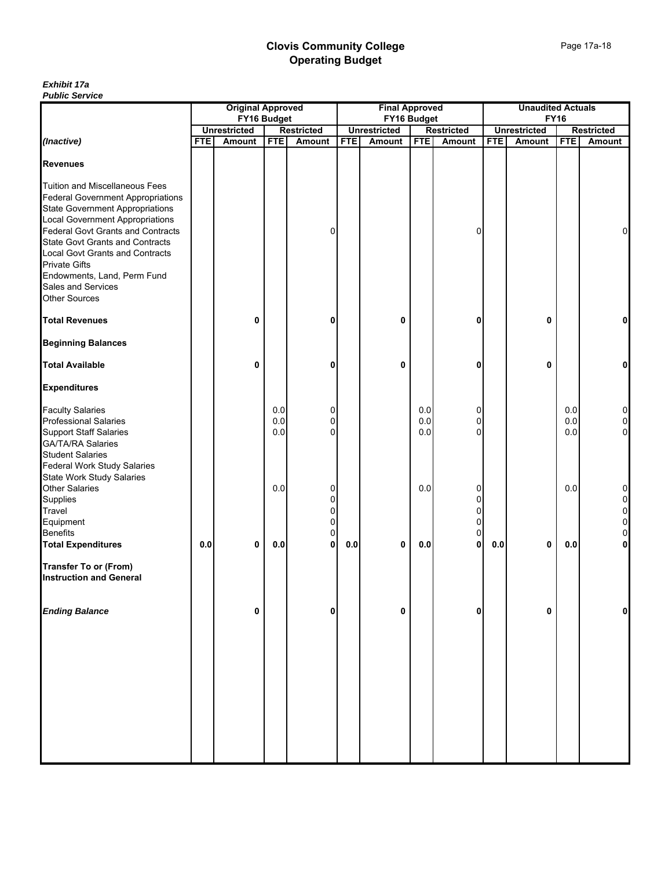| <u>r upilo oci vice</u>                                                                                                                                                                                                                                                                                                                                                                                    | <b>Original Approved</b> |                     |                   |                       |            |                       |                   |                              |            |                          |                   |                       |
|------------------------------------------------------------------------------------------------------------------------------------------------------------------------------------------------------------------------------------------------------------------------------------------------------------------------------------------------------------------------------------------------------------|--------------------------|---------------------|-------------------|-----------------------|------------|-----------------------|-------------------|------------------------------|------------|--------------------------|-------------------|-----------------------|
|                                                                                                                                                                                                                                                                                                                                                                                                            |                          |                     |                   |                       |            | <b>Final Approved</b> |                   |                              |            | <b>Unaudited Actuals</b> |                   |                       |
|                                                                                                                                                                                                                                                                                                                                                                                                            |                          | FY16 Budget         |                   |                       |            | FY16 Budget           |                   |                              |            |                          | <b>FY16</b>       |                       |
|                                                                                                                                                                                                                                                                                                                                                                                                            |                          | <b>Unrestricted</b> |                   | <b>Restricted</b>     |            | <b>Unrestricted</b>   |                   | <b>Restricted</b>            |            | <b>Unrestricted</b>      |                   | <b>Restricted</b>     |
| (Inactive)                                                                                                                                                                                                                                                                                                                                                                                                 | <b>FTE</b>               | Amount              | <b>FTE</b>        | Amount                | <b>FTE</b> | Amount                | <b>FTE</b>        | Amount                       | <b>FTE</b> | Amount                   | <b>FTE</b>        | Amount                |
| <b>Revenues</b>                                                                                                                                                                                                                                                                                                                                                                                            |                          |                     |                   |                       |            |                       |                   |                              |            |                          |                   |                       |
| <b>Tuition and Miscellaneous Fees</b><br><b>Federal Government Appropriations</b><br><b>State Government Appropriations</b><br><b>Local Government Appropriations</b><br><b>Federal Govt Grants and Contracts</b><br><b>State Govt Grants and Contracts</b><br><b>Local Govt Grants and Contracts</b><br><b>Private Gifts</b><br>Endowments, Land, Perm Fund<br>Sales and Services<br><b>Other Sources</b> |                          |                     |                   | 0                     |            |                       |                   | 0                            |            |                          |                   | 0                     |
| <b>Total Revenues</b>                                                                                                                                                                                                                                                                                                                                                                                      |                          | 0                   |                   | 0                     |            | 0                     |                   | 0                            |            | 0                        |                   | 0                     |
| <b>Beginning Balances</b>                                                                                                                                                                                                                                                                                                                                                                                  |                          |                     |                   |                       |            |                       |                   |                              |            |                          |                   |                       |
| <b>Total Available</b>                                                                                                                                                                                                                                                                                                                                                                                     |                          | 0                   |                   | 0                     |            | 0                     |                   | 0                            |            | 0                        |                   | 0                     |
| <b>Expenditures</b>                                                                                                                                                                                                                                                                                                                                                                                        |                          |                     |                   |                       |            |                       |                   |                              |            |                          |                   |                       |
| <b>Faculty Salaries</b><br><b>Professional Salaries</b><br><b>Support Staff Salaries</b><br><b>GA/TA/RA Salaries</b><br><b>Student Salaries</b><br><b>Federal Work Study Salaries</b>                                                                                                                                                                                                                      |                          |                     | 0.0<br>0.0<br>0.0 | 0<br>0<br>0           |            |                       | 0.0<br>0.0<br>0.0 | 0<br>$\Omega$<br>0           |            |                          | 0.0<br>0.0<br>0.0 | 0<br>0<br>0           |
| <b>State Work Study Salaries</b><br><b>Other Salaries</b><br>Supplies<br>Travel<br>Equipment<br><b>Benefits</b>                                                                                                                                                                                                                                                                                            |                          |                     | 0.0               | 0<br>0<br>0<br>0<br>0 |            |                       | 0.0               | 0<br>0<br>0<br>0<br>$\Omega$ |            |                          | 0.0               | 0<br>0<br>0<br>0<br>0 |
| <b>Total Expenditures</b>                                                                                                                                                                                                                                                                                                                                                                                  | 0.0                      | 0                   | 0.0               | $\mathbf{0}$          | 0.0        | 0                     | $\mathbf{0.0}$    | 0                            | $0.0\,$    | 0                        | 0.0               | 0                     |
| <b>Transfer To or (From)</b><br><b>Instruction and General</b>                                                                                                                                                                                                                                                                                                                                             |                          |                     |                   |                       |            |                       |                   |                              |            |                          |                   |                       |
| <b>Ending Balance</b>                                                                                                                                                                                                                                                                                                                                                                                      |                          | 0                   |                   | 0                     |            | 0                     |                   | 0                            |            | 0                        |                   | 0                     |
|                                                                                                                                                                                                                                                                                                                                                                                                            |                          |                     |                   |                       |            |                       |                   |                              |            |                          |                   |                       |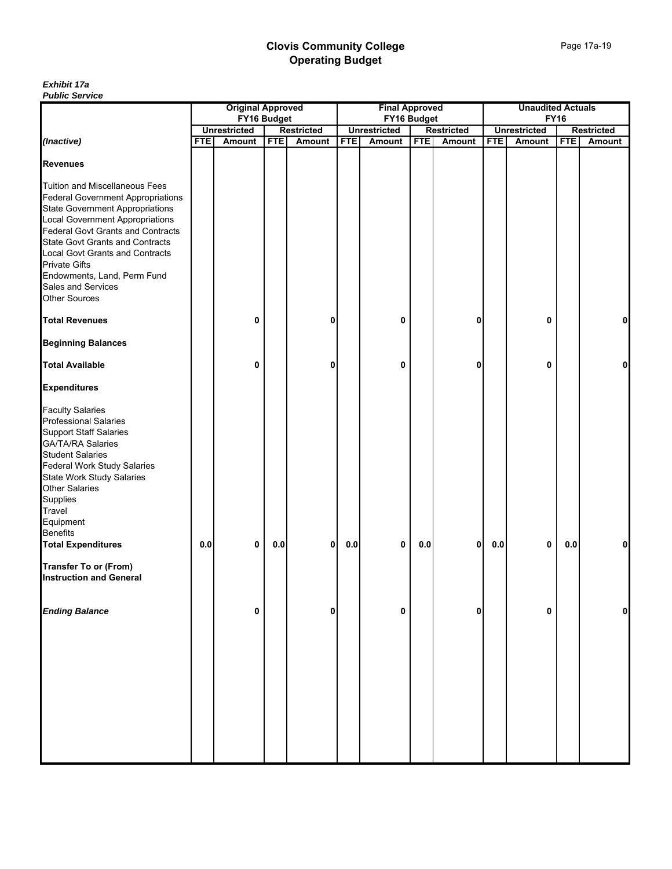| <b>L'ANIIC OCLAIGE</b>                                                                                                                                                                                                                      |            |                          |            |                   |            |                       |            |                   |            |                          |             |                   |
|---------------------------------------------------------------------------------------------------------------------------------------------------------------------------------------------------------------------------------------------|------------|--------------------------|------------|-------------------|------------|-----------------------|------------|-------------------|------------|--------------------------|-------------|-------------------|
|                                                                                                                                                                                                                                             |            | <b>Original Approved</b> |            |                   |            | <b>Final Approved</b> |            |                   |            | <b>Unaudited Actuals</b> |             |                   |
|                                                                                                                                                                                                                                             |            | FY16 Budget              |            |                   |            | FY16 Budget           |            |                   |            |                          | <b>FY16</b> |                   |
|                                                                                                                                                                                                                                             |            | <b>Unrestricted</b>      |            | <b>Restricted</b> |            | <b>Unrestricted</b>   |            | <b>Restricted</b> |            | <b>Unrestricted</b>      |             | <b>Restricted</b> |
| (Inactive)                                                                                                                                                                                                                                  | <b>FTE</b> | Amount                   | <b>FTE</b> | Amount            | <b>FTE</b> | Amount                | <b>FTE</b> | <b>Amount</b>     | <b>FTE</b> | Amount                   | <b>FTE</b>  | Amount            |
| <b>Revenues</b>                                                                                                                                                                                                                             |            |                          |            |                   |            |                       |            |                   |            |                          |             |                   |
| <b>Tuition and Miscellaneous Fees</b><br><b>Federal Government Appropriations</b><br><b>State Government Appropriations</b>                                                                                                                 |            |                          |            |                   |            |                       |            |                   |            |                          |             |                   |
| <b>Local Government Appropriations</b><br><b>Federal Govt Grants and Contracts</b><br><b>State Govt Grants and Contracts</b><br><b>Local Govt Grants and Contracts</b><br><b>Private Gifts</b>                                              |            |                          |            |                   |            |                       |            |                   |            |                          |             |                   |
| Endowments, Land, Perm Fund<br>Sales and Services<br><b>Other Sources</b>                                                                                                                                                                   |            |                          |            |                   |            |                       |            |                   |            |                          |             |                   |
| <b>Total Revenues</b>                                                                                                                                                                                                                       |            | 0                        |            | 0                 |            | 0                     |            | 0                 |            | 0                        |             | 0                 |
| <b>Beginning Balances</b>                                                                                                                                                                                                                   |            |                          |            |                   |            |                       |            |                   |            |                          |             |                   |
| <b>Total Available</b>                                                                                                                                                                                                                      |            | 0                        |            | 0                 |            | 0                     |            | 0                 |            | 0                        |             | 0                 |
| <b>Expenditures</b>                                                                                                                                                                                                                         |            |                          |            |                   |            |                       |            |                   |            |                          |             |                   |
| <b>Faculty Salaries</b><br><b>Professional Salaries</b><br><b>Support Staff Salaries</b><br><b>GA/TA/RA Salaries</b><br><b>Student Salaries</b><br><b>Federal Work Study Salaries</b><br>State Work Study Salaries<br><b>Other Salaries</b> |            |                          |            |                   |            |                       |            |                   |            |                          |             |                   |
| Supplies<br>Travel                                                                                                                                                                                                                          |            |                          |            |                   |            |                       |            |                   |            |                          |             |                   |
| Equipment                                                                                                                                                                                                                                   |            |                          |            |                   |            |                       |            |                   |            |                          |             |                   |
| <b>Benefits</b>                                                                                                                                                                                                                             |            |                          |            |                   |            |                       |            |                   |            |                          |             |                   |
| <b>Total Expenditures</b><br><b>Transfer To or (From)</b><br><b>Instruction and General</b>                                                                                                                                                 | $0.0\,$    | 0                        | 0.0        | $\mathbf{0}$      | 0.0        | 0                     | 0.0        | 0                 | 0.0        | 0                        | 0.0         | 0                 |
|                                                                                                                                                                                                                                             |            |                          |            |                   |            |                       |            |                   |            |                          |             |                   |
| <b>Ending Balance</b>                                                                                                                                                                                                                       |            | 0                        |            | 0                 |            | 0                     |            | 0                 |            | 0                        |             | 0                 |
|                                                                                                                                                                                                                                             |            |                          |            |                   |            |                       |            |                   |            |                          |             |                   |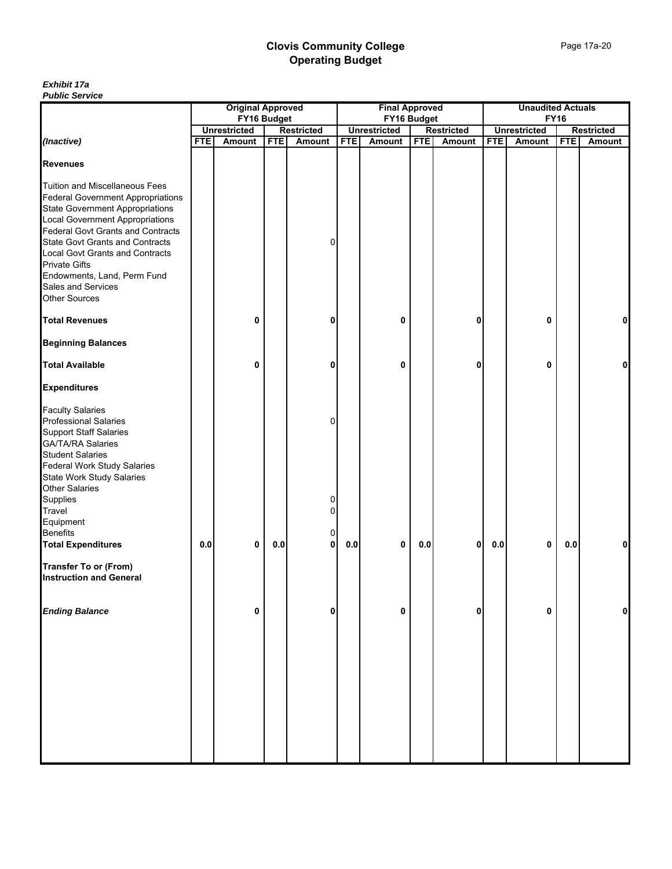|                                          |            | <b>Original Approved</b> |            |                   |            | <b>Final Approved</b> |                |                   |            | <b>Unaudited Actuals</b> |             |                   |
|------------------------------------------|------------|--------------------------|------------|-------------------|------------|-----------------------|----------------|-------------------|------------|--------------------------|-------------|-------------------|
|                                          |            | FY16 Budget              |            |                   |            | FY16 Budget           |                |                   |            |                          | <b>FY16</b> |                   |
|                                          |            | <b>Unrestricted</b>      |            | <b>Restricted</b> |            | <b>Unrestricted</b>   |                | <b>Restricted</b> |            | <b>Unrestricted</b>      |             | <b>Restricted</b> |
| (Inactive)                               | <b>FTE</b> | Amount                   | <b>FTE</b> | Amount            | <b>FTE</b> | Amount                | <b>FTE</b>     | <b>Amount</b>     | <b>FTE</b> | Amount                   | <b>FTE</b>  | Amount            |
|                                          |            |                          |            |                   |            |                       |                |                   |            |                          |             |                   |
| <b>Revenues</b>                          |            |                          |            |                   |            |                       |                |                   |            |                          |             |                   |
|                                          |            |                          |            |                   |            |                       |                |                   |            |                          |             |                   |
| <b>Tuition and Miscellaneous Fees</b>    |            |                          |            |                   |            |                       |                |                   |            |                          |             |                   |
|                                          |            |                          |            |                   |            |                       |                |                   |            |                          |             |                   |
| <b>Federal Government Appropriations</b> |            |                          |            |                   |            |                       |                |                   |            |                          |             |                   |
| <b>State Government Appropriations</b>   |            |                          |            |                   |            |                       |                |                   |            |                          |             |                   |
| <b>Local Government Appropriations</b>   |            |                          |            |                   |            |                       |                |                   |            |                          |             |                   |
| <b>Federal Govt Grants and Contracts</b> |            |                          |            |                   |            |                       |                |                   |            |                          |             |                   |
| <b>State Govt Grants and Contracts</b>   |            |                          |            | 0                 |            |                       |                |                   |            |                          |             |                   |
| <b>Local Govt Grants and Contracts</b>   |            |                          |            |                   |            |                       |                |                   |            |                          |             |                   |
| <b>Private Gifts</b>                     |            |                          |            |                   |            |                       |                |                   |            |                          |             |                   |
|                                          |            |                          |            |                   |            |                       |                |                   |            |                          |             |                   |
| Endowments, Land, Perm Fund              |            |                          |            |                   |            |                       |                |                   |            |                          |             |                   |
| Sales and Services                       |            |                          |            |                   |            |                       |                |                   |            |                          |             |                   |
| <b>Other Sources</b>                     |            |                          |            |                   |            |                       |                |                   |            |                          |             |                   |
|                                          |            |                          |            |                   |            |                       |                |                   |            |                          |             |                   |
| <b>Total Revenues</b>                    |            | 0                        |            | 0                 |            | 0                     |                | 0                 |            | 0                        |             | 0                 |
|                                          |            |                          |            |                   |            |                       |                |                   |            |                          |             |                   |
| <b>Beginning Balances</b>                |            |                          |            |                   |            |                       |                |                   |            |                          |             |                   |
|                                          |            |                          |            |                   |            |                       |                |                   |            |                          |             |                   |
|                                          |            |                          |            |                   |            |                       |                |                   |            |                          |             |                   |
| <b>Total Available</b>                   |            | 0                        |            | 0                 |            | 0                     |                | 0                 |            | 0                        |             | 0                 |
|                                          |            |                          |            |                   |            |                       |                |                   |            |                          |             |                   |
| <b>Expenditures</b>                      |            |                          |            |                   |            |                       |                |                   |            |                          |             |                   |
|                                          |            |                          |            |                   |            |                       |                |                   |            |                          |             |                   |
| <b>Faculty Salaries</b>                  |            |                          |            |                   |            |                       |                |                   |            |                          |             |                   |
| <b>Professional Salaries</b>             |            |                          |            | 0                 |            |                       |                |                   |            |                          |             |                   |
|                                          |            |                          |            |                   |            |                       |                |                   |            |                          |             |                   |
| <b>Support Staff Salaries</b>            |            |                          |            |                   |            |                       |                |                   |            |                          |             |                   |
| <b>GA/TA/RA Salaries</b>                 |            |                          |            |                   |            |                       |                |                   |            |                          |             |                   |
| <b>Student Salaries</b>                  |            |                          |            |                   |            |                       |                |                   |            |                          |             |                   |
| <b>Federal Work Study Salaries</b>       |            |                          |            |                   |            |                       |                |                   |            |                          |             |                   |
| State Work Study Salaries                |            |                          |            |                   |            |                       |                |                   |            |                          |             |                   |
| <b>Other Salaries</b>                    |            |                          |            |                   |            |                       |                |                   |            |                          |             |                   |
| Supplies                                 |            |                          |            | 0                 |            |                       |                |                   |            |                          |             |                   |
| Travel                                   |            |                          |            | 0                 |            |                       |                |                   |            |                          |             |                   |
|                                          |            |                          |            |                   |            |                       |                |                   |            |                          |             |                   |
| Equipment                                |            |                          |            |                   |            |                       |                |                   |            |                          |             |                   |
| <b>Benefits</b>                          |            |                          |            | 0                 |            |                       |                |                   |            |                          |             |                   |
| <b>Total Expenditures</b>                | $0.0\,$    | 0                        | 0.0        | $\mathbf{0}$      | 0.0        | 0                     | $\mathbf{0.0}$ | 0                 | 0.0        | 0                        | 0.0         | 0                 |
|                                          |            |                          |            |                   |            |                       |                |                   |            |                          |             |                   |
| <b>Transfer To or (From)</b>             |            |                          |            |                   |            |                       |                |                   |            |                          |             |                   |
| <b>Instruction and General</b>           |            |                          |            |                   |            |                       |                |                   |            |                          |             |                   |
|                                          |            |                          |            |                   |            |                       |                |                   |            |                          |             |                   |
|                                          |            |                          |            |                   |            |                       |                |                   |            |                          |             |                   |
| <b>Ending Balance</b>                    |            |                          |            |                   |            |                       |                |                   |            |                          |             |                   |
|                                          |            | 0                        |            | 0                 |            | 0                     |                | 0                 |            | 0                        |             | 0                 |
|                                          |            |                          |            |                   |            |                       |                |                   |            |                          |             |                   |
|                                          |            |                          |            |                   |            |                       |                |                   |            |                          |             |                   |
|                                          |            |                          |            |                   |            |                       |                |                   |            |                          |             |                   |
|                                          |            |                          |            |                   |            |                       |                |                   |            |                          |             |                   |
|                                          |            |                          |            |                   |            |                       |                |                   |            |                          |             |                   |
|                                          |            |                          |            |                   |            |                       |                |                   |            |                          |             |                   |
|                                          |            |                          |            |                   |            |                       |                |                   |            |                          |             |                   |
|                                          |            |                          |            |                   |            |                       |                |                   |            |                          |             |                   |
|                                          |            |                          |            |                   |            |                       |                |                   |            |                          |             |                   |
|                                          |            |                          |            |                   |            |                       |                |                   |            |                          |             |                   |
|                                          |            |                          |            |                   |            |                       |                |                   |            |                          |             |                   |
|                                          |            |                          |            |                   |            |                       |                |                   |            |                          |             |                   |
|                                          |            |                          |            |                   |            |                       |                |                   |            |                          |             |                   |
|                                          |            |                          |            |                   |            |                       |                |                   |            |                          |             |                   |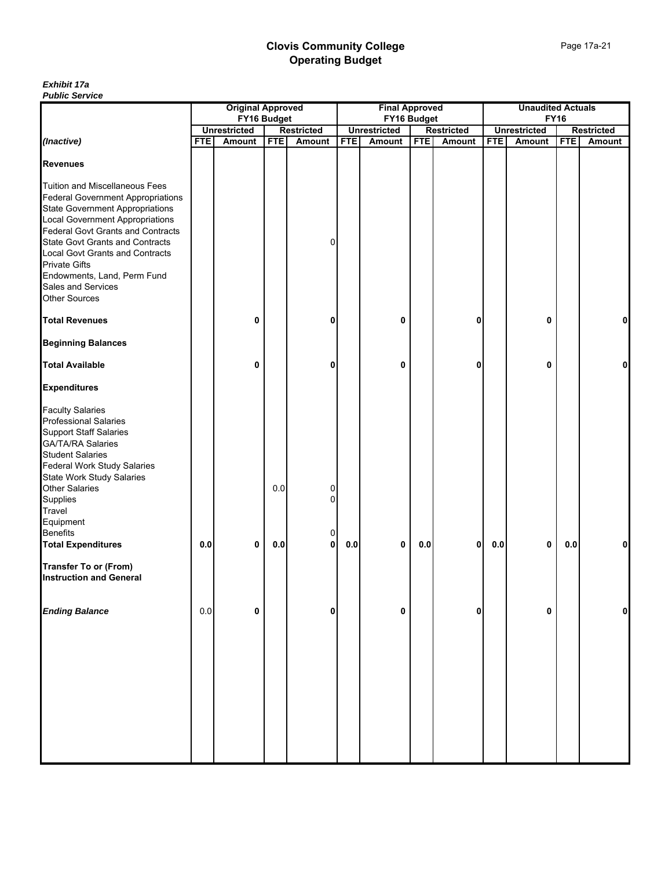| <u>r upilo oci vice</u>                                                                                                                                                                                                                                                                                                                                                                                    |            |                          |            |                   |            |                       |                |                   |            |                          |             |                   |
|------------------------------------------------------------------------------------------------------------------------------------------------------------------------------------------------------------------------------------------------------------------------------------------------------------------------------------------------------------------------------------------------------------|------------|--------------------------|------------|-------------------|------------|-----------------------|----------------|-------------------|------------|--------------------------|-------------|-------------------|
|                                                                                                                                                                                                                                                                                                                                                                                                            |            | <b>Original Approved</b> |            |                   |            | <b>Final Approved</b> |                |                   |            | <b>Unaudited Actuals</b> |             |                   |
|                                                                                                                                                                                                                                                                                                                                                                                                            |            | FY16 Budget              |            |                   |            | FY16 Budget           |                |                   |            |                          | <b>FY16</b> |                   |
|                                                                                                                                                                                                                                                                                                                                                                                                            |            | <b>Unrestricted</b>      |            | <b>Restricted</b> |            | <b>Unrestricted</b>   |                | <b>Restricted</b> |            | <b>Unrestricted</b>      |             | <b>Restricted</b> |
| (Inactive)                                                                                                                                                                                                                                                                                                                                                                                                 | <b>FTE</b> | Amount                   | <b>FTE</b> | Amount            | <b>FTE</b> | Amount                | <b>FTE</b>     | <b>Amount</b>     | <b>FTE</b> | Amount                   | <b>FTE</b>  | Amount            |
| <b>Revenues</b>                                                                                                                                                                                                                                                                                                                                                                                            |            |                          |            |                   |            |                       |                |                   |            |                          |             |                   |
| <b>Tuition and Miscellaneous Fees</b><br><b>Federal Government Appropriations</b><br><b>State Government Appropriations</b><br><b>Local Government Appropriations</b><br><b>Federal Govt Grants and Contracts</b><br><b>State Govt Grants and Contracts</b><br><b>Local Govt Grants and Contracts</b><br><b>Private Gifts</b><br>Endowments, Land, Perm Fund<br>Sales and Services<br><b>Other Sources</b> |            |                          |            | 0                 |            |                       |                |                   |            |                          |             |                   |
| <b>Total Revenues</b>                                                                                                                                                                                                                                                                                                                                                                                      |            | 0                        |            | 0                 |            | 0                     |                | 0                 |            | 0                        |             | 0                 |
| <b>Beginning Balances</b>                                                                                                                                                                                                                                                                                                                                                                                  |            |                          |            |                   |            |                       |                |                   |            |                          |             |                   |
| <b>Total Available</b>                                                                                                                                                                                                                                                                                                                                                                                     |            | 0                        |            | 0                 |            | 0                     |                | 0                 |            | 0                        |             | 0                 |
| <b>Expenditures</b>                                                                                                                                                                                                                                                                                                                                                                                        |            |                          |            |                   |            |                       |                |                   |            |                          |             |                   |
| <b>Faculty Salaries</b><br><b>Professional Salaries</b><br><b>Support Staff Salaries</b><br><b>GA/TA/RA Salaries</b><br><b>Student Salaries</b><br><b>Federal Work Study Salaries</b><br>State Work Study Salaries<br><b>Other Salaries</b><br>Supplies<br>Travel<br>Equipment                                                                                                                             |            |                          | 0.0        | 0<br>0            |            |                       |                |                   |            |                          |             |                   |
| <b>Benefits</b><br><b>Total Expenditures</b>                                                                                                                                                                                                                                                                                                                                                               | $0.0\,$    | 0                        | 0.0        | 0<br>$\mathbf{0}$ | 0.0        | 0                     | $\mathbf{0.0}$ | 0                 | 0.0        | 0                        | 0.0         | 0                 |
| <b>Transfer To or (From)</b><br><b>Instruction and General</b>                                                                                                                                                                                                                                                                                                                                             |            |                          |            |                   |            |                       |                |                   |            |                          |             |                   |
| <b>Ending Balance</b>                                                                                                                                                                                                                                                                                                                                                                                      | 0.0        | 0                        |            | 0                 |            | 0                     |                | 0                 |            | 0                        |             | 0                 |
|                                                                                                                                                                                                                                                                                                                                                                                                            |            |                          |            |                   |            |                       |                |                   |            |                          |             |                   |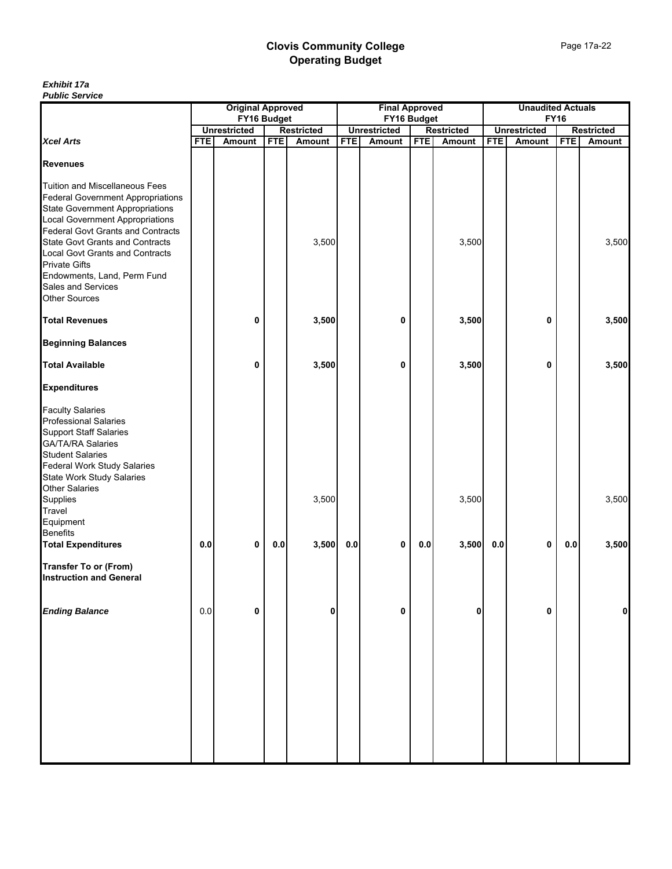|                                                                                                                                                                                                                                                                                                                                                                                                            |            | <b>Original Approved</b>           |            |                   |            | <b>Final Approved</b>              |            |                   |            | <b>Unaudited Actuals</b>           |            |                   |
|------------------------------------------------------------------------------------------------------------------------------------------------------------------------------------------------------------------------------------------------------------------------------------------------------------------------------------------------------------------------------------------------------------|------------|------------------------------------|------------|-------------------|------------|------------------------------------|------------|-------------------|------------|------------------------------------|------------|-------------------|
|                                                                                                                                                                                                                                                                                                                                                                                                            |            | FY16 Budget<br><b>Unrestricted</b> |            | <b>Restricted</b> |            | FY16 Budget<br><b>Unrestricted</b> |            | <b>Restricted</b> |            | <b>FY16</b><br><b>Unrestricted</b> |            | <b>Restricted</b> |
| <b>Xcel Arts</b>                                                                                                                                                                                                                                                                                                                                                                                           | <b>FTE</b> | Amount                             | <b>FTE</b> | Amount            | <b>FTE</b> | <b>Amount</b>                      | <b>FTE</b> | Amount            | <b>FTE</b> | Amount                             | <b>FTE</b> | <b>Amount</b>     |
| <b>Revenues</b>                                                                                                                                                                                                                                                                                                                                                                                            |            |                                    |            |                   |            |                                    |            |                   |            |                                    |            |                   |
| <b>Tuition and Miscellaneous Fees</b><br><b>Federal Government Appropriations</b><br><b>State Government Appropriations</b><br><b>Local Government Appropriations</b><br><b>Federal Govt Grants and Contracts</b><br><b>State Govt Grants and Contracts</b><br><b>Local Govt Grants and Contracts</b><br><b>Private Gifts</b><br>Endowments, Land, Perm Fund<br>Sales and Services<br><b>Other Sources</b> |            |                                    |            | 3,500             |            |                                    |            | 3,500             |            |                                    |            | 3,500             |
| <b>Total Revenues</b>                                                                                                                                                                                                                                                                                                                                                                                      |            | 0                                  |            | 3,500             |            | 0                                  |            | 3,500             |            | 0                                  |            | 3,500             |
| <b>Beginning Balances</b>                                                                                                                                                                                                                                                                                                                                                                                  |            |                                    |            |                   |            |                                    |            |                   |            |                                    |            |                   |
| <b>Total Available</b>                                                                                                                                                                                                                                                                                                                                                                                     |            | 0                                  |            | 3,500             |            | 0                                  |            | 3,500             |            | 0                                  |            | 3,500             |
| <b>Expenditures</b>                                                                                                                                                                                                                                                                                                                                                                                        |            |                                    |            |                   |            |                                    |            |                   |            |                                    |            |                   |
| <b>Faculty Salaries</b><br><b>Professional Salaries</b><br><b>Support Staff Salaries</b><br><b>GA/TA/RA Salaries</b><br><b>Student Salaries</b><br><b>Federal Work Study Salaries</b><br><b>State Work Study Salaries</b><br><b>Other Salaries</b>                                                                                                                                                         |            |                                    |            |                   |            |                                    |            |                   |            |                                    |            |                   |
| Supplies<br>Travel<br>Equipment<br><b>Benefits</b>                                                                                                                                                                                                                                                                                                                                                         |            |                                    |            | 3,500             |            |                                    |            | 3,500             |            |                                    |            | 3,500             |
| <b>Total Expenditures</b>                                                                                                                                                                                                                                                                                                                                                                                  | 0.0        | 0                                  | 0.0        | 3,500             | $0.0\,$    | 0                                  | 0.0        | 3,500             | 0.0        | 0                                  | $0.0\,$    | 3,500             |
| <b>Transfer To or (From)</b><br><b>Instruction and General</b>                                                                                                                                                                                                                                                                                                                                             |            |                                    |            |                   |            |                                    |            |                   |            |                                    |            |                   |
| <b>Ending Balance</b>                                                                                                                                                                                                                                                                                                                                                                                      | 0.0        | 0                                  |            | 0                 |            | 0                                  |            | 0                 |            | 0                                  |            | 0                 |
|                                                                                                                                                                                                                                                                                                                                                                                                            |            |                                    |            |                   |            |                                    |            |                   |            |                                    |            |                   |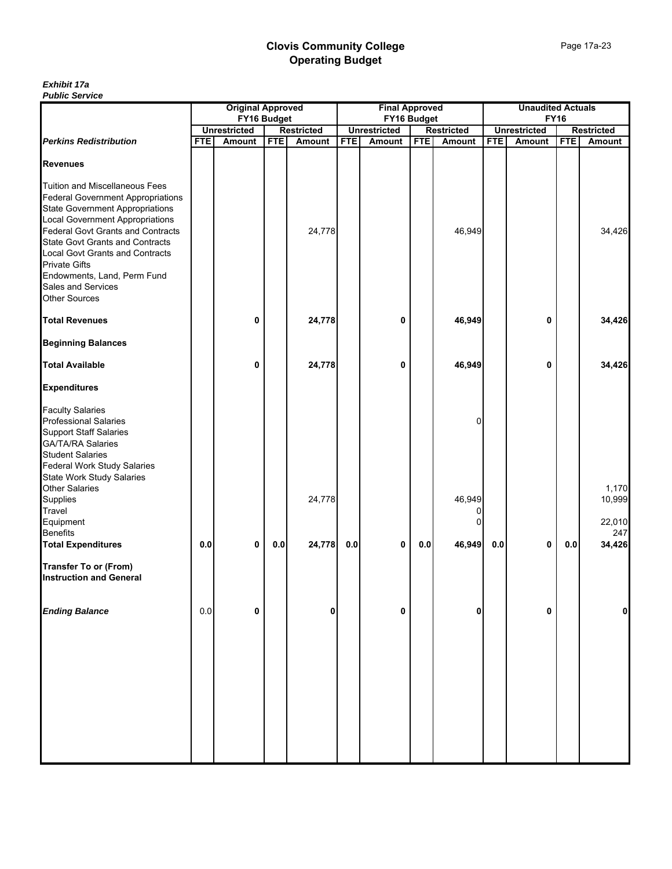|                                                                                                                                                                                                                                                                                                                                                                                                                   |            | <b>Original Approved</b>           |            |                             |            | <b>Final Approved</b>                |            |                                    |            | <b>Unaudited Actuals</b>      |            |                             |
|-------------------------------------------------------------------------------------------------------------------------------------------------------------------------------------------------------------------------------------------------------------------------------------------------------------------------------------------------------------------------------------------------------------------|------------|------------------------------------|------------|-----------------------------|------------|--------------------------------------|------------|------------------------------------|------------|-------------------------------|------------|-----------------------------|
|                                                                                                                                                                                                                                                                                                                                                                                                                   |            | FY16 Budget<br><b>Unrestricted</b> |            |                             |            | FY16 Budget                          |            |                                    |            | <b>FY16</b>                   |            |                             |
| <b>Perkins Redistribution</b>                                                                                                                                                                                                                                                                                                                                                                                     | <b>FTE</b> | <b>Amount</b>                      | <b>FTE</b> | <b>Restricted</b><br>Amount | <b>FTE</b> | <b>Unrestricted</b><br><b>Amount</b> | <b>FTE</b> | <b>Restricted</b><br><b>Amount</b> | <b>FTE</b> | <b>Unrestricted</b><br>Amount | <b>FTE</b> | <b>Restricted</b><br>Amount |
| <b>Revenues</b>                                                                                                                                                                                                                                                                                                                                                                                                   |            |                                    |            |                             |            |                                      |            |                                    |            |                               |            |                             |
| <b>Tuition and Miscellaneous Fees</b><br><b>Federal Government Appropriations</b><br><b>State Government Appropriations</b><br><b>Local Government Appropriations</b><br><b>Federal Govt Grants and Contracts</b><br><b>State Govt Grants and Contracts</b><br><b>Local Govt Grants and Contracts</b><br><b>Private Gifts</b><br>Endowments, Land, Perm Fund<br><b>Sales and Services</b><br><b>Other Sources</b> |            |                                    |            | 24,778                      |            |                                      |            | 46,949                             |            |                               |            | 34,426                      |
| <b>Total Revenues</b>                                                                                                                                                                                                                                                                                                                                                                                             |            | 0                                  |            | 24,778                      |            | 0                                    |            | 46,949                             |            | 0                             |            | 34,426                      |
| <b>Beginning Balances</b>                                                                                                                                                                                                                                                                                                                                                                                         |            |                                    |            |                             |            |                                      |            |                                    |            |                               |            |                             |
| <b>Total Available</b>                                                                                                                                                                                                                                                                                                                                                                                            |            | 0                                  |            | 24,778                      |            | 0                                    |            | 46,949                             |            | 0                             |            | 34,426                      |
| <b>Expenditures</b>                                                                                                                                                                                                                                                                                                                                                                                               |            |                                    |            |                             |            |                                      |            |                                    |            |                               |            |                             |
| <b>Faculty Salaries</b><br><b>Professional Salaries</b><br><b>Support Staff Salaries</b><br><b>GA/TA/RA Salaries</b><br><b>Student Salaries</b><br><b>Federal Work Study Salaries</b><br>State Work Study Salaries                                                                                                                                                                                                |            |                                    |            |                             |            |                                      |            | $\Omega$                           |            |                               |            |                             |
| Other Salaries<br>Supplies                                                                                                                                                                                                                                                                                                                                                                                        |            |                                    |            | 24,778                      |            |                                      |            | 46,949                             |            |                               |            | 1,170<br>10,999             |
| Travel                                                                                                                                                                                                                                                                                                                                                                                                            |            |                                    |            |                             |            |                                      |            | 0                                  |            |                               |            |                             |
| Equipment                                                                                                                                                                                                                                                                                                                                                                                                         |            |                                    |            |                             |            |                                      |            | 0                                  |            |                               |            | 22,010                      |
| <b>Benefits</b><br><b>Total Expenditures</b>                                                                                                                                                                                                                                                                                                                                                                      | 0.0        | 0                                  | $0.0\,$    | 24,778                      | $0.0\,$    | 0                                    | 0.0        | 46,949                             | $0.0\,$    | 0                             | $0.0\,$    | 247<br>34,426               |
| <b>Transfer To or (From)</b><br><b>Instruction and General</b>                                                                                                                                                                                                                                                                                                                                                    |            |                                    |            |                             |            |                                      |            |                                    |            |                               |            |                             |
| <b>Ending Balance</b>                                                                                                                                                                                                                                                                                                                                                                                             | 0.0        | 0                                  |            | 0                           |            | 0                                    |            | 0                                  |            | 0                             |            | O                           |
|                                                                                                                                                                                                                                                                                                                                                                                                                   |            |                                    |            |                             |            |                                      |            |                                    |            |                               |            |                             |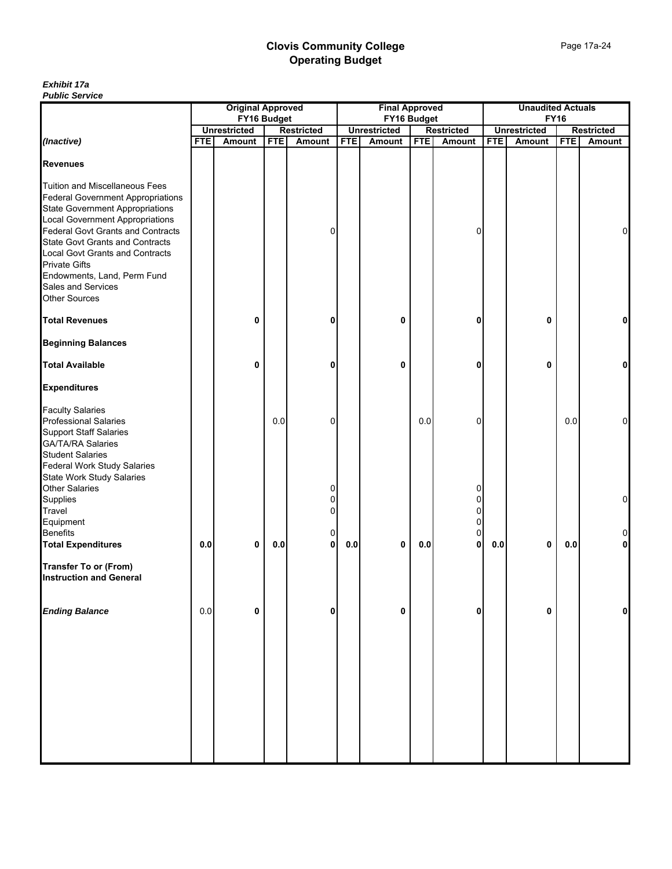| <u>r upilo oci vice</u>                                                                                                                                                                                                                                                                                                                                                                                    |            |                          |            |                   |            |                       |                |                   |            |                          |             |                   |
|------------------------------------------------------------------------------------------------------------------------------------------------------------------------------------------------------------------------------------------------------------------------------------------------------------------------------------------------------------------------------------------------------------|------------|--------------------------|------------|-------------------|------------|-----------------------|----------------|-------------------|------------|--------------------------|-------------|-------------------|
|                                                                                                                                                                                                                                                                                                                                                                                                            |            | <b>Original Approved</b> |            |                   |            | <b>Final Approved</b> |                |                   |            | <b>Unaudited Actuals</b> |             |                   |
|                                                                                                                                                                                                                                                                                                                                                                                                            |            | FY16 Budget              |            |                   |            | FY16 Budget           |                |                   |            |                          | <b>FY16</b> |                   |
|                                                                                                                                                                                                                                                                                                                                                                                                            |            | <b>Unrestricted</b>      |            | <b>Restricted</b> |            | <b>Unrestricted</b>   |                | <b>Restricted</b> |            | <b>Unrestricted</b>      |             | <b>Restricted</b> |
| (Inactive)                                                                                                                                                                                                                                                                                                                                                                                                 | <b>FTE</b> | Amount                   | <b>FTE</b> | Amount            | <b>FTE</b> | Amount                | <b>FTE</b>     | <b>Amount</b>     | <b>FTE</b> | Amount                   | <b>FTE</b>  | Amount            |
| <b>Revenues</b>                                                                                                                                                                                                                                                                                                                                                                                            |            |                          |            |                   |            |                       |                |                   |            |                          |             |                   |
| <b>Tuition and Miscellaneous Fees</b><br><b>Federal Government Appropriations</b><br><b>State Government Appropriations</b><br><b>Local Government Appropriations</b><br><b>Federal Govt Grants and Contracts</b><br><b>State Govt Grants and Contracts</b><br><b>Local Govt Grants and Contracts</b><br><b>Private Gifts</b><br>Endowments, Land, Perm Fund<br>Sales and Services<br><b>Other Sources</b> |            |                          |            | 0                 |            |                       |                | 0                 |            |                          |             | 0                 |
| <b>Total Revenues</b>                                                                                                                                                                                                                                                                                                                                                                                      |            | 0                        |            | 0                 |            | 0                     |                | 0                 |            | 0                        |             | 0                 |
| <b>Beginning Balances</b>                                                                                                                                                                                                                                                                                                                                                                                  |            |                          |            |                   |            |                       |                |                   |            |                          |             |                   |
| <b>Total Available</b>                                                                                                                                                                                                                                                                                                                                                                                     |            | 0                        |            | 0                 |            | 0                     |                | 0                 |            | 0                        |             | 0                 |
| <b>Expenditures</b>                                                                                                                                                                                                                                                                                                                                                                                        |            |                          |            |                   |            |                       |                |                   |            |                          |             |                   |
| <b>Faculty Salaries</b><br><b>Professional Salaries</b><br><b>Support Staff Salaries</b><br><b>GA/TA/RA Salaries</b><br><b>Student Salaries</b><br><b>Federal Work Study Salaries</b>                                                                                                                                                                                                                      |            |                          | 0.0        | 0                 |            |                       | 0.0            | 0                 |            |                          | 0.0         | 0                 |
| <b>State Work Study Salaries</b><br><b>Other Salaries</b><br>Supplies<br>Travel                                                                                                                                                                                                                                                                                                                            |            |                          |            | 0<br>0<br>0       |            |                       |                | 0<br>0<br>0       |            |                          |             | 0                 |
| Equipment<br><b>Benefits</b>                                                                                                                                                                                                                                                                                                                                                                               |            |                          |            | 0                 |            |                       |                | 0<br>0            |            |                          |             |                   |
| <b>Total Expenditures</b><br><b>Transfer To or (From)</b><br><b>Instruction and General</b>                                                                                                                                                                                                                                                                                                                | $0.0\,$    | 0                        | 0.0        | $\mathbf{0}$      | 0.0        | 0                     | $\mathbf{0.0}$ | 0                 | $0.0\,$    | 0                        | 0.0         | 0                 |
| <b>Ending Balance</b>                                                                                                                                                                                                                                                                                                                                                                                      | 0.0        | 0                        |            | 0                 |            | 0                     |                | 0                 |            | 0                        |             | 0                 |
|                                                                                                                                                                                                                                                                                                                                                                                                            |            |                          |            |                   |            |                       |                |                   |            |                          |             |                   |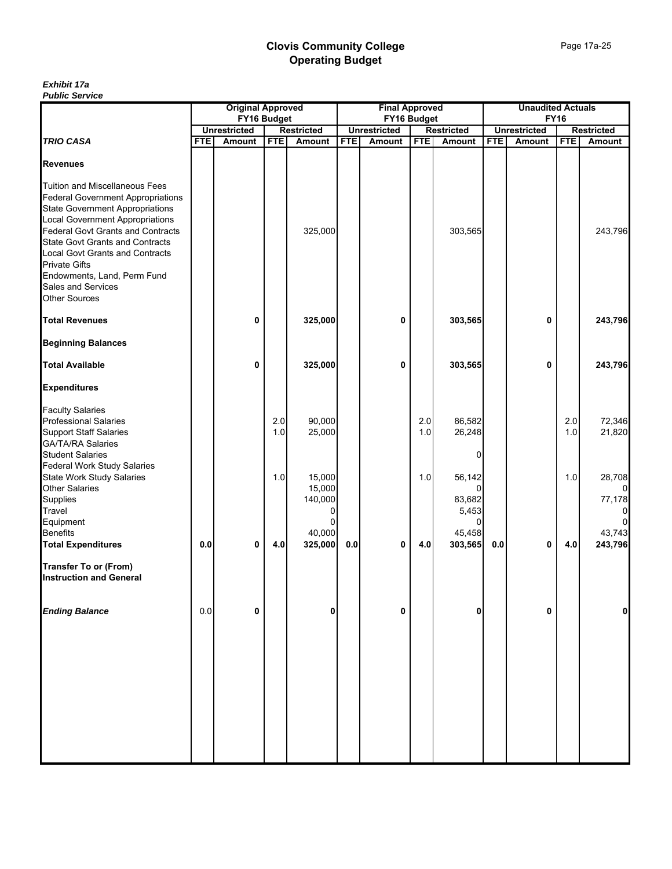|                                                                                                                                                                                                                                                                                                                                                                                                            |            | <b>Original Approved</b>           |            |                                    |            | <b>Final Approved</b>              |            |                             |            | <b>Unaudited Actuals</b> |             |                                               |
|------------------------------------------------------------------------------------------------------------------------------------------------------------------------------------------------------------------------------------------------------------------------------------------------------------------------------------------------------------------------------------------------------------|------------|------------------------------------|------------|------------------------------------|------------|------------------------------------|------------|-----------------------------|------------|--------------------------|-------------|-----------------------------------------------|
|                                                                                                                                                                                                                                                                                                                                                                                                            |            | FY16 Budget<br><b>Unrestricted</b> |            |                                    |            | FY16 Budget<br><b>Unrestricted</b> |            |                             |            | <b>Unrestricted</b>      | <b>FY16</b> |                                               |
| <b>TRIO CASA</b>                                                                                                                                                                                                                                                                                                                                                                                           | <b>FTE</b> | Amount                             | <b>FTE</b> | <b>Restricted</b><br><b>Amount</b> | <b>FTE</b> | <b>Amount</b>                      | <b>FTE</b> | <b>Restricted</b><br>Amount | <b>FTE</b> | Amount                   | <b>FTE</b>  | <b>Restricted</b><br>Amount                   |
| <b>Revenues</b>                                                                                                                                                                                                                                                                                                                                                                                            |            |                                    |            |                                    |            |                                    |            |                             |            |                          |             |                                               |
| <b>Tuition and Miscellaneous Fees</b><br><b>Federal Government Appropriations</b><br><b>State Government Appropriations</b><br><b>Local Government Appropriations</b><br><b>Federal Govt Grants and Contracts</b><br><b>State Govt Grants and Contracts</b><br><b>Local Govt Grants and Contracts</b><br><b>Private Gifts</b><br>Endowments, Land, Perm Fund<br>Sales and Services<br><b>Other Sources</b> |            |                                    |            | 325,000                            |            |                                    |            | 303,565                     |            |                          |             | 243,796                                       |
| <b>Total Revenues</b>                                                                                                                                                                                                                                                                                                                                                                                      |            | 0                                  |            | 325,000                            |            | 0                                  |            | 303,565                     |            | 0                        |             | 243,796                                       |
| <b>Beginning Balances</b>                                                                                                                                                                                                                                                                                                                                                                                  |            |                                    |            |                                    |            |                                    |            |                             |            |                          |             |                                               |
| <b>Total Available</b>                                                                                                                                                                                                                                                                                                                                                                                     |            | 0                                  |            | 325,000                            |            | 0                                  |            | 303,565                     |            | 0                        |             | 243,796                                       |
| <b>Expenditures</b>                                                                                                                                                                                                                                                                                                                                                                                        |            |                                    |            |                                    |            |                                    |            |                             |            |                          |             |                                               |
| <b>Faculty Salaries</b><br><b>Professional Salaries</b><br><b>Support Staff Salaries</b><br><b>GA/TA/RA Salaries</b><br><b>Student Salaries</b><br><b>Federal Work Study Salaries</b>                                                                                                                                                                                                                      |            |                                    | 2.0<br>1.0 | 90,000<br>25,000                   |            |                                    | 2.0<br>1.0 | 86,582<br>26,248<br>0       |            |                          | 2.0<br>1.0  | 72,346<br>21,820                              |
| <b>State Work Study Salaries</b><br>Other Salaries<br>Supplies<br>Travel<br>Equipment                                                                                                                                                                                                                                                                                                                      |            |                                    | 1.0        | 15,000<br>15,000<br>140,000        |            |                                    | 1.0        | 56,142<br>83,682<br>5,453   |            |                          | 1.0         | 28,708<br>$\Omega$<br>77,178<br>0<br>$\Omega$ |
| <b>Benefits</b><br><b>Total Expenditures</b>                                                                                                                                                                                                                                                                                                                                                               | 0.0        | 0                                  | 4.0        | 40,000<br>325,000                  | 0.0        | 0                                  | 4.0        | 45,458<br>303,565           | 0.0        | 0                        | 4.0         | 43,743<br>243,796                             |
| <b>Transfer To or (From)</b><br><b>Instruction and General</b>                                                                                                                                                                                                                                                                                                                                             |            |                                    |            |                                    |            |                                    |            |                             |            |                          |             |                                               |
| <b>Ending Balance</b>                                                                                                                                                                                                                                                                                                                                                                                      | 0.0        | 0                                  |            | 0                                  |            | 0                                  |            | 0                           |            | 0                        |             | 0                                             |
|                                                                                                                                                                                                                                                                                                                                                                                                            |            |                                    |            |                                    |            |                                    |            |                             |            |                          |             |                                               |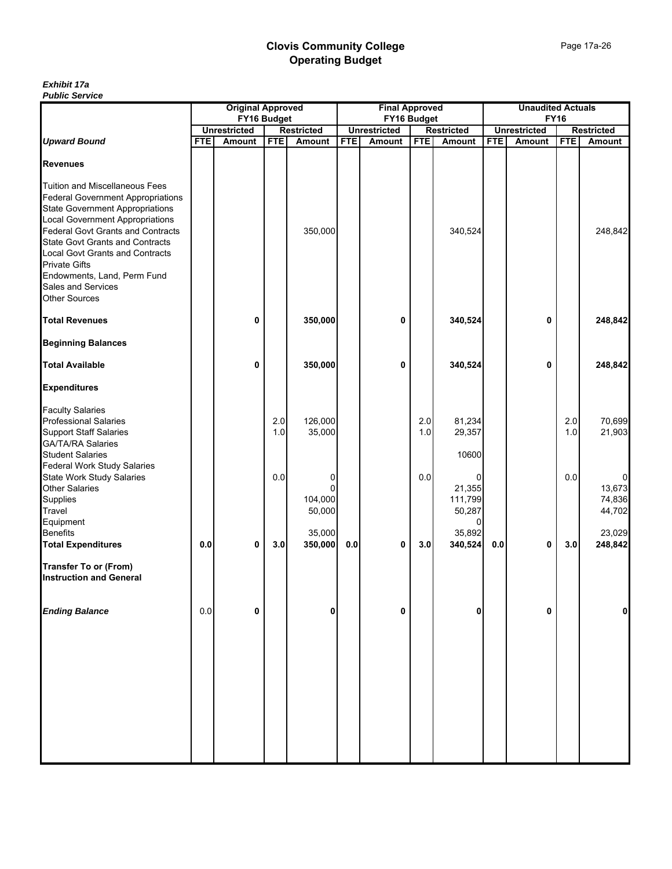|                                                                                                                                                                                                                                                                                                                                                                                                            |            | <b>Original Approved</b>           |            |                             |            | <b>Final Approved</b>              |            |                                  |            | <b>Unaudited Actuals</b>           |            |                                              |
|------------------------------------------------------------------------------------------------------------------------------------------------------------------------------------------------------------------------------------------------------------------------------------------------------------------------------------------------------------------------------------------------------------|------------|------------------------------------|------------|-----------------------------|------------|------------------------------------|------------|----------------------------------|------------|------------------------------------|------------|----------------------------------------------|
|                                                                                                                                                                                                                                                                                                                                                                                                            |            | FY16 Budget<br><b>Unrestricted</b> |            |                             |            | FY16 Budget<br><b>Unrestricted</b> |            |                                  |            | <b>FY16</b><br><b>Unrestricted</b> |            |                                              |
| <b>Upward Bound</b>                                                                                                                                                                                                                                                                                                                                                                                        | <b>FTE</b> | Amount                             | <b>FTE</b> | <b>Restricted</b><br>Amount | <b>FTE</b> | Amount                             | <b>FTE</b> | <b>Restricted</b><br>Amount      | <b>FTE</b> | Amount                             | <b>FTE</b> | <b>Restricted</b><br><b>Amount</b>           |
| <b>Revenues</b>                                                                                                                                                                                                                                                                                                                                                                                            |            |                                    |            |                             |            |                                    |            |                                  |            |                                    |            |                                              |
| <b>Tuition and Miscellaneous Fees</b><br><b>Federal Government Appropriations</b><br><b>State Government Appropriations</b><br><b>Local Government Appropriations</b><br><b>Federal Govt Grants and Contracts</b><br><b>State Govt Grants and Contracts</b><br><b>Local Govt Grants and Contracts</b><br><b>Private Gifts</b><br>Endowments, Land, Perm Fund<br>Sales and Services<br><b>Other Sources</b> |            |                                    |            | 350,000                     |            |                                    |            | 340,524                          |            |                                    |            | 248,842                                      |
| <b>Total Revenues</b>                                                                                                                                                                                                                                                                                                                                                                                      |            | 0                                  |            | 350,000                     |            | 0                                  |            | 340,524                          |            | 0                                  |            | 248,842                                      |
| <b>Beginning Balances</b>                                                                                                                                                                                                                                                                                                                                                                                  |            |                                    |            |                             |            |                                    |            |                                  |            |                                    |            |                                              |
| <b>Total Available</b>                                                                                                                                                                                                                                                                                                                                                                                     |            | 0                                  |            | 350,000                     |            | 0                                  |            | 340,524                          |            | 0                                  |            | 248,842                                      |
| <b>Expenditures</b>                                                                                                                                                                                                                                                                                                                                                                                        |            |                                    |            |                             |            |                                    |            |                                  |            |                                    |            |                                              |
| <b>Faculty Salaries</b><br><b>Professional Salaries</b><br><b>Support Staff Salaries</b><br><b>GA/TA/RA Salaries</b><br><b>Student Salaries</b><br><b>Federal Work Study Salaries</b>                                                                                                                                                                                                                      |            |                                    | 2.0<br>1.0 | 126,000<br>35,000           |            |                                    | 2.0<br>1.0 | 81,234<br>29,357<br>10600        |            |                                    | 2.0<br>1.0 | 70,699<br>21,903                             |
| <b>State Work Study Salaries</b><br>Other Salaries<br>Supplies<br>Travel<br>Equipment                                                                                                                                                                                                                                                                                                                      |            |                                    | $0.0\,$    | 0<br>104,000<br>50,000      |            |                                    | 0.0        | 21,355<br>111,799<br>50,287<br>0 |            |                                    | $0.0\,$    | $\overline{0}$<br>13,673<br>74,836<br>44,702 |
| <b>Benefits</b><br><b>Total Expenditures</b>                                                                                                                                                                                                                                                                                                                                                               | 0.0        | 0                                  | 3.0        | 35,000<br>350,000           | 0.0        | 0                                  | 3.0        | 35,892<br>340,524                | 0.0        | 0                                  | 3.0        | 23,029<br>248,842                            |
| <b>Transfer To or (From)</b><br><b>Instruction and General</b>                                                                                                                                                                                                                                                                                                                                             |            |                                    |            |                             |            |                                    |            |                                  |            |                                    |            |                                              |
| <b>Ending Balance</b>                                                                                                                                                                                                                                                                                                                                                                                      | 0.0        | 0                                  |            | 0                           |            | 0                                  |            | 0                                |            | 0                                  |            | 0                                            |
|                                                                                                                                                                                                                                                                                                                                                                                                            |            |                                    |            |                             |            |                                    |            |                                  |            |                                    |            |                                              |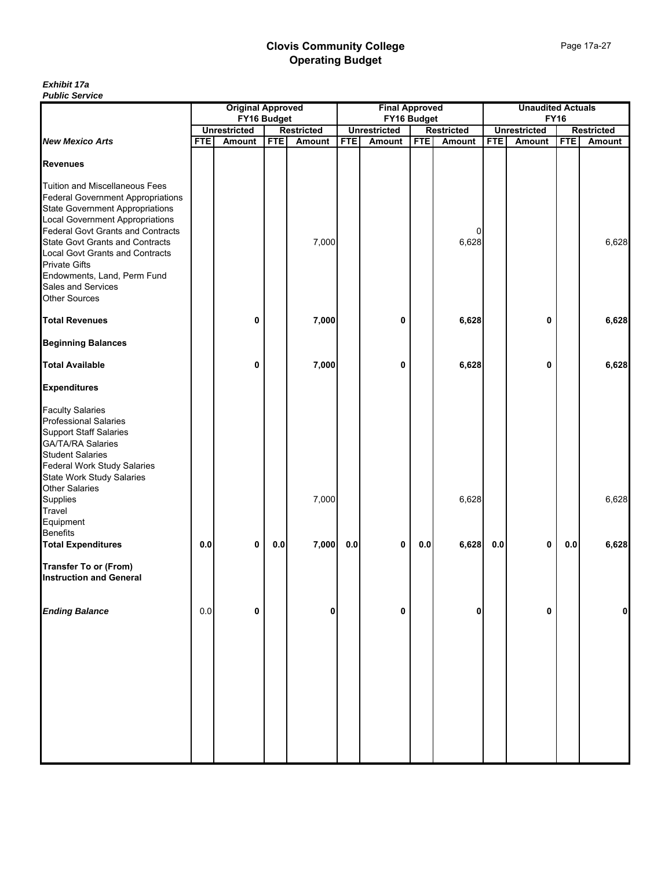|                                                                                                                                                                                                                                                                                                                                                                                                            |            | <b>Original Approved</b>           |            |                   |            | <b>Final Approved</b>              |            |                   |            | <b>Unaudited Actuals</b>           |            |                   |
|------------------------------------------------------------------------------------------------------------------------------------------------------------------------------------------------------------------------------------------------------------------------------------------------------------------------------------------------------------------------------------------------------------|------------|------------------------------------|------------|-------------------|------------|------------------------------------|------------|-------------------|------------|------------------------------------|------------|-------------------|
|                                                                                                                                                                                                                                                                                                                                                                                                            |            | FY16 Budget<br><b>Unrestricted</b> |            | <b>Restricted</b> |            | FY16 Budget<br><b>Unrestricted</b> |            | <b>Restricted</b> |            | <b>FY16</b><br><b>Unrestricted</b> |            | <b>Restricted</b> |
| <b>New Mexico Arts</b>                                                                                                                                                                                                                                                                                                                                                                                     | <b>FTE</b> | Amount                             | <b>FTE</b> | Amount            | <b>FTE</b> | Amount                             | <b>FTE</b> | Amount            | <b>FTE</b> | Amount                             | <b>FTE</b> | Amount            |
| <b>Revenues</b>                                                                                                                                                                                                                                                                                                                                                                                            |            |                                    |            |                   |            |                                    |            |                   |            |                                    |            |                   |
| <b>Tuition and Miscellaneous Fees</b><br><b>Federal Government Appropriations</b><br><b>State Government Appropriations</b><br>Local Government Appropriations<br><b>Federal Govt Grants and Contracts</b><br><b>State Govt Grants and Contracts</b><br><b>Local Govt Grants and Contracts</b><br><b>Private Gifts</b><br>Endowments, Land, Perm Fund<br><b>Sales and Services</b><br><b>Other Sources</b> |            |                                    |            | 7,000             |            |                                    |            | 0<br>6,628        |            |                                    |            | 6,628             |
| <b>Total Revenues</b>                                                                                                                                                                                                                                                                                                                                                                                      |            | 0                                  |            | 7,000             |            | 0                                  |            | 6,628             |            | 0                                  |            | 6,628             |
| <b>Beginning Balances</b>                                                                                                                                                                                                                                                                                                                                                                                  |            |                                    |            |                   |            |                                    |            |                   |            |                                    |            |                   |
| <b>Total Available</b>                                                                                                                                                                                                                                                                                                                                                                                     |            | 0                                  |            | 7,000             |            | 0                                  |            | 6,628             |            | 0                                  |            | 6,628             |
| <b>Expenditures</b>                                                                                                                                                                                                                                                                                                                                                                                        |            |                                    |            |                   |            |                                    |            |                   |            |                                    |            |                   |
| <b>Faculty Salaries</b><br><b>Professional Salaries</b><br><b>Support Staff Salaries</b><br><b>GA/TA/RA Salaries</b><br><b>Student Salaries</b><br><b>Federal Work Study Salaries</b><br>State Work Study Salaries<br><b>Other Salaries</b>                                                                                                                                                                |            |                                    |            |                   |            |                                    |            |                   |            |                                    |            |                   |
| Supplies<br>Travel<br>Equipment<br><b>Benefits</b>                                                                                                                                                                                                                                                                                                                                                         |            |                                    |            | 7,000             |            |                                    |            | 6,628             |            |                                    |            | 6,628             |
| <b>Total Expenditures</b>                                                                                                                                                                                                                                                                                                                                                                                  | 0.0        | 0                                  | $0.0\,$    | 7,000             | 0.0        | 0                                  | 0.0        | 6,628             | 0.0        | 0                                  | $0.0\,$    | 6,628             |
| <b>Transfer To or (From)</b><br><b>Instruction and General</b>                                                                                                                                                                                                                                                                                                                                             |            |                                    |            |                   |            |                                    |            |                   |            |                                    |            |                   |
| <b>Ending Balance</b>                                                                                                                                                                                                                                                                                                                                                                                      | 0.0        | 0                                  |            | 0                 |            | 0                                  |            | 0                 |            | 0                                  |            | $\mathbf{0}$      |
|                                                                                                                                                                                                                                                                                                                                                                                                            |            |                                    |            |                   |            |                                    |            |                   |            |                                    |            |                   |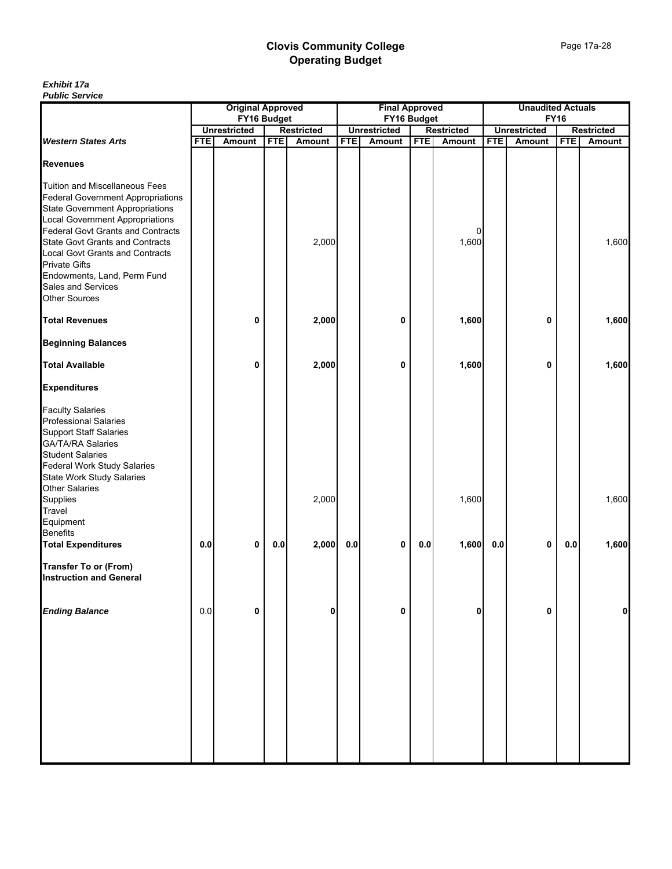|                                                                                                                                                                                                                                                                                                       |            | <b>Original Approved</b>      |            |                             |            | <b>Final Approved</b>         |            |                             |            | <b>Unaudited Actuals</b>      |             |                                    |
|-------------------------------------------------------------------------------------------------------------------------------------------------------------------------------------------------------------------------------------------------------------------------------------------------------|------------|-------------------------------|------------|-----------------------------|------------|-------------------------------|------------|-----------------------------|------------|-------------------------------|-------------|------------------------------------|
|                                                                                                                                                                                                                                                                                                       |            | FY16 Budget                   |            |                             |            | FY16 Budget                   |            |                             |            |                               | <b>FY16</b> |                                    |
| <b>Western States Arts</b>                                                                                                                                                                                                                                                                            | <b>FTE</b> | <b>Unrestricted</b><br>Amount | <b>FTE</b> | <b>Restricted</b><br>Amount | <b>FTE</b> | <b>Unrestricted</b><br>Amount | <b>FTE</b> | <b>Restricted</b><br>Amount | <b>FTE</b> | <b>Unrestricted</b><br>Amount | <b>FTE</b>  | <b>Restricted</b><br><b>Amount</b> |
|                                                                                                                                                                                                                                                                                                       |            |                               |            |                             |            |                               |            |                             |            |                               |             |                                    |
| <b>Revenues</b>                                                                                                                                                                                                                                                                                       |            |                               |            |                             |            |                               |            |                             |            |                               |             |                                    |
| <b>Tuition and Miscellaneous Fees</b><br><b>Federal Government Appropriations</b><br><b>State Government Appropriations</b><br><b>Local Government Appropriations</b><br><b>Federal Govt Grants and Contracts</b><br><b>State Govt Grants and Contracts</b><br><b>Local Govt Grants and Contracts</b> |            |                               |            | 2,000                       |            |                               |            | 0<br>1,600                  |            |                               |             | 1,600                              |
| <b>Private Gifts</b><br>Endowments, Land, Perm Fund<br>Sales and Services<br><b>Other Sources</b>                                                                                                                                                                                                     |            |                               |            |                             |            |                               |            |                             |            |                               |             |                                    |
| <b>Total Revenues</b>                                                                                                                                                                                                                                                                                 |            | 0                             |            | 2,000                       |            | 0                             |            | 1,600                       |            | 0                             |             | 1,600                              |
| <b>Beginning Balances</b>                                                                                                                                                                                                                                                                             |            |                               |            |                             |            |                               |            |                             |            |                               |             |                                    |
| <b>Total Available</b>                                                                                                                                                                                                                                                                                |            | 0                             |            | 2,000                       |            | 0                             |            | 1,600                       |            | 0                             |             | 1,600                              |
| <b>Expenditures</b>                                                                                                                                                                                                                                                                                   |            |                               |            |                             |            |                               |            |                             |            |                               |             |                                    |
| <b>Faculty Salaries</b><br><b>Professional Salaries</b><br><b>Support Staff Salaries</b><br><b>GA/TA/RA Salaries</b><br><b>Student Salaries</b><br>Federal Work Study Salaries<br>State Work Study Salaries<br><b>Other Salaries</b>                                                                  |            |                               |            |                             |            |                               |            |                             |            |                               |             |                                    |
| Supplies<br>Travel<br>Equipment<br><b>Benefits</b>                                                                                                                                                                                                                                                    |            |                               |            | 2,000                       |            |                               |            | 1,600                       |            |                               |             | 1,600                              |
| <b>Total Expenditures</b><br><b>Transfer To or (From)</b><br><b>Instruction and General</b>                                                                                                                                                                                                           | $0.0\,$    | 0                             | 0.0        | 2,000                       | 0.0        | 0                             | $0.0\,$    | 1,600                       | $0.0\,$    | 0                             | $0.0\,$     | 1,600                              |
| <b>Ending Balance</b>                                                                                                                                                                                                                                                                                 | 0.0        | 0                             |            | 0                           |            | 0                             |            | 0                           |            | 0                             |             | 0                                  |
|                                                                                                                                                                                                                                                                                                       |            |                               |            |                             |            |                               |            |                             |            |                               |             |                                    |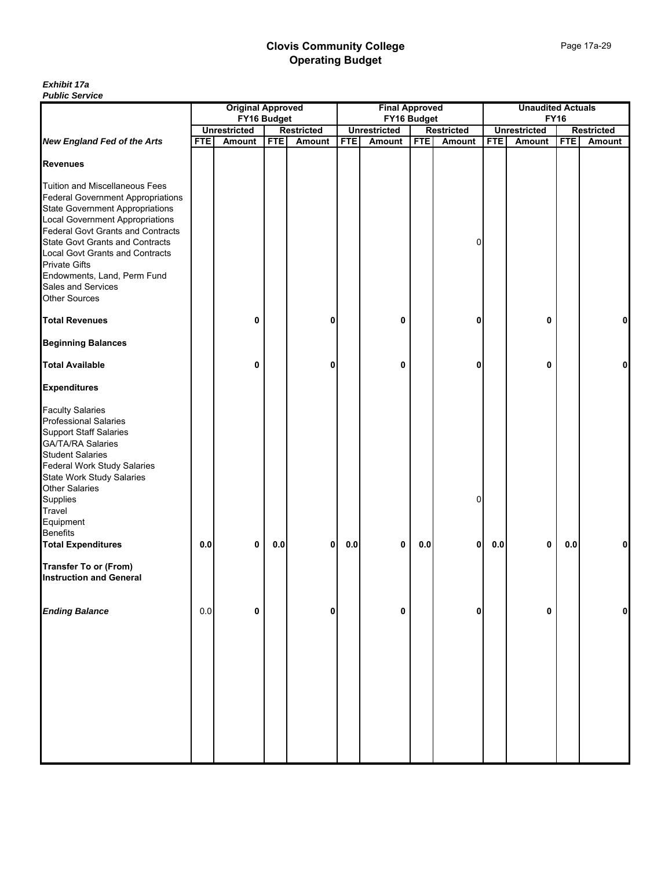| <b><i>L</i></b> ANIIC OCLAIG             |            |                          |            |                   |             |                       |            |                   |            |                          |            |                   |
|------------------------------------------|------------|--------------------------|------------|-------------------|-------------|-----------------------|------------|-------------------|------------|--------------------------|------------|-------------------|
|                                          |            | <b>Original Approved</b> |            |                   |             | <b>Final Approved</b> |            |                   |            | <b>Unaudited Actuals</b> |            |                   |
|                                          |            | FY16 Budget              |            |                   | FY16 Budget |                       |            |                   |            | <b>FY16</b>              |            |                   |
|                                          |            | <b>Unrestricted</b>      |            | <b>Restricted</b> |             | <b>Unrestricted</b>   |            | <b>Restricted</b> |            | <b>Unrestricted</b>      |            | <b>Restricted</b> |
|                                          | <b>FTE</b> |                          | <b>FTE</b> |                   | <b>FTE</b>  | Amount                | <b>FTE</b> |                   | <b>FTE</b> |                          | <b>FTE</b> | Amount            |
| <b>New England Fed of the Arts</b>       |            | Amount                   |            | Amount            |             |                       |            | Amount            |            | Amount                   |            |                   |
|                                          |            |                          |            |                   |             |                       |            |                   |            |                          |            |                   |
| <b>Revenues</b>                          |            |                          |            |                   |             |                       |            |                   |            |                          |            |                   |
|                                          |            |                          |            |                   |             |                       |            |                   |            |                          |            |                   |
| <b>Tuition and Miscellaneous Fees</b>    |            |                          |            |                   |             |                       |            |                   |            |                          |            |                   |
| <b>Federal Government Appropriations</b> |            |                          |            |                   |             |                       |            |                   |            |                          |            |                   |
| <b>State Government Appropriations</b>   |            |                          |            |                   |             |                       |            |                   |            |                          |            |                   |
| <b>Local Government Appropriations</b>   |            |                          |            |                   |             |                       |            |                   |            |                          |            |                   |
|                                          |            |                          |            |                   |             |                       |            |                   |            |                          |            |                   |
| <b>Federal Govt Grants and Contracts</b> |            |                          |            |                   |             |                       |            |                   |            |                          |            |                   |
| <b>State Govt Grants and Contracts</b>   |            |                          |            |                   |             |                       |            | 0                 |            |                          |            |                   |
| <b>Local Govt Grants and Contracts</b>   |            |                          |            |                   |             |                       |            |                   |            |                          |            |                   |
| <b>Private Gifts</b>                     |            |                          |            |                   |             |                       |            |                   |            |                          |            |                   |
| Endowments, Land, Perm Fund              |            |                          |            |                   |             |                       |            |                   |            |                          |            |                   |
|                                          |            |                          |            |                   |             |                       |            |                   |            |                          |            |                   |
| Sales and Services                       |            |                          |            |                   |             |                       |            |                   |            |                          |            |                   |
| <b>Other Sources</b>                     |            |                          |            |                   |             |                       |            |                   |            |                          |            |                   |
|                                          |            |                          |            |                   |             |                       |            |                   |            |                          |            |                   |
| <b>Total Revenues</b>                    |            | 0                        |            | 0                 |             | 0                     |            | 0                 |            | 0                        |            | 0                 |
| <b>Beginning Balances</b>                |            |                          |            |                   |             |                       |            |                   |            |                          |            |                   |
| <b>Total Available</b>                   |            | 0                        |            | Λ                 |             | 0                     |            | 0                 |            | 0                        |            | 0                 |
| <b>Expenditures</b>                      |            |                          |            |                   |             |                       |            |                   |            |                          |            |                   |
|                                          |            |                          |            |                   |             |                       |            |                   |            |                          |            |                   |
| <b>Faculty Salaries</b>                  |            |                          |            |                   |             |                       |            |                   |            |                          |            |                   |
| <b>Professional Salaries</b>             |            |                          |            |                   |             |                       |            |                   |            |                          |            |                   |
| <b>Support Staff Salaries</b>            |            |                          |            |                   |             |                       |            |                   |            |                          |            |                   |
| <b>GA/TA/RA Salaries</b>                 |            |                          |            |                   |             |                       |            |                   |            |                          |            |                   |
| <b>Student Salaries</b>                  |            |                          |            |                   |             |                       |            |                   |            |                          |            |                   |
| <b>Federal Work Study Salaries</b>       |            |                          |            |                   |             |                       |            |                   |            |                          |            |                   |
|                                          |            |                          |            |                   |             |                       |            |                   |            |                          |            |                   |
| State Work Study Salaries                |            |                          |            |                   |             |                       |            |                   |            |                          |            |                   |
| <b>Other Salaries</b>                    |            |                          |            |                   |             |                       |            |                   |            |                          |            |                   |
| Supplies                                 |            |                          |            |                   |             |                       |            | 0                 |            |                          |            |                   |
| Travel                                   |            |                          |            |                   |             |                       |            |                   |            |                          |            |                   |
| Equipment                                |            |                          |            |                   |             |                       |            |                   |            |                          |            |                   |
| <b>Benefits</b>                          |            |                          |            |                   |             |                       |            |                   |            |                          |            |                   |
|                                          |            |                          |            |                   |             |                       |            |                   |            |                          |            |                   |
| <b>Total Expenditures</b>                | 0.0        | 0                        | 0.0        | 0                 | $0.0\,$     | 0                     | $0.0\,$    | 0                 | 0.0        | 0                        | 0.0        | 0                 |
|                                          |            |                          |            |                   |             |                       |            |                   |            |                          |            |                   |
| <b>Transfer To or (From)</b>             |            |                          |            |                   |             |                       |            |                   |            |                          |            |                   |
| <b>Instruction and General</b>           |            |                          |            |                   |             |                       |            |                   |            |                          |            |                   |
|                                          |            |                          |            |                   |             |                       |            |                   |            |                          |            |                   |
| <b>Ending Balance</b>                    | 0.0        | 0                        |            | 0                 |             | 0                     |            | 0                 |            | 0                        |            | 0                 |
|                                          |            |                          |            |                   |             |                       |            |                   |            |                          |            |                   |
|                                          |            |                          |            |                   |             |                       |            |                   |            |                          |            |                   |
|                                          |            |                          |            |                   |             |                       |            |                   |            |                          |            |                   |
|                                          |            |                          |            |                   |             |                       |            |                   |            |                          |            |                   |
|                                          |            |                          |            |                   |             |                       |            |                   |            |                          |            |                   |
|                                          |            |                          |            |                   |             |                       |            |                   |            |                          |            |                   |
|                                          |            |                          |            |                   |             |                       |            |                   |            |                          |            |                   |
|                                          |            |                          |            |                   |             |                       |            |                   |            |                          |            |                   |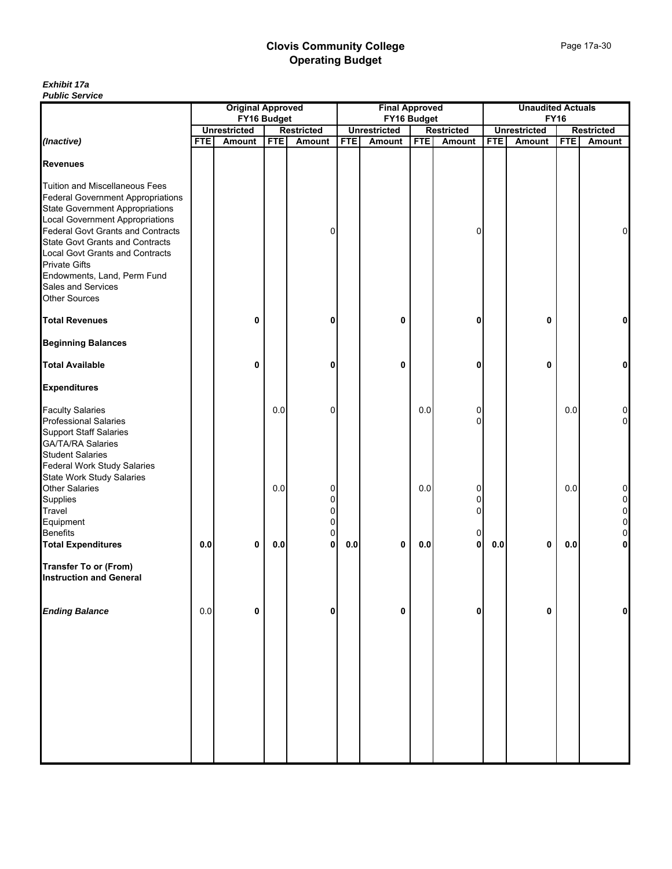| <u>r upilo oci vice</u>                                                                                                                                                                                                                                                                                                                                                                                    | <b>Original Approved</b> |                     |            |                                       |            |                       |                       |                       |            |                          |             |                            |
|------------------------------------------------------------------------------------------------------------------------------------------------------------------------------------------------------------------------------------------------------------------------------------------------------------------------------------------------------------------------------------------------------------|--------------------------|---------------------|------------|---------------------------------------|------------|-----------------------|-----------------------|-----------------------|------------|--------------------------|-------------|----------------------------|
|                                                                                                                                                                                                                                                                                                                                                                                                            |                          |                     |            |                                       |            | <b>Final Approved</b> |                       |                       |            | <b>Unaudited Actuals</b> |             |                            |
|                                                                                                                                                                                                                                                                                                                                                                                                            |                          | FY16 Budget         |            |                                       |            | FY16 Budget           |                       |                       |            |                          | <b>FY16</b> |                            |
|                                                                                                                                                                                                                                                                                                                                                                                                            |                          | <b>Unrestricted</b> |            | <b>Restricted</b>                     |            | <b>Unrestricted</b>   |                       | <b>Restricted</b>     |            | <b>Unrestricted</b>      |             | <b>Restricted</b>          |
| (Inactive)                                                                                                                                                                                                                                                                                                                                                                                                 | <b>FTE</b>               | Amount              | <b>FTE</b> | Amount                                | <b>FTE</b> | Amount                | <b>FTE</b>            | <b>Amount</b>         | <b>FTE</b> | Amount                   | <b>FTE</b>  | Amount                     |
| <b>Revenues</b>                                                                                                                                                                                                                                                                                                                                                                                            |                          |                     |            |                                       |            |                       |                       |                       |            |                          |             |                            |
| <b>Tuition and Miscellaneous Fees</b><br><b>Federal Government Appropriations</b><br><b>State Government Appropriations</b><br><b>Local Government Appropriations</b><br><b>Federal Govt Grants and Contracts</b><br><b>State Govt Grants and Contracts</b><br><b>Local Govt Grants and Contracts</b><br><b>Private Gifts</b><br>Endowments, Land, Perm Fund<br>Sales and Services<br><b>Other Sources</b> |                          |                     |            | 0                                     |            |                       |                       | 0                     |            |                          |             | 0                          |
| <b>Total Revenues</b>                                                                                                                                                                                                                                                                                                                                                                                      |                          | 0                   |            | 0                                     |            | 0                     |                       | 0                     |            | 0                        |             | 0                          |
| <b>Beginning Balances</b>                                                                                                                                                                                                                                                                                                                                                                                  |                          |                     |            |                                       |            |                       |                       |                       |            |                          |             |                            |
| <b>Total Available</b>                                                                                                                                                                                                                                                                                                                                                                                     |                          | 0                   |            | 0                                     |            | 0                     |                       | 0                     |            | 0                        |             | 0                          |
| <b>Expenditures</b>                                                                                                                                                                                                                                                                                                                                                                                        |                          |                     |            |                                       |            |                       |                       |                       |            |                          |             |                            |
| <b>Faculty Salaries</b><br><b>Professional Salaries</b><br><b>Support Staff Salaries</b><br><b>GA/TA/RA Salaries</b><br><b>Student Salaries</b><br><b>Federal Work Study Salaries</b>                                                                                                                                                                                                                      |                          |                     | 0.0        | 0                                     |            |                       | 0.0                   | 0<br>U                |            |                          | 0.0         | 0                          |
| <b>State Work Study Salaries</b><br><b>Other Salaries</b><br>Supplies<br>Travel<br>Equipment<br><b>Benefits</b><br><b>Total Expenditures</b>                                                                                                                                                                                                                                                               | $0.0\,$                  | 0                   | 0.0<br>0.0 | 0<br>0<br>0<br>0<br>0<br>$\mathbf{0}$ | 0.0        | 0                     | 0.0<br>$\mathbf{0.0}$ | 0<br>0<br>0<br>0<br>0 | $0.0\,$    | 0                        | 0.0<br>0.0  | 0<br>0<br>0<br>0<br>0<br>0 |
| <b>Transfer To or (From)</b><br><b>Instruction and General</b>                                                                                                                                                                                                                                                                                                                                             |                          |                     |            |                                       |            |                       |                       |                       |            |                          |             |                            |
| <b>Ending Balance</b>                                                                                                                                                                                                                                                                                                                                                                                      | 0.0                      | 0                   |            | 0                                     |            | 0                     |                       | 0                     |            | 0                        |             | 0                          |
|                                                                                                                                                                                                                                                                                                                                                                                                            |                          |                     |            |                                       |            |                       |                       |                       |            |                          |             |                            |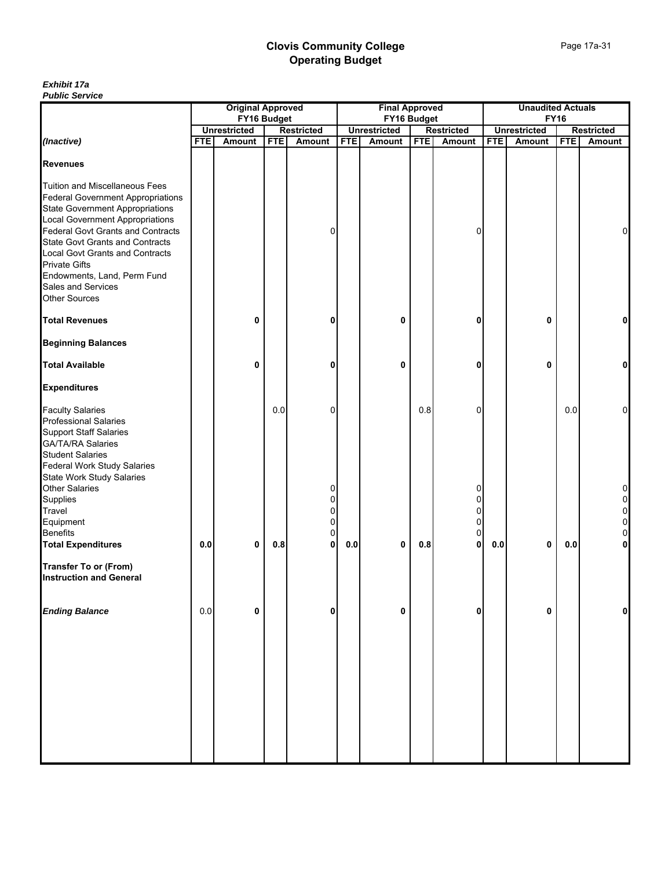| <u>r upilo oci vice</u>                                                                                                                                                                                                                                                                                                                                                                                    | <b>Original Approved</b> |                     |            |                                       |            |                       |            |                            |            |                          |             |                       |
|------------------------------------------------------------------------------------------------------------------------------------------------------------------------------------------------------------------------------------------------------------------------------------------------------------------------------------------------------------------------------------------------------------|--------------------------|---------------------|------------|---------------------------------------|------------|-----------------------|------------|----------------------------|------------|--------------------------|-------------|-----------------------|
|                                                                                                                                                                                                                                                                                                                                                                                                            |                          |                     |            |                                       |            | <b>Final Approved</b> |            |                            |            | <b>Unaudited Actuals</b> |             |                       |
|                                                                                                                                                                                                                                                                                                                                                                                                            |                          | FY16 Budget         |            |                                       |            | FY16 Budget           |            |                            |            |                          | <b>FY16</b> |                       |
|                                                                                                                                                                                                                                                                                                                                                                                                            |                          | <b>Unrestricted</b> |            | <b>Restricted</b>                     |            | <b>Unrestricted</b>   |            | <b>Restricted</b>          |            | <b>Unrestricted</b>      |             | <b>Restricted</b>     |
| (Inactive)                                                                                                                                                                                                                                                                                                                                                                                                 | <b>FTE</b>               | Amount              | <b>FTE</b> | Amount                                | <b>FTE</b> | Amount                | <b>FTE</b> | <b>Amount</b>              | <b>FTE</b> | Amount                   | <b>FTE</b>  | Amount                |
| <b>Revenues</b>                                                                                                                                                                                                                                                                                                                                                                                            |                          |                     |            |                                       |            |                       |            |                            |            |                          |             |                       |
| <b>Tuition and Miscellaneous Fees</b><br><b>Federal Government Appropriations</b><br><b>State Government Appropriations</b><br><b>Local Government Appropriations</b><br><b>Federal Govt Grants and Contracts</b><br><b>State Govt Grants and Contracts</b><br><b>Local Govt Grants and Contracts</b><br><b>Private Gifts</b><br>Endowments, Land, Perm Fund<br>Sales and Services<br><b>Other Sources</b> |                          |                     |            | 0                                     |            |                       |            | 0                          |            |                          |             | 0                     |
| <b>Total Revenues</b>                                                                                                                                                                                                                                                                                                                                                                                      |                          | 0                   |            | 0                                     |            | 0                     |            | 0                          |            | 0                        |             | 0                     |
| <b>Beginning Balances</b>                                                                                                                                                                                                                                                                                                                                                                                  |                          |                     |            |                                       |            |                       |            |                            |            |                          |             |                       |
| <b>Total Available</b>                                                                                                                                                                                                                                                                                                                                                                                     |                          | 0                   |            | 0                                     |            | 0                     |            | 0                          |            | 0                        |             | 0                     |
| <b>Expenditures</b>                                                                                                                                                                                                                                                                                                                                                                                        |                          |                     |            |                                       |            |                       |            |                            |            |                          |             |                       |
| <b>Faculty Salaries</b><br><b>Professional Salaries</b><br><b>Support Staff Salaries</b><br><b>GA/TA/RA Salaries</b><br><b>Student Salaries</b><br><b>Federal Work Study Salaries</b><br>State Work Study Salaries                                                                                                                                                                                         |                          |                     | 0.0        | 0                                     |            |                       | 0.8        | 0                          |            |                          | 0.0         | 0                     |
| <b>Other Salaries</b><br>Supplies<br>Travel<br>Equipment<br><b>Benefits</b><br><b>Total Expenditures</b>                                                                                                                                                                                                                                                                                                   | $0.0\,$                  | 0                   | 0.8        | 0<br>0<br>0<br>0<br>0<br>$\mathbf{0}$ | 0.0        | 0                     | 0.8        | 0<br>0<br>0<br>0<br>0<br>0 | $0.0\,$    | 0                        | 0.0         | 0<br>0<br>0<br>0<br>0 |
| <b>Transfer To or (From)</b><br><b>Instruction and General</b>                                                                                                                                                                                                                                                                                                                                             |                          |                     |            |                                       |            |                       |            |                            |            |                          |             |                       |
| <b>Ending Balance</b>                                                                                                                                                                                                                                                                                                                                                                                      | 0.0                      | 0                   |            | 0                                     |            | 0                     |            | 0                          |            | 0                        |             | 0                     |
|                                                                                                                                                                                                                                                                                                                                                                                                            |                          |                     |            |                                       |            |                       |            |                            |            |                          |             |                       |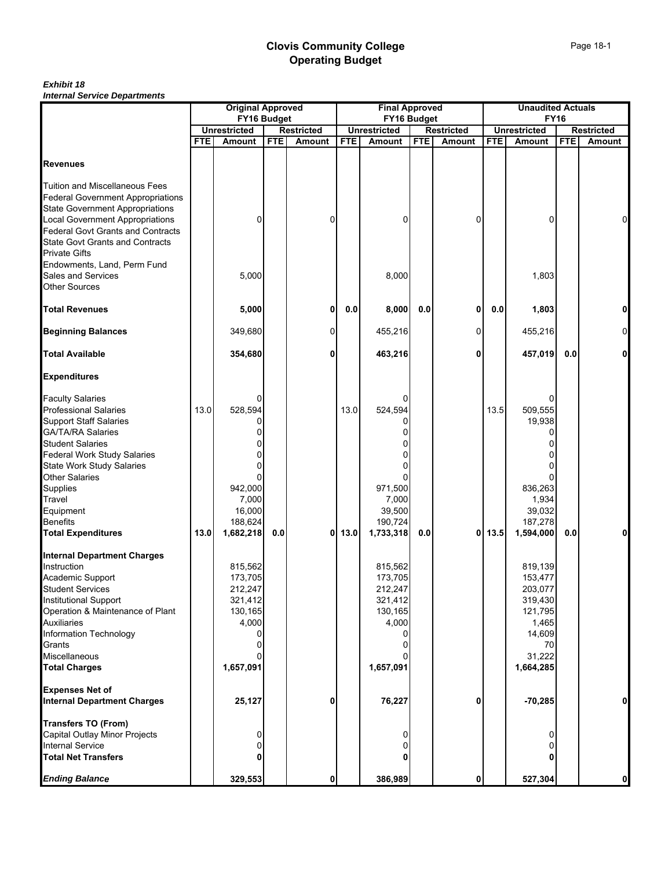|                                                                                                                              | <b>Original Approved</b> |                     |            |                   |            | <b>Final Approved</b> |            |                   |            | <b>Unaudited Actuals</b> |            |                   |
|------------------------------------------------------------------------------------------------------------------------------|--------------------------|---------------------|------------|-------------------|------------|-----------------------|------------|-------------------|------------|--------------------------|------------|-------------------|
|                                                                                                                              |                          | FY16 Budget         |            |                   |            | FY16 Budget           |            |                   |            | <b>FY16</b>              |            |                   |
|                                                                                                                              |                          | <b>Unrestricted</b> |            | <b>Restricted</b> |            | <b>Unrestricted</b>   |            | <b>Restricted</b> |            | <b>Unrestricted</b>      |            | <b>Restricted</b> |
|                                                                                                                              | <b>FTE</b>               | <b>Amount</b>       | <b>FTE</b> | <b>Amount</b>     | <b>FTE</b> | <b>Amount</b>         | <b>FTE</b> | <b>Amount</b>     | <b>FTE</b> | Amount                   | <b>FTE</b> | <b>Amount</b>     |
| <b>Revenues</b>                                                                                                              |                          |                     |            |                   |            |                       |            |                   |            |                          |            |                   |
| <b>Tuition and Miscellaneous Fees</b><br><b>Federal Government Appropriations</b>                                            |                          |                     |            |                   |            |                       |            |                   |            |                          |            |                   |
| <b>State Government Appropriations</b>                                                                                       |                          |                     |            |                   |            |                       |            |                   |            |                          |            |                   |
| <b>Local Government Appropriations</b><br><b>Federal Govt Grants and Contracts</b><br><b>State Govt Grants and Contracts</b> |                          | $\Omega$            |            | 0                 |            | 0                     |            | 0                 |            | 0                        |            | $\mathbf 0$       |
| <b>Private Gifts</b><br>Endowments, Land, Perm Fund                                                                          |                          |                     |            |                   |            |                       |            |                   |            |                          |            |                   |
| Sales and Services<br><b>Other Sources</b>                                                                                   |                          | 5,000               |            |                   |            | 8,000                 |            |                   |            | 1,803                    |            |                   |
| <b>Total Revenues</b>                                                                                                        |                          | 5,000               |            | 0                 | 0.0        | 8,000                 | 0.0        | 0                 | 0.0        | 1,803                    |            | 0                 |
| <b>Beginning Balances</b>                                                                                                    |                          | 349,680             |            | 0                 |            | 455,216               |            | 0                 |            | 455,216                  |            | $\mathbf 0$       |
| <b>Total Available</b>                                                                                                       |                          | 354,680             |            | 0                 |            | 463,216               |            | 0                 |            | 457,019                  | 0.0        | $\mathbf{0}$      |
| <b>Expenditures</b>                                                                                                          |                          |                     |            |                   |            |                       |            |                   |            |                          |            |                   |
| <b>Faculty Salaries</b>                                                                                                      |                          |                     |            |                   |            |                       |            |                   |            |                          |            |                   |
| <b>Professional Salaries</b>                                                                                                 | 13.0                     | 528,594             |            |                   | 13.0       | 524,594               |            |                   | 13.5       | 509,555                  |            |                   |
| <b>Support Staff Salaries</b>                                                                                                |                          |                     |            |                   |            |                       |            |                   |            | 19,938                   |            |                   |
| <b>GA/TA/RA Salaries</b>                                                                                                     |                          |                     |            |                   |            | 0                     |            |                   |            |                          |            |                   |
| <b>Student Salaries</b>                                                                                                      |                          |                     |            |                   |            | 0                     |            |                   |            |                          |            |                   |
| <b>Federal Work Study Salaries</b>                                                                                           |                          | 0                   |            |                   |            |                       |            |                   |            |                          |            |                   |
| <b>State Work Study Salaries</b>                                                                                             |                          | 0                   |            |                   |            |                       |            |                   |            |                          |            |                   |
| <b>Other Salaries</b>                                                                                                        |                          |                     |            |                   |            | 0                     |            |                   |            |                          |            |                   |
| Supplies                                                                                                                     |                          | 942,000             |            |                   |            | 971,500               |            |                   |            | 836,263                  |            |                   |
| Travel                                                                                                                       |                          | 7,000               |            |                   |            | 7,000                 |            |                   |            | 1,934                    |            |                   |
| Equipment                                                                                                                    |                          | 16,000              |            |                   |            | 39,500                |            |                   |            | 39,032                   |            |                   |
| <b>Benefits</b>                                                                                                              |                          | 188,624             |            |                   |            | 190,724               |            |                   |            | 187,278                  |            |                   |
| <b>Total Expenditures</b>                                                                                                    | 13.0                     | 1,682,218           | 0.0        | 0                 | 13.0       | 1,733,318             | 0.0        |                   | $0$ 13.5   | 1,594,000                | 0.0        | 0                 |
| <b>Internal Department Charges</b><br>Instruction                                                                            |                          | 815,562             |            |                   |            | 815,562               |            |                   |            | 819,139                  |            |                   |
| Academic Support                                                                                                             |                          | 173,705             |            |                   |            | 173,705               |            |                   |            | 153,477                  |            |                   |
| <b>Student Services</b>                                                                                                      |                          | 212,247             |            |                   |            | 212,247               |            |                   |            | 203,077                  |            |                   |
| <b>Institutional Support</b>                                                                                                 |                          | 321,412             |            |                   |            | 321,412               |            |                   |            | 319,430                  |            |                   |
| Operation & Maintenance of Plant                                                                                             |                          | 130,165             |            |                   |            | 130,165               |            |                   |            | 121,795                  |            |                   |
| <b>Auxiliaries</b>                                                                                                           |                          | 4,000               |            |                   |            | 4,000                 |            |                   |            | 1,465                    |            |                   |
| Information Technology                                                                                                       |                          | 0                   |            |                   |            | 0                     |            |                   |            | 14,609                   |            |                   |
| Grants                                                                                                                       |                          |                     |            |                   |            |                       |            |                   |            | 70                       |            |                   |
| Miscellaneous                                                                                                                |                          |                     |            |                   |            |                       |            |                   |            | 31,222                   |            |                   |
| <b>Total Charges</b>                                                                                                         |                          | 1,657,091           |            |                   |            | 1,657,091             |            |                   |            | 1,664,285                |            |                   |
|                                                                                                                              |                          |                     |            |                   |            |                       |            |                   |            |                          |            |                   |
| <b>Expenses Net of</b>                                                                                                       |                          |                     |            |                   |            |                       |            |                   |            |                          |            |                   |
| <b>Internal Department Charges</b>                                                                                           |                          | 25,127              |            | 0                 |            | 76,227                |            | 0                 |            | $-70,285$                |            | 0                 |
| <b>Transfers TO (From)</b>                                                                                                   |                          |                     |            |                   |            |                       |            |                   |            |                          |            |                   |
| Capital Outlay Minor Projects                                                                                                |                          | 0                   |            |                   |            | 0                     |            |                   |            |                          |            |                   |
| <b>Internal Service</b><br><b>Total Net Transfers</b>                                                                        |                          | 0                   |            |                   |            | 0<br>0                |            |                   |            | 0                        |            |                   |
| <b>Ending Balance</b>                                                                                                        |                          | 329,553             |            | 0                 |            | 386,989               |            | $\mathbf{0}$      |            | 527,304                  |            | $\mathbf{0}$      |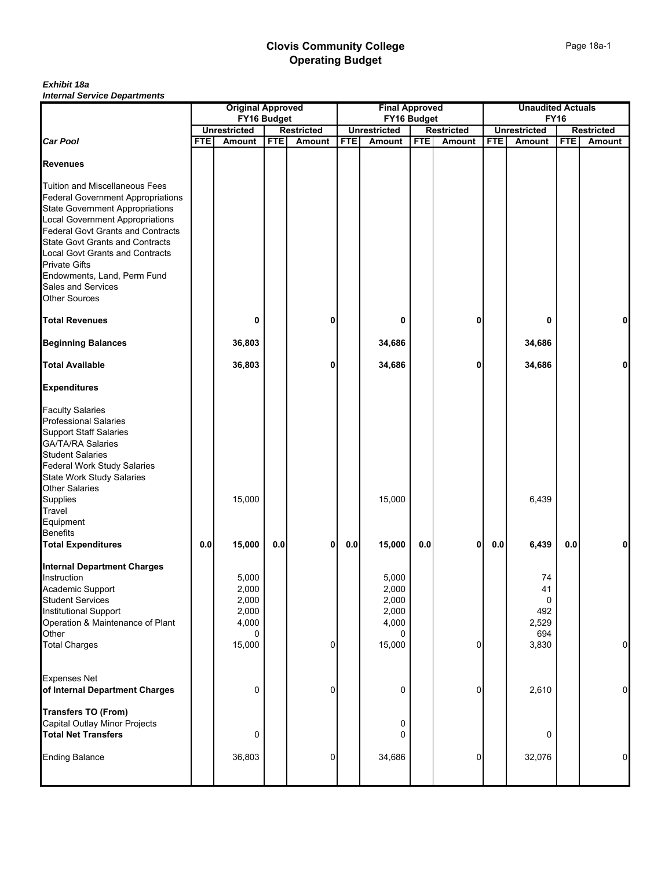| mental och noc Departments                                                                                                                                                                                                                                                                                                                                                                                 |            | <b>Original Approved</b><br>FY16 Budget        |            |                   |            | <b>Final Approved</b><br>FY16 Budget           |            |                   |            | <b>Unaudited Actuals</b><br><b>FY16</b> |            |                   |
|------------------------------------------------------------------------------------------------------------------------------------------------------------------------------------------------------------------------------------------------------------------------------------------------------------------------------------------------------------------------------------------------------------|------------|------------------------------------------------|------------|-------------------|------------|------------------------------------------------|------------|-------------------|------------|-----------------------------------------|------------|-------------------|
|                                                                                                                                                                                                                                                                                                                                                                                                            |            | <b>Unrestricted</b>                            |            | <b>Restricted</b> |            | <b>Unrestricted</b>                            |            | <b>Restricted</b> |            | <b>Unrestricted</b>                     |            | <b>Restricted</b> |
| <b>Car Pool</b>                                                                                                                                                                                                                                                                                                                                                                                            | <b>FTE</b> | Amount                                         | <b>FTE</b> | <b>Amount</b>     | <b>FTE</b> | Amount                                         | <b>FTE</b> | Amount            | <b>FTE</b> | Amount                                  | <b>FTE</b> | Amount            |
| <b>Revenues</b>                                                                                                                                                                                                                                                                                                                                                                                            |            |                                                |            |                   |            |                                                |            |                   |            |                                         |            |                   |
| <b>Tuition and Miscellaneous Fees</b><br><b>Federal Government Appropriations</b><br><b>State Government Appropriations</b><br><b>Local Government Appropriations</b><br><b>Federal Govt Grants and Contracts</b><br><b>State Govt Grants and Contracts</b><br><b>Local Govt Grants and Contracts</b><br><b>Private Gifts</b><br>Endowments, Land, Perm Fund<br>Sales and Services<br><b>Other Sources</b> |            |                                                |            |                   |            |                                                |            |                   |            |                                         |            |                   |
| <b>Total Revenues</b>                                                                                                                                                                                                                                                                                                                                                                                      |            | 0                                              |            | 0                 |            | 0                                              |            | 0                 |            | 0                                       |            | 0                 |
| <b>Beginning Balances</b>                                                                                                                                                                                                                                                                                                                                                                                  |            | 36,803                                         |            |                   |            | 34,686                                         |            |                   |            | 34,686                                  |            |                   |
| <b>Total Available</b>                                                                                                                                                                                                                                                                                                                                                                                     |            | 36,803                                         |            | 0                 |            | 34,686                                         |            | 0                 |            | 34,686                                  |            | 0                 |
| <b>Expenditures</b>                                                                                                                                                                                                                                                                                                                                                                                        |            |                                                |            |                   |            |                                                |            |                   |            |                                         |            |                   |
| <b>Faculty Salaries</b><br><b>Professional Salaries</b><br><b>Support Staff Salaries</b><br><b>GA/TA/RA Salaries</b><br><b>Student Salaries</b><br><b>Federal Work Study Salaries</b><br><b>State Work Study Salaries</b><br><b>Other Salaries</b><br>Supplies<br>Travel<br>Equipment                                                                                                                      |            | 15,000                                         |            |                   |            | 15,000                                         |            |                   |            | 6,439                                   |            |                   |
| <b>Benefits</b><br><b>Total Expenditures</b>                                                                                                                                                                                                                                                                                                                                                               | 0.0        | 15,000                                         | 0.0        | 0                 | 0.0        | 15,000                                         | 0.0        | 0                 | 0.0        | 6,439                                   | 0.0        | 0                 |
| <b>Internal Department Charges</b><br>Instruction<br>Academic Support<br><b>Student Services</b><br><b>Institutional Support</b><br>Operation & Maintenance of Plant<br>Other                                                                                                                                                                                                                              |            | 5,000<br>2,000<br>2,000<br>2,000<br>4,000<br>0 |            |                   |            | 5,000<br>2,000<br>2,000<br>2,000<br>4,000<br>0 |            |                   |            | 74<br>41<br>0<br>492<br>2,529<br>694    |            |                   |
| <b>Total Charges</b>                                                                                                                                                                                                                                                                                                                                                                                       |            | 15,000                                         |            | 0                 |            | 15,000                                         |            | $\Omega$          |            | 3,830                                   |            | $\overline{0}$    |
| <b>Expenses Net</b><br>of Internal Department Charges                                                                                                                                                                                                                                                                                                                                                      |            | 0                                              |            | 0                 |            | 0                                              |            | $\Omega$          |            | 2,610                                   |            | $\overline{0}$    |
| <b>Transfers TO (From)</b><br>Capital Outlay Minor Projects<br><b>Total Net Transfers</b>                                                                                                                                                                                                                                                                                                                  |            | 0                                              |            |                   |            | 0<br>$\Omega$                                  |            |                   |            | 0                                       |            |                   |
| <b>Ending Balance</b>                                                                                                                                                                                                                                                                                                                                                                                      |            | 36,803                                         |            | 0                 |            | 34,686                                         |            | $\overline{0}$    |            | 32,076                                  |            | $\overline{0}$    |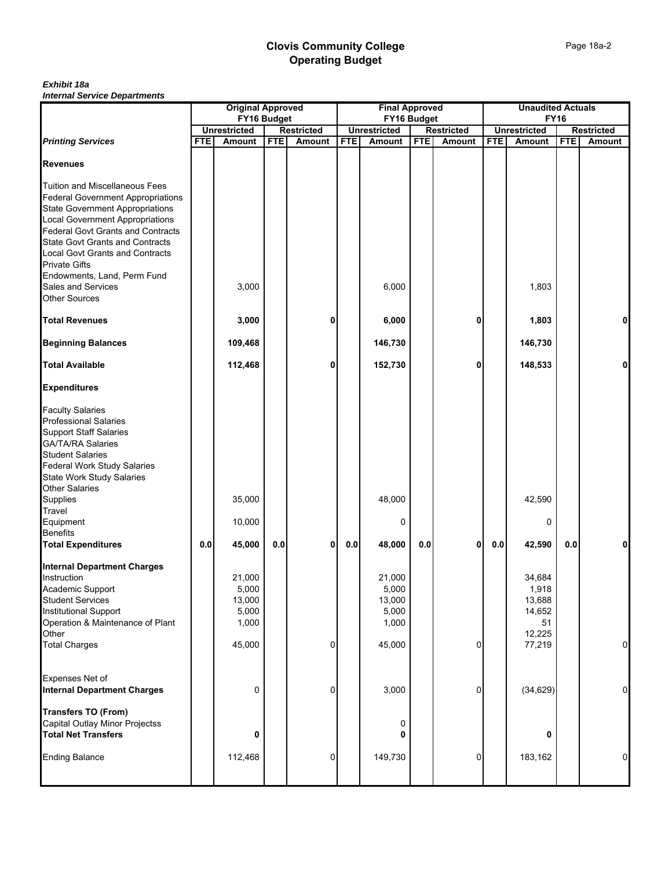| <i><u><b>INGHAI JERVICE DEPARTIMENTS</b></u></i>                   |            | <b>Original Approved</b> |            |                   | <b>Final Approved</b> |                     |            |                   | <b>Unaudited Actuals</b> |                     |             |                   |
|--------------------------------------------------------------------|------------|--------------------------|------------|-------------------|-----------------------|---------------------|------------|-------------------|--------------------------|---------------------|-------------|-------------------|
|                                                                    |            | FY16 Budget              |            |                   |                       | FY16 Budget         |            |                   |                          |                     | <b>FY16</b> |                   |
|                                                                    |            | <b>Unrestricted</b>      |            | <b>Restricted</b> |                       | <b>Unrestricted</b> |            | <b>Restricted</b> |                          | <b>Unrestricted</b> |             | <b>Restricted</b> |
| <b>Printing Services</b>                                           | <b>FTE</b> | Amount                   | <b>FTE</b> | Amount            | <b>FTE</b>            | <b>Amount</b>       | <b>FTE</b> | Amount            | <b>FTE</b>               | Amount              | <b>FTE</b>  | Amount            |
| <b>Revenues</b>                                                    |            |                          |            |                   |                       |                     |            |                   |                          |                     |             |                   |
| <b>Tuition and Miscellaneous Fees</b>                              |            |                          |            |                   |                       |                     |            |                   |                          |                     |             |                   |
| <b>Federal Government Appropriations</b>                           |            |                          |            |                   |                       |                     |            |                   |                          |                     |             |                   |
| State Government Appropriations<br>Local Government Appropriations |            |                          |            |                   |                       |                     |            |                   |                          |                     |             |                   |
|                                                                    |            |                          |            |                   |                       |                     |            |                   |                          |                     |             |                   |
| <b>Federal Govt Grants and Contracts</b>                           |            |                          |            |                   |                       |                     |            |                   |                          |                     |             |                   |
| <b>State Govt Grants and Contracts</b>                             |            |                          |            |                   |                       |                     |            |                   |                          |                     |             |                   |
| <b>Local Govt Grants and Contracts</b>                             |            |                          |            |                   |                       |                     |            |                   |                          |                     |             |                   |
| <b>Private Gifts</b>                                               |            |                          |            |                   |                       |                     |            |                   |                          |                     |             |                   |
| Endowments, Land, Perm Fund                                        |            |                          |            |                   |                       |                     |            |                   |                          |                     |             |                   |
| Sales and Services<br>Other Sources                                |            | 3,000                    |            |                   |                       | 6,000               |            |                   |                          | 1,803               |             |                   |
|                                                                    |            |                          |            |                   |                       |                     |            |                   |                          |                     |             |                   |
| <b>Total Revenues</b>                                              |            | 3,000                    |            | 0                 |                       | 6,000               |            | 0                 |                          | 1,803               |             | 0                 |
| <b>Beginning Balances</b>                                          |            | 109,468                  |            |                   |                       | 146,730             |            |                   |                          | 146,730             |             |                   |
| <b>Total Available</b>                                             |            | 112,468                  |            | 0                 |                       | 152,730             |            | 0                 |                          | 148,533             |             | 0                 |
| <b>Expenditures</b>                                                |            |                          |            |                   |                       |                     |            |                   |                          |                     |             |                   |
| <b>Faculty Salaries</b>                                            |            |                          |            |                   |                       |                     |            |                   |                          |                     |             |                   |
| <b>Professional Salaries</b>                                       |            |                          |            |                   |                       |                     |            |                   |                          |                     |             |                   |
| <b>Support Staff Salaries</b>                                      |            |                          |            |                   |                       |                     |            |                   |                          |                     |             |                   |
| GA/TA/RA Salaries                                                  |            |                          |            |                   |                       |                     |            |                   |                          |                     |             |                   |
| <b>Student Salaries</b>                                            |            |                          |            |                   |                       |                     |            |                   |                          |                     |             |                   |
| <b>Federal Work Study Salaries</b>                                 |            |                          |            |                   |                       |                     |            |                   |                          |                     |             |                   |
| State Work Study Salaries                                          |            |                          |            |                   |                       |                     |            |                   |                          |                     |             |                   |
| <b>Other Salaries</b>                                              |            |                          |            |                   |                       |                     |            |                   |                          |                     |             |                   |
| Supplies                                                           |            | 35,000                   |            |                   |                       | 48,000              |            |                   |                          | 42,590              |             |                   |
| Travel<br>Equipment                                                |            | 10,000                   |            |                   |                       | 0                   |            |                   |                          | 0                   |             |                   |
| <b>Benefits</b>                                                    |            |                          |            |                   |                       |                     |            |                   |                          |                     |             |                   |
| <b>Total Expenditures</b>                                          | 0.0        | 45,000                   | 0.0        | $\mathbf{0}$      | $0.0\,$               | 48,000              | 0.0        | 0                 | $0.0\,$                  | 42,590              | 0.0         | 0                 |
| <b>Internal Department Charges</b>                                 |            |                          |            |                   |                       |                     |            |                   |                          |                     |             |                   |
| Instruction                                                        |            | 21,000                   |            |                   |                       | 21,000              |            |                   |                          | 34,684              |             |                   |
| Academic Support                                                   |            | 5,000                    |            |                   |                       | 5,000               |            |                   |                          | 1,918               |             |                   |
| Academic Support                                                   |            | 13,000                   |            |                   |                       | 13,000              |            |                   |                          | 13,688              |             |                   |
| <b>Institutional Support</b>                                       |            | 5,000                    |            |                   |                       | 5,000               |            |                   |                          | 14,652              |             |                   |
| Operation & Maintenance of Plant                                   |            | 1,000                    |            |                   |                       | 1,000               |            |                   |                          | 51                  |             |                   |
| Other                                                              |            |                          |            |                   |                       |                     |            |                   |                          | 12,225              |             |                   |
| <b>Total Charges</b>                                               |            | 45,000                   |            | $\mathbf 0$       |                       | 45,000              |            | $\mathbf 0$       |                          | 77,219              |             | 0                 |
| <b>Expenses Net of</b>                                             |            |                          |            |                   |                       |                     |            |                   |                          |                     |             |                   |
| <b>Internal Department Charges</b>                                 |            | $\mathbf 0$              |            | $\overline{0}$    |                       | 3,000               |            | 0                 |                          | (34, 629)           |             | 0                 |
| <b>Transfers TO (From)</b>                                         |            |                          |            |                   |                       |                     |            |                   |                          |                     |             |                   |
| Capital Outlay Minor Projectss                                     |            |                          |            |                   |                       | 0                   |            |                   |                          |                     |             |                   |
| <b>Total Net Transfers</b>                                         |            | 0                        |            |                   |                       |                     |            |                   |                          | 0                   |             |                   |
| <b>Ending Balance</b>                                              |            | 112,468                  |            | 0                 |                       | 149,730             |            | 0                 |                          | 183,162             |             | 0                 |
|                                                                    |            |                          |            |                   |                       |                     |            |                   |                          |                     |             |                   |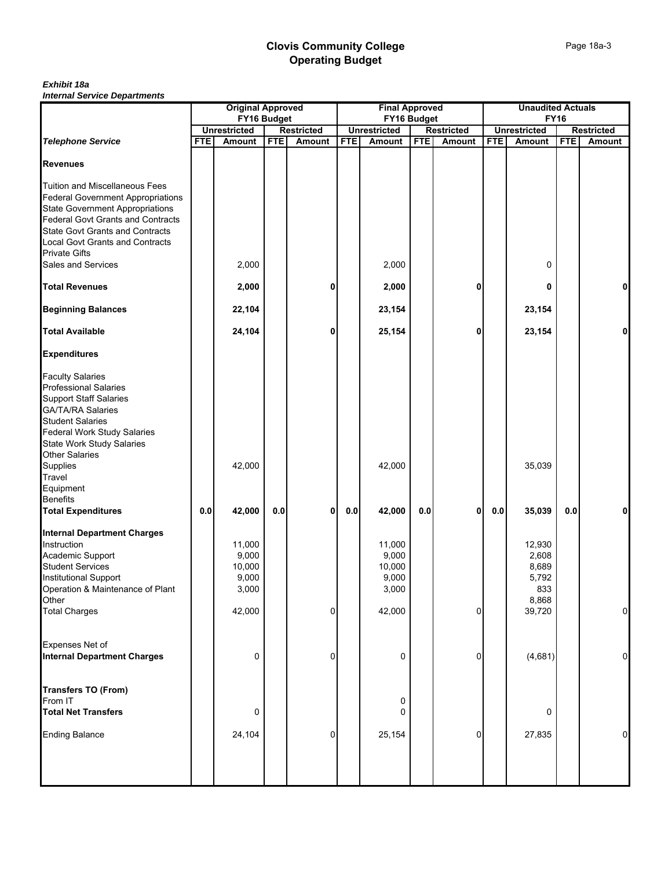| <i><u><b>HIGHAI SEIVICE DEPARTIMENTS</b></u></i> |            | <b>Original Approved</b> |            |                   |            | <b>Final Approved</b> |            |                   |            | <b>Unaudited Actuals</b> |             |                   |
|--------------------------------------------------|------------|--------------------------|------------|-------------------|------------|-----------------------|------------|-------------------|------------|--------------------------|-------------|-------------------|
|                                                  |            | FY16 Budget              |            |                   |            | FY16 Budget           |            |                   |            |                          | <b>FY16</b> |                   |
|                                                  |            | <b>Unrestricted</b>      |            | <b>Restricted</b> |            | <b>Unrestricted</b>   |            | <b>Restricted</b> |            | <b>Unrestricted</b>      |             | <b>Restricted</b> |
| <b>Telephone Service</b>                         | <b>FTE</b> | Amount                   | <b>FTE</b> | Amount            | <b>FTE</b> | Amount                | <b>FTE</b> | <b>Amount</b>     | <b>FTE</b> | Amount                   | <b>FTE</b>  | Amount            |
| <b>Revenues</b>                                  |            |                          |            |                   |            |                       |            |                   |            |                          |             |                   |
| <b>Tuition and Miscellaneous Fees</b>            |            |                          |            |                   |            |                       |            |                   |            |                          |             |                   |
| <b>Federal Government Appropriations</b>         |            |                          |            |                   |            |                       |            |                   |            |                          |             |                   |
| <b>State Government Appropriations</b>           |            |                          |            |                   |            |                       |            |                   |            |                          |             |                   |
| <b>Federal Govt Grants and Contracts</b>         |            |                          |            |                   |            |                       |            |                   |            |                          |             |                   |
| <b>State Govt Grants and Contracts</b>           |            |                          |            |                   |            |                       |            |                   |            |                          |             |                   |
| <b>Local Govt Grants and Contracts</b>           |            |                          |            |                   |            |                       |            |                   |            |                          |             |                   |
| <b>Private Gifts</b>                             |            |                          |            |                   |            |                       |            |                   |            |                          |             |                   |
| <b>Sales and Services</b>                        |            | 2,000                    |            |                   |            | 2,000                 |            |                   |            | 0                        |             |                   |
| <b>Total Revenues</b>                            |            | 2,000                    |            | 0                 |            | 2,000                 |            | 0                 |            | 0                        |             | 0                 |
| <b>Beginning Balances</b>                        |            | 22,104                   |            |                   |            | 23,154                |            |                   |            | 23,154                   |             |                   |
|                                                  |            |                          |            |                   |            |                       |            |                   |            |                          |             |                   |
| <b>Total Available</b>                           |            | 24,104                   |            |                   |            | 25,154                |            | 0                 |            | 23,154                   |             | 0                 |
| <b>Expenditures</b>                              |            |                          |            |                   |            |                       |            |                   |            |                          |             |                   |
| <b>Faculty Salaries</b>                          |            |                          |            |                   |            |                       |            |                   |            |                          |             |                   |
| <b>Professional Salaries</b>                     |            |                          |            |                   |            |                       |            |                   |            |                          |             |                   |
| <b>Support Staff Salaries</b>                    |            |                          |            |                   |            |                       |            |                   |            |                          |             |                   |
| <b>GA/TA/RA Salaries</b>                         |            |                          |            |                   |            |                       |            |                   |            |                          |             |                   |
| <b>Student Salaries</b>                          |            |                          |            |                   |            |                       |            |                   |            |                          |             |                   |
| Federal Work Study Salaries                      |            |                          |            |                   |            |                       |            |                   |            |                          |             |                   |
| <b>State Work Study Salaries</b>                 |            |                          |            |                   |            |                       |            |                   |            |                          |             |                   |
| <b>Other Salaries</b>                            |            |                          |            |                   |            |                       |            |                   |            |                          |             |                   |
| Supplies                                         |            | 42,000                   |            |                   |            | 42,000                |            |                   |            | 35,039                   |             |                   |
| Travel                                           |            |                          |            |                   |            |                       |            |                   |            |                          |             |                   |
| Equipment                                        |            |                          |            |                   |            |                       |            |                   |            |                          |             |                   |
| <b>Benefits</b>                                  |            |                          |            |                   |            |                       |            |                   |            |                          |             |                   |
| <b>Total Expenditures</b>                        | 0.0        | 42,000                   | 0.0        | 0                 | $0.0\,$    | 42,000                | $0.0\,$    | 0                 | 0.0        | 35,039                   | $0.0\,$     | 0                 |
| <b>Internal Department Charges</b>               |            |                          |            |                   |            |                       |            |                   |            |                          |             |                   |
| Instruction                                      |            | 11,000                   |            |                   |            | 11,000                |            |                   |            | 12,930                   |             |                   |
| Academic Support                                 |            | 9,000                    |            |                   |            | 9,000                 |            |                   |            | 2,608                    |             |                   |
| <b>Student Services</b>                          |            | 10,000                   |            |                   |            | 10,000                |            |                   |            | 8,689                    |             |                   |
| <b>Institutional Support</b>                     |            | 9,000                    |            |                   |            | 9,000                 |            |                   |            | 5,792                    |             |                   |
| Operation & Maintenance of Plant                 |            | 3,000                    |            |                   |            | 3,000                 |            |                   |            | 833                      |             |                   |
| Other                                            |            |                          |            |                   |            |                       |            |                   |            | 8,868                    |             |                   |
| <b>Total Charges</b>                             |            | 42,000                   |            | 0                 |            | 42,000                |            | $\mathbf 0$       |            | 39,720                   |             | $\mathbf 0$       |
| <b>Expenses Net of</b>                           |            |                          |            |                   |            |                       |            |                   |            |                          |             |                   |
|                                                  |            |                          |            |                   |            |                       |            |                   |            |                          |             |                   |
| <b>Internal Department Charges</b>               |            | $\pmb{0}$                |            | 0                 |            | 0                     |            | $\overline{0}$    |            | (4,681)                  |             | 0                 |
| <b>Transfers TO (From)</b>                       |            |                          |            |                   |            |                       |            |                   |            |                          |             |                   |
| From IT                                          |            |                          |            |                   |            | 0                     |            |                   |            |                          |             |                   |
| <b>Total Net Transfers</b>                       |            | 0                        |            |                   |            | $\Omega$              |            |                   |            | 0                        |             |                   |
| <b>Ending Balance</b>                            |            | 24,104                   |            | 0                 |            | 25,154                |            | $\overline{0}$    |            | 27,835                   |             | 0                 |
|                                                  |            |                          |            |                   |            |                       |            |                   |            |                          |             |                   |
|                                                  |            |                          |            |                   |            |                       |            |                   |            |                          |             |                   |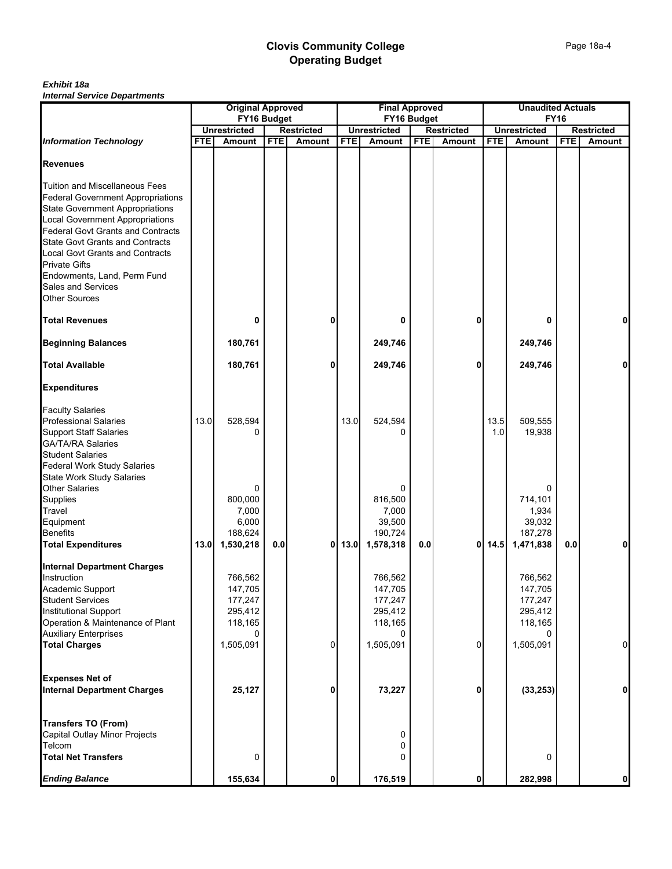| <i><u><b>INGHAI JERVICE DEPARTIMENTS</b></u></i>                                                                                                                                                           | <b>Original Approved</b> |                               |            |                   |            | <b>Final Approved</b>         |            |                   |            | <b>Unaudited Actuals</b>      |             |                   |
|------------------------------------------------------------------------------------------------------------------------------------------------------------------------------------------------------------|--------------------------|-------------------------------|------------|-------------------|------------|-------------------------------|------------|-------------------|------------|-------------------------------|-------------|-------------------|
|                                                                                                                                                                                                            |                          | FY16 Budget                   |            |                   |            | FY16 Budget                   |            |                   |            |                               | <b>FY16</b> |                   |
| <b>Information Technology</b>                                                                                                                                                                              | <b>FTE</b>               | <b>Unrestricted</b>           | <b>FTE</b> | <b>Restricted</b> | <b>FTE</b> | <b>Unrestricted</b>           | <b>FTE</b> | <b>Restricted</b> | <b>FTE</b> | <b>Unrestricted</b>           | <b>FTE</b>  | <b>Restricted</b> |
|                                                                                                                                                                                                            |                          | Amount                        |            | Amount            |            | <b>Amount</b>                 |            | <b>Amount</b>     |            | Amount                        |             | Amount            |
| <b>Revenues</b>                                                                                                                                                                                            |                          |                               |            |                   |            |                               |            |                   |            |                               |             |                   |
| <b>Tuition and Miscellaneous Fees</b><br><b>Federal Government Appropriations</b><br><b>State Government Appropriations</b><br>Local Government Appropriations<br><b>Federal Govt Grants and Contracts</b> |                          |                               |            |                   |            |                               |            |                   |            |                               |             |                   |
| <b>State Govt Grants and Contracts</b><br><b>Local Govt Grants and Contracts</b><br><b>Private Gifts</b><br>Endowments, Land, Perm Fund                                                                    |                          |                               |            |                   |            |                               |            |                   |            |                               |             |                   |
| Sales and Services<br>Other Sources                                                                                                                                                                        |                          |                               |            |                   |            |                               |            |                   |            |                               |             |                   |
| <b>Total Revenues</b>                                                                                                                                                                                      |                          | 0                             |            | 0                 |            | 0                             |            | 0                 |            | 0                             |             | 0                 |
| <b>Beginning Balances</b>                                                                                                                                                                                  |                          | 180,761                       |            |                   |            | 249,746                       |            |                   |            | 249,746                       |             |                   |
| <b>Total Available</b>                                                                                                                                                                                     |                          | 180,761                       |            | 0                 |            | 249,746                       |            | 0                 |            | 249,746                       |             | 0                 |
| <b>Expenditures</b>                                                                                                                                                                                        |                          |                               |            |                   |            |                               |            |                   |            |                               |             |                   |
| <b>Faculty Salaries</b><br><b>Professional Salaries</b>                                                                                                                                                    | 13.0                     | 528,594                       |            |                   | 13.0       | 524,594                       |            |                   | 13.5       | 509,555                       |             |                   |
| <b>Support Staff Salaries</b><br>GA/TA/RA Salaries<br><b>Student Salaries</b>                                                                                                                              |                          | 0                             |            |                   |            |                               |            |                   | 1.0        | 19,938                        |             |                   |
| <b>Federal Work Study Salaries</b><br>State Work Study Salaries<br><b>Other Salaries</b>                                                                                                                   |                          | 0                             |            |                   |            |                               |            |                   |            | 0                             |             |                   |
| Supplies<br>Travel<br>Equipment                                                                                                                                                                            |                          | 800,000<br>7,000<br>6,000     |            |                   |            | 816,500<br>7,000<br>39,500    |            |                   |            | 714,101<br>1,934<br>39,032    |             |                   |
| <b>Benefits</b><br><b>Total Expenditures</b>                                                                                                                                                               | 13.0                     | 188,624<br>1,530,218          | 0.0        | 01                | 13.0       | 190,724<br>1,578,318          | 0.0        | 0                 | 14.5       | 187,278<br>1,471,838          | 0.0         | 0                 |
| <b>Internal Department Charges</b><br>Instruction                                                                                                                                                          |                          | 766,562                       |            |                   |            | 766,562                       |            |                   |            | 766,562                       |             |                   |
| Academic Support<br>Student Services<br><b>Institutional Support</b>                                                                                                                                       |                          | 147,705<br>177,247<br>295,412 |            |                   |            | 147,705<br>177,247<br>295,412 |            |                   |            | 147,705<br>177,247<br>295,412 |             |                   |
| Operation & Maintenance of Plant<br>Auxiliary Enterprises<br><b>Total Charges</b>                                                                                                                          |                          | 118,165<br>0<br>1,505,091     |            | 0                 |            | 118,165<br>1,505,091          |            | $\mathbf 0$       |            | 118,165<br>1,505,091          |             | 0                 |
| <b>Expenses Net of</b><br><b>Internal Department Charges</b>                                                                                                                                               |                          | 25,127                        |            | 0                 |            | 73,227                        |            | 0                 |            | (33, 253)                     |             | $\mathbf{0}$      |
| <b>Transfers TO (From)</b>                                                                                                                                                                                 |                          |                               |            |                   |            |                               |            |                   |            |                               |             |                   |
| Capital Outlay Minor Projects<br>Telcom<br><b>Total Net Transfers</b>                                                                                                                                      |                          | 0                             |            |                   |            | 0<br>0<br>0                   |            |                   |            | 0                             |             |                   |
| <b>Ending Balance</b>                                                                                                                                                                                      |                          | 155,634                       |            | 0                 |            | 176,519                       |            | 0                 |            | 282,998                       |             | $\mathbf 0$       |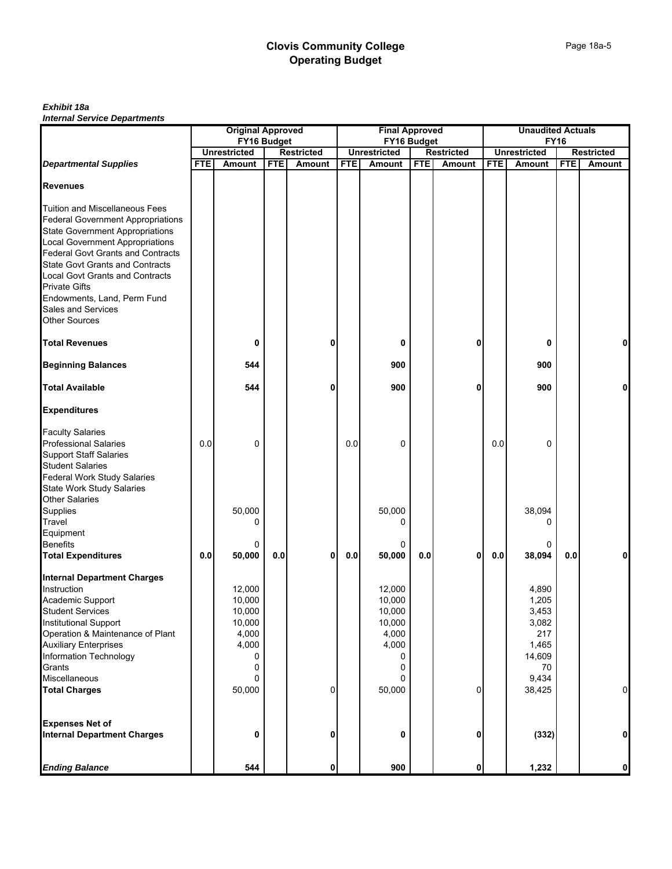### *Exhibit 18a*

*Internal Service Departments*

|                                                                                                                              |            | <b>Original Approved</b> |            |                   |             | <b>Final Approved</b> |            |                   |             | <b>Unaudited Actuals</b> |            |                   |
|------------------------------------------------------------------------------------------------------------------------------|------------|--------------------------|------------|-------------------|-------------|-----------------------|------------|-------------------|-------------|--------------------------|------------|-------------------|
|                                                                                                                              |            | FY16 Budget              |            |                   | FY16 Budget |                       |            |                   | <b>FY16</b> |                          |            |                   |
| <b>Departmental Supplies</b>                                                                                                 | <b>FTE</b> | <b>Unrestricted</b>      |            | <b>Restricted</b> | <b>FTE</b>  | <b>Unrestricted</b>   |            | <b>Restricted</b> | <b>FTE</b>  | <b>Unrestricted</b>      | <b>FTE</b> | <b>Restricted</b> |
|                                                                                                                              |            | <b>Amount</b>            | <b>FTE</b> | <b>Amount</b>     |             | Amount                | <b>FTE</b> | <b>Amount</b>     |             | <b>Amount</b>            |            | Amount            |
| <b>Revenues</b>                                                                                                              |            |                          |            |                   |             |                       |            |                   |             |                          |            |                   |
| <b>Tuition and Miscellaneous Fees</b><br><b>Federal Government Appropriations</b><br><b>State Government Appropriations</b>  |            |                          |            |                   |             |                       |            |                   |             |                          |            |                   |
| <b>Local Government Appropriations</b><br><b>Federal Govt Grants and Contracts</b><br><b>State Govt Grants and Contracts</b> |            |                          |            |                   |             |                       |            |                   |             |                          |            |                   |
| <b>Local Govt Grants and Contracts</b><br><b>Private Gifts</b><br>Endowments, Land, Perm Fund                                |            |                          |            |                   |             |                       |            |                   |             |                          |            |                   |
| <b>Sales and Services</b><br><b>Other Sources</b>                                                                            |            |                          |            |                   |             |                       |            |                   |             |                          |            |                   |
| <b>Total Revenues</b>                                                                                                        |            | 0                        |            | O                 |             | 0                     |            | 0                 |             | 0                        |            | 0                 |
| <b>Beginning Balances</b>                                                                                                    |            | 544                      |            |                   |             | 900                   |            |                   |             | 900                      |            |                   |
| <b>Total Available</b>                                                                                                       |            | 544                      |            | 0                 |             | 900                   |            | 0                 |             | 900                      |            | 0                 |
| <b>Expenditures</b>                                                                                                          |            |                          |            |                   |             |                       |            |                   |             |                          |            |                   |
| <b>Faculty Salaries</b>                                                                                                      |            |                          |            |                   |             |                       |            |                   |             |                          |            |                   |
| <b>Professional Salaries</b><br><b>Support Staff Salaries</b>                                                                | 0.0        | 0                        |            |                   | 0.0         | 0                     |            |                   | 0.0         | 0                        |            |                   |
| <b>Student Salaries</b>                                                                                                      |            |                          |            |                   |             |                       |            |                   |             |                          |            |                   |
| <b>Federal Work Study Salaries</b><br><b>State Work Study Salaries</b>                                                       |            |                          |            |                   |             |                       |            |                   |             |                          |            |                   |
| <b>Other Salaries</b>                                                                                                        |            |                          |            |                   |             |                       |            |                   |             |                          |            |                   |
| Supplies                                                                                                                     |            | 50,000                   |            |                   |             | 50,000                |            |                   |             | 38,094                   |            |                   |
| Travel<br>Equipment                                                                                                          |            | 0                        |            |                   |             |                       |            |                   |             | 0                        |            |                   |
| <b>Benefits</b>                                                                                                              |            | 0                        |            |                   |             |                       |            |                   |             | 0                        |            |                   |
| <b>Total Expenditures</b>                                                                                                    | 0.0        | 50,000                   | 0.0        | 0                 | $0.0\,$     | 50,000                | 0.0        | 0                 | $0.0\,$     | 38,094                   | 0.0        | 0                 |
| <b>Internal Department Charges</b>                                                                                           |            |                          |            |                   |             |                       |            |                   |             |                          |            |                   |
| Instruction<br>Academic Support                                                                                              |            | 12,000<br>10,000         |            |                   |             | 12,000<br>10,000      |            |                   |             | 4,890<br>1,205           |            |                   |
| <b>Student Services</b>                                                                                                      |            | 10,000                   |            |                   |             | 10,000                |            |                   |             | 3,453                    |            |                   |
| <b>Institutional Support</b>                                                                                                 |            | 10,000                   |            |                   |             | 10,000                |            |                   |             | 3,082                    |            |                   |
| Operation & Maintenance of Plant                                                                                             |            | 4,000                    |            |                   |             | 4,000                 |            |                   |             | 217                      |            |                   |
| <b>Auxiliary Enterprises</b>                                                                                                 |            | 4,000                    |            |                   |             | 4,000                 |            |                   |             | 1,465                    |            |                   |
| Information Technology                                                                                                       |            | 0                        |            |                   |             | 0                     |            |                   |             | 14,609                   |            |                   |
| Grants<br>Miscellaneous                                                                                                      |            | 0<br>0                   |            |                   |             | 0                     |            |                   |             | 70<br>9,434              |            |                   |
| <b>Total Charges</b>                                                                                                         |            | 50,000                   |            | 0                 |             | 50,000                |            | $\overline{0}$    |             | 38,425                   |            | $\pmb{0}$         |
| <b>Expenses Net of</b>                                                                                                       |            |                          |            |                   |             |                       |            |                   |             |                          |            |                   |
| <b>Internal Department Charges</b>                                                                                           |            | 0                        |            | 0                 |             | 0                     |            | 0                 |             | (332)                    |            | 0                 |
| <b>Ending Balance</b>                                                                                                        |            | 544                      |            | 0                 |             | 900                   |            | $\mathbf{0}$      |             | 1,232                    |            | 0                 |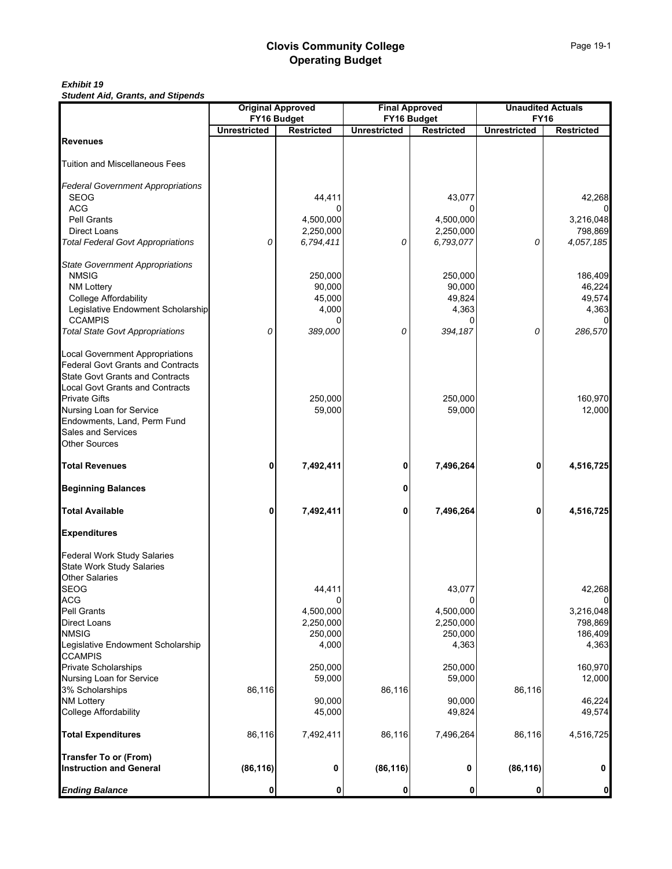### *Exhibit 19 Student Aid, Grants, and Stipends*

|                                                                                                                                                                 |                     | <b>Original Approved</b>         |                     | <b>Final Approved</b>            |                                    | <b>Unaudited Actuals</b> |
|-----------------------------------------------------------------------------------------------------------------------------------------------------------------|---------------------|----------------------------------|---------------------|----------------------------------|------------------------------------|--------------------------|
|                                                                                                                                                                 | <b>Unrestricted</b> | FY16 Budget<br><b>Restricted</b> | <b>Unrestricted</b> | FY16 Budget<br><b>Restricted</b> | <b>FY16</b><br><b>Unrestricted</b> | <b>Restricted</b>        |
| Revenues                                                                                                                                                        |                     |                                  |                     |                                  |                                    |                          |
| Tuition and Miscellaneous Fees                                                                                                                                  |                     |                                  |                     |                                  |                                    |                          |
| <b>Federal Government Appropriations</b>                                                                                                                        |                     |                                  |                     |                                  |                                    |                          |
| <b>SEOG</b>                                                                                                                                                     |                     | 44,411                           |                     | 43,077                           |                                    | 42,268                   |
| <b>ACG</b>                                                                                                                                                      |                     |                                  |                     | 0                                |                                    | 0                        |
| Pell Grants                                                                                                                                                     |                     | 4,500,000                        |                     | 4,500,000                        |                                    | 3,216,048                |
| Direct Loans                                                                                                                                                    |                     | 2,250,000                        |                     | 2,250,000                        |                                    | 798,869                  |
| <b>Total Federal Govt Appropriations</b>                                                                                                                        | 0                   | 6,794,411                        | 0                   | 6,793,077                        | 0                                  | 4,057,185                |
| <b>State Government Appropriations</b>                                                                                                                          |                     |                                  |                     |                                  |                                    |                          |
| <b>NMSIG</b>                                                                                                                                                    |                     | 250,000                          |                     | 250,000                          |                                    | 186,409                  |
| <b>NM Lottery</b>                                                                                                                                               |                     | 90,000                           |                     | 90,000                           |                                    | 46,224                   |
| <b>College Affordability</b>                                                                                                                                    |                     | 45,000                           |                     | 49,824                           |                                    | 49,574                   |
| Legislative Endowment Scholarship                                                                                                                               |                     | 4,000                            |                     | 4,363                            |                                    | 4,363                    |
| <b>CCAMPIS</b>                                                                                                                                                  |                     |                                  |                     | 0                                |                                    |                          |
| <b>Total State Govt Appropriations</b>                                                                                                                          | 0                   | 389,000                          | 0                   | 394,187                          | 0                                  | 286,570                  |
| <b>Local Government Appropriations</b><br><b>Federal Govt Grants and Contracts</b><br><b>State Govt Grants and Contracts</b><br>Local Govt Grants and Contracts |                     |                                  |                     |                                  |                                    |                          |
| <b>Private Gifts</b>                                                                                                                                            |                     | 250,000                          |                     | 250,000                          |                                    | 160,970                  |
| Nursing Loan for Service                                                                                                                                        |                     | 59,000                           |                     | 59,000                           |                                    | 12,000                   |
| Endowments, Land, Perm Fund                                                                                                                                     |                     |                                  |                     |                                  |                                    |                          |
| Sales and Services                                                                                                                                              |                     |                                  |                     |                                  |                                    |                          |
| Other Sources                                                                                                                                                   |                     |                                  |                     |                                  |                                    |                          |
| <b>Total Revenues</b>                                                                                                                                           | 0                   | 7,492,411                        | 0                   | 7,496,264                        | 0                                  | 4,516,725                |
| <b>Beginning Balances</b>                                                                                                                                       |                     |                                  | 0                   |                                  |                                    |                          |
| <b>Total Available</b>                                                                                                                                          | 0                   | 7,492,411                        | 0                   | 7,496,264                        | 0                                  | 4,516,725                |
| <b>Expenditures</b>                                                                                                                                             |                     |                                  |                     |                                  |                                    |                          |
| Federal Work Study Salaries<br><b>State Work Study Salaries</b>                                                                                                 |                     |                                  |                     |                                  |                                    |                          |
| <b>Other Salaries</b>                                                                                                                                           |                     |                                  |                     |                                  |                                    |                          |
| <b>SEOG</b>                                                                                                                                                     |                     | 44,411                           |                     | 43,077                           |                                    | 42,268                   |
| ACG                                                                                                                                                             |                     | 0                                |                     | 0                                |                                    | 0                        |
| <b>Pell Grants</b>                                                                                                                                              |                     | 4,500,000                        |                     | 4,500,000                        |                                    | 3,216,048                |
| <b>Direct Loans</b>                                                                                                                                             |                     | 2,250,000                        |                     | 2,250,000                        |                                    | 798,869                  |
| <b>NMSIG</b>                                                                                                                                                    |                     | 250,000                          |                     | 250,000                          |                                    | 186,409                  |
| Legislative Endowment Scholarship                                                                                                                               |                     | 4,000                            |                     | 4,363                            |                                    | 4,363                    |
| <b>CCAMPIS</b>                                                                                                                                                  |                     |                                  |                     |                                  |                                    |                          |
| Private Scholarships<br>Nursing Loan for Service                                                                                                                |                     | 250,000<br>59,000                |                     | 250,000<br>59,000                |                                    | 160,970<br>12,000        |
| 3% Scholarships                                                                                                                                                 | 86,116              |                                  | 86,116              |                                  | 86,116                             |                          |
| <b>NM Lottery</b>                                                                                                                                               |                     | 90,000                           |                     | 90,000                           |                                    | 46,224                   |
| College Affordability                                                                                                                                           |                     | 45,000                           |                     | 49,824                           |                                    | 49,574                   |
| <b>Total Expenditures</b>                                                                                                                                       | 86,116              | 7,492,411                        | 86,116              | 7,496,264                        | 86,116                             | 4,516,725                |
| <b>Transfer To or (From)</b>                                                                                                                                    |                     |                                  |                     |                                  |                                    |                          |
| <b>Instruction and General</b>                                                                                                                                  | (86, 116)           | 0                                | (86, 116)           | 0                                | (86, 116)                          | 0                        |
| <b>Ending Balance</b>                                                                                                                                           | 0                   |                                  |                     |                                  | 0                                  | $\mathbf{0}$             |
|                                                                                                                                                                 |                     | 0                                | 0                   | 0                                |                                    |                          |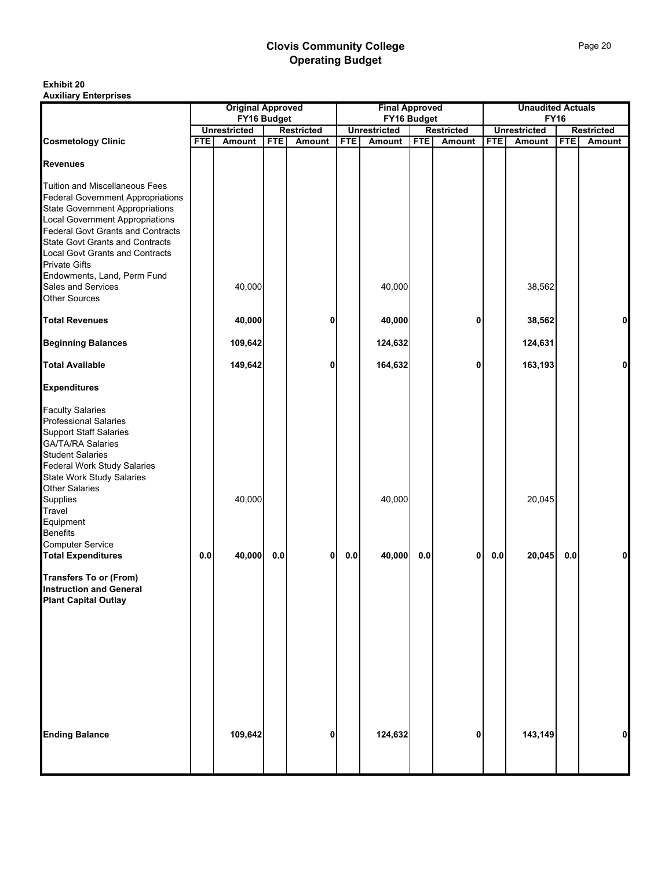### **Exhibit 20 Auxiliary Enterprises**

|                                                                 |            | <b>Original Approved</b>           |            |                   |            | <b>Final Approved</b>         |            |                   |            | <b>Unaudited Actuals</b>           |            |                                    |
|-----------------------------------------------------------------|------------|------------------------------------|------------|-------------------|------------|-------------------------------|------------|-------------------|------------|------------------------------------|------------|------------------------------------|
|                                                                 |            | FY16 Budget<br><b>Unrestricted</b> |            | <b>Restricted</b> |            | FY16 Budget                   |            | <b>Restricted</b> |            | <b>FY16</b><br><b>Unrestricted</b> |            |                                    |
| <b>Cosmetology Clinic</b>                                       | <b>FTE</b> | Amount                             | <b>FTE</b> | <b>Amount</b>     | <b>FTE</b> | <b>Unrestricted</b><br>Amount | <b>FTE</b> | Amount            | <b>FTE</b> | Amount                             | <b>FTE</b> | <b>Restricted</b><br><b>Amount</b> |
|                                                                 |            |                                    |            |                   |            |                               |            |                   |            |                                    |            |                                    |
| <b>Revenues</b>                                                 |            |                                    |            |                   |            |                               |            |                   |            |                                    |            |                                    |
| <b>Tuition and Miscellaneous Fees</b>                           |            |                                    |            |                   |            |                               |            |                   |            |                                    |            |                                    |
| <b>Federal Government Appropriations</b>                        |            |                                    |            |                   |            |                               |            |                   |            |                                    |            |                                    |
| <b>State Government Appropriations</b>                          |            |                                    |            |                   |            |                               |            |                   |            |                                    |            |                                    |
| Local Government Appropriations                                 |            |                                    |            |                   |            |                               |            |                   |            |                                    |            |                                    |
| <b>Federal Govt Grants and Contracts</b>                        |            |                                    |            |                   |            |                               |            |                   |            |                                    |            |                                    |
| <b>State Govt Grants and Contracts</b>                          |            |                                    |            |                   |            |                               |            |                   |            |                                    |            |                                    |
| <b>Local Govt Grants and Contracts</b>                          |            |                                    |            |                   |            |                               |            |                   |            |                                    |            |                                    |
| <b>Private Gifts</b>                                            |            |                                    |            |                   |            |                               |            |                   |            |                                    |            |                                    |
| Endowments, Land, Perm Fund                                     |            |                                    |            |                   |            |                               |            |                   |            |                                    |            |                                    |
| Sales and Services                                              |            | 40,000                             |            |                   |            | 40,000                        |            |                   |            | 38,562                             |            |                                    |
| <b>Other Sources</b>                                            |            |                                    |            |                   |            |                               |            |                   |            |                                    |            |                                    |
| <b>Total Revenues</b>                                           |            | 40,000                             |            | 0                 |            | 40,000                        |            | 0                 |            | 38,562                             |            | 0                                  |
| <b>Beginning Balances</b>                                       |            | 109,642                            |            |                   |            | 124,632                       |            |                   |            | 124,631                            |            |                                    |
| <b>Total Available</b>                                          |            | 149,642                            |            | 0                 |            | 164,632                       |            | 0                 |            | 163,193                            |            | $\mathbf 0$                        |
| <b>Expenditures</b>                                             |            |                                    |            |                   |            |                               |            |                   |            |                                    |            |                                    |
| <b>Faculty Salaries</b>                                         |            |                                    |            |                   |            |                               |            |                   |            |                                    |            |                                    |
| <b>Professional Salaries</b>                                    |            |                                    |            |                   |            |                               |            |                   |            |                                    |            |                                    |
| <b>Support Staff Salaries</b>                                   |            |                                    |            |                   |            |                               |            |                   |            |                                    |            |                                    |
| GA/TA/RA Salaries                                               |            |                                    |            |                   |            |                               |            |                   |            |                                    |            |                                    |
| <b>Student Salaries</b>                                         |            |                                    |            |                   |            |                               |            |                   |            |                                    |            |                                    |
| <b>Federal Work Study Salaries</b>                              |            |                                    |            |                   |            |                               |            |                   |            |                                    |            |                                    |
| <b>State Work Study Salaries</b>                                |            |                                    |            |                   |            |                               |            |                   |            |                                    |            |                                    |
| <b>Other Salaries</b>                                           |            |                                    |            |                   |            |                               |            |                   |            |                                    |            |                                    |
| Supplies                                                        |            | 40,000                             |            |                   |            | 40,000                        |            |                   |            | 20,045                             |            |                                    |
| Travel<br>Equipment                                             |            |                                    |            |                   |            |                               |            |                   |            |                                    |            |                                    |
| <b>Benefits</b>                                                 |            |                                    |            |                   |            |                               |            |                   |            |                                    |            |                                    |
| <b>Computer Service</b>                                         |            |                                    |            |                   |            |                               |            |                   |            |                                    |            |                                    |
| <b>Total Expenditures</b>                                       | 0.0        | 40,000                             | 0.0        | 0                 | 0.0        | 40,000                        | 0.0        | $\mathbf 0$       | 0.0        | 20,045                             | 0.0        | 0                                  |
|                                                                 |            |                                    |            |                   |            |                               |            |                   |            |                                    |            |                                    |
| <b>Transfers To or (From)</b><br><b>Instruction and General</b> |            |                                    |            |                   |            |                               |            |                   |            |                                    |            |                                    |
| <b>Plant Capital Outlay</b>                                     |            |                                    |            |                   |            |                               |            |                   |            |                                    |            |                                    |
|                                                                 |            |                                    |            |                   |            |                               |            |                   |            |                                    |            |                                    |
|                                                                 |            |                                    |            |                   |            |                               |            |                   |            |                                    |            |                                    |
|                                                                 |            |                                    |            |                   |            |                               |            |                   |            |                                    |            |                                    |
|                                                                 |            |                                    |            |                   |            |                               |            |                   |            |                                    |            |                                    |
|                                                                 |            |                                    |            |                   |            |                               |            |                   |            |                                    |            |                                    |
|                                                                 |            |                                    |            |                   |            |                               |            |                   |            |                                    |            |                                    |
|                                                                 |            |                                    |            |                   |            |                               |            |                   |            |                                    |            |                                    |
|                                                                 |            |                                    |            |                   |            |                               |            |                   |            |                                    |            |                                    |
|                                                                 |            |                                    |            |                   |            |                               |            |                   |            |                                    |            |                                    |
| <b>Ending Balance</b>                                           |            | 109,642                            |            | 0                 |            | 124,632                       |            | 0                 |            | 143,149                            |            | 0                                  |
|                                                                 |            |                                    |            |                   |            |                               |            |                   |            |                                    |            |                                    |
|                                                                 |            |                                    |            |                   |            |                               |            |                   |            |                                    |            |                                    |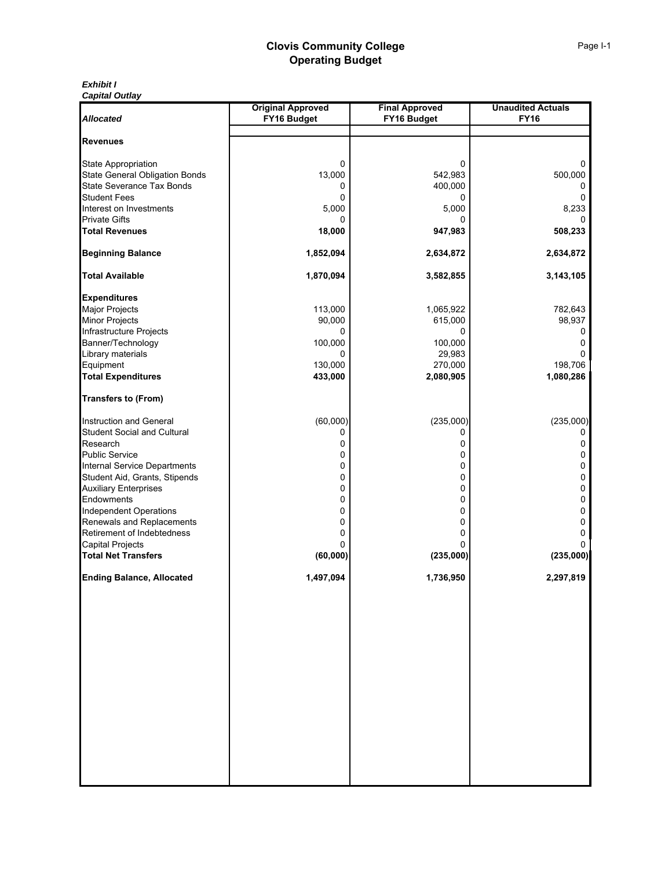|                                               | <b>Original Approved</b> | <b>Final Approved</b> | <b>Unaudited Actuals</b> |
|-----------------------------------------------|--------------------------|-----------------------|--------------------------|
| <b>Allocated</b>                              | FY16 Budget              | FY16 Budget           | <b>FY16</b>              |
| <b>Revenues</b>                               |                          |                       |                          |
|                                               |                          |                       |                          |
| <b>State Appropriation</b>                    | 0                        | 0                     | 0                        |
| <b>State General Obligation Bonds</b>         | 13,000                   | 542,983               | 500,000                  |
| <b>State Severance Tax Bonds</b>              | 0                        | 400,000               | 0                        |
| <b>Student Fees</b>                           | 0                        | 0                     | 0                        |
| Interest on Investments                       | 5,000                    | 5,000                 | 8,233                    |
| <b>Private Gifts</b><br><b>Total Revenues</b> | 0                        |                       | 0                        |
|                                               | 18,000                   | 947,983               | 508,233                  |
| <b>Beginning Balance</b>                      | 1,852,094                | 2,634,872             | 2,634,872                |
| <b>Total Available</b>                        | 1,870,094                | 3,582,855             | 3,143,105                |
| <b>Expenditures</b>                           |                          |                       |                          |
| Major Projects                                | 113,000                  | 1,065,922             | 782,643                  |
| <b>Minor Projects</b>                         | 90,000                   | 615,000               | 98,937                   |
| Infrastructure Projects                       | 0                        | 0                     | 0                        |
| Banner/Technology                             | 100,000                  | 100,000               | 0                        |
| Library materials                             | 0                        | 29,983                | 0                        |
| Equipment                                     | 130,000                  | 270,000               | 198,706                  |
| <b>Total Expenditures</b>                     | 433,000                  | 2,080,905             | 1,080,286                |
| <b>Transfers to (From)</b>                    |                          |                       |                          |
| Instruction and General                       | (60,000)                 | (235,000)             | (235,000)                |
| <b>Student Social and Cultural</b>            | 0                        | 0                     | 0                        |
| Research                                      | 0                        | 0                     | 0                        |
| <b>Public Service</b>                         | 0                        | 0                     | 0                        |
| Internal Service Departments                  | 0                        | 0                     | 0                        |
| Student Aid, Grants, Stipends                 | 0                        | 0                     | 0                        |
| <b>Auxiliary Enterprises</b>                  | 0                        | 0                     | 0                        |
| Endowments                                    | 0                        | 0                     | 0                        |
| Independent Operations                        | 0                        | 0                     | 0                        |
| Renewals and Replacements                     | 0                        | 0                     | 0                        |
| Retirement of Indebtedness                    | 0                        | 0                     | 0                        |
| <b>Capital Projects</b>                       | 0                        | 0                     | 0                        |
| <b>Total Net Transfers</b>                    | (60,000)                 | (235,000)             | (235,000)                |
| <b>Ending Balance, Allocated</b>              | 1,497,094                | 1,736,950             | 2,297,819                |
|                                               |                          |                       |                          |
|                                               |                          |                       |                          |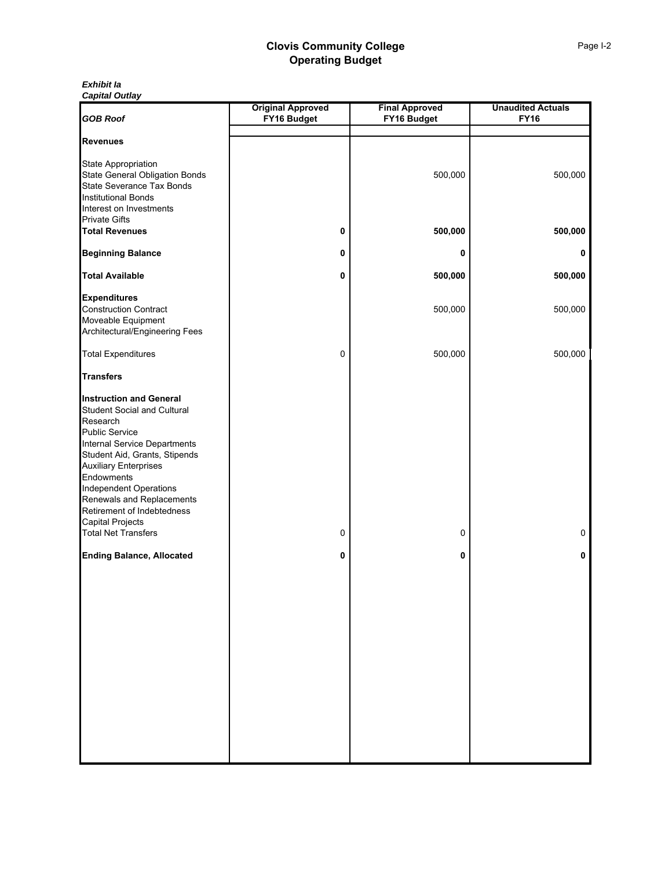|                                                                                                                                                                                                                                                                                                                                                                        | <b>Original Approved</b> | <b>Final Approved</b> | <b>Unaudited Actuals</b> |
|------------------------------------------------------------------------------------------------------------------------------------------------------------------------------------------------------------------------------------------------------------------------------------------------------------------------------------------------------------------------|--------------------------|-----------------------|--------------------------|
| <b>GOB Roof</b>                                                                                                                                                                                                                                                                                                                                                        | FY16 Budget              | FY16 Budget           | <b>FY16</b>              |
| <b>Revenues</b>                                                                                                                                                                                                                                                                                                                                                        |                          |                       |                          |
| State Appropriation<br>State General Obligation Bonds<br><b>State Severance Tax Bonds</b><br><b>Institutional Bonds</b><br>Interest on Investments                                                                                                                                                                                                                     |                          | 500,000               | 500,000                  |
| <b>Private Gifts</b>                                                                                                                                                                                                                                                                                                                                                   |                          |                       |                          |
| <b>Total Revenues</b>                                                                                                                                                                                                                                                                                                                                                  | 0                        | 500,000               | 500,000                  |
| <b>Beginning Balance</b>                                                                                                                                                                                                                                                                                                                                               | 0                        | 0                     | 0                        |
| <b>Total Available</b>                                                                                                                                                                                                                                                                                                                                                 | 0                        | 500,000               | 500,000                  |
| <b>Expenditures</b><br><b>Construction Contract</b><br>Moveable Equipment<br>Architectural/Engineering Fees                                                                                                                                                                                                                                                            |                          | 500,000               | 500,000                  |
| <b>Total Expenditures</b>                                                                                                                                                                                                                                                                                                                                              | 0                        | 500,000               | 500,000                  |
| <b>Transfers</b>                                                                                                                                                                                                                                                                                                                                                       |                          |                       |                          |
| <b>Instruction and General</b><br><b>Student Social and Cultural</b><br>Research<br><b>Public Service</b><br>Internal Service Departments<br>Student Aid, Grants, Stipends<br><b>Auxiliary Enterprises</b><br>Endowments<br>Independent Operations<br>Renewals and Replacements<br>Retirement of Indebtedness<br><b>Capital Projects</b><br><b>Total Net Transfers</b> | 0                        | 0                     | 0                        |
| <b>Ending Balance, Allocated</b>                                                                                                                                                                                                                                                                                                                                       | 0                        | 0                     | 0                        |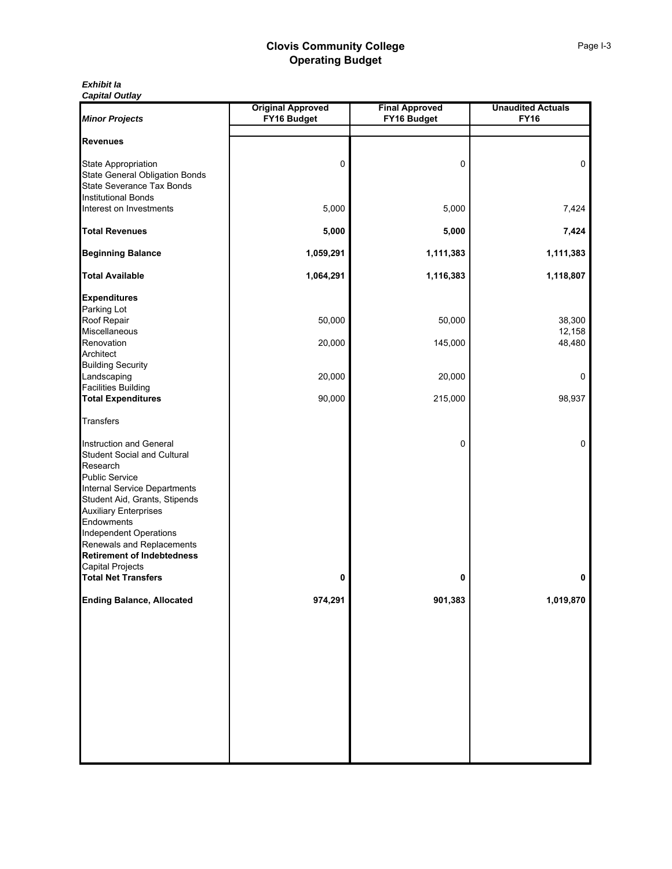|                                                                                                                                                                                                                                                                                                                                                                                      | <b>Original Approved</b> | <b>Final Approved</b> | <b>Unaudited Actuals</b>   |
|--------------------------------------------------------------------------------------------------------------------------------------------------------------------------------------------------------------------------------------------------------------------------------------------------------------------------------------------------------------------------------------|--------------------------|-----------------------|----------------------------|
| <b>Minor Projects</b>                                                                                                                                                                                                                                                                                                                                                                | FY16 Budget              | FY16 Budget           | <b>FY16</b>                |
| <b>Revenues</b>                                                                                                                                                                                                                                                                                                                                                                      |                          |                       |                            |
| <b>State Appropriation</b><br><b>State General Obligation Bonds</b><br>State Severance Tax Bonds                                                                                                                                                                                                                                                                                     | 0                        | 0                     | $\mathsf{O}\xspace$        |
| <b>Institutional Bonds</b><br>Interest on Investments                                                                                                                                                                                                                                                                                                                                | 5,000                    | 5,000                 | 7,424                      |
| <b>Total Revenues</b>                                                                                                                                                                                                                                                                                                                                                                | 5,000                    | 5,000                 | 7,424                      |
| <b>Beginning Balance</b>                                                                                                                                                                                                                                                                                                                                                             | 1,059,291                | 1,111,383             | 1,111,383                  |
| <b>Total Available</b>                                                                                                                                                                                                                                                                                                                                                               | 1,064,291                | 1,116,383             | 1,118,807                  |
| <b>Expenditures</b><br>Parking Lot<br>Roof Repair<br>Miscellaneous<br>Renovation<br>Architect                                                                                                                                                                                                                                                                                        | 50,000<br>20,000         | 50,000<br>145,000     | 38,300<br>12,158<br>48,480 |
| <b>Building Security</b><br>Landscaping<br><b>Facilities Building</b><br><b>Total Expenditures</b>                                                                                                                                                                                                                                                                                   | 20,000<br>90,000         | 20,000<br>215,000     | 0<br>98,937                |
| Transfers                                                                                                                                                                                                                                                                                                                                                                            |                          |                       |                            |
| Instruction and General<br><b>Student Social and Cultural</b><br>Research<br><b>Public Service</b><br><b>Internal Service Departments</b><br>Student Aid, Grants, Stipends<br><b>Auxiliary Enterprises</b><br>Endowments<br><b>Independent Operations</b><br>Renewals and Replacements<br><b>Retirement of Indebtedness</b><br><b>Capital Projects</b><br><b>Total Net Transfers</b> | 0                        | 0<br>0                | 0<br>0                     |
| <b>Ending Balance, Allocated</b>                                                                                                                                                                                                                                                                                                                                                     | 974,291                  | 901,383               | 1,019,870                  |
|                                                                                                                                                                                                                                                                                                                                                                                      |                          |                       |                            |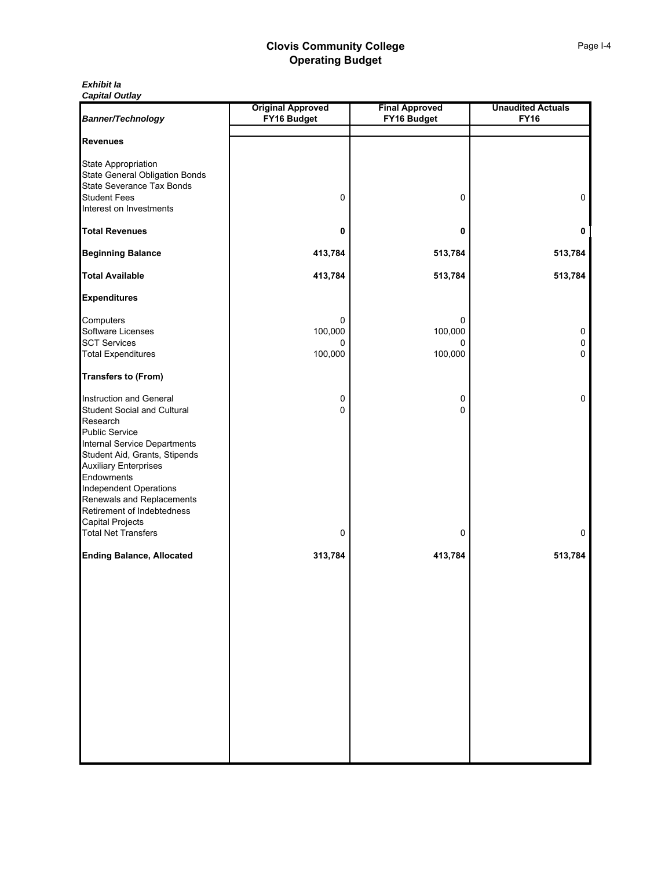|                                                                                                                                                                                                                                                                                                                            | <b>Original Approved</b> | <b>Final Approved</b> | <b>Unaudited Actuals</b> |
|----------------------------------------------------------------------------------------------------------------------------------------------------------------------------------------------------------------------------------------------------------------------------------------------------------------------------|--------------------------|-----------------------|--------------------------|
| <b>Banner/Technology</b>                                                                                                                                                                                                                                                                                                   | FY16 Budget              | FY16 Budget           | <b>FY16</b>              |
| <b>Revenues</b>                                                                                                                                                                                                                                                                                                            |                          |                       |                          |
| State Appropriation<br><b>State General Obligation Bonds</b><br><b>State Severance Tax Bonds</b>                                                                                                                                                                                                                           |                          |                       |                          |
| <b>Student Fees</b><br>Interest on Investments                                                                                                                                                                                                                                                                             | 0                        | 0                     | 0                        |
| <b>Total Revenues</b>                                                                                                                                                                                                                                                                                                      | 0                        | 0                     | 0                        |
| <b>Beginning Balance</b>                                                                                                                                                                                                                                                                                                   | 413,784                  | 513,784               | 513,784                  |
| <b>Total Available</b>                                                                                                                                                                                                                                                                                                     | 413,784                  | 513,784               | 513,784                  |
| <b>Expenditures</b>                                                                                                                                                                                                                                                                                                        |                          |                       |                          |
| Computers<br>Software Licenses                                                                                                                                                                                                                                                                                             | 0<br>100,000             | 0<br>100,000          | 0                        |
| <b>SCT Services</b>                                                                                                                                                                                                                                                                                                        | 0                        | 0                     | 0                        |
| <b>Total Expenditures</b>                                                                                                                                                                                                                                                                                                  | 100,000                  | 100,000               | $\Omega$                 |
| <b>Transfers to (From)</b>                                                                                                                                                                                                                                                                                                 |                          |                       |                          |
| Instruction and General<br>Student Social and Cultural<br>Research<br><b>Public Service</b><br>Internal Service Departments<br>Student Aid, Grants, Stipends<br><b>Auxiliary Enterprises</b><br>Endowments<br>Independent Operations<br>Renewals and Replacements<br>Retirement of Indebtedness<br><b>Capital Projects</b> | 0<br>0                   | 0<br>0                | $\mathsf{O}\xspace$      |
| <b>Total Net Transfers</b>                                                                                                                                                                                                                                                                                                 | 0                        | 0                     | $\mathbf 0$              |
| <b>Ending Balance, Allocated</b>                                                                                                                                                                                                                                                                                           | 313,784                  | 413,784               | 513,784                  |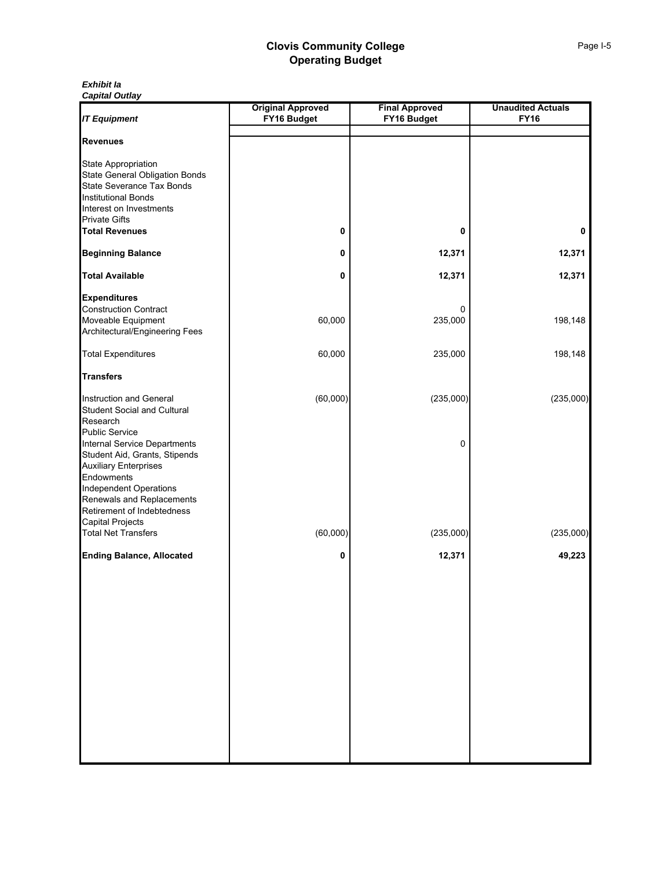|                                                                                                                                                                                                                             | <b>Original Approved</b> | <b>Final Approved</b> | <b>Unaudited Actuals</b> |
|-----------------------------------------------------------------------------------------------------------------------------------------------------------------------------------------------------------------------------|--------------------------|-----------------------|--------------------------|
| <b>IT Equipment</b>                                                                                                                                                                                                         | FY16 Budget              | FY16 Budget           | <b>FY16</b>              |
| <b>Revenues</b>                                                                                                                                                                                                             |                          |                       |                          |
| <b>State Appropriation</b><br><b>State General Obligation Bonds</b><br>State Severance Tax Bonds                                                                                                                            |                          |                       |                          |
| <b>Institutional Bonds</b><br>Interest on Investments                                                                                                                                                                       |                          |                       |                          |
| <b>Private Gifts</b>                                                                                                                                                                                                        |                          |                       |                          |
| <b>Total Revenues</b>                                                                                                                                                                                                       | 0                        | 0                     | 0                        |
| <b>Beginning Balance</b>                                                                                                                                                                                                    | 0                        | 12,371                | 12,371                   |
| <b>Total Available</b>                                                                                                                                                                                                      | 0                        | 12,371                | 12,371                   |
| <b>Expenditures</b>                                                                                                                                                                                                         |                          |                       |                          |
| <b>Construction Contract</b><br>Moveable Equipment                                                                                                                                                                          |                          | 0                     |                          |
| Architectural/Engineering Fees                                                                                                                                                                                              | 60,000                   | 235,000               | 198,148                  |
| <b>Total Expenditures</b>                                                                                                                                                                                                   | 60,000                   | 235,000               | 198,148                  |
| <b>Transfers</b>                                                                                                                                                                                                            |                          |                       |                          |
| Instruction and General<br><b>Student Social and Cultural</b><br>Research<br><b>Public Service</b>                                                                                                                          | (60,000)                 | (235,000)             | (235,000)                |
| Internal Service Departments<br>Student Aid, Grants, Stipends<br><b>Auxiliary Enterprises</b><br>Endowments<br>Independent Operations<br>Renewals and Replacements<br>Retirement of Indebtedness<br><b>Capital Projects</b> |                          | 0                     |                          |
| <b>Total Net Transfers</b>                                                                                                                                                                                                  | (60,000)                 | (235,000)             | (235,000)                |
| <b>Ending Balance, Allocated</b>                                                                                                                                                                                            | 0                        | 12,371                | 49,223                   |
|                                                                                                                                                                                                                             |                          |                       |                          |
|                                                                                                                                                                                                                             |                          |                       |                          |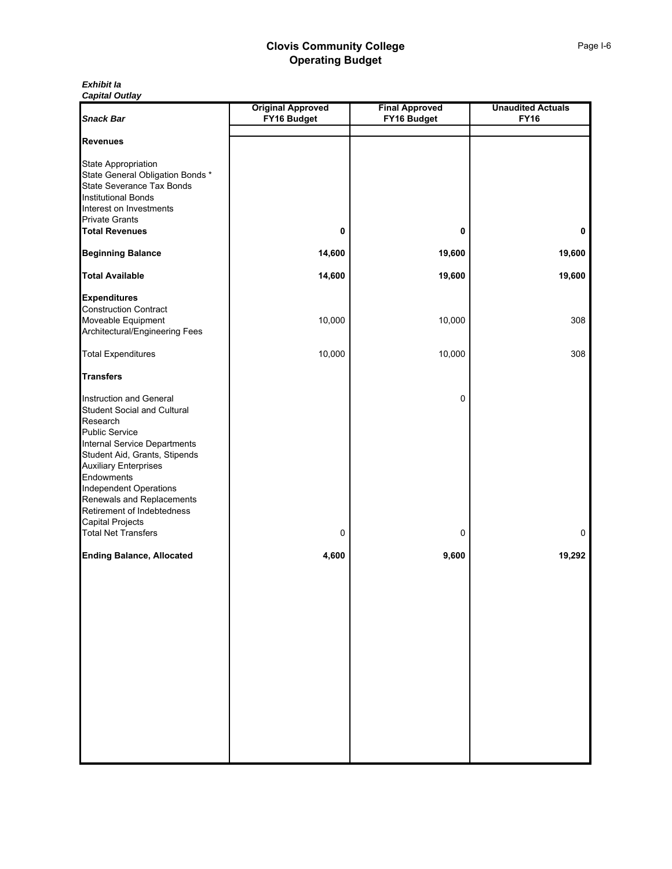|                                                                                                                                                                                                                                                                                                                                                                                              | <b>Original Approved</b> | <b>Final Approved</b> | <b>Unaudited Actuals</b> |
|----------------------------------------------------------------------------------------------------------------------------------------------------------------------------------------------------------------------------------------------------------------------------------------------------------------------------------------------------------------------------------------------|--------------------------|-----------------------|--------------------------|
| <b>Snack Bar</b>                                                                                                                                                                                                                                                                                                                                                                             | FY16 Budget              | FY16 Budget           | <b>FY16</b>              |
| <b>Revenues</b>                                                                                                                                                                                                                                                                                                                                                                              |                          |                       |                          |
| State Appropriation<br>State General Obligation Bonds *<br>State Severance Tax Bonds<br><b>Institutional Bonds</b><br>Interest on Investments<br><b>Private Grants</b>                                                                                                                                                                                                                       |                          |                       |                          |
| <b>Total Revenues</b>                                                                                                                                                                                                                                                                                                                                                                        | 0                        | 0                     | 0                        |
| <b>Beginning Balance</b>                                                                                                                                                                                                                                                                                                                                                                     | 14,600                   | 19,600                | 19,600                   |
| <b>Total Available</b>                                                                                                                                                                                                                                                                                                                                                                       | 14,600                   | 19,600                | 19,600                   |
| <b>Expenditures</b><br><b>Construction Contract</b><br>Moveable Equipment<br>Architectural/Engineering Fees                                                                                                                                                                                                                                                                                  | 10,000                   | 10,000                | 308                      |
| <b>Total Expenditures</b>                                                                                                                                                                                                                                                                                                                                                                    | 10,000                   | 10,000                | 308                      |
| <b>Transfers</b>                                                                                                                                                                                                                                                                                                                                                                             |                          |                       |                          |
| Instruction and General<br>Student Social and Cultural<br>Research<br><b>Public Service</b><br>Internal Service Departments<br>Student Aid, Grants, Stipends<br><b>Auxiliary Enterprises</b><br>Endowments<br>Independent Operations<br>Renewals and Replacements<br>Retirement of Indebtedness<br><b>Capital Projects</b><br><b>Total Net Transfers</b><br><b>Ending Balance, Allocated</b> | 0<br>4,600               | 0<br>0<br>9,600       | $\mathsf{O}$<br>19,292   |
|                                                                                                                                                                                                                                                                                                                                                                                              |                          |                       |                          |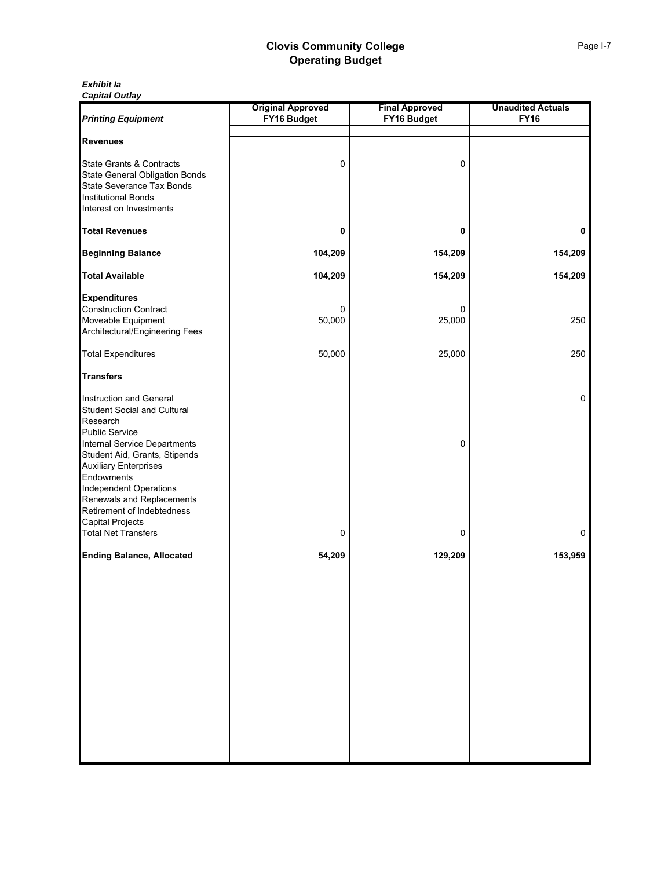|                                                                                                                                                                                                                                                                                                                                                                 | <b>Original Approved</b> | <b>Final Approved</b> | <b>Unaudited Actuals</b> |
|-----------------------------------------------------------------------------------------------------------------------------------------------------------------------------------------------------------------------------------------------------------------------------------------------------------------------------------------------------------------|--------------------------|-----------------------|--------------------------|
| <b>Printing Equipment</b>                                                                                                                                                                                                                                                                                                                                       | FY16 Budget              | FY16 Budget           | <b>FY16</b>              |
| <b>Revenues</b>                                                                                                                                                                                                                                                                                                                                                 |                          |                       |                          |
| <b>State Grants &amp; Contracts</b><br><b>State General Obligation Bonds</b><br>State Severance Tax Bonds<br><b>Institutional Bonds</b><br>Interest on Investments                                                                                                                                                                                              | $\mathbf 0$              | 0                     |                          |
|                                                                                                                                                                                                                                                                                                                                                                 |                          |                       |                          |
| <b>Total Revenues</b>                                                                                                                                                                                                                                                                                                                                           | 0                        | 0                     | 0                        |
| <b>Beginning Balance</b>                                                                                                                                                                                                                                                                                                                                        | 104,209                  | 154,209               | 154,209                  |
| <b>Total Available</b>                                                                                                                                                                                                                                                                                                                                          | 104,209                  | 154,209               | 154,209                  |
| <b>Expenditures</b><br><b>Construction Contract</b><br>Moveable Equipment<br>Architectural/Engineering Fees                                                                                                                                                                                                                                                     | 0<br>50,000              | 0<br>25,000           | 250                      |
| <b>Total Expenditures</b>                                                                                                                                                                                                                                                                                                                                       | 50,000                   | 25,000                | 250                      |
| <b>Transfers</b>                                                                                                                                                                                                                                                                                                                                                |                          |                       |                          |
| Instruction and General<br><b>Student Social and Cultural</b><br>Research<br><b>Public Service</b><br>Internal Service Departments<br>Student Aid, Grants, Stipends<br><b>Auxiliary Enterprises</b><br>Endowments<br>Independent Operations<br>Renewals and Replacements<br>Retirement of Indebtedness<br><b>Capital Projects</b><br><b>Total Net Transfers</b> | 0                        | 0<br>0                | 0<br>$\mathbf 0$         |
| <b>Ending Balance, Allocated</b>                                                                                                                                                                                                                                                                                                                                | 54,209                   | 129,209               | 153,959                  |
|                                                                                                                                                                                                                                                                                                                                                                 |                          |                       |                          |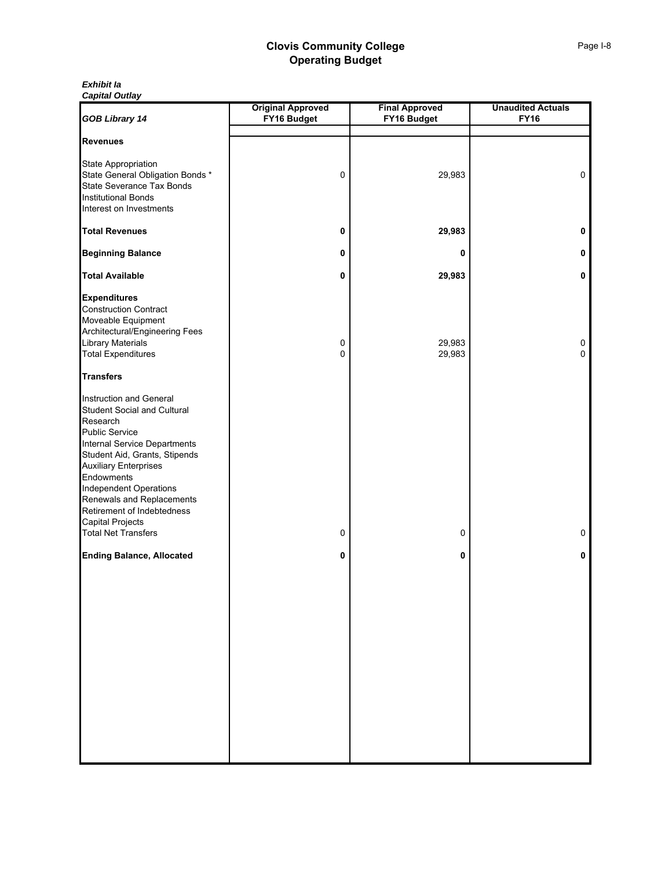| <b>GOB Library 14</b>                                                                                                                                                                                                                                                                                                                                           | <b>Original Approved</b><br>FY16 Budget | <b>Final Approved</b><br>FY16 Budget | <b>Unaudited Actuals</b><br><b>FY16</b> |
|-----------------------------------------------------------------------------------------------------------------------------------------------------------------------------------------------------------------------------------------------------------------------------------------------------------------------------------------------------------------|-----------------------------------------|--------------------------------------|-----------------------------------------|
|                                                                                                                                                                                                                                                                                                                                                                 |                                         |                                      |                                         |
| <b>Revenues</b>                                                                                                                                                                                                                                                                                                                                                 |                                         |                                      |                                         |
| State Appropriation<br>State General Obligation Bonds *<br><b>State Severance Tax Bonds</b><br><b>Institutional Bonds</b><br>Interest on Investments                                                                                                                                                                                                            | 0                                       | 29,983                               | 0                                       |
| <b>Total Revenues</b>                                                                                                                                                                                                                                                                                                                                           | 0                                       | 29,983                               | 0                                       |
| <b>Beginning Balance</b>                                                                                                                                                                                                                                                                                                                                        | 0                                       | 0                                    | 0                                       |
| <b>Total Available</b>                                                                                                                                                                                                                                                                                                                                          | 0                                       | 29,983                               | 0                                       |
| <b>Expenditures</b><br><b>Construction Contract</b><br>Moveable Equipment<br>Architectural/Engineering Fees<br><b>Library Materials</b><br><b>Total Expenditures</b>                                                                                                                                                                                            | 0<br>0                                  | 29,983<br>29,983                     | 0<br>$\mathbf 0$                        |
| <b>Transfers</b>                                                                                                                                                                                                                                                                                                                                                |                                         |                                      |                                         |
| Instruction and General<br><b>Student Social and Cultural</b><br>Research<br><b>Public Service</b><br>Internal Service Departments<br>Student Aid, Grants, Stipends<br><b>Auxiliary Enterprises</b><br>Endowments<br><b>Independent Operations</b><br>Renewals and Replacements<br>Retirement of Indebtedness<br>Capital Projects<br><b>Total Net Transfers</b> | 0                                       | 0                                    | 0                                       |
| <b>Ending Balance, Allocated</b>                                                                                                                                                                                                                                                                                                                                | 0                                       | 0                                    | 0                                       |
|                                                                                                                                                                                                                                                                                                                                                                 |                                         |                                      |                                         |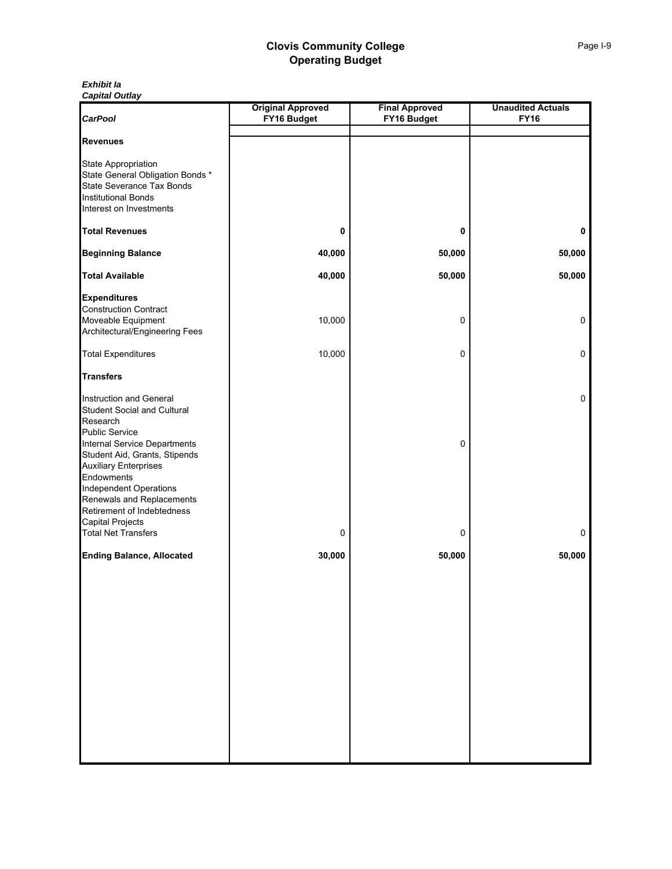|                                                                                                                                                                                                                                                                                                                                                          | <b>Original Approved</b> | <b>Final Approved</b> | <b>Unaudited Actuals</b> |
|----------------------------------------------------------------------------------------------------------------------------------------------------------------------------------------------------------------------------------------------------------------------------------------------------------------------------------------------------------|--------------------------|-----------------------|--------------------------|
| <b>CarPool</b>                                                                                                                                                                                                                                                                                                                                           | FY16 Budget              | FY16 Budget           | <b>FY16</b>              |
| <b>Revenues</b>                                                                                                                                                                                                                                                                                                                                          |                          |                       |                          |
| <b>State Appropriation</b><br>State General Obligation Bonds *<br><b>State Severance Tax Bonds</b><br><b>Institutional Bonds</b><br>Interest on Investments                                                                                                                                                                                              |                          |                       |                          |
| <b>Total Revenues</b>                                                                                                                                                                                                                                                                                                                                    | 0                        | 0                     | 0                        |
| <b>Beginning Balance</b>                                                                                                                                                                                                                                                                                                                                 | 40,000                   | 50,000                | 50,000                   |
| <b>Total Available</b>                                                                                                                                                                                                                                                                                                                                   | 40,000                   | 50,000                | 50,000                   |
| <b>Expenditures</b><br><b>Construction Contract</b><br>Moveable Equipment<br>Architectural/Engineering Fees                                                                                                                                                                                                                                              | 10,000                   | 0                     | 0                        |
| <b>Total Expenditures</b>                                                                                                                                                                                                                                                                                                                                | 10,000                   | 0                     | 0                        |
| <b>Transfers</b>                                                                                                                                                                                                                                                                                                                                         |                          |                       |                          |
| Instruction and General<br><b>Student Social and Cultural</b><br>Research<br><b>Public Service</b><br>Internal Service Departments<br>Student Aid, Grants, Stipends<br><b>Auxiliary Enterprises</b><br>Endowments<br>Independent Operations<br>Renewals and Replacements<br>Retirement of Indebtedness<br>Capital Projects<br><b>Total Net Transfers</b> | 0                        | 0<br>0                | 0<br>$\mathsf{O}$        |
| <b>Ending Balance, Allocated</b>                                                                                                                                                                                                                                                                                                                         | 30,000                   | 50,000                | 50,000                   |
|                                                                                                                                                                                                                                                                                                                                                          |                          |                       |                          |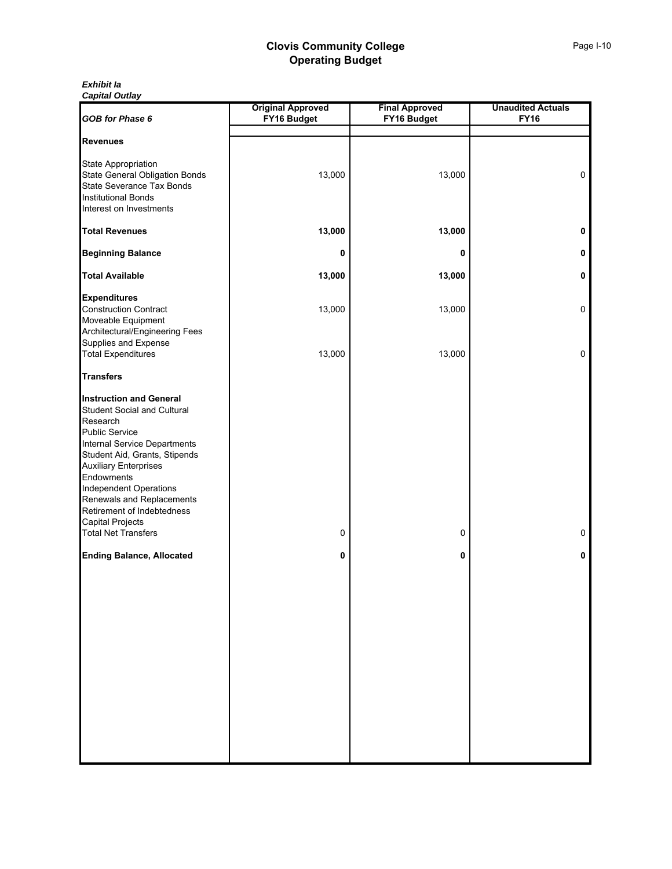| <b>GOB</b> for Phase 6                                                                                                                                                                                                                                                                                                                                                                              | <b>Original Approved</b><br>FY16 Budget | <b>Final Approved</b><br>FY16 Budget | <b>Unaudited Actuals</b><br><b>FY16</b> |
|-----------------------------------------------------------------------------------------------------------------------------------------------------------------------------------------------------------------------------------------------------------------------------------------------------------------------------------------------------------------------------------------------------|-----------------------------------------|--------------------------------------|-----------------------------------------|
|                                                                                                                                                                                                                                                                                                                                                                                                     |                                         |                                      |                                         |
| <b>Revenues</b>                                                                                                                                                                                                                                                                                                                                                                                     |                                         |                                      |                                         |
| <b>State Appropriation</b><br>State General Obligation Bonds<br><b>State Severance Tax Bonds</b><br><b>Institutional Bonds</b><br>Interest on Investments                                                                                                                                                                                                                                           | 13,000                                  | 13,000                               | $\mathbf 0$                             |
| <b>Total Revenues</b>                                                                                                                                                                                                                                                                                                                                                                               | 13,000                                  | 13,000                               | 0                                       |
| <b>Beginning Balance</b>                                                                                                                                                                                                                                                                                                                                                                            | 0                                       | 0                                    | 0                                       |
| <b>Total Available</b>                                                                                                                                                                                                                                                                                                                                                                              | 13,000                                  | 13,000                               | 0                                       |
| <b>Expenditures</b><br><b>Construction Contract</b><br>Moveable Equipment                                                                                                                                                                                                                                                                                                                           | 13,000                                  | 13,000                               | 0                                       |
| Architectural/Engineering Fees<br>Supplies and Expense<br><b>Total Expenditures</b>                                                                                                                                                                                                                                                                                                                 | 13,000                                  | 13,000                               | 0                                       |
| <b>Transfers</b>                                                                                                                                                                                                                                                                                                                                                                                    |                                         |                                      |                                         |
| <b>Instruction and General</b><br>Student Social and Cultural<br>Research<br><b>Public Service</b><br>Internal Service Departments<br>Student Aid, Grants, Stipends<br><b>Auxiliary Enterprises</b><br>Endowments<br>Independent Operations<br>Renewals and Replacements<br>Retirement of Indebtedness<br><b>Capital Projects</b><br><b>Total Net Transfers</b><br><b>Ending Balance, Allocated</b> | 0<br>0                                  | 0<br>0                               | $\mathsf{O}$<br>$\pmb{0}$               |
|                                                                                                                                                                                                                                                                                                                                                                                                     |                                         |                                      |                                         |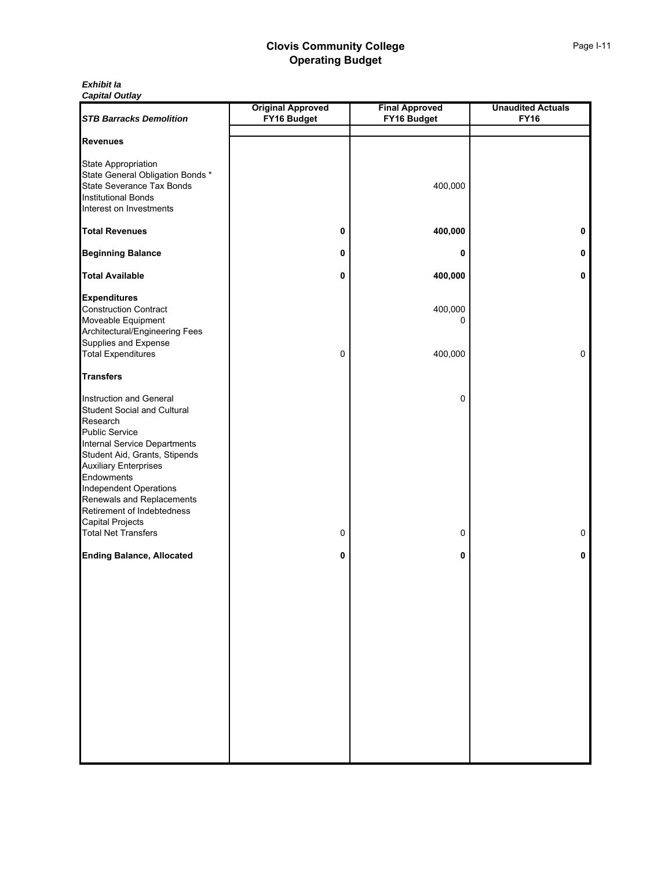| <b>STB Barracks Demolition</b>                                                                                                                                                                                                                                                                                                                                  | <b>Original Approved</b><br>FY16 Budget | <b>Final Approved</b><br>FY16 Budget | <b>Unaudited Actuals</b><br><b>FY16</b> |
|-----------------------------------------------------------------------------------------------------------------------------------------------------------------------------------------------------------------------------------------------------------------------------------------------------------------------------------------------------------------|-----------------------------------------|--------------------------------------|-----------------------------------------|
| <b>Revenues</b>                                                                                                                                                                                                                                                                                                                                                 |                                         |                                      |                                         |
| State Appropriation<br>State General Obligation Bonds *<br>State Severance Tax Bonds<br><b>Institutional Bonds</b><br>Interest on Investments                                                                                                                                                                                                                   |                                         | 400,000                              |                                         |
| <b>Total Revenues</b>                                                                                                                                                                                                                                                                                                                                           | 0                                       | 400,000                              | 0                                       |
| <b>Beginning Balance</b>                                                                                                                                                                                                                                                                                                                                        | 0                                       | 0                                    | 0                                       |
| <b>Total Available</b>                                                                                                                                                                                                                                                                                                                                          | 0                                       | 400,000                              | 0                                       |
| <b>Expenditures</b><br><b>Construction Contract</b><br>Moveable Equipment<br>Architectural/Engineering Fees<br><b>Supplies and Expense</b><br><b>Total Expenditures</b>                                                                                                                                                                                         | 0                                       | 400,000<br>0<br>400,000              | 0                                       |
| <b>Transfers</b>                                                                                                                                                                                                                                                                                                                                                |                                         |                                      |                                         |
| Instruction and General<br><b>Student Social and Cultural</b><br>Research<br><b>Public Service</b><br><b>Internal Service Departments</b><br>Student Aid, Grants, Stipends<br><b>Auxiliary Enterprises</b><br>Endowments<br>Independent Operations<br>Renewals and Replacements<br>Retirement of Indebtedness<br>Capital Projects<br><b>Total Net Transfers</b> | 0                                       | 0<br>0                               | 0                                       |
| <b>Ending Balance, Allocated</b>                                                                                                                                                                                                                                                                                                                                | 0                                       | 0                                    | 0                                       |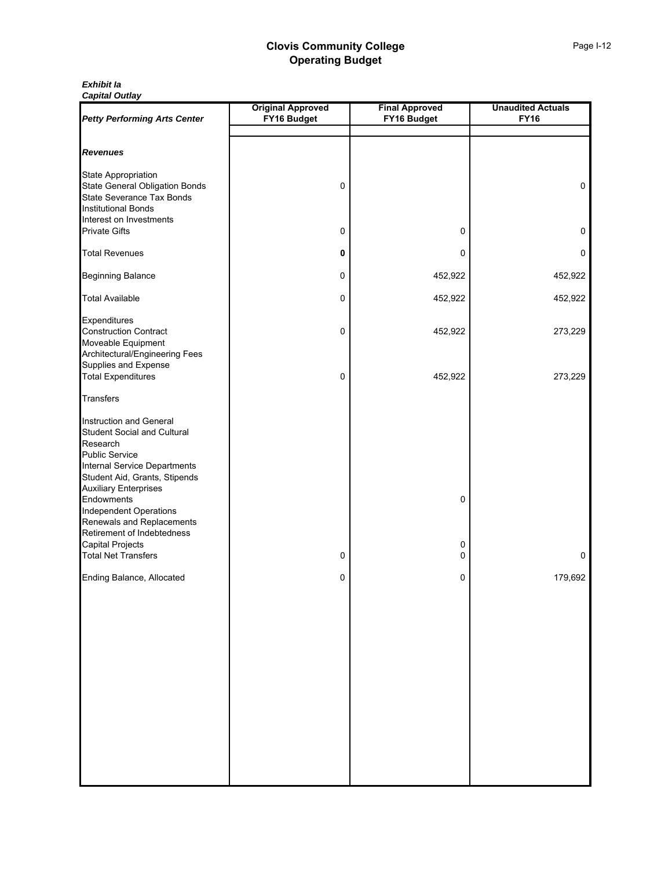#### *Exhibit Ia Capital Outlay*

|                                                        | <b>Original Approved</b> | <b>Final Approved</b> | <b>Unaudited Actuals</b><br><b>FY16</b> |  |  |  |
|--------------------------------------------------------|--------------------------|-----------------------|-----------------------------------------|--|--|--|
| <b>Petty Performing Arts Center</b>                    | FY16 Budget              | FY16 Budget           |                                         |  |  |  |
|                                                        |                          |                       |                                         |  |  |  |
| <b>Revenues</b>                                        |                          |                       |                                         |  |  |  |
| State Appropriation                                    |                          |                       |                                         |  |  |  |
| <b>State General Obligation Bonds</b>                  | 0                        |                       | 0                                       |  |  |  |
| State Severance Tax Bonds                              |                          |                       |                                         |  |  |  |
| <b>Institutional Bonds</b><br>Interest on Investments  |                          |                       |                                         |  |  |  |
| <b>Private Gifts</b>                                   | 0                        | 0                     | $\mathbf 0$                             |  |  |  |
|                                                        |                          |                       |                                         |  |  |  |
| <b>Total Revenues</b>                                  | 0                        | 0                     | 0                                       |  |  |  |
| <b>Beginning Balance</b>                               | 0                        | 452,922               | 452,922                                 |  |  |  |
| <b>Total Available</b>                                 | 0                        | 452,922               | 452,922                                 |  |  |  |
| Expenditures                                           |                          |                       |                                         |  |  |  |
| <b>Construction Contract</b>                           | 0                        | 452,922               | 273,229                                 |  |  |  |
| Moveable Equipment                                     |                          |                       |                                         |  |  |  |
| Architectural/Engineering Fees<br>Supplies and Expense |                          |                       |                                         |  |  |  |
| <b>Total Expenditures</b>                              | $\pmb{0}$                | 452,922               | 273,229                                 |  |  |  |
| <b>Transfers</b>                                       |                          |                       |                                         |  |  |  |
|                                                        |                          |                       |                                         |  |  |  |
| Instruction and General                                |                          |                       |                                         |  |  |  |
| Student Social and Cultural<br>Research                |                          |                       |                                         |  |  |  |
| <b>Public Service</b>                                  |                          |                       |                                         |  |  |  |
| <b>Internal Service Departments</b>                    |                          |                       |                                         |  |  |  |
| Student Aid, Grants, Stipends                          |                          |                       |                                         |  |  |  |
| <b>Auxiliary Enterprises</b><br>Endowments             |                          | 0                     |                                         |  |  |  |
| <b>Independent Operations</b>                          |                          |                       |                                         |  |  |  |
| Renewals and Replacements                              |                          |                       |                                         |  |  |  |
| Retirement of Indebtedness                             |                          |                       |                                         |  |  |  |
| <b>Capital Projects</b><br><b>Total Net Transfers</b>  | 0                        | 0<br>0                | 0                                       |  |  |  |
|                                                        |                          |                       |                                         |  |  |  |
| Ending Balance, Allocated                              | 0                        | 0                     | 179,692                                 |  |  |  |
|                                                        |                          |                       |                                         |  |  |  |
|                                                        |                          |                       |                                         |  |  |  |
|                                                        |                          |                       |                                         |  |  |  |
|                                                        |                          |                       |                                         |  |  |  |
|                                                        |                          |                       |                                         |  |  |  |
|                                                        |                          |                       |                                         |  |  |  |
|                                                        |                          |                       |                                         |  |  |  |
|                                                        |                          |                       |                                         |  |  |  |
|                                                        |                          |                       |                                         |  |  |  |
|                                                        |                          |                       |                                         |  |  |  |
|                                                        |                          |                       |                                         |  |  |  |
|                                                        |                          |                       |                                         |  |  |  |
|                                                        |                          |                       |                                         |  |  |  |
|                                                        |                          |                       |                                         |  |  |  |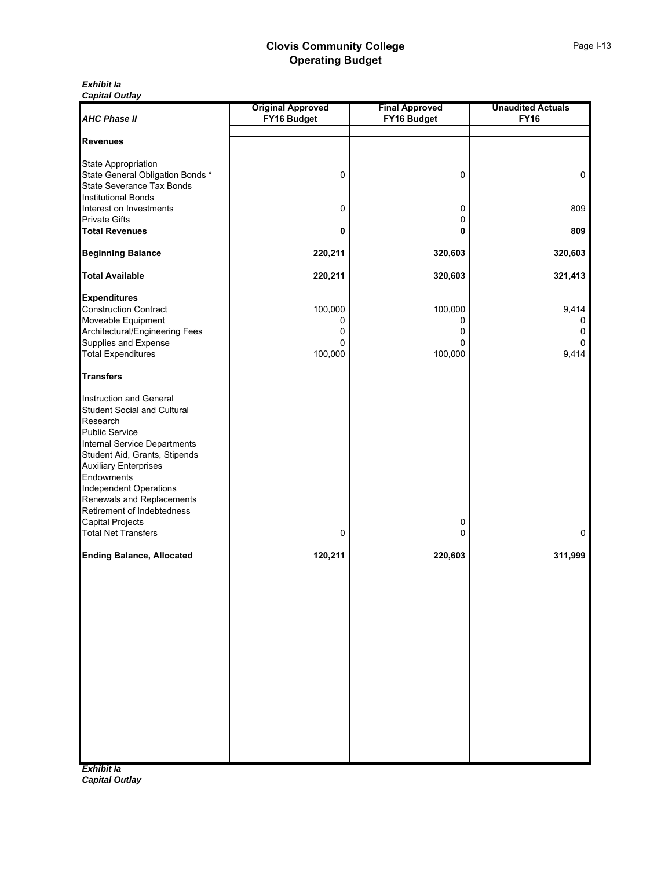#### *Exhibit Ia Capital Outlay*

| <b>AHC Phase II</b>                                                                                                                                                                                                                                                                                                                               | <b>Original Approved</b><br>FY16 Budget | <b>Final Approved</b><br>FY16 Budget | <b>Unaudited Actuals</b><br><b>FY16</b> |  |  |  |  |
|---------------------------------------------------------------------------------------------------------------------------------------------------------------------------------------------------------------------------------------------------------------------------------------------------------------------------------------------------|-----------------------------------------|--------------------------------------|-----------------------------------------|--|--|--|--|
|                                                                                                                                                                                                                                                                                                                                                   |                                         |                                      |                                         |  |  |  |  |
| <b>Revenues</b>                                                                                                                                                                                                                                                                                                                                   |                                         |                                      |                                         |  |  |  |  |
| <b>State Appropriation</b><br>State General Obligation Bonds *<br>State Severance Tax Bonds<br><b>Institutional Bonds</b>                                                                                                                                                                                                                         | 0                                       | 0                                    | 0                                       |  |  |  |  |
| Interest on Investments<br><b>Private Gifts</b>                                                                                                                                                                                                                                                                                                   | 0                                       | 0<br>$\mathbf 0$                     | 809                                     |  |  |  |  |
| <b>Total Revenues</b>                                                                                                                                                                                                                                                                                                                             | 0                                       | 0                                    | 809                                     |  |  |  |  |
| <b>Beginning Balance</b>                                                                                                                                                                                                                                                                                                                          | 220,211                                 | 320,603                              | 320,603                                 |  |  |  |  |
| <b>Total Available</b>                                                                                                                                                                                                                                                                                                                            | 220,211                                 | 320,603                              | 321,413                                 |  |  |  |  |
| <b>Expenditures</b><br><b>Construction Contract</b><br>Moveable Equipment<br>Architectural/Engineering Fees<br>Supplies and Expense<br><b>Total Expenditures</b>                                                                                                                                                                                  | 100,000<br>0<br>0<br>0<br>100,000       | 100,000<br>0<br>0<br>0<br>100,000    | 9,414<br>0<br>0<br>0<br>9,414           |  |  |  |  |
| <b>Transfers</b>                                                                                                                                                                                                                                                                                                                                  |                                         |                                      |                                         |  |  |  |  |
| Instruction and General<br>Student Social and Cultural<br>Research<br><b>Public Service</b><br>Internal Service Departments<br>Student Aid, Grants, Stipends<br><b>Auxiliary Enterprises</b><br>Endowments<br>Independent Operations<br>Renewals and Replacements<br>Retirement of Indebtedness<br>Capital Projects<br><b>Total Net Transfers</b> | 0                                       | 0<br>0                               | $\mathbf 0$                             |  |  |  |  |
| <b>Ending Balance, Allocated</b>                                                                                                                                                                                                                                                                                                                  | 120,211                                 | 220,603                              | 311,999                                 |  |  |  |  |
|                                                                                                                                                                                                                                                                                                                                                   |                                         |                                      |                                         |  |  |  |  |

*Exhibit Ia Capital Outlay*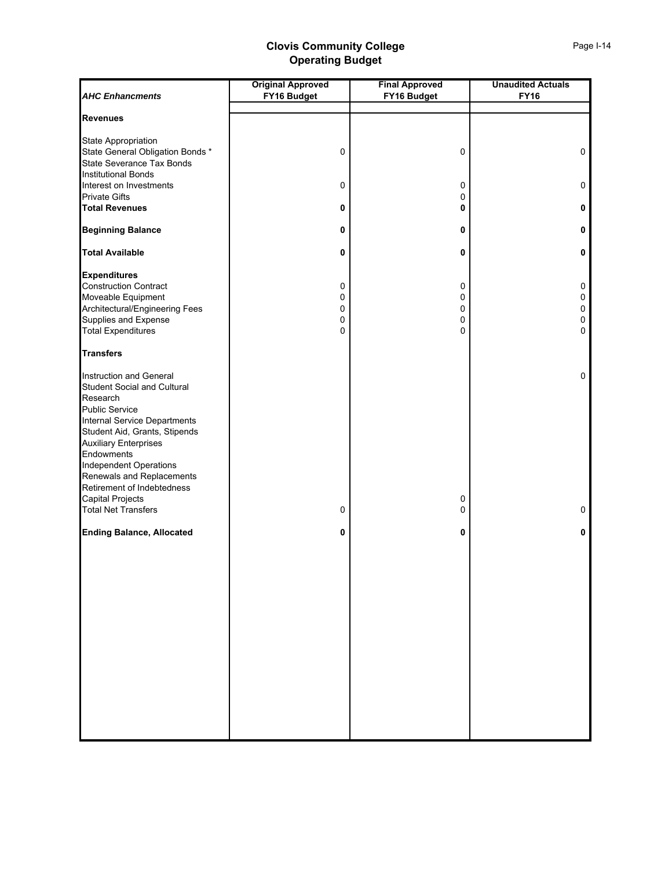|                                                                                                                                                                                                                                                                                                                                                                 | <b>Original Approved</b> | <b>Final Approved</b> | <b>Unaudited Actuals</b><br><b>FY16</b> |  |  |  |  |  |
|-----------------------------------------------------------------------------------------------------------------------------------------------------------------------------------------------------------------------------------------------------------------------------------------------------------------------------------------------------------------|--------------------------|-----------------------|-----------------------------------------|--|--|--|--|--|
| <b>AHC Enhancments</b>                                                                                                                                                                                                                                                                                                                                          | FY16 Budget              | FY16 Budget           |                                         |  |  |  |  |  |
| <b>Revenues</b>                                                                                                                                                                                                                                                                                                                                                 |                          |                       |                                         |  |  |  |  |  |
| <b>State Appropriation</b><br>State General Obligation Bonds *<br>State Severance Tax Bonds<br><b>Institutional Bonds</b>                                                                                                                                                                                                                                       | 0                        | 0                     | $\mathbf 0$                             |  |  |  |  |  |
| Interest on Investments<br><b>Private Gifts</b>                                                                                                                                                                                                                                                                                                                 | 0                        | 0<br>0                | 0                                       |  |  |  |  |  |
| <b>Total Revenues</b>                                                                                                                                                                                                                                                                                                                                           | 0                        | 0                     | 0                                       |  |  |  |  |  |
| <b>Beginning Balance</b>                                                                                                                                                                                                                                                                                                                                        | 0                        | 0                     | 0                                       |  |  |  |  |  |
| <b>Total Available</b>                                                                                                                                                                                                                                                                                                                                          | 0                        | 0                     | $\mathbf 0$                             |  |  |  |  |  |
| <b>Expenditures</b><br><b>Construction Contract</b><br>Moveable Equipment<br>Architectural/Engineering Fees<br>Supplies and Expense<br><b>Total Expenditures</b>                                                                                                                                                                                                | 0<br>0<br>0<br>0<br>0    | 0<br>0<br>0<br>0<br>0 | 0<br>0<br>0<br>0<br>0                   |  |  |  |  |  |
| <b>Transfers</b>                                                                                                                                                                                                                                                                                                                                                |                          |                       |                                         |  |  |  |  |  |
| Instruction and General<br>Student Social and Cultural<br>Research<br><b>Public Service</b><br>Internal Service Departments<br>Student Aid, Grants, Stipends<br><b>Auxiliary Enterprises</b><br>Endowments<br><b>Independent Operations</b><br>Renewals and Replacements<br>Retirement of Indebtedness<br><b>Capital Projects</b><br><b>Total Net Transfers</b> | $\pmb{0}$                | 0<br>0                | 0<br>$\mathbf 0$                        |  |  |  |  |  |
| <b>Ending Balance, Allocated</b>                                                                                                                                                                                                                                                                                                                                | 0                        | 0                     | 0                                       |  |  |  |  |  |
|                                                                                                                                                                                                                                                                                                                                                                 |                          |                       |                                         |  |  |  |  |  |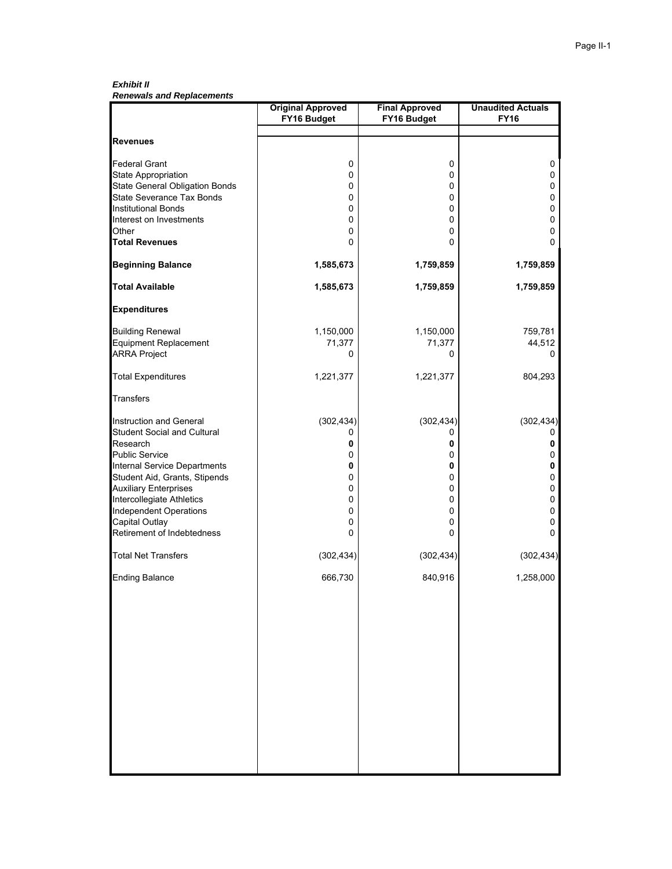Page II-1

*Exhibit II Renewals and Replacements*

|                                                            | <b>Original Approved</b> | <b>Final Approved</b> | <b>Unaudited Actuals</b> |
|------------------------------------------------------------|--------------------------|-----------------------|--------------------------|
|                                                            | FY16 Budget              | FY16 Budget           | <b>FY16</b>              |
| <b>Revenues</b>                                            |                          |                       |                          |
| <b>Federal Grant</b>                                       | 0                        | 0                     | 0                        |
| State Appropriation                                        | 0                        | 0                     | 0                        |
| State General Obligation Bonds                             | 0                        | 0                     | 0                        |
| State Severance Tax Bonds                                  | 0                        | 0                     | 0                        |
| <b>Institutional Bonds</b>                                 | 0                        | 0                     | 0                        |
| Interest on Investments                                    | 0                        | 0                     | 0                        |
| Other                                                      | 0                        | 0                     | 0                        |
| <b>Total Revenues</b>                                      | 0                        | 0                     | 0                        |
| <b>Beginning Balance</b>                                   | 1,585,673                | 1,759,859             | 1,759,859                |
| <b>Total Available</b>                                     | 1,585,673                | 1,759,859             | 1,759,859                |
| <b>Expenditures</b>                                        |                          |                       |                          |
| <b>Building Renewal</b>                                    | 1,150,000                | 1,150,000             | 759,781                  |
| Equipment Replacement                                      | 71,377                   | 71,377                | 44,512                   |
| <b>ARRA Project</b>                                        | 0                        | 0                     | 0                        |
| <b>Total Expenditures</b>                                  | 1,221,377                | 1,221,377             | 804,293                  |
| <b>Transfers</b>                                           |                          |                       |                          |
| Instruction and General                                    | (302, 434)               | (302, 434)            | (302, 434)               |
| <b>Student Social and Cultural</b>                         | 0                        | 0                     | 0                        |
| Research                                                   | 0                        | 0                     | 0                        |
| <b>Public Service</b>                                      | 0                        | 0                     | 0                        |
| Internal Service Departments                               | 0                        | 0                     | 0                        |
| Student Aid, Grants, Stipends                              | 0                        | 0                     | 0                        |
| <b>Auxiliary Enterprises</b>                               | 0                        | 0<br>0                | 0                        |
| Intercollegiate Athletics<br><b>Independent Operations</b> | 0<br>0                   | 0                     | 0<br>0                   |
| Capital Outlay                                             | 0                        | 0                     | 0                        |
| Retirement of Indebtedness                                 | 0                        | 0                     | 0                        |
| <b>Total Net Transfers</b>                                 | (302, 434)               | (302, 434)            | (302, 434)               |
| <b>Ending Balance</b>                                      | 666,730                  | 840,916               | 1,258,000                |
|                                                            |                          |                       |                          |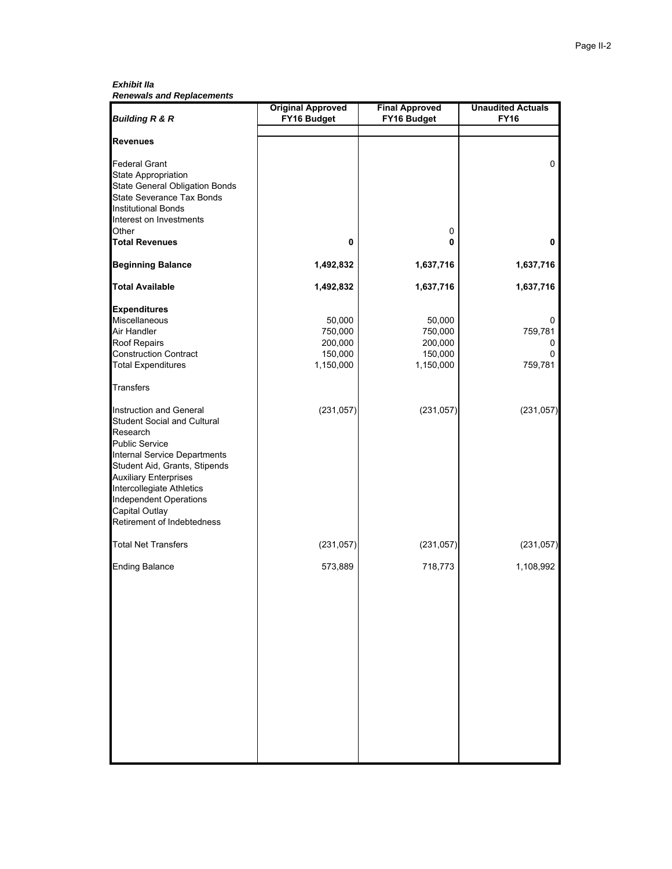Page II-2

*Exhibit IIa Renewals and Replacements*

| <b>Building R &amp; R</b>             | <b>Original Approved</b><br>FY16 Budget | <b>Final Approved</b><br>FY16 Budget | <b>Unaudited Actuals</b><br><b>FY16</b> |
|---------------------------------------|-----------------------------------------|--------------------------------------|-----------------------------------------|
|                                       |                                         |                                      |                                         |
| <b>Revenues</b>                       |                                         |                                      |                                         |
| <b>Federal Grant</b>                  |                                         |                                      | 0                                       |
| <b>State Appropriation</b>            |                                         |                                      |                                         |
| <b>State General Obligation Bonds</b> |                                         |                                      |                                         |
| <b>State Severance Tax Bonds</b>      |                                         |                                      |                                         |
| <b>Institutional Bonds</b>            |                                         |                                      |                                         |
| Interest on Investments               |                                         |                                      |                                         |
|                                       |                                         |                                      |                                         |
| Other<br><b>Total Revenues</b>        | 0                                       | 0<br>0                               | 0                                       |
| <b>Beginning Balance</b>              | 1,492,832                               | 1,637,716                            | 1,637,716                               |
| <b>Total Available</b>                | 1,492,832                               | 1,637,716                            | 1,637,716                               |
|                                       |                                         |                                      |                                         |
| <b>Expenditures</b>                   |                                         |                                      |                                         |
| Miscellaneous                         | 50,000                                  | 50,000                               | 0                                       |
| Air Handler                           | 750,000                                 | 750,000                              | 759,781                                 |
| Roof Repairs                          | 200,000                                 | 200,000                              | 0                                       |
| <b>Construction Contract</b>          | 150,000                                 | 150,000                              | 0                                       |
| <b>Total Expenditures</b>             | 1,150,000                               | 1,150,000                            | 759,781                                 |
| <b>Transfers</b>                      |                                         |                                      |                                         |
| Instruction and General               | (231, 057)                              | (231, 057)                           | (231, 057)                              |
| <b>Student Social and Cultural</b>    |                                         |                                      |                                         |
| Research                              |                                         |                                      |                                         |
| <b>Public Service</b>                 |                                         |                                      |                                         |
| Internal Service Departments          |                                         |                                      |                                         |
| Student Aid, Grants, Stipends         |                                         |                                      |                                         |
| <b>Auxiliary Enterprises</b>          |                                         |                                      |                                         |
| Intercollegiate Athletics             |                                         |                                      |                                         |
| <b>Independent Operations</b>         |                                         |                                      |                                         |
| Capital Outlay                        |                                         |                                      |                                         |
| Retirement of Indebtedness            |                                         |                                      |                                         |
| <b>Total Net Transfers</b>            | (231, 057)                              | (231, 057)                           | (231, 057)                              |
| <b>Ending Balance</b>                 | 573,889                                 | 718,773                              | 1,108,992                               |
|                                       |                                         |                                      |                                         |
|                                       |                                         |                                      |                                         |
|                                       |                                         |                                      |                                         |
|                                       |                                         |                                      |                                         |
|                                       |                                         |                                      |                                         |
|                                       |                                         |                                      |                                         |
|                                       |                                         |                                      |                                         |
|                                       |                                         |                                      |                                         |
|                                       |                                         |                                      |                                         |
|                                       |                                         |                                      |                                         |
|                                       |                                         |                                      |                                         |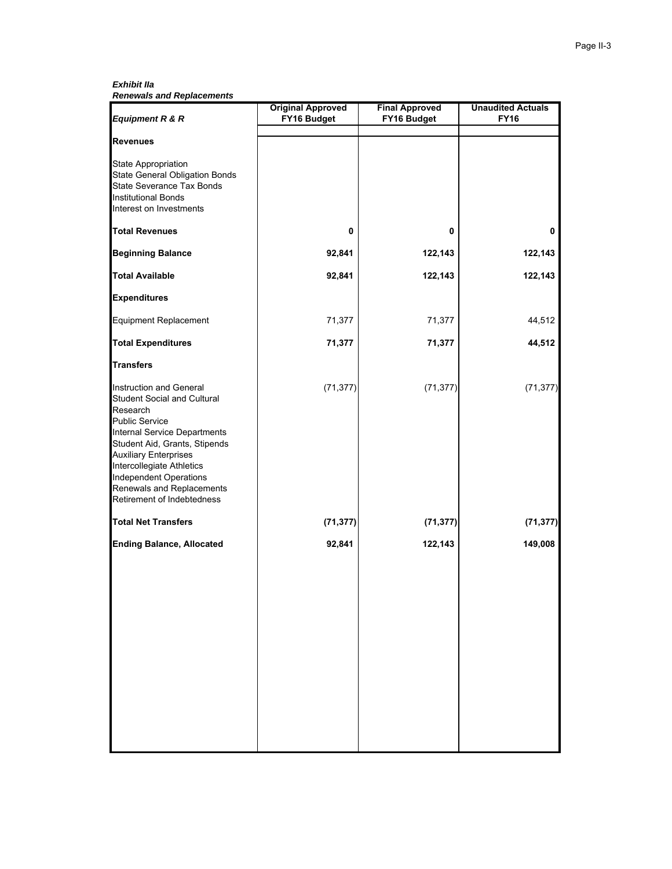Page II-3

*Exhibit IIa Renewals and Replacements*

| <b>Equipment R &amp; R</b>                                                                                                                                                                                                                                                                                     | <b>Original Approved</b><br>FY16 Budget | <b>Final Approved</b><br>FY16 Budget | <b>Unaudited Actuals</b><br><b>FY16</b> |  |  |  |
|----------------------------------------------------------------------------------------------------------------------------------------------------------------------------------------------------------------------------------------------------------------------------------------------------------------|-----------------------------------------|--------------------------------------|-----------------------------------------|--|--|--|
|                                                                                                                                                                                                                                                                                                                |                                         |                                      |                                         |  |  |  |
| <b>Revenues</b>                                                                                                                                                                                                                                                                                                |                                         |                                      |                                         |  |  |  |
| <b>State Appropriation</b><br><b>State General Obligation Bonds</b><br>State Severance Tax Bonds<br><b>Institutional Bonds</b><br>Interest on Investments                                                                                                                                                      |                                         |                                      |                                         |  |  |  |
| <b>Total Revenues</b>                                                                                                                                                                                                                                                                                          | 0                                       | 0                                    | 0                                       |  |  |  |
| <b>Beginning Balance</b>                                                                                                                                                                                                                                                                                       | 92,841                                  | 122,143                              | 122,143                                 |  |  |  |
| <b>Total Available</b>                                                                                                                                                                                                                                                                                         | 92,841                                  | 122,143                              | 122,143                                 |  |  |  |
| <b>Expenditures</b>                                                                                                                                                                                                                                                                                            |                                         |                                      |                                         |  |  |  |
| Equipment Replacement                                                                                                                                                                                                                                                                                          | 71,377                                  | 71,377                               | 44,512                                  |  |  |  |
| <b>Total Expenditures</b>                                                                                                                                                                                                                                                                                      | 71,377                                  | 71,377                               | 44,512                                  |  |  |  |
| <b>Transfers</b>                                                                                                                                                                                                                                                                                               |                                         |                                      |                                         |  |  |  |
| Instruction and General<br>Student Social and Cultural<br>Research<br><b>Public Service</b><br>Internal Service Departments<br>Student Aid, Grants, Stipends<br><b>Auxiliary Enterprises</b><br>Intercollegiate Athletics<br>Independent Operations<br>Renewals and Replacements<br>Retirement of Indebtedness | (71, 377)                               | (71, 377)                            | (71, 377)                               |  |  |  |
| <b>Total Net Transfers</b>                                                                                                                                                                                                                                                                                     | (71, 377)                               | (71, 377)                            | (71, 377)                               |  |  |  |
| <b>Ending Balance, Allocated</b>                                                                                                                                                                                                                                                                               | 92,841                                  | 122,143                              | 149,008                                 |  |  |  |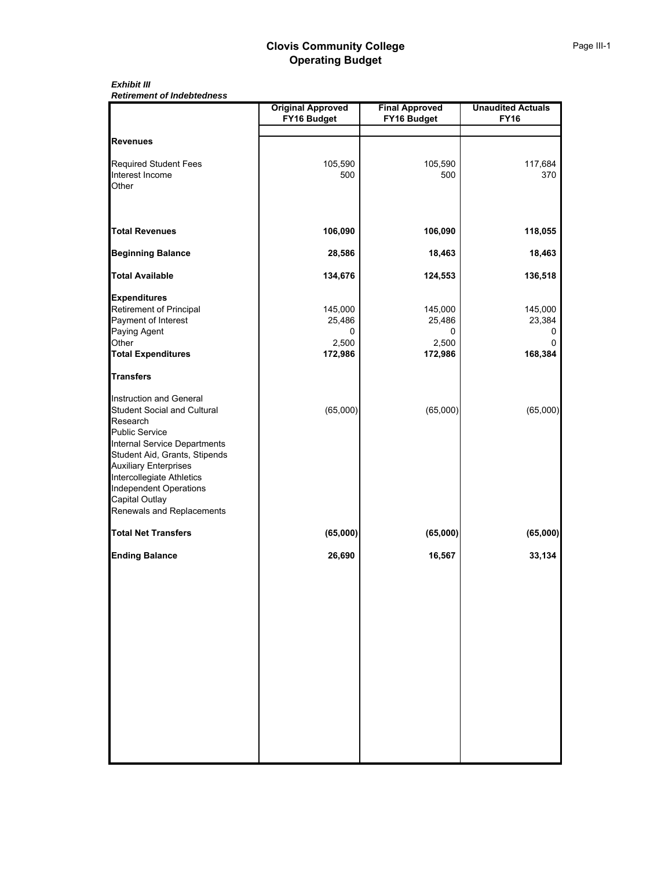*Exhibit III Retirement of Indebtedness*

|                                                                                                                                                                                                                                                                                                           | <b>Original Approved</b><br>FY16 Budget    | <b>Final Approved</b><br>FY16 Budget       | <b>Unaudited Actuals</b><br><b>FY16</b> |
|-----------------------------------------------------------------------------------------------------------------------------------------------------------------------------------------------------------------------------------------------------------------------------------------------------------|--------------------------------------------|--------------------------------------------|-----------------------------------------|
|                                                                                                                                                                                                                                                                                                           |                                            |                                            |                                         |
| <b>Revenues</b>                                                                                                                                                                                                                                                                                           |                                            |                                            |                                         |
| <b>Required Student Fees</b><br>Interest Income<br>Other                                                                                                                                                                                                                                                  | 105,590<br>500                             | 105,590<br>500                             | 117,684<br>370                          |
| <b>Total Revenues</b>                                                                                                                                                                                                                                                                                     | 106,090                                    | 106,090                                    | 118,055                                 |
| <b>Beginning Balance</b>                                                                                                                                                                                                                                                                                  | 28,586                                     | 18,463                                     | 18,463                                  |
| <b>Total Available</b>                                                                                                                                                                                                                                                                                    | 134,676                                    | 124,553                                    | 136,518                                 |
| <b>Expenditures</b><br>Retirement of Principal<br>Payment of Interest<br>Paying Agent<br>Other<br><b>Total Expenditures</b>                                                                                                                                                                               | 145,000<br>25,486<br>0<br>2,500<br>172,986 | 145,000<br>25,486<br>0<br>2,500<br>172,986 | 145,000<br>23,384<br>0<br>0<br>168,384  |
| <b>Transfers</b>                                                                                                                                                                                                                                                                                          |                                            |                                            |                                         |
| Instruction and General<br><b>Student Social and Cultural</b><br>Research<br><b>Public Service</b><br>Internal Service Departments<br>Student Aid, Grants, Stipends<br><b>Auxiliary Enterprises</b><br>Intercollegiate Athletics<br>Independent Operations<br>Capital Outlay<br>Renewals and Replacements | (65,000)                                   | (65,000)                                   | (65,000)                                |
| <b>Total Net Transfers</b>                                                                                                                                                                                                                                                                                | (65,000)                                   | (65,000)                                   | (65,000)                                |
| <b>Ending Balance</b>                                                                                                                                                                                                                                                                                     | 26,690                                     | 16,567                                     | 33,134                                  |
|                                                                                                                                                                                                                                                                                                           |                                            |                                            |                                         |
|                                                                                                                                                                                                                                                                                                           |                                            |                                            |                                         |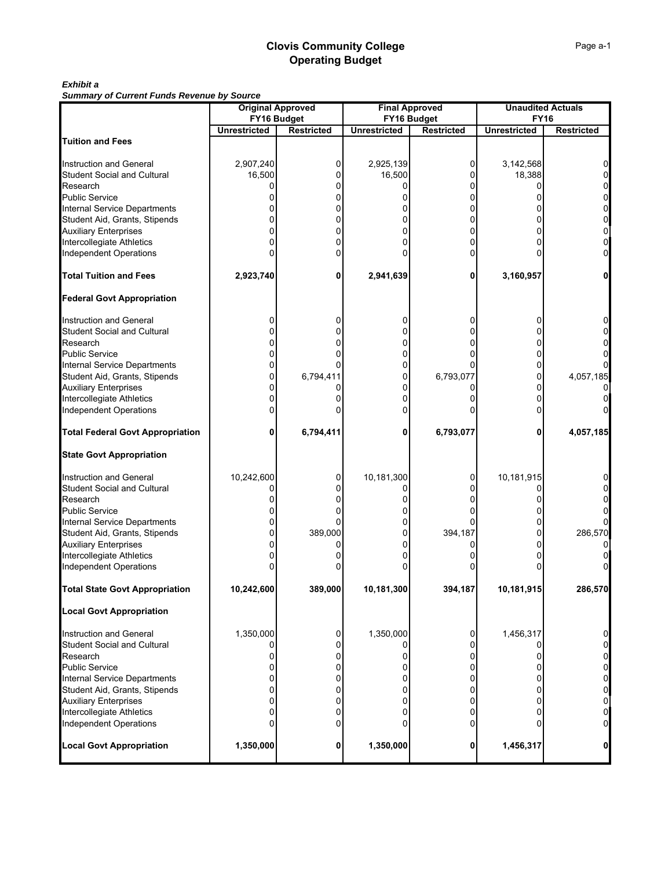#### *Exhibit a*

*Summary of Current Funds Revenue by Source*

|                                         | <b>Original Approved</b> |                   |                     | <b>Final Approved</b> |                     | <b>Unaudited Actuals</b>                  |
|-----------------------------------------|--------------------------|-------------------|---------------------|-----------------------|---------------------|-------------------------------------------|
|                                         | FY16 Budget              |                   |                     | FY16 Budget           | <b>FY16</b>         |                                           |
| <b>Tuition and Fees</b>                 | <b>Unrestricted</b>      | <b>Restricted</b> | <b>Unrestricted</b> | <b>Restricted</b>     | <b>Unrestricted</b> | <b>Restricted</b>                         |
|                                         |                          |                   |                     |                       |                     |                                           |
| Instruction and General                 | 2,907,240                | 0                 | 2,925,139           | 0                     | 3,142,568           | 0                                         |
| Student Social and Cultural             | 16,500                   | 0                 | 16,500              | 0                     | 18,388              | 0                                         |
| Research                                |                          | 0                 |                     | 0                     | 0                   | 0                                         |
| <b>Public Service</b>                   |                          | 0                 | 0                   | 0                     | 0                   | 0                                         |
| Internal Service Departments            |                          | 0                 |                     | 0                     | 0                   | 0                                         |
| Student Aid, Grants, Stipends           | 0                        | 0                 | 0                   | 0                     | 0                   | $\mathbf 0$                               |
| <b>Auxiliary Enterprises</b>            |                          | 0                 | 0                   | 0                     | 0                   | 0                                         |
| Intercollegiate Athletics               |                          | 0                 |                     | 0                     | 0                   | 0                                         |
| Independent Operations                  | ი                        | 0                 | 0                   | 0                     | n                   | $\overline{0}$                            |
|                                         |                          |                   |                     |                       |                     |                                           |
| <b>Total Tuition and Fees</b>           | 2,923,740                | 0                 | 2,941,639           | 0                     | 3,160,957           | $\mathbf{0}$                              |
| <b>Federal Govt Appropriation</b>       |                          |                   |                     |                       |                     |                                           |
| Instruction and General                 |                          | 0                 |                     | 0                     | 0                   | 0                                         |
| <b>Student Social and Cultural</b>      |                          | 0                 | 0                   | 0                     | 0                   | 0                                         |
| Research                                |                          | 0                 | 0                   | 0                     | 0                   | 0                                         |
| <b>Public Service</b>                   |                          |                   |                     | 0                     | 0                   | 0                                         |
| Internal Service Departments            | ი                        |                   | 0                   |                       | 0                   | $\Omega$                                  |
| Student Aid, Grants, Stipends           | 0                        | 6,794,411         | 0                   | 6,793,077             | 0                   | 4,057,185                                 |
| <b>Auxiliary Enterprises</b>            |                          |                   | 0                   | 0                     | 0                   | 0                                         |
| Intercollegiate Athletics               |                          |                   | 0                   | 0                     | 0                   | 0                                         |
| <b>Independent Operations</b>           |                          |                   | O                   |                       | 0                   |                                           |
|                                         |                          |                   |                     |                       |                     |                                           |
| <b>Total Federal Govt Appropriation</b> | 0                        | 6,794,411         | 0                   | 6,793,077             | 0                   | 4,057,185                                 |
| <b>State Govt Appropriation</b>         |                          |                   |                     |                       |                     |                                           |
| Instruction and General                 | 10,242,600               | 0                 | 10,181,300          | 0                     | 10,181,915          | 0                                         |
| <b>Student Social and Cultural</b>      |                          |                   |                     | 0                     |                     | 0                                         |
| Research                                |                          | 0                 |                     |                       |                     | 0                                         |
| <b>Public Service</b>                   |                          | 0                 |                     | 0                     | 0                   | 0                                         |
| Internal Service Departments            | 0                        |                   | 0                   |                       | 0                   | 0                                         |
| Student Aid, Grants, Stipends           | 0                        | 389,000           | 0                   | 394,187               | 0                   | 286,570                                   |
| <b>Auxiliary Enterprises</b>            |                          |                   |                     | 0                     | 0                   | 0                                         |
| Intercollegiate Athletics               |                          |                   |                     |                       | 0                   | 0                                         |
| <b>Independent Operations</b>           |                          |                   |                     |                       |                     | 0                                         |
| <b>Total State Govt Appropriation</b>   | 10,242,600               | 389,000           | 10,181,300          | 394,187               | 10,181,915          | 286,570                                   |
| <b>Local Govt Appropriation</b>         |                          |                   |                     |                       |                     |                                           |
| Instruction and General                 | 1,350,000                | 0                 | 1,350,000           | 0                     | 1,456,317           | 0                                         |
| <b>Student Social and Cultural</b>      |                          | 0                 |                     | 0                     | 0                   | $\mathbf 0$                               |
| Research                                | 0                        | 0                 | 0                   | 0                     | 0                   | $\mathbf 0$                               |
| <b>Public Service</b>                   | 0                        | 0                 | 0                   | 0                     | 0                   | $\mathbf 0$                               |
| <b>Internal Service Departments</b>     | 0                        | 0                 | 0                   | 0                     | 0                   |                                           |
| Student Aid, Grants, Stipends           | 0                        | 0                 | 0                   | 0                     | 0                   | $\begin{matrix} 0 \\ 0 \\ 0 \end{matrix}$ |
| <b>Auxiliary Enterprises</b>            | 0                        | 0                 | 0                   | 0                     | 0                   |                                           |
| Intercollegiate Athletics               | 0                        | 0                 | 0                   | 0                     | 0                   | $\mathbf{0}$                              |
| Independent Operations                  | 0                        | 0                 | 0                   | 0                     | 0                   | $\overline{0}$                            |
| <b>Local Govt Appropriation</b>         | 1,350,000                | 0                 | 1,350,000           | 0                     | 1,456,317           | $\mathbf{0}$                              |
|                                         |                          |                   |                     |                       |                     |                                           |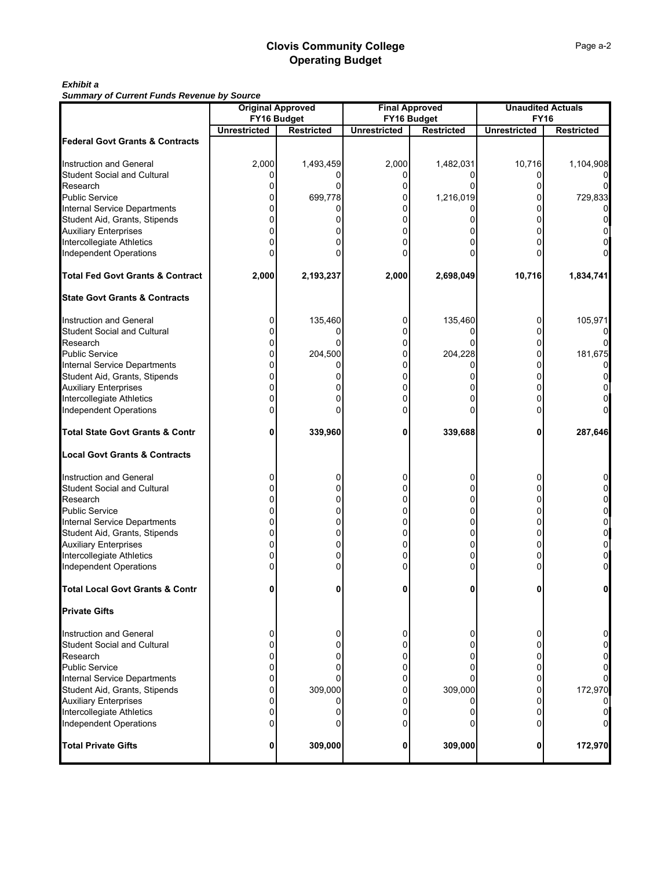#### *Exhibit a*

*Summary of Current Funds Revenue by Source*

|                                             | FY16 Budget         |                   |                     |                                  |                                    |                   |
|---------------------------------------------|---------------------|-------------------|---------------------|----------------------------------|------------------------------------|-------------------|
|                                             | <b>Unrestricted</b> | <b>Restricted</b> | <b>Unrestricted</b> | FY16 Budget<br><b>Restricted</b> | <b>FY16</b><br><b>Unrestricted</b> | <b>Restricted</b> |
| <b>Federal Govt Grants &amp; Contracts</b>  |                     |                   |                     |                                  |                                    |                   |
|                                             |                     |                   |                     |                                  |                                    |                   |
| Instruction and General                     | 2,000               | 1,493,459         | 2,000               | 1,482,031                        | 10,716                             | 1,104,908         |
| Student Social and Cultural                 | 0                   |                   | 0                   | 0                                | 0                                  |                   |
| Research                                    | ი                   |                   | 0                   | 0                                | 0                                  | 0                 |
| Public Service                              | 0                   | 699,778           | 0                   | 1,216,019                        | 0                                  | 729,833           |
| Internal Service Departments                | 0                   | 0                 | 0                   | 0                                | 0                                  | $\overline{0}$    |
| Student Aid, Grants, Stipends               |                     |                   | 0                   |                                  |                                    | 0                 |
| <b>Auxiliary Enterprises</b>                |                     |                   | 0                   |                                  |                                    | 0                 |
| Intercollegiate Athletics                   |                     | 0                 | 0                   | 0                                |                                    | 0                 |
| <b>Independent Operations</b>               |                     |                   | O                   |                                  |                                    | $\Omega$          |
| <b>Total Fed Govt Grants &amp; Contract</b> | 2,000               | 2,193,237         | 2,000               | 2,698,049                        | 10,716                             | 1,834,741         |
| <b>State Govt Grants &amp; Contracts</b>    |                     |                   |                     |                                  |                                    |                   |
| Instruction and General                     | 0                   | 135,460           | 0                   | 135,460                          | 0                                  | 105,971           |
| Student Social and Cultural                 | 0                   |                   | 0                   |                                  | 0                                  |                   |
| Research                                    | U                   |                   | 0                   | 0                                | 0                                  | 0                 |
| Public Service                              | 0                   | 204,500           | 0                   | 204,228                          | 0                                  | 181,675           |
| Internal Service Departments                |                     |                   | 0                   | 0                                |                                    | 0                 |
| Student Aid, Grants, Stipends               | 0                   |                   | 0                   | 0                                | 0                                  | 0                 |
| <b>Auxiliary Enterprises</b>                | n                   |                   | 0                   | 0                                | 0                                  | 0                 |
| Intercollegiate Athletics                   | 0                   | 0                 | 0                   | 0                                | 0                                  | 0                 |
| <b>Independent Operations</b>               |                     | ŋ                 | 0                   |                                  |                                    | 0                 |
| <b>Total State Govt Grants &amp; Contr</b>  | 0                   | 339,960           | 0                   | 339,688                          | 0                                  | 287,646           |
| <b>Local Govt Grants &amp; Contracts</b>    |                     |                   |                     |                                  |                                    |                   |
| Instruction and General                     |                     | 0                 | 0                   | 0                                | 0                                  | 0                 |
| <b>Student Social and Cultural</b>          | 0                   | 0                 | 0                   | 0                                | 0                                  | $\mathsf 0$       |
| Research                                    | U                   | 0                 | 0                   | 0                                | 0                                  | 0                 |
| Public Service                              | 0                   | 0                 | 0                   | 0                                | 0                                  | $\pmb{0}$         |
| Internal Service Departments                | 0                   | 0                 | 0                   | 0                                | 0                                  | 0                 |
| Student Aid, Grants, Stipends               | 0                   | 0                 | 0                   | 0                                | 0                                  | 0                 |
| <b>Auxiliary Enterprises</b>                | 0                   | 0                 | 0                   | 0                                | 0                                  | 0                 |
| Intercollegiate Athletics                   |                     | 0                 | 0                   | 0                                | 0                                  | 0                 |
| Independent Operations                      |                     | 0                 | 0                   | 0                                |                                    | 0                 |
| <b>Total Local Govt Grants &amp; Contr</b>  | 0                   | 0                 | 0                   | 0                                | 0                                  | 0                 |
| <b>Private Gifts</b>                        |                     |                   |                     |                                  |                                    |                   |
| <b>Instruction and General</b>              | 0                   | 0                 | 0                   | 0                                | 0                                  | 0                 |
| <b>Student Social and Cultural</b>          | 0                   | 0                 | 0                   | 0                                | 0                                  | 0                 |
| Research                                    | 0                   | 0                 | 0                   | 0                                | 0                                  | $\mathbf 0$       |
| <b>Public Service</b>                       | 0                   | 0                 | 0                   | 0                                | 0                                  | $\pmb{0}$         |
| Internal Service Departments                | 0                   |                   | 0                   |                                  | 0                                  | 0                 |
| Student Aid, Grants, Stipends               | 0                   | 309,000           | 0                   | 309,000                          | 0                                  | 172,970           |
| <b>Auxiliary Enterprises</b>                | 0                   |                   | 0                   | 0                                | 0                                  | $\mathbf 0$       |
| Intercollegiate Athletics                   | 0                   |                   | 0                   | 0                                | 0                                  | $\mathbf 0$       |
| <b>Independent Operations</b>               | 0                   |                   | 0                   | N                                | U                                  | $\mathbf 0$       |
| <b>Total Private Gifts</b>                  | 0                   | 309,000           | 0                   | 309,000                          | 0                                  | 172,970           |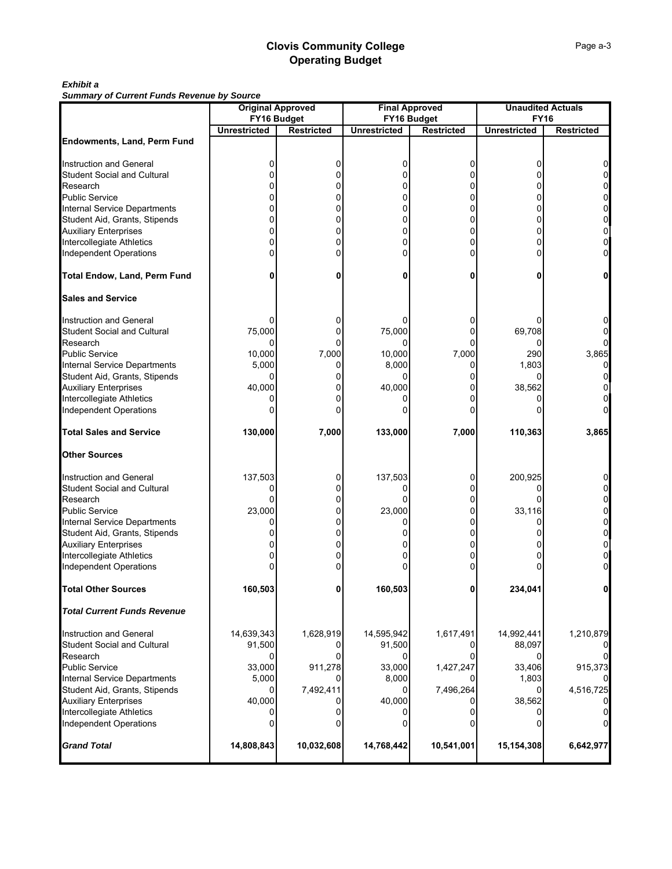#### *Exhibit a*

*Summary of Current Funds Revenue by Source*

|            |                                                                                                                                    |                                                                                                                                                                       |                                                                                                                                | <b>Unaudited Actuals</b>                                                                                                                                                   |                                                                                                                                                                                          |  |  |
|------------|------------------------------------------------------------------------------------------------------------------------------------|-----------------------------------------------------------------------------------------------------------------------------------------------------------------------|--------------------------------------------------------------------------------------------------------------------------------|----------------------------------------------------------------------------------------------------------------------------------------------------------------------------|------------------------------------------------------------------------------------------------------------------------------------------------------------------------------------------|--|--|
|            |                                                                                                                                    |                                                                                                                                                                       |                                                                                                                                | <b>FY16</b>                                                                                                                                                                |                                                                                                                                                                                          |  |  |
|            |                                                                                                                                    |                                                                                                                                                                       |                                                                                                                                |                                                                                                                                                                            | <b>Restricted</b>                                                                                                                                                                        |  |  |
|            |                                                                                                                                    |                                                                                                                                                                       |                                                                                                                                |                                                                                                                                                                            |                                                                                                                                                                                          |  |  |
|            |                                                                                                                                    |                                                                                                                                                                       |                                                                                                                                |                                                                                                                                                                            | 0                                                                                                                                                                                        |  |  |
|            |                                                                                                                                    |                                                                                                                                                                       |                                                                                                                                |                                                                                                                                                                            | 0                                                                                                                                                                                        |  |  |
|            |                                                                                                                                    |                                                                                                                                                                       |                                                                                                                                |                                                                                                                                                                            | 0                                                                                                                                                                                        |  |  |
| U          |                                                                                                                                    |                                                                                                                                                                       |                                                                                                                                |                                                                                                                                                                            | 0                                                                                                                                                                                        |  |  |
|            |                                                                                                                                    |                                                                                                                                                                       |                                                                                                                                |                                                                                                                                                                            | 0                                                                                                                                                                                        |  |  |
|            |                                                                                                                                    |                                                                                                                                                                       |                                                                                                                                |                                                                                                                                                                            | 0                                                                                                                                                                                        |  |  |
|            |                                                                                                                                    |                                                                                                                                                                       |                                                                                                                                |                                                                                                                                                                            | 0                                                                                                                                                                                        |  |  |
|            |                                                                                                                                    |                                                                                                                                                                       |                                                                                                                                |                                                                                                                                                                            | 0                                                                                                                                                                                        |  |  |
|            |                                                                                                                                    |                                                                                                                                                                       |                                                                                                                                |                                                                                                                                                                            | 0                                                                                                                                                                                        |  |  |
|            |                                                                                                                                    |                                                                                                                                                                       |                                                                                                                                |                                                                                                                                                                            |                                                                                                                                                                                          |  |  |
| 0          | 0                                                                                                                                  | 0                                                                                                                                                                     | 0                                                                                                                              | 0                                                                                                                                                                          | 0                                                                                                                                                                                        |  |  |
|            |                                                                                                                                    |                                                                                                                                                                       |                                                                                                                                |                                                                                                                                                                            |                                                                                                                                                                                          |  |  |
| 0          |                                                                                                                                    |                                                                                                                                                                       | 0                                                                                                                              |                                                                                                                                                                            | 0                                                                                                                                                                                        |  |  |
| 75,000     |                                                                                                                                    | 75,000                                                                                                                                                                | 0                                                                                                                              | 69,708                                                                                                                                                                     | 0                                                                                                                                                                                        |  |  |
|            |                                                                                                                                    |                                                                                                                                                                       |                                                                                                                                |                                                                                                                                                                            | 0                                                                                                                                                                                        |  |  |
| 10,000     |                                                                                                                                    | 10,000                                                                                                                                                                |                                                                                                                                | 290                                                                                                                                                                        | 3,865                                                                                                                                                                                    |  |  |
| 5,000      | 0                                                                                                                                  | 8,000                                                                                                                                                                 | 0                                                                                                                              | 1,803                                                                                                                                                                      | 0                                                                                                                                                                                        |  |  |
| 0          |                                                                                                                                    |                                                                                                                                                                       | 0                                                                                                                              |                                                                                                                                                                            | 0                                                                                                                                                                                        |  |  |
|            | 0                                                                                                                                  | 40,000                                                                                                                                                                | 0                                                                                                                              |                                                                                                                                                                            | 0                                                                                                                                                                                        |  |  |
|            | 0                                                                                                                                  |                                                                                                                                                                       | 0                                                                                                                              | 0                                                                                                                                                                          |                                                                                                                                                                                          |  |  |
| O          | 0                                                                                                                                  |                                                                                                                                                                       |                                                                                                                                |                                                                                                                                                                            | $\Omega$                                                                                                                                                                                 |  |  |
| 130,000    | 7,000                                                                                                                              | 133,000                                                                                                                                                               | 7,000                                                                                                                          | 110,363                                                                                                                                                                    | 3,865                                                                                                                                                                                    |  |  |
|            |                                                                                                                                    |                                                                                                                                                                       |                                                                                                                                |                                                                                                                                                                            |                                                                                                                                                                                          |  |  |
|            |                                                                                                                                    |                                                                                                                                                                       |                                                                                                                                |                                                                                                                                                                            | 0                                                                                                                                                                                        |  |  |
|            |                                                                                                                                    |                                                                                                                                                                       |                                                                                                                                |                                                                                                                                                                            | 0                                                                                                                                                                                        |  |  |
|            |                                                                                                                                    |                                                                                                                                                                       |                                                                                                                                |                                                                                                                                                                            | 0                                                                                                                                                                                        |  |  |
|            |                                                                                                                                    |                                                                                                                                                                       |                                                                                                                                |                                                                                                                                                                            | 0                                                                                                                                                                                        |  |  |
|            |                                                                                                                                    |                                                                                                                                                                       |                                                                                                                                |                                                                                                                                                                            | 0                                                                                                                                                                                        |  |  |
|            |                                                                                                                                    |                                                                                                                                                                       |                                                                                                                                |                                                                                                                                                                            | 0                                                                                                                                                                                        |  |  |
|            |                                                                                                                                    |                                                                                                                                                                       |                                                                                                                                |                                                                                                                                                                            | 0                                                                                                                                                                                        |  |  |
|            |                                                                                                                                    |                                                                                                                                                                       |                                                                                                                                |                                                                                                                                                                            | 0                                                                                                                                                                                        |  |  |
|            |                                                                                                                                    |                                                                                                                                                                       |                                                                                                                                |                                                                                                                                                                            | 0                                                                                                                                                                                        |  |  |
|            |                                                                                                                                    |                                                                                                                                                                       |                                                                                                                                |                                                                                                                                                                            |                                                                                                                                                                                          |  |  |
|            | 0                                                                                                                                  |                                                                                                                                                                       | 0                                                                                                                              |                                                                                                                                                                            | 0                                                                                                                                                                                        |  |  |
|            |                                                                                                                                    |                                                                                                                                                                       |                                                                                                                                |                                                                                                                                                                            |                                                                                                                                                                                          |  |  |
| 14,639,343 | 1,628,919                                                                                                                          | 14,595,942                                                                                                                                                            | 1,617,491                                                                                                                      | 14,992,441                                                                                                                                                                 | 1,210,879                                                                                                                                                                                |  |  |
| 91,500     |                                                                                                                                    | 91,500                                                                                                                                                                |                                                                                                                                | 88,097                                                                                                                                                                     |                                                                                                                                                                                          |  |  |
| 0          |                                                                                                                                    |                                                                                                                                                                       |                                                                                                                                | $\Omega$                                                                                                                                                                   |                                                                                                                                                                                          |  |  |
| 33,000     |                                                                                                                                    |                                                                                                                                                                       | 1,427,247                                                                                                                      |                                                                                                                                                                            | 915,373                                                                                                                                                                                  |  |  |
|            |                                                                                                                                    | 8,000                                                                                                                                                                 |                                                                                                                                |                                                                                                                                                                            |                                                                                                                                                                                          |  |  |
| 0          | 7,492,411                                                                                                                          | 0                                                                                                                                                                     | 7,496,264                                                                                                                      | $\Omega$                                                                                                                                                                   | 4,516,725                                                                                                                                                                                |  |  |
| 40,000     |                                                                                                                                    |                                                                                                                                                                       |                                                                                                                                |                                                                                                                                                                            |                                                                                                                                                                                          |  |  |
| 0          |                                                                                                                                    | 0                                                                                                                                                                     | 0                                                                                                                              | 0                                                                                                                                                                          | 0                                                                                                                                                                                        |  |  |
| U          |                                                                                                                                    | n                                                                                                                                                                     |                                                                                                                                | U                                                                                                                                                                          | $\Omega$                                                                                                                                                                                 |  |  |
| 14,808,843 | 10,032,608                                                                                                                         | 14,768,442                                                                                                                                                            |                                                                                                                                | 15,154,308                                                                                                                                                                 | 6,642,977                                                                                                                                                                                |  |  |
|            | <b>Unrestricted</b><br>0<br>0<br>0<br>ი<br>0<br>ი<br>U<br>40,000<br>137,503<br>0<br>0<br>23,000<br>0<br>0<br>ი<br>160,503<br>5,000 | <b>Original Approved</b><br>FY16 Budget<br><b>Restricted</b><br>0<br>0<br>0<br>0<br>0<br>0<br>0<br>0<br>0<br>7,000<br>0<br>0<br>0<br>0<br>0<br>0<br>0<br>0<br>911,278 | <b>Unrestricted</b><br>0<br>0<br>0<br>0<br>0<br>0<br>0<br>0<br>0<br>137,503<br>Ω<br>23,000<br>0<br>160,503<br>33,000<br>40,000 | <b>Final Approved</b><br>FY16 Budget<br><b>Restricted</b><br>0<br>0<br>0<br>0<br>0<br>0<br>0<br>0<br>$\Omega$<br>7,000<br>0<br>0<br>0<br>0<br>0<br>0<br>0<br>0<br>$\Omega$ | <b>Unrestricted</b><br>0<br>0<br>0<br>0<br>0<br>0<br>0<br>0<br>0<br>38,562<br>200,925<br>0<br>0<br>33,116<br>0<br>0<br>0<br>0<br>ი<br>234,041<br>33,406<br>1,803<br>38,562<br>10,541,001 |  |  |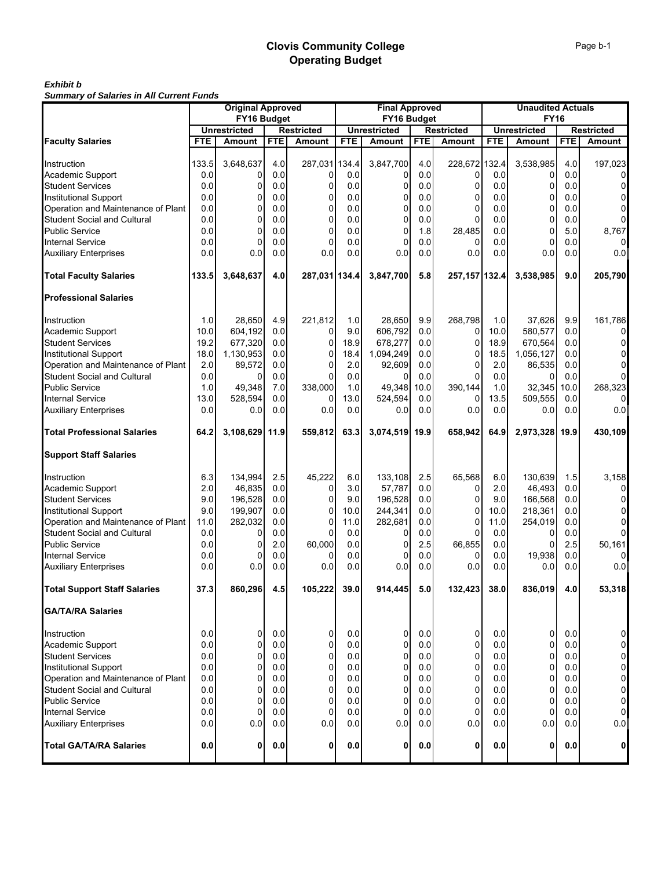#### *Exhibit b Summary of Salaries in All Current Funds*

|                                                                   |            | <b>Original Approved</b> |            |                   |            | <b>Final Approved</b> |            |                   |            | <b>Unaudited Actuals</b> |            |                   |  |
|-------------------------------------------------------------------|------------|--------------------------|------------|-------------------|------------|-----------------------|------------|-------------------|------------|--------------------------|------------|-------------------|--|
|                                                                   |            | FY16 Budget              |            |                   |            | FY16 Budget           |            |                   |            | <b>FY16</b>              |            |                   |  |
|                                                                   |            | <b>Unrestricted</b>      |            | <b>Restricted</b> |            | <b>Unrestricted</b>   |            | <b>Restricted</b> |            | <b>Unrestricted</b>      |            | <b>Restricted</b> |  |
| <b>Faculty Salaries</b>                                           | <b>FTE</b> | <b>Amount</b>            | <b>FTE</b> | <b>Amount</b>     | <b>FTE</b> | <b>Amount</b>         | <b>FTE</b> | Amount            | <b>FTE</b> | <b>Amount</b>            | <b>FTE</b> | <b>Amount</b>     |  |
| Instruction                                                       | 133.5      | 3,648,637                | 4.0        | 287,031 134.4     |            | 3,847,700             | 4.0        | 228,672 132.4     |            | 3,538,985                | 4.0        | 197,023           |  |
|                                                                   | 0.0        | 0                        | 0.0        | 0                 | 0.0        | 0                     | 0.0        | 0                 | 0.0        |                          | 0.0        |                   |  |
| Academic Support                                                  | 0.0        | 0                        | 0.0        |                   | 0.0        |                       | 0.0        | 0                 | 0.0        |                          | 0.0        |                   |  |
| <b>Student Services</b><br><b>Institutional Support</b>           |            |                          |            | 0                 |            | 0                     |            |                   |            | 0                        |            | $\mathbf 0$       |  |
|                                                                   | 0.0        | $\mathbf 0$              | 0.0        | $\Omega$          | 0.0        | 0                     | 0.0        | 0                 | 0.0        | 0                        | 0.0        | 0                 |  |
| Operation and Maintenance of Plant                                | 0.0        | $\mathbf 0$              | 0.0        | $\overline{0}$    | 0.0        |                       | 0.0        | 0                 | 0.0        | $\Omega$                 | 0.0        | 0                 |  |
| <b>Student Social and Cultural</b>                                | 0.0        | 0                        | 0.0        | $\overline{0}$    | 0.0        | 0                     | 0.0        | $\Omega$          | 0.0        | 0                        | 0.0        | $\Omega$          |  |
| <b>Public Service</b>                                             | 0.0        | $\Omega$                 | 0.0        | 0                 | 0.0        | 0                     | 1.8        | 28,485            | 0.0        | 0                        | 5.0        | 8,767             |  |
| <b>Internal Service</b>                                           | 0.0        | $\mathbf 0$              | 0.0        | 0                 | 0.0        | 0                     | 0.0        |                   | 0.0        | 0                        | 0.0        | 0                 |  |
| <b>Auxiliary Enterprises</b>                                      | 0.0        | 0.0                      | 0.0        | 0.0               | 0.0        | 0.0                   | 0.0        | 0.0               | 0.0        | 0.0                      | 0.0        | 0.0               |  |
| <b>Total Faculty Salaries</b>                                     | 133.5      | 3,648,637                | 4.0        | 287,031 134.4     |            | 3,847,700             | 5.8        | 257, 157 132.4    |            | 3,538,985                | 9.0        | 205,790           |  |
| <b>Professional Salaries</b>                                      |            |                          |            |                   |            |                       |            |                   |            |                          |            |                   |  |
| Instruction                                                       | 1.0        | 28,650                   | 4.9        | 221,812           | 1.0        | 28,650                | 9.9        | 268,798           | 1.0        | 37.626                   | 9.9        | 161,786           |  |
| Academic Support                                                  | 10.0       | 604,192                  | 0.0        | $\Omega$          | 9.0        | 606,792               | 0.0        | 0                 | 10.0       | 580,577                  | 0.0        |                   |  |
| <b>Student Services</b>                                           | 19.2       | 677,320                  | 0.0        | 0                 | 18.9       | 678,277               | 0.0        | 0                 | 18.9       | 670,564                  | 0.0        | 0                 |  |
| <b>Institutional Support</b>                                      | 18.0       | 1,130,953                | 0.0        | 0                 | 18.4       | 1,094,249             | 0.0        | 0                 | 18.5       | 1,056,127                | 0.0        | 0                 |  |
| Operation and Maintenance of Plant                                | 2.0        | 89,572                   | 0.0        | $\Omega$          | 2.0        | 92,609                | 0.0        | 0                 | 2.0        | 86,535                   | 0.0        | $\Omega$          |  |
| <b>Student Social and Cultural</b>                                | 0.0        | 0                        | 0.0        | $\Omega$          | 0.0        | 0                     | 0.0        | 0                 | 0.0        | 0                        | 0.0        | 0                 |  |
| <b>Public Service</b>                                             | 1.0        | 49,348                   | 7.0        | 338,000           | 1.0        | 49,348                | 10.0       | 390,144           | 1.0        | 32,345                   | 10.0       | 268,323           |  |
| <b>Internal Service</b>                                           | 13.0       | 528.594                  | 0.0        | 0                 | 13.0       | 524,594               | 0.0        | 0                 | 13.5       | 509.555                  | 0.0        |                   |  |
| <b>Auxiliary Enterprises</b>                                      | 0.0        | 0.0                      | 0.0        | 0.0               | 0.0        | 0.0                   | 0.0        | 0.0               | 0.0        | 0.0                      | 0.0        | 0.0               |  |
| <b>Total Professional Salaries</b>                                | 64.2       | 3,108,629 11.9           |            | 559,812           | 63.3       | 3,074,519             | 19.9       | 658,942           | 64.9       | 2,973,328                | 19.9       | 430,109           |  |
|                                                                   |            |                          |            |                   |            |                       |            |                   |            |                          |            |                   |  |
| <b>Support Staff Salaries</b>                                     |            |                          |            |                   |            |                       |            |                   |            |                          |            |                   |  |
| Instruction                                                       | 6.3        | 134,994                  | 2.5        | 45,222            | 6.0        | 133,108               | 2.5        | 65,568            | 6.0        | 130,639                  | 1.5        | 3,158             |  |
| Academic Support                                                  | 2.0        | 46,835                   | 0.0        | 0                 | 3.0        | 57,787                | 0.0        | 0                 | 2.0        | 46,493                   | 0.0        | 0                 |  |
| <b>Student Services</b>                                           | 9.0        | 196,528                  | 0.0        | $\Omega$          | 9.0        | 196,528               | 0.0        | 0                 | 9.0        | 166,568                  | 0.0        | 0                 |  |
| <b>Institutional Support</b>                                      | 9.0        | 199,907                  | 0.0        | $\Omega$          | 10.0       | 244,341               | 0.0        | 0                 | 10.0       | 218,361                  | 0.0        | 0                 |  |
| Operation and Maintenance of Plant<br>Student Social and Cultural | 11.0       | 282,032                  | 0.0        | $\overline{0}$    | 11.0       | 282,681               | 0.0        | 0                 | 11.0       | 254,019                  | 0.0        | $\overline{0}$    |  |
|                                                                   | 0.0        | 0                        | 0.0        | 0                 | 0.0        | <sup>0</sup>          | 0.0        | 0                 | 0.0        | 0                        | 0.0        | 0                 |  |
| <b>Public Service</b>                                             | 0.0        | 0                        | 2.0        | 60,000            | 0.0        |                       | 2.5        | 66.855            | 0.0        |                          | 2.5        | 50,161            |  |
| <b>Internal Service</b>                                           | 0.0        | 0                        | 0.0        | $\Omega$          | 0.0        | 0                     | 0.0        | 0                 | 0.0        | 19,938                   | 0.0        | 0                 |  |
| <b>Auxiliary Enterprises</b>                                      | 0.0        | 0.0                      | 0.0        | 0.0               | 0.0        | 0.0                   | 0.0        | 0.0               | 0.0        | 0.0                      | 0.0        | 0.0               |  |
| <b>Total Support Staff Salaries</b>                               | 37.3       | 860,296                  | 4.5        | 105,222           | 39.0       | 914,445               | 5.0        | 132.423           | 38.0       | 836,019                  | 4.0        | 53,318            |  |
| <b>GA/TA/RA Salaries</b>                                          |            |                          |            |                   |            |                       |            |                   |            |                          |            |                   |  |
| Instruction                                                       | 0.0        | $\mathbf 0$              | 0.0        | $\overline{0}$    | 0.0        | 0                     | 0.0        | 0                 | 0.0        | $\overline{0}$           | 0.0        | 0                 |  |
| Academic Support                                                  | 0.0        | 0                        | 0.0        | $\overline{0}$    | 0.0        | 0                     | 0.0        | $\mathbf 0$       | 0.0        | 0                        | 0.0        | $\pmb{0}$         |  |
| <b>Student Services</b>                                           | 0.0        | 0                        | 0.0        | $\overline{0}$    | 0.0        | 0                     | 0.0        | 0                 | 0.0        | 0                        | 0.0        | 0                 |  |
| <b>Institutional Support</b>                                      | 0.0        | $\mathbf 0$              | 0.0        | $\overline{0}$    | 0.0        | 0                     | 0.0        | 0                 | 0.0        | $\mathbf 0$              | 0.0        | $\pmb{0}$         |  |
| Operation and Maintenance of Plant                                | 0.0        | 0                        | 0.0        | $\overline{0}$    | 0.0        | 0                     | 0.0        | 0                 | 0.0        | 0                        | 0.0        | 0                 |  |
| Student Social and Cultural                                       | 0.0        | 0                        | 0.0        | $\overline{0}$    | 0.0        | 0                     | 0.0        | 0                 | 0.0        | 0                        | 0.0        | 0                 |  |
| <b>Public Service</b>                                             | 0.0        | 0                        | 0.0        | $\overline{0}$    | 0.0        | 0                     | 0.0        | 0                 | 0.0        | 0                        | 0.0        | $\pmb{0}$         |  |
| <b>Internal Service</b>                                           | 0.0        | 0                        | 0.0        | $\overline{0}$    | 0.0        | 0                     | 0.0        | 0                 | 0.0        | 0                        | 0.0        | $\mathbf 0$       |  |
| <b>Auxiliary Enterprises</b>                                      | 0.0        | 0.0                      | 0.0        | 0.0               | 0.0        | 0.0                   | 0.0        | 0.0               | 0.0        | 0.0                      | 0.0        | 0.0               |  |
| <b>Total GA/TA/RA Salaries</b>                                    | 0.0        | 0                        | 0.0        | $\mathbf{0}$      | 0.0        | 0                     | 0.0        | 0                 | 0.0        | 0                        | 0.0        | 0                 |  |
|                                                                   |            |                          |            |                   |            |                       |            |                   |            |                          |            |                   |  |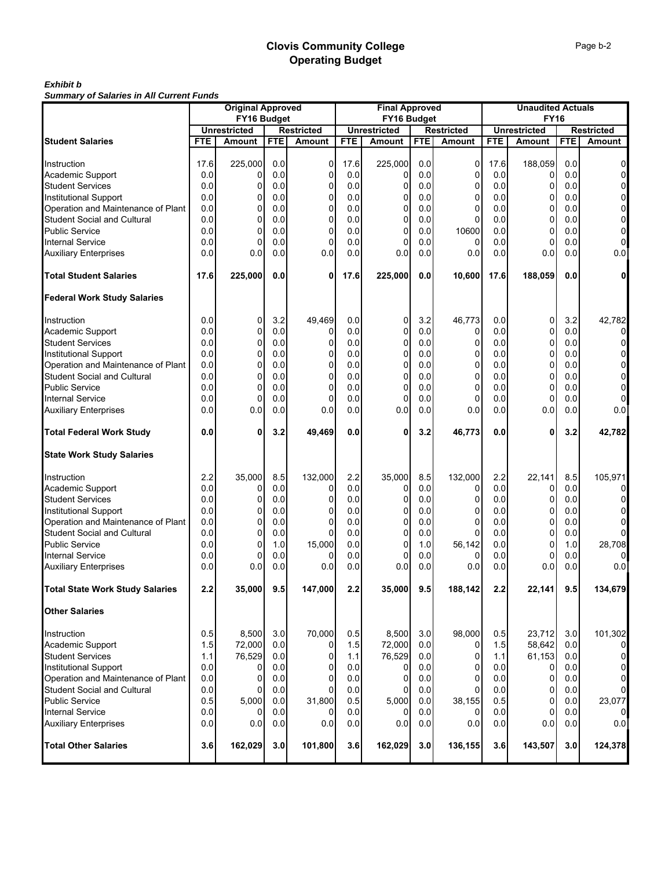#### *Exhibit b Summary of Salaries in All Current Funds*

|                                        | <b>Original Approved</b>                                |               |            |                |      | <b>Final Approved</b>         |            | <b>Unaudited Actuals</b>           |            |                               |            |                                    |
|----------------------------------------|---------------------------------------------------------|---------------|------------|----------------|------|-------------------------------|------------|------------------------------------|------------|-------------------------------|------------|------------------------------------|
|                                        | FY16 Budget<br><b>Unrestricted</b><br><b>Restricted</b> |               |            |                |      | FY16 Budget                   |            |                                    |            | <b>FY16</b>                   |            |                                    |
| <b>Student Salaries</b>                | FTE                                                     | <b>Amount</b> | <b>FTE</b> | <b>Amount</b>  | FTE  | <b>Unrestricted</b><br>Amount | <b>FTE</b> | <b>Restricted</b><br><b>Amount</b> | <b>FTE</b> | <b>Unrestricted</b><br>Amount | <b>FTE</b> | <b>Restricted</b><br><b>Amount</b> |
|                                        |                                                         |               |            |                |      |                               |            |                                    |            |                               |            |                                    |
| Instruction                            | 17.6                                                    | 225,000       | 0.0        | 0              | 17.6 | 225,000                       | 0.0        | 0                                  | 17.6       | 188,059                       | 0.0        | 0                                  |
| Academic Support                       | 0.0                                                     | 0             | 0.0        | 0              | 0.0  |                               | 0.0        | $\mathbf 0$                        | 0.0        | 0                             | 0.0        | $\overline{0}$                     |
| <b>Student Services</b>                | 0.0                                                     | 0             | 0.0        | $\overline{0}$ | 0.0  | 0                             | 0.0        | 0                                  | 0.0        | 0                             | 0.0        | $\overline{0}$                     |
| <b>Institutional Support</b>           | 0.0                                                     | 0             | 0.0        | $\overline{0}$ | 0.0  | 0                             | 0.0        | 0                                  | 0.0        | 0                             | 0.0        | $\overline{0}$                     |
| Operation and Maintenance of Plant     | 0.0                                                     | 0             | 0.0        | 0              | 0.0  | 0                             | 0.0        | 0                                  | 0.0        | 0                             | 0.0        | $\overline{0}$                     |
| <b>Student Social and Cultural</b>     | 0.0                                                     | $\Omega$      | 0.0        | 0              | 0.0  | 0                             | 0.0        | $\mathbf 0$                        | 0.0        | 0                             | 0.0        | $\overline{0}$                     |
| <b>Public Service</b>                  | 0.0                                                     | 0             | 0.0        | 0              | 0.0  | 0                             | 0.0        | 10600                              | 0.0        | 0                             | 0.0        | $\overline{0}$                     |
| <b>Internal Service</b>                | 0.0                                                     | 0             | 0.0        | 0              | 0.0  | 0                             | 0.0        | 0                                  | 0.0        | 0                             | 0.0        | $\overline{0}$                     |
| <b>Auxiliary Enterprises</b>           | 0.0                                                     | 0.0           | 0.0        | 0.0            | 0.0  | 0.0                           | 0.0        | 0.0                                | 0.0        | 0.0                           | 0.0        | 0.0                                |
| <b>Total Student Salaries</b>          | 17.6                                                    | 225,000       | 0.0        | 0              | 17.6 | 225,000                       | 0.0        | 10,600                             | 17.6       | 188,059                       | 0.0        | 0                                  |
| <b>Federal Work Study Salaries</b>     |                                                         |               |            |                |      |                               |            |                                    |            |                               |            |                                    |
| Instruction                            | 0.0                                                     | 0             | 3.2        | 49,469         | 0.0  | 0                             | 3.2        | 46,773                             | 0.0        | 0                             | 3.2        | 42,782                             |
| Academic Support                       | 0.0                                                     | $\mathbf 0$   | 0.0        | 0              | 0.0  | 0                             | 0.0        | 0                                  | 0.0        | 0                             | 0.0        | 0                                  |
| <b>Student Services</b>                | 0.0                                                     | 0             | 0.0        | 0              | 0.0  | 0                             | 0.0        | 0                                  | 0.0        | 0                             | 0.0        | $\overline{0}$                     |
| <b>Institutional Support</b>           | 0.0                                                     | 0             | 0.0        | 0              | 0.0  | 0                             | 0.0        | 0                                  | 0.0        | 0                             | 0.0        | $\overline{0}$                     |
| Operation and Maintenance of Plant     | 0.0                                                     | $\Omega$      | 0.0        | 0              | 0.0  | 0                             | 0.0        | 0                                  | 0.0        | 0                             | 0.0        | $\overline{0}$                     |
| <b>Student Social and Cultural</b>     | 0.0                                                     | 0             | 0.0        | $\overline{0}$ | 0.0  | $\Omega$                      | 0.0        | $\mathbf 0$                        | 0.0        | 0                             | 0.0        | $\overline{0}$                     |
| <b>Public Service</b>                  | 0.0                                                     | $\Omega$      | 0.0        | 0              | 0.0  | 0                             | 0.0        | $\mathbf 0$                        | 0.0        | 0                             | 0.0        | $\overline{0}$                     |
| <b>Internal Service</b>                | 0.0                                                     | $\Omega$      | 0.0        | 0              | 0.0  | 0                             | 0.0        | $\Omega$                           | 0.0        | 0                             | 0.0        | $\overline{0}$                     |
| <b>Auxiliary Enterprises</b>           | 0.0                                                     | 0.0           | 0.0        | 0.0            | 0.0  | 0.0                           | 0.0        | 0.0                                | 0.0        | 0.0                           | 0.0        | 0.0                                |
| <b>Total Federal Work Study</b>        | 0.0                                                     | 0             | 3.2        | 49,469         | 0.0  | 0                             | 3.2        | 46,773                             | 0.0        | 0                             | 3.2        | 42,782                             |
| <b>State Work Study Salaries</b>       |                                                         |               |            |                |      |                               |            |                                    |            |                               |            |                                    |
| Instruction                            | 2.2                                                     | 35,000        | 8.5        | 132,000        | 2.2  | 35,000                        | 8.5        | 132,000                            | 2.2        | 22,141                        | 8.5        | 105,971                            |
| Academic Support                       | 0.0                                                     | 0             | 0.0        | 0              | 0.0  | 0                             | 0.0        | 0                                  | 0.0        | 0                             | 0.0        | 0                                  |
| <b>Student Services</b>                | 0.0                                                     | 0             | 0.0        | 0              | 0.0  | $\Omega$                      | 0.0        | 0                                  | 0.0        | 0                             | 0.0        | 0                                  |
| <b>Institutional Support</b>           | 0.0                                                     | $\Omega$      | 0.0        | 0              | 0.0  | 0                             | 0.0        | 0                                  | 0.0        | 0                             | 0.0        | 0                                  |
| Operation and Maintenance of Plant     | 0.0                                                     | 0             | 0.0        | $\overline{0}$ | 0.0  | 0                             | 0.0        | 0                                  | 0.0        | 0                             | 0.0        | 0                                  |
| <b>Student Social and Cultural</b>     | 0.0                                                     | 0             | 0.0        | 0              | 0.0  | 0                             | 0.0        | 0                                  | 0.0        | 0                             | 0.0        | 0                                  |
| <b>Public Service</b>                  | 0.0                                                     | $\Omega$      | 1.0        | 15.000         | 0.0  | 0                             | 1.0        | 56.142                             | 0.0        | 0                             | 1.0        | 28,708                             |
| <b>Internal Service</b>                | 0.0                                                     | $\mathbf 0$   | 0.0        | 0              | 0.0  | 0                             | 0.0        | 0                                  | 0.0        | 0                             | 0.0        | 0                                  |
| <b>Auxiliary Enterprises</b>           | 0.0                                                     | 0.0           | 0.0        | 0.0            | 0.0  | 0.0                           | 0.0        | 0.0                                | 0.0        | 0.0                           | 0.0        | 0.0                                |
| <b>Total State Work Study Salaries</b> | 2.2                                                     | 35,000        | 9.5        | 147,000        | 2.2  | 35.000                        | 9.5        | 188,142                            | 2.2        | 22,141                        | 9.5        | 134,679                            |
| <b>Other Salaries</b>                  |                                                         |               |            |                |      |                               |            |                                    |            |                               |            |                                    |
| Instruction                            | 0.5                                                     | 8,500         | 3.0        | 70,000         | 0.5  | 8,500                         | 3.0        | 98,000                             | 0.5        | 23.712                        | 3.0        | 101,302                            |
| Academic Support                       | 1.5                                                     | 72,000        | 0.0        | 0              | 1.5  | 72,000                        | 0.0        | 0                                  | 1.5        | 58,642                        | 0.0        | 0                                  |
| <b>Student Services</b>                | 1.1                                                     | 76,529        | 0.0        | $\overline{0}$ | 1.1  | 76,529                        | 0.0        | 0                                  | 1.1        | 61,153                        | 0.0        | $\overline{0}$                     |
| <b>Institutional Support</b>           | 0.0                                                     | 0             | 0.0        | $\overline{0}$ | 0.0  | 0                             | 0.0        | 0                                  | 0.0        | 0                             | 0.0        | 0                                  |
| Operation and Maintenance of Plant     | 0.0                                                     | 0             | 0.0        | $\overline{0}$ | 0.0  | 0                             | 0.0        | 0                                  | 0.0        | $\overline{0}$                | 0.0        | $\overline{0}$                     |
| Student Social and Cultural            | 0.0                                                     | 0             | 0.0        | 0              | 0.0  | 0                             | 0.0        | 0                                  | 0.0        | 0                             | 0.0        | $\overline{0}$                     |
| <b>Public Service</b>                  | 0.5                                                     | 5,000         | 0.0        | 31,800         | 0.5  | 5,000                         | 0.0        | 38.155                             | 0.5        | 0                             | 0.0        | 23,077                             |
| <b>Internal Service</b>                | 0.0                                                     | 0             | 0.0        | $\Omega$       | 0.0  | 0                             | 0.0        | 0                                  | 0.0        | $\mathbf 0$                   | 0.0        | $\overline{0}$                     |
| <b>Auxiliary Enterprises</b>           | 0.0                                                     | 0.0           | 0.0        | 0.0            | 0.0  | 0.0                           | 0.0        | 0.0                                | 0.0        | 0.0                           | 0.0        | 0.0                                |
| <b>Total Other Salaries</b>            | 3.6                                                     | 162,029       | 3.0        | 101,800        | 3.6  | 162,029                       | 3.0        | 136,155                            | 3.6        | 143,507                       | 3.0        | 124,378                            |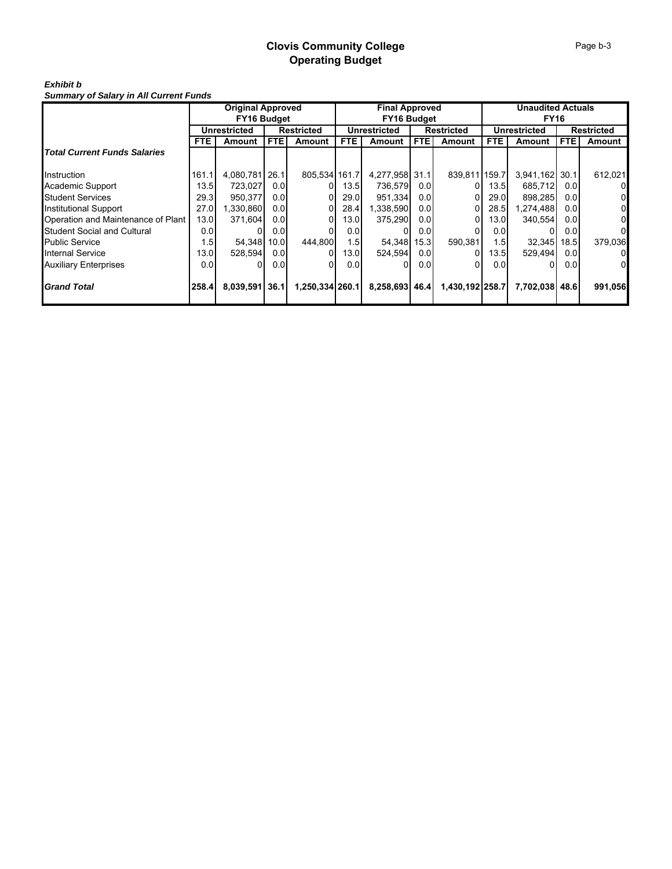#### *Exhibit b Summary of Salary in All Current Funds*

|                                     | <b>Original Approved</b> |              |                  | <b>Final Approved</b> |                     |                | <b>Unaudited Actuals</b> |                 |              |                |                   |         |
|-------------------------------------|--------------------------|--------------|------------------|-----------------------|---------------------|----------------|--------------------------|-----------------|--------------|----------------|-------------------|---------|
|                                     | <b>FY16 Budget</b>       |              |                  | FY16 Budget           |                     |                | <b>FY16</b>              |                 |              |                |                   |         |
|                                     |                          | Unrestricted |                  | <b>Restricted</b>     | <b>Unrestricted</b> |                | <b>Restricted</b>        |                 | Unrestricted |                | <b>Restricted</b> |         |
|                                     | <b>FTE</b>               | Amount       | FTE.             | Amount                | <b>FTE</b>          | Amount         | <b>FTE</b>               | Amount          | <b>FTE</b>   | Amount         | FTE.              | Amount  |
| <b>Total Current Funds Salaries</b> |                          |              |                  |                       |                     |                |                          |                 |              |                |                   |         |
| Instruction                         | 161.1                    | 4,080,781    | 26.1             | 805,534 161.7         |                     | 4,277,958 31.1 |                          | 839,811 159.7   |              | 3,941,162 30.1 |                   | 612,021 |
| Academic Support                    | 13.5                     | 723,027      | 0.0              |                       | 13.5                | 736,579        | 0.0                      | 01              | 13.5         | 685,712        | 0.0               |         |
| <b>Student Services</b>             | 29.3                     | 950,377      | 0.0              |                       | 29.0                | 951,334        | 0.0                      | 01              | 29.0         | 898,285        | 0.0               |         |
| <b>Institutional Support</b>        | 27.0                     | 330,860      | 0.0              |                       | 28.4                | 1,338,590      | 0.0                      | 01              | 28.5         | 1,274,488      | 0.0               |         |
| Operation and Maintenance of Plant  | 13.0                     | 371,604      | 0.0              |                       | 13.0                | 375,290        | 0.0                      | 01              | 13.0         | 340,554        | 0.0               |         |
| <b>Student Social and Cultural</b>  | 0.0                      |              | 0.0              |                       | 0.0                 |                | 0.01                     | ΩI              | 0.0          | $\Omega$       | 0.0               |         |
| <b>Public Service</b>               | 1.5 <sub>l</sub>         | 54,348       | 10.0             | 444.800               | 1.5                 | 54,348         | 15.3                     | 590,381         | 1.5          | 32,345         | 18.5              | 379,036 |
| <b>Internal Service</b>             | 13.0                     | 528,594      | 0.0 <sub>l</sub> |                       | 13.OI               | 524,594        | 0.01                     | ΩI              | 13.5         | 529,494        | 0.0               |         |
| <b>Auxiliary Enterprises</b>        | 0.01                     |              | 0.0              |                       | 0.01                | $\Omega$       | 0.0                      | ΩI              | 0.0          |                | 0.0               | 01      |
| <b>Grand Total</b>                  | 258.4                    | 8,039,591    | 36.1             | 1,250,334 260.1       |                     | 8,258,693 46.4 |                          | 1,430,192 258.7 |              | 7,702,038 48.6 |                   | 991,056 |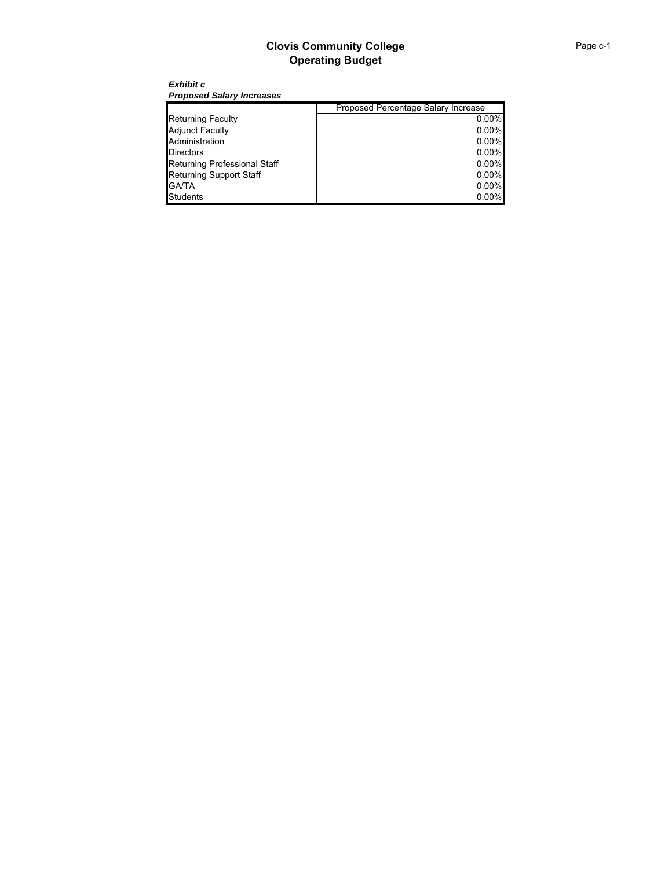#### *Exhibit c Proposed Salary Increases*

|                                     | Proposed Percentage Salary Increase |
|-------------------------------------|-------------------------------------|
| <b>Returning Faculty</b>            | $0.00\%$                            |
| <b>Adjunct Faculty</b>              | $0.00\%$                            |
| Administration                      | $0.00\%$                            |
| <b>Directors</b>                    | $0.00\%$                            |
| <b>Returning Professional Staff</b> | $0.00\%$                            |
| <b>Returning Support Staff</b>      | $0.00\%$                            |
| <b>GA/TA</b>                        | 0.00%                               |
| <b>Students</b>                     | $0.00\%$                            |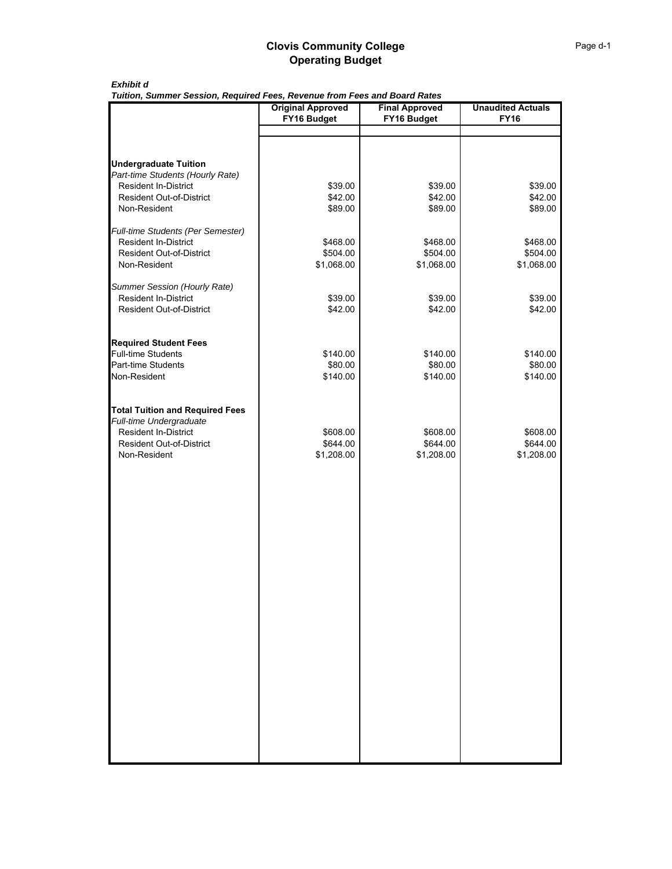*Exhibit d*

*Tuition, Summer Session, Required Fees, Revenue from Fees and Board Rates*

|                                                                | <b>Original Approved</b> | <b>Final Approved</b> | <b>Unaudited Actuals</b> |
|----------------------------------------------------------------|--------------------------|-----------------------|--------------------------|
|                                                                | FY16 Budget              | FY16 Budget           | <b>FY16</b>              |
|                                                                |                          |                       |                          |
|                                                                |                          |                       |                          |
| <b>Undergraduate Tuition</b>                                   |                          |                       |                          |
| Part-time Students (Hourly Rate)                               |                          |                       |                          |
| <b>Resident In-District</b>                                    | \$39.00                  | \$39.00               | \$39.00                  |
| <b>Resident Out-of-District</b>                                | \$42.00                  | \$42.00               | \$42.00                  |
| Non-Resident                                                   | \$89.00                  | \$89.00               | \$89.00                  |
|                                                                |                          |                       |                          |
| Full-time Students (Per Semester)                              |                          |                       |                          |
| <b>Resident In-District</b><br><b>Resident Out-of-District</b> | \$468.00<br>\$504.00     | \$468.00<br>\$504.00  | \$468.00<br>\$504.00     |
| Non-Resident                                                   | \$1,068.00               | \$1,068.00            | \$1,068.00               |
|                                                                |                          |                       |                          |
| Summer Session (Hourly Rate)                                   |                          |                       |                          |
| Resident In-District                                           | \$39.00                  | \$39.00               | \$39.00                  |
| <b>Resident Out-of-District</b>                                | \$42.00                  | \$42.00               | \$42.00                  |
|                                                                |                          |                       |                          |
|                                                                |                          |                       |                          |
| <b>Required Student Fees</b>                                   |                          |                       |                          |
| <b>Full-time Students</b><br>Part-time Students                | \$140.00                 | \$140.00              | \$140.00                 |
| Non-Resident                                                   | \$80.00<br>\$140.00      | \$80.00<br>\$140.00   | \$80.00<br>\$140.00      |
|                                                                |                          |                       |                          |
|                                                                |                          |                       |                          |
| <b>Total Tuition and Required Fees</b>                         |                          |                       |                          |
| Full-time Undergraduate                                        |                          |                       |                          |
| <b>Resident In-District</b>                                    | \$608.00                 | \$608.00              | \$608.00                 |
| <b>Resident Out-of-District</b>                                | \$644.00                 | \$644.00              | \$644.00                 |
| Non-Resident                                                   | \$1,208.00               | \$1,208.00            | \$1,208.00               |
|                                                                |                          |                       |                          |
|                                                                |                          |                       |                          |
|                                                                |                          |                       |                          |
|                                                                |                          |                       |                          |
|                                                                |                          |                       |                          |
|                                                                |                          |                       |                          |
|                                                                |                          |                       |                          |
|                                                                |                          |                       |                          |
|                                                                |                          |                       |                          |
|                                                                |                          |                       |                          |
|                                                                |                          |                       |                          |
|                                                                |                          |                       |                          |
|                                                                |                          |                       |                          |
|                                                                |                          |                       |                          |
|                                                                |                          |                       |                          |
|                                                                |                          |                       |                          |
|                                                                |                          |                       |                          |
|                                                                |                          |                       |                          |
|                                                                |                          |                       |                          |
|                                                                |                          |                       |                          |
|                                                                |                          |                       |                          |
|                                                                |                          |                       |                          |
|                                                                |                          |                       |                          |
|                                                                |                          |                       |                          |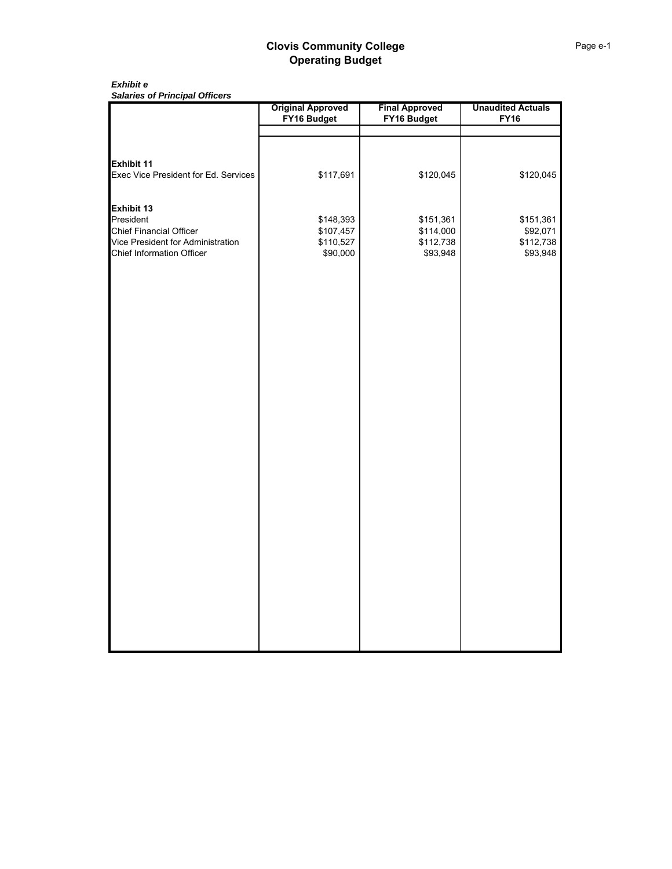*Exhibit e Salaries of Principal Officers*

|                                      | <b>Original Approved</b><br>FY16 Budget | <b>Final Approved</b><br>FY16 Budget | <b>Unaudited Actuals</b><br><b>FY16</b> |
|--------------------------------------|-----------------------------------------|--------------------------------------|-----------------------------------------|
|                                      |                                         |                                      |                                         |
|                                      |                                         |                                      |                                         |
| <b>Exhibit 11</b>                    |                                         |                                      |                                         |
| Exec Vice President for Ed. Services | \$117,691                               | \$120,045                            | \$120,045                               |
|                                      |                                         |                                      |                                         |
| <b>Exhibit 13</b>                    |                                         |                                      |                                         |
| President                            | \$148,393                               | \$151,361                            | \$151,361                               |
| <b>Chief Financial Officer</b>       | \$107,457                               | \$114,000                            | \$92,071                                |
| Vice President for Administration    | \$110,527                               | \$112,738                            | \$112,738                               |
| <b>Chief Information Officer</b>     | \$90,000                                | \$93,948                             | \$93,948                                |
|                                      |                                         |                                      |                                         |
|                                      |                                         |                                      |                                         |
|                                      |                                         |                                      |                                         |
|                                      |                                         |                                      |                                         |
|                                      |                                         |                                      |                                         |
|                                      |                                         |                                      |                                         |
|                                      |                                         |                                      |                                         |
|                                      |                                         |                                      |                                         |
|                                      |                                         |                                      |                                         |
|                                      |                                         |                                      |                                         |
|                                      |                                         |                                      |                                         |
|                                      |                                         |                                      |                                         |
|                                      |                                         |                                      |                                         |
|                                      |                                         |                                      |                                         |
|                                      |                                         |                                      |                                         |
|                                      |                                         |                                      |                                         |
|                                      |                                         |                                      |                                         |
|                                      |                                         |                                      |                                         |
|                                      |                                         |                                      |                                         |
|                                      |                                         |                                      |                                         |
|                                      |                                         |                                      |                                         |
|                                      |                                         |                                      |                                         |
|                                      |                                         |                                      |                                         |
|                                      |                                         |                                      |                                         |
|                                      |                                         |                                      |                                         |
|                                      |                                         |                                      |                                         |
|                                      |                                         |                                      |                                         |
|                                      |                                         |                                      |                                         |
|                                      |                                         |                                      |                                         |
|                                      |                                         |                                      |                                         |
|                                      |                                         |                                      |                                         |
|                                      |                                         |                                      |                                         |
|                                      |                                         |                                      |                                         |
|                                      |                                         |                                      |                                         |
|                                      |                                         |                                      |                                         |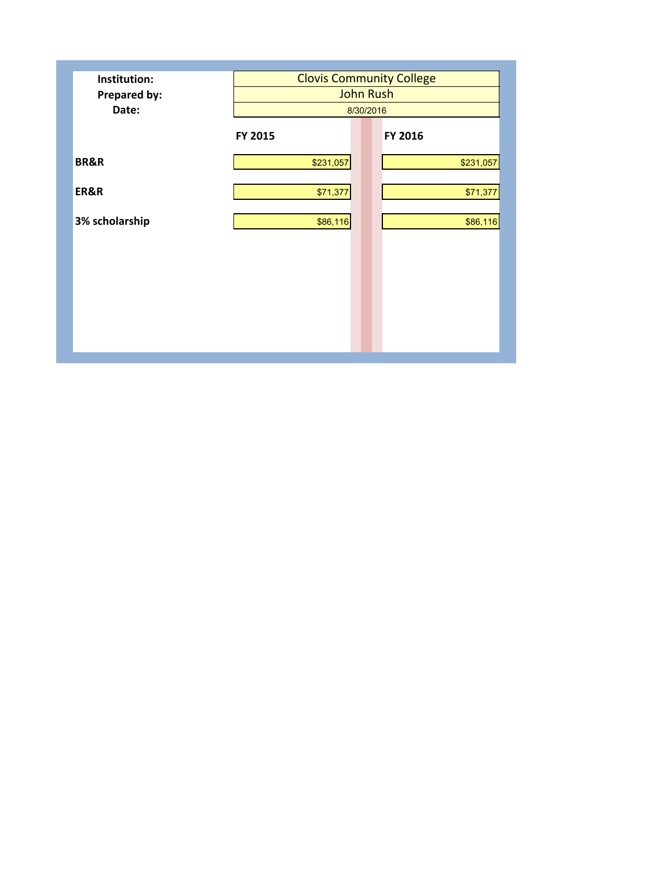| Institution:<br><b>Prepared by:</b> | <b>Clovis Community College</b><br><b>John Rush</b> |           |  |  |  |
|-------------------------------------|-----------------------------------------------------|-----------|--|--|--|
| Date:                               | 8/30/2016                                           |           |  |  |  |
|                                     | FY 2015                                             | FY 2016   |  |  |  |
| <b>BR&amp;R</b>                     | \$231,057                                           | \$231,057 |  |  |  |
| ER&R                                | \$71,377                                            | \$71,377  |  |  |  |
| 3% scholarship                      | \$86,116                                            | \$86,116  |  |  |  |
|                                     |                                                     |           |  |  |  |
|                                     |                                                     |           |  |  |  |
|                                     |                                                     |           |  |  |  |
|                                     |                                                     |           |  |  |  |
|                                     |                                                     |           |  |  |  |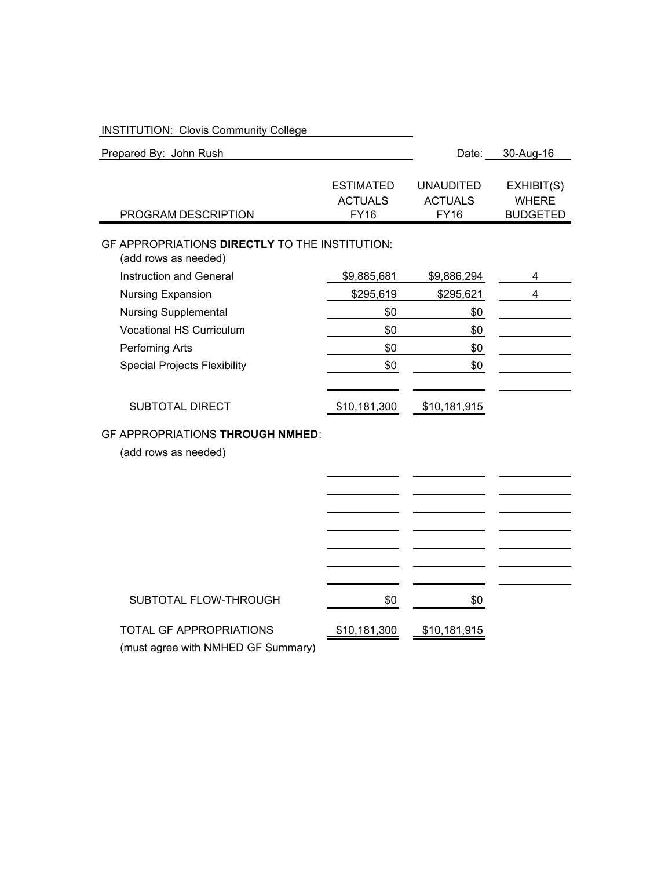| <b>INSTITUTION: Clovis Community College</b>                           |                                                   |                                                   |                                               |
|------------------------------------------------------------------------|---------------------------------------------------|---------------------------------------------------|-----------------------------------------------|
| Prepared By: John Rush                                                 |                                                   | Date:                                             | 30-Aug-16                                     |
| PROGRAM DESCRIPTION                                                    | <b>ESTIMATED</b><br><b>ACTUALS</b><br><b>FY16</b> | <b>UNAUDITED</b><br><b>ACTUALS</b><br><b>FY16</b> | EXHIBIT(S)<br><b>WHERE</b><br><b>BUDGETED</b> |
| GF APPROPRIATIONS DIRECTLY TO THE INSTITUTION:<br>(add rows as needed) |                                                   |                                                   |                                               |
| Instruction and General                                                | \$9,885,681                                       | \$9,886,294                                       | 4                                             |
| Nursing Expansion                                                      | \$295,619                                         | \$295,621                                         | $\overline{4}$                                |
| <b>Nursing Supplemental</b>                                            | \$0                                               | \$0                                               |                                               |
| <b>Vocational HS Curriculum</b>                                        | \$0                                               | \$0                                               |                                               |
| Perfoming Arts                                                         | \$0                                               | \$0                                               |                                               |
| <b>Special Projects Flexibility</b>                                    | \$0                                               | \$0                                               |                                               |
| <b>SUBTOTAL DIRECT</b>                                                 | \$10,181,300                                      | \$10,181,915                                      |                                               |
| <b>GF APPROPRIATIONS THROUGH NMHED:</b><br>(add rows as needed)        |                                                   |                                                   |                                               |
| SUBTOTAL FLOW-THROUGH                                                  | \$0                                               | \$0                                               |                                               |
| <b>TOTAL GF APPROPRIATIONS</b><br>(must agree with NMHED GF Summary)   | \$10,181,300                                      | \$10,181,915                                      |                                               |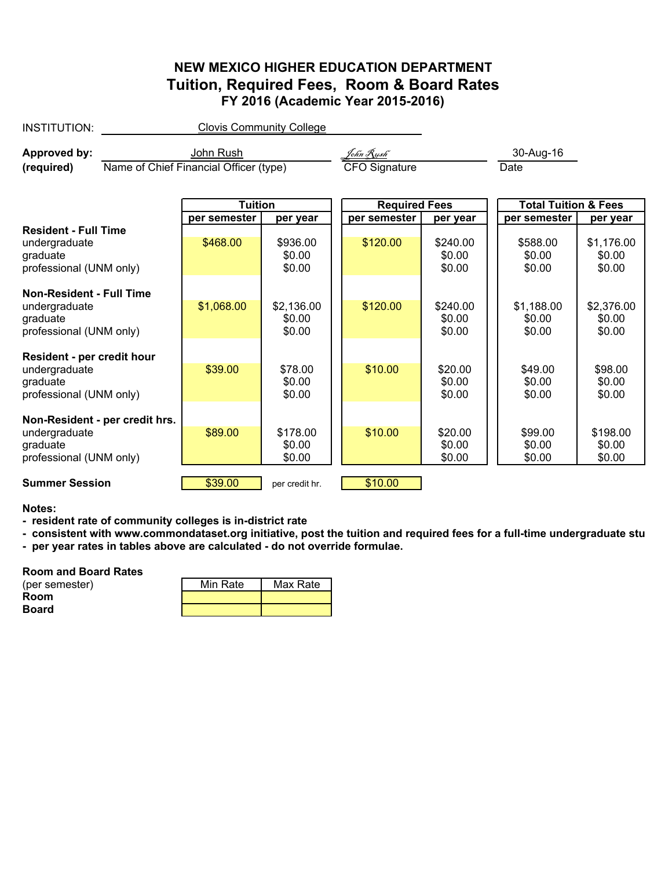# **NEW MEXICO HIGHER EDUCATION DEPARTMENT Tuition, Required Fees, Room & Board Rates FY 2016 (Academic Year 2015-2016)**

| INSTITUTION:                                                                            |                                                     | <b>Clovis Community College</b> |                                |                      |                              |                                 |                                |
|-----------------------------------------------------------------------------------------|-----------------------------------------------------|---------------------------------|--------------------------------|----------------------|------------------------------|---------------------------------|--------------------------------|
| <b>Approved by:</b><br>(required)                                                       | John Rush<br>Name of Chief Financial Officer (type) |                                 |                                |                      |                              | 30-Aug-16<br>Date               |                                |
|                                                                                         |                                                     | <b>Tuition</b>                  |                                | <b>Required Fees</b> |                              | <b>Total Tuition &amp; Fees</b> |                                |
|                                                                                         |                                                     | per semester                    | per year                       | per semester         | per year                     | per semester                    | per year                       |
| <b>Resident - Full Time</b><br>undergraduate<br>graduate<br>professional (UNM only)     |                                                     | \$468.00                        | \$936.00<br>\$0.00<br>\$0.00   | \$120.00             | \$240.00<br>\$0.00<br>\$0.00 | \$588.00<br>\$0.00<br>\$0.00    | \$1,176.00<br>\$0.00<br>\$0.00 |
| <b>Non-Resident - Full Time</b><br>undergraduate<br>graduate<br>professional (UNM only) |                                                     | \$1,068.00                      | \$2,136.00<br>\$0.00<br>\$0.00 | \$120.00             | \$240.00<br>\$0.00<br>\$0.00 | \$1,188.00<br>\$0.00<br>\$0.00  | \$2,376.00<br>\$0.00<br>\$0.00 |
| Resident - per credit hour<br>undergraduate<br>graduate<br>professional (UNM only)      |                                                     | \$39.00                         | \$78.00<br>\$0.00<br>\$0.00    | \$10.00              | \$20.00<br>\$0.00<br>\$0.00  | \$49.00<br>\$0.00<br>\$0.00     | \$98.00<br>\$0.00<br>\$0.00    |
| Non-Resident - per credit hrs.<br>undergraduate<br>graduate<br>professional (UNM only)  |                                                     | \$89.00                         | \$178.00<br>\$0.00<br>\$0.00   | \$10.00              | \$20.00<br>\$0.00<br>\$0.00  | \$99.00<br>\$0.00<br>\$0.00     | \$198.00<br>\$0.00<br>\$0.00   |
| <b>Summer Session</b>                                                                   |                                                     | \$39.00                         | per credit hr.                 | \$10.00              |                              |                                 |                                |

#### **Notes:**

- **resident rate of community colleges is in-district rate**
- **consistent with www.commondataset.org initiative, post the tuition and required fees for a full-time undergraduate stu**
- **per year rates in tables above are calculated do not override formulae.**

#### **Room and Board Rates**

| (per semester) | Min Rate | Max Rate |
|----------------|----------|----------|
| Room           |          |          |
| <b>Board</b>   |          |          |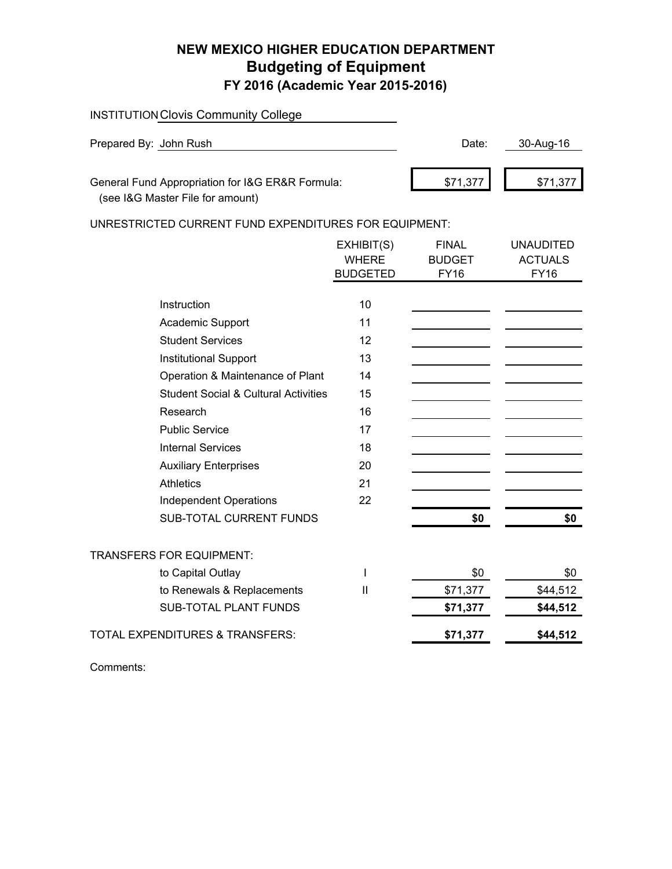# **NEW MEXICO HIGHER EDUCATION DEPARTMENT Budgeting of Equipment FY 2016 (Academic Year 2015-2016)**

|                                                                                      | <b>INSTITUTION Clovis Community College</b>           |                                               |                                              |                                                   |
|--------------------------------------------------------------------------------------|-------------------------------------------------------|-----------------------------------------------|----------------------------------------------|---------------------------------------------------|
| Prepared By: John Rush                                                               |                                                       |                                               | Date:                                        | 30-Aug-16                                         |
|                                                                                      |                                                       |                                               |                                              |                                                   |
| General Fund Appropriation for I&G ER&R Formula:<br>(see I&G Master File for amount) |                                                       |                                               | \$71,377                                     | \$71,377                                          |
|                                                                                      | UNRESTRICTED CURRENT FUND EXPENDITURES FOR EQUIPMENT: |                                               |                                              |                                                   |
|                                                                                      |                                                       | EXHIBIT(S)<br><b>WHERE</b><br><b>BUDGETED</b> | <b>FINAL</b><br><b>BUDGET</b><br><b>FY16</b> | <b>UNAUDITED</b><br><b>ACTUALS</b><br><b>FY16</b> |
|                                                                                      | Instruction                                           | 10                                            |                                              |                                                   |
|                                                                                      | Academic Support                                      | 11                                            |                                              |                                                   |
|                                                                                      | <b>Student Services</b>                               | 12                                            |                                              |                                                   |
|                                                                                      | <b>Institutional Support</b>                          | 13                                            |                                              |                                                   |
|                                                                                      | Operation & Maintenance of Plant                      | 14                                            |                                              |                                                   |
|                                                                                      | <b>Student Social &amp; Cultural Activities</b>       | 15                                            |                                              |                                                   |
|                                                                                      | Research                                              | 16                                            |                                              |                                                   |
|                                                                                      | <b>Public Service</b>                                 | 17                                            |                                              |                                                   |
|                                                                                      | <b>Internal Services</b>                              | 18                                            |                                              |                                                   |
|                                                                                      | <b>Auxiliary Enterprises</b>                          | 20                                            |                                              |                                                   |
|                                                                                      | <b>Athletics</b>                                      | 21                                            |                                              |                                                   |
|                                                                                      | <b>Independent Operations</b>                         | 22                                            |                                              |                                                   |
|                                                                                      | <b>SUB-TOTAL CURRENT FUNDS</b>                        |                                               | \$0                                          | \$0                                               |
|                                                                                      | <b>TRANSFERS FOR EQUIPMENT:</b>                       |                                               |                                              |                                                   |
|                                                                                      | to Capital Outlay                                     | T                                             | \$0                                          | \$0                                               |
|                                                                                      | to Renewals & Replacements                            | $\mathbf{I}$                                  | \$71,377                                     | \$44,512                                          |
|                                                                                      | <b>SUB-TOTAL PLANT FUNDS</b>                          |                                               | \$71,377                                     | \$44,512                                          |
|                                                                                      | TOTAL EXPENDITURES & TRANSFERS:                       |                                               | \$71,377                                     | \$44,512                                          |

Comments: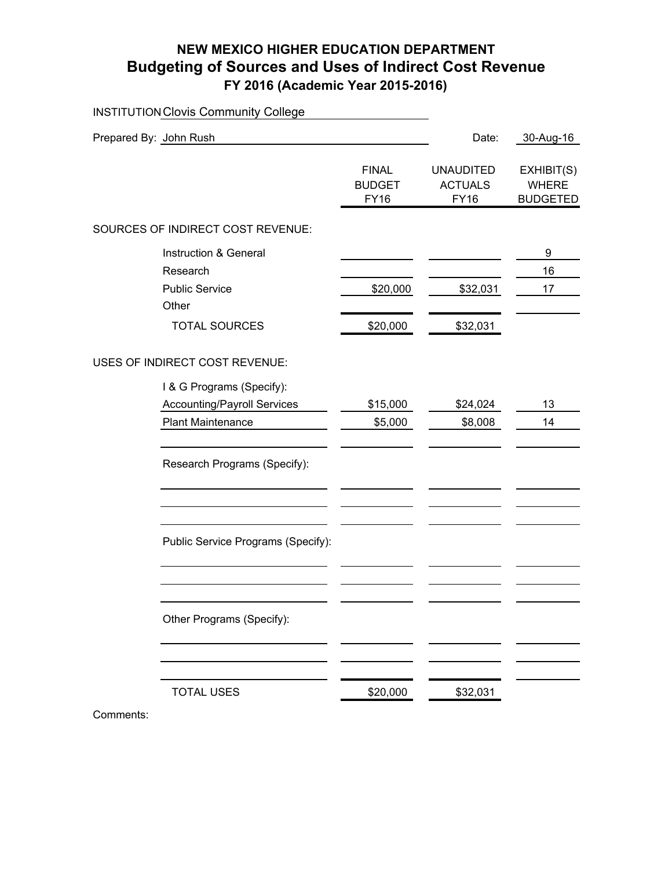# **NEW MEXICO HIGHER EDUCATION DEPARTMENT Budgeting of Sources and Uses of Indirect Cost Revenue FY 2016 (Academic Year 2015-2016)**

INSTITUTION Clovis Community College

| Prepared By: John Rush             |                                              | Date:                                             | 30-Aug-16                                     |
|------------------------------------|----------------------------------------------|---------------------------------------------------|-----------------------------------------------|
|                                    | <b>FINAL</b><br><b>BUDGET</b><br><b>FY16</b> | <b>UNAUDITED</b><br><b>ACTUALS</b><br><b>FY16</b> | EXHIBIT(S)<br><b>WHERE</b><br><b>BUDGETED</b> |
| SOURCES OF INDIRECT COST REVENUE:  |                                              |                                                   |                                               |
| Instruction & General<br>Research  |                                              |                                                   | 9<br>16                                       |
| <b>Public Service</b><br>Other     | \$20,000                                     | \$32,031                                          | 17                                            |
| <b>TOTAL SOURCES</b>               | \$20,000                                     | \$32,031                                          |                                               |
| USES OF INDIRECT COST REVENUE:     |                                              |                                                   |                                               |
| I & G Programs (Specify):          |                                              |                                                   |                                               |
| <b>Accounting/Payroll Services</b> | \$15,000                                     | \$24,024                                          | 13                                            |
| <b>Plant Maintenance</b>           | \$5,000                                      | \$8,008                                           | 14                                            |
| Research Programs (Specify):       |                                              |                                                   |                                               |
|                                    |                                              |                                                   |                                               |
| Public Service Programs (Specify): |                                              |                                                   |                                               |
|                                    |                                              |                                                   |                                               |
| Other Programs (Specify):          |                                              |                                                   |                                               |
|                                    |                                              |                                                   |                                               |
| <b>TOTAL USES</b>                  | \$20,000                                     | \$32,031                                          |                                               |

Comments: